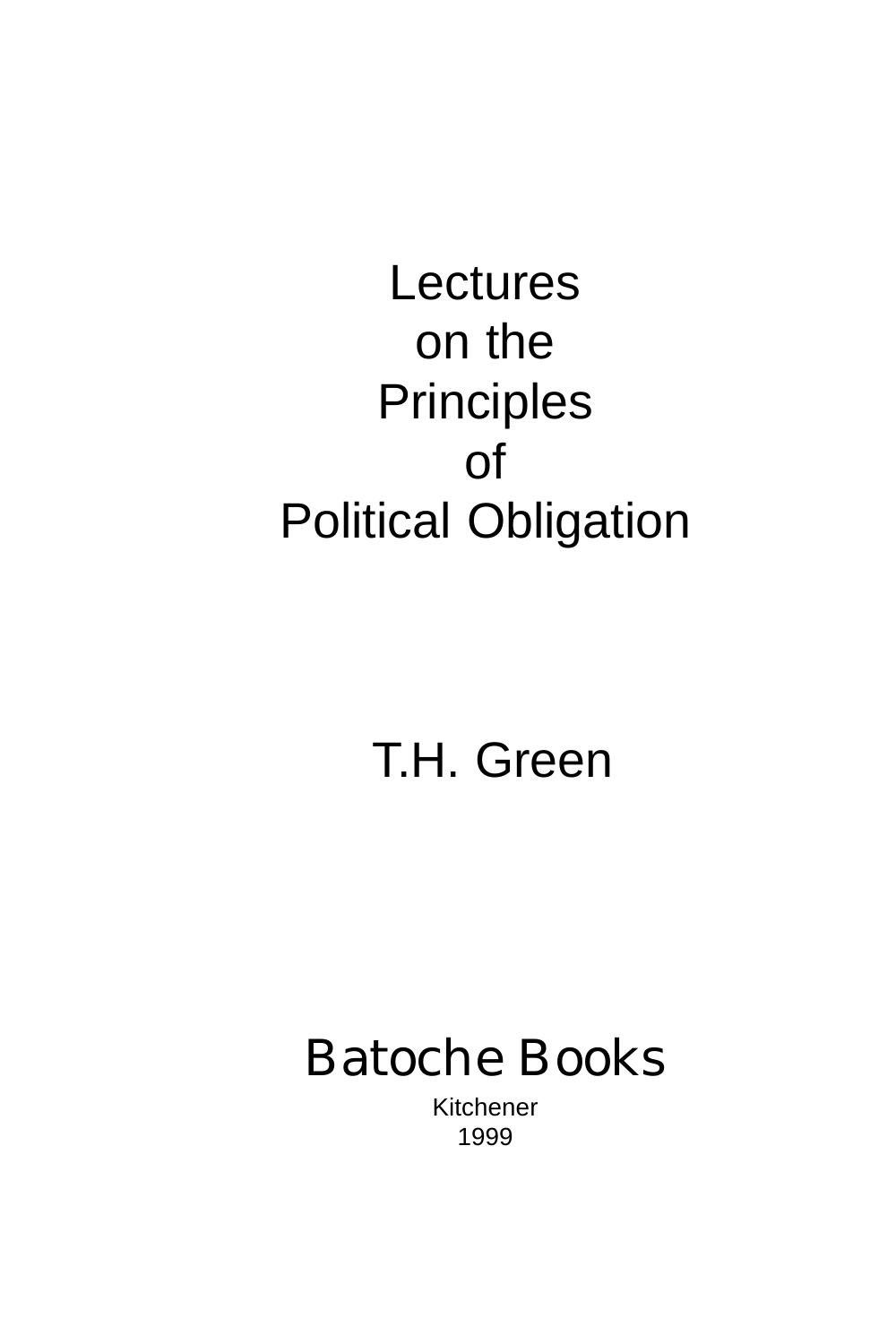# Lectures on the **Principles** of Political Obligation

# T.H. Green

# Batoche Books

Kitchener 1999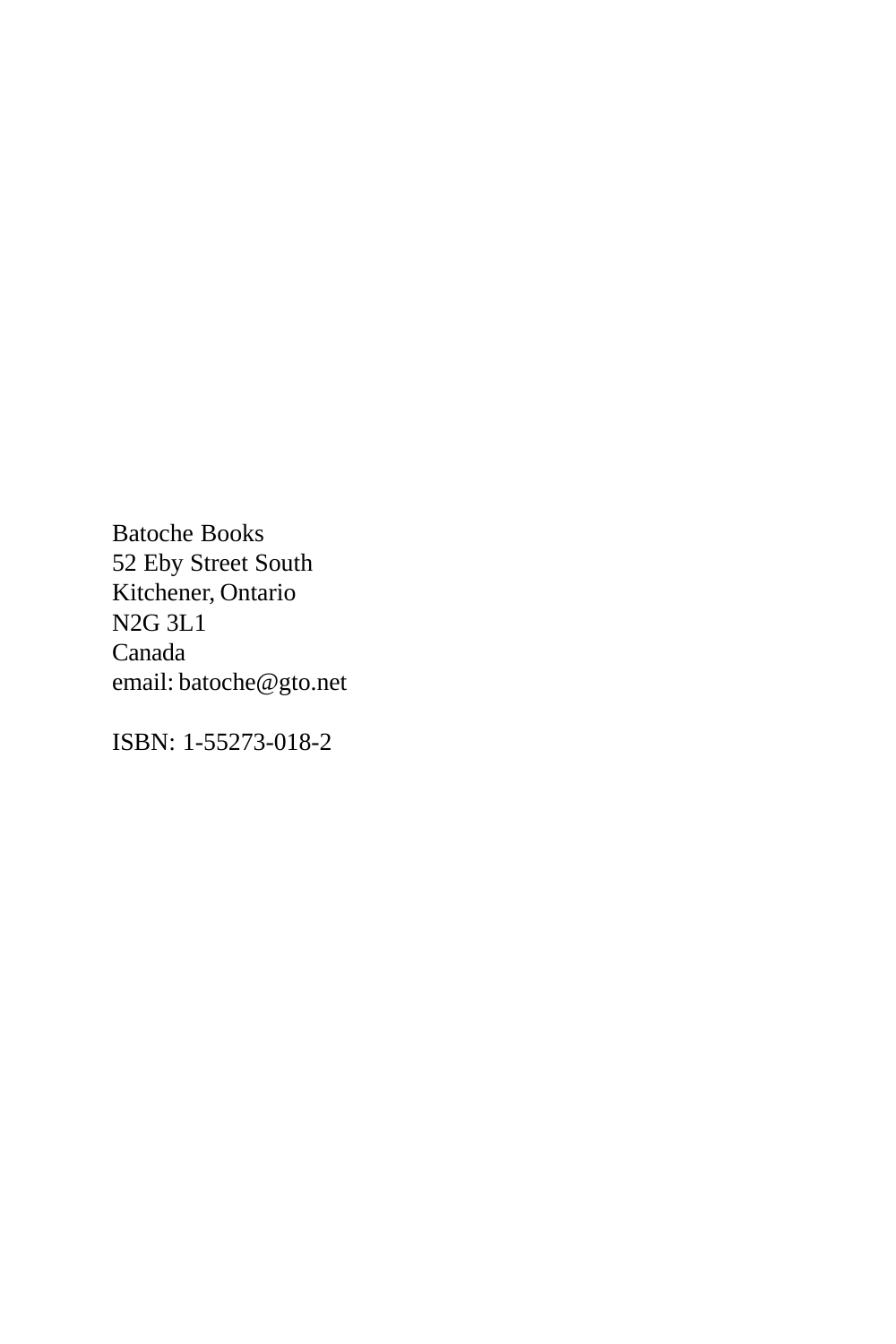Batoche Books 52 Eby Street South Kitchener, Ontario N2G 3L1 Canada email: batoche@gto.net

ISBN: 1-55273-018-2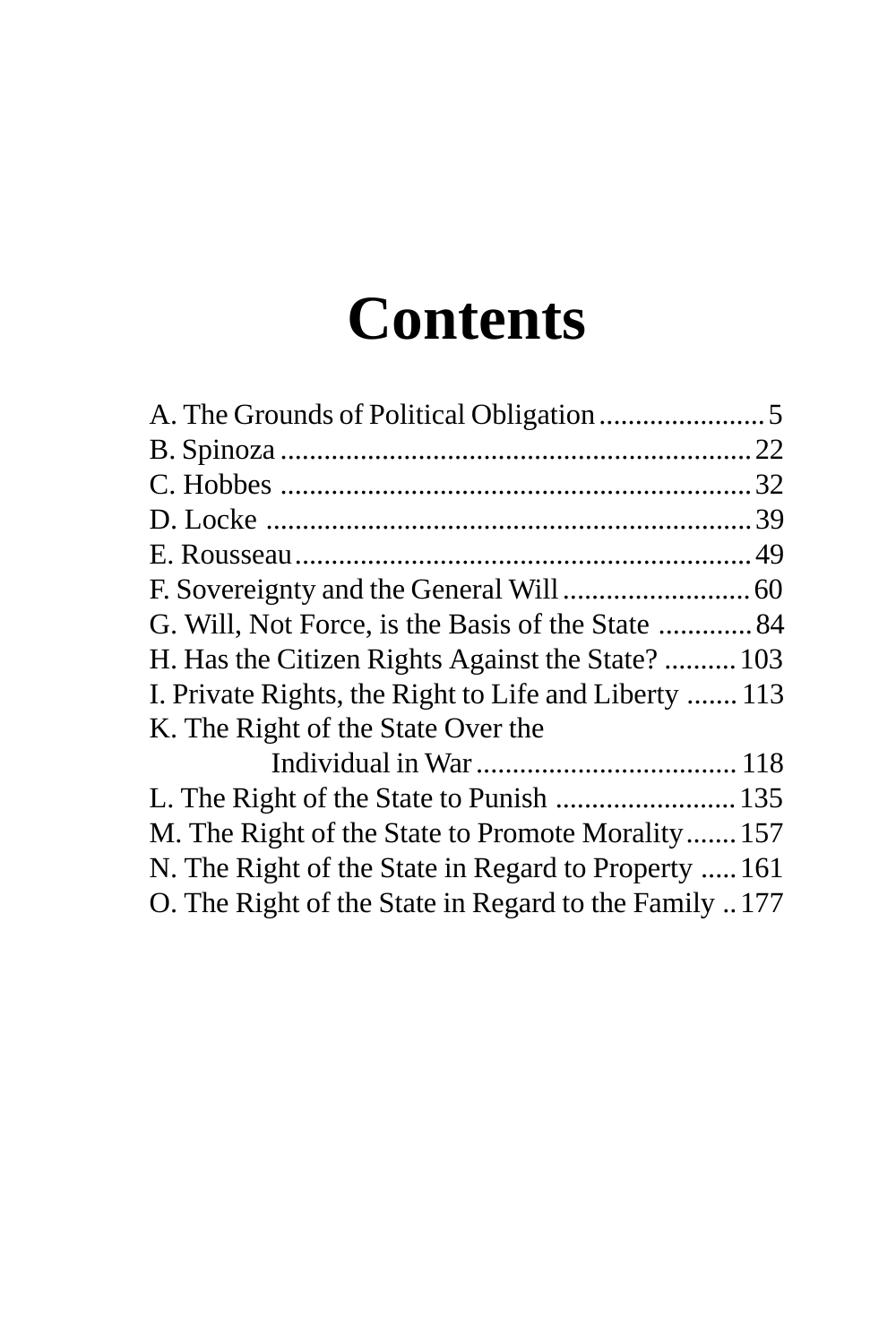# **Contents**

| G. Will, Not Force, is the Basis of the State 84      |  |
|-------------------------------------------------------|--|
| H. Has the Citizen Rights Against the State?  103     |  |
| I. Private Rights, the Right to Life and Liberty  113 |  |
| K. The Right of the State Over the                    |  |
|                                                       |  |
|                                                       |  |
| M. The Right of the State to Promote Morality 157     |  |
| N. The Right of the State in Regard to Property  161  |  |
| O. The Right of the State in Regard to the Family 177 |  |
|                                                       |  |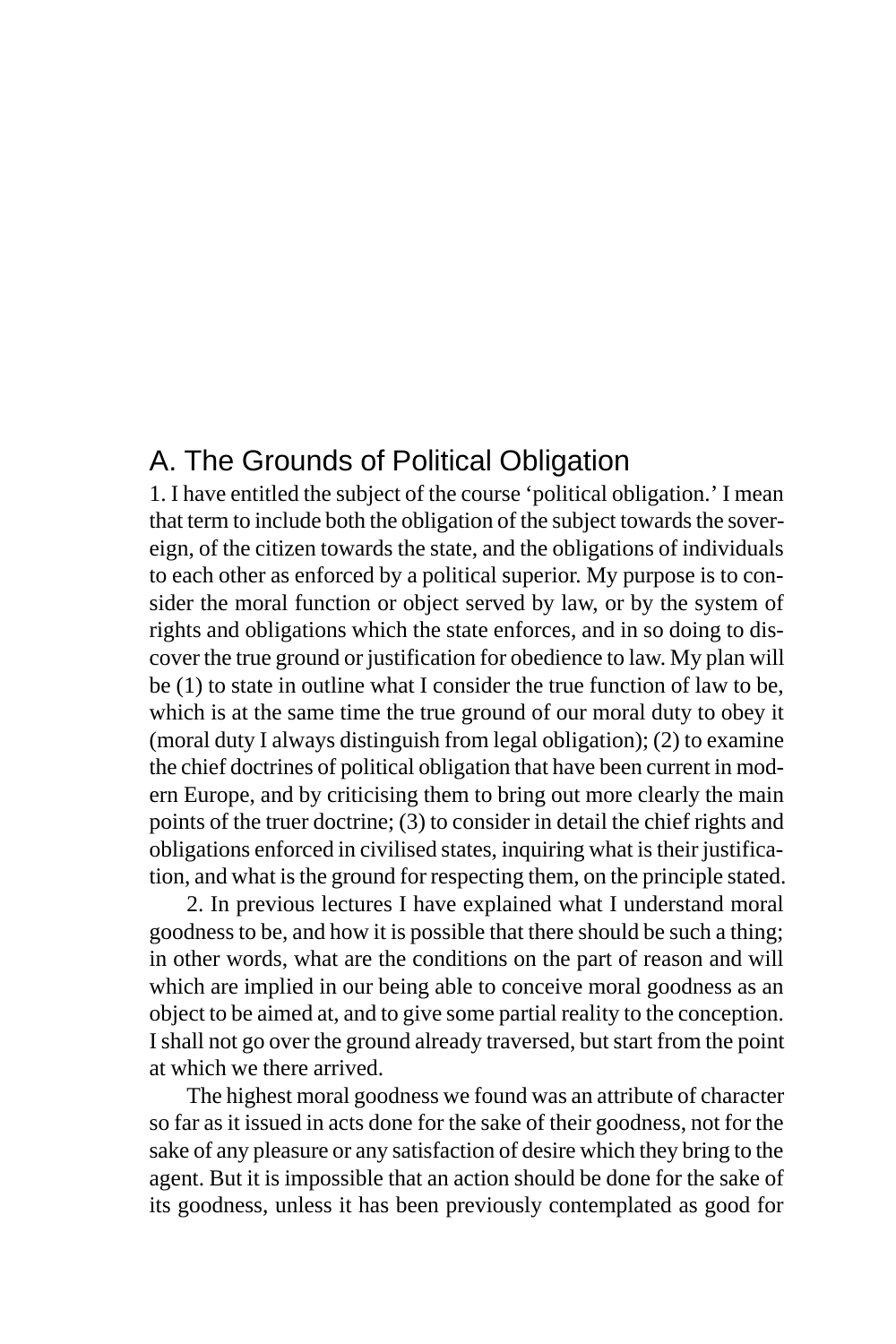### <span id="page-4-0"></span>A. The Grounds of Political Obligation

1. I have entitled the subject of the course 'political obligation.' I mean that term to include both the obligation of the subject towards the sovereign, of the citizen towards the state, and the obligations of individuals to each other as enforced by a political superior. My purpose is to consider the moral function or object served by law, or by the system of rights and obligations which the state enforces, and in so doing to discover the true ground or justification for obedience to law. My plan will be (1) to state in outline what I consider the true function of law to be, which is at the same time the true ground of our moral duty to obey it (moral duty I always distinguish from legal obligation); (2) to examine the chief doctrines of political obligation that have been current in modern Europe, and by criticising them to bring out more clearly the main points of the truer doctrine; (3) to consider in detail the chief rights and obligations enforced in civilised states, inquiring what is their justification, and what is the ground for respecting them, on the principle stated.

2. In previous lectures I have explained what I understand moral goodness to be, and how it is possible that there should be such a thing; in other words, what are the conditions on the part of reason and will which are implied in our being able to conceive moral goodness as an object to be aimed at, and to give some partial reality to the conception. I shall not go over the ground already traversed, but start from the point at which we there arrived.

The highest moral goodness we found was an attribute of character so far as it issued in acts done for the sake of their goodness, not for the sake of any pleasure or any satisfaction of desire which they bring to the agent. But it is impossible that an action should be done for the sake of its goodness, unless it has been previously contemplated as good for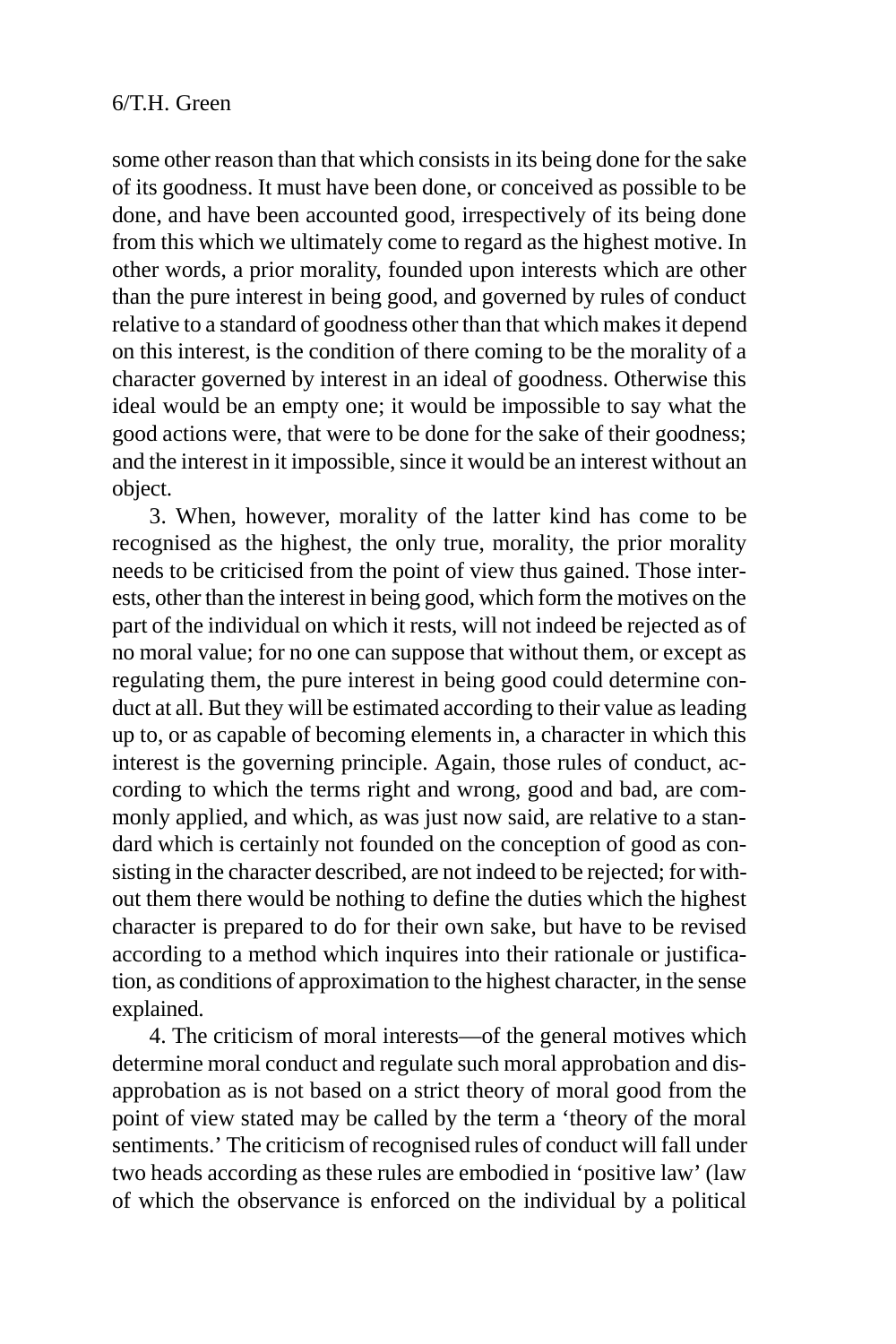some other reason than that which consists in its being done for the sake of its goodness. It must have been done, or conceived as possible to be done, and have been accounted good, irrespectively of its being done from this which we ultimately come to regard as the highest motive. In other words, a prior morality, founded upon interests which are other than the pure interest in being good, and governed by rules of conduct relative to a standard of goodness other than that which makes it depend on this interest, is the condition of there coming to be the morality of a character governed by interest in an ideal of goodness. Otherwise this ideal would be an empty one; it would be impossible to say what the good actions were, that were to be done for the sake of their goodness; and the interest in it impossible, since it would be an interest without an object.

3. When, however, morality of the latter kind has come to be recognised as the highest, the only true, morality, the prior morality needs to be criticised from the point of view thus gained. Those interests, other than the interest in being good, which form the motives on the part of the individual on which it rests, will not indeed be rejected as of no moral value; for no one can suppose that without them, or except as regulating them, the pure interest in being good could determine conduct at all. But they will be estimated according to their value as leading up to, or as capable of becoming elements in, a character in which this interest is the governing principle. Again, those rules of conduct, according to which the terms right and wrong, good and bad, are commonly applied, and which, as was just now said, are relative to a standard which is certainly not founded on the conception of good as consisting in the character described, are not indeed to be rejected; for without them there would be nothing to define the duties which the highest character is prepared to do for their own sake, but have to be revised according to a method which inquires into their rationale or justification, as conditions of approximation to the highest character, in the sense explained.

4. The criticism of moral interests—of the general motives which determine moral conduct and regulate such moral approbation and disapprobation as is not based on a strict theory of moral good from the point of view stated may be called by the term a 'theory of the moral sentiments.' The criticism of recognised rules of conduct will fall under two heads according as these rules are embodied in 'positive law' (law of which the observance is enforced on the individual by a political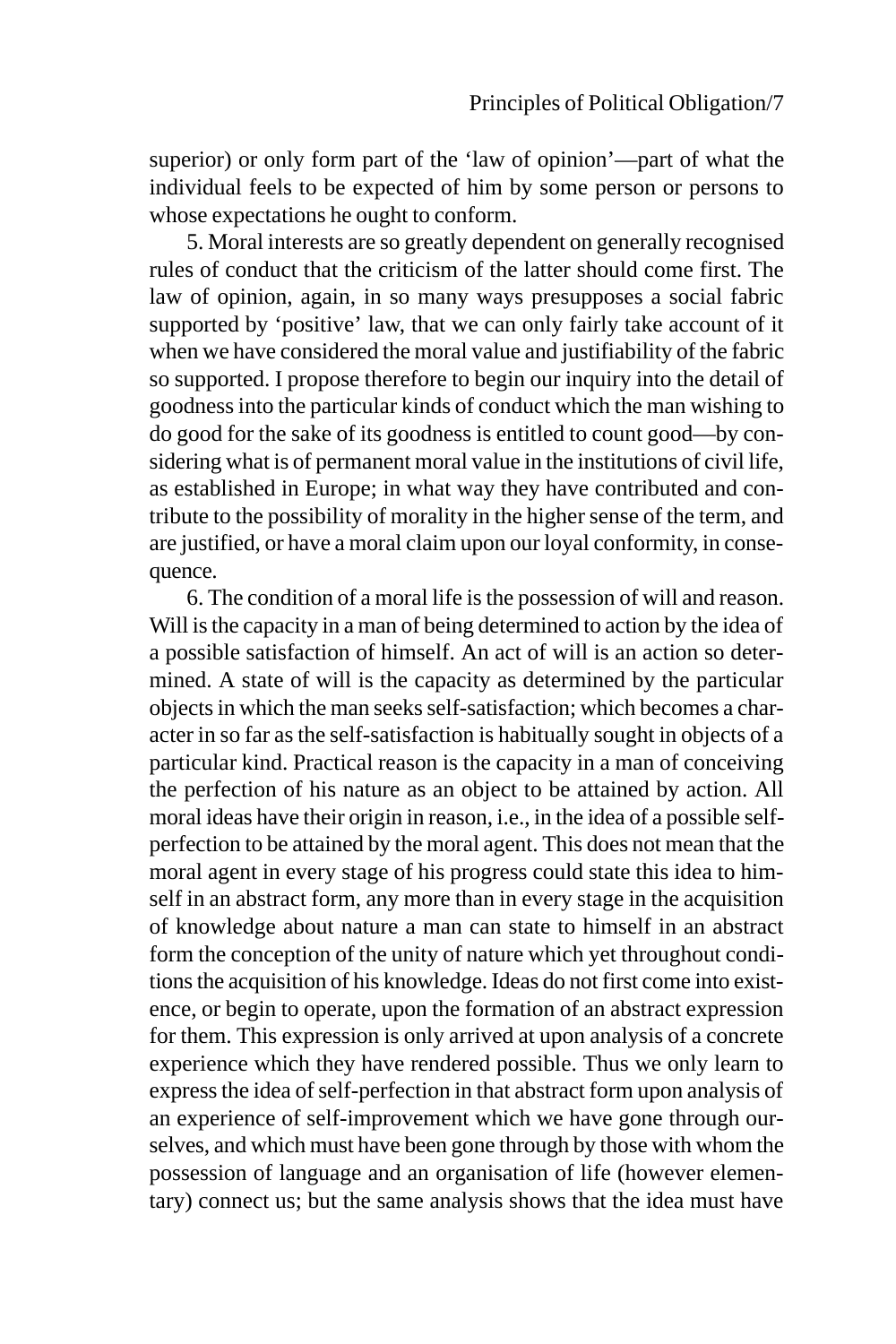superior) or only form part of the 'law of opinion'—part of what the individual feels to be expected of him by some person or persons to whose expectations he ought to conform.

5. Moral interests are so greatly dependent on generally recognised rules of conduct that the criticism of the latter should come first. The law of opinion, again, in so many ways presupposes a social fabric supported by 'positive' law, that we can only fairly take account of it when we have considered the moral value and justifiability of the fabric so supported. I propose therefore to begin our inquiry into the detail of goodness into the particular kinds of conduct which the man wishing to do good for the sake of its goodness is entitled to count good—by considering what is of permanent moral value in the institutions of civil life, as established in Europe; in what way they have contributed and contribute to the possibility of morality in the higher sense of the term, and are justified, or have a moral claim upon our loyal conformity, in consequence.

6. The condition of a moral life is the possession of will and reason. Will is the capacity in a man of being determined to action by the idea of a possible satisfaction of himself. An act of will is an action so determined. A state of will is the capacity as determined by the particular objects in which the man seeks self-satisfaction; which becomes a character in so far as the self-satisfaction is habitually sought in objects of a particular kind. Practical reason is the capacity in a man of conceiving the perfection of his nature as an object to be attained by action. All moral ideas have their origin in reason, i.e., in the idea of a possible selfperfection to be attained by the moral agent. This does not mean that the moral agent in every stage of his progress could state this idea to himself in an abstract form, any more than in every stage in the acquisition of knowledge about nature a man can state to himself in an abstract form the conception of the unity of nature which yet throughout conditions the acquisition of his knowledge. Ideas do not first come into existence, or begin to operate, upon the formation of an abstract expression for them. This expression is only arrived at upon analysis of a concrete experience which they have rendered possible. Thus we only learn to express the idea of self-perfection in that abstract form upon analysis of an experience of self-improvement which we have gone through ourselves, and which must have been gone through by those with whom the possession of language and an organisation of life (however elementary) connect us; but the same analysis shows that the idea must have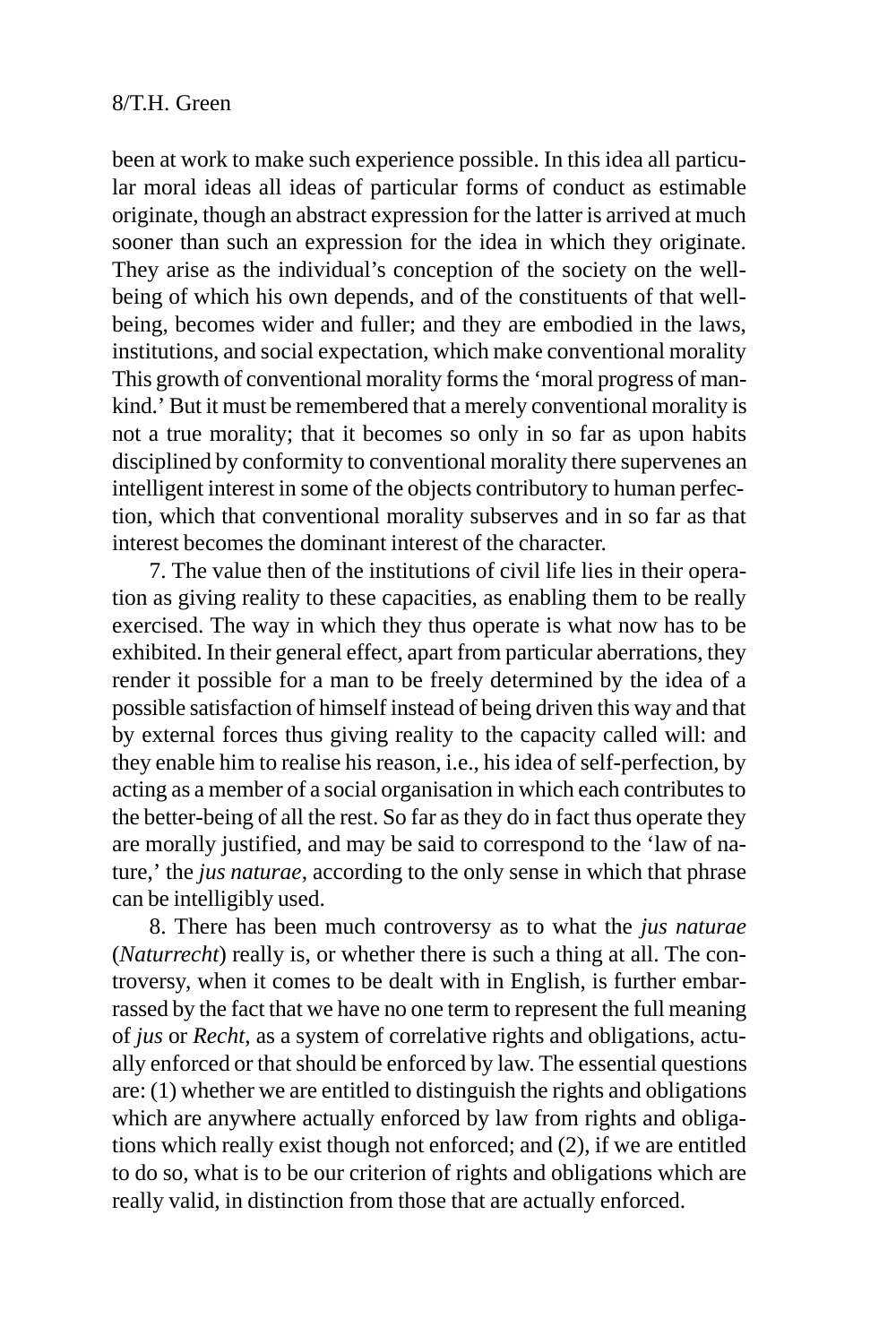been at work to make such experience possible. In this idea all particular moral ideas all ideas of particular forms of conduct as estimable originate, though an abstract expression for the latter is arrived at much sooner than such an expression for the idea in which they originate. They arise as the individual's conception of the society on the wellbeing of which his own depends, and of the constituents of that wellbeing, becomes wider and fuller; and they are embodied in the laws, institutions, and social expectation, which make conventional morality This growth of conventional morality forms the 'moral progress of mankind.' But it must be remembered that a merely conventional morality is not a true morality; that it becomes so only in so far as upon habits disciplined by conformity to conventional morality there supervenes an intelligent interest in some of the objects contributory to human perfection, which that conventional morality subserves and in so far as that interest becomes the dominant interest of the character.

7. The value then of the institutions of civil life lies in their operation as giving reality to these capacities, as enabling them to be really exercised. The way in which they thus operate is what now has to be exhibited. In their general effect, apart from particular aberrations, they render it possible for a man to be freely determined by the idea of a possible satisfaction of himself instead of being driven this way and that by external forces thus giving reality to the capacity called will: and they enable him to realise his reason, i.e., his idea of self-perfection, by acting as a member of a social organisation in which each contributes to the better-being of all the rest. So far as they do in fact thus operate they are morally justified, and may be said to correspond to the 'law of nature,' the *jus naturae*, according to the only sense in which that phrase can be intelligibly used.

8. There has been much controversy as to what the *jus naturae* (*Naturrecht*) really is, or whether there is such a thing at all. The controversy, when it comes to be dealt with in English, is further embarrassed by the fact that we have no one term to represent the full meaning of *jus* or *Recht*, as a system of correlative rights and obligations, actually enforced or that should be enforced by law. The essential questions are: (1) whether we are entitled to distinguish the rights and obligations which are anywhere actually enforced by law from rights and obligations which really exist though not enforced; and (2), if we are entitled to do so, what is to be our criterion of rights and obligations which are really valid, in distinction from those that are actually enforced.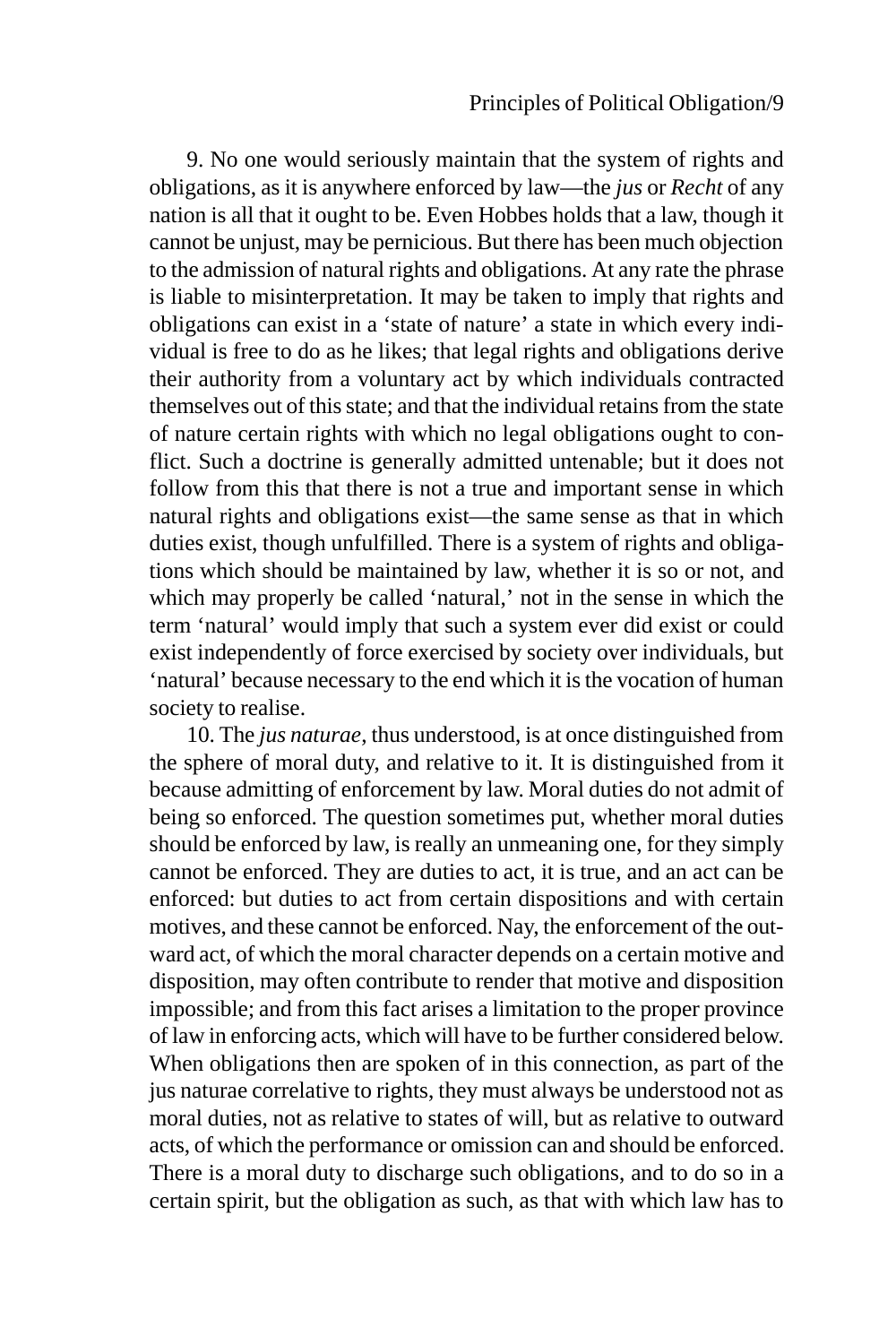9. No one would seriously maintain that the system of rights and obligations, as it is anywhere enforced by law—the *jus* or *Recht* of any nation is all that it ought to be. Even Hobbes holds that a law, though it cannot be unjust, may be pernicious. But there has been much objection to the admission of natural rights and obligations. At any rate the phrase is liable to misinterpretation. It may be taken to imply that rights and obligations can exist in a 'state of nature' a state in which every individual is free to do as he likes; that legal rights and obligations derive their authority from a voluntary act by which individuals contracted themselves out of this state; and that the individual retains from the state of nature certain rights with which no legal obligations ought to conflict. Such a doctrine is generally admitted untenable; but it does not follow from this that there is not a true and important sense in which natural rights and obligations exist—the same sense as that in which duties exist, though unfulfilled. There is a system of rights and obligations which should be maintained by law, whether it is so or not, and which may properly be called 'natural,' not in the sense in which the term 'natural' would imply that such a system ever did exist or could exist independently of force exercised by society over individuals, but 'natural' because necessary to the end which it is the vocation of human society to realise.

10. The *jus naturae*, thus understood, is at once distinguished from the sphere of moral duty, and relative to it. It is distinguished from it because admitting of enforcement by law. Moral duties do not admit of being so enforced. The question sometimes put, whether moral duties should be enforced by law, is really an unmeaning one, for they simply cannot be enforced. They are duties to act, it is true, and an act can be enforced: but duties to act from certain dispositions and with certain motives, and these cannot be enforced. Nay, the enforcement of the outward act, of which the moral character depends on a certain motive and disposition, may often contribute to render that motive and disposition impossible; and from this fact arises a limitation to the proper province of law in enforcing acts, which will have to be further considered below. When obligations then are spoken of in this connection, as part of the jus naturae correlative to rights, they must always be understood not as moral duties, not as relative to states of will, but as relative to outward acts, of which the performance or omission can and should be enforced. There is a moral duty to discharge such obligations, and to do so in a certain spirit, but the obligation as such, as that with which law has to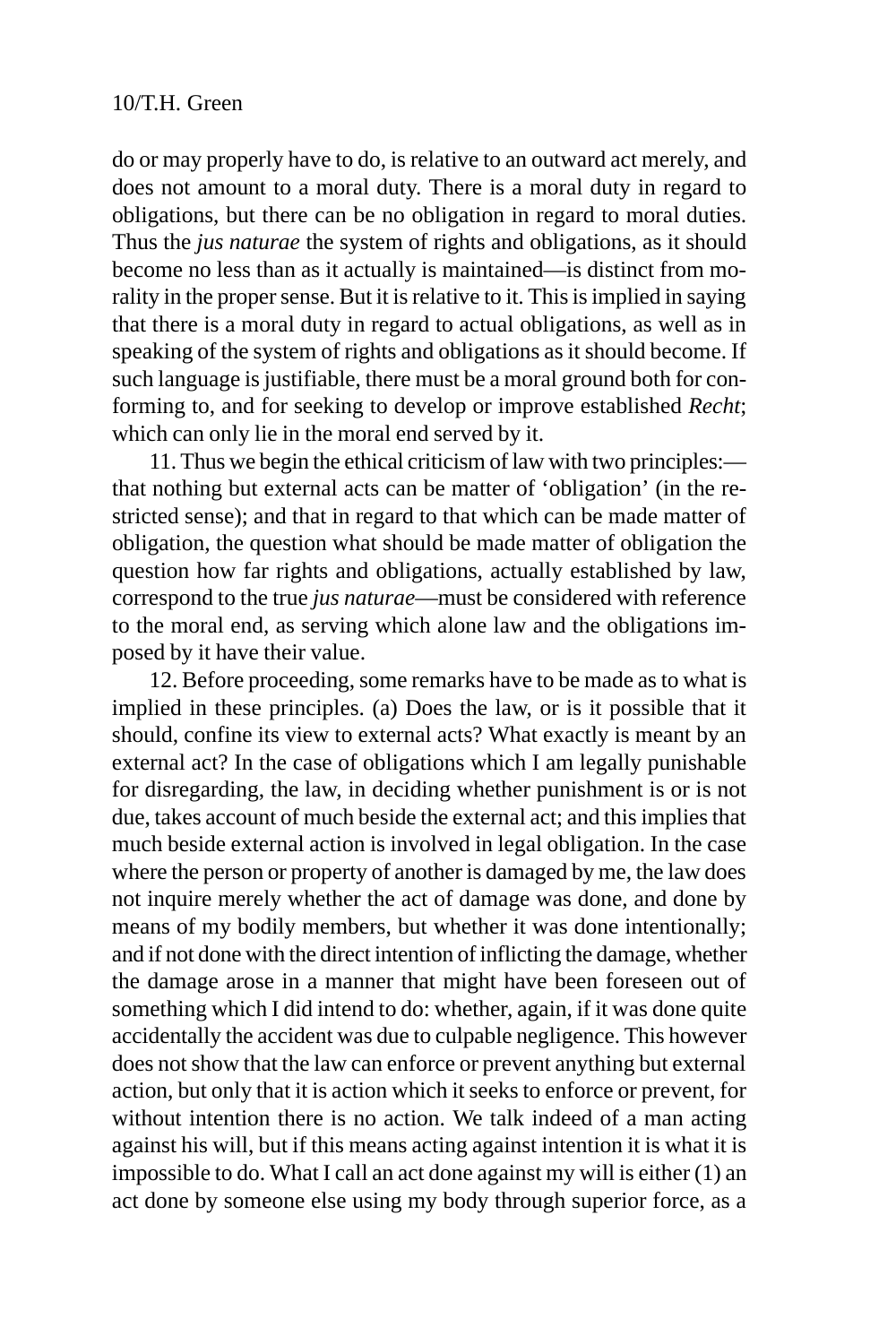do or may properly have to do, is relative to an outward act merely, and does not amount to a moral duty. There is a moral duty in regard to obligations, but there can be no obligation in regard to moral duties. Thus the *jus naturae* the system of rights and obligations, as it should become no less than as it actually is maintained—is distinct from morality in the proper sense. But it is relative to it. This is implied in saying that there is a moral duty in regard to actual obligations, as well as in speaking of the system of rights and obligations as it should become. If such language is justifiable, there must be a moral ground both for conforming to, and for seeking to develop or improve established *Recht*; which can only lie in the moral end served by it.

11. Thus we begin the ethical criticism of law with two principles: that nothing but external acts can be matter of 'obligation' (in the restricted sense); and that in regard to that which can be made matter of obligation, the question what should be made matter of obligation the question how far rights and obligations, actually established by law, correspond to the true *jus naturae*—must be considered with reference to the moral end, as serving which alone law and the obligations imposed by it have their value.

12. Before proceeding, some remarks have to be made as to what is implied in these principles. (a) Does the law, or is it possible that it should, confine its view to external acts? What exactly is meant by an external act? In the case of obligations which I am legally punishable for disregarding, the law, in deciding whether punishment is or is not due, takes account of much beside the external act; and this implies that much beside external action is involved in legal obligation. In the case where the person or property of another is damaged by me, the law does not inquire merely whether the act of damage was done, and done by means of my bodily members, but whether it was done intentionally; and if not done with the direct intention of inflicting the damage, whether the damage arose in a manner that might have been foreseen out of something which I did intend to do: whether, again, if it was done quite accidentally the accident was due to culpable negligence. This however does not show that the law can enforce or prevent anything but external action, but only that it is action which it seeks to enforce or prevent, for without intention there is no action. We talk indeed of a man acting against his will, but if this means acting against intention it is what it is impossible to do. What I call an act done against my will is either (1) an act done by someone else using my body through superior force, as a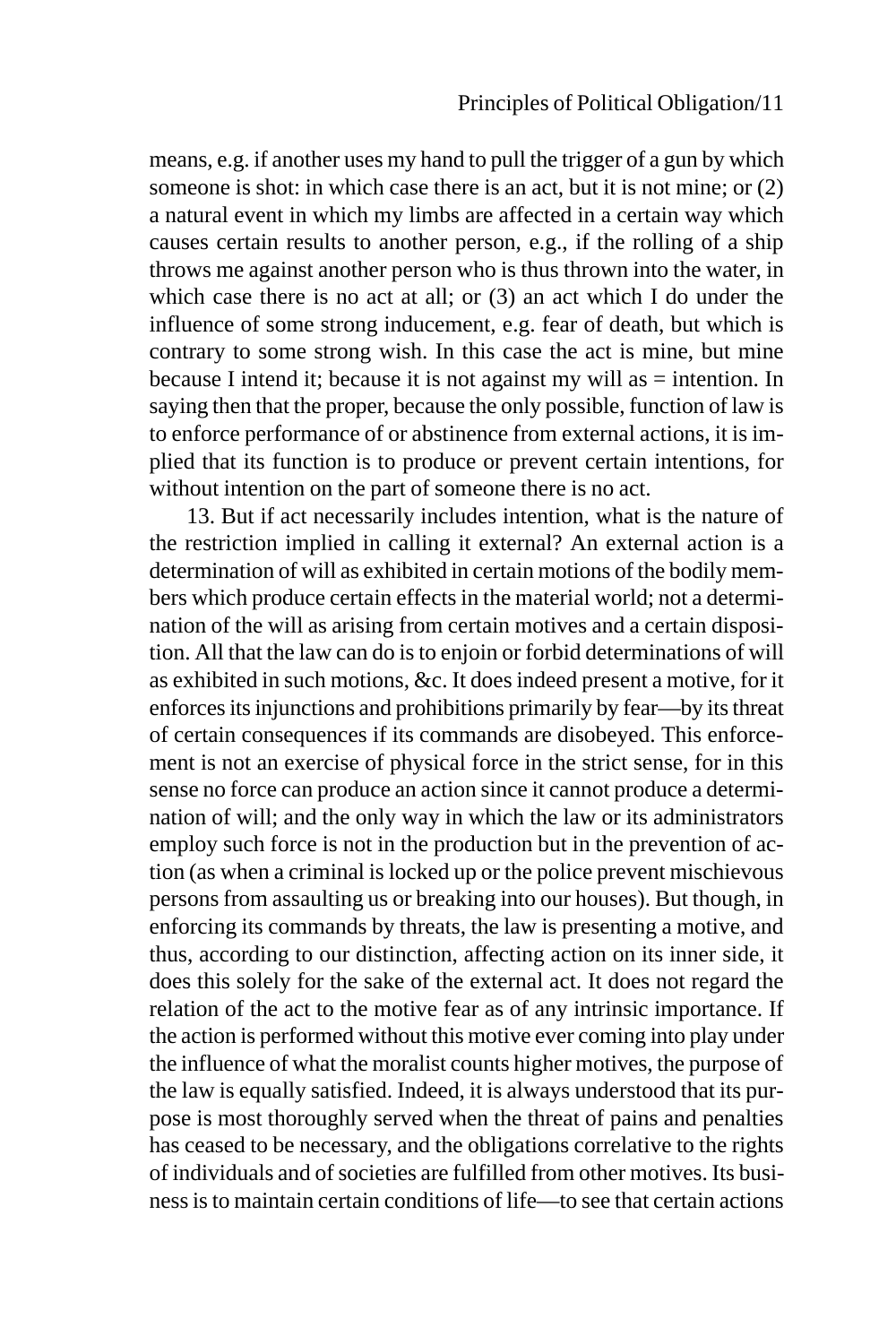means, e.g. if another uses my hand to pull the trigger of a gun by which someone is shot: in which case there is an act, but it is not mine; or (2) a natural event in which my limbs are affected in a certain way which causes certain results to another person, e.g., if the rolling of a ship throws me against another person who is thus thrown into the water, in which case there is no act at all; or (3) an act which I do under the influence of some strong inducement, e.g. fear of death, but which is contrary to some strong wish. In this case the act is mine, but mine because I intend it; because it is not against my will as  $=$  intention. In saying then that the proper, because the only possible, function of law is to enforce performance of or abstinence from external actions, it is implied that its function is to produce or prevent certain intentions, for without intention on the part of someone there is no act.

13. But if act necessarily includes intention, what is the nature of the restriction implied in calling it external? An external action is a determination of will as exhibited in certain motions of the bodily members which produce certain effects in the material world; not a determination of the will as arising from certain motives and a certain disposition. All that the law can do is to enjoin or forbid determinations of will as exhibited in such motions, &c. It does indeed present a motive, for it enforces its injunctions and prohibitions primarily by fear—by its threat of certain consequences if its commands are disobeyed. This enforcement is not an exercise of physical force in the strict sense, for in this sense no force can produce an action since it cannot produce a determination of will; and the only way in which the law or its administrators employ such force is not in the production but in the prevention of action (as when a criminal is locked up or the police prevent mischievous persons from assaulting us or breaking into our houses). But though, in enforcing its commands by threats, the law is presenting a motive, and thus, according to our distinction, affecting action on its inner side, it does this solely for the sake of the external act. It does not regard the relation of the act to the motive fear as of any intrinsic importance. If the action is performed without this motive ever coming into play under the influence of what the moralist counts higher motives, the purpose of the law is equally satisfied. Indeed, it is always understood that its purpose is most thoroughly served when the threat of pains and penalties has ceased to be necessary, and the obligations correlative to the rights of individuals and of societies are fulfilled from other motives. Its business is to maintain certain conditions of life—to see that certain actions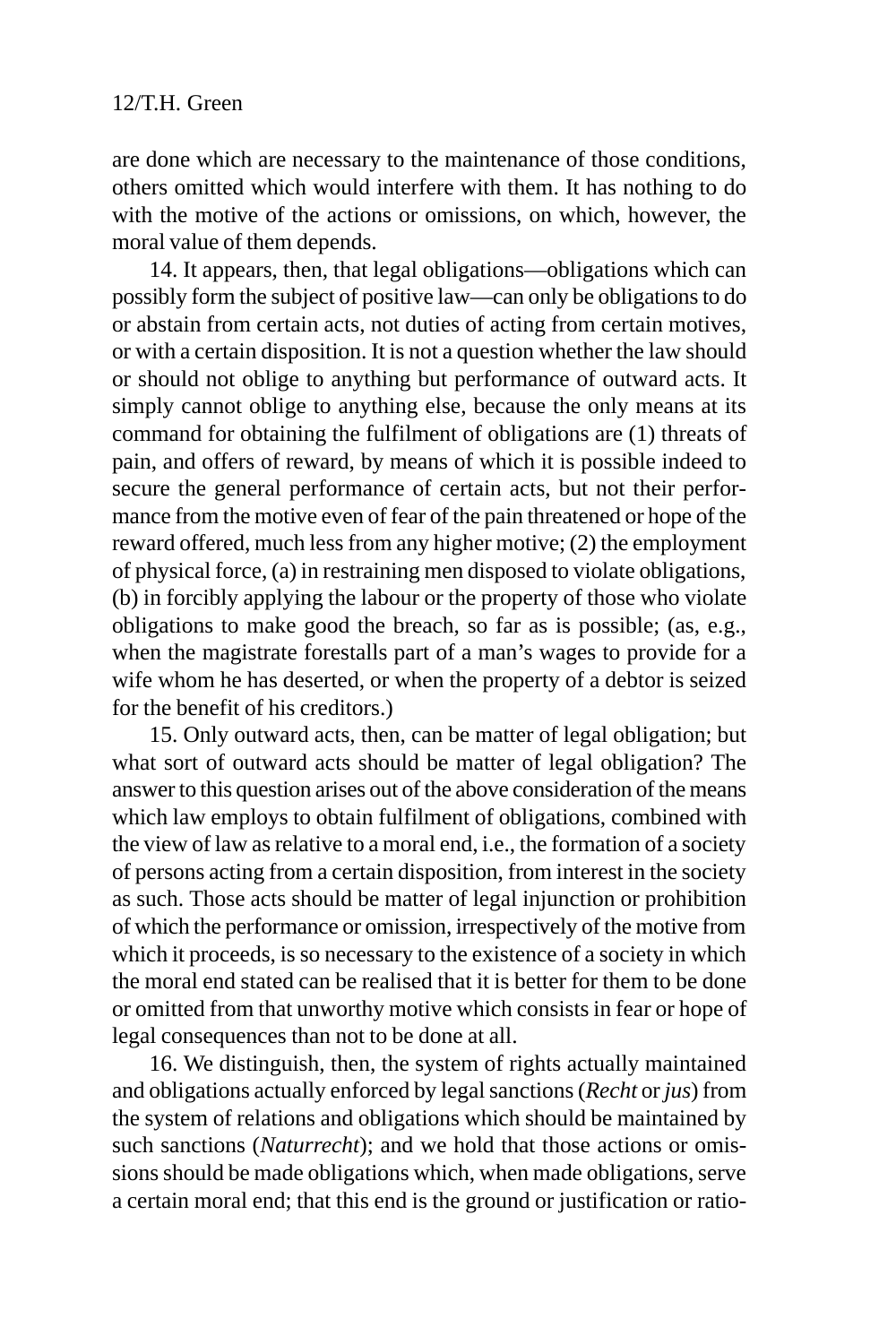are done which are necessary to the maintenance of those conditions, others omitted which would interfere with them. It has nothing to do with the motive of the actions or omissions, on which, however, the moral value of them depends.

14. It appears, then, that legal obligations—obligations which can possibly form the subject of positive law—can only be obligations to do or abstain from certain acts, not duties of acting from certain motives, or with a certain disposition. It is not a question whether the law should or should not oblige to anything but performance of outward acts. It simply cannot oblige to anything else, because the only means at its command for obtaining the fulfilment of obligations are (1) threats of pain, and offers of reward, by means of which it is possible indeed to secure the general performance of certain acts, but not their performance from the motive even of fear of the pain threatened or hope of the reward offered, much less from any higher motive; (2) the employment of physical force, (a) in restraining men disposed to violate obligations, (b) in forcibly applying the labour or the property of those who violate obligations to make good the breach, so far as is possible; (as, e.g., when the magistrate forestalls part of a man's wages to provide for a wife whom he has deserted, or when the property of a debtor is seized for the benefit of his creditors.)

15. Only outward acts, then, can be matter of legal obligation; but what sort of outward acts should be matter of legal obligation? The answer to this question arises out of the above consideration of the means which law employs to obtain fulfilment of obligations, combined with the view of law as relative to a moral end, i.e., the formation of a society of persons acting from a certain disposition, from interest in the society as such. Those acts should be matter of legal injunction or prohibition of which the performance or omission, irrespectively of the motive from which it proceeds, is so necessary to the existence of a society in which the moral end stated can be realised that it is better for them to be done or omitted from that unworthy motive which consists in fear or hope of legal consequences than not to be done at all.

16. We distinguish, then, the system of rights actually maintained and obligations actually enforced by legal sanctions (*Recht* or *jus*) from the system of relations and obligations which should be maintained by such sanctions (*Naturrecht*); and we hold that those actions or omissions should be made obligations which, when made obligations, serve a certain moral end; that this end is the ground or justification or ratio-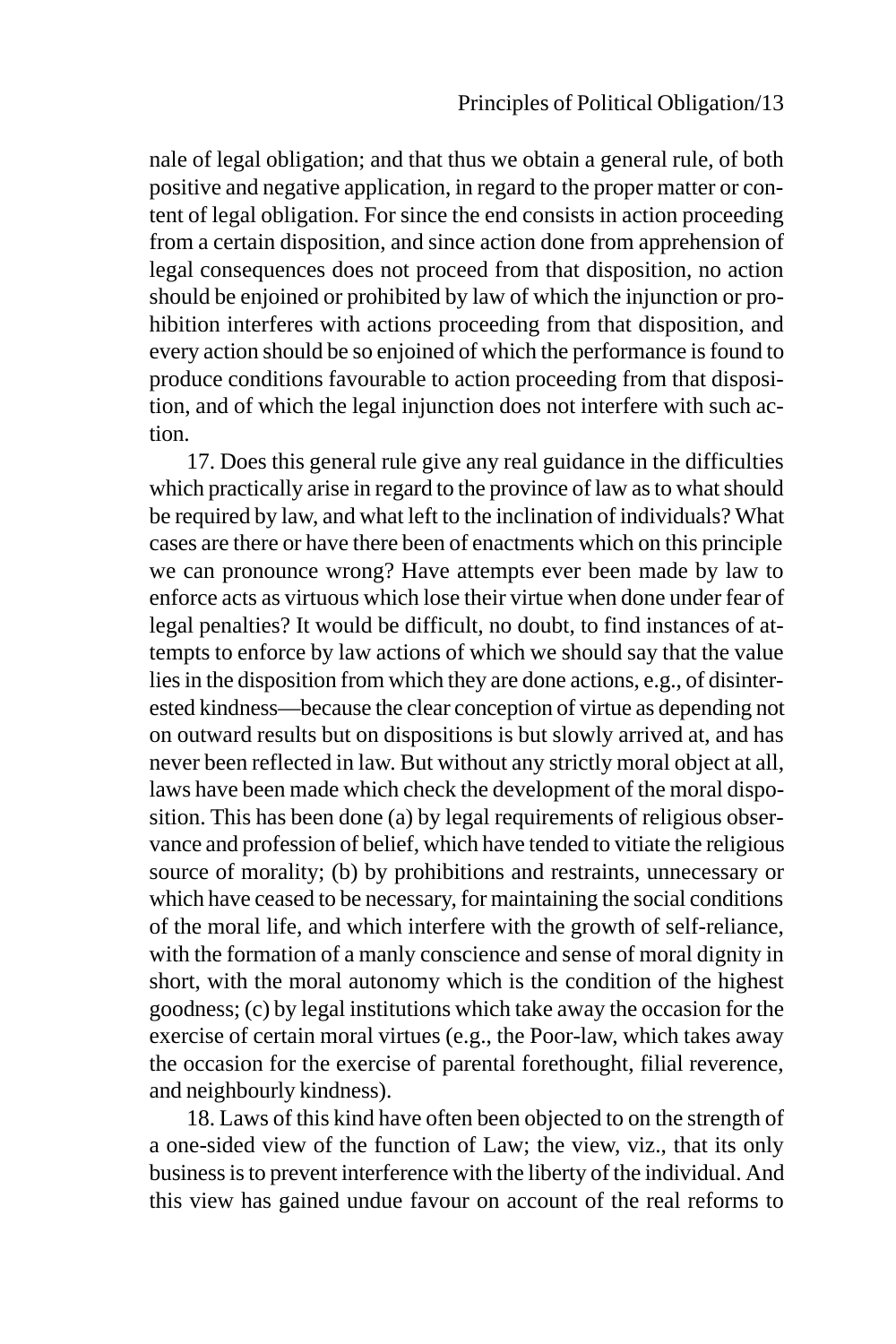nale of legal obligation; and that thus we obtain a general rule, of both positive and negative application, in regard to the proper matter or content of legal obligation. For since the end consists in action proceeding from a certain disposition, and since action done from apprehension of legal consequences does not proceed from that disposition, no action should be enjoined or prohibited by law of which the injunction or prohibition interferes with actions proceeding from that disposition, and every action should be so enjoined of which the performance is found to produce conditions favourable to action proceeding from that disposition, and of which the legal injunction does not interfere with such action.

17. Does this general rule give any real guidance in the difficulties which practically arise in regard to the province of law as to what should be required by law, and what left to the inclination of individuals? What cases are there or have there been of enactments which on this principle we can pronounce wrong? Have attempts ever been made by law to enforce acts as virtuous which lose their virtue when done under fear of legal penalties? It would be difficult, no doubt, to find instances of attempts to enforce by law actions of which we should say that the value lies in the disposition from which they are done actions, e.g., of disinterested kindness—because the clear conception of virtue as depending not on outward results but on dispositions is but slowly arrived at, and has never been reflected in law. But without any strictly moral object at all, laws have been made which check the development of the moral disposition. This has been done (a) by legal requirements of religious observance and profession of belief, which have tended to vitiate the religious source of morality; (b) by prohibitions and restraints, unnecessary or which have ceased to be necessary, for maintaining the social conditions of the moral life, and which interfere with the growth of self-reliance, with the formation of a manly conscience and sense of moral dignity in short, with the moral autonomy which is the condition of the highest goodness; (c) by legal institutions which take away the occasion for the exercise of certain moral virtues (e.g., the Poor-law, which takes away the occasion for the exercise of parental forethought, filial reverence, and neighbourly kindness).

18. Laws of this kind have often been objected to on the strength of a one-sided view of the function of Law; the view, viz., that its only business is to prevent interference with the liberty of the individual. And this view has gained undue favour on account of the real reforms to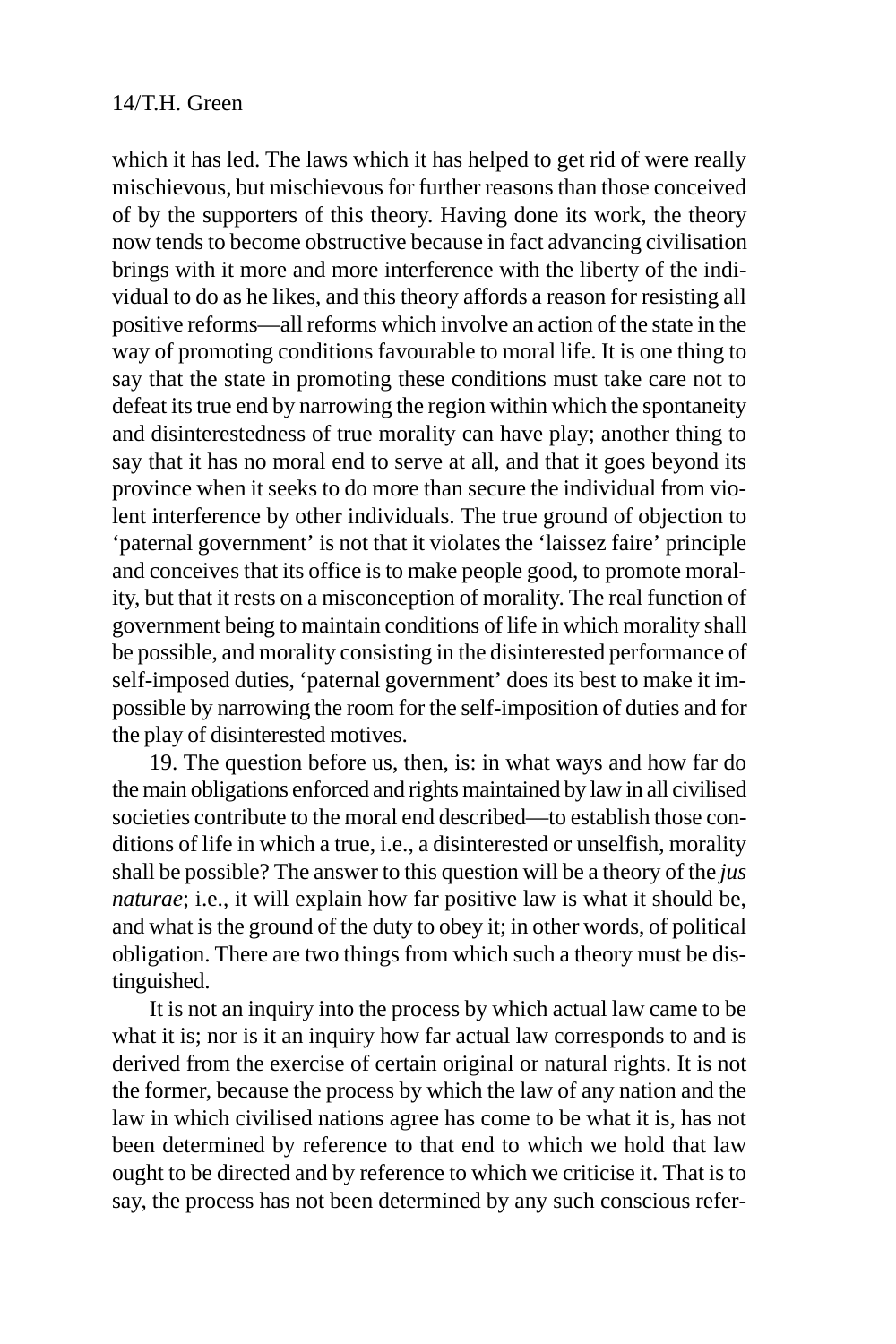which it has led. The laws which it has helped to get rid of were really mischievous, but mischievous for further reasons than those conceived of by the supporters of this theory. Having done its work, the theory now tends to become obstructive because in fact advancing civilisation brings with it more and more interference with the liberty of the individual to do as he likes, and this theory affords a reason for resisting all positive reforms—all reforms which involve an action of the state in the way of promoting conditions favourable to moral life. It is one thing to say that the state in promoting these conditions must take care not to defeat its true end by narrowing the region within which the spontaneity and disinterestedness of true morality can have play; another thing to say that it has no moral end to serve at all, and that it goes beyond its province when it seeks to do more than secure the individual from violent interference by other individuals. The true ground of objection to 'paternal government' is not that it violates the 'laissez faire' principle and conceives that its office is to make people good, to promote morality, but that it rests on a misconception of morality. The real function of government being to maintain conditions of life in which morality shall be possible, and morality consisting in the disinterested performance of self-imposed duties, 'paternal government' does its best to make it impossible by narrowing the room for the self-imposition of duties and for the play of disinterested motives.

19. The question before us, then, is: in what ways and how far do the main obligations enforced and rights maintained by law in all civilised societies contribute to the moral end described—to establish those conditions of life in which a true, i.e., a disinterested or unselfish, morality shall be possible? The answer to this question will be a theory of the *jus naturae*; i.e., it will explain how far positive law is what it should be, and what is the ground of the duty to obey it; in other words, of political obligation. There are two things from which such a theory must be distinguished.

It is not an inquiry into the process by which actual law came to be what it is; nor is it an inquiry how far actual law corresponds to and is derived from the exercise of certain original or natural rights. It is not the former, because the process by which the law of any nation and the law in which civilised nations agree has come to be what it is, has not been determined by reference to that end to which we hold that law ought to be directed and by reference to which we criticise it. That is to say, the process has not been determined by any such conscious refer-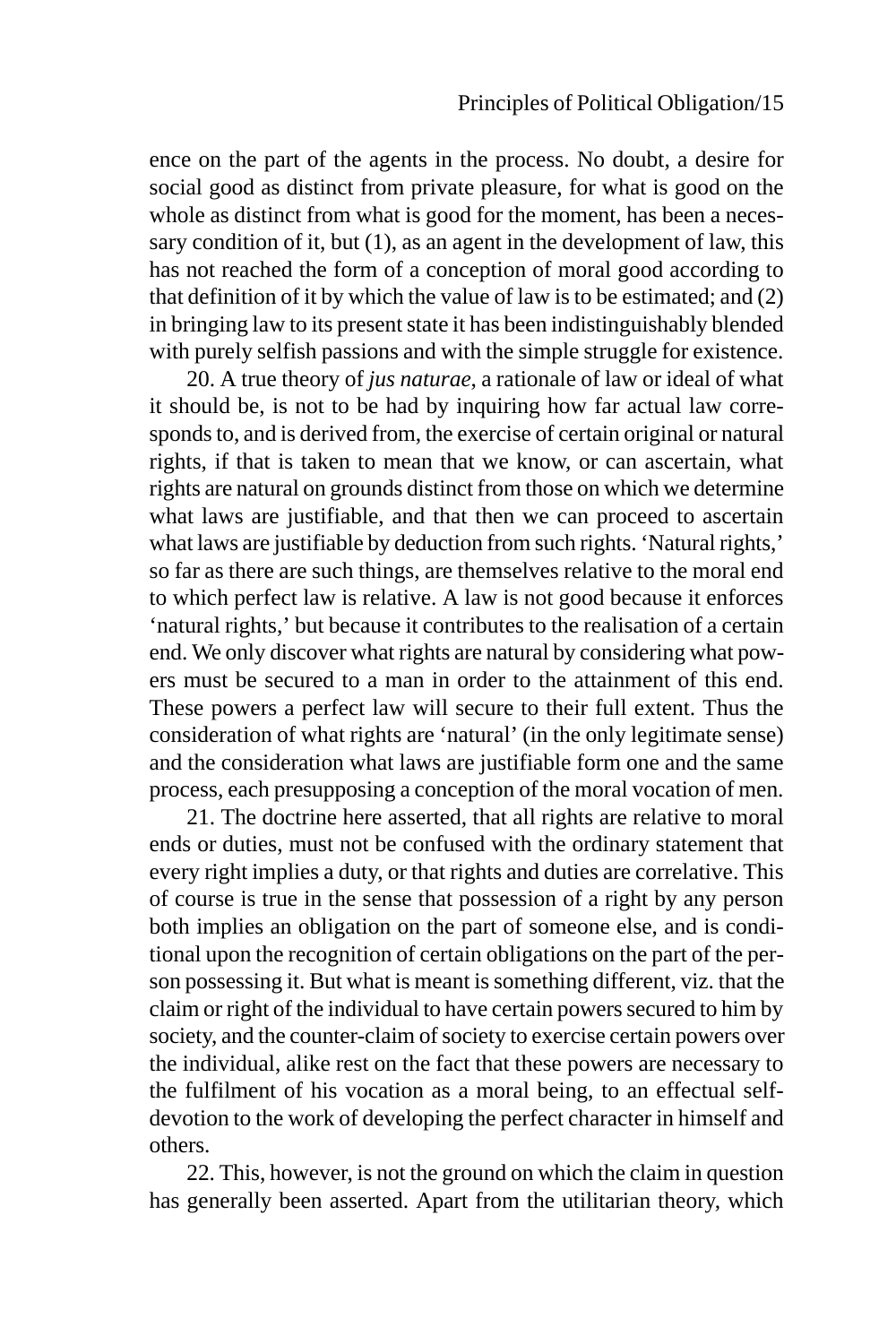ence on the part of the agents in the process. No doubt, a desire for social good as distinct from private pleasure, for what is good on the whole as distinct from what is good for the moment, has been a necessary condition of it, but (1), as an agent in the development of law, this has not reached the form of a conception of moral good according to that definition of it by which the value of law is to be estimated; and (2) in bringing law to its present state it has been indistinguishably blended with purely selfish passions and with the simple struggle for existence.

20. A true theory of *jus naturae*, a rationale of law or ideal of what it should be, is not to be had by inquiring how far actual law corresponds to, and is derived from, the exercise of certain original or natural rights, if that is taken to mean that we know, or can ascertain, what rights are natural on grounds distinct from those on which we determine what laws are justifiable, and that then we can proceed to ascertain what laws are justifiable by deduction from such rights. 'Natural rights,' so far as there are such things, are themselves relative to the moral end to which perfect law is relative. A law is not good because it enforces 'natural rights,' but because it contributes to the realisation of a certain end. We only discover what rights are natural by considering what powers must be secured to a man in order to the attainment of this end. These powers a perfect law will secure to their full extent. Thus the consideration of what rights are 'natural' (in the only legitimate sense) and the consideration what laws are justifiable form one and the same process, each presupposing a conception of the moral vocation of men.

21. The doctrine here asserted, that all rights are relative to moral ends or duties, must not be confused with the ordinary statement that every right implies a duty, or that rights and duties are correlative. This of course is true in the sense that possession of a right by any person both implies an obligation on the part of someone else, and is conditional upon the recognition of certain obligations on the part of the person possessing it. But what is meant is something different, viz. that the claim or right of the individual to have certain powers secured to him by society, and the counter-claim of society to exercise certain powers over the individual, alike rest on the fact that these powers are necessary to the fulfilment of his vocation as a moral being, to an effectual selfdevotion to the work of developing the perfect character in himself and others.

22. This, however, is not the ground on which the claim in question has generally been asserted. Apart from the utilitarian theory, which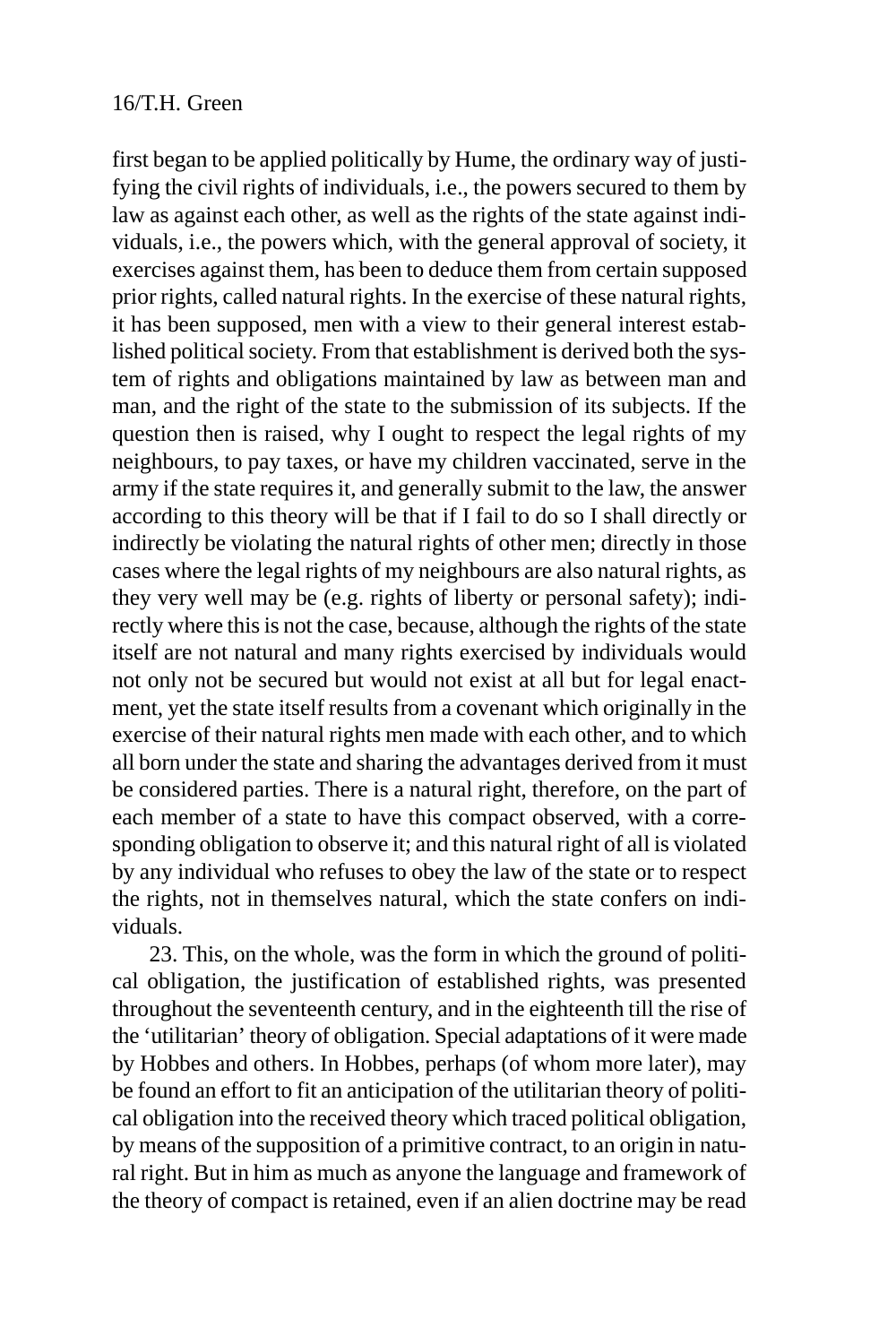first began to be applied politically by Hume, the ordinary way of justifying the civil rights of individuals, i.e., the powers secured to them by law as against each other, as well as the rights of the state against individuals, i.e., the powers which, with the general approval of society, it exercises against them, has been to deduce them from certain supposed prior rights, called natural rights. In the exercise of these natural rights, it has been supposed, men with a view to their general interest established political society. From that establishment is derived both the system of rights and obligations maintained by law as between man and man, and the right of the state to the submission of its subjects. If the question then is raised, why I ought to respect the legal rights of my neighbours, to pay taxes, or have my children vaccinated, serve in the army if the state requires it, and generally submit to the law, the answer according to this theory will be that if I fail to do so I shall directly or indirectly be violating the natural rights of other men; directly in those cases where the legal rights of my neighbours are also natural rights, as they very well may be (e.g. rights of liberty or personal safety); indirectly where this is not the case, because, although the rights of the state itself are not natural and many rights exercised by individuals would not only not be secured but would not exist at all but for legal enactment, yet the state itself results from a covenant which originally in the exercise of their natural rights men made with each other, and to which all born under the state and sharing the advantages derived from it must be considered parties. There is a natural right, therefore, on the part of each member of a state to have this compact observed, with a corresponding obligation to observe it; and this natural right of all is violated by any individual who refuses to obey the law of the state or to respect the rights, not in themselves natural, which the state confers on individuals.

23. This, on the whole, was the form in which the ground of political obligation, the justification of established rights, was presented throughout the seventeenth century, and in the eighteenth till the rise of the 'utilitarian' theory of obligation. Special adaptations of it were made by Hobbes and others. In Hobbes, perhaps (of whom more later), may be found an effort to fit an anticipation of the utilitarian theory of political obligation into the received theory which traced political obligation, by means of the supposition of a primitive contract, to an origin in natural right. But in him as much as anyone the language and framework of the theory of compact is retained, even if an alien doctrine may be read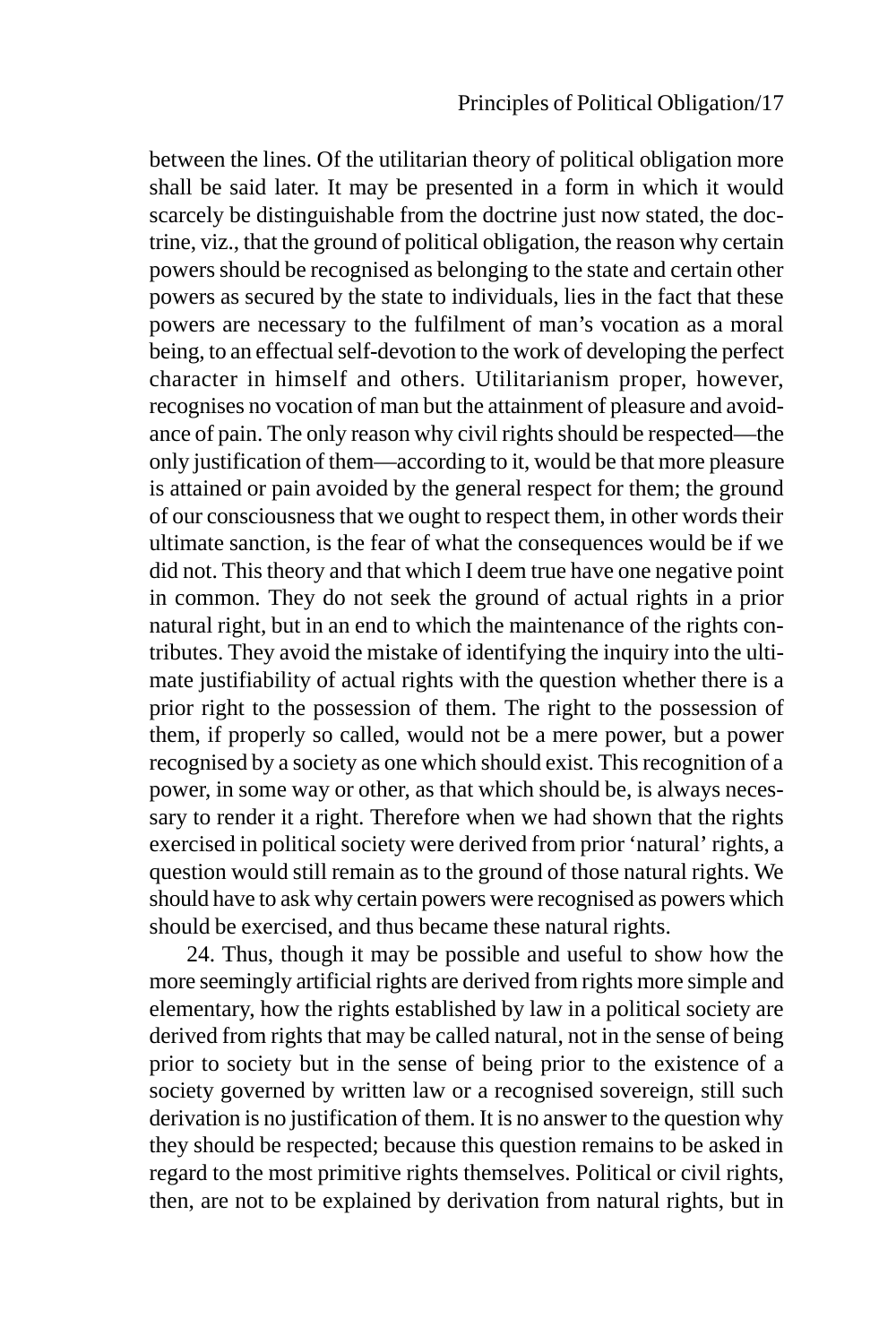between the lines. Of the utilitarian theory of political obligation more shall be said later. It may be presented in a form in which it would scarcely be distinguishable from the doctrine just now stated, the doctrine, viz., that the ground of political obligation, the reason why certain powers should be recognised as belonging to the state and certain other powers as secured by the state to individuals, lies in the fact that these powers are necessary to the fulfilment of man's vocation as a moral being, to an effectual self-devotion to the work of developing the perfect character in himself and others. Utilitarianism proper, however, recognises no vocation of man but the attainment of pleasure and avoidance of pain. The only reason why civil rights should be respected—the only justification of them—according to it, would be that more pleasure is attained or pain avoided by the general respect for them; the ground of our consciousness that we ought to respect them, in other words their ultimate sanction, is the fear of what the consequences would be if we did not. This theory and that which I deem true have one negative point in common. They do not seek the ground of actual rights in a prior natural right, but in an end to which the maintenance of the rights contributes. They avoid the mistake of identifying the inquiry into the ultimate justifiability of actual rights with the question whether there is a prior right to the possession of them. The right to the possession of them, if properly so called, would not be a mere power, but a power recognised by a society as one which should exist. This recognition of a power, in some way or other, as that which should be, is always necessary to render it a right. Therefore when we had shown that the rights exercised in political society were derived from prior 'natural' rights, a question would still remain as to the ground of those natural rights. We should have to ask why certain powers were recognised as powers which should be exercised, and thus became these natural rights.

24. Thus, though it may be possible and useful to show how the more seemingly artificial rights are derived from rights more simple and elementary, how the rights established by law in a political society are derived from rights that may be called natural, not in the sense of being prior to society but in the sense of being prior to the existence of a society governed by written law or a recognised sovereign, still such derivation is no justification of them. It is no answer to the question why they should be respected; because this question remains to be asked in regard to the most primitive rights themselves. Political or civil rights, then, are not to be explained by derivation from natural rights, but in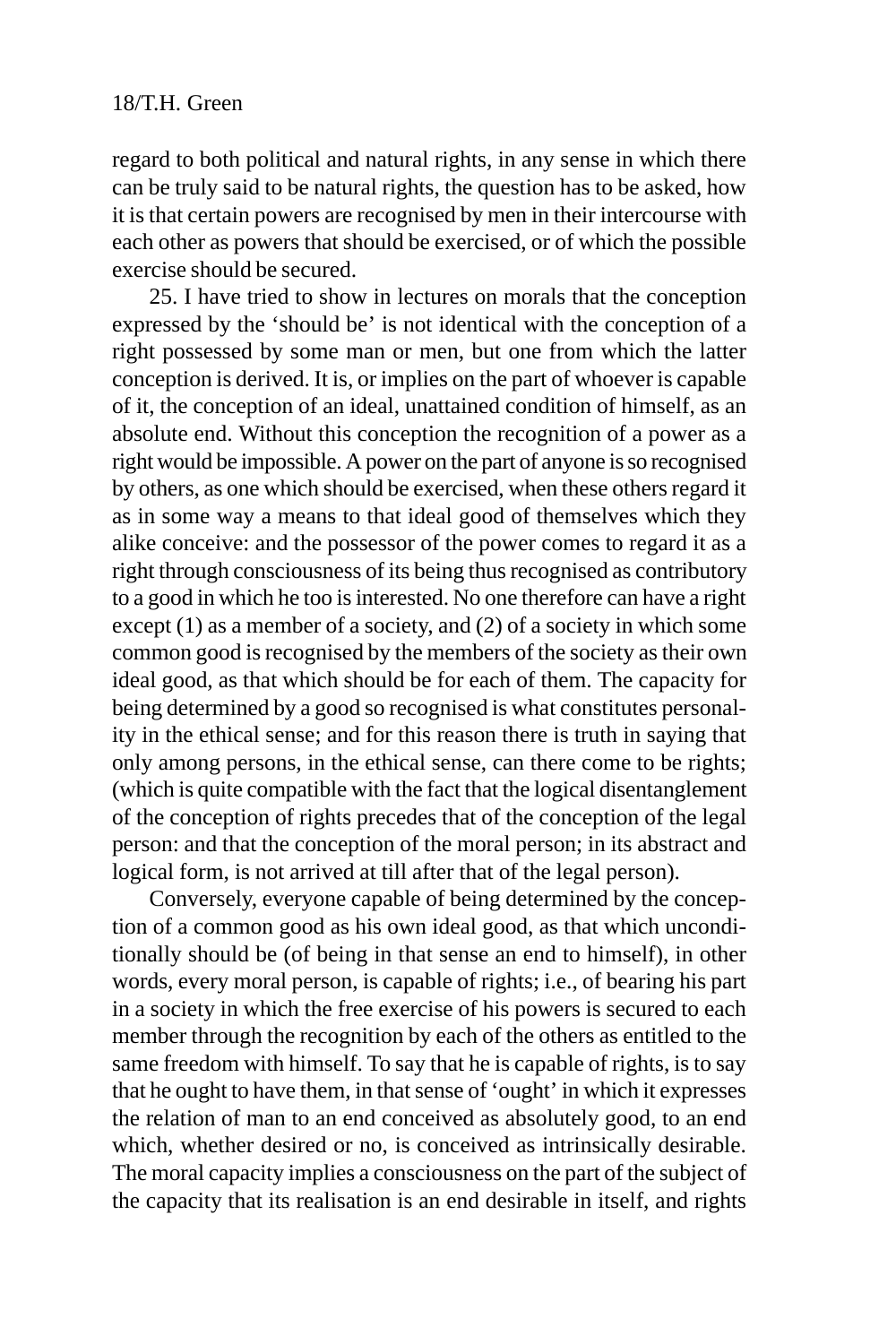regard to both political and natural rights, in any sense in which there can be truly said to be natural rights, the question has to be asked, how it is that certain powers are recognised by men in their intercourse with each other as powers that should be exercised, or of which the possible exercise should be secured.

25. I have tried to show in lectures on morals that the conception expressed by the 'should be' is not identical with the conception of a right possessed by some man or men, but one from which the latter conception is derived. It is, or implies on the part of whoever is capable of it, the conception of an ideal, unattained condition of himself, as an absolute end. Without this conception the recognition of a power as a right would be impossible. A power on the part of anyone is so recognised by others, as one which should be exercised, when these others regard it as in some way a means to that ideal good of themselves which they alike conceive: and the possessor of the power comes to regard it as a right through consciousness of its being thus recognised as contributory to a good in which he too is interested. No one therefore can have a right except (1) as a member of a society, and (2) of a society in which some common good is recognised by the members of the society as their own ideal good, as that which should be for each of them. The capacity for being determined by a good so recognised is what constitutes personality in the ethical sense; and for this reason there is truth in saying that only among persons, in the ethical sense, can there come to be rights; (which is quite compatible with the fact that the logical disentanglement of the conception of rights precedes that of the conception of the legal person: and that the conception of the moral person; in its abstract and logical form, is not arrived at till after that of the legal person).

Conversely, everyone capable of being determined by the conception of a common good as his own ideal good, as that which unconditionally should be (of being in that sense an end to himself), in other words, every moral person, is capable of rights; i.e., of bearing his part in a society in which the free exercise of his powers is secured to each member through the recognition by each of the others as entitled to the same freedom with himself. To say that he is capable of rights, is to say that he ought to have them, in that sense of 'ought' in which it expresses the relation of man to an end conceived as absolutely good, to an end which, whether desired or no, is conceived as intrinsically desirable. The moral capacity implies a consciousness on the part of the subject of the capacity that its realisation is an end desirable in itself, and rights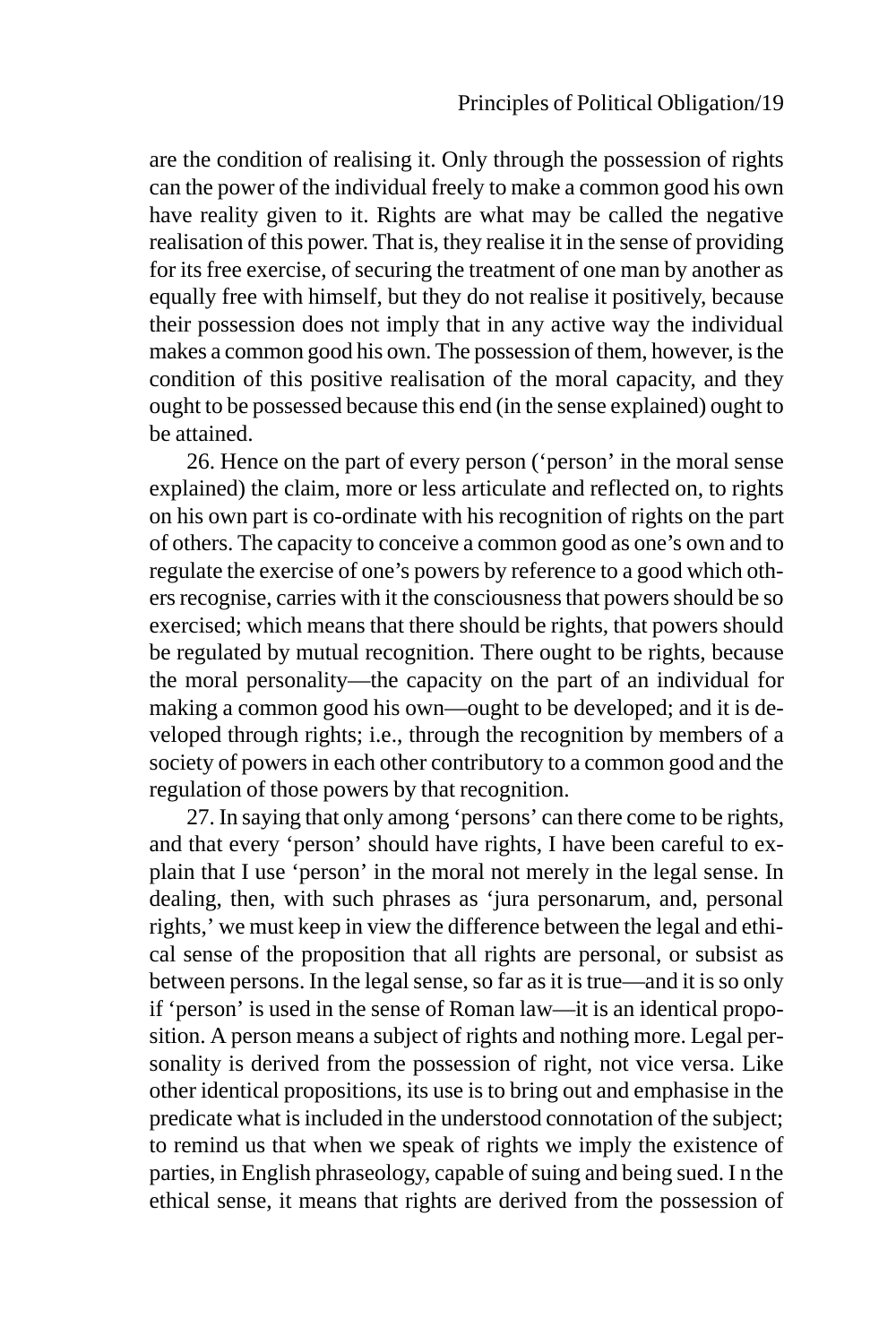are the condition of realising it. Only through the possession of rights can the power of the individual freely to make a common good his own have reality given to it. Rights are what may be called the negative realisation of this power. That is, they realise it in the sense of providing for its free exercise, of securing the treatment of one man by another as equally free with himself, but they do not realise it positively, because their possession does not imply that in any active way the individual makes a common good his own. The possession of them, however, is the condition of this positive realisation of the moral capacity, and they ought to be possessed because this end (in the sense explained) ought to be attained.

26. Hence on the part of every person ('person' in the moral sense explained) the claim, more or less articulate and reflected on, to rights on his own part is co-ordinate with his recognition of rights on the part of others. The capacity to conceive a common good as one's own and to regulate the exercise of one's powers by reference to a good which others recognise, carries with it the consciousness that powers should be so exercised; which means that there should be rights, that powers should be regulated by mutual recognition. There ought to be rights, because the moral personality—the capacity on the part of an individual for making a common good his own—ought to be developed; and it is developed through rights; i.e., through the recognition by members of a society of powers in each other contributory to a common good and the regulation of those powers by that recognition.

27. In saying that only among 'persons' can there come to be rights, and that every 'person' should have rights, I have been careful to explain that I use 'person' in the moral not merely in the legal sense. In dealing, then, with such phrases as 'jura personarum, and, personal rights,' we must keep in view the difference between the legal and ethical sense of the proposition that all rights are personal, or subsist as between persons. In the legal sense, so far as it is true—and it is so only if 'person' is used in the sense of Roman law—it is an identical proposition. A person means a subject of rights and nothing more. Legal personality is derived from the possession of right, not vice versa. Like other identical propositions, its use is to bring out and emphasise in the predicate what is included in the understood connotation of the subject; to remind us that when we speak of rights we imply the existence of parties, in English phraseology, capable of suing and being sued. I n the ethical sense, it means that rights are derived from the possession of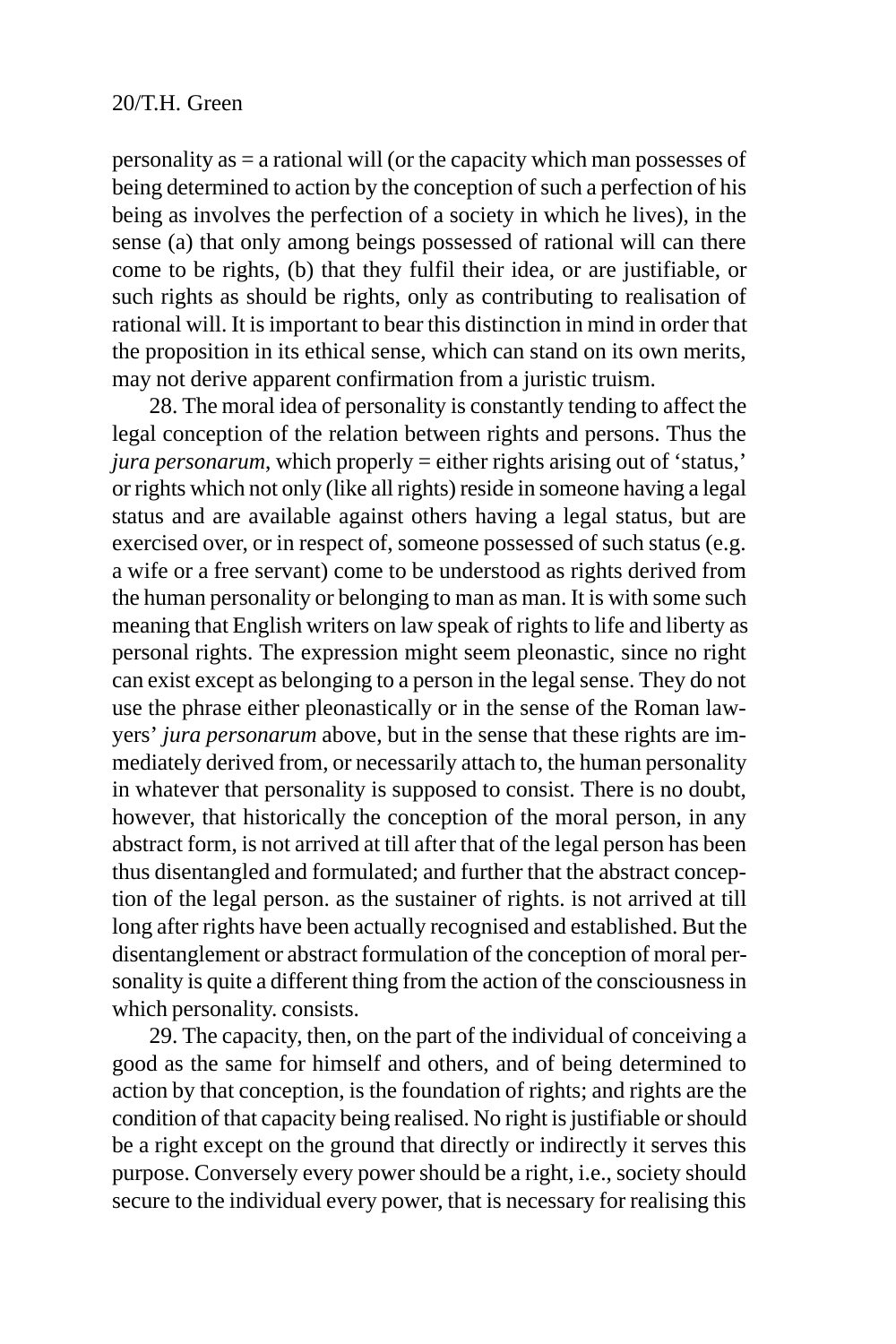personality as = a rational will (or the capacity which man possesses of being determined to action by the conception of such a perfection of his being as involves the perfection of a society in which he lives), in the sense (a) that only among beings possessed of rational will can there come to be rights, (b) that they fulfil their idea, or are justifiable, or such rights as should be rights, only as contributing to realisation of rational will. It is important to bear this distinction in mind in order that the proposition in its ethical sense, which can stand on its own merits, may not derive apparent confirmation from a juristic truism.

28. The moral idea of personality is constantly tending to affect the legal conception of the relation between rights and persons. Thus the *jura personarum*, which properly = either rights arising out of 'status,' or rights which not only (like all rights) reside in someone having a legal status and are available against others having a legal status, but are exercised over, or in respect of, someone possessed of such status (e.g. a wife or a free servant) come to be understood as rights derived from the human personality or belonging to man as man. It is with some such meaning that English writers on law speak of rights to life and liberty as personal rights. The expression might seem pleonastic, since no right can exist except as belonging to a person in the legal sense. They do not use the phrase either pleonastically or in the sense of the Roman lawyers' *jura personarum* above, but in the sense that these rights are immediately derived from, or necessarily attach to, the human personality in whatever that personality is supposed to consist. There is no doubt, however, that historically the conception of the moral person, in any abstract form, is not arrived at till after that of the legal person has been thus disentangled and formulated; and further that the abstract conception of the legal person. as the sustainer of rights. is not arrived at till long after rights have been actually recognised and established. But the disentanglement or abstract formulation of the conception of moral personality is quite a different thing from the action of the consciousness in which personality. consists.

29. The capacity, then, on the part of the individual of conceiving a good as the same for himself and others, and of being determined to action by that conception, is the foundation of rights; and rights are the condition of that capacity being realised. No right is justifiable or should be a right except on the ground that directly or indirectly it serves this purpose. Conversely every power should be a right, i.e., society should secure to the individual every power, that is necessary for realising this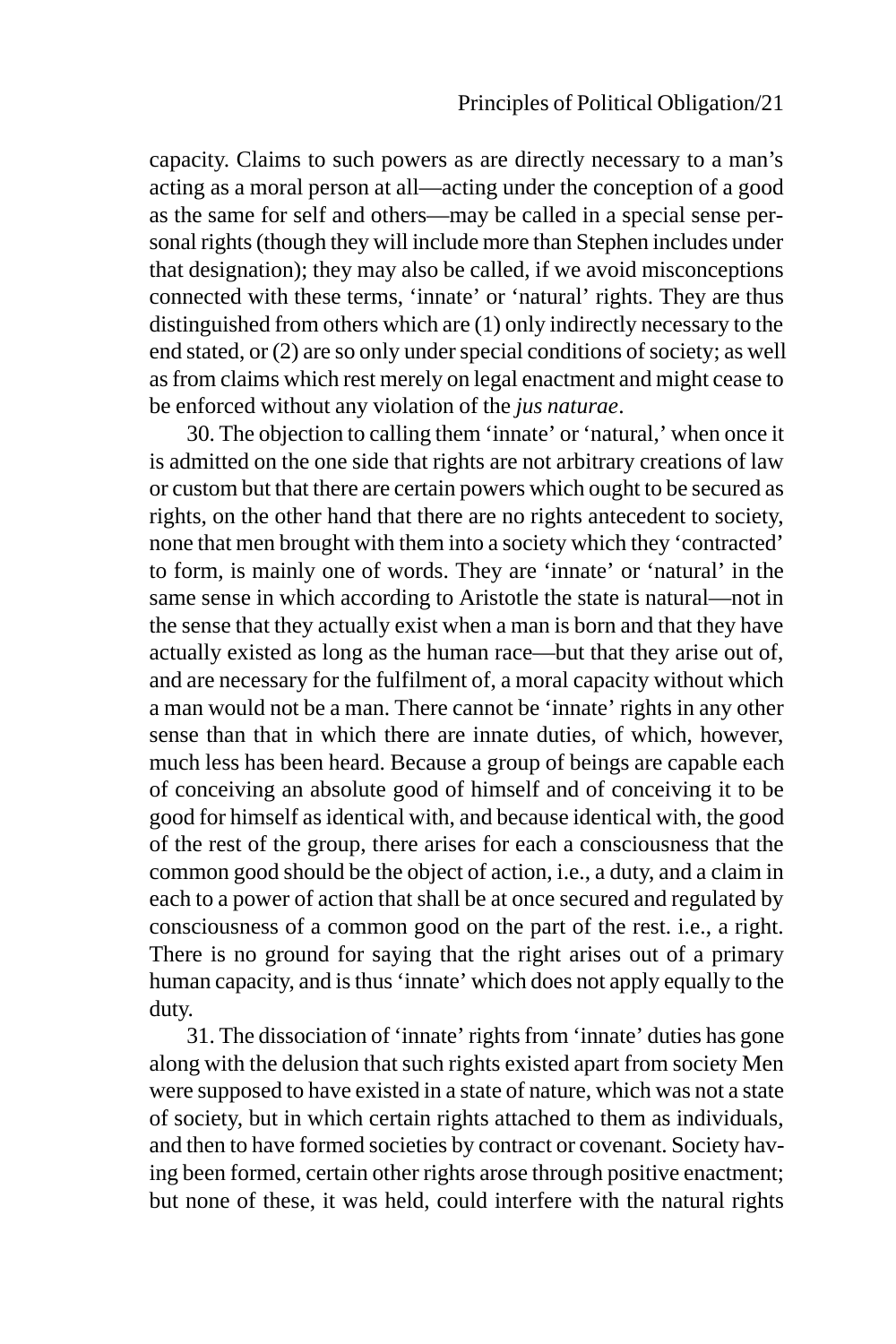capacity. Claims to such powers as are directly necessary to a man's acting as a moral person at all—acting under the conception of a good as the same for self and others—may be called in a special sense personal rights (though they will include more than Stephen includes under that designation); they may also be called, if we avoid misconceptions connected with these terms, 'innate' or 'natural' rights. They are thus distinguished from others which are (1) only indirectly necessary to the end stated, or (2) are so only under special conditions of society; as well as from claims which rest merely on legal enactment and might cease to be enforced without any violation of the *jus naturae*.

30. The objection to calling them 'innate' or 'natural,' when once it is admitted on the one side that rights are not arbitrary creations of law or custom but that there are certain powers which ought to be secured as rights, on the other hand that there are no rights antecedent to society, none that men brought with them into a society which they 'contracted' to form, is mainly one of words. They are 'innate' or 'natural' in the same sense in which according to Aristotle the state is natural—not in the sense that they actually exist when a man is born and that they have actually existed as long as the human race—but that they arise out of, and are necessary for the fulfilment of, a moral capacity without which a man would not be a man. There cannot be 'innate' rights in any other sense than that in which there are innate duties, of which, however, much less has been heard. Because a group of beings are capable each of conceiving an absolute good of himself and of conceiving it to be good for himself as identical with, and because identical with, the good of the rest of the group, there arises for each a consciousness that the common good should be the object of action, i.e., a duty, and a claim in each to a power of action that shall be at once secured and regulated by consciousness of a common good on the part of the rest. i.e., a right. There is no ground for saying that the right arises out of a primary human capacity, and is thus 'innate' which does not apply equally to the duty.

31. The dissociation of 'innate' rights from 'innate' duties has gone along with the delusion that such rights existed apart from society Men were supposed to have existed in a state of nature, which was not a state of society, but in which certain rights attached to them as individuals, and then to have formed societies by contract or covenant. Society having been formed, certain other rights arose through positive enactment; but none of these, it was held, could interfere with the natural rights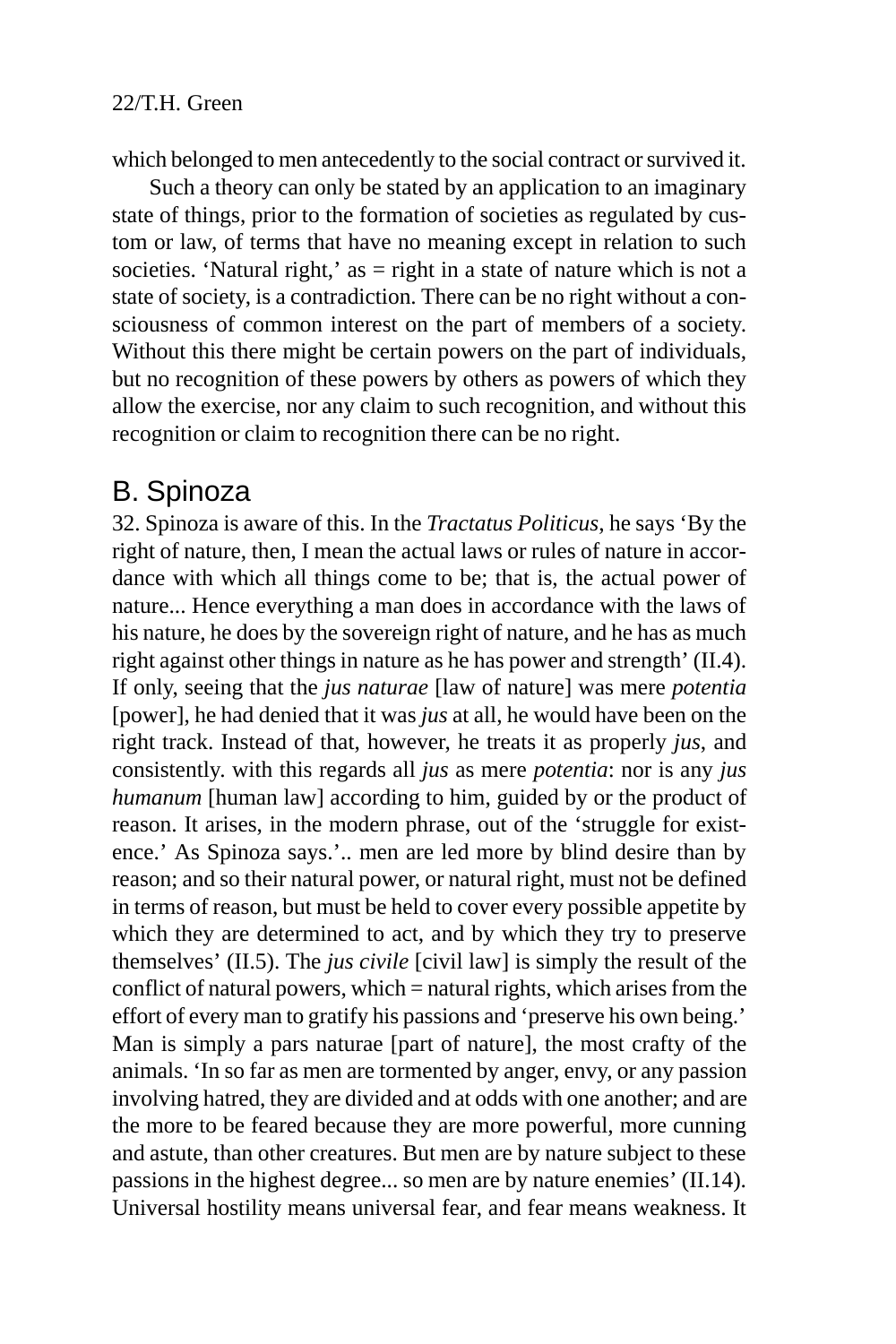<span id="page-21-0"></span>which belonged to men antecedently to the social contract or survived it.

Such a theory can only be stated by an application to an imaginary state of things, prior to the formation of societies as regulated by custom or law, of terms that have no meaning except in relation to such societies. 'Natural right,' as  $=$  right in a state of nature which is not a state of society, is a contradiction. There can be no right without a consciousness of common interest on the part of members of a society. Without this there might be certain powers on the part of individuals, but no recognition of these powers by others as powers of which they allow the exercise, nor any claim to such recognition, and without this recognition or claim to recognition there can be no right.

### B. Spinoza

32. Spinoza is aware of this. In the *Tractatus Politicus*, he says 'By the right of nature, then, I mean the actual laws or rules of nature in accordance with which all things come to be; that is, the actual power of nature... Hence everything a man does in accordance with the laws of his nature, he does by the sovereign right of nature, and he has as much right against other things in nature as he has power and strength' (II.4). If only, seeing that the *jus naturae* [law of nature] was mere *potentia* [power], he had denied that it was *jus* at all, he would have been on the right track. Instead of that, however, he treats it as properly *jus*, and consistently. with this regards all *jus* as mere *potentia*: nor is any *jus humanum* [human law] according to him, guided by or the product of reason. It arises, in the modern phrase, out of the 'struggle for existence.' As Spinoza says.'.. men are led more by blind desire than by reason; and so their natural power, or natural right, must not be defined in terms of reason, but must be held to cover every possible appetite by which they are determined to act, and by which they try to preserve themselves' (II.5). The *jus civile* [civil law] is simply the result of the conflict of natural powers, which = natural rights, which arises from the effort of every man to gratify his passions and 'preserve his own being.' Man is simply a pars naturae [part of nature], the most crafty of the animals. 'In so far as men are tormented by anger, envy, or any passion involving hatred, they are divided and at odds with one another; and are the more to be feared because they are more powerful, more cunning and astute, than other creatures. But men are by nature subject to these passions in the highest degree... so men are by nature enemies' (II.14). Universal hostility means universal fear, and fear means weakness. It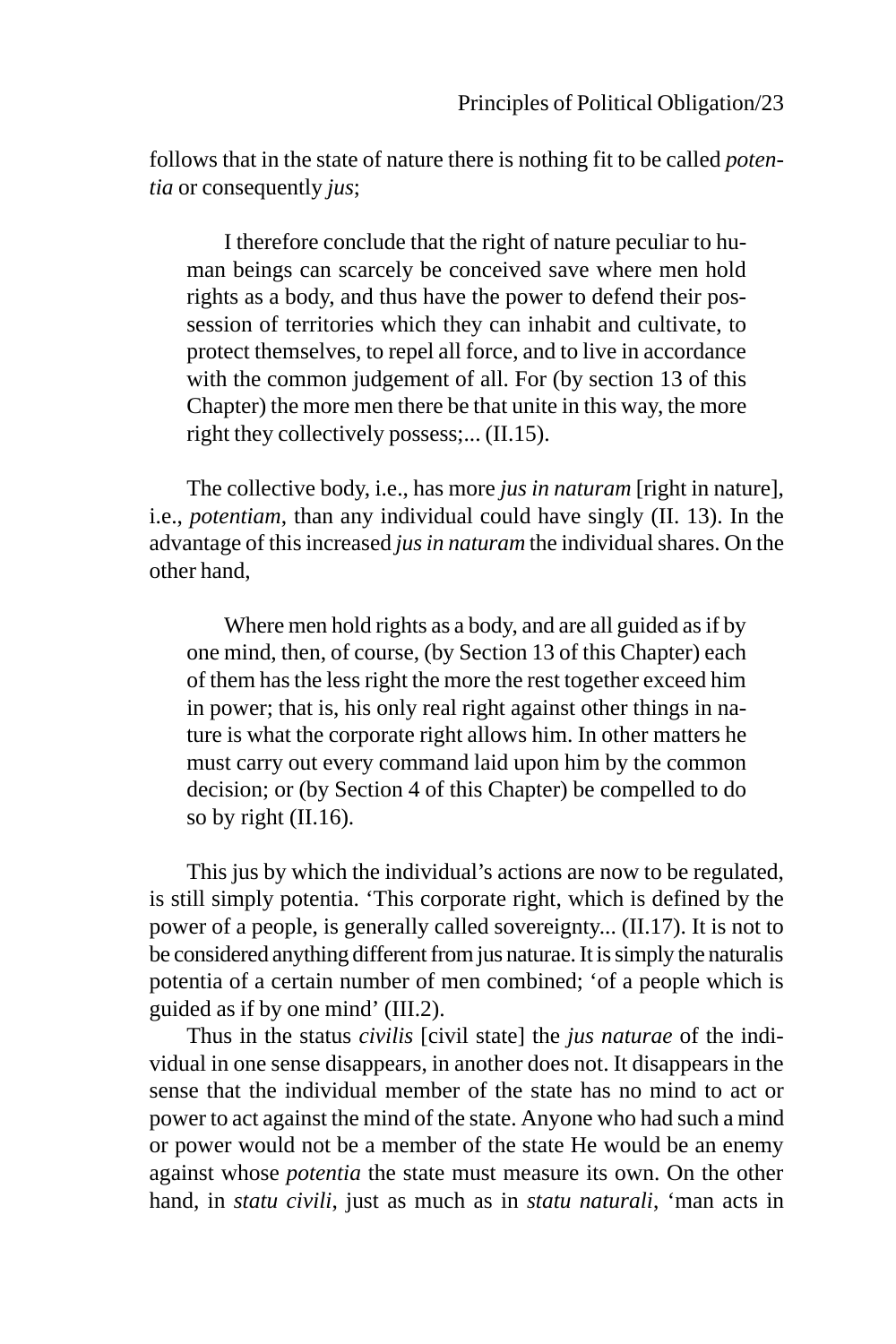follows that in the state of nature there is nothing fit to be called *potentia* or consequently *jus*;

I therefore conclude that the right of nature peculiar to human beings can scarcely be conceived save where men hold rights as a body, and thus have the power to defend their possession of territories which they can inhabit and cultivate, to protect themselves, to repel all force, and to live in accordance with the common judgement of all. For (by section 13 of this Chapter) the more men there be that unite in this way, the more right they collectively possess;... (II.15).

The collective body, i.e., has more *jus in naturam* [right in nature], i.e., *potentiam*, than any individual could have singly (II. 13). In the advantage of this increased *jus in naturam* the individual shares. On the other hand,

Where men hold rights as a body, and are all guided as if by one mind, then, of course, (by Section 13 of this Chapter) each of them has the less right the more the rest together exceed him in power; that is, his only real right against other things in nature is what the corporate right allows him. In other matters he must carry out every command laid upon him by the common decision; or (by Section 4 of this Chapter) be compelled to do so by right (II.16).

This jus by which the individual's actions are now to be regulated, is still simply potentia. 'This corporate right, which is defined by the power of a people, is generally called sovereignty... (II.17). It is not to be considered anything different from jus naturae. It is simply the naturalis potentia of a certain number of men combined; 'of a people which is guided as if by one mind' (III.2).

Thus in the status *civilis* [civil state] the *jus naturae* of the individual in one sense disappears, in another does not. It disappears in the sense that the individual member of the state has no mind to act or power to act against the mind of the state. Anyone who had such a mind or power would not be a member of the state He would be an enemy against whose *potentia* the state must measure its own. On the other hand, in *statu civili*, just as much as in *statu naturali*, 'man acts in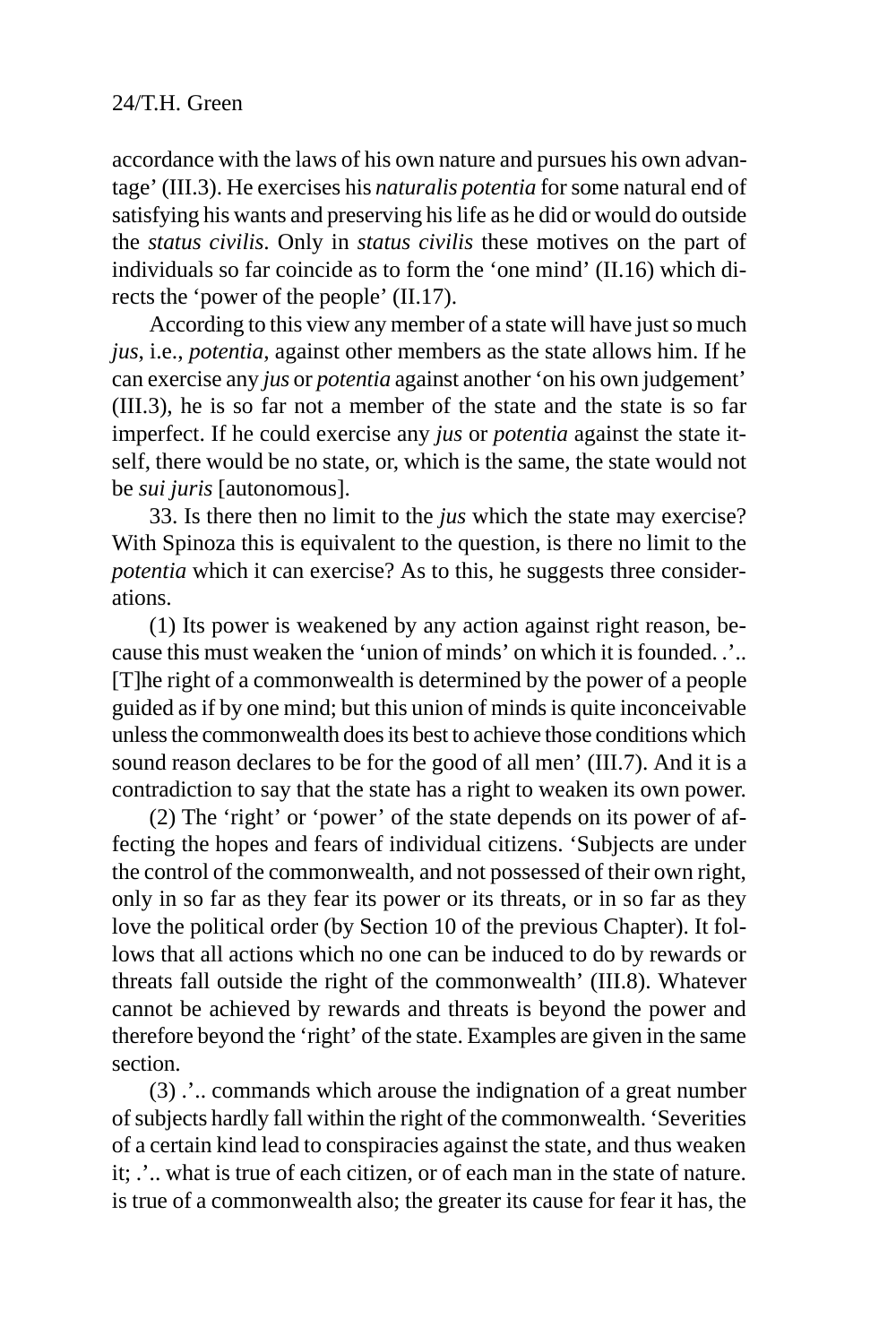accordance with the laws of his own nature and pursues his own advantage' (III.3). He exercises his *naturalis potentia* for some natural end of satisfying his wants and preserving his life as he did or would do outside the *status civilis*. Only in *status civilis* these motives on the part of individuals so far coincide as to form the 'one mind' (II.16) which directs the 'power of the people' (II.17).

According to this view any member of a state will have just so much *jus*, i.e., *potentia*, against other members as the state allows him. If he can exercise any *jus* or *potentia* against another 'on his own judgement' (III.3), he is so far not a member of the state and the state is so far imperfect. If he could exercise any *jus* or *potentia* against the state itself, there would be no state, or, which is the same, the state would not be *sui juris* [autonomous].

33. Is there then no limit to the *jus* which the state may exercise? With Spinoza this is equivalent to the question, is there no limit to the *potentia* which it can exercise? As to this, he suggests three considerations.

(1) Its power is weakened by any action against right reason, because this must weaken the 'union of minds' on which it is founded. .'.. [T]he right of a commonwealth is determined by the power of a people guided as if by one mind; but this union of minds is quite inconceivable unless the commonwealth does its best to achieve those conditions which sound reason declares to be for the good of all men' (III.7). And it is a contradiction to say that the state has a right to weaken its own power.

(2) The 'right' or 'power' of the state depends on its power of affecting the hopes and fears of individual citizens. 'Subjects are under the control of the commonwealth, and not possessed of their own right, only in so far as they fear its power or its threats, or in so far as they love the political order (by Section 10 of the previous Chapter). It follows that all actions which no one can be induced to do by rewards or threats fall outside the right of the commonwealth' (III.8). Whatever cannot be achieved by rewards and threats is beyond the power and therefore beyond the 'right' of the state. Examples are given in the same section.

(3) .'.. commands which arouse the indignation of a great number of subjects hardly fall within the right of the commonwealth. 'Severities of a certain kind lead to conspiracies against the state, and thus weaken it; .'.. what is true of each citizen, or of each man in the state of nature. is true of a commonwealth also; the greater its cause for fear it has, the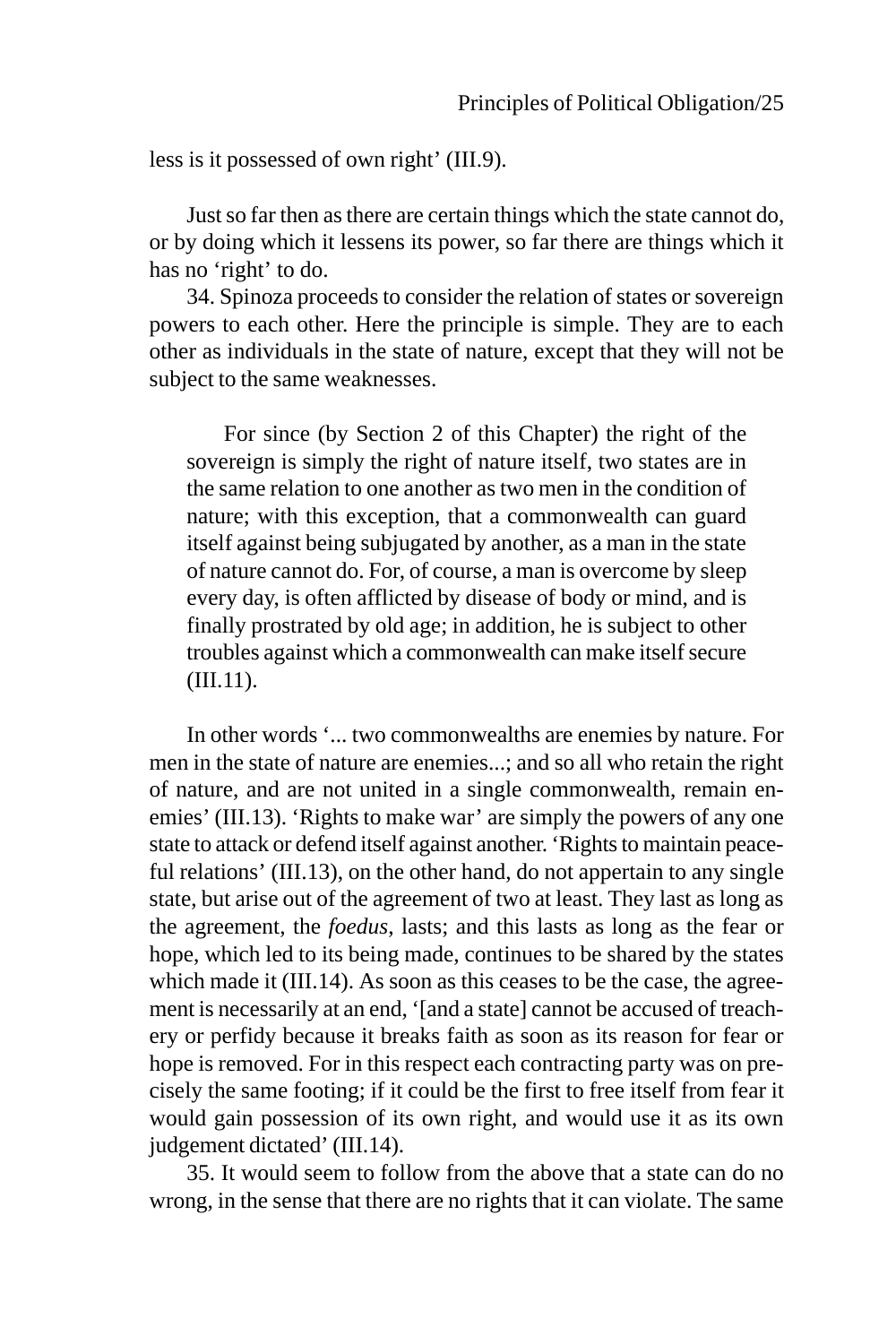less is it possessed of own right' (III.9).

Just so far then as there are certain things which the state cannot do, or by doing which it lessens its power, so far there are things which it has no 'right' to do.

34. Spinoza proceeds to consider the relation of states or sovereign powers to each other. Here the principle is simple. They are to each other as individuals in the state of nature, except that they will not be subject to the same weaknesses.

For since (by Section 2 of this Chapter) the right of the sovereign is simply the right of nature itself, two states are in the same relation to one another as two men in the condition of nature; with this exception, that a commonwealth can guard itself against being subjugated by another, as a man in the state of nature cannot do. For, of course, a man is overcome by sleep every day, is often afflicted by disease of body or mind, and is finally prostrated by old age; in addition, he is subject to other troubles against which a commonwealth can make itself secure (III.11).

In other words '... two commonwealths are enemies by nature. For men in the state of nature are enemies...; and so all who retain the right of nature, and are not united in a single commonwealth, remain enemies' (III.13). 'Rights to make war' are simply the powers of any one state to attack or defend itself against another. 'Rights to maintain peaceful relations' (III.13), on the other hand, do not appertain to any single state, but arise out of the agreement of two at least. They last as long as the agreement, the *foedus*, lasts; and this lasts as long as the fear or hope, which led to its being made, continues to be shared by the states which made it (III.14). As soon as this ceases to be the case, the agreement is necessarily at an end, '[and a state] cannot be accused of treachery or perfidy because it breaks faith as soon as its reason for fear or hope is removed. For in this respect each contracting party was on precisely the same footing; if it could be the first to free itself from fear it would gain possession of its own right, and would use it as its own judgement dictated' (III.14).

35. It would seem to follow from the above that a state can do no wrong, in the sense that there are no rights that it can violate. The same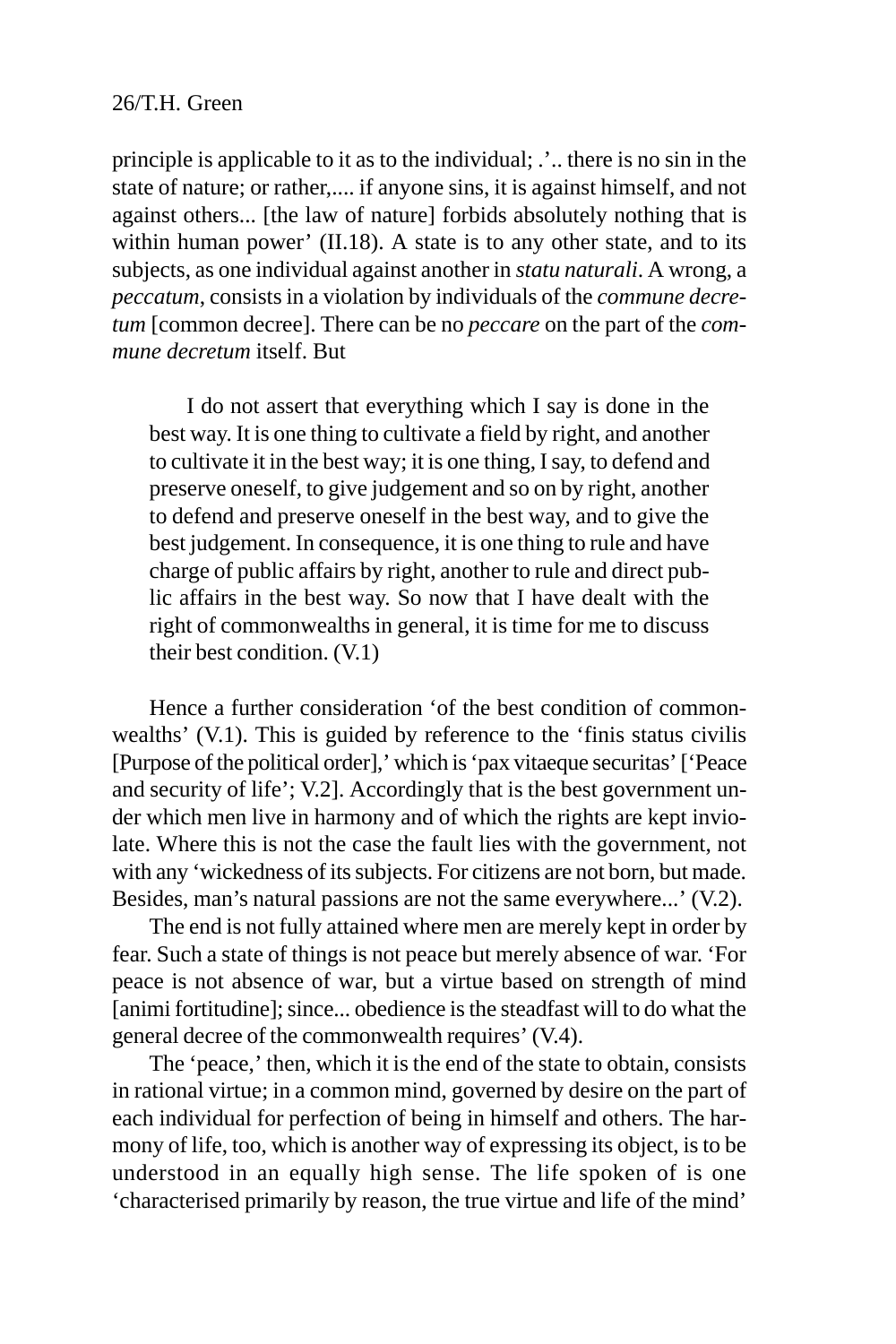principle is applicable to it as to the individual; .'.. there is no sin in the state of nature; or rather,.... if anyone sins, it is against himself, and not against others... [the law of nature] forbids absolutely nothing that is within human power' (II.18). A state is to any other state, and to its subjects, as one individual against another in *statu naturali*. A wrong, a *peccatum*, consists in a violation by individuals of the *commune decretum* [common decree]. There can be no *peccare* on the part of the *commune decretum* itself. But

I do not assert that everything which I say is done in the best way. It is one thing to cultivate a field by right, and another to cultivate it in the best way; it is one thing, I say, to defend and preserve oneself, to give judgement and so on by right, another to defend and preserve oneself in the best way, and to give the best judgement. In consequence, it is one thing to rule and have charge of public affairs by right, another to rule and direct public affairs in the best way. So now that I have dealt with the right of commonwealths in general, it is time for me to discuss their best condition. (V.1)

Hence a further consideration 'of the best condition of commonwealths' (V.1). This is guided by reference to the 'finis status civilis [Purpose of the political order],' which is 'pax vitaeque securitas' ['Peace and security of life'; V.2]. Accordingly that is the best government under which men live in harmony and of which the rights are kept inviolate. Where this is not the case the fault lies with the government, not with any 'wickedness of its subjects. For citizens are not born, but made. Besides, man's natural passions are not the same everywhere...' (V.2).

The end is not fully attained where men are merely kept in order by fear. Such a state of things is not peace but merely absence of war. 'For peace is not absence of war, but a virtue based on strength of mind [animi fortitudine]; since... obedience is the steadfast will to do what the general decree of the commonwealth requires' (V.4).

The 'peace,' then, which it is the end of the state to obtain, consists in rational virtue; in a common mind, governed by desire on the part of each individual for perfection of being in himself and others. The harmony of life, too, which is another way of expressing its object, is to be understood in an equally high sense. The life spoken of is one 'characterised primarily by reason, the true virtue and life of the mind'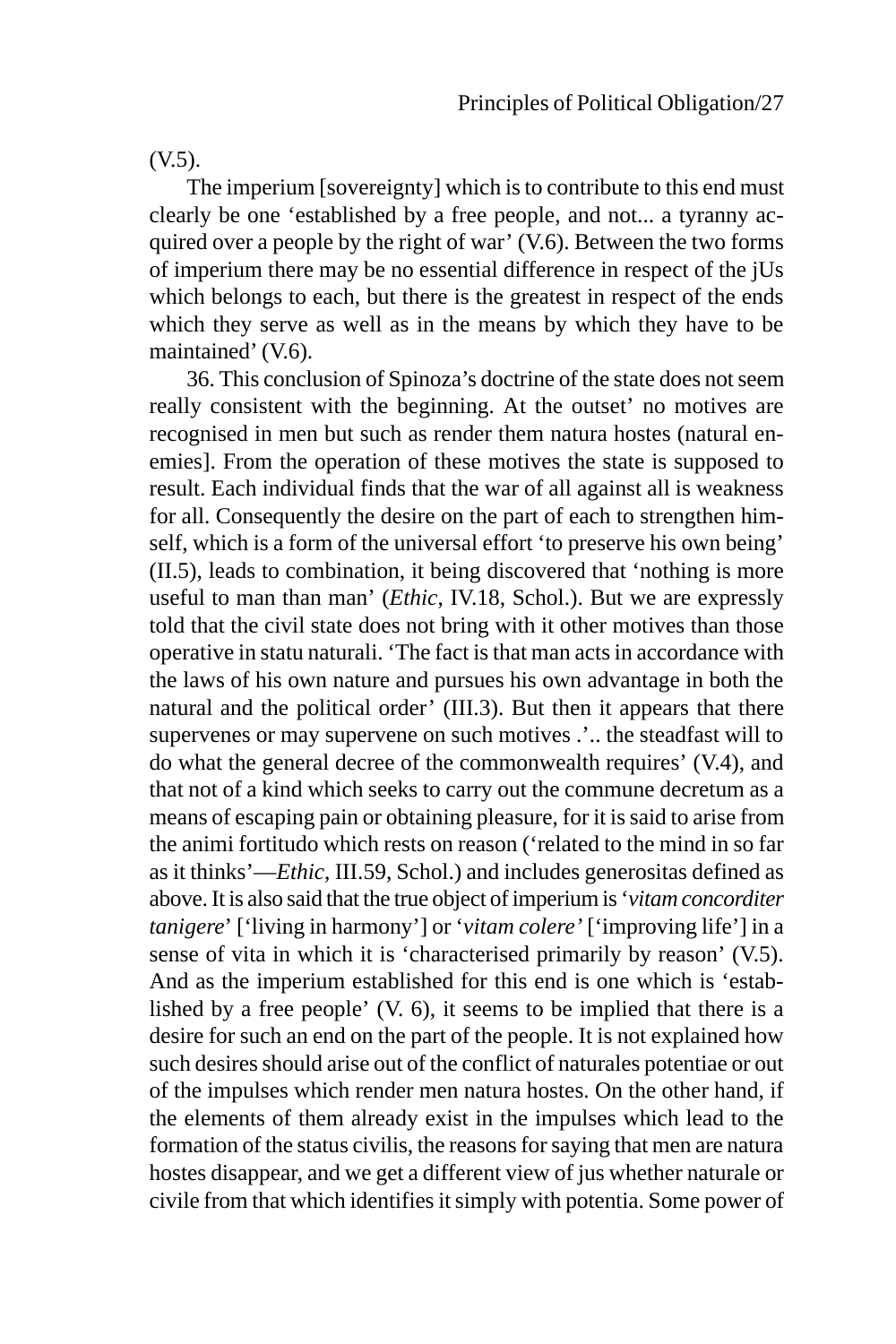(V.5).

The imperium [sovereignty] which is to contribute to this end must clearly be one 'established by a free people, and not... a tyranny acquired over a people by the right of war' (V.6). Between the two forms of imperium there may be no essential difference in respect of the jUs which belongs to each, but there is the greatest in respect of the ends which they serve as well as in the means by which they have to be maintained' (V.6).

36. This conclusion of Spinoza's doctrine of the state does not seem really consistent with the beginning. At the outset' no motives are recognised in men but such as render them natura hostes (natural enemies]. From the operation of these motives the state is supposed to result. Each individual finds that the war of all against all is weakness for all. Consequently the desire on the part of each to strengthen himself, which is a form of the universal effort 'to preserve his own being' (II.5), leads to combination, it being discovered that 'nothing is more useful to man than man' (*Ethic*, IV.18, Schol.). But we are expressly told that the civil state does not bring with it other motives than those operative in statu naturali. 'The fact is that man acts in accordance with the laws of his own nature and pursues his own advantage in both the natural and the political order' (III.3). But then it appears that there supervenes or may supervene on such motives .'.. the steadfast will to do what the general decree of the commonwealth requires' (V.4), and that not of a kind which seeks to carry out the commune decretum as a means of escaping pain or obtaining pleasure, for it is said to arise from the animi fortitudo which rests on reason ('related to the mind in so far as it thinks'—*Ethic*, III.59, Schol.) and includes generositas defined as above. It is also said that the true object of imperium is '*vitam concorditer tanigere*' ['living in harmony'] or '*vitam colere'* ['improving life'] in a sense of vita in which it is 'characterised primarily by reason' (V.5). And as the imperium established for this end is one which is 'established by a free people' (V. 6), it seems to be implied that there is a desire for such an end on the part of the people. It is not explained how such desires should arise out of the conflict of naturales potentiae or out of the impulses which render men natura hostes. On the other hand, if the elements of them already exist in the impulses which lead to the formation of the status civilis, the reasons for saying that men are natura hostes disappear, and we get a different view of jus whether naturale or civile from that which identifies it simply with potentia. Some power of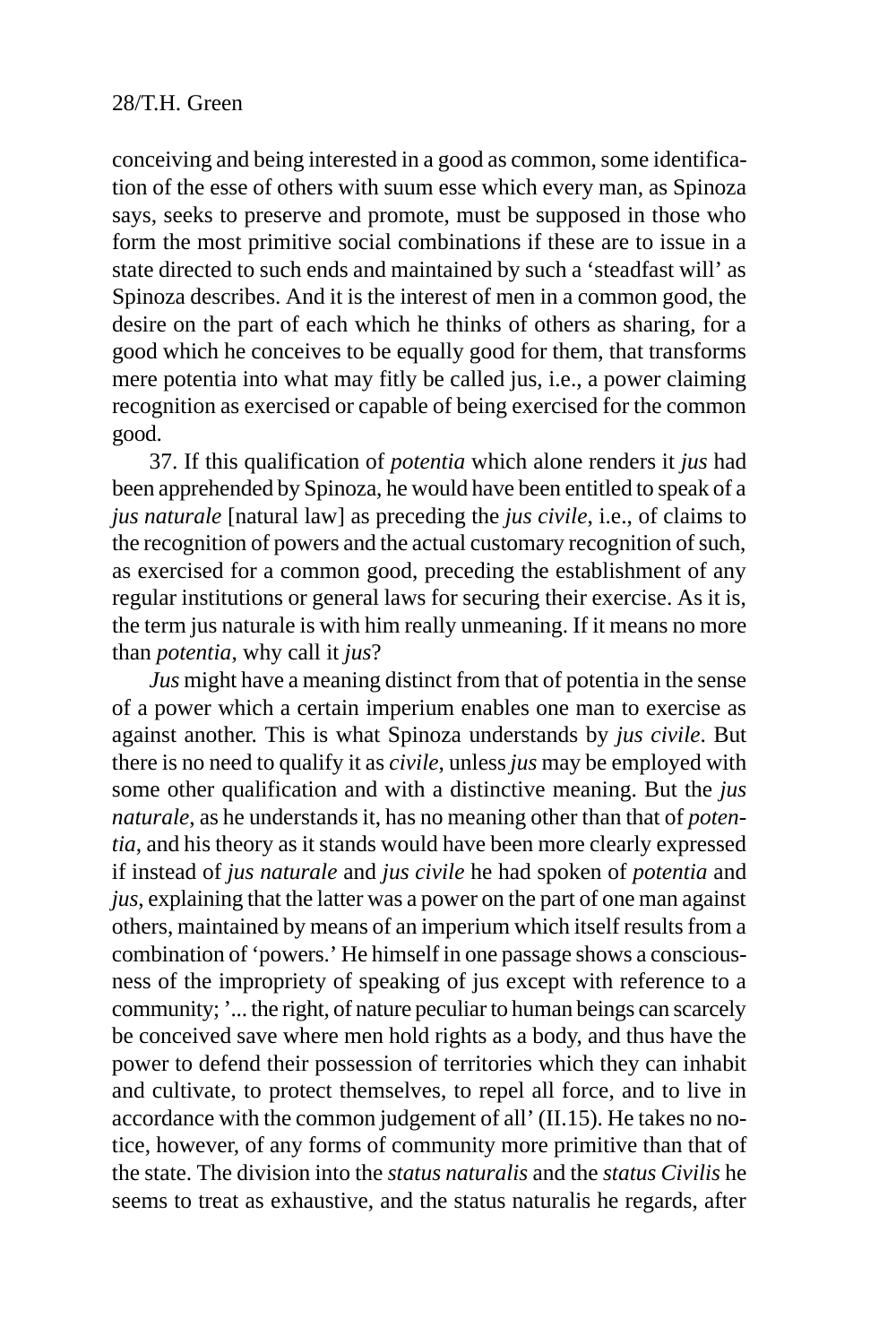conceiving and being interested in a good as common, some identification of the esse of others with suum esse which every man, as Spinoza says, seeks to preserve and promote, must be supposed in those who form the most primitive social combinations if these are to issue in a state directed to such ends and maintained by such a 'steadfast will' as Spinoza describes. And it is the interest of men in a common good, the desire on the part of each which he thinks of others as sharing, for a good which he conceives to be equally good for them, that transforms mere potentia into what may fitly be called jus, i.e., a power claiming recognition as exercised or capable of being exercised for the common good.

37. If this qualification of *potentia* which alone renders it *jus* had been apprehended by Spinoza, he would have been entitled to speak of a *jus naturale* [natural law] as preceding the *jus civile*, i.e., of claims to the recognition of powers and the actual customary recognition of such, as exercised for a common good, preceding the establishment of any regular institutions or general laws for securing their exercise. As it is, the term jus naturale is with him really unmeaning. If it means no more than *potentia*, why call it *jus*?

*Jus* might have a meaning distinct from that of potentia in the sense of a power which a certain imperium enables one man to exercise as against another. This is what Spinoza understands by *jus civile*. But there is no need to qualify it as *civile*, unless *jus* may be employed with some other qualification and with a distinctive meaning. But the *jus naturale*, as he understands it, has no meaning other than that of *potentia*, and his theory as it stands would have been more clearly expressed if instead of *jus naturale* and *jus civile* he had spoken of *potentia* and *jus*, explaining that the latter was a power on the part of one man against others, maintained by means of an imperium which itself results from a combination of 'powers.' He himself in one passage shows a consciousness of the impropriety of speaking of jus except with reference to a community; '... the right, of nature peculiar to human beings can scarcely be conceived save where men hold rights as a body, and thus have the power to defend their possession of territories which they can inhabit and cultivate, to protect themselves, to repel all force, and to live in accordance with the common judgement of all' (II.15). He takes no notice, however, of any forms of community more primitive than that of the state. The division into the *status naturalis* and the *status Civilis* he seems to treat as exhaustive, and the status naturalis he regards, after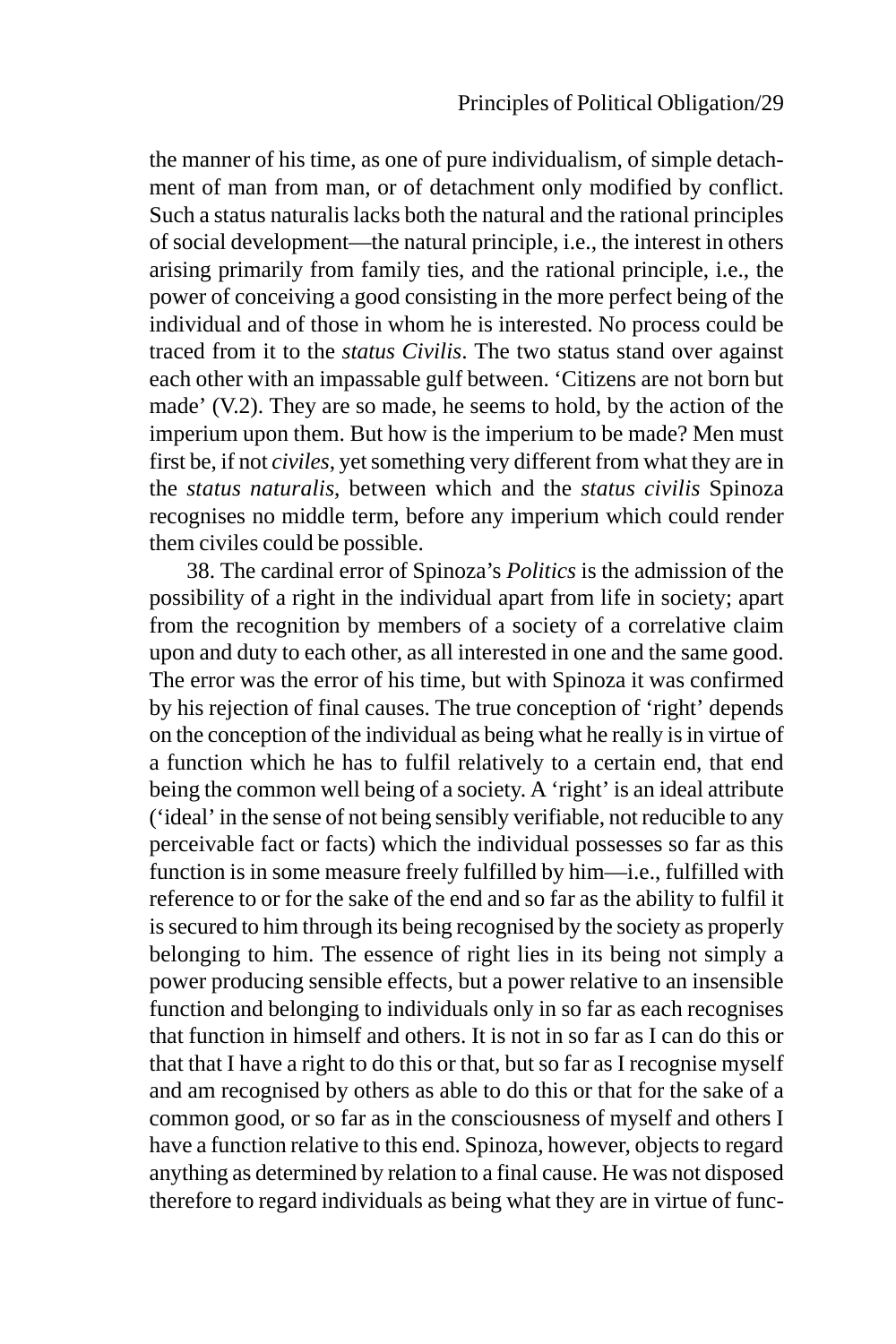the manner of his time, as one of pure individualism, of simple detachment of man from man, or of detachment only modified by conflict. Such a status naturalis lacks both the natural and the rational principles of social development—the natural principle, i.e., the interest in others arising primarily from family ties, and the rational principle, i.e., the power of conceiving a good consisting in the more perfect being of the individual and of those in whom he is interested. No process could be traced from it to the *status Civilis*. The two status stand over against each other with an impassable gulf between. 'Citizens are not born but made' (V.2). They are so made, he seems to hold, by the action of the imperium upon them. But how is the imperium to be made? Men must first be, if not *civiles*, yet something very different from what they are in the *status naturalis*, between which and the *status civilis* Spinoza recognises no middle term, before any imperium which could render them civiles could be possible.

38. The cardinal error of Spinoza's *Politics* is the admission of the possibility of a right in the individual apart from life in society; apart from the recognition by members of a society of a correlative claim upon and duty to each other, as all interested in one and the same good. The error was the error of his time, but with Spinoza it was confirmed by his rejection of final causes. The true conception of 'right' depends on the conception of the individual as being what he really is in virtue of a function which he has to fulfil relatively to a certain end, that end being the common well being of a society. A 'right' is an ideal attribute ('ideal' in the sense of not being sensibly verifiable, not reducible to any perceivable fact or facts) which the individual possesses so far as this function is in some measure freely fulfilled by him—i.e., fulfilled with reference to or for the sake of the end and so far as the ability to fulfil it is secured to him through its being recognised by the society as properly belonging to him. The essence of right lies in its being not simply a power producing sensible effects, but a power relative to an insensible function and belonging to individuals only in so far as each recognises that function in himself and others. It is not in so far as I can do this or that that I have a right to do this or that, but so far as I recognise myself and am recognised by others as able to do this or that for the sake of a common good, or so far as in the consciousness of myself and others I have a function relative to this end. Spinoza, however, objects to regard anything as determined by relation to a final cause. He was not disposed therefore to regard individuals as being what they are in virtue of func-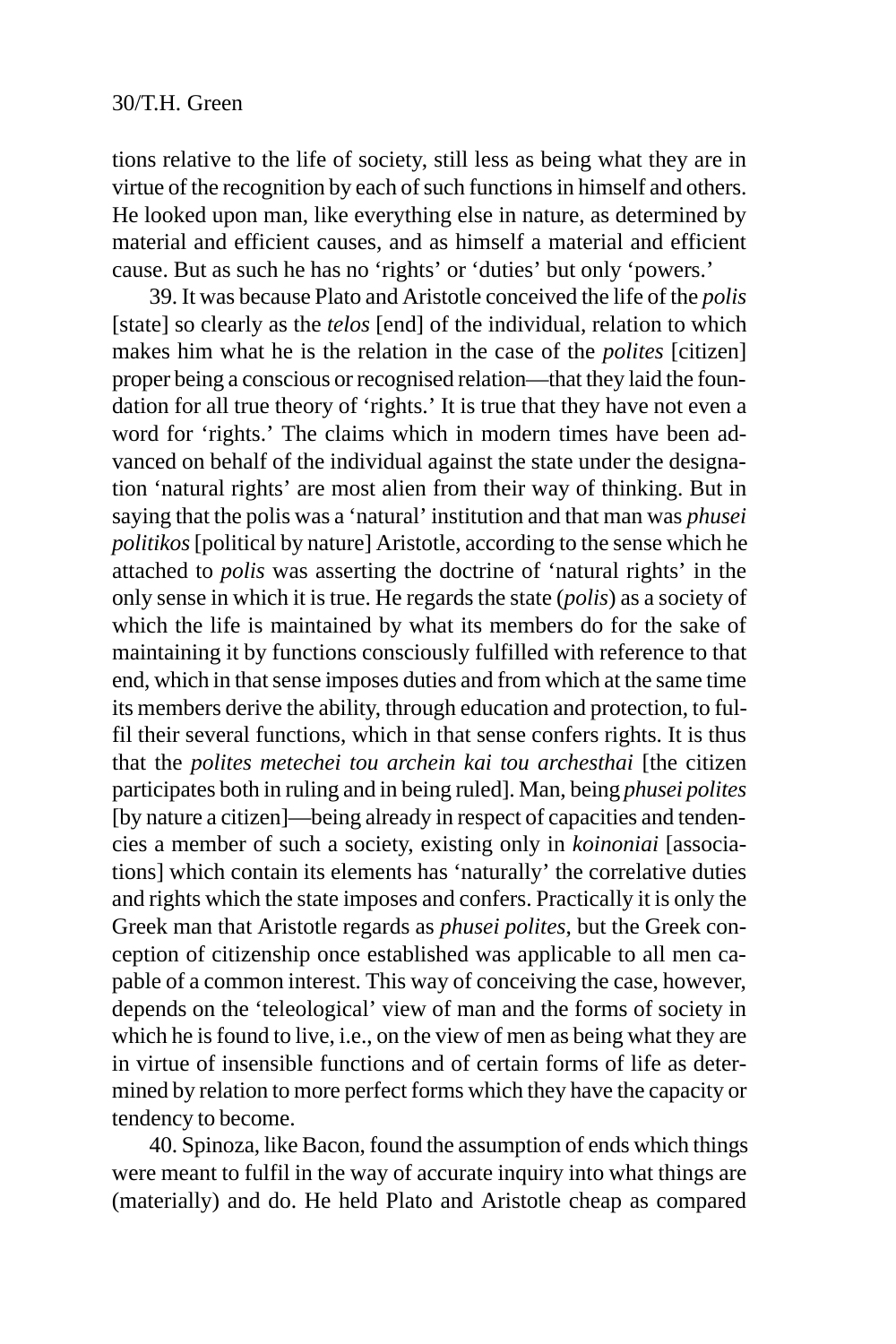tions relative to the life of society, still less as being what they are in virtue of the recognition by each of such functions in himself and others. He looked upon man, like everything else in nature, as determined by material and efficient causes, and as himself a material and efficient cause. But as such he has no 'rights' or 'duties' but only 'powers.'

39. It was because Plato and Aristotle conceived the life of the *polis* [state] so clearly as the *telos* [end] of the individual, relation to which makes him what he is the relation in the case of the *polites* [citizen] proper being a conscious or recognised relation—that they laid the foundation for all true theory of 'rights.' It is true that they have not even a word for 'rights.' The claims which in modern times have been advanced on behalf of the individual against the state under the designation 'natural rights' are most alien from their way of thinking. But in saying that the polis was a 'natural' institution and that man was *phusei politikos* [political by nature] Aristotle, according to the sense which he attached to *polis* was asserting the doctrine of 'natural rights' in the only sense in which it is true. He regards the state (*polis*) as a society of which the life is maintained by what its members do for the sake of maintaining it by functions consciously fulfilled with reference to that end, which in that sense imposes duties and from which at the same time its members derive the ability, through education and protection, to fulfil their several functions, which in that sense confers rights. It is thus that the *polites metechei tou archein kai tou archesthai* [the citizen participates both in ruling and in being ruled]. Man, being *phusei polites* [by nature a citizen]—being already in respect of capacities and tendencies a member of such a society, existing only in *koinoniai* [associations] which contain its elements has 'naturally' the correlative duties and rights which the state imposes and confers. Practically it is only the Greek man that Aristotle regards as *phusei polites*, but the Greek conception of citizenship once established was applicable to all men capable of a common interest. This way of conceiving the case, however, depends on the 'teleological' view of man and the forms of society in which he is found to live, i.e., on the view of men as being what they are in virtue of insensible functions and of certain forms of life as determined by relation to more perfect forms which they have the capacity or tendency to become.

40. Spinoza, like Bacon, found the assumption of ends which things were meant to fulfil in the way of accurate inquiry into what things are (materially) and do. He held Plato and Aristotle cheap as compared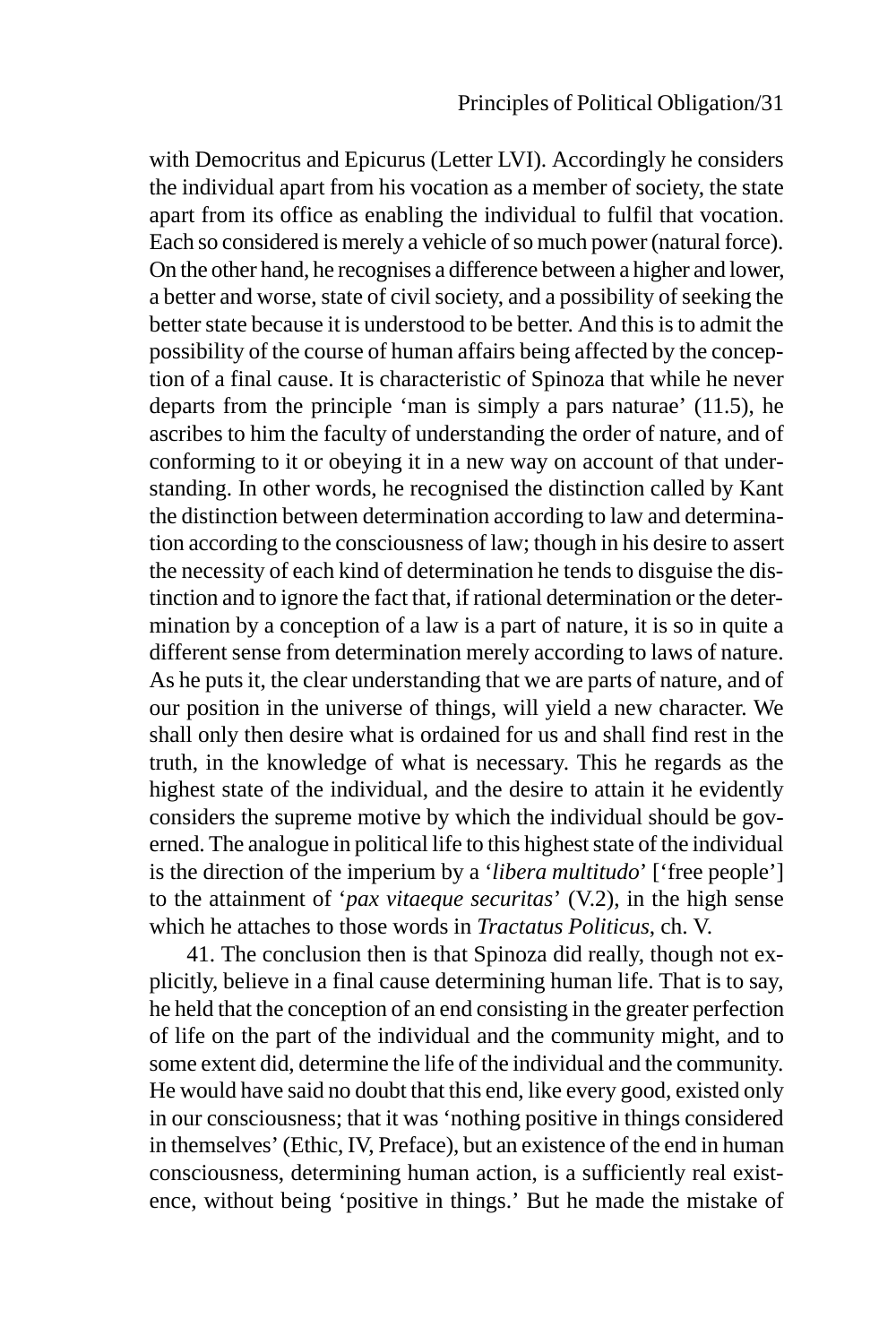with Democritus and Epicurus (Letter LVI). Accordingly he considers the individual apart from his vocation as a member of society, the state apart from its office as enabling the individual to fulfil that vocation. Each so considered is merely a vehicle of so much power (natural force). On the other hand, he recognises a difference between a higher and lower, a better and worse, state of civil society, and a possibility of seeking the better state because it is understood to be better. And this is to admit the possibility of the course of human affairs being affected by the conception of a final cause. It is characteristic of Spinoza that while he never departs from the principle 'man is simply a pars naturae' (11.5), he ascribes to him the faculty of understanding the order of nature, and of conforming to it or obeying it in a new way on account of that understanding. In other words, he recognised the distinction called by Kant the distinction between determination according to law and determination according to the consciousness of law; though in his desire to assert the necessity of each kind of determination he tends to disguise the distinction and to ignore the fact that, if rational determination or the determination by a conception of a law is a part of nature, it is so in quite a different sense from determination merely according to laws of nature. As he puts it, the clear understanding that we are parts of nature, and of our position in the universe of things, will yield a new character. We shall only then desire what is ordained for us and shall find rest in the truth, in the knowledge of what is necessary. This he regards as the highest state of the individual, and the desire to attain it he evidently considers the supreme motive by which the individual should be governed. The analogue in political life to this highest state of the individual is the direction of the imperium by a '*libera multitudo*' ['free people'] to the attainment of '*pax vitaeque securitas*' (V.2), in the high sense which he attaches to those words in *Tractatus Politicus*, ch. V.

41. The conclusion then is that Spinoza did really, though not explicitly, believe in a final cause determining human life. That is to say, he held that the conception of an end consisting in the greater perfection of life on the part of the individual and the community might, and to some extent did, determine the life of the individual and the community. He would have said no doubt that this end, like every good, existed only in our consciousness; that it was 'nothing positive in things considered in themselves' (Ethic, IV, Preface), but an existence of the end in human consciousness, determining human action, is a sufficiently real existence, without being 'positive in things.' But he made the mistake of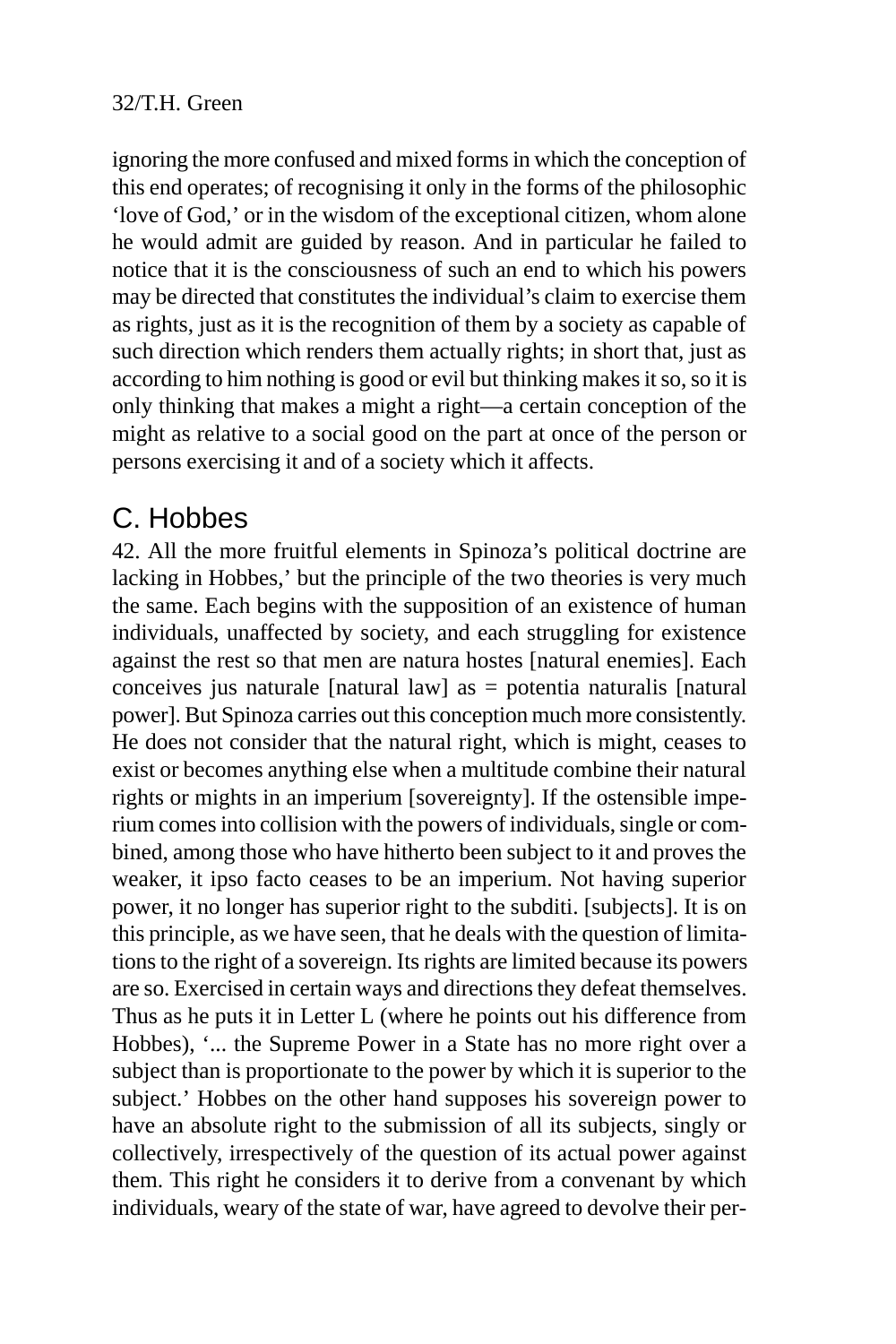<span id="page-31-0"></span>ignoring the more confused and mixed forms in which the conception of this end operates; of recognising it only in the forms of the philosophic 'love of God,' or in the wisdom of the exceptional citizen, whom alone he would admit are guided by reason. And in particular he failed to notice that it is the consciousness of such an end to which his powers may be directed that constitutes the individual's claim to exercise them as rights, just as it is the recognition of them by a society as capable of such direction which renders them actually rights; in short that, just as according to him nothing is good or evil but thinking makes it so, so it is only thinking that makes a might a right—a certain conception of the might as relative to a social good on the part at once of the person or persons exercising it and of a society which it affects.

### C. Hobbes

42. All the more fruitful elements in Spinoza's political doctrine are lacking in Hobbes,' but the principle of the two theories is very much the same. Each begins with the supposition of an existence of human individuals, unaffected by society, and each struggling for existence against the rest so that men are natura hostes [natural enemies]. Each conceives jus naturale [natural law] as  $=$  potentia naturalis [natural] power]. But Spinoza carries out this conception much more consistently. He does not consider that the natural right, which is might, ceases to exist or becomes anything else when a multitude combine their natural rights or mights in an imperium [sovereignty]. If the ostensible imperium comes into collision with the powers of individuals, single or combined, among those who have hitherto been subject to it and proves the weaker, it ipso facto ceases to be an imperium. Not having superior power, it no longer has superior right to the subditi. [subjects]. It is on this principle, as we have seen, that he deals with the question of limitations to the right of a sovereign. Its rights are limited because its powers are so. Exercised in certain ways and directions they defeat themselves. Thus as he puts it in Letter L (where he points out his difference from Hobbes), '... the Supreme Power in a State has no more right over a subject than is proportionate to the power by which it is superior to the subject.' Hobbes on the other hand supposes his sovereign power to have an absolute right to the submission of all its subjects, singly or collectively, irrespectively of the question of its actual power against them. This right he considers it to derive from a convenant by which individuals, weary of the state of war, have agreed to devolve their per-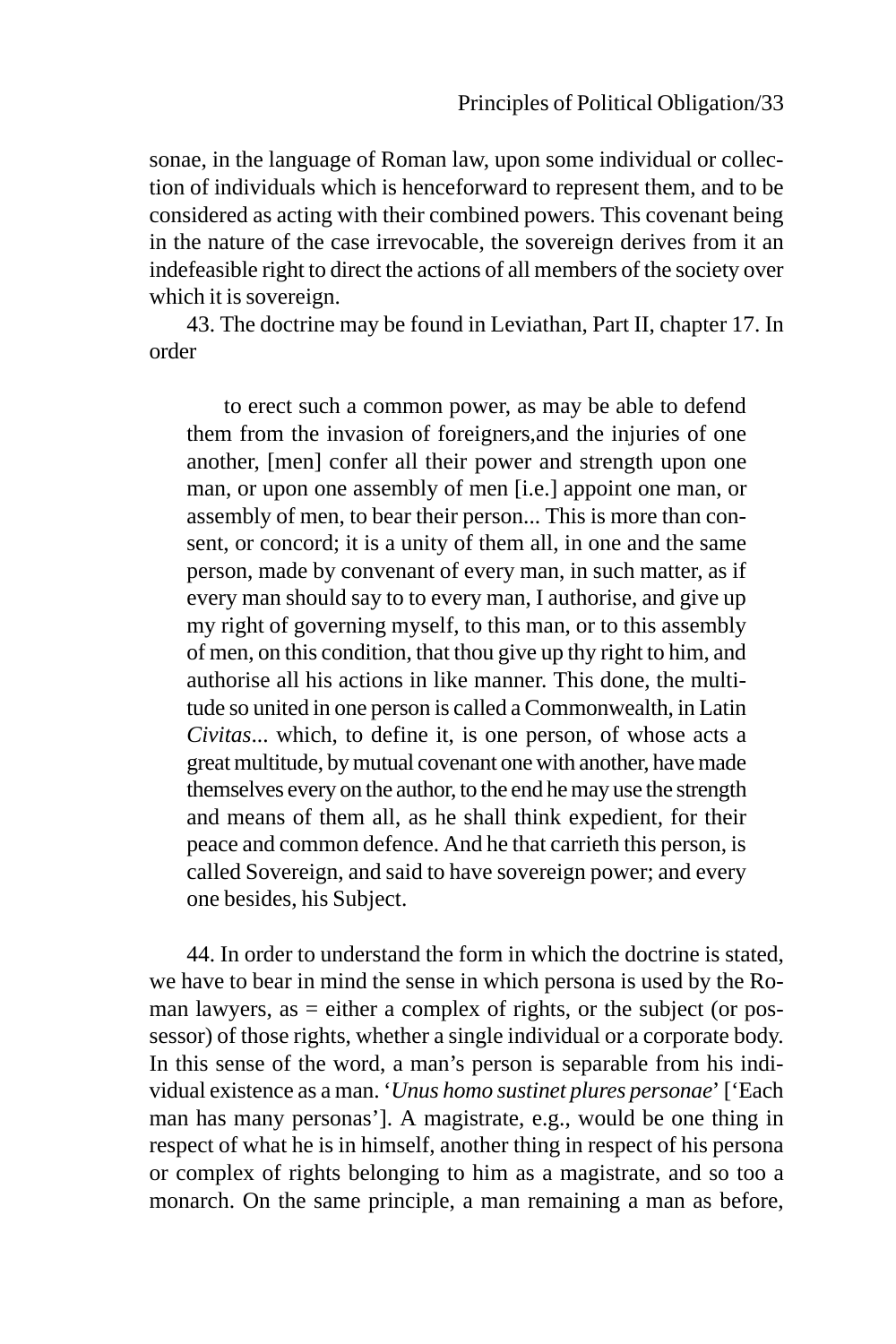sonae, in the language of Roman law, upon some individual or collection of individuals which is henceforward to represent them, and to be considered as acting with their combined powers. This covenant being in the nature of the case irrevocable, the sovereign derives from it an indefeasible right to direct the actions of all members of the society over which it is sovereign.

43. The doctrine may be found in Leviathan, Part II, chapter 17. In order

to erect such a common power, as may be able to defend them from the invasion of foreigners,and the injuries of one another, [men] confer all their power and strength upon one man, or upon one assembly of men [i.e.] appoint one man, or assembly of men, to bear their person... This is more than consent, or concord; it is a unity of them all, in one and the same person, made by convenant of every man, in such matter, as if every man should say to to every man, I authorise, and give up my right of governing myself, to this man, or to this assembly of men, on this condition, that thou give up thy right to him, and authorise all his actions in like manner. This done, the multitude so united in one person is called a Commonwealth, in Latin *Civitas*... which, to define it, is one person, of whose acts a great multitude, by mutual covenant one with another, have made themselves every on the author, to the end he may use the strength and means of them all, as he shall think expedient, for their peace and common defence. And he that carrieth this person, is called Sovereign, and said to have sovereign power; and every one besides, his Subject.

44. In order to understand the form in which the doctrine is stated, we have to bear in mind the sense in which persona is used by the Roman lawyers, as  $=$  either a complex of rights, or the subject (or possessor) of those rights, whether a single individual or a corporate body. In this sense of the word, a man's person is separable from his individual existence as a man. '*Unus homo sustinet plures personae*' ['Each man has many personas']. A magistrate, e.g., would be one thing in respect of what he is in himself, another thing in respect of his persona or complex of rights belonging to him as a magistrate, and so too a monarch. On the same principle, a man remaining a man as before,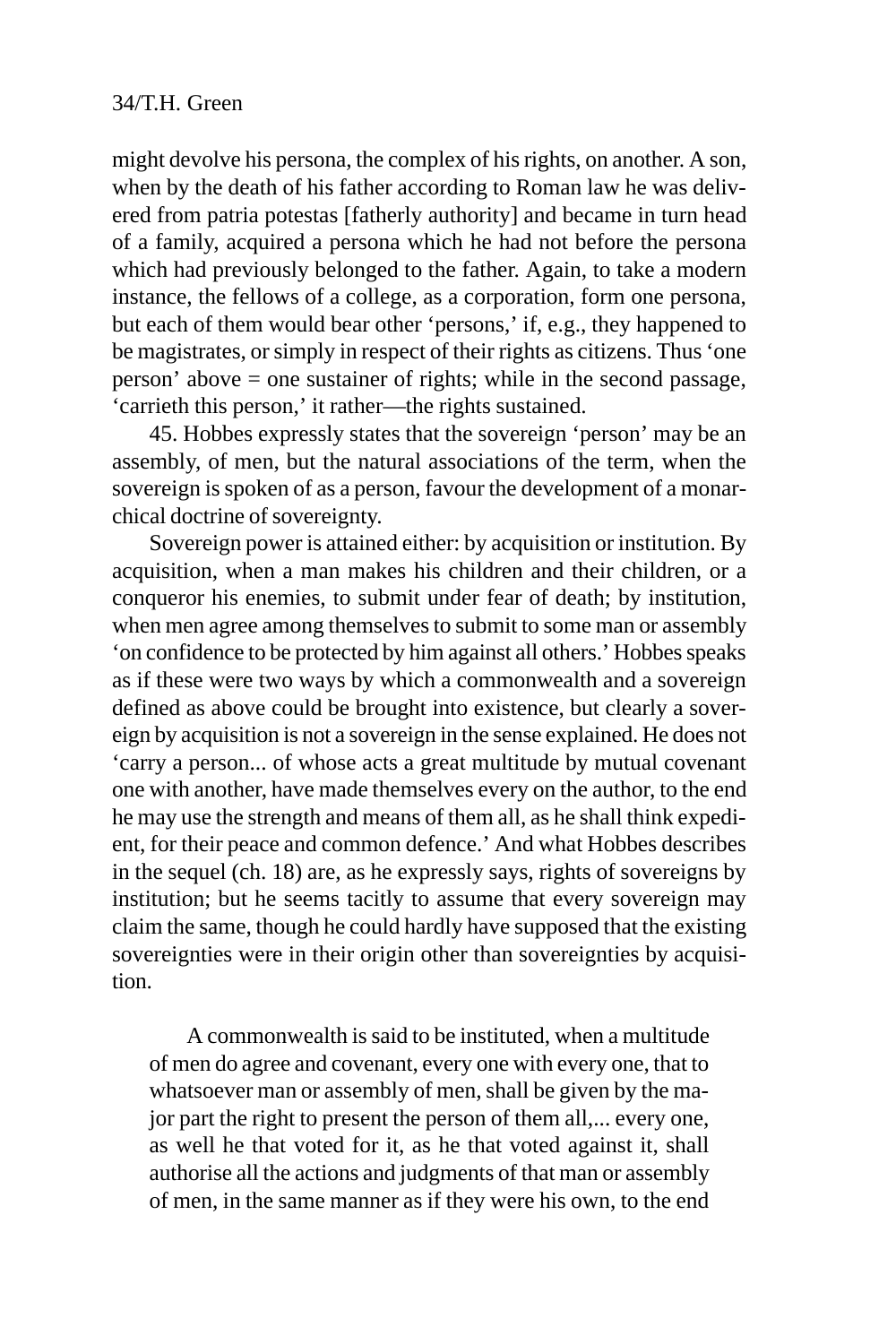might devolve his persona, the complex of his rights, on another. A son, when by the death of his father according to Roman law he was delivered from patria potestas [fatherly authority] and became in turn head of a family, acquired a persona which he had not before the persona which had previously belonged to the father. Again, to take a modern instance, the fellows of a college, as a corporation, form one persona, but each of them would bear other 'persons,' if, e.g., they happened to be magistrates, or simply in respect of their rights as citizens. Thus 'one person' above = one sustainer of rights; while in the second passage, 'carrieth this person,' it rather—the rights sustained.

45. Hobbes expressly states that the sovereign 'person' may be an assembly, of men, but the natural associations of the term, when the sovereign is spoken of as a person, favour the development of a monarchical doctrine of sovereignty.

Sovereign power is attained either: by acquisition or institution. By acquisition, when a man makes his children and their children, or a conqueror his enemies, to submit under fear of death; by institution, when men agree among themselves to submit to some man or assembly 'on confidence to be protected by him against all others.' Hobbes speaks as if these were two ways by which a commonwealth and a sovereign defined as above could be brought into existence, but clearly a sovereign by acquisition is not a sovereign in the sense explained. He does not 'carry a person... of whose acts a great multitude by mutual covenant one with another, have made themselves every on the author, to the end he may use the strength and means of them all, as he shall think expedient, for their peace and common defence.' And what Hobbes describes in the sequel (ch. 18) are, as he expressly says, rights of sovereigns by institution; but he seems tacitly to assume that every sovereign may claim the same, though he could hardly have supposed that the existing sovereignties were in their origin other than sovereignties by acquisition.

A commonwealth is said to be instituted, when a multitude of men do agree and covenant, every one with every one, that to whatsoever man or assembly of men, shall be given by the major part the right to present the person of them all,... every one, as well he that voted for it, as he that voted against it, shall authorise all the actions and judgments of that man or assembly of men, in the same manner as if they were his own, to the end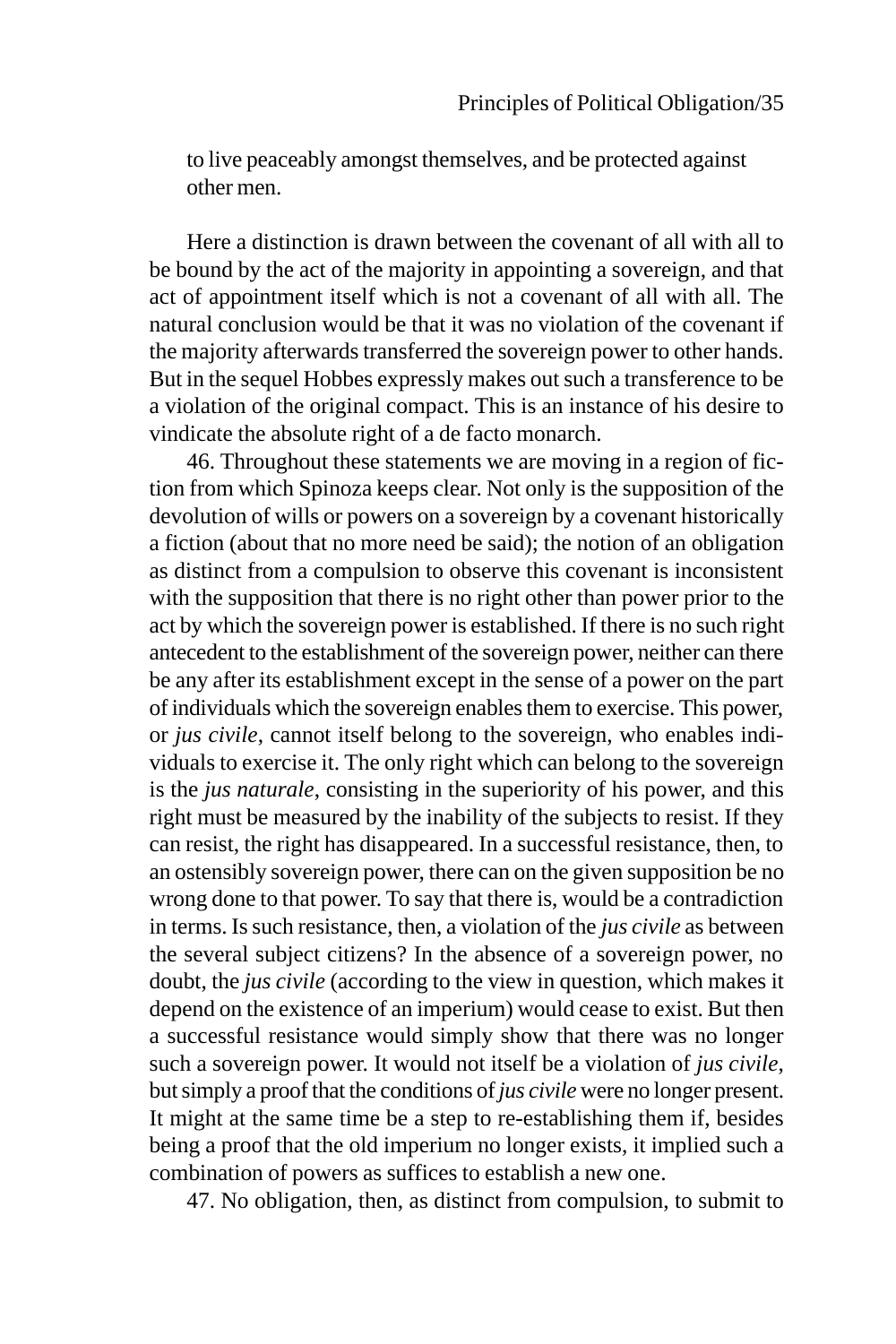to live peaceably amongst themselves, and be protected against other men.

Here a distinction is drawn between the covenant of all with all to be bound by the act of the majority in appointing a sovereign, and that act of appointment itself which is not a covenant of all with all. The natural conclusion would be that it was no violation of the covenant if the majority afterwards transferred the sovereign power to other hands. But in the sequel Hobbes expressly makes out such a transference to be a violation of the original compact. This is an instance of his desire to vindicate the absolute right of a de facto monarch.

46. Throughout these statements we are moving in a region of fiction from which Spinoza keeps clear. Not only is the supposition of the devolution of wills or powers on a sovereign by a covenant historically a fiction (about that no more need be said); the notion of an obligation as distinct from a compulsion to observe this covenant is inconsistent with the supposition that there is no right other than power prior to the act by which the sovereign power is established. If there is no such right antecedent to the establishment of the sovereign power, neither can there be any after its establishment except in the sense of a power on the part of individuals which the sovereign enables them to exercise. This power, or *jus civile*, cannot itself belong to the sovereign, who enables individuals to exercise it. The only right which can belong to the sovereign is the *jus naturale*, consisting in the superiority of his power, and this right must be measured by the inability of the subjects to resist. If they can resist, the right has disappeared. In a successful resistance, then, to an ostensibly sovereign power, there can on the given supposition be no wrong done to that power. To say that there is, would be a contradiction in terms. Is such resistance, then, a violation of the *jus civile* as between the several subject citizens? In the absence of a sovereign power, no doubt, the *jus civile* (according to the view in question, which makes it depend on the existence of an imperium) would cease to exist. But then a successful resistance would simply show that there was no longer such a sovereign power. It would not itself be a violation of *jus civile*, but simply a proof that the conditions of *jus civile* were no longer present. It might at the same time be a step to re-establishing them if, besides being a proof that the old imperium no longer exists, it implied such a combination of powers as suffices to establish a new one.

47. No obligation, then, as distinct from compulsion, to submit to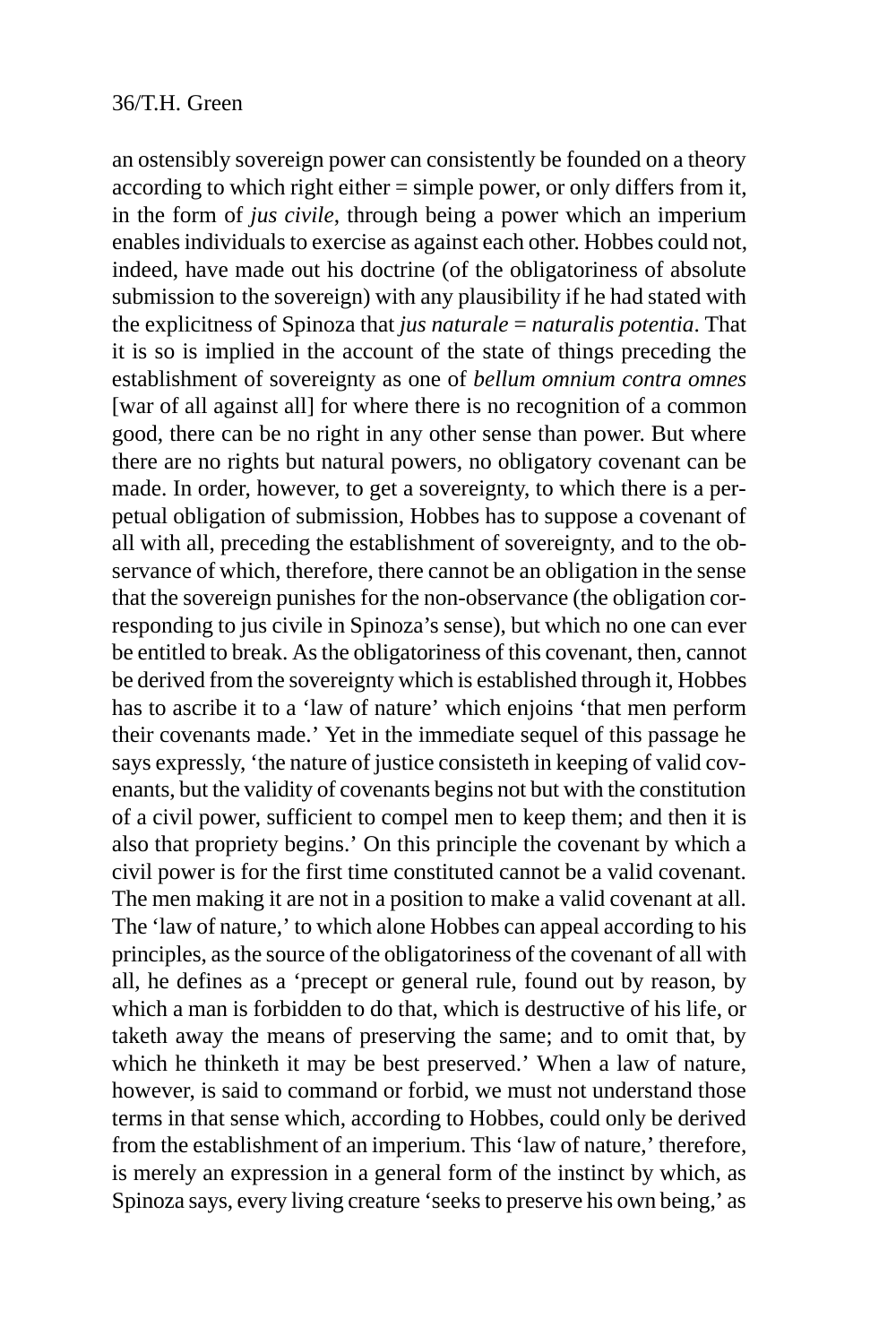an ostensibly sovereign power can consistently be founded on a theory according to which right either = simple power, or only differs from it, in the form of *jus civile*, through being a power which an imperium enables individuals to exercise as against each other. Hobbes could not, indeed, have made out his doctrine (of the obligatoriness of absolute submission to the sovereign) with any plausibility if he had stated with the explicitness of Spinoza that *jus naturale* = *naturalis potentia*. That it is so is implied in the account of the state of things preceding the establishment of sovereignty as one of *bellum omnium contra omnes* [war of all against all] for where there is no recognition of a common good, there can be no right in any other sense than power. But where there are no rights but natural powers, no obligatory covenant can be made. In order, however, to get a sovereignty, to which there is a perpetual obligation of submission, Hobbes has to suppose a covenant of all with all, preceding the establishment of sovereignty, and to the observance of which, therefore, there cannot be an obligation in the sense that the sovereign punishes for the non-observance (the obligation corresponding to jus civile in Spinoza's sense), but which no one can ever be entitled to break. As the obligatoriness of this covenant, then, cannot be derived from the sovereignty which is established through it, Hobbes has to ascribe it to a 'law of nature' which enjoins 'that men perform their covenants made.' Yet in the immediate sequel of this passage he says expressly, 'the nature of justice consisteth in keeping of valid covenants, but the validity of covenants begins not but with the constitution of a civil power, sufficient to compel men to keep them; and then it is also that propriety begins.' On this principle the covenant by which a civil power is for the first time constituted cannot be a valid covenant. The men making it are not in a position to make a valid covenant at all. The 'law of nature,' to which alone Hobbes can appeal according to his principles, as the source of the obligatoriness of the covenant of all with all, he defines as a 'precept or general rule, found out by reason, by which a man is forbidden to do that, which is destructive of his life, or taketh away the means of preserving the same; and to omit that, by which he thinketh it may be best preserved.' When a law of nature, however, is said to command or forbid, we must not understand those terms in that sense which, according to Hobbes, could only be derived from the establishment of an imperium. This 'law of nature,' therefore, is merely an expression in a general form of the instinct by which, as Spinoza says, every living creature 'seeks to preserve his own being,' as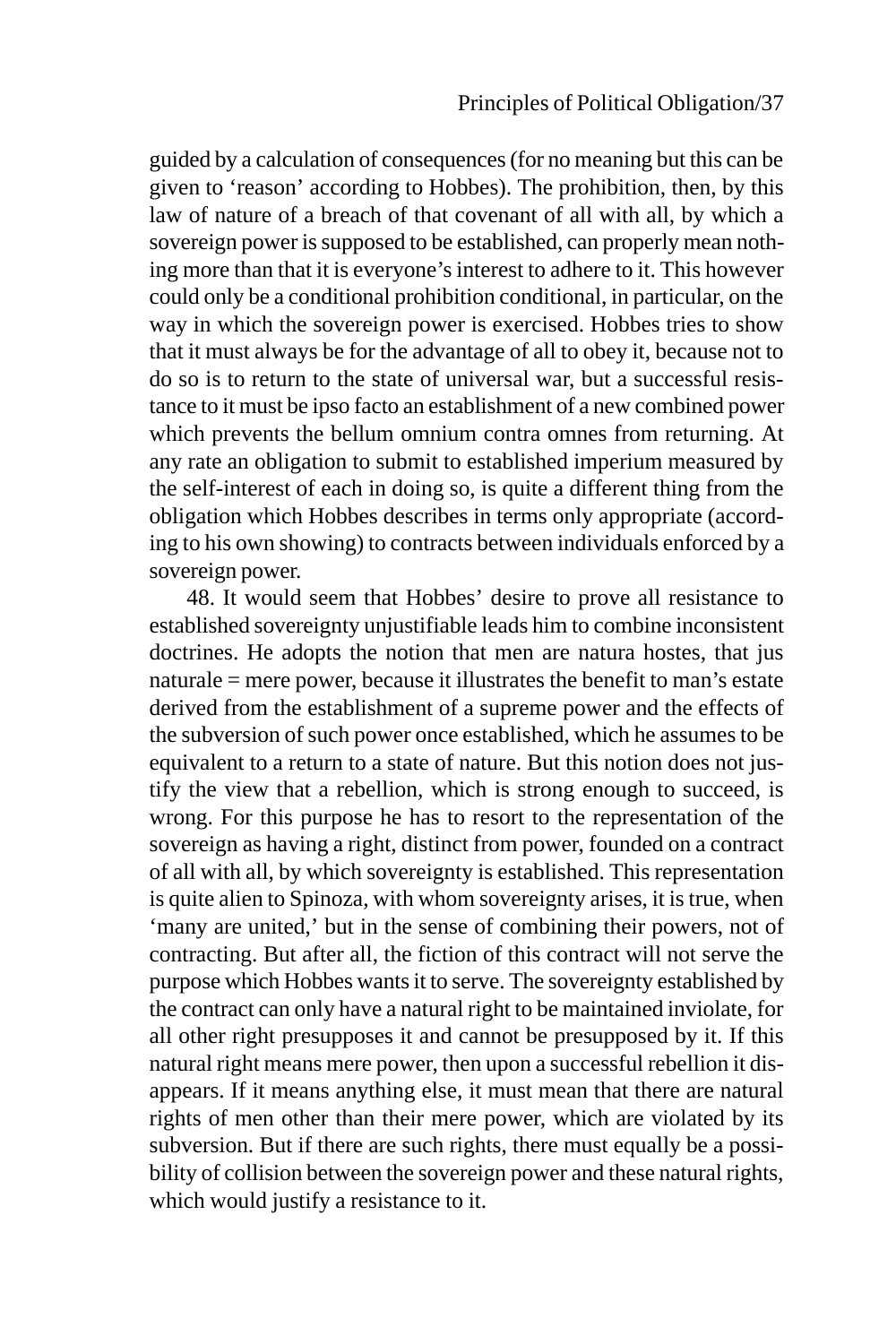guided by a calculation of consequences (for no meaning but this can be given to 'reason' according to Hobbes). The prohibition, then, by this law of nature of a breach of that covenant of all with all, by which a sovereign power is supposed to be established, can properly mean nothing more than that it is everyone's interest to adhere to it. This however could only be a conditional prohibition conditional, in particular, on the way in which the sovereign power is exercised. Hobbes tries to show that it must always be for the advantage of all to obey it, because not to do so is to return to the state of universal war, but a successful resistance to it must be ipso facto an establishment of a new combined power which prevents the bellum omnium contra omnes from returning. At any rate an obligation to submit to established imperium measured by the self-interest of each in doing so, is quite a different thing from the obligation which Hobbes describes in terms only appropriate (according to his own showing) to contracts between individuals enforced by a sovereign power.

48. It would seem that Hobbes' desire to prove all resistance to established sovereignty unjustifiable leads him to combine inconsistent doctrines. He adopts the notion that men are natura hostes, that jus naturale = mere power, because it illustrates the benefit to man's estate derived from the establishment of a supreme power and the effects of the subversion of such power once established, which he assumes to be equivalent to a return to a state of nature. But this notion does not justify the view that a rebellion, which is strong enough to succeed, is wrong. For this purpose he has to resort to the representation of the sovereign as having a right, distinct from power, founded on a contract of all with all, by which sovereignty is established. This representation is quite alien to Spinoza, with whom sovereignty arises, it is true, when 'many are united,' but in the sense of combining their powers, not of contracting. But after all, the fiction of this contract will not serve the purpose which Hobbes wants it to serve. The sovereignty established by the contract can only have a natural right to be maintained inviolate, for all other right presupposes it and cannot be presupposed by it. If this natural right means mere power, then upon a successful rebellion it disappears. If it means anything else, it must mean that there are natural rights of men other than their mere power, which are violated by its subversion. But if there are such rights, there must equally be a possibility of collision between the sovereign power and these natural rights, which would justify a resistance to it.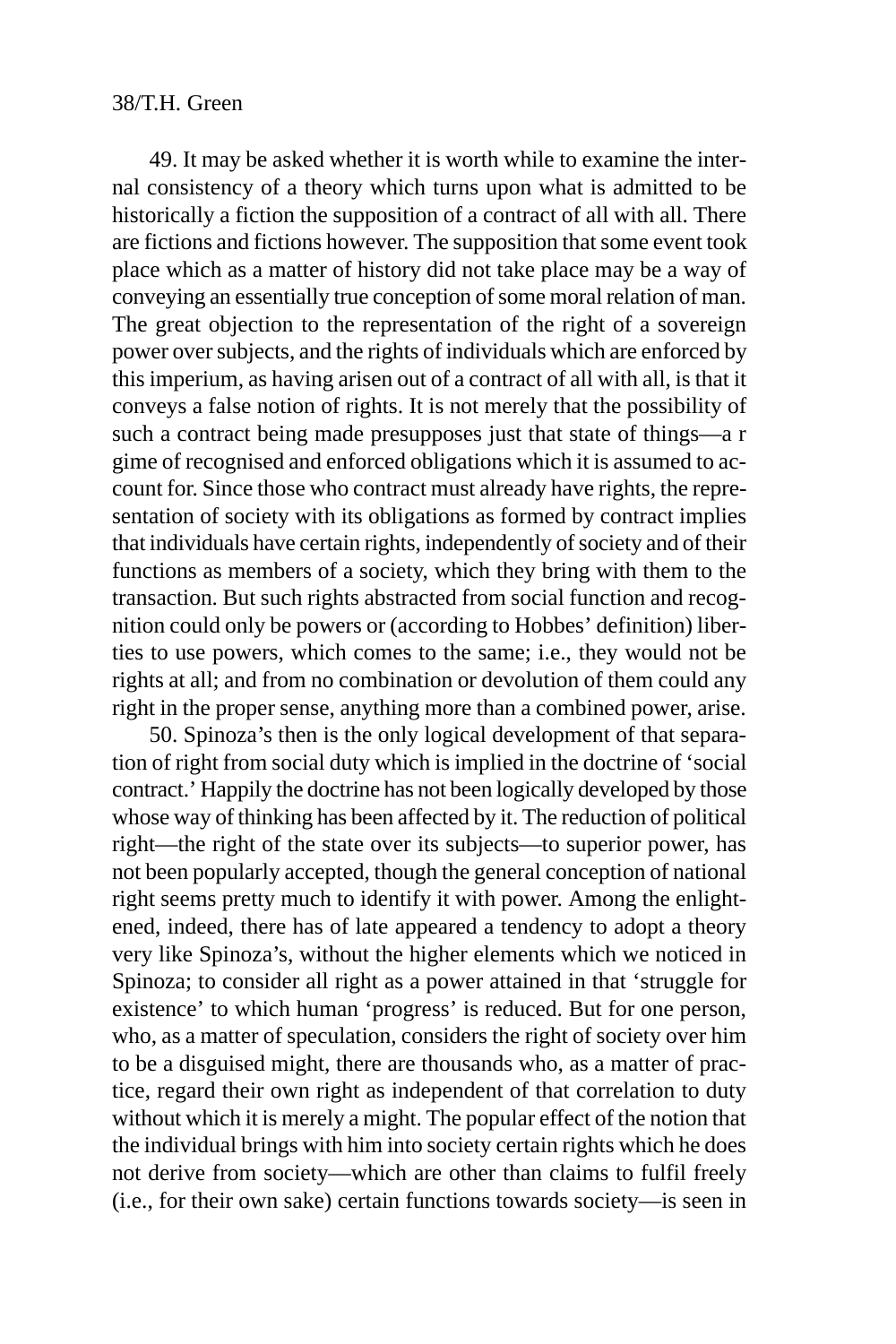49. It may be asked whether it is worth while to examine the internal consistency of a theory which turns upon what is admitted to be historically a fiction the supposition of a contract of all with all. There are fictions and fictions however. The supposition that some event took place which as a matter of history did not take place may be a way of conveying an essentially true conception of some moral relation of man. The great objection to the representation of the right of a sovereign power over subjects, and the rights of individuals which are enforced by this imperium, as having arisen out of a contract of all with all, is that it conveys a false notion of rights. It is not merely that the possibility of such a contract being made presupposes just that state of things—a r gime of recognised and enforced obligations which it is assumed to account for. Since those who contract must already have rights, the representation of society with its obligations as formed by contract implies that individuals have certain rights, independently of society and of their functions as members of a society, which they bring with them to the transaction. But such rights abstracted from social function and recognition could only be powers or (according to Hobbes' definition) liberties to use powers, which comes to the same; i.e., they would not be rights at all; and from no combination or devolution of them could any right in the proper sense, anything more than a combined power, arise.

50. Spinoza's then is the only logical development of that separation of right from social duty which is implied in the doctrine of 'social contract.' Happily the doctrine has not been logically developed by those whose way of thinking has been affected by it. The reduction of political right—the right of the state over its subjects—to superior power, has not been popularly accepted, though the general conception of national right seems pretty much to identify it with power. Among the enlightened, indeed, there has of late appeared a tendency to adopt a theory very like Spinoza's, without the higher elements which we noticed in Spinoza; to consider all right as a power attained in that 'struggle for existence' to which human 'progress' is reduced. But for one person, who, as a matter of speculation, considers the right of society over him to be a disguised might, there are thousands who, as a matter of practice, regard their own right as independent of that correlation to duty without which it is merely a might. The popular effect of the notion that the individual brings with him into society certain rights which he does not derive from society—which are other than claims to fulfil freely (i.e., for their own sake) certain functions towards society—is seen in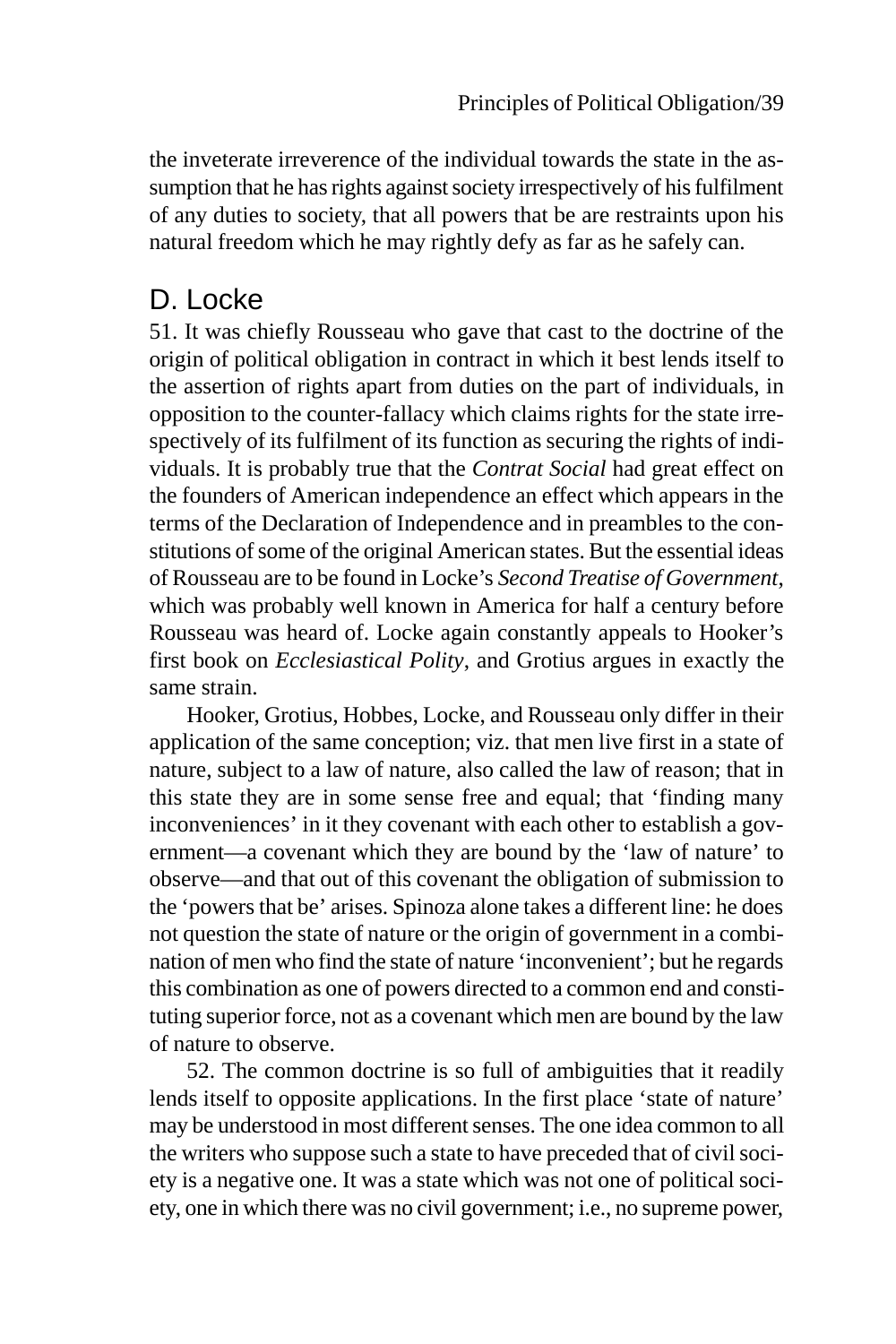the inveterate irreverence of the individual towards the state in the assumption that he has rights against society irrespectively of his fulfilment of any duties to society, that all powers that be are restraints upon his natural freedom which he may rightly defy as far as he safely can.

## D. Locke

51. It was chiefly Rousseau who gave that cast to the doctrine of the origin of political obligation in contract in which it best lends itself to the assertion of rights apart from duties on the part of individuals, in opposition to the counter-fallacy which claims rights for the state irrespectively of its fulfilment of its function as securing the rights of individuals. It is probably true that the *Contrat Social* had great effect on the founders of American independence an effect which appears in the terms of the Declaration of Independence and in preambles to the constitutions of some of the original American states. But the essential ideas of Rousseau are to be found in Locke's *Second Treatise of Government*, which was probably well known in America for half a century before Rousseau was heard of. Locke again constantly appeals to Hooker's first book on *Ecclesiastical Polity*, and Grotius argues in exactly the same strain.

Hooker, Grotius, Hobbes, Locke, and Rousseau only differ in their application of the same conception; viz. that men live first in a state of nature, subject to a law of nature, also called the law of reason; that in this state they are in some sense free and equal; that 'finding many inconveniences' in it they covenant with each other to establish a government—a covenant which they are bound by the 'law of nature' to observe—and that out of this covenant the obligation of submission to the 'powers that be' arises. Spinoza alone takes a different line: he does not question the state of nature or the origin of government in a combination of men who find the state of nature 'inconvenient'; but he regards this combination as one of powers directed to a common end and constituting superior force, not as a covenant which men are bound by the law of nature to observe.

52. The common doctrine is so full of ambiguities that it readily lends itself to opposite applications. In the first place 'state of nature' may be understood in most different senses. The one idea common to all the writers who suppose such a state to have preceded that of civil society is a negative one. It was a state which was not one of political society, one in which there was no civil government; i.e., no supreme power,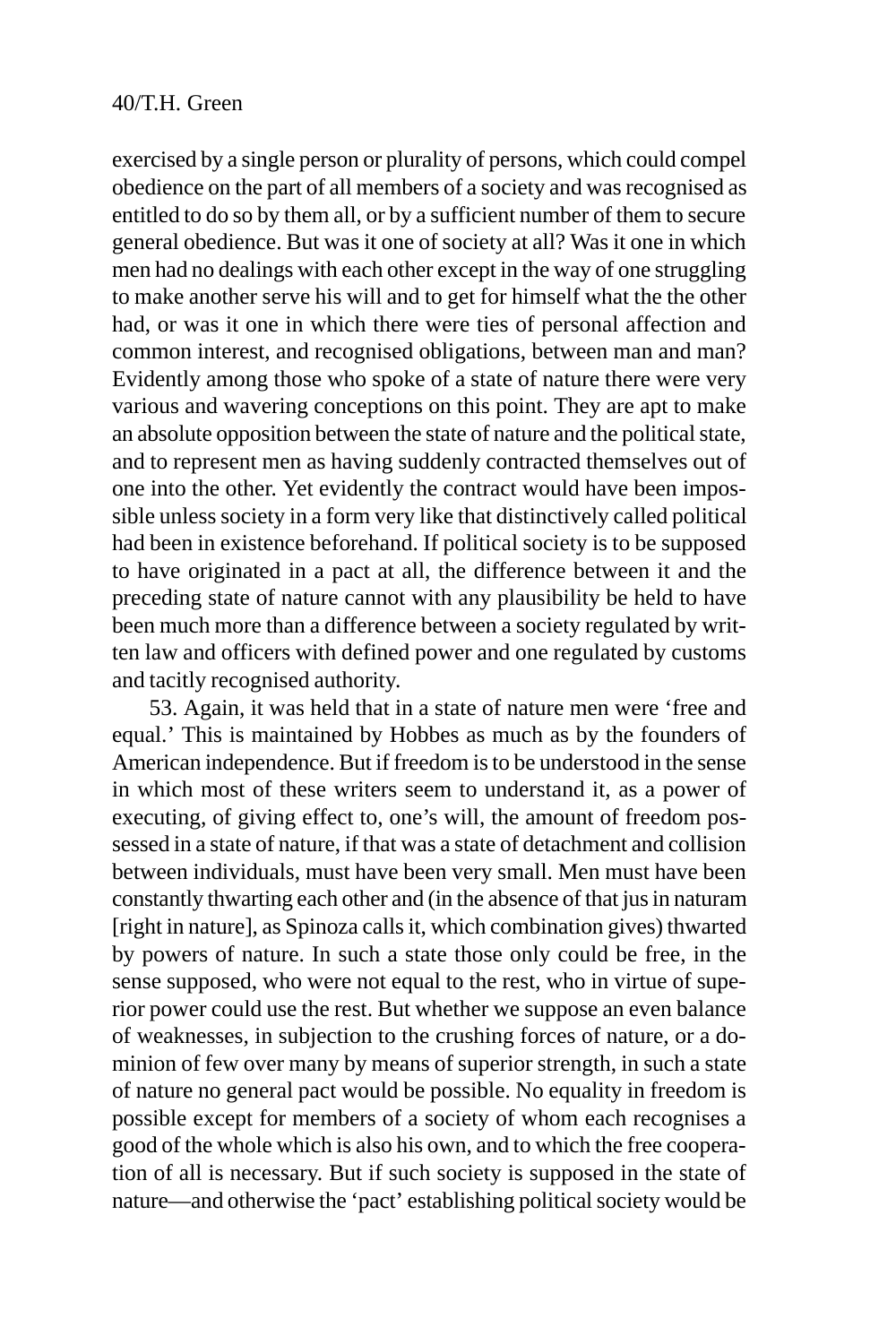exercised by a single person or plurality of persons, which could compel obedience on the part of all members of a society and was recognised as entitled to do so by them all, or by a sufficient number of them to secure general obedience. But was it one of society at all? Was it one in which men had no dealings with each other except in the way of one struggling to make another serve his will and to get for himself what the the other had, or was it one in which there were ties of personal affection and common interest, and recognised obligations, between man and man? Evidently among those who spoke of a state of nature there were very various and wavering conceptions on this point. They are apt to make an absolute opposition between the state of nature and the political state, and to represent men as having suddenly contracted themselves out of one into the other. Yet evidently the contract would have been impossible unless society in a form very like that distinctively called political had been in existence beforehand. If political society is to be supposed to have originated in a pact at all, the difference between it and the preceding state of nature cannot with any plausibility be held to have been much more than a difference between a society regulated by written law and officers with defined power and one regulated by customs and tacitly recognised authority.

53. Again, it was held that in a state of nature men were 'free and equal.' This is maintained by Hobbes as much as by the founders of American independence. But if freedom is to be understood in the sense in which most of these writers seem to understand it, as a power of executing, of giving effect to, one's will, the amount of freedom possessed in a state of nature, if that was a state of detachment and collision between individuals, must have been very small. Men must have been constantly thwarting each other and (in the absence of that jus in naturam [right in nature], as Spinoza calls it, which combination gives) thwarted by powers of nature. In such a state those only could be free, in the sense supposed, who were not equal to the rest, who in virtue of superior power could use the rest. But whether we suppose an even balance of weaknesses, in subjection to the crushing forces of nature, or a dominion of few over many by means of superior strength, in such a state of nature no general pact would be possible. No equality in freedom is possible except for members of a society of whom each recognises a good of the whole which is also his own, and to which the free cooperation of all is necessary. But if such society is supposed in the state of nature—and otherwise the 'pact' establishing political society would be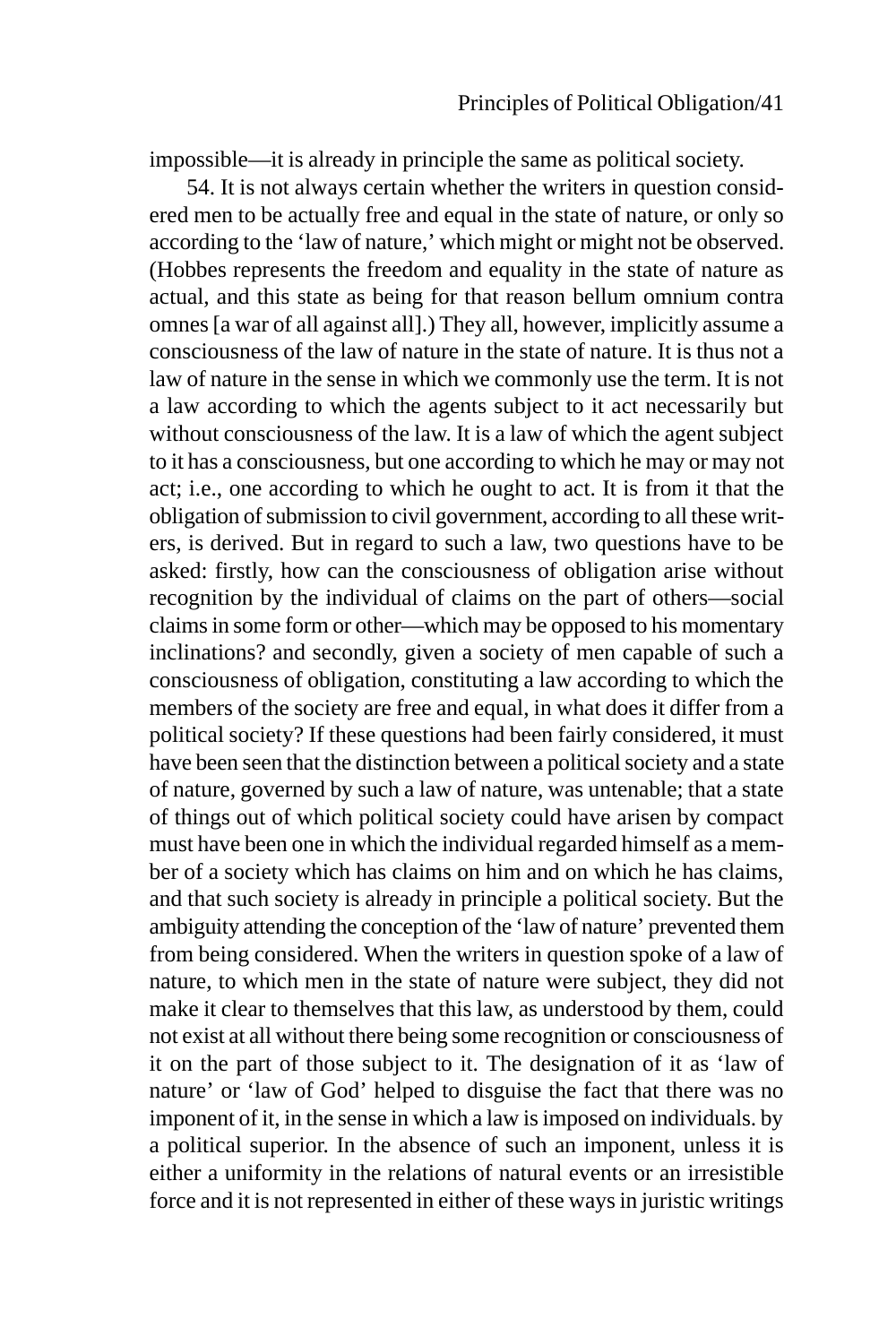impossible—it is already in principle the same as political society.

54. It is not always certain whether the writers in question considered men to be actually free and equal in the state of nature, or only so according to the 'law of nature,' which might or might not be observed. (Hobbes represents the freedom and equality in the state of nature as actual, and this state as being for that reason bellum omnium contra omnes [a war of all against all].) They all, however, implicitly assume a consciousness of the law of nature in the state of nature. It is thus not a law of nature in the sense in which we commonly use the term. It is not a law according to which the agents subject to it act necessarily but without consciousness of the law. It is a law of which the agent subject to it has a consciousness, but one according to which he may or may not act; i.e., one according to which he ought to act. It is from it that the obligation of submission to civil government, according to all these writers, is derived. But in regard to such a law, two questions have to be asked: firstly, how can the consciousness of obligation arise without recognition by the individual of claims on the part of others—social claims in some form or other—which may be opposed to his momentary inclinations? and secondly, given a society of men capable of such a consciousness of obligation, constituting a law according to which the members of the society are free and equal, in what does it differ from a political society? If these questions had been fairly considered, it must have been seen that the distinction between a political society and a state of nature, governed by such a law of nature, was untenable; that a state of things out of which political society could have arisen by compact must have been one in which the individual regarded himself as a member of a society which has claims on him and on which he has claims, and that such society is already in principle a political society. But the ambiguity attending the conception of the 'law of nature' prevented them from being considered. When the writers in question spoke of a law of nature, to which men in the state of nature were subject, they did not make it clear to themselves that this law, as understood by them, could not exist at all without there being some recognition or consciousness of it on the part of those subject to it. The designation of it as 'law of nature' or 'law of God' helped to disguise the fact that there was no imponent of it, in the sense in which a law is imposed on individuals. by a political superior. In the absence of such an imponent, unless it is either a uniformity in the relations of natural events or an irresistible force and it is not represented in either of these ways in juristic writings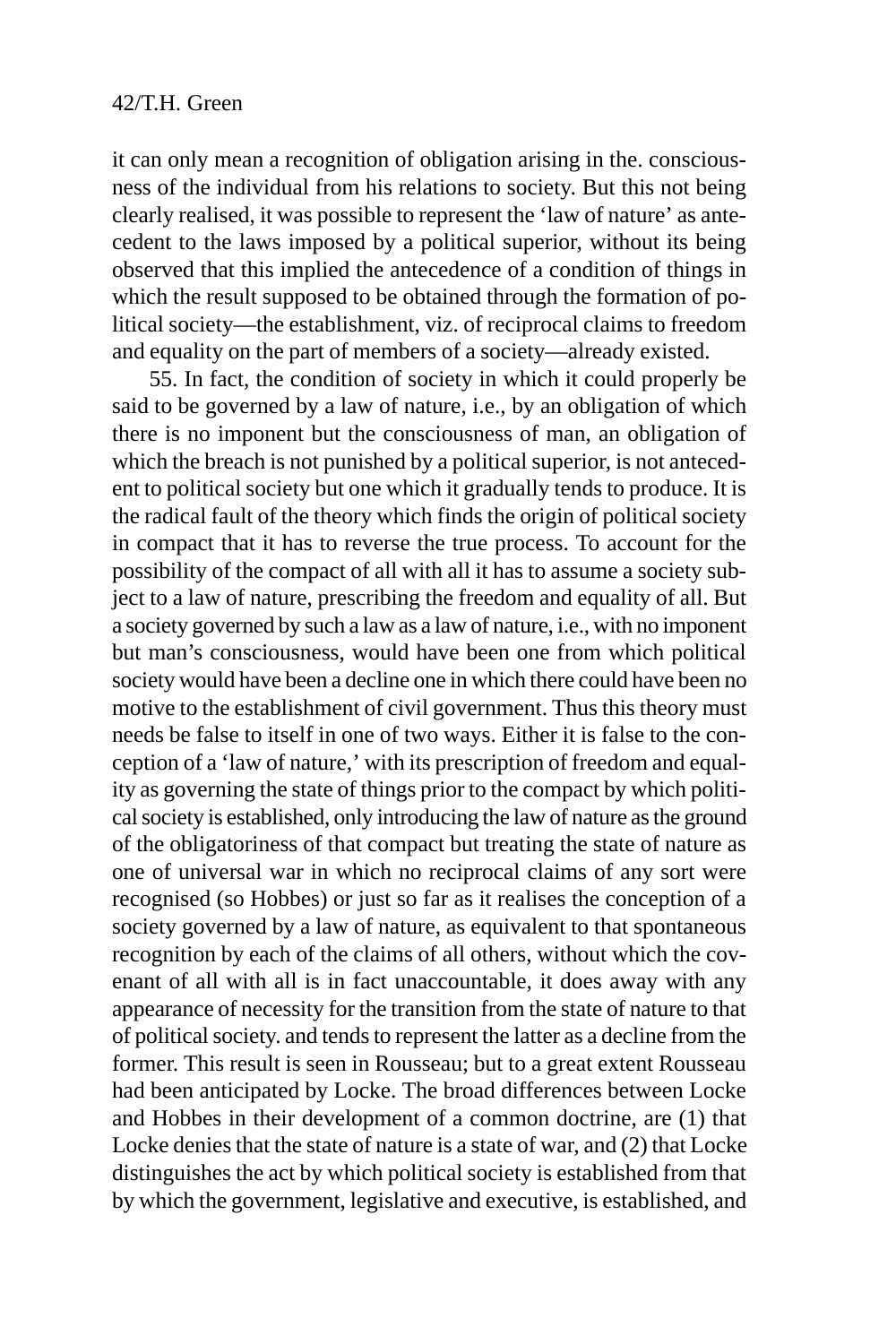it can only mean a recognition of obligation arising in the. consciousness of the individual from his relations to society. But this not being clearly realised, it was possible to represent the 'law of nature' as antecedent to the laws imposed by a political superior, without its being observed that this implied the antecedence of a condition of things in which the result supposed to be obtained through the formation of political society—the establishment, viz. of reciprocal claims to freedom and equality on the part of members of a society—already existed.

55. In fact, the condition of society in which it could properly be said to be governed by a law of nature, i.e., by an obligation of which there is no imponent but the consciousness of man, an obligation of which the breach is not punished by a political superior, is not antecedent to political society but one which it gradually tends to produce. It is the radical fault of the theory which finds the origin of political society in compact that it has to reverse the true process. To account for the possibility of the compact of all with all it has to assume a society subject to a law of nature, prescribing the freedom and equality of all. But a society governed by such a law as a law of nature, i.e., with no imponent but man's consciousness, would have been one from which political society would have been a decline one in which there could have been no motive to the establishment of civil government. Thus this theory must needs be false to itself in one of two ways. Either it is false to the conception of a 'law of nature,' with its prescription of freedom and equality as governing the state of things prior to the compact by which political society is established, only introducing the law of nature as the ground of the obligatoriness of that compact but treating the state of nature as one of universal war in which no reciprocal claims of any sort were recognised (so Hobbes) or just so far as it realises the conception of a society governed by a law of nature, as equivalent to that spontaneous recognition by each of the claims of all others, without which the covenant of all with all is in fact unaccountable, it does away with any appearance of necessity for the transition from the state of nature to that of political society. and tends to represent the latter as a decline from the former. This result is seen in Rousseau; but to a great extent Rousseau had been anticipated by Locke. The broad differences between Locke and Hobbes in their development of a common doctrine, are (1) that Locke denies that the state of nature is a state of war, and (2) that Locke distinguishes the act by which political society is established from that by which the government, legislative and executive, is established, and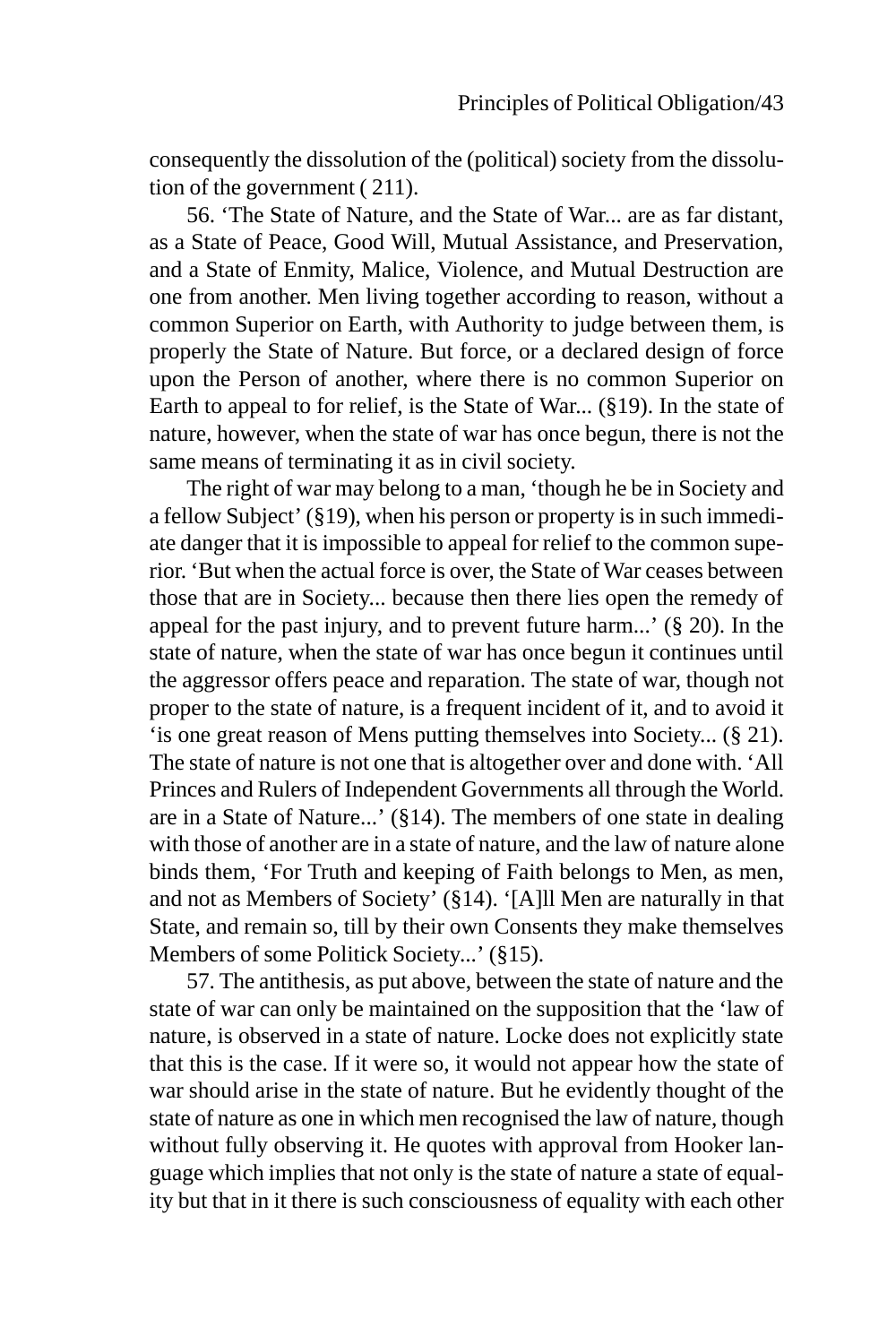consequently the dissolution of the (political) society from the dissolution of the government ( 211).

56. 'The State of Nature, and the State of War... are as far distant, as a State of Peace, Good Will, Mutual Assistance, and Preservation, and a State of Enmity, Malice, Violence, and Mutual Destruction are one from another. Men living together according to reason, without a common Superior on Earth, with Authority to judge between them, is properly the State of Nature. But force, or a declared design of force upon the Person of another, where there is no common Superior on Earth to appeal to for relief, is the State of War... (§19). In the state of nature, however, when the state of war has once begun, there is not the same means of terminating it as in civil society.

The right of war may belong to a man, 'though he be in Society and a fellow Subject' (§19), when his person or property is in such immediate danger that it is impossible to appeal for relief to the common superior. 'But when the actual force is over, the State of War ceases between those that are in Society... because then there lies open the remedy of appeal for the past injury, and to prevent future harm...' (§ 20). In the state of nature, when the state of war has once begun it continues until the aggressor offers peace and reparation. The state of war, though not proper to the state of nature, is a frequent incident of it, and to avoid it 'is one great reason of Mens putting themselves into Society... (§ 21). The state of nature is not one that is altogether over and done with. 'All Princes and Rulers of Independent Governments all through the World. are in a State of Nature...' (§14). The members of one state in dealing with those of another are in a state of nature, and the law of nature alone binds them, 'For Truth and keeping of Faith belongs to Men, as men, and not as Members of Society' (§14). '[A]ll Men are naturally in that State, and remain so, till by their own Consents they make themselves Members of some Politick Society...' (§15).

57. The antithesis, as put above, between the state of nature and the state of war can only be maintained on the supposition that the 'law of nature, is observed in a state of nature. Locke does not explicitly state that this is the case. If it were so, it would not appear how the state of war should arise in the state of nature. But he evidently thought of the state of nature as one in which men recognised the law of nature, though without fully observing it. He quotes with approval from Hooker language which implies that not only is the state of nature a state of equality but that in it there is such consciousness of equality with each other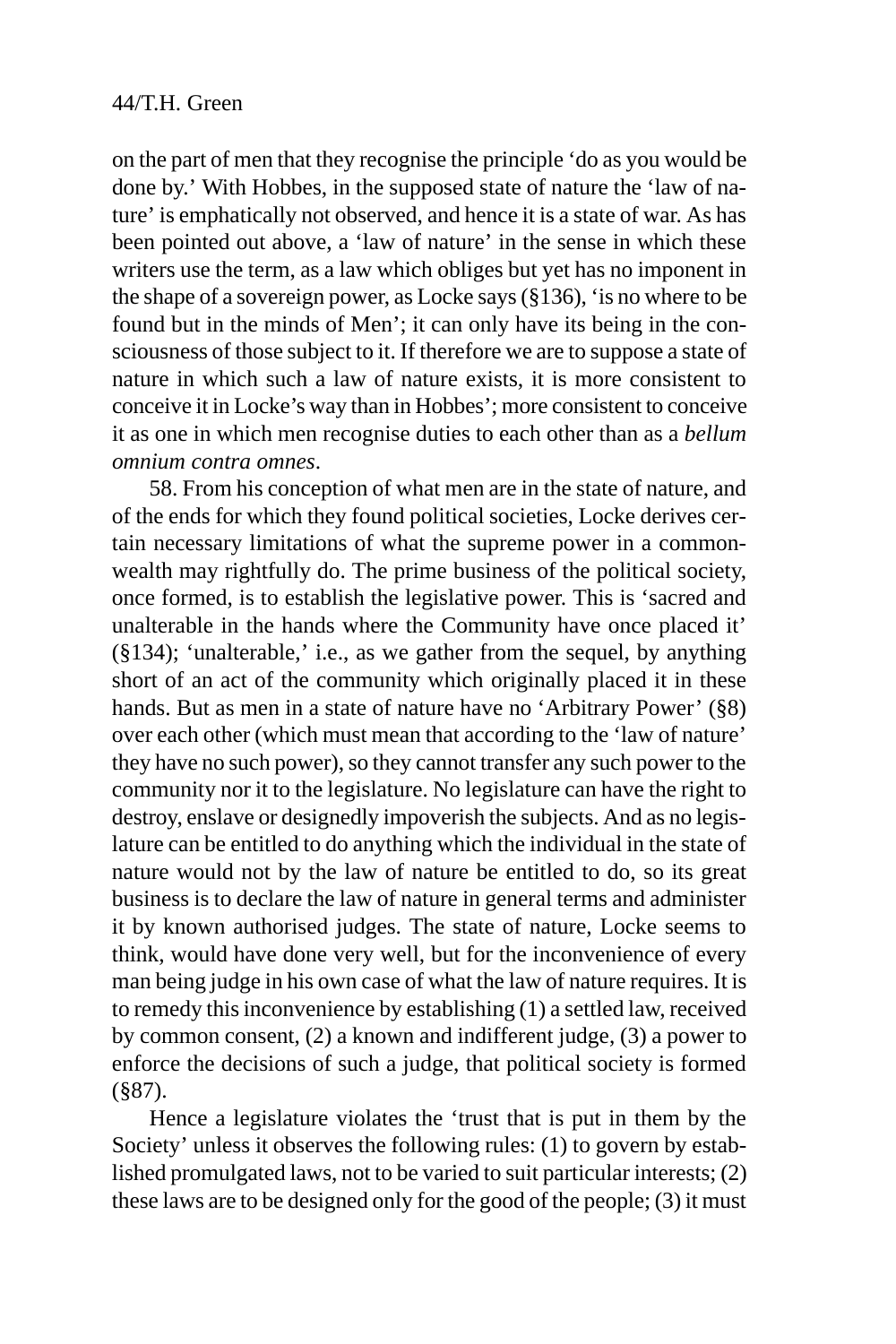on the part of men that they recognise the principle 'do as you would be done by.' With Hobbes, in the supposed state of nature the 'law of nature' is emphatically not observed, and hence it is a state of war. As has been pointed out above, a 'law of nature' in the sense in which these writers use the term, as a law which obliges but yet has no imponent in the shape of a sovereign power, as Locke says (§136), 'is no where to be found but in the minds of Men'; it can only have its being in the consciousness of those subject to it. If therefore we are to suppose a state of nature in which such a law of nature exists, it is more consistent to conceive it in Locke's way than in Hobbes'; more consistent to conceive it as one in which men recognise duties to each other than as a *bellum omnium contra omnes*.

58. From his conception of what men are in the state of nature, and of the ends for which they found political societies, Locke derives certain necessary limitations of what the supreme power in a commonwealth may rightfully do. The prime business of the political society, once formed, is to establish the legislative power. This is 'sacred and unalterable in the hands where the Community have once placed it' (§134); 'unalterable,' i.e., as we gather from the sequel, by anything short of an act of the community which originally placed it in these hands. But as men in a state of nature have no 'Arbitrary Power' (§8) over each other (which must mean that according to the 'law of nature' they have no such power), so they cannot transfer any such power to the community nor it to the legislature. No legislature can have the right to destroy, enslave or designedly impoverish the subjects. And as no legislature can be entitled to do anything which the individual in the state of nature would not by the law of nature be entitled to do, so its great business is to declare the law of nature in general terms and administer it by known authorised judges. The state of nature, Locke seems to think, would have done very well, but for the inconvenience of every man being judge in his own case of what the law of nature requires. It is to remedy this inconvenience by establishing (1) a settled law, received by common consent, (2) a known and indifferent judge, (3) a power to enforce the decisions of such a judge, that political society is formed (§87).

Hence a legislature violates the 'trust that is put in them by the Society' unless it observes the following rules: (1) to govern by established promulgated laws, not to be varied to suit particular interests; (2) these laws are to be designed only for the good of the people; (3) it must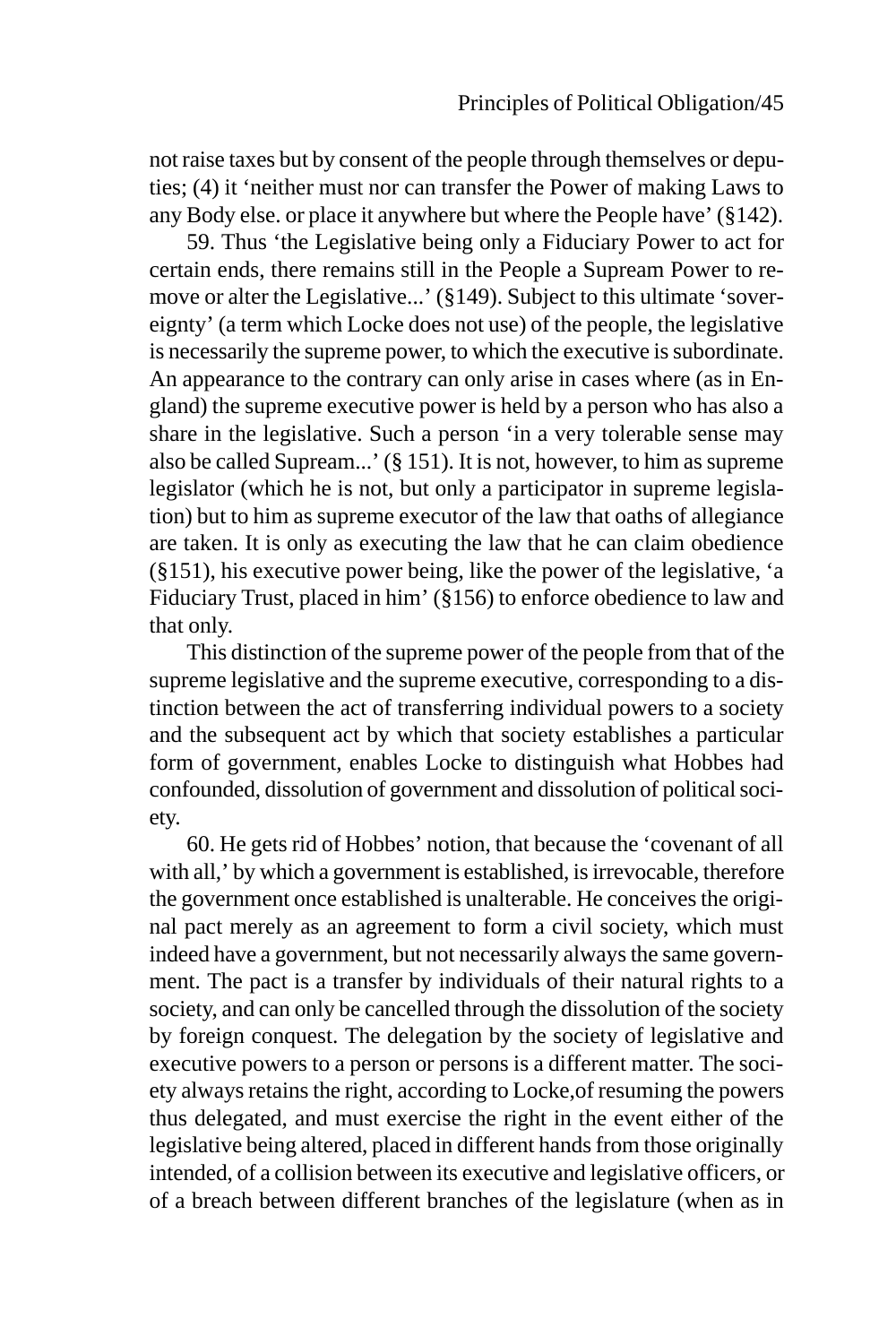not raise taxes but by consent of the people through themselves or deputies; (4) it 'neither must nor can transfer the Power of making Laws to any Body else. or place it anywhere but where the People have' (§142).

59. Thus 'the Legislative being only a Fiduciary Power to act for certain ends, there remains still in the People a Supream Power to remove or alter the Legislative...' (§149). Subject to this ultimate 'sovereignty' (a term which Locke does not use) of the people, the legislative is necessarily the supreme power, to which the executive is subordinate. An appearance to the contrary can only arise in cases where (as in England) the supreme executive power is held by a person who has also a share in the legislative. Such a person 'in a very tolerable sense may also be called Supream...' (§ 151). It is not, however, to him as supreme legislator (which he is not, but only a participator in supreme legislation) but to him as supreme executor of the law that oaths of allegiance are taken. It is only as executing the law that he can claim obedience (§151), his executive power being, like the power of the legislative, 'a Fiduciary Trust, placed in him' (§156) to enforce obedience to law and that only.

This distinction of the supreme power of the people from that of the supreme legislative and the supreme executive, corresponding to a distinction between the act of transferring individual powers to a society and the subsequent act by which that society establishes a particular form of government, enables Locke to distinguish what Hobbes had confounded, dissolution of government and dissolution of political society.

60. He gets rid of Hobbes' notion, that because the 'covenant of all with all,' by which a government is established, is irrevocable, therefore the government once established is unalterable. He conceives the original pact merely as an agreement to form a civil society, which must indeed have a government, but not necessarily always the same government. The pact is a transfer by individuals of their natural rights to a society, and can only be cancelled through the dissolution of the society by foreign conquest. The delegation by the society of legislative and executive powers to a person or persons is a different matter. The society always retains the right, according to Locke,of resuming the powers thus delegated, and must exercise the right in the event either of the legislative being altered, placed in different hands from those originally intended, of a collision between its executive and legislative officers, or of a breach between different branches of the legislature (when as in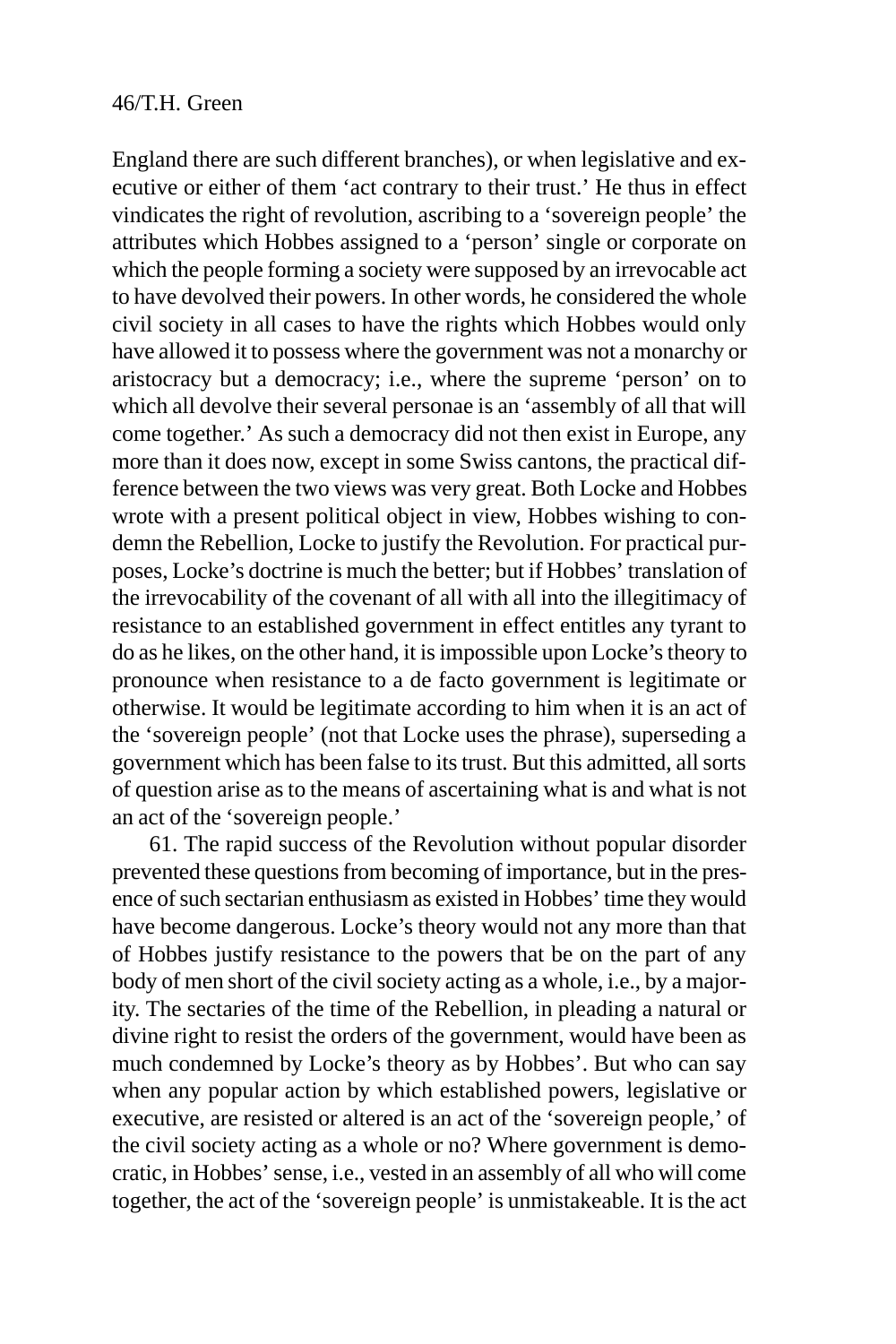England there are such different branches), or when legislative and executive or either of them 'act contrary to their trust.' He thus in effect vindicates the right of revolution, ascribing to a 'sovereign people' the attributes which Hobbes assigned to a 'person' single or corporate on which the people forming a society were supposed by an irrevocable act to have devolved their powers. In other words, he considered the whole civil society in all cases to have the rights which Hobbes would only have allowed it to possess where the government was not a monarchy or aristocracy but a democracy; i.e., where the supreme 'person' on to which all devolve their several personae is an 'assembly of all that will come together.' As such a democracy did not then exist in Europe, any more than it does now, except in some Swiss cantons, the practical difference between the two views was very great. Both Locke and Hobbes wrote with a present political object in view, Hobbes wishing to condemn the Rebellion, Locke to justify the Revolution. For practical purposes, Locke's doctrine is much the better; but if Hobbes' translation of the irrevocability of the covenant of all with all into the illegitimacy of resistance to an established government in effect entitles any tyrant to do as he likes, on the other hand, it is impossible upon Locke's theory to pronounce when resistance to a de facto government is legitimate or otherwise. It would be legitimate according to him when it is an act of the 'sovereign people' (not that Locke uses the phrase), superseding a government which has been false to its trust. But this admitted, all sorts of question arise as to the means of ascertaining what is and what is not an act of the 'sovereign people.'

61. The rapid success of the Revolution without popular disorder prevented these questions from becoming of importance, but in the presence of such sectarian enthusiasm as existed in Hobbes' time they would have become dangerous. Locke's theory would not any more than that of Hobbes justify resistance to the powers that be on the part of any body of men short of the civil society acting as a whole, i.e., by a majority. The sectaries of the time of the Rebellion, in pleading a natural or divine right to resist the orders of the government, would have been as much condemned by Locke's theory as by Hobbes'. But who can say when any popular action by which established powers, legislative or executive, are resisted or altered is an act of the 'sovereign people,' of the civil society acting as a whole or no? Where government is democratic, in Hobbes' sense, i.e., vested in an assembly of all who will come together, the act of the 'sovereign people' is unmistakeable. It is the act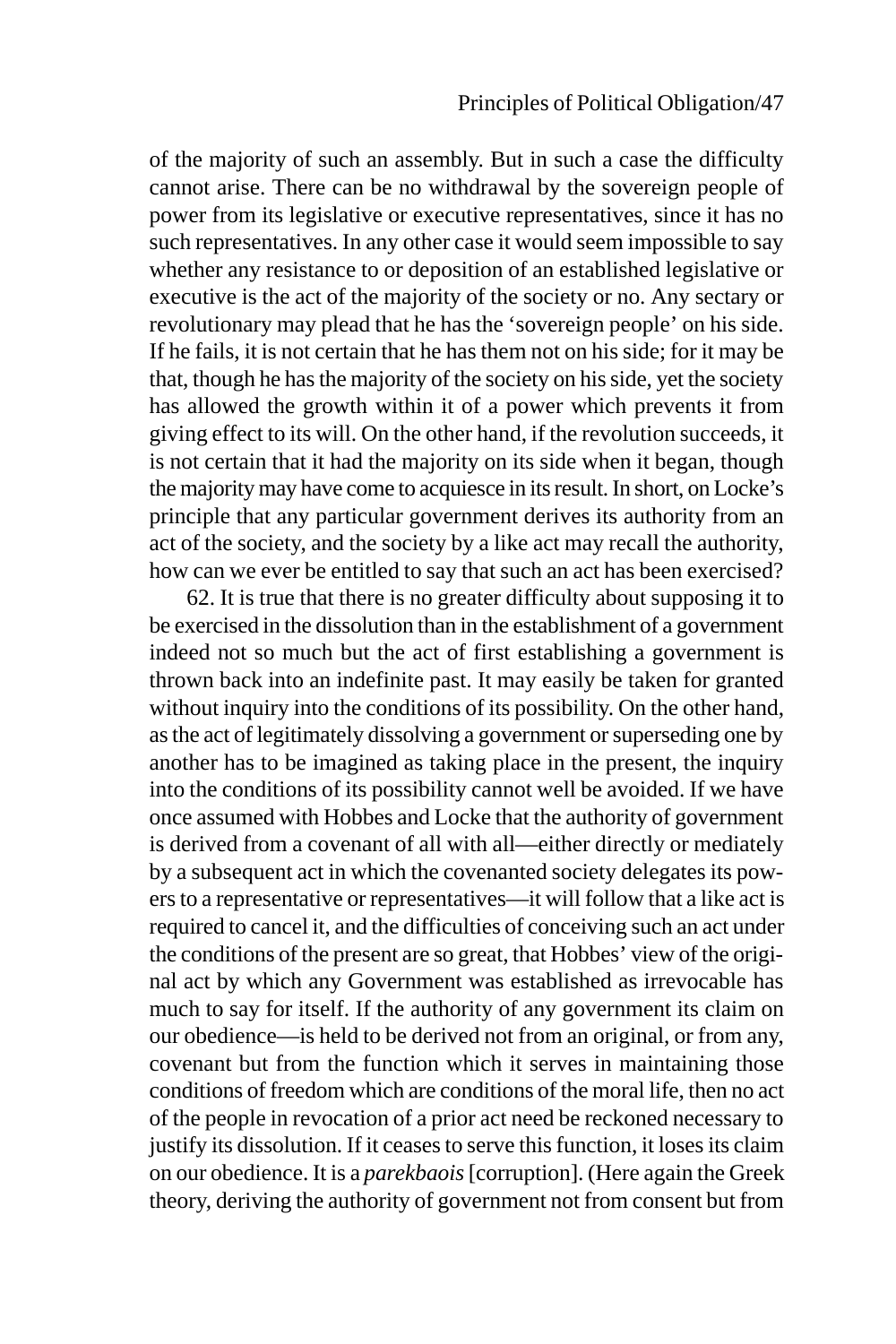of the majority of such an assembly. But in such a case the difficulty cannot arise. There can be no withdrawal by the sovereign people of power from its legislative or executive representatives, since it has no such representatives. In any other case it would seem impossible to say whether any resistance to or deposition of an established legislative or executive is the act of the majority of the society or no. Any sectary or revolutionary may plead that he has the 'sovereign people' on his side. If he fails, it is not certain that he has them not on his side; for it may be that, though he has the majority of the society on his side, yet the society has allowed the growth within it of a power which prevents it from giving effect to its will. On the other hand, if the revolution succeeds, it is not certain that it had the majority on its side when it began, though the majority may have come to acquiesce in its result. In short, on Locke's principle that any particular government derives its authority from an act of the society, and the society by a like act may recall the authority, how can we ever be entitled to say that such an act has been exercised?

62. It is true that there is no greater difficulty about supposing it to be exercised in the dissolution than in the establishment of a government indeed not so much but the act of first establishing a government is thrown back into an indefinite past. It may easily be taken for granted without inquiry into the conditions of its possibility. On the other hand, as the act of legitimately dissolving a government or superseding one by another has to be imagined as taking place in the present, the inquiry into the conditions of its possibility cannot well be avoided. If we have once assumed with Hobbes and Locke that the authority of government is derived from a covenant of all with all—either directly or mediately by a subsequent act in which the covenanted society delegates its powers to a representative or representatives—it will follow that a like act is required to cancel it, and the difficulties of conceiving such an act under the conditions of the present are so great, that Hobbes' view of the original act by which any Government was established as irrevocable has much to say for itself. If the authority of any government its claim on our obedience—is held to be derived not from an original, or from any, covenant but from the function which it serves in maintaining those conditions of freedom which are conditions of the moral life, then no act of the people in revocation of a prior act need be reckoned necessary to justify its dissolution. If it ceases to serve this function, it loses its claim on our obedience. It is a *parekbaois* [corruption]. (Here again the Greek theory, deriving the authority of government not from consent but from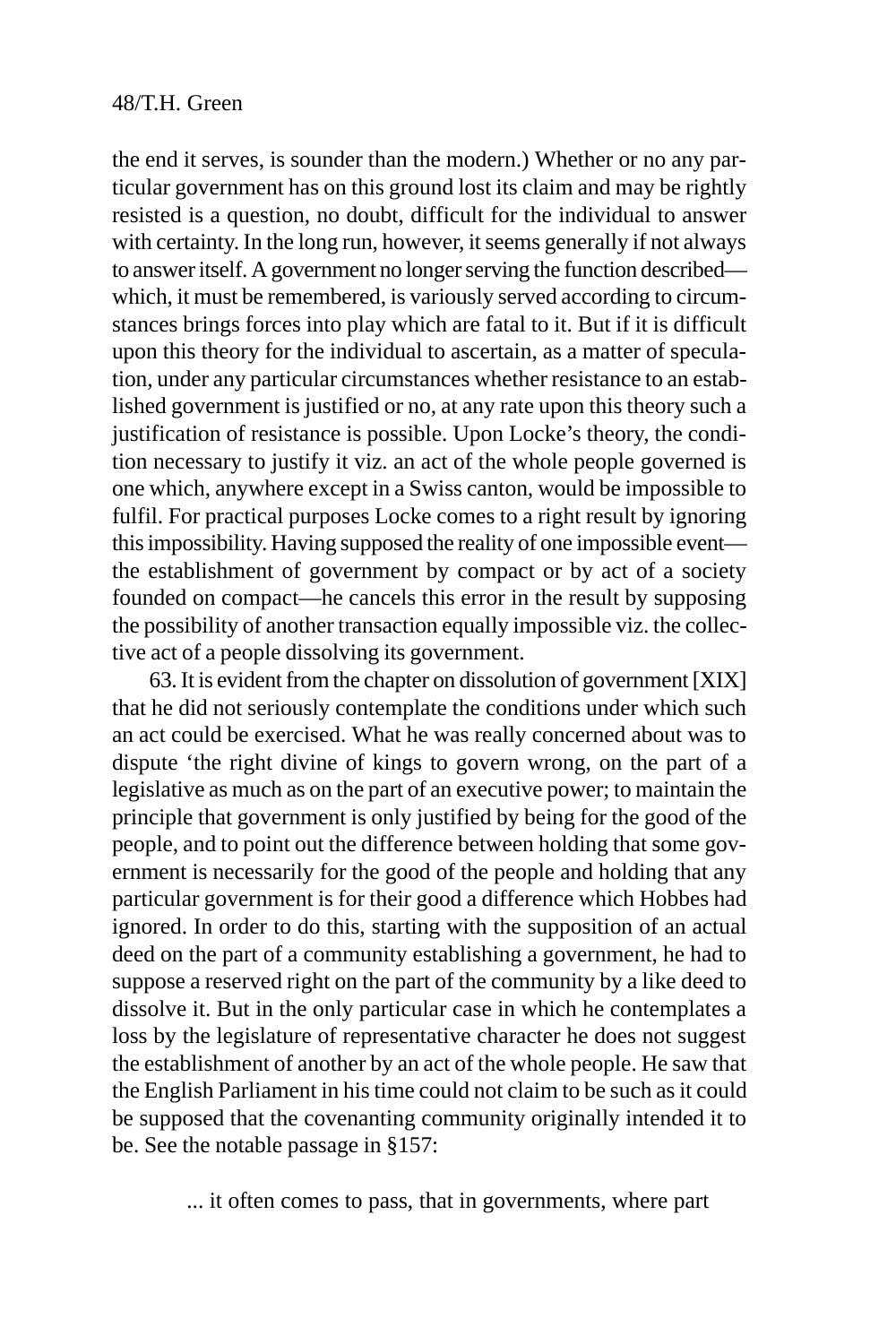the end it serves, is sounder than the modern.) Whether or no any particular government has on this ground lost its claim and may be rightly resisted is a question, no doubt, difficult for the individual to answer with certainty. In the long run, however, it seems generally if not always to answer itself. A government no longer serving the function described which, it must be remembered, is variously served according to circumstances brings forces into play which are fatal to it. But if it is difficult upon this theory for the individual to ascertain, as a matter of speculation, under any particular circumstances whether resistance to an established government is justified or no, at any rate upon this theory such a justification of resistance is possible. Upon Locke's theory, the condition necessary to justify it viz. an act of the whole people governed is one which, anywhere except in a Swiss canton, would be impossible to fulfil. For practical purposes Locke comes to a right result by ignoring this impossibility. Having supposed the reality of one impossible event the establishment of government by compact or by act of a society founded on compact—he cancels this error in the result by supposing the possibility of another transaction equally impossible viz. the collective act of a people dissolving its government.

63. It is evident from the chapter on dissolution of government [XIX] that he did not seriously contemplate the conditions under which such an act could be exercised. What he was really concerned about was to dispute 'the right divine of kings to govern wrong, on the part of a legislative as much as on the part of an executive power; to maintain the principle that government is only justified by being for the good of the people, and to point out the difference between holding that some government is necessarily for the good of the people and holding that any particular government is for their good a difference which Hobbes had ignored. In order to do this, starting with the supposition of an actual deed on the part of a community establishing a government, he had to suppose a reserved right on the part of the community by a like deed to dissolve it. But in the only particular case in which he contemplates a loss by the legislature of representative character he does not suggest the establishment of another by an act of the whole people. He saw that the English Parliament in his time could not claim to be such as it could be supposed that the covenanting community originally intended it to be. See the notable passage in §157:

... it often comes to pass, that in governments, where part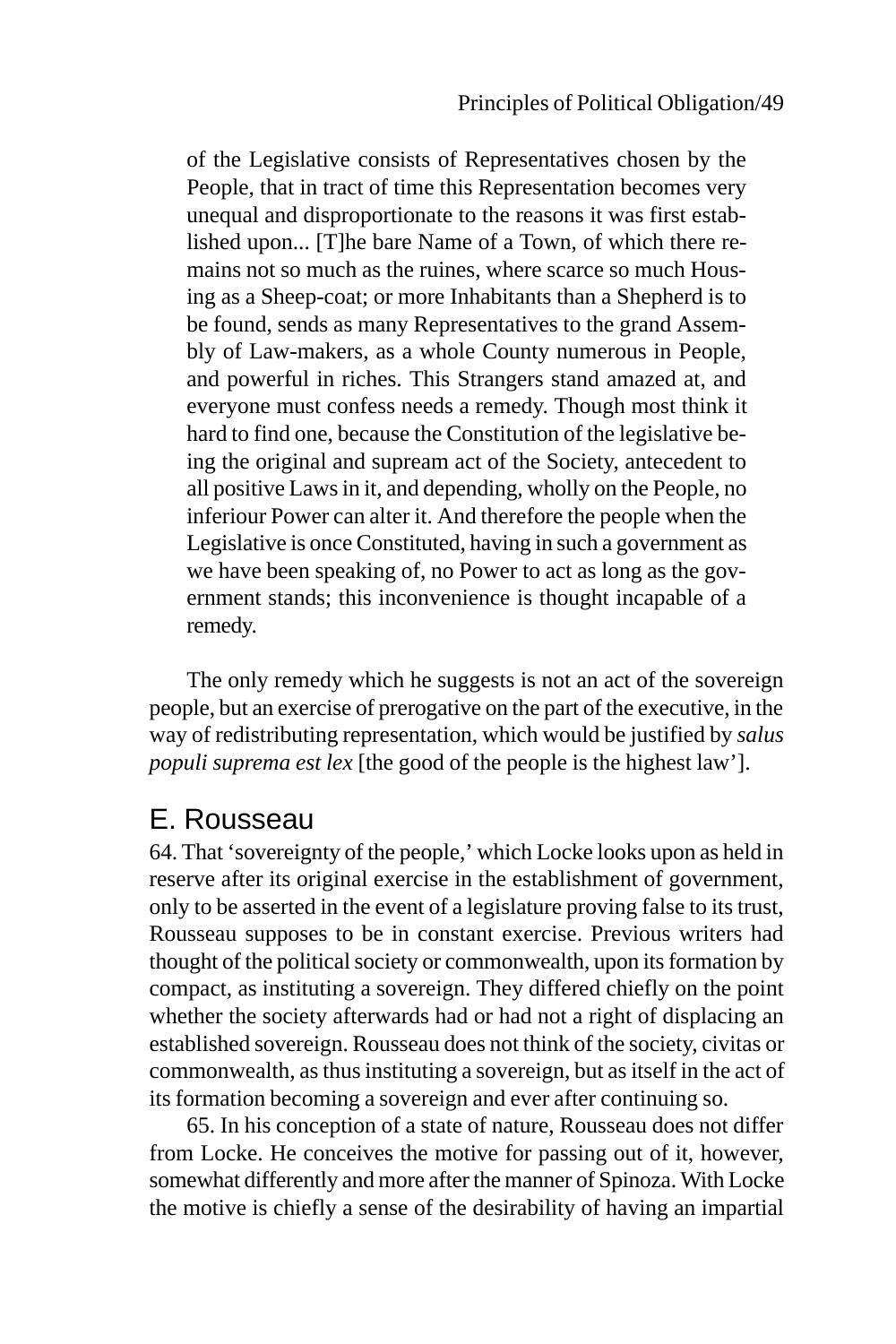of the Legislative consists of Representatives chosen by the People, that in tract of time this Representation becomes very unequal and disproportionate to the reasons it was first established upon... [T]he bare Name of a Town, of which there remains not so much as the ruines, where scarce so much Housing as a Sheep-coat; or more Inhabitants than a Shepherd is to be found, sends as many Representatives to the grand Assembly of Law-makers, as a whole County numerous in People, and powerful in riches. This Strangers stand amazed at, and everyone must confess needs a remedy. Though most think it hard to find one, because the Constitution of the legislative being the original and supream act of the Society, antecedent to all positive Laws in it, and depending, wholly on the People, no inferiour Power can alter it. And therefore the people when the Legislative is once Constituted, having in such a government as we have been speaking of, no Power to act as long as the government stands; this inconvenience is thought incapable of a remedy.

The only remedy which he suggests is not an act of the sovereign people, but an exercise of prerogative on the part of the executive, in the way of redistributing representation, which would be justified by *salus populi suprema est lex* [the good of the people is the highest law'].

# E. Rousseau

64. That 'sovereignty of the people,' which Locke looks upon as held in reserve after its original exercise in the establishment of government, only to be asserted in the event of a legislature proving false to its trust, Rousseau supposes to be in constant exercise. Previous writers had thought of the political society or commonwealth, upon its formation by compact, as instituting a sovereign. They differed chiefly on the point whether the society afterwards had or had not a right of displacing an established sovereign. Rousseau does not think of the society, civitas or commonwealth, as thus instituting a sovereign, but as itself in the act of its formation becoming a sovereign and ever after continuing so.

65. In his conception of a state of nature, Rousseau does not differ from Locke. He conceives the motive for passing out of it, however, somewhat differently and more after the manner of Spinoza. With Locke the motive is chiefly a sense of the desirability of having an impartial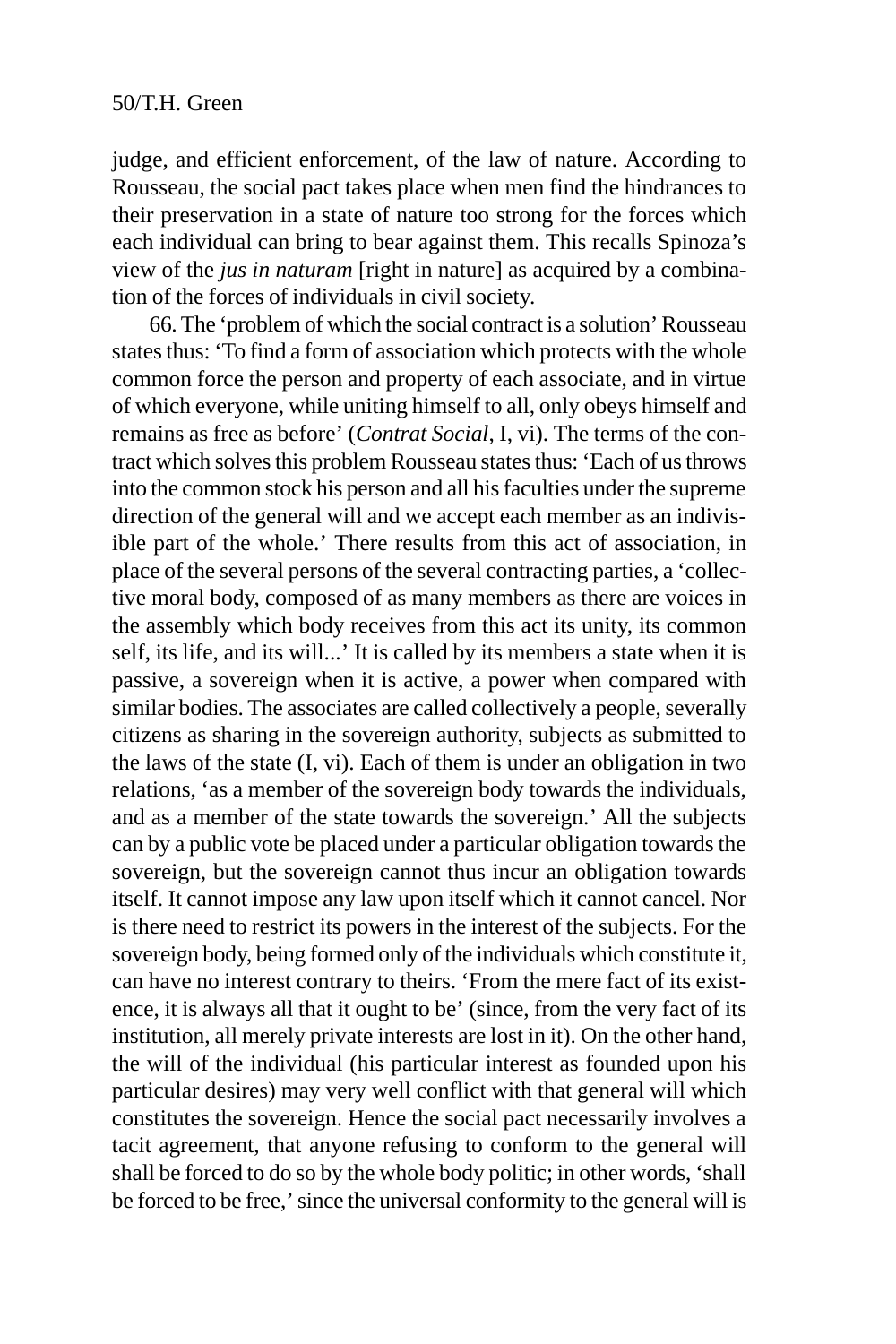judge, and efficient enforcement, of the law of nature. According to Rousseau, the social pact takes place when men find the hindrances to their preservation in a state of nature too strong for the forces which each individual can bring to bear against them. This recalls Spinoza's view of the *jus in naturam* [right in nature] as acquired by a combination of the forces of individuals in civil society.

66. The 'problem of which the social contract is a solution' Rousseau states thus: 'To find a form of association which protects with the whole common force the person and property of each associate, and in virtue of which everyone, while uniting himself to all, only obeys himself and remains as free as before' (*Contrat Social*, I, vi). The terms of the contract which solves this problem Rousseau states thus: 'Each of us throws into the common stock his person and all his faculties under the supreme direction of the general will and we accept each member as an indivisible part of the whole.' There results from this act of association, in place of the several persons of the several contracting parties, a 'collective moral body, composed of as many members as there are voices in the assembly which body receives from this act its unity, its common self, its life, and its will...' It is called by its members a state when it is passive, a sovereign when it is active, a power when compared with similar bodies. The associates are called collectively a people, severally citizens as sharing in the sovereign authority, subjects as submitted to the laws of the state (I, vi). Each of them is under an obligation in two relations, 'as a member of the sovereign body towards the individuals, and as a member of the state towards the sovereign.' All the subjects can by a public vote be placed under a particular obligation towards the sovereign, but the sovereign cannot thus incur an obligation towards itself. It cannot impose any law upon itself which it cannot cancel. Nor is there need to restrict its powers in the interest of the subjects. For the sovereign body, being formed only of the individuals which constitute it, can have no interest contrary to theirs. 'From the mere fact of its existence, it is always all that it ought to be' (since, from the very fact of its institution, all merely private interests are lost in it). On the other hand, the will of the individual (his particular interest as founded upon his particular desires) may very well conflict with that general will which constitutes the sovereign. Hence the social pact necessarily involves a tacit agreement, that anyone refusing to conform to the general will shall be forced to do so by the whole body politic; in other words, 'shall be forced to be free,' since the universal conformity to the general will is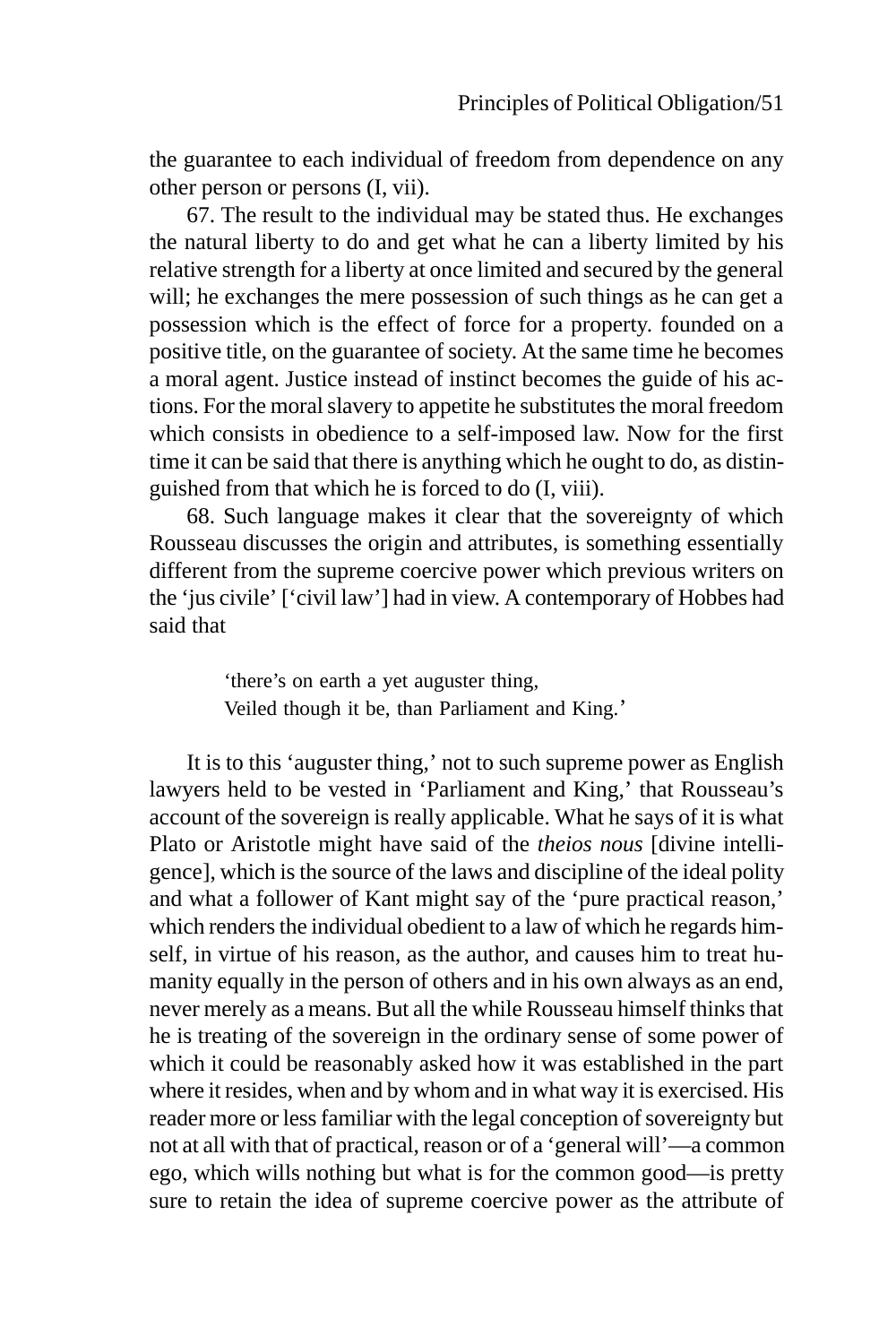the guarantee to each individual of freedom from dependence on any other person or persons (I, vii).

67. The result to the individual may be stated thus. He exchanges the natural liberty to do and get what he can a liberty limited by his relative strength for a liberty at once limited and secured by the general will; he exchanges the mere possession of such things as he can get a possession which is the effect of force for a property. founded on a positive title, on the guarantee of society. At the same time he becomes a moral agent. Justice instead of instinct becomes the guide of his actions. For the moral slavery to appetite he substitutes the moral freedom which consists in obedience to a self-imposed law. Now for the first time it can be said that there is anything which he ought to do, as distinguished from that which he is forced to do (I, viii).

68. Such language makes it clear that the sovereignty of which Rousseau discusses the origin and attributes, is something essentially different from the supreme coercive power which previous writers on the 'jus civile' ['civil law'] had in view. A contemporary of Hobbes had said that

> 'there's on earth a yet auguster thing, Veiled though it be, than Parliament and King.'

It is to this 'auguster thing,' not to such supreme power as English lawyers held to be vested in 'Parliament and King,' that Rousseau's account of the sovereign is really applicable. What he says of it is what Plato or Aristotle might have said of the *theios nous* [divine intelligence], which is the source of the laws and discipline of the ideal polity and what a follower of Kant might say of the 'pure practical reason,' which renders the individual obedient to a law of which he regards himself, in virtue of his reason, as the author, and causes him to treat humanity equally in the person of others and in his own always as an end, never merely as a means. But all the while Rousseau himself thinks that he is treating of the sovereign in the ordinary sense of some power of which it could be reasonably asked how it was established in the part where it resides, when and by whom and in what way it is exercised. His reader more or less familiar with the legal conception of sovereignty but not at all with that of practical, reason or of a 'general will'—a common ego, which wills nothing but what is for the common good—is pretty sure to retain the idea of supreme coercive power as the attribute of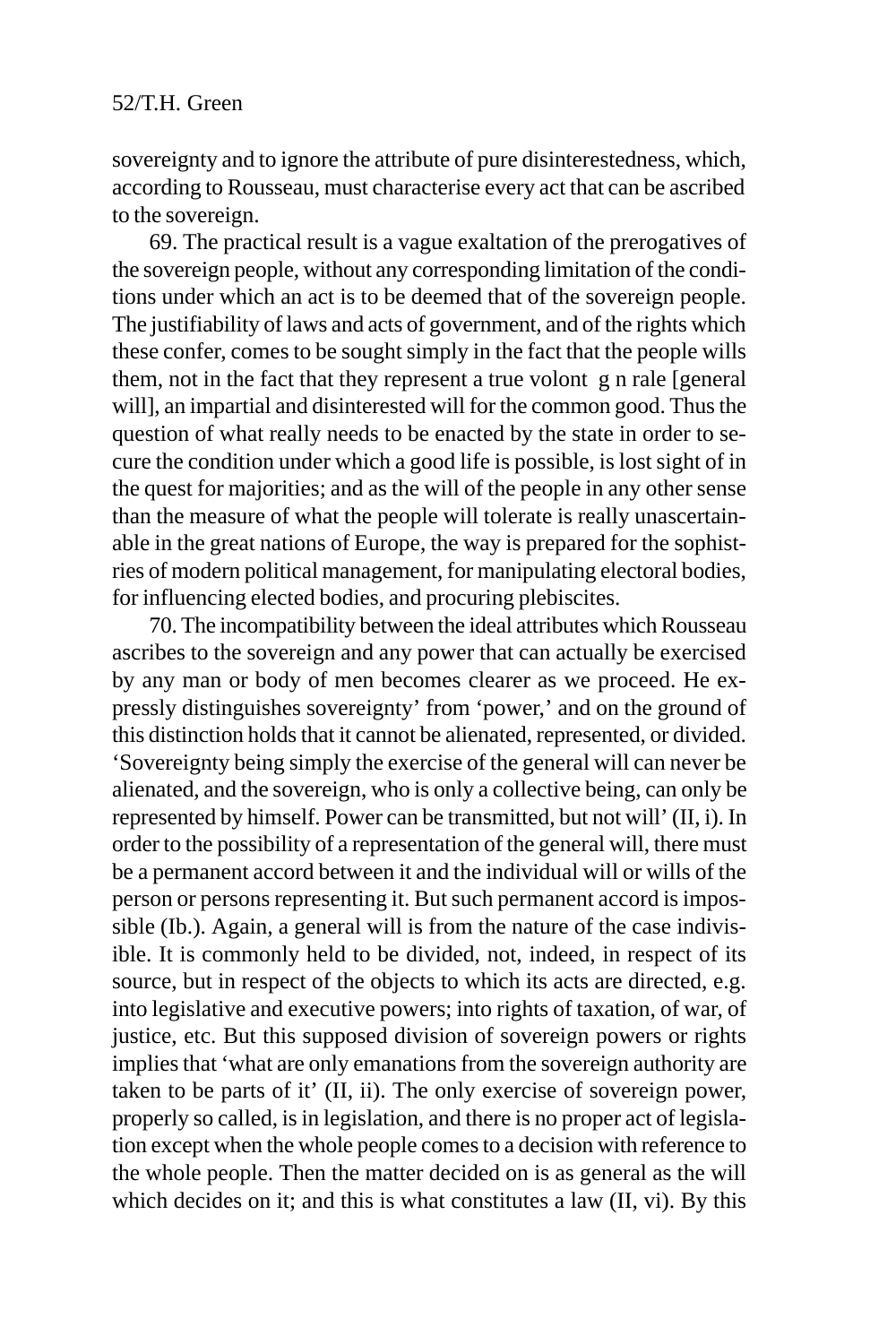sovereignty and to ignore the attribute of pure disinterestedness, which, according to Rousseau, must characterise every act that can be ascribed to the sovereign.

69. The practical result is a vague exaltation of the prerogatives of the sovereign people, without any corresponding limitation of the conditions under which an act is to be deemed that of the sovereign people. The justifiability of laws and acts of government, and of the rights which these confer, comes to be sought simply in the fact that the people wills them, not in the fact that they represent a true volont g n rale [general will], an impartial and disinterested will for the common good. Thus the question of what really needs to be enacted by the state in order to secure the condition under which a good life is possible, is lost sight of in the quest for majorities; and as the will of the people in any other sense than the measure of what the people will tolerate is really unascertainable in the great nations of Europe, the way is prepared for the sophistries of modern political management, for manipulating electoral bodies, for influencing elected bodies, and procuring plebiscites.

70. The incompatibility between the ideal attributes which Rousseau ascribes to the sovereign and any power that can actually be exercised by any man or body of men becomes clearer as we proceed. He expressly distinguishes sovereignty' from 'power,' and on the ground of this distinction holds that it cannot be alienated, represented, or divided. 'Sovereignty being simply the exercise of the general will can never be alienated, and the sovereign, who is only a collective being, can only be represented by himself. Power can be transmitted, but not will' (II, i). In order to the possibility of a representation of the general will, there must be a permanent accord between it and the individual will or wills of the person or persons representing it. But such permanent accord is impossible (Ib.). Again, a general will is from the nature of the case indivisible. It is commonly held to be divided, not, indeed, in respect of its source, but in respect of the objects to which its acts are directed, e.g. into legislative and executive powers; into rights of taxation, of war, of justice, etc. But this supposed division of sovereign powers or rights implies that 'what are only emanations from the sovereign authority are taken to be parts of it' (II, ii). The only exercise of sovereign power, properly so called, is in legislation, and there is no proper act of legislation except when the whole people comes to a decision with reference to the whole people. Then the matter decided on is as general as the will which decides on it; and this is what constitutes a law (II, vi). By this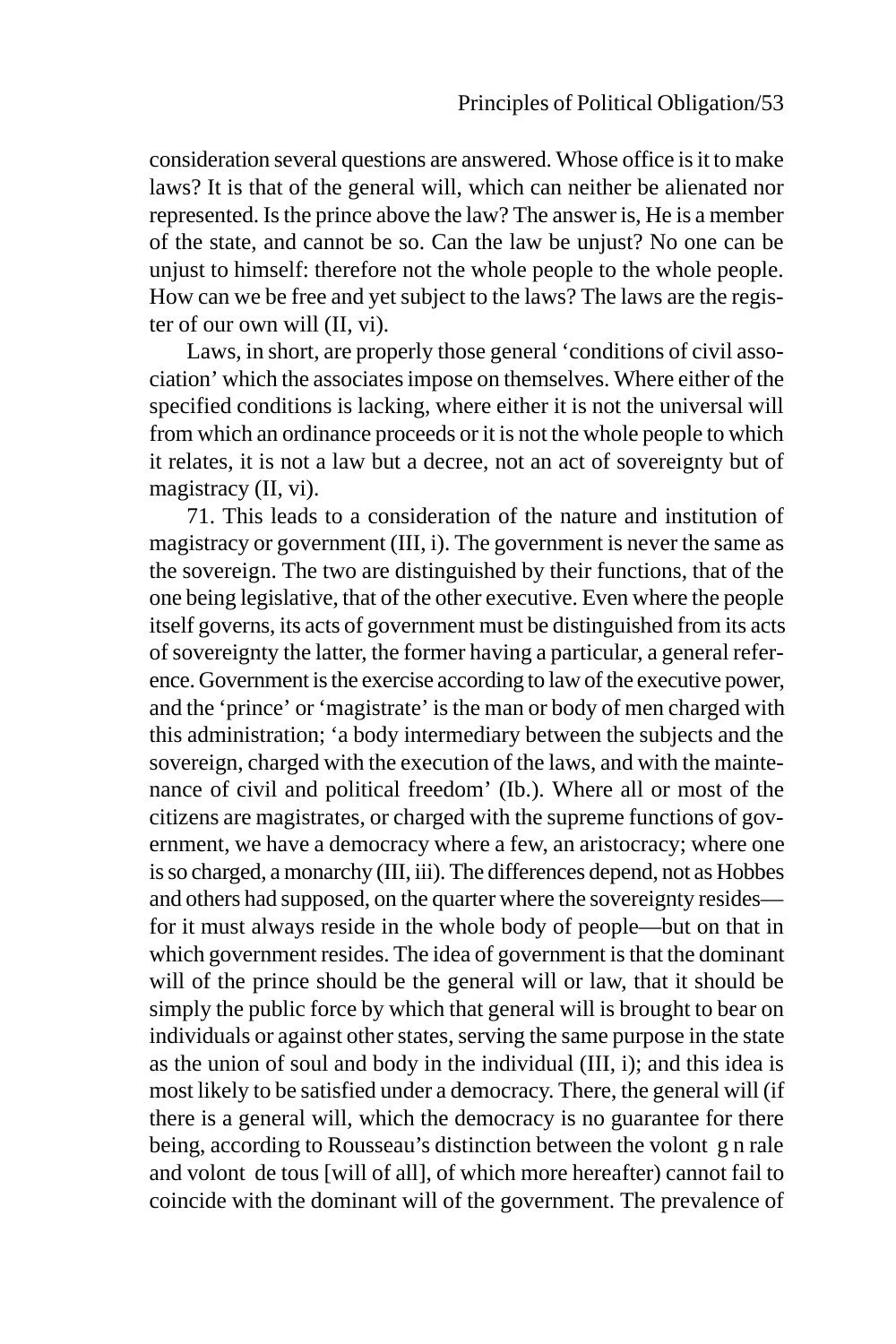consideration several questions are answered. Whose office is it to make laws? It is that of the general will, which can neither be alienated nor represented. Is the prince above the law? The answer is, He is a member of the state, and cannot be so. Can the law be unjust? No one can be unjust to himself: therefore not the whole people to the whole people. How can we be free and yet subject to the laws? The laws are the register of our own will (II, vi).

Laws, in short, are properly those general 'conditions of civil association' which the associates impose on themselves. Where either of the specified conditions is lacking, where either it is not the universal will from which an ordinance proceeds or it is not the whole people to which it relates, it is not a law but a decree, not an act of sovereignty but of magistracy (II, vi).

71. This leads to a consideration of the nature and institution of magistracy or government (III, i). The government is never the same as the sovereign. The two are distinguished by their functions, that of the one being legislative, that of the other executive. Even where the people itself governs, its acts of government must be distinguished from its acts of sovereignty the latter, the former having a particular, a general reference. Government is the exercise according to law of the executive power, and the 'prince' or 'magistrate' is the man or body of men charged with this administration; 'a body intermediary between the subjects and the sovereign, charged with the execution of the laws, and with the maintenance of civil and political freedom' (Ib.). Where all or most of the citizens are magistrates, or charged with the supreme functions of government, we have a democracy where a few, an aristocracy; where one is so charged, a monarchy (III, iii). The differences depend, not as Hobbes and others had supposed, on the quarter where the sovereignty resides for it must always reside in the whole body of people—but on that in which government resides. The idea of government is that the dominant will of the prince should be the general will or law, that it should be simply the public force by which that general will is brought to bear on individuals or against other states, serving the same purpose in the state as the union of soul and body in the individual (III, i); and this idea is most likely to be satisfied under a democracy. There, the general will (if there is a general will, which the democracy is no guarantee for there being, according to Rousseau's distinction between the volont g n rale and volont de tous [will of all], of which more hereafter) cannot fail to coincide with the dominant will of the government. The prevalence of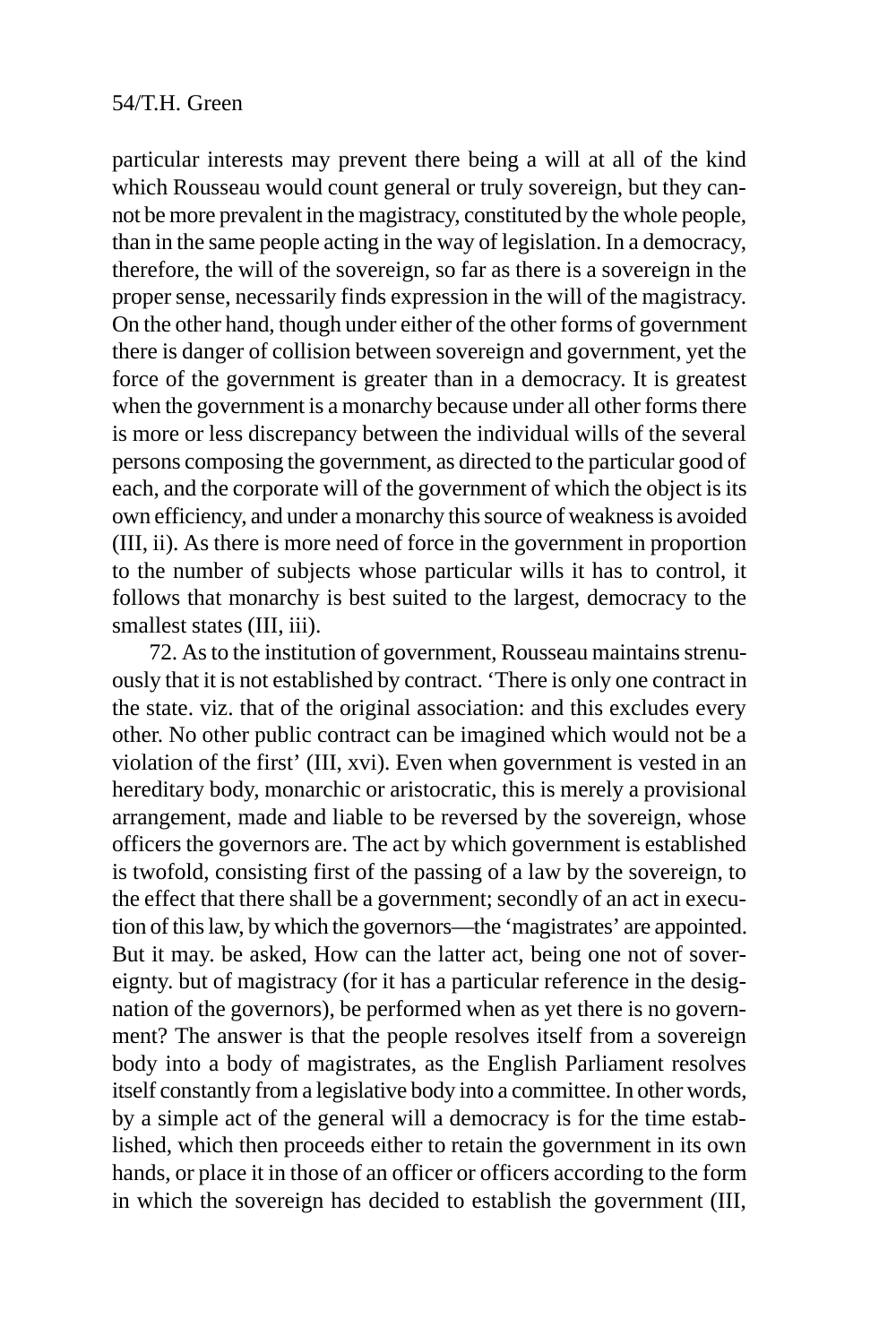particular interests may prevent there being a will at all of the kind which Rousseau would count general or truly sovereign, but they cannot be more prevalent in the magistracy, constituted by the whole people, than in the same people acting in the way of legislation. In a democracy, therefore, the will of the sovereign, so far as there is a sovereign in the proper sense, necessarily finds expression in the will of the magistracy. On the other hand, though under either of the other forms of government there is danger of collision between sovereign and government, yet the force of the government is greater than in a democracy. It is greatest when the government is a monarchy because under all other forms there is more or less discrepancy between the individual wills of the several persons composing the government, as directed to the particular good of each, and the corporate will of the government of which the object is its own efficiency, and under a monarchy this source of weakness is avoided (III, ii). As there is more need of force in the government in proportion to the number of subjects whose particular wills it has to control, it follows that monarchy is best suited to the largest, democracy to the smallest states (III, iii).

72. As to the institution of government, Rousseau maintains strenuously that it is not established by contract. 'There is only one contract in the state. viz. that of the original association: and this excludes every other. No other public contract can be imagined which would not be a violation of the first' (III, xvi). Even when government is vested in an hereditary body, monarchic or aristocratic, this is merely a provisional arrangement, made and liable to be reversed by the sovereign, whose officers the governors are. The act by which government is established is twofold, consisting first of the passing of a law by the sovereign, to the effect that there shall be a government; secondly of an act in execution of this law, by which the governors—the 'magistrates' are appointed. But it may. be asked, How can the latter act, being one not of sovereignty. but of magistracy (for it has a particular reference in the designation of the governors), be performed when as yet there is no government? The answer is that the people resolves itself from a sovereign body into a body of magistrates, as the English Parliament resolves itself constantly from a legislative body into a committee. In other words, by a simple act of the general will a democracy is for the time established, which then proceeds either to retain the government in its own hands, or place it in those of an officer or officers according to the form in which the sovereign has decided to establish the government (III,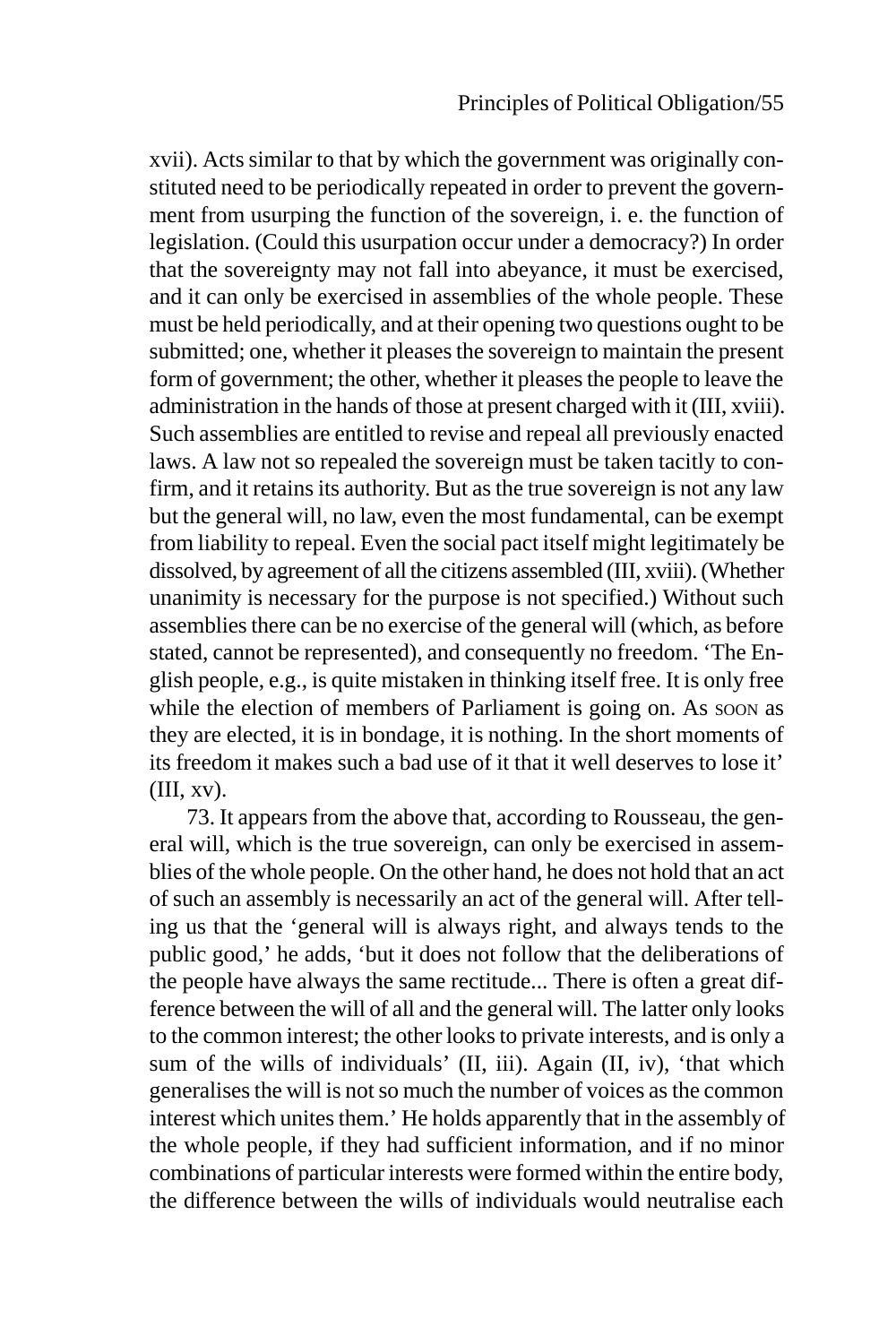xvii). Acts similar to that by which the government was originally constituted need to be periodically repeated in order to prevent the government from usurping the function of the sovereign, i. e. the function of legislation. (Could this usurpation occur under a democracy?) In order that the sovereignty may not fall into abeyance, it must be exercised, and it can only be exercised in assemblies of the whole people. These must be held periodically, and at their opening two questions ought to be submitted; one, whether it pleases the sovereign to maintain the present form of government; the other, whether it pleases the people to leave the administration in the hands of those at present charged with it (III, xviii). Such assemblies are entitled to revise and repeal all previously enacted laws. A law not so repealed the sovereign must be taken tacitly to confirm, and it retains its authority. But as the true sovereign is not any law but the general will, no law, even the most fundamental, can be exempt from liability to repeal. Even the social pact itself might legitimately be dissolved, by agreement of all the citizens assembled (III, xviii). (Whether unanimity is necessary for the purpose is not specified.) Without such assemblies there can be no exercise of the general will (which, as before stated, cannot be represented), and consequently no freedom. 'The English people, e.g., is quite mistaken in thinking itself free. It is only free while the election of members of Parliament is going on. As soon as they are elected, it is in bondage, it is nothing. In the short moments of its freedom it makes such a bad use of it that it well deserves to lose it' (III, xv).

73. It appears from the above that, according to Rousseau, the general will, which is the true sovereign, can only be exercised in assemblies of the whole people. On the other hand, he does not hold that an act of such an assembly is necessarily an act of the general will. After telling us that the 'general will is always right, and always tends to the public good,' he adds, 'but it does not follow that the deliberations of the people have always the same rectitude... There is often a great difference between the will of all and the general will. The latter only looks to the common interest; the other looks to private interests, and is only a sum of the wills of individuals' (II, iii). Again (II, iv), 'that which generalises the will is not so much the number of voices as the common interest which unites them.' He holds apparently that in the assembly of the whole people, if they had sufficient information, and if no minor combinations of particular interests were formed within the entire body, the difference between the wills of individuals would neutralise each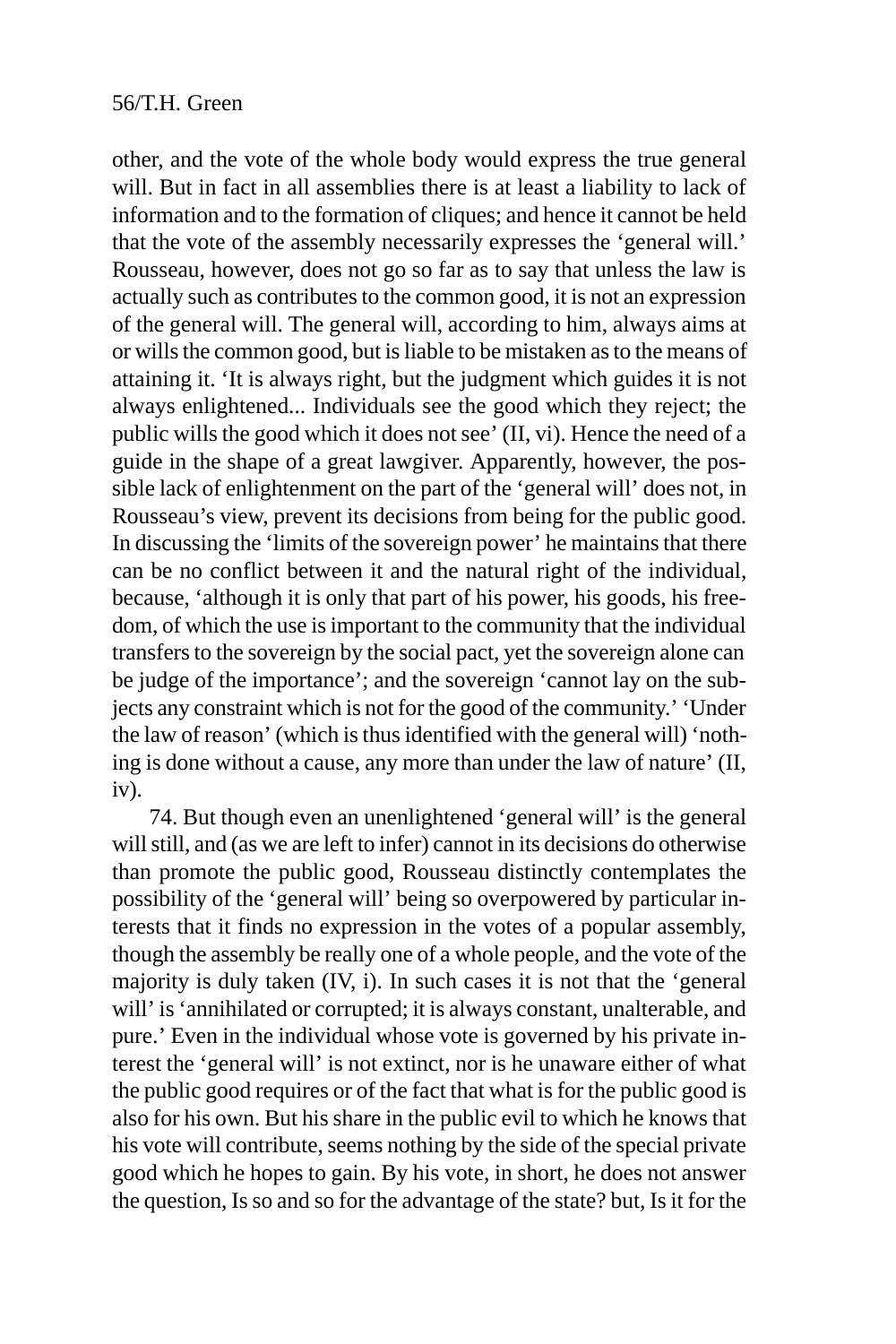other, and the vote of the whole body would express the true general will. But in fact in all assemblies there is at least a liability to lack of information and to the formation of cliques; and hence it cannot be held that the vote of the assembly necessarily expresses the 'general will.' Rousseau, however, does not go so far as to say that unless the law is actually such as contributes to the common good, it is not an expression of the general will. The general will, according to him, always aims at or wills the common good, but is liable to be mistaken as to the means of attaining it. 'It is always right, but the judgment which guides it is not always enlightened... Individuals see the good which they reject; the public wills the good which it does not see' (II, vi). Hence the need of a guide in the shape of a great lawgiver. Apparently, however, the possible lack of enlightenment on the part of the 'general will' does not, in Rousseau's view, prevent its decisions from being for the public good. In discussing the 'limits of the sovereign power' he maintains that there can be no conflict between it and the natural right of the individual, because, 'although it is only that part of his power, his goods, his freedom, of which the use is important to the community that the individual transfers to the sovereign by the social pact, yet the sovereign alone can be judge of the importance'; and the sovereign 'cannot lay on the subjects any constraint which is not for the good of the community.' 'Under the law of reason' (which is thus identified with the general will) 'nothing is done without a cause, any more than under the law of nature' (II, iv).

74. But though even an unenlightened 'general will' is the general will still, and (as we are left to infer) cannot in its decisions do otherwise than promote the public good, Rousseau distinctly contemplates the possibility of the 'general will' being so overpowered by particular interests that it finds no expression in the votes of a popular assembly, though the assembly be really one of a whole people, and the vote of the majority is duly taken (IV, i). In such cases it is not that the 'general will' is 'annihilated or corrupted; it is always constant, unalterable, and pure.' Even in the individual whose vote is governed by his private interest the 'general will' is not extinct, nor is he unaware either of what the public good requires or of the fact that what is for the public good is also for his own. But his share in the public evil to which he knows that his vote will contribute, seems nothing by the side of the special private good which he hopes to gain. By his vote, in short, he does not answer the question, Is so and so for the advantage of the state? but, Is it for the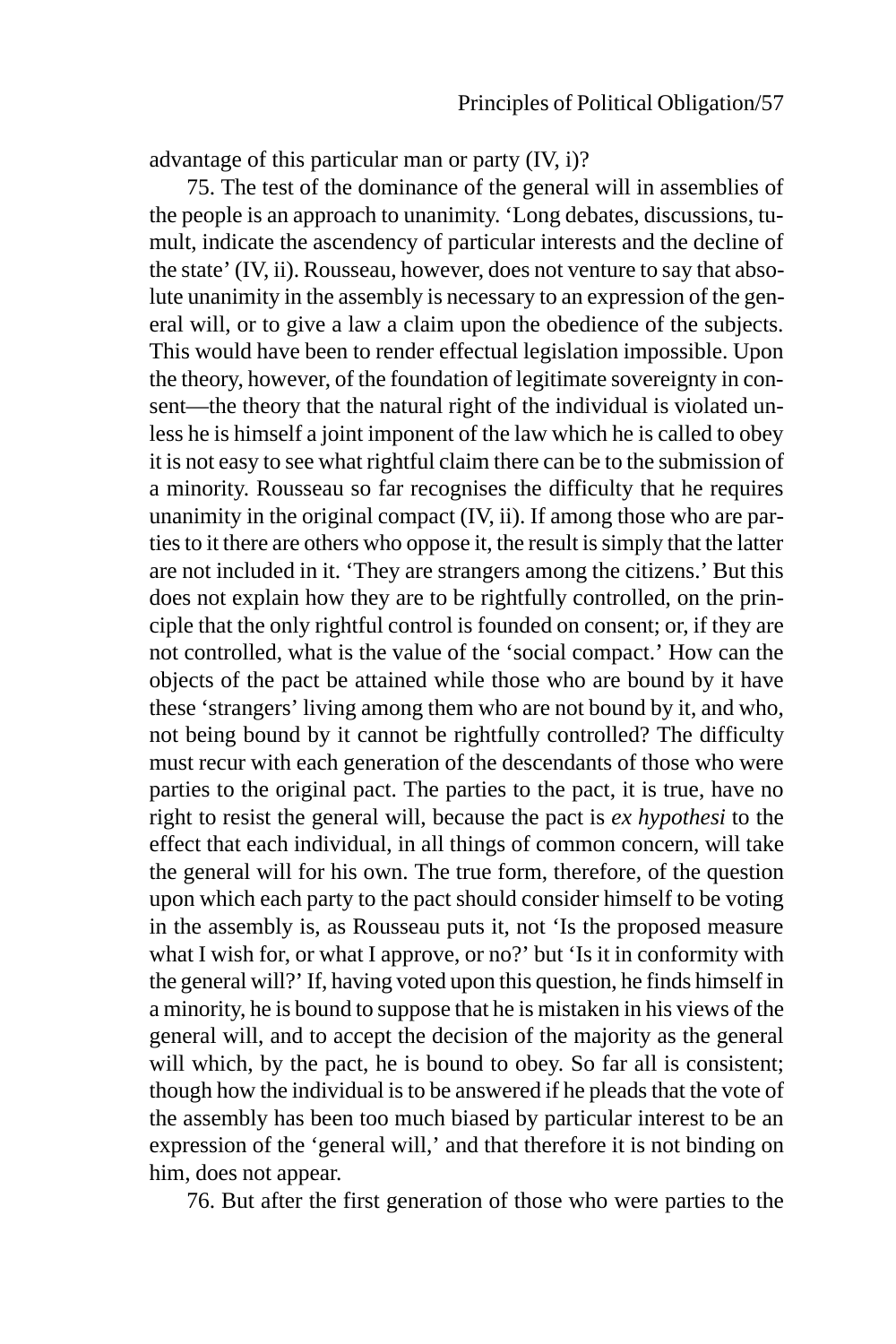advantage of this particular man or party (IV, i)?

75. The test of the dominance of the general will in assemblies of the people is an approach to unanimity. 'Long debates, discussions, tumult, indicate the ascendency of particular interests and the decline of the state' (IV, ii). Rousseau, however, does not venture to say that absolute unanimity in the assembly is necessary to an expression of the general will, or to give a law a claim upon the obedience of the subjects. This would have been to render effectual legislation impossible. Upon the theory, however, of the foundation of legitimate sovereignty in consent—the theory that the natural right of the individual is violated unless he is himself a joint imponent of the law which he is called to obey it is not easy to see what rightful claim there can be to the submission of a minority. Rousseau so far recognises the difficulty that he requires unanimity in the original compact (IV, ii). If among those who are parties to it there are others who oppose it, the result is simply that the latter are not included in it. 'They are strangers among the citizens.' But this does not explain how they are to be rightfully controlled, on the principle that the only rightful control is founded on consent; or, if they are not controlled, what is the value of the 'social compact.' How can the objects of the pact be attained while those who are bound by it have these 'strangers' living among them who are not bound by it, and who, not being bound by it cannot be rightfully controlled? The difficulty must recur with each generation of the descendants of those who were parties to the original pact. The parties to the pact, it is true, have no right to resist the general will, because the pact is *ex hypothesi* to the effect that each individual, in all things of common concern, will take the general will for his own. The true form, therefore, of the question upon which each party to the pact should consider himself to be voting in the assembly is, as Rousseau puts it, not 'Is the proposed measure what I wish for, or what I approve, or no?' but 'Is it in conformity with the general will?' If, having voted upon this question, he finds himself in a minority, he is bound to suppose that he is mistaken in his views of the general will, and to accept the decision of the majority as the general will which, by the pact, he is bound to obey. So far all is consistent; though how the individual is to be answered if he pleads that the vote of the assembly has been too much biased by particular interest to be an expression of the 'general will,' and that therefore it is not binding on him, does not appear.

76. But after the first generation of those who were parties to the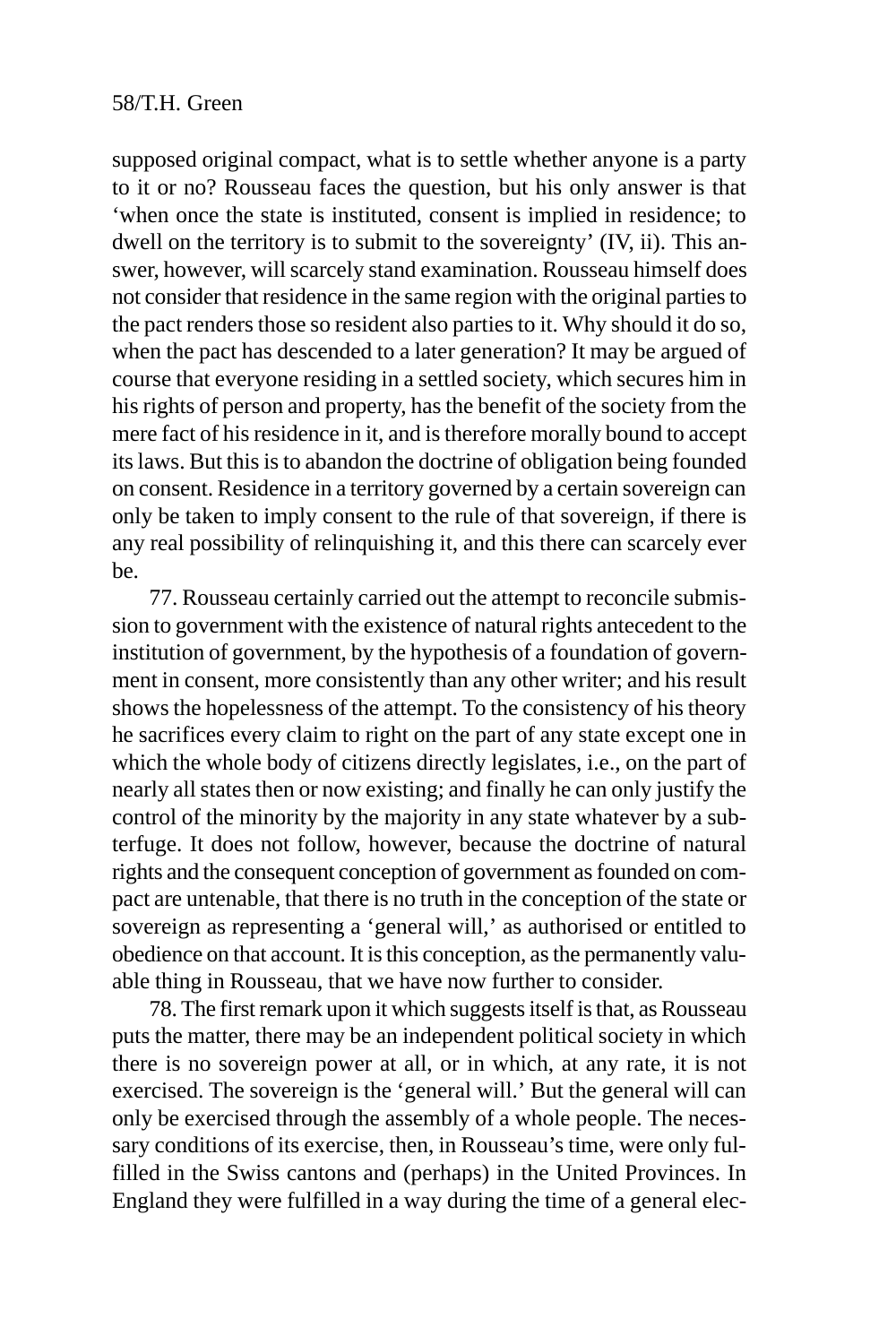supposed original compact, what is to settle whether anyone is a party to it or no? Rousseau faces the question, but his only answer is that 'when once the state is instituted, consent is implied in residence; to dwell on the territory is to submit to the sovereignty' (IV, ii). This answer, however, will scarcely stand examination. Rousseau himself does not consider that residence in the same region with the original parties to the pact renders those so resident also parties to it. Why should it do so, when the pact has descended to a later generation? It may be argued of course that everyone residing in a settled society, which secures him in his rights of person and property, has the benefit of the society from the mere fact of his residence in it, and is therefore morally bound to accept its laws. But this is to abandon the doctrine of obligation being founded on consent. Residence in a territory governed by a certain sovereign can only be taken to imply consent to the rule of that sovereign, if there is any real possibility of relinquishing it, and this there can scarcely ever be.

77. Rousseau certainly carried out the attempt to reconcile submission to government with the existence of natural rights antecedent to the institution of government, by the hypothesis of a foundation of government in consent, more consistently than any other writer; and his result shows the hopelessness of the attempt. To the consistency of his theory he sacrifices every claim to right on the part of any state except one in which the whole body of citizens directly legislates, i.e., on the part of nearly all states then or now existing; and finally he can only justify the control of the minority by the majority in any state whatever by a subterfuge. It does not follow, however, because the doctrine of natural rights and the consequent conception of government as founded on compact are untenable, that there is no truth in the conception of the state or sovereign as representing a 'general will,' as authorised or entitled to obedience on that account. It is this conception, as the permanently valuable thing in Rousseau, that we have now further to consider.

78. The first remark upon it which suggests itself is that, as Rousseau puts the matter, there may be an independent political society in which there is no sovereign power at all, or in which, at any rate, it is not exercised. The sovereign is the 'general will.' But the general will can only be exercised through the assembly of a whole people. The necessary conditions of its exercise, then, in Rousseau's time, were only fulfilled in the Swiss cantons and (perhaps) in the United Provinces. In England they were fulfilled in a way during the time of a general elec-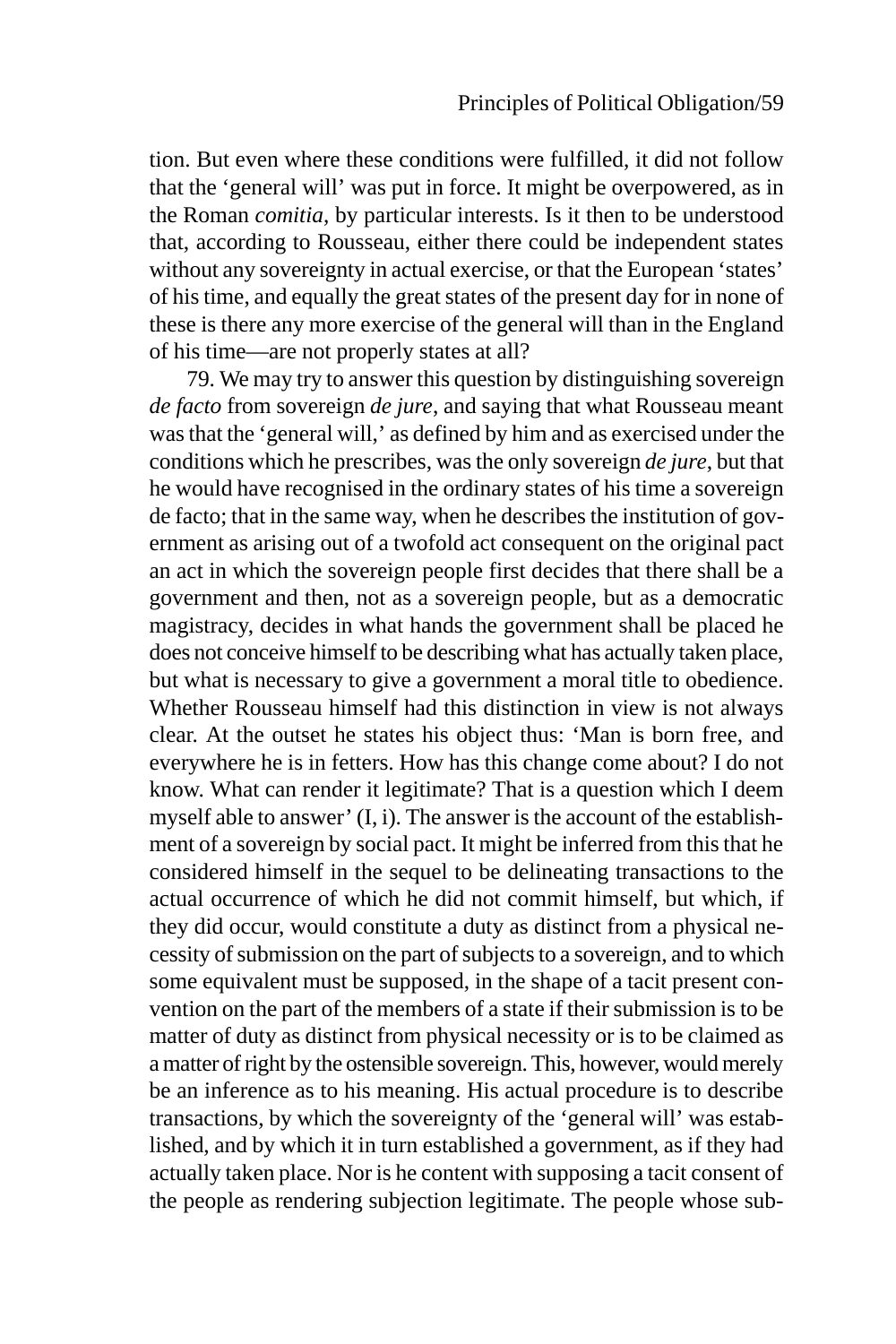tion. But even where these conditions were fulfilled, it did not follow that the 'general will' was put in force. It might be overpowered, as in the Roman *comitia*, by particular interests. Is it then to be understood that, according to Rousseau, either there could be independent states without any sovereignty in actual exercise, or that the European 'states' of his time, and equally the great states of the present day for in none of these is there any more exercise of the general will than in the England of his time—are not properly states at all?

79. We may try to answer this question by distinguishing sovereign *de facto* from sovereign *de jure*, and saying that what Rousseau meant was that the 'general will,' as defined by him and as exercised under the conditions which he prescribes, was the only sovereign *de jure*, but that he would have recognised in the ordinary states of his time a sovereign de facto; that in the same way, when he describes the institution of government as arising out of a twofold act consequent on the original pact an act in which the sovereign people first decides that there shall be a government and then, not as a sovereign people, but as a democratic magistracy, decides in what hands the government shall be placed he does not conceive himself to be describing what has actually taken place, but what is necessary to give a government a moral title to obedience. Whether Rousseau himself had this distinction in view is not always clear. At the outset he states his object thus: 'Man is born free, and everywhere he is in fetters. How has this change come about? I do not know. What can render it legitimate? That is a question which I deem myself able to answer' (I, i). The answer is the account of the establishment of a sovereign by social pact. It might be inferred from this that he considered himself in the sequel to be delineating transactions to the actual occurrence of which he did not commit himself, but which, if they did occur, would constitute a duty as distinct from a physical necessity of submission on the part of subjects to a sovereign, and to which some equivalent must be supposed, in the shape of a tacit present convention on the part of the members of a state if their submission is to be matter of duty as distinct from physical necessity or is to be claimed as a matter of right by the ostensible sovereign. This, however, would merely be an inference as to his meaning. His actual procedure is to describe transactions, by which the sovereignty of the 'general will' was established, and by which it in turn established a government, as if they had actually taken place. Nor is he content with supposing a tacit consent of the people as rendering subjection legitimate. The people whose sub-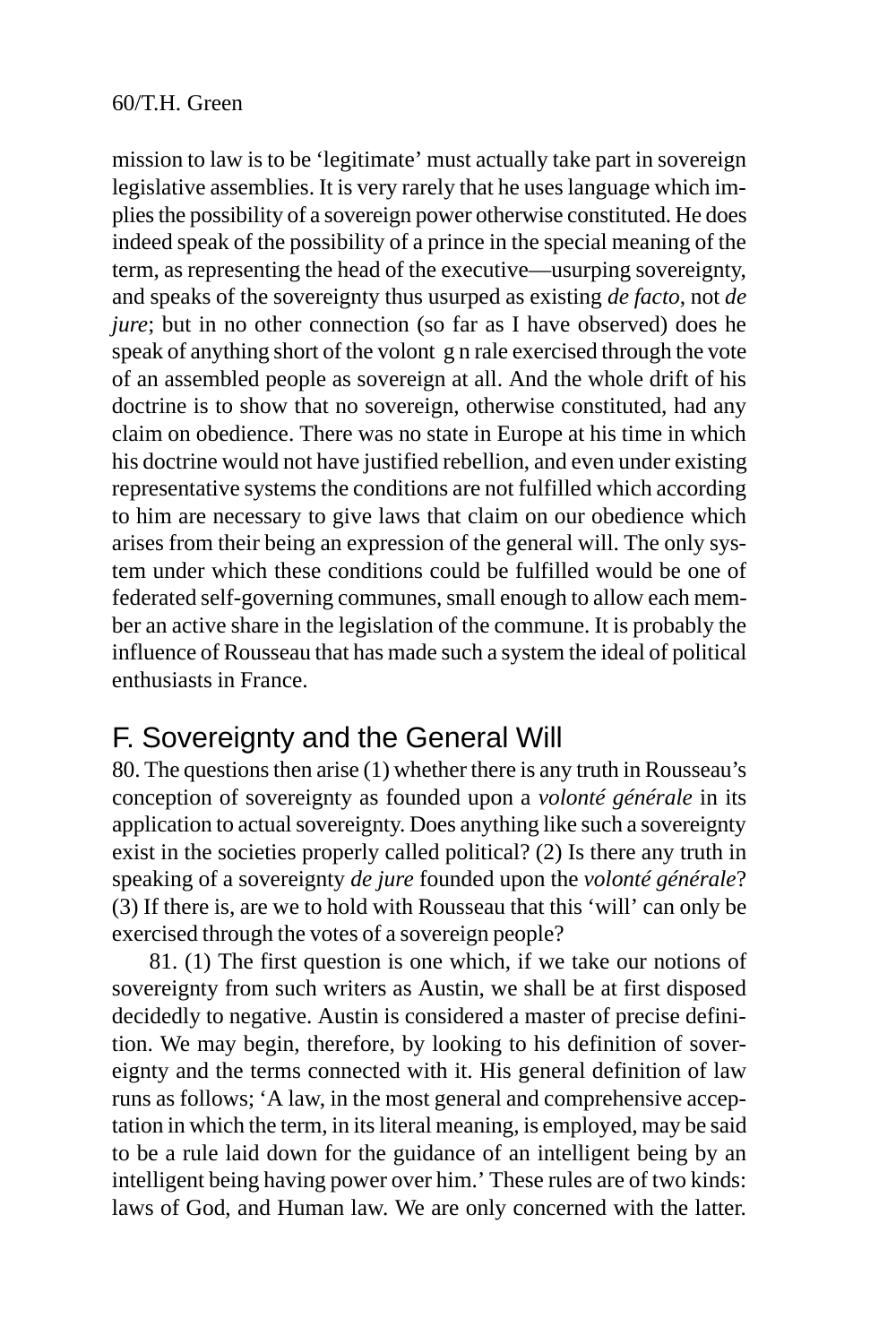mission to law is to be 'legitimate' must actually take part in sovereign legislative assemblies. It is very rarely that he uses language which implies the possibility of a sovereign power otherwise constituted. He does indeed speak of the possibility of a prince in the special meaning of the term, as representing the head of the executive—usurping sovereignty, and speaks of the sovereignty thus usurped as existing *de facto*, not *de jure*; but in no other connection (so far as I have observed) does he speak of anything short of the volont g n rale exercised through the vote of an assembled people as sovereign at all. And the whole drift of his doctrine is to show that no sovereign, otherwise constituted, had any claim on obedience. There was no state in Europe at his time in which his doctrine would not have justified rebellion, and even under existing representative systems the conditions are not fulfilled which according to him are necessary to give laws that claim on our obedience which arises from their being an expression of the general will. The only system under which these conditions could be fulfilled would be one of federated self-governing communes, small enough to allow each member an active share in the legislation of the commune. It is probably the influence of Rousseau that has made such a system the ideal of political enthusiasts in France.

# F. Sovereignty and the General Will

80. The questions then arise (1) whether there is any truth in Rousseau's conception of sovereignty as founded upon a *volonté générale* in its application to actual sovereignty. Does anything like such a sovereignty exist in the societies properly called political? (2) Is there any truth in speaking of a sovereignty *de jure* founded upon the *volonté générale*? (3) If there is, are we to hold with Rousseau that this 'will' can only be exercised through the votes of a sovereign people?

81. (1) The first question is one which, if we take our notions of sovereignty from such writers as Austin, we shall be at first disposed decidedly to negative. Austin is considered a master of precise definition. We may begin, therefore, by looking to his definition of sovereignty and the terms connected with it. His general definition of law runs as follows; 'A law, in the most general and comprehensive acceptation in which the term, in its literal meaning, is employed, may be said to be a rule laid down for the guidance of an intelligent being by an intelligent being having power over him.' These rules are of two kinds: laws of God, and Human law. We are only concerned with the latter.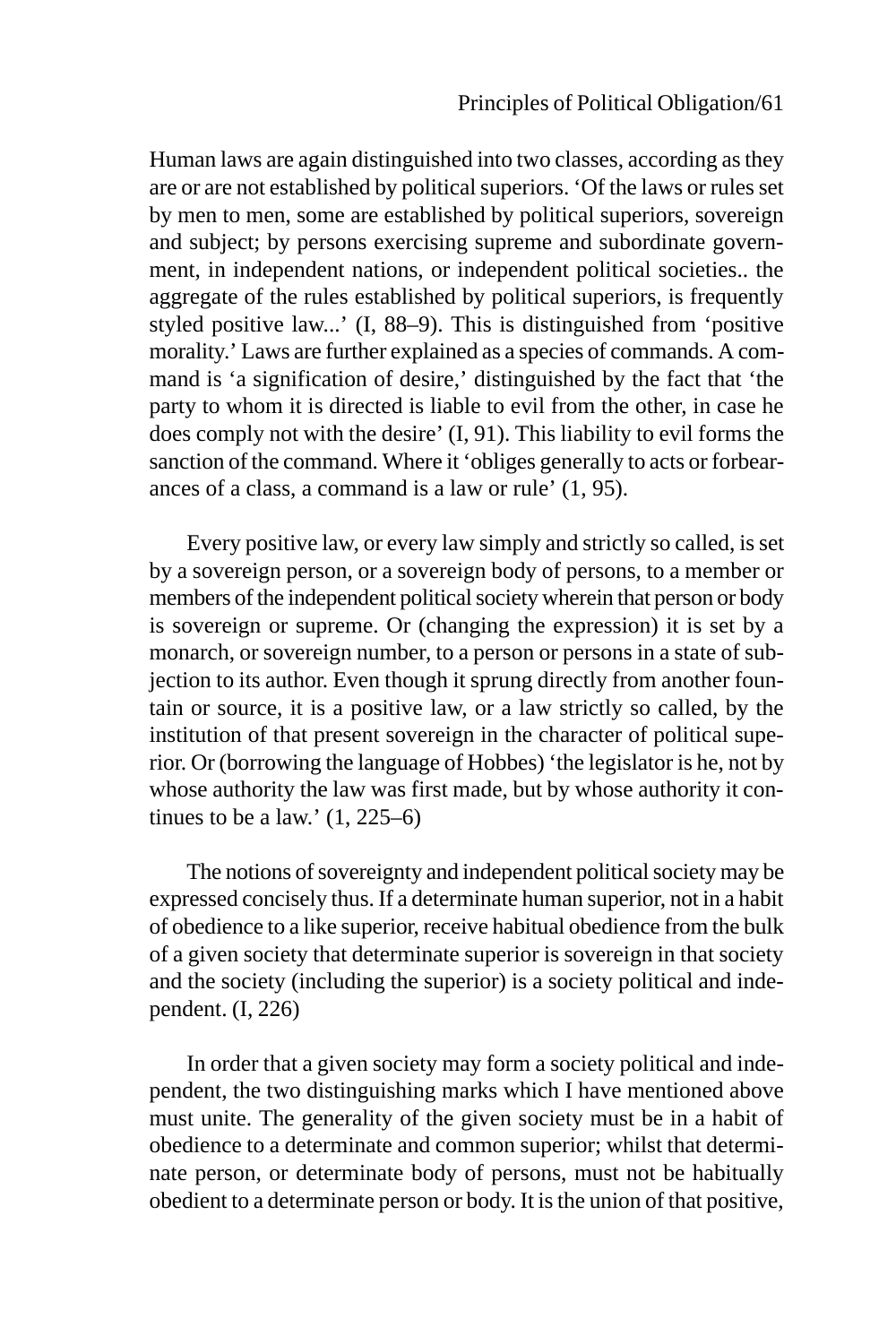Human laws are again distinguished into two classes, according as they are or are not established by political superiors. 'Of the laws or rules set by men to men, some are established by political superiors, sovereign and subject; by persons exercising supreme and subordinate government, in independent nations, or independent political societies.. the aggregate of the rules established by political superiors, is frequently styled positive law...' (I, 88–9). This is distinguished from 'positive morality.' Laws are further explained as a species of commands. A command is 'a signification of desire,' distinguished by the fact that 'the party to whom it is directed is liable to evil from the other, in case he does comply not with the desire' (I, 91). This liability to evil forms the sanction of the command. Where it 'obliges generally to acts or forbearances of a class, a command is a law or rule' (1, 95).

Every positive law, or every law simply and strictly so called, is set by a sovereign person, or a sovereign body of persons, to a member or members of the independent political society wherein that person or body is sovereign or supreme. Or (changing the expression) it is set by a monarch, or sovereign number, to a person or persons in a state of subjection to its author. Even though it sprung directly from another fountain or source, it is a positive law, or a law strictly so called, by the institution of that present sovereign in the character of political superior. Or (borrowing the language of Hobbes) 'the legislator is he, not by whose authority the law was first made, but by whose authority it continues to be a law.'  $(1, 225-6)$ 

The notions of sovereignty and independent political society may be expressed concisely thus. If a determinate human superior, not in a habit of obedience to a like superior, receive habitual obedience from the bulk of a given society that determinate superior is sovereign in that society and the society (including the superior) is a society political and independent. (I, 226)

In order that a given society may form a society political and independent, the two distinguishing marks which I have mentioned above must unite. The generality of the given society must be in a habit of obedience to a determinate and common superior; whilst that determinate person, or determinate body of persons, must not be habitually obedient to a determinate person or body. It is the union of that positive,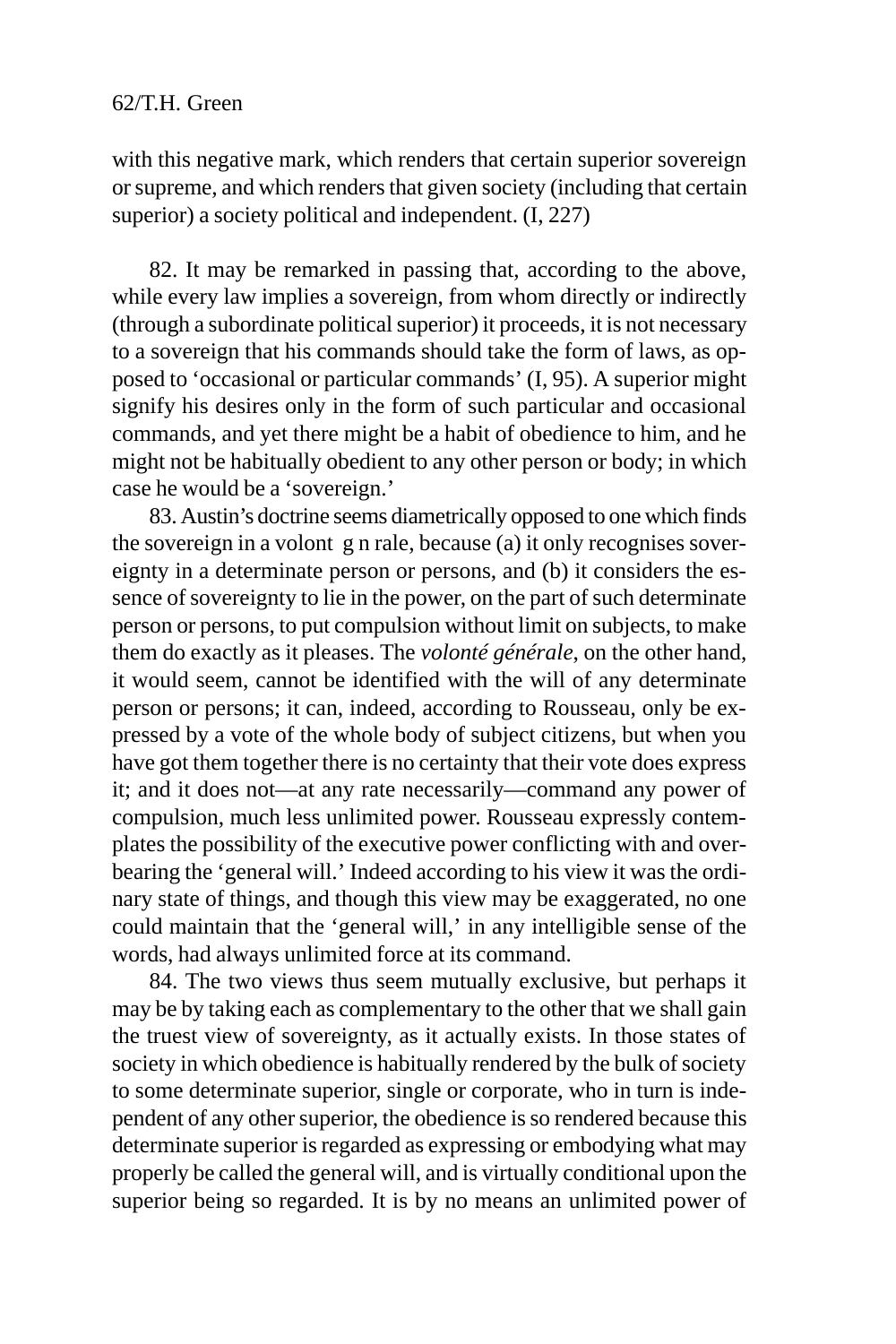with this negative mark, which renders that certain superior sovereign or supreme, and which renders that given society (including that certain superior) a society political and independent. (I, 227)

82. It may be remarked in passing that, according to the above, while every law implies a sovereign, from whom directly or indirectly (through a subordinate political superior) it proceeds, it is not necessary to a sovereign that his commands should take the form of laws, as opposed to 'occasional or particular commands' (I, 95). A superior might signify his desires only in the form of such particular and occasional commands, and yet there might be a habit of obedience to him, and he might not be habitually obedient to any other person or body; in which case he would be a 'sovereign.'

83. Austin's doctrine seems diametrically opposed to one which finds the sovereign in a volont g n rale, because (a) it only recognises sovereignty in a determinate person or persons, and (b) it considers the essence of sovereignty to lie in the power, on the part of such determinate person or persons, to put compulsion without limit on subjects, to make them do exactly as it pleases. The *volonté générale*, on the other hand, it would seem, cannot be identified with the will of any determinate person or persons; it can, indeed, according to Rousseau, only be expressed by a vote of the whole body of subject citizens, but when you have got them together there is no certainty that their vote does express it; and it does not—at any rate necessarily—command any power of compulsion, much less unlimited power. Rousseau expressly contemplates the possibility of the executive power conflicting with and overbearing the 'general will.' Indeed according to his view it was the ordinary state of things, and though this view may be exaggerated, no one could maintain that the 'general will,' in any intelligible sense of the words, had always unlimited force at its command.

84. The two views thus seem mutually exclusive, but perhaps it may be by taking each as complementary to the other that we shall gain the truest view of sovereignty, as it actually exists. In those states of society in which obedience is habitually rendered by the bulk of society to some determinate superior, single or corporate, who in turn is independent of any other superior, the obedience is so rendered because this determinate superior is regarded as expressing or embodying what may properly be called the general will, and is virtually conditional upon the superior being so regarded. It is by no means an unlimited power of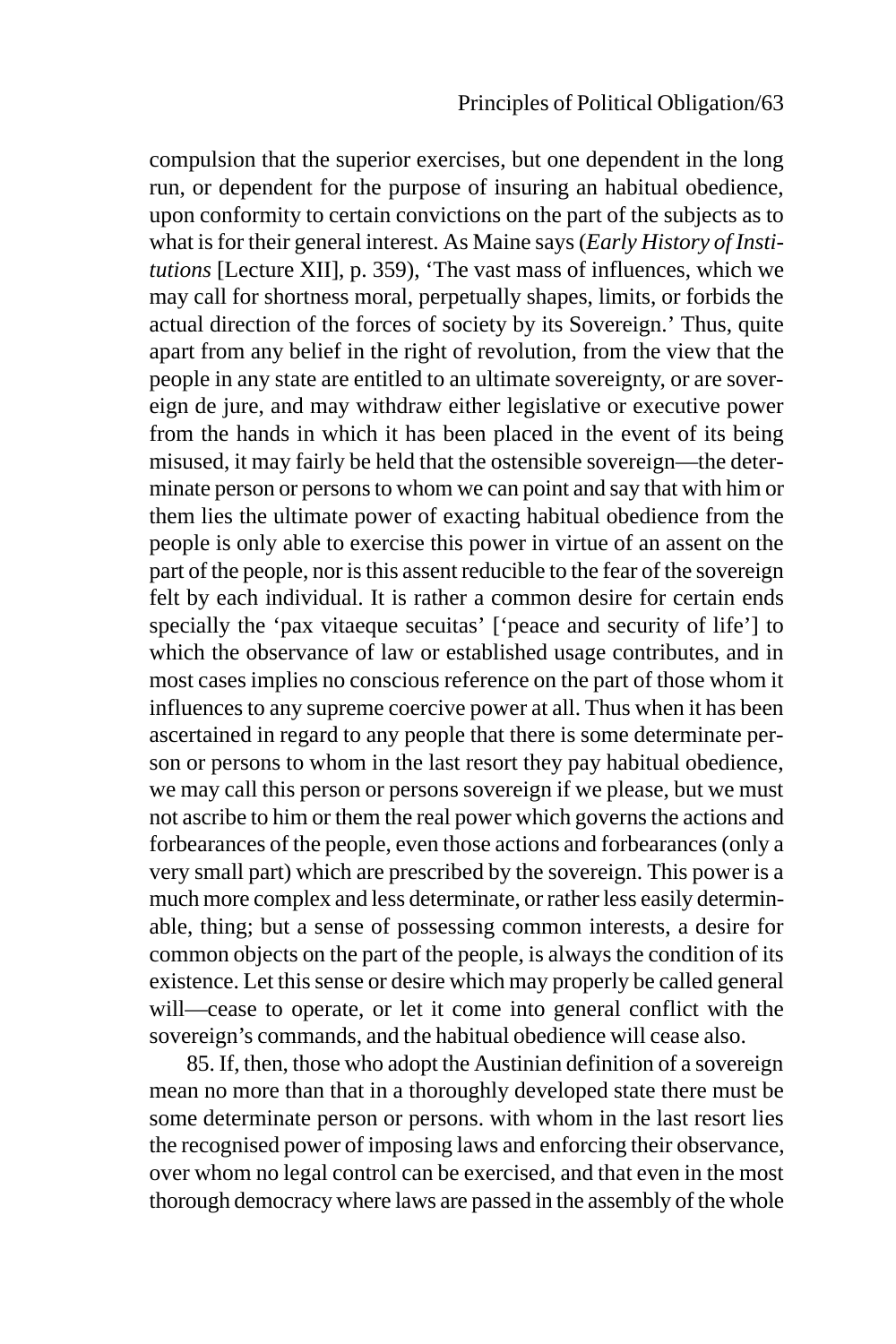compulsion that the superior exercises, but one dependent in the long run, or dependent for the purpose of insuring an habitual obedience, upon conformity to certain convictions on the part of the subjects as to what is for their general interest. As Maine says (*Early History of Institutions* [Lecture XII], p. 359), 'The vast mass of influences, which we may call for shortness moral, perpetually shapes, limits, or forbids the actual direction of the forces of society by its Sovereign.' Thus, quite apart from any belief in the right of revolution, from the view that the people in any state are entitled to an ultimate sovereignty, or are sovereign de jure, and may withdraw either legislative or executive power from the hands in which it has been placed in the event of its being misused, it may fairly be held that the ostensible sovereign—the determinate person or persons to whom we can point and say that with him or them lies the ultimate power of exacting habitual obedience from the people is only able to exercise this power in virtue of an assent on the part of the people, nor is this assent reducible to the fear of the sovereign felt by each individual. It is rather a common desire for certain ends specially the 'pax vitaeque secuitas' ['peace and security of life'] to which the observance of law or established usage contributes, and in most cases implies no conscious reference on the part of those whom it influences to any supreme coercive power at all. Thus when it has been ascertained in regard to any people that there is some determinate person or persons to whom in the last resort they pay habitual obedience, we may call this person or persons sovereign if we please, but we must not ascribe to him or them the real power which governs the actions and forbearances of the people, even those actions and forbearances (only a very small part) which are prescribed by the sovereign. This power is a much more complex and less determinate, or rather less easily determinable, thing; but a sense of possessing common interests, a desire for common objects on the part of the people, is always the condition of its existence. Let this sense or desire which may properly be called general will—cease to operate, or let it come into general conflict with the sovereign's commands, and the habitual obedience will cease also.

85. If, then, those who adopt the Austinian definition of a sovereign mean no more than that in a thoroughly developed state there must be some determinate person or persons. with whom in the last resort lies the recognised power of imposing laws and enforcing their observance, over whom no legal control can be exercised, and that even in the most thorough democracy where laws are passed in the assembly of the whole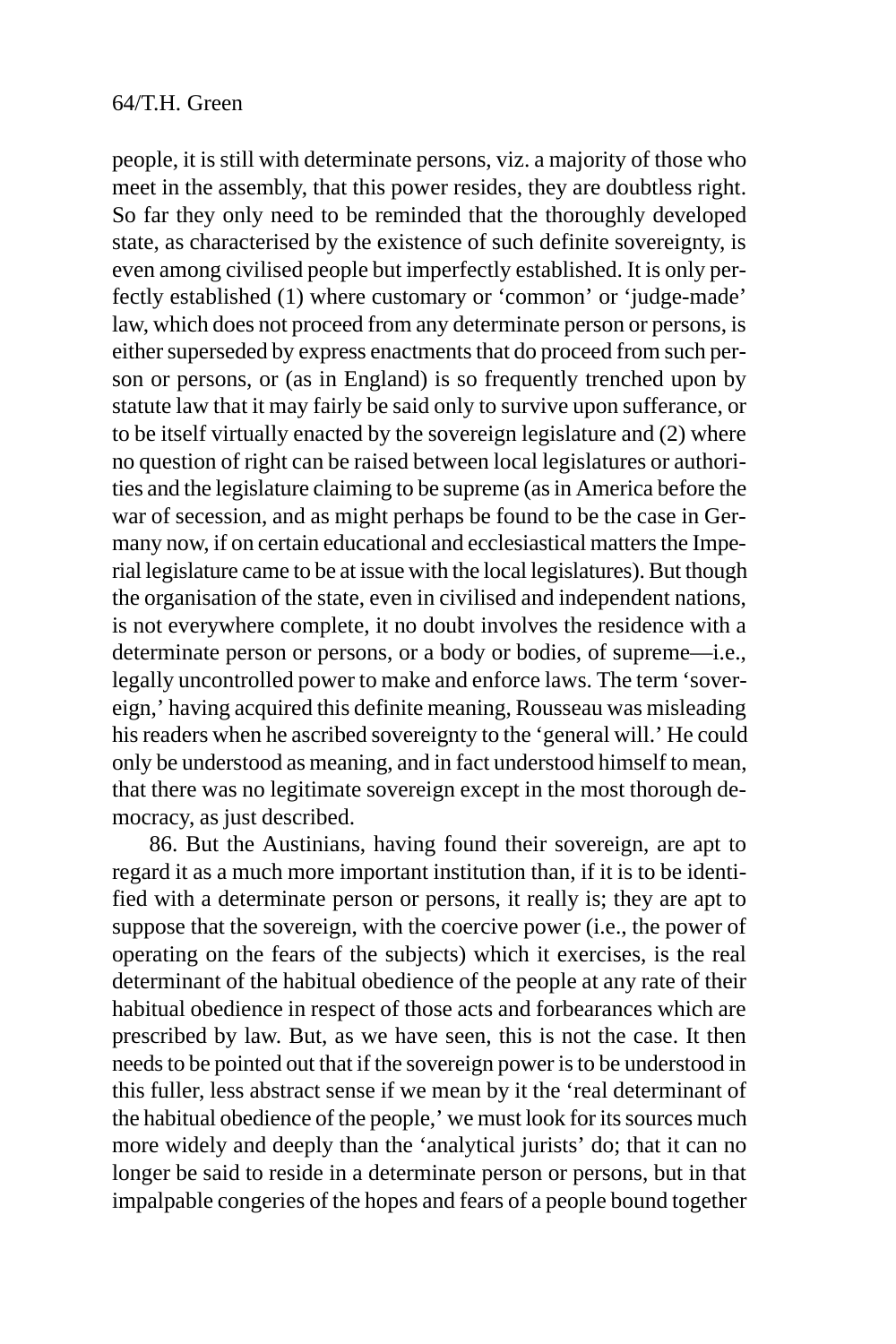people, it is still with determinate persons, viz. a majority of those who meet in the assembly, that this power resides, they are doubtless right. So far they only need to be reminded that the thoroughly developed state, as characterised by the existence of such definite sovereignty, is even among civilised people but imperfectly established. It is only perfectly established (1) where customary or 'common' or 'judge-made' law, which does not proceed from any determinate person or persons, is either superseded by express enactments that do proceed from such person or persons, or (as in England) is so frequently trenched upon by statute law that it may fairly be said only to survive upon sufferance, or to be itself virtually enacted by the sovereign legislature and (2) where no question of right can be raised between local legislatures or authorities and the legislature claiming to be supreme (as in America before the war of secession, and as might perhaps be found to be the case in Germany now, if on certain educational and ecclesiastical matters the Imperial legislature came to be at issue with the local legislatures). But though the organisation of the state, even in civilised and independent nations, is not everywhere complete, it no doubt involves the residence with a determinate person or persons, or a body or bodies, of supreme—i.e., legally uncontrolled power to make and enforce laws. The term 'sovereign,' having acquired this definite meaning, Rousseau was misleading his readers when he ascribed sovereignty to the 'general will.' He could only be understood as meaning, and in fact understood himself to mean, that there was no legitimate sovereign except in the most thorough democracy, as just described.

86. But the Austinians, having found their sovereign, are apt to regard it as a much more important institution than, if it is to be identified with a determinate person or persons, it really is; they are apt to suppose that the sovereign, with the coercive power (i.e., the power of operating on the fears of the subjects) which it exercises, is the real determinant of the habitual obedience of the people at any rate of their habitual obedience in respect of those acts and forbearances which are prescribed by law. But, as we have seen, this is not the case. It then needs to be pointed out that if the sovereign power is to be understood in this fuller, less abstract sense if we mean by it the 'real determinant of the habitual obedience of the people,' we must look for its sources much more widely and deeply than the 'analytical jurists' do; that it can no longer be said to reside in a determinate person or persons, but in that impalpable congeries of the hopes and fears of a people bound together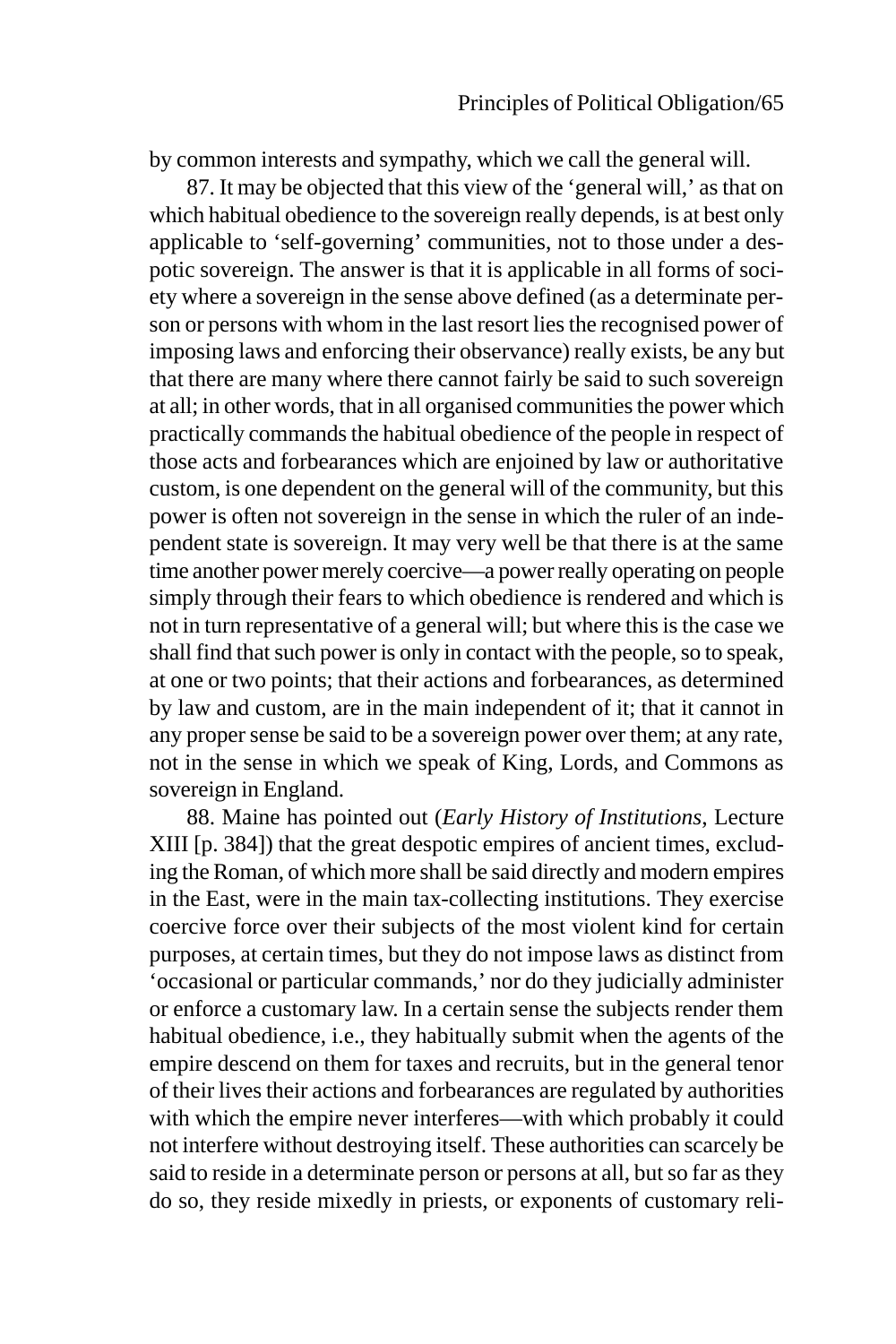by common interests and sympathy, which we call the general will.

87. It may be objected that this view of the 'general will,' as that on which habitual obedience to the sovereign really depends, is at best only applicable to 'self-governing' communities, not to those under a despotic sovereign. The answer is that it is applicable in all forms of society where a sovereign in the sense above defined (as a determinate person or persons with whom in the last resort lies the recognised power of imposing laws and enforcing their observance) really exists, be any but that there are many where there cannot fairly be said to such sovereign at all; in other words, that in all organised communities the power which practically commands the habitual obedience of the people in respect of those acts and forbearances which are enjoined by law or authoritative custom, is one dependent on the general will of the community, but this power is often not sovereign in the sense in which the ruler of an independent state is sovereign. It may very well be that there is at the same time another power merely coercive—a power really operating on people simply through their fears to which obedience is rendered and which is not in turn representative of a general will; but where this is the case we shall find that such power is only in contact with the people, so to speak, at one or two points; that their actions and forbearances, as determined by law and custom, are in the main independent of it; that it cannot in any proper sense be said to be a sovereign power over them; at any rate, not in the sense in which we speak of King, Lords, and Commons as sovereign in England.

88. Maine has pointed out (*Early History of Institutions*, Lecture XIII [p. 384]) that the great despotic empires of ancient times, excluding the Roman, of which more shall be said directly and modern empires in the East, were in the main tax-collecting institutions. They exercise coercive force over their subjects of the most violent kind for certain purposes, at certain times, but they do not impose laws as distinct from 'occasional or particular commands,' nor do they judicially administer or enforce a customary law. In a certain sense the subjects render them habitual obedience, i.e., they habitually submit when the agents of the empire descend on them for taxes and recruits, but in the general tenor of their lives their actions and forbearances are regulated by authorities with which the empire never interferes—with which probably it could not interfere without destroying itself. These authorities can scarcely be said to reside in a determinate person or persons at all, but so far as they do so, they reside mixedly in priests, or exponents of customary reli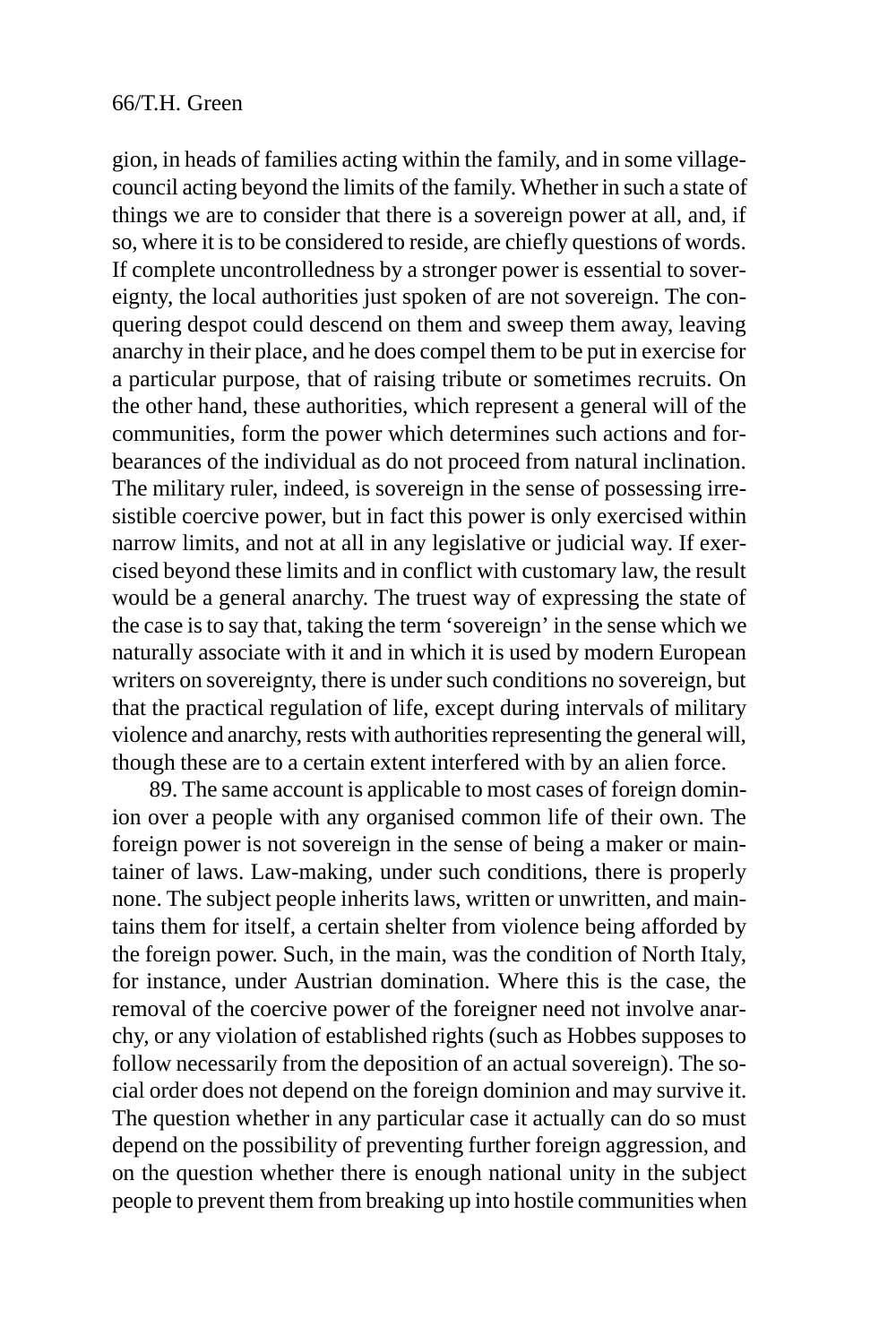gion, in heads of families acting within the family, and in some villagecouncil acting beyond the limits of the family. Whether in such a state of things we are to consider that there is a sovereign power at all, and, if so, where it is to be considered to reside, are chiefly questions of words. If complete uncontrolledness by a stronger power is essential to sovereignty, the local authorities just spoken of are not sovereign. The conquering despot could descend on them and sweep them away, leaving anarchy in their place, and he does compel them to be put in exercise for a particular purpose, that of raising tribute or sometimes recruits. On the other hand, these authorities, which represent a general will of the communities, form the power which determines such actions and forbearances of the individual as do not proceed from natural inclination. The military ruler, indeed, is sovereign in the sense of possessing irresistible coercive power, but in fact this power is only exercised within narrow limits, and not at all in any legislative or judicial way. If exercised beyond these limits and in conflict with customary law, the result would be a general anarchy. The truest way of expressing the state of the case is to say that, taking the term 'sovereign' in the sense which we naturally associate with it and in which it is used by modern European writers on sovereignty, there is under such conditions no sovereign, but that the practical regulation of life, except during intervals of military violence and anarchy, rests with authorities representing the general will, though these are to a certain extent interfered with by an alien force.

89. The same account is applicable to most cases of foreign dominion over a people with any organised common life of their own. The foreign power is not sovereign in the sense of being a maker or maintainer of laws. Law-making, under such conditions, there is properly none. The subject people inherits laws, written or unwritten, and maintains them for itself, a certain shelter from violence being afforded by the foreign power. Such, in the main, was the condition of North Italy, for instance, under Austrian domination. Where this is the case, the removal of the coercive power of the foreigner need not involve anarchy, or any violation of established rights (such as Hobbes supposes to follow necessarily from the deposition of an actual sovereign). The social order does not depend on the foreign dominion and may survive it. The question whether in any particular case it actually can do so must depend on the possibility of preventing further foreign aggression, and on the question whether there is enough national unity in the subject people to prevent them from breaking up into hostile communities when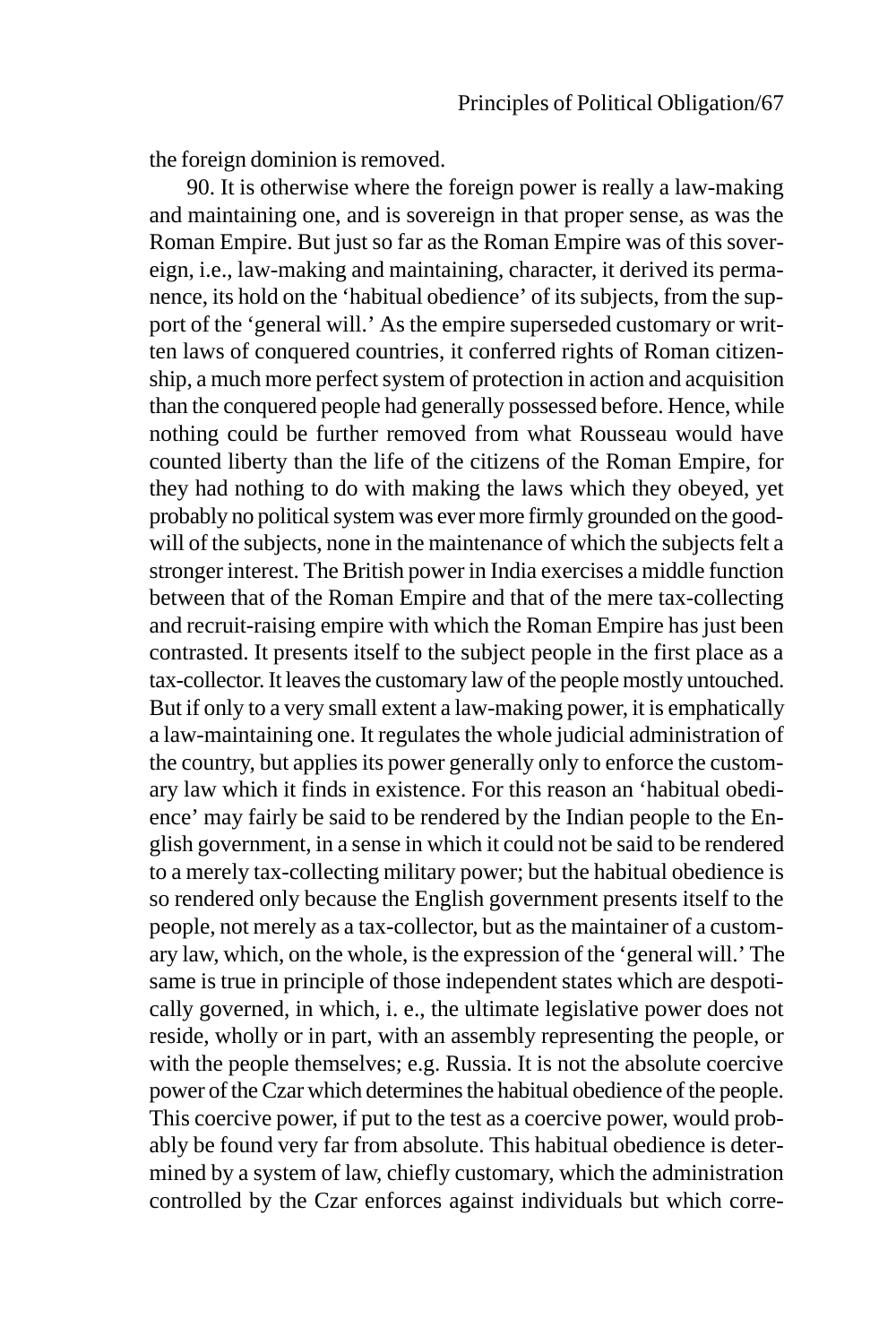the foreign dominion is removed.

90. It is otherwise where the foreign power is really a law-making and maintaining one, and is sovereign in that proper sense, as was the Roman Empire. But just so far as the Roman Empire was of this sovereign, i.e., law-making and maintaining, character, it derived its permanence, its hold on the 'habitual obedience' of its subjects, from the support of the 'general will.' As the empire superseded customary or written laws of conquered countries, it conferred rights of Roman citizenship, a much more perfect system of protection in action and acquisition than the conquered people had generally possessed before. Hence, while nothing could be further removed from what Rousseau would have counted liberty than the life of the citizens of the Roman Empire, for they had nothing to do with making the laws which they obeyed, yet probably no political system was ever more firmly grounded on the goodwill of the subjects, none in the maintenance of which the subjects felt a stronger interest. The British power in India exercises a middle function between that of the Roman Empire and that of the mere tax-collecting and recruit-raising empire with which the Roman Empire has just been contrasted. It presents itself to the subject people in the first place as a tax-collector. It leaves the customary law of the people mostly untouched. But if only to a very small extent a law-making power, it is emphatically a law-maintaining one. It regulates the whole judicial administration of the country, but applies its power generally only to enforce the customary law which it finds in existence. For this reason an 'habitual obedience' may fairly be said to be rendered by the Indian people to the English government, in a sense in which it could not be said to be rendered to a merely tax-collecting military power; but the habitual obedience is so rendered only because the English government presents itself to the people, not merely as a tax-collector, but as the maintainer of a customary law, which, on the whole, is the expression of the 'general will.' The same is true in principle of those independent states which are despotically governed, in which, i. e., the ultimate legislative power does not reside, wholly or in part, with an assembly representing the people, or with the people themselves; e.g. Russia. It is not the absolute coercive power of the Czar which determines the habitual obedience of the people. This coercive power, if put to the test as a coercive power, would probably be found very far from absolute. This habitual obedience is determined by a system of law, chiefly customary, which the administration controlled by the Czar enforces against individuals but which corre-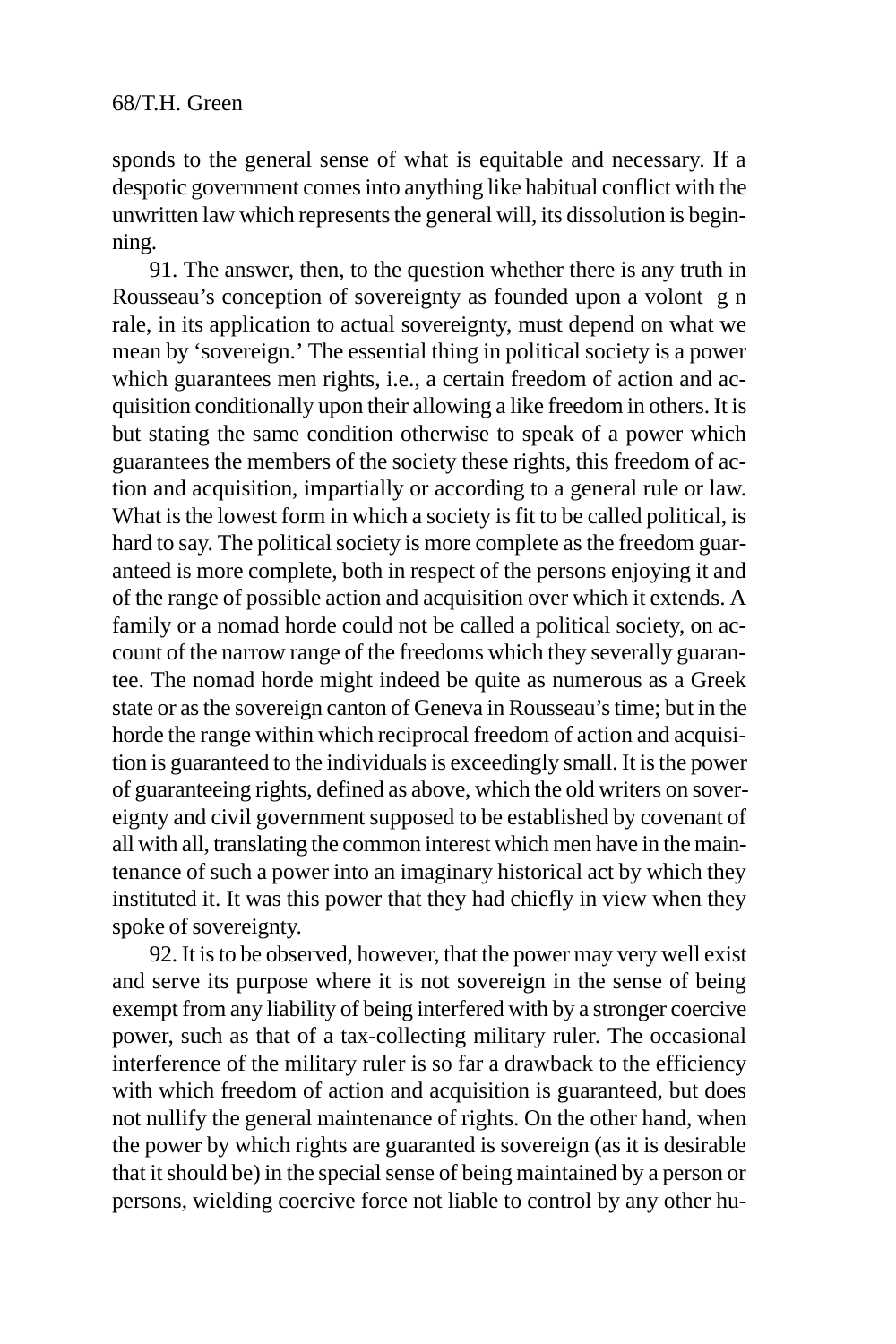sponds to the general sense of what is equitable and necessary. If a despotic government comes into anything like habitual conflict with the unwritten law which represents the general will, its dissolution is beginning.

91. The answer, then, to the question whether there is any truth in Rousseau's conception of sovereignty as founded upon a volont g n rale, in its application to actual sovereignty, must depend on what we mean by 'sovereign.' The essential thing in political society is a power which guarantees men rights, i.e., a certain freedom of action and acquisition conditionally upon their allowing a like freedom in others. It is but stating the same condition otherwise to speak of a power which guarantees the members of the society these rights, this freedom of action and acquisition, impartially or according to a general rule or law. What is the lowest form in which a society is fit to be called political, is hard to say. The political society is more complete as the freedom guaranteed is more complete, both in respect of the persons enjoying it and of the range of possible action and acquisition over which it extends. A family or a nomad horde could not be called a political society, on account of the narrow range of the freedoms which they severally guarantee. The nomad horde might indeed be quite as numerous as a Greek state or as the sovereign canton of Geneva in Rousseau's time; but in the horde the range within which reciprocal freedom of action and acquisition is guaranteed to the individuals is exceedingly small. It is the power of guaranteeing rights, defined as above, which the old writers on sovereignty and civil government supposed to be established by covenant of all with all, translating the common interest which men have in the maintenance of such a power into an imaginary historical act by which they instituted it. It was this power that they had chiefly in view when they spoke of sovereignty.

92. It is to be observed, however, that the power may very well exist and serve its purpose where it is not sovereign in the sense of being exempt from any liability of being interfered with by a stronger coercive power, such as that of a tax-collecting military ruler. The occasional interference of the military ruler is so far a drawback to the efficiency with which freedom of action and acquisition is guaranteed, but does not nullify the general maintenance of rights. On the other hand, when the power by which rights are guaranted is sovereign (as it is desirable that it should be) in the special sense of being maintained by a person or persons, wielding coercive force not liable to control by any other hu-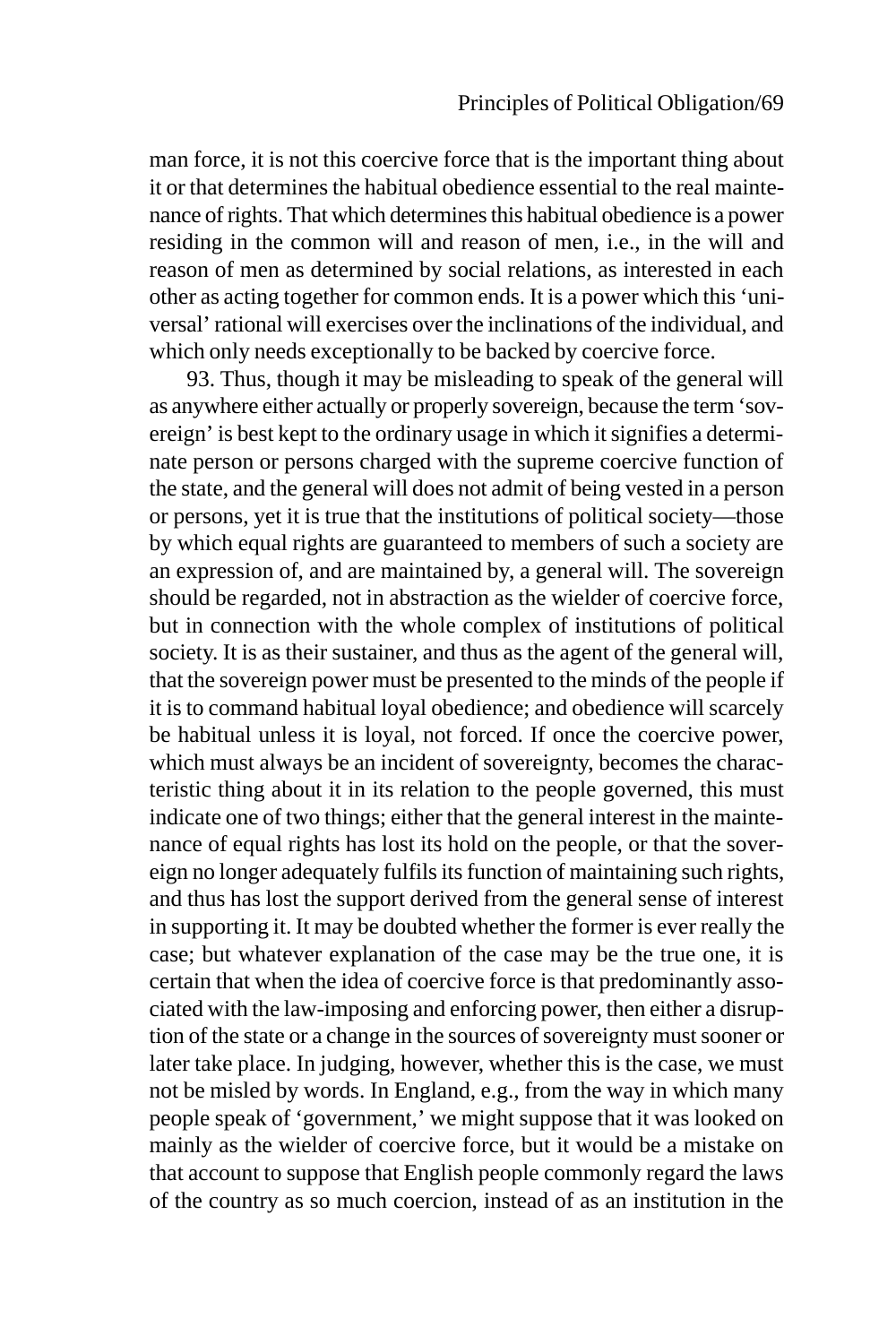man force, it is not this coercive force that is the important thing about it or that determines the habitual obedience essential to the real maintenance of rights. That which determines this habitual obedience is a power residing in the common will and reason of men, i.e., in the will and reason of men as determined by social relations, as interested in each other as acting together for common ends. It is a power which this 'universal' rational will exercises over the inclinations of the individual, and which only needs exceptionally to be backed by coercive force.

93. Thus, though it may be misleading to speak of the general will as anywhere either actually or properly sovereign, because the term 'sovereign' is best kept to the ordinary usage in which it signifies a determinate person or persons charged with the supreme coercive function of the state, and the general will does not admit of being vested in a person or persons, yet it is true that the institutions of political society—those by which equal rights are guaranteed to members of such a society are an expression of, and are maintained by, a general will. The sovereign should be regarded, not in abstraction as the wielder of coercive force, but in connection with the whole complex of institutions of political society. It is as their sustainer, and thus as the agent of the general will, that the sovereign power must be presented to the minds of the people if it is to command habitual loyal obedience; and obedience will scarcely be habitual unless it is loyal, not forced. If once the coercive power, which must always be an incident of sovereignty, becomes the characteristic thing about it in its relation to the people governed, this must indicate one of two things; either that the general interest in the maintenance of equal rights has lost its hold on the people, or that the sovereign no longer adequately fulfils its function of maintaining such rights, and thus has lost the support derived from the general sense of interest in supporting it. It may be doubted whether the former is ever really the case; but whatever explanation of the case may be the true one, it is certain that when the idea of coercive force is that predominantly associated with the law-imposing and enforcing power, then either a disruption of the state or a change in the sources of sovereignty must sooner or later take place. In judging, however, whether this is the case, we must not be misled by words. In England, e.g., from the way in which many people speak of 'government,' we might suppose that it was looked on mainly as the wielder of coercive force, but it would be a mistake on that account to suppose that English people commonly regard the laws of the country as so much coercion, instead of as an institution in the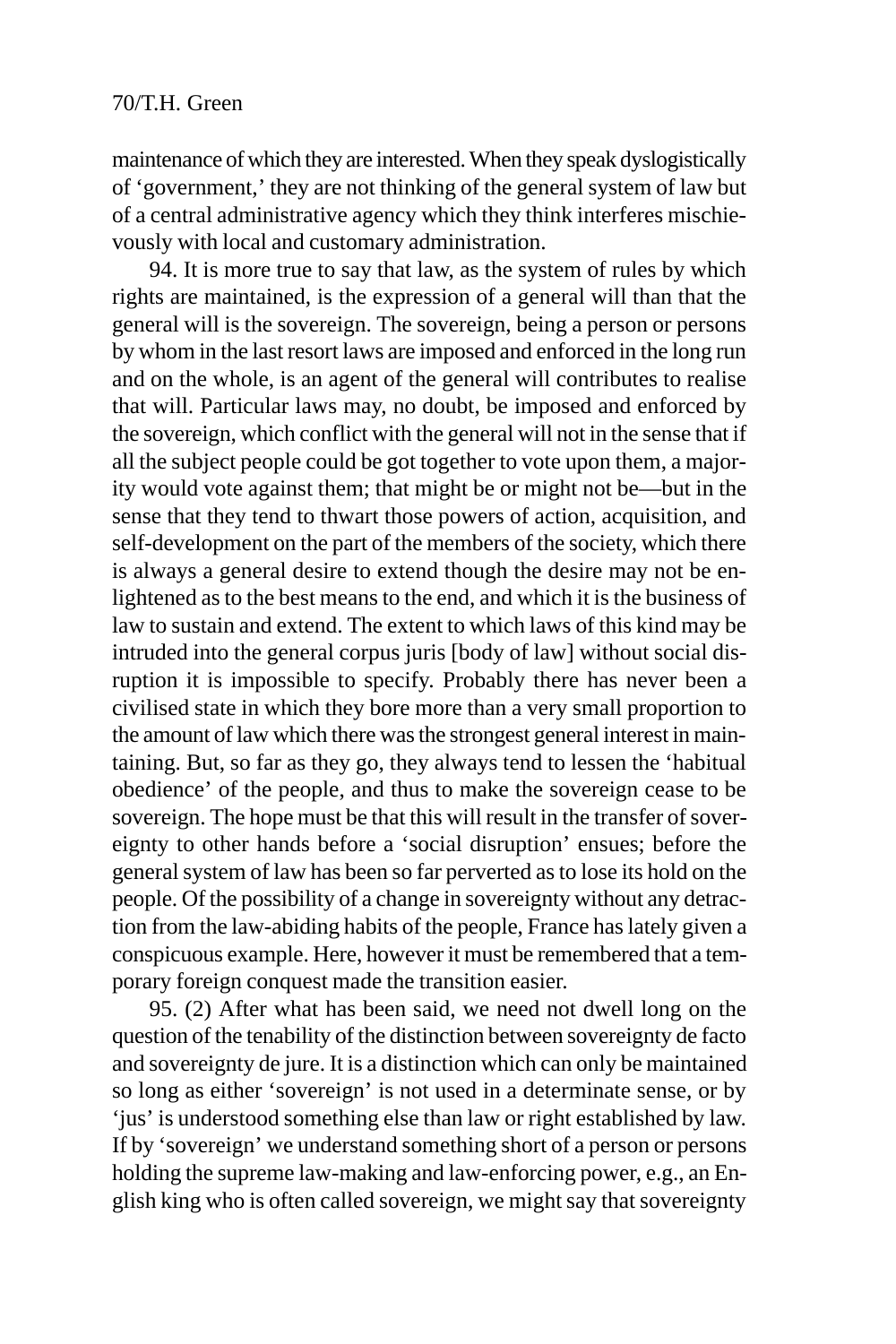maintenance of which they are interested. When they speak dyslogistically of 'government,' they are not thinking of the general system of law but of a central administrative agency which they think interferes mischievously with local and customary administration.

94. It is more true to say that law, as the system of rules by which rights are maintained, is the expression of a general will than that the general will is the sovereign. The sovereign, being a person or persons by whom in the last resort laws are imposed and enforced in the long run and on the whole, is an agent of the general will contributes to realise that will. Particular laws may, no doubt, be imposed and enforced by the sovereign, which conflict with the general will not in the sense that if all the subject people could be got together to vote upon them, a majority would vote against them; that might be or might not be—but in the sense that they tend to thwart those powers of action, acquisition, and self-development on the part of the members of the society, which there is always a general desire to extend though the desire may not be enlightened as to the best means to the end, and which it is the business of law to sustain and extend. The extent to which laws of this kind may be intruded into the general corpus juris [body of law] without social disruption it is impossible to specify. Probably there has never been a civilised state in which they bore more than a very small proportion to the amount of law which there was the strongest general interest in maintaining. But, so far as they go, they always tend to lessen the 'habitual obedience' of the people, and thus to make the sovereign cease to be sovereign. The hope must be that this will result in the transfer of sovereignty to other hands before a 'social disruption' ensues; before the general system of law has been so far perverted as to lose its hold on the people. Of the possibility of a change in sovereignty without any detraction from the law-abiding habits of the people, France has lately given a conspicuous example. Here, however it must be remembered that a temporary foreign conquest made the transition easier.

95. (2) After what has been said, we need not dwell long on the question of the tenability of the distinction between sovereignty de facto and sovereignty de jure. It is a distinction which can only be maintained so long as either 'sovereign' is not used in a determinate sense, or by 'jus' is understood something else than law or right established by law. If by 'sovereign' we understand something short of a person or persons holding the supreme law-making and law-enforcing power, e.g., an English king who is often called sovereign, we might say that sovereignty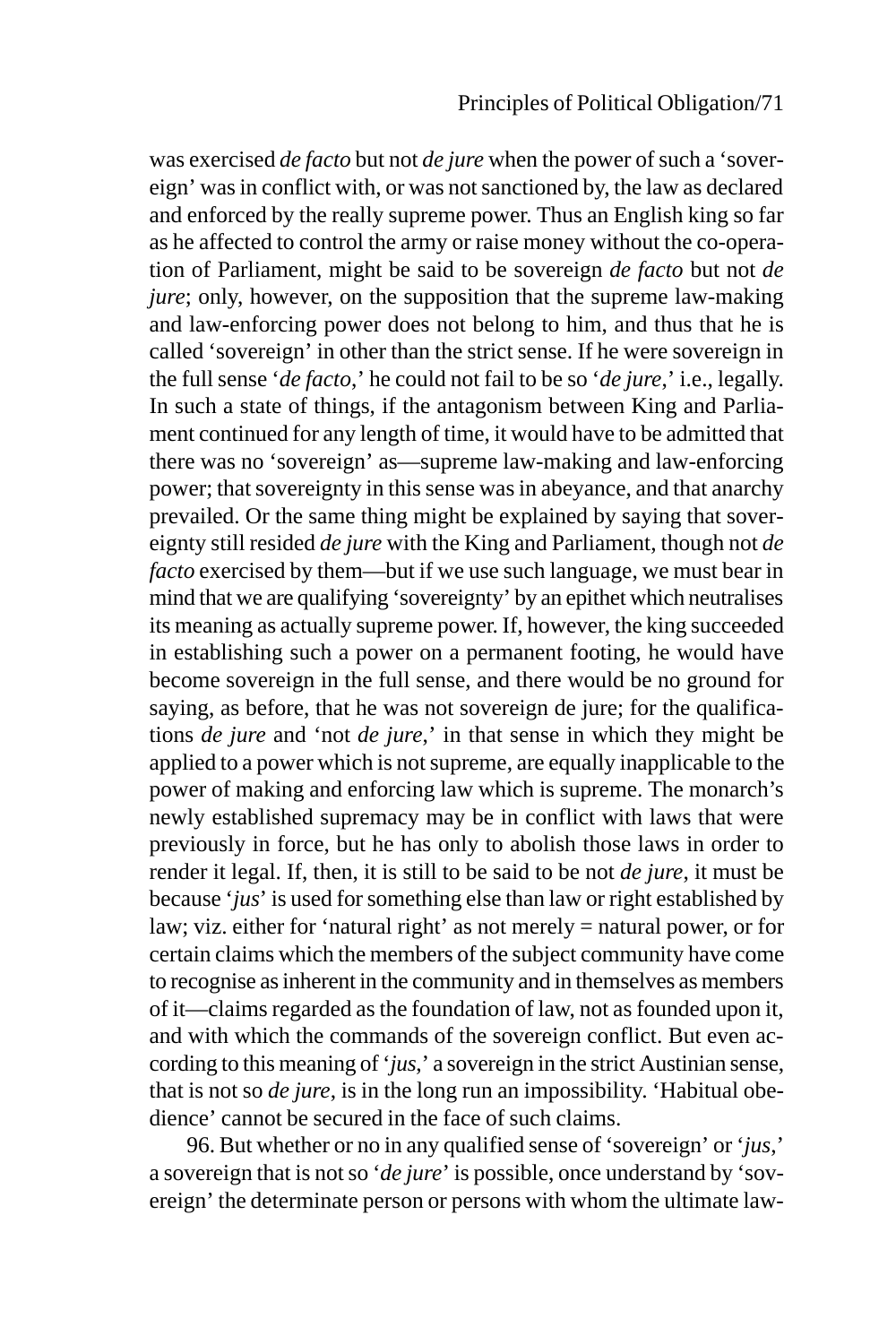was exercised *de facto* but not *de jure* when the power of such a 'sovereign' was in conflict with, or was not sanctioned by, the law as declared and enforced by the really supreme power. Thus an English king so far as he affected to control the army or raise money without the co-operation of Parliament, might be said to be sovereign *de facto* but not *de jure*; only, however, on the supposition that the supreme law-making and law-enforcing power does not belong to him, and thus that he is called 'sovereign' in other than the strict sense. If he were sovereign in the full sense '*de facto*,' he could not fail to be so '*de jure*,' i.e., legally. In such a state of things, if the antagonism between King and Parliament continued for any length of time, it would have to be admitted that there was no 'sovereign' as—supreme law-making and law-enforcing power; that sovereignty in this sense was in abeyance, and that anarchy prevailed. Or the same thing might be explained by saying that sovereignty still resided *de jure* with the King and Parliament, though not *de facto* exercised by them—but if we use such language, we must bear in mind that we are qualifying 'sovereignty' by an epithet which neutralises its meaning as actually supreme power. If, however, the king succeeded in establishing such a power on a permanent footing, he would have become sovereign in the full sense, and there would be no ground for saying, as before, that he was not sovereign de jure; for the qualifications *de jure* and 'not *de jure*,' in that sense in which they might be applied to a power which is not supreme, are equally inapplicable to the power of making and enforcing law which is supreme. The monarch's newly established supremacy may be in conflict with laws that were previously in force, but he has only to abolish those laws in order to render it legal. If, then, it is still to be said to be not *de jure*, it must be because '*jus*' is used for something else than law or right established by law; viz. either for 'natural right' as not merely  $=$  natural power, or for certain claims which the members of the subject community have come to recognise as inherent in the community and in themselves as members of it—claims regarded as the foundation of law, not as founded upon it, and with which the commands of the sovereign conflict. But even according to this meaning of '*jus*,' a sovereign in the strict Austinian sense, that is not so *de jure*, is in the long run an impossibility. 'Habitual obedience' cannot be secured in the face of such claims.

96. But whether or no in any qualified sense of 'sovereign' or '*jus*,' a sovereign that is not so '*de jure*' is possible, once understand by 'sovereign' the determinate person or persons with whom the ultimate law-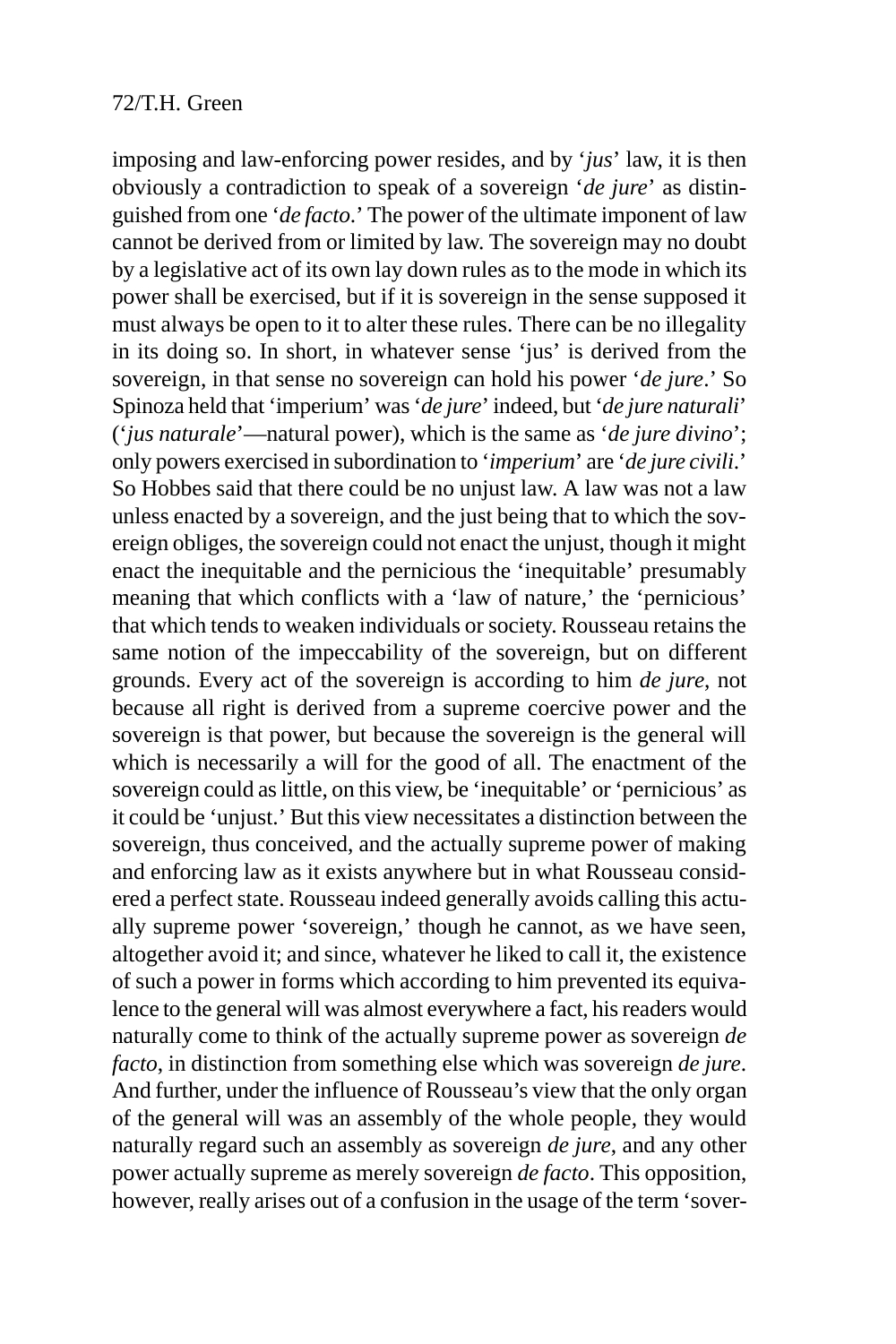imposing and law-enforcing power resides, and by '*jus*' law, it is then obviously a contradiction to speak of a sovereign '*de jure*' as distinguished from one '*de facto*.' The power of the ultimate imponent of law cannot be derived from or limited by law. The sovereign may no doubt by a legislative act of its own lay down rules as to the mode in which its power shall be exercised, but if it is sovereign in the sense supposed it must always be open to it to alter these rules. There can be no illegality in its doing so. In short, in whatever sense 'jus' is derived from the sovereign, in that sense no sovereign can hold his power '*de jure*.' So Spinoza held that 'imperium' was '*de jure*' indeed, but '*de jure naturali*' ('*jus naturale*'—natural power), which is the same as '*de jure divino*'; only powers exercised in subordination to '*imperium*' are '*de jure civili*.' So Hobbes said that there could be no unjust law. A law was not a law unless enacted by a sovereign, and the just being that to which the sovereign obliges, the sovereign could not enact the unjust, though it might enact the inequitable and the pernicious the 'inequitable' presumably meaning that which conflicts with a 'law of nature,' the 'pernicious' that which tends to weaken individuals or society. Rousseau retains the same notion of the impeccability of the sovereign, but on different grounds. Every act of the sovereign is according to him *de jure*, not because all right is derived from a supreme coercive power and the sovereign is that power, but because the sovereign is the general will which is necessarily a will for the good of all. The enactment of the sovereign could as little, on this view, be 'inequitable' or 'pernicious' as it could be 'unjust.' But this view necessitates a distinction between the sovereign, thus conceived, and the actually supreme power of making and enforcing law as it exists anywhere but in what Rousseau considered a perfect state. Rousseau indeed generally avoids calling this actually supreme power 'sovereign,' though he cannot, as we have seen, altogether avoid it; and since, whatever he liked to call it, the existence of such a power in forms which according to him prevented its equivalence to the general will was almost everywhere a fact, his readers would naturally come to think of the actually supreme power as sovereign *de facto*, in distinction from something else which was sovereign *de jure*. And further, under the influence of Rousseau's view that the only organ of the general will was an assembly of the whole people, they would naturally regard such an assembly as sovereign *de jure*, and any other power actually supreme as merely sovereign *de facto*. This opposition, however, really arises out of a confusion in the usage of the term 'sover-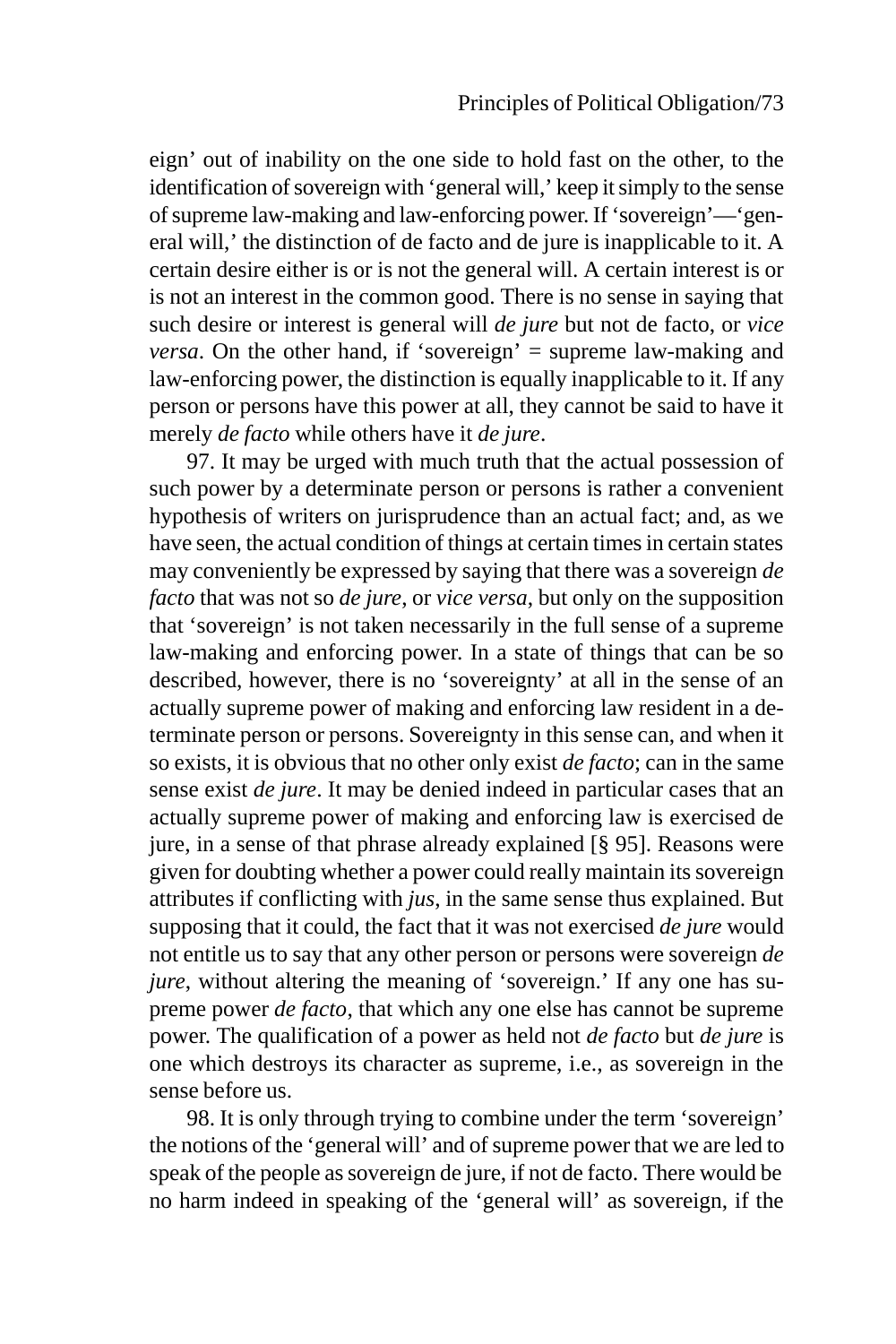eign' out of inability on the one side to hold fast on the other, to the identification of sovereign with 'general will,' keep it simply to the sense of supreme law-making and law-enforcing power. If 'sovereign'—'general will,' the distinction of de facto and de jure is inapplicable to it. A certain desire either is or is not the general will. A certain interest is or is not an interest in the common good. There is no sense in saying that such desire or interest is general will *de jure* but not de facto, or *vice versa*. On the other hand, if 'sovereign'  $=$  supreme law-making and law-enforcing power, the distinction is equally inapplicable to it. If any person or persons have this power at all, they cannot be said to have it merely *de facto* while others have it *de jure*.

97. It may be urged with much truth that the actual possession of such power by a determinate person or persons is rather a convenient hypothesis of writers on jurisprudence than an actual fact; and, as we have seen, the actual condition of things at certain times in certain states may conveniently be expressed by saying that there was a sovereign *de facto* that was not so *de jure*, or *vice versa*, but only on the supposition that 'sovereign' is not taken necessarily in the full sense of a supreme law-making and enforcing power. In a state of things that can be so described, however, there is no 'sovereignty' at all in the sense of an actually supreme power of making and enforcing law resident in a determinate person or persons. Sovereignty in this sense can, and when it so exists, it is obvious that no other only exist *de facto*; can in the same sense exist *de jure*. It may be denied indeed in particular cases that an actually supreme power of making and enforcing law is exercised de jure, in a sense of that phrase already explained [§ 95]. Reasons were given for doubting whether a power could really maintain its sovereign attributes if conflicting with *jus*, in the same sense thus explained. But supposing that it could, the fact that it was not exercised *de jure* would not entitle us to say that any other person or persons were sovereign *de jure*, without altering the meaning of 'sovereign.' If any one has supreme power *de facto*, that which any one else has cannot be supreme power. The qualification of a power as held not *de facto* but *de jure* is one which destroys its character as supreme, i.e., as sovereign in the sense before us.

98. It is only through trying to combine under the term 'sovereign' the notions of the 'general will' and of supreme power that we are led to speak of the people as sovereign de jure, if not de facto. There would be no harm indeed in speaking of the 'general will' as sovereign, if the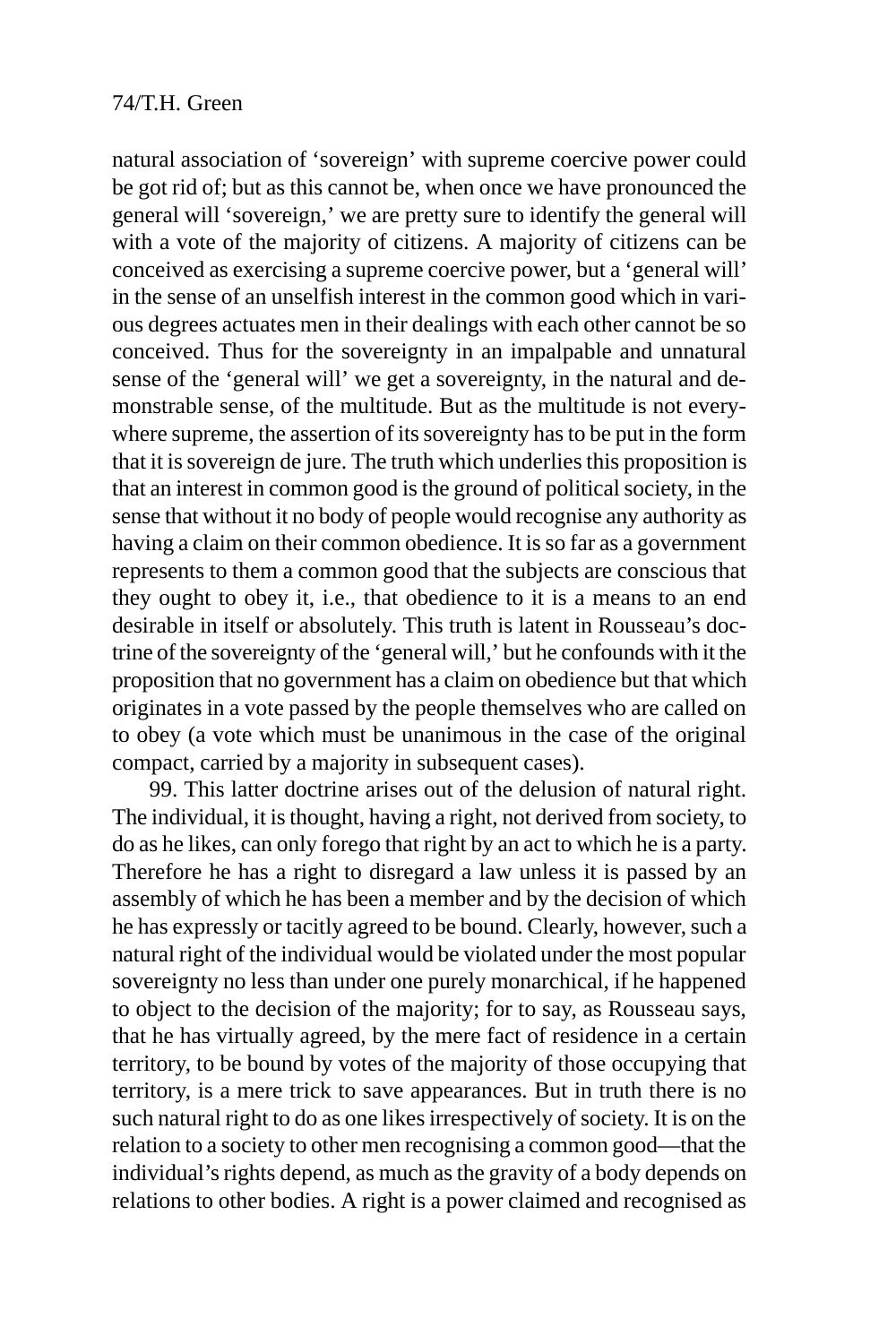natural association of 'sovereign' with supreme coercive power could be got rid of; but as this cannot be, when once we have pronounced the general will 'sovereign,' we are pretty sure to identify the general will with a vote of the majority of citizens. A majority of citizens can be conceived as exercising a supreme coercive power, but a 'general will' in the sense of an unselfish interest in the common good which in various degrees actuates men in their dealings with each other cannot be so conceived. Thus for the sovereignty in an impalpable and unnatural sense of the 'general will' we get a sovereignty, in the natural and demonstrable sense, of the multitude. But as the multitude is not everywhere supreme, the assertion of its sovereignty has to be put in the form that it is sovereign de jure. The truth which underlies this proposition is that an interest in common good is the ground of political society, in the sense that without it no body of people would recognise any authority as having a claim on their common obedience. It is so far as a government represents to them a common good that the subjects are conscious that they ought to obey it, i.e., that obedience to it is a means to an end desirable in itself or absolutely. This truth is latent in Rousseau's doctrine of the sovereignty of the 'general will,' but he confounds with it the proposition that no government has a claim on obedience but that which originates in a vote passed by the people themselves who are called on to obey (a vote which must be unanimous in the case of the original compact, carried by a majority in subsequent cases).

99. This latter doctrine arises out of the delusion of natural right. The individual, it is thought, having a right, not derived from society, to do as he likes, can only forego that right by an act to which he is a party. Therefore he has a right to disregard a law unless it is passed by an assembly of which he has been a member and by the decision of which he has expressly or tacitly agreed to be bound. Clearly, however, such a natural right of the individual would be violated under the most popular sovereignty no less than under one purely monarchical, if he happened to object to the decision of the majority; for to say, as Rousseau says, that he has virtually agreed, by the mere fact of residence in a certain territory, to be bound by votes of the majority of those occupying that territory, is a mere trick to save appearances. But in truth there is no such natural right to do as one likes irrespectively of society. It is on the relation to a society to other men recognising a common good—that the individual's rights depend, as much as the gravity of a body depends on relations to other bodies. A right is a power claimed and recognised as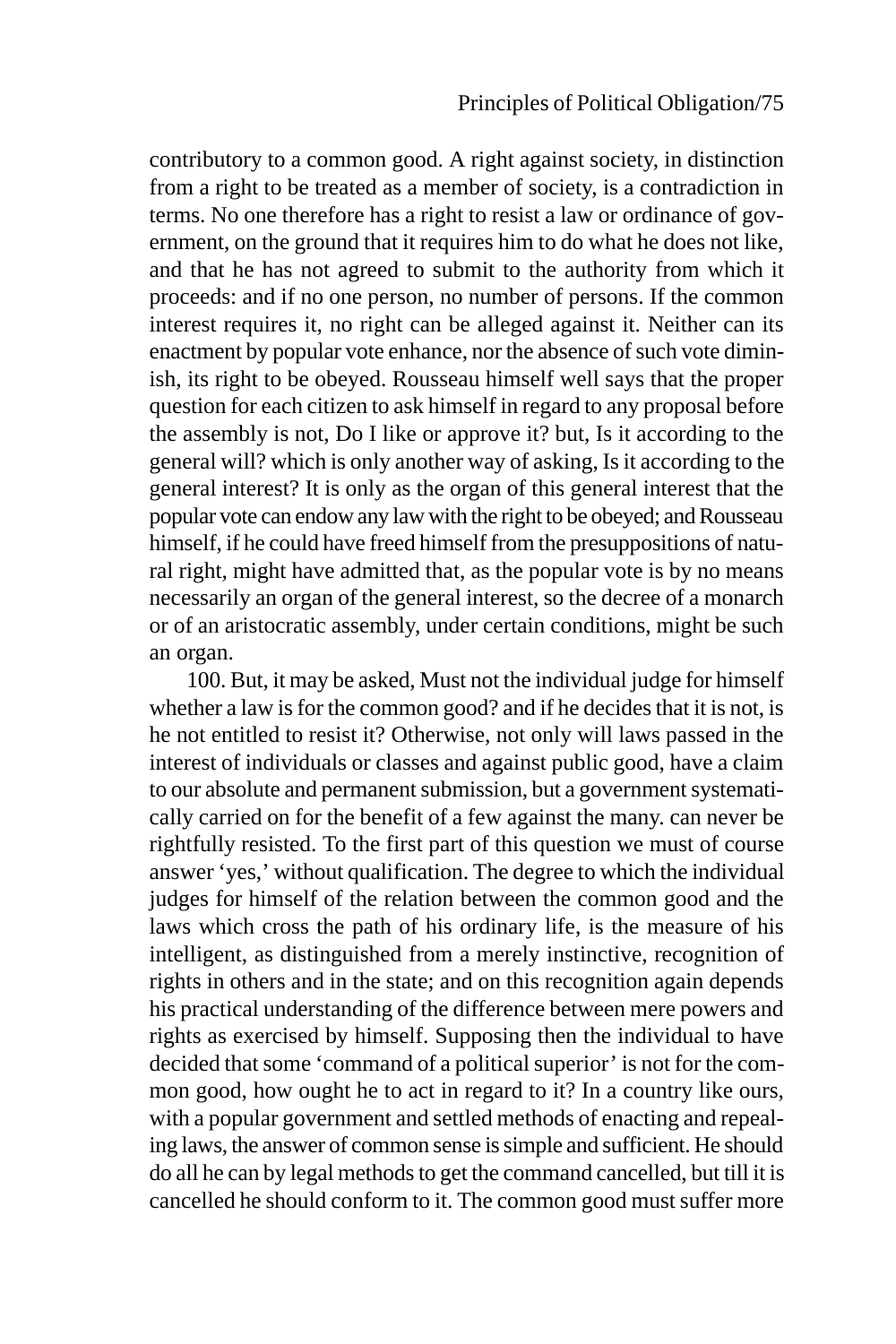contributory to a common good. A right against society, in distinction from a right to be treated as a member of society, is a contradiction in terms. No one therefore has a right to resist a law or ordinance of government, on the ground that it requires him to do what he does not like, and that he has not agreed to submit to the authority from which it proceeds: and if no one person, no number of persons. If the common interest requires it, no right can be alleged against it. Neither can its enactment by popular vote enhance, nor the absence of such vote diminish, its right to be obeyed. Rousseau himself well says that the proper question for each citizen to ask himself in regard to any proposal before the assembly is not, Do I like or approve it? but, Is it according to the general will? which is only another way of asking, Is it according to the general interest? It is only as the organ of this general interest that the popular vote can endow any law with the right to be obeyed; and Rousseau himself, if he could have freed himself from the presuppositions of natural right, might have admitted that, as the popular vote is by no means necessarily an organ of the general interest, so the decree of a monarch or of an aristocratic assembly, under certain conditions, might be such an organ.

100. But, it may be asked, Must not the individual judge for himself whether a law is for the common good? and if he decides that it is not, is he not entitled to resist it? Otherwise, not only will laws passed in the interest of individuals or classes and against public good, have a claim to our absolute and permanent submission, but a government systematically carried on for the benefit of a few against the many. can never be rightfully resisted. To the first part of this question we must of course answer 'yes,' without qualification. The degree to which the individual judges for himself of the relation between the common good and the laws which cross the path of his ordinary life, is the measure of his intelligent, as distinguished from a merely instinctive, recognition of rights in others and in the state; and on this recognition again depends his practical understanding of the difference between mere powers and rights as exercised by himself. Supposing then the individual to have decided that some 'command of a political superior' is not for the common good, how ought he to act in regard to it? In a country like ours, with a popular government and settled methods of enacting and repealing laws, the answer of common sense is simple and sufficient. He should do all he can by legal methods to get the command cancelled, but till it is cancelled he should conform to it. The common good must suffer more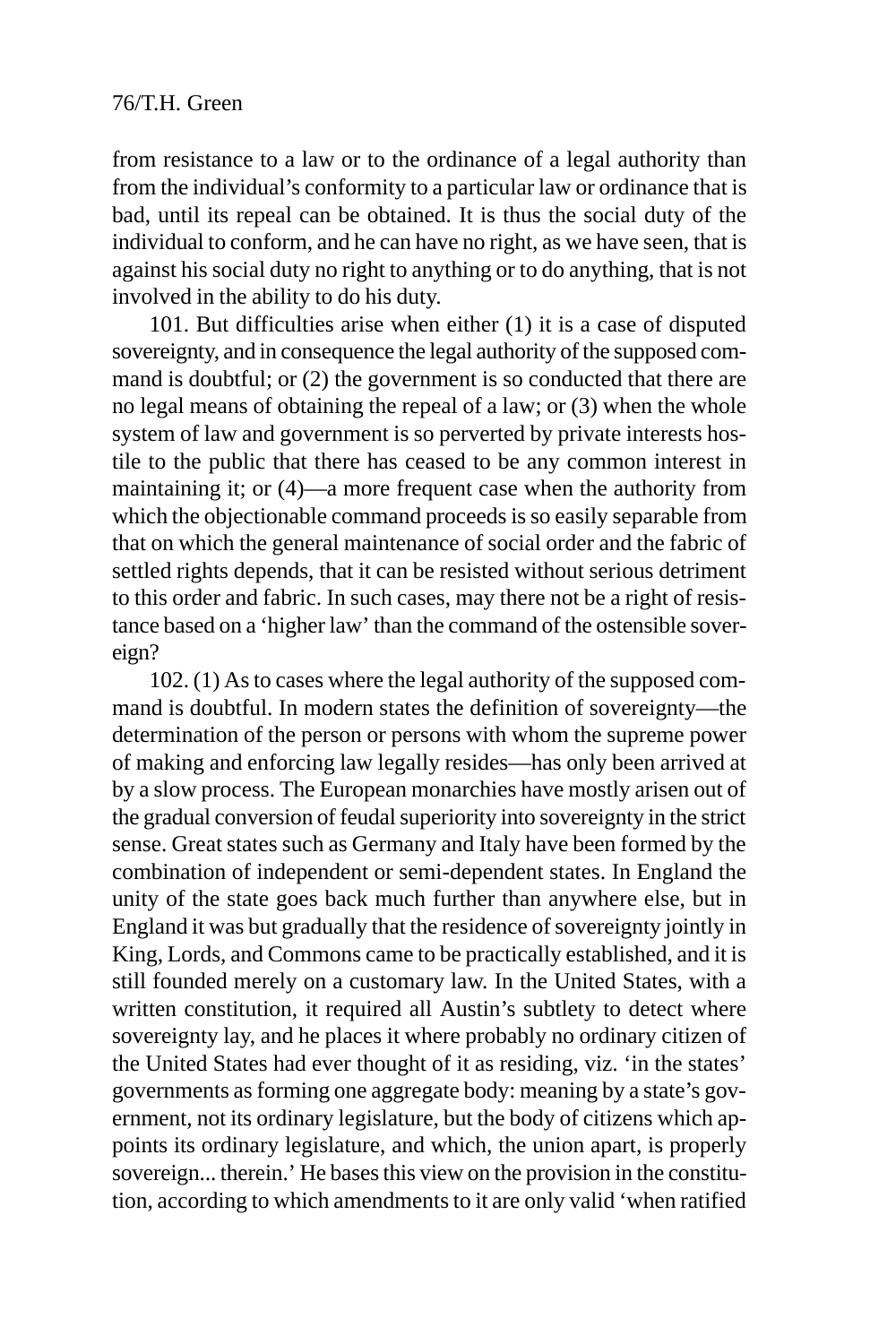from resistance to a law or to the ordinance of a legal authority than from the individual's conformity to a particular law or ordinance that is bad, until its repeal can be obtained. It is thus the social duty of the individual to conform, and he can have no right, as we have seen, that is against his social duty no right to anything or to do anything, that is not involved in the ability to do his duty.

101. But difficulties arise when either (1) it is a case of disputed sovereignty, and in consequence the legal authority of the supposed command is doubtful; or (2) the government is so conducted that there are no legal means of obtaining the repeal of a law; or (3) when the whole system of law and government is so perverted by private interests hostile to the public that there has ceased to be any common interest in maintaining it; or (4)—a more frequent case when the authority from which the objectionable command proceeds is so easily separable from that on which the general maintenance of social order and the fabric of settled rights depends, that it can be resisted without serious detriment to this order and fabric. In such cases, may there not be a right of resistance based on a 'higher law' than the command of the ostensible sovereign?

102. (1) As to cases where the legal authority of the supposed command is doubtful. In modern states the definition of sovereignty—the determination of the person or persons with whom the supreme power of making and enforcing law legally resides—has only been arrived at by a slow process. The European monarchies have mostly arisen out of the gradual conversion of feudal superiority into sovereignty in the strict sense. Great states such as Germany and Italy have been formed by the combination of independent or semi-dependent states. In England the unity of the state goes back much further than anywhere else, but in England it was but gradually that the residence of sovereignty jointly in King, Lords, and Commons came to be practically established, and it is still founded merely on a customary law. In the United States, with a written constitution, it required all Austin's subtlety to detect where sovereignty lay, and he places it where probably no ordinary citizen of the United States had ever thought of it as residing, viz. 'in the states' governments as forming one aggregate body: meaning by a state's government, not its ordinary legislature, but the body of citizens which appoints its ordinary legislature, and which, the union apart, is properly sovereign... therein.' He bases this view on the provision in the constitution, according to which amendments to it are only valid 'when ratified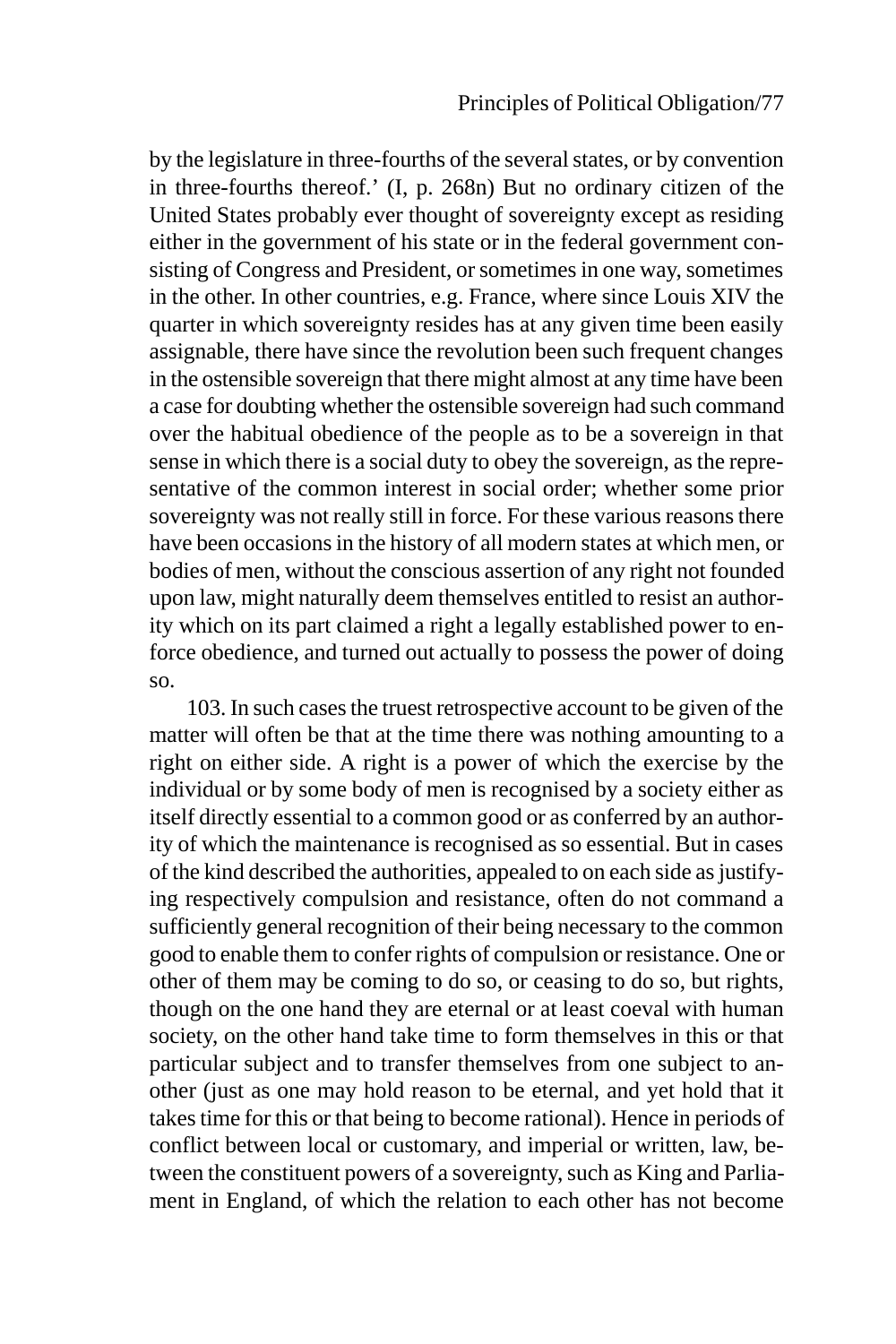by the legislature in three-fourths of the several states, or by convention in three-fourths thereof.' (I, p. 268n) But no ordinary citizen of the United States probably ever thought of sovereignty except as residing either in the government of his state or in the federal government consisting of Congress and President, or sometimes in one way, sometimes in the other. In other countries, e.g. France, where since Louis XIV the quarter in which sovereignty resides has at any given time been easily assignable, there have since the revolution been such frequent changes in the ostensible sovereign that there might almost at any time have been a case for doubting whether the ostensible sovereign had such command over the habitual obedience of the people as to be a sovereign in that sense in which there is a social duty to obey the sovereign, as the representative of the common interest in social order; whether some prior sovereignty was not really still in force. For these various reasons there have been occasions in the history of all modern states at which men, or bodies of men, without the conscious assertion of any right not founded upon law, might naturally deem themselves entitled to resist an authority which on its part claimed a right a legally established power to enforce obedience, and turned out actually to possess the power of doing so.

103. In such cases the truest retrospective account to be given of the matter will often be that at the time there was nothing amounting to a right on either side. A right is a power of which the exercise by the individual or by some body of men is recognised by a society either as itself directly essential to a common good or as conferred by an authority of which the maintenance is recognised as so essential. But in cases of the kind described the authorities, appealed to on each side as justifying respectively compulsion and resistance, often do not command a sufficiently general recognition of their being necessary to the common good to enable them to confer rights of compulsion or resistance. One or other of them may be coming to do so, or ceasing to do so, but rights, though on the one hand they are eternal or at least coeval with human society, on the other hand take time to form themselves in this or that particular subject and to transfer themselves from one subject to another (just as one may hold reason to be eternal, and yet hold that it takes time for this or that being to become rational). Hence in periods of conflict between local or customary, and imperial or written, law, between the constituent powers of a sovereignty, such as King and Parliament in England, of which the relation to each other has not become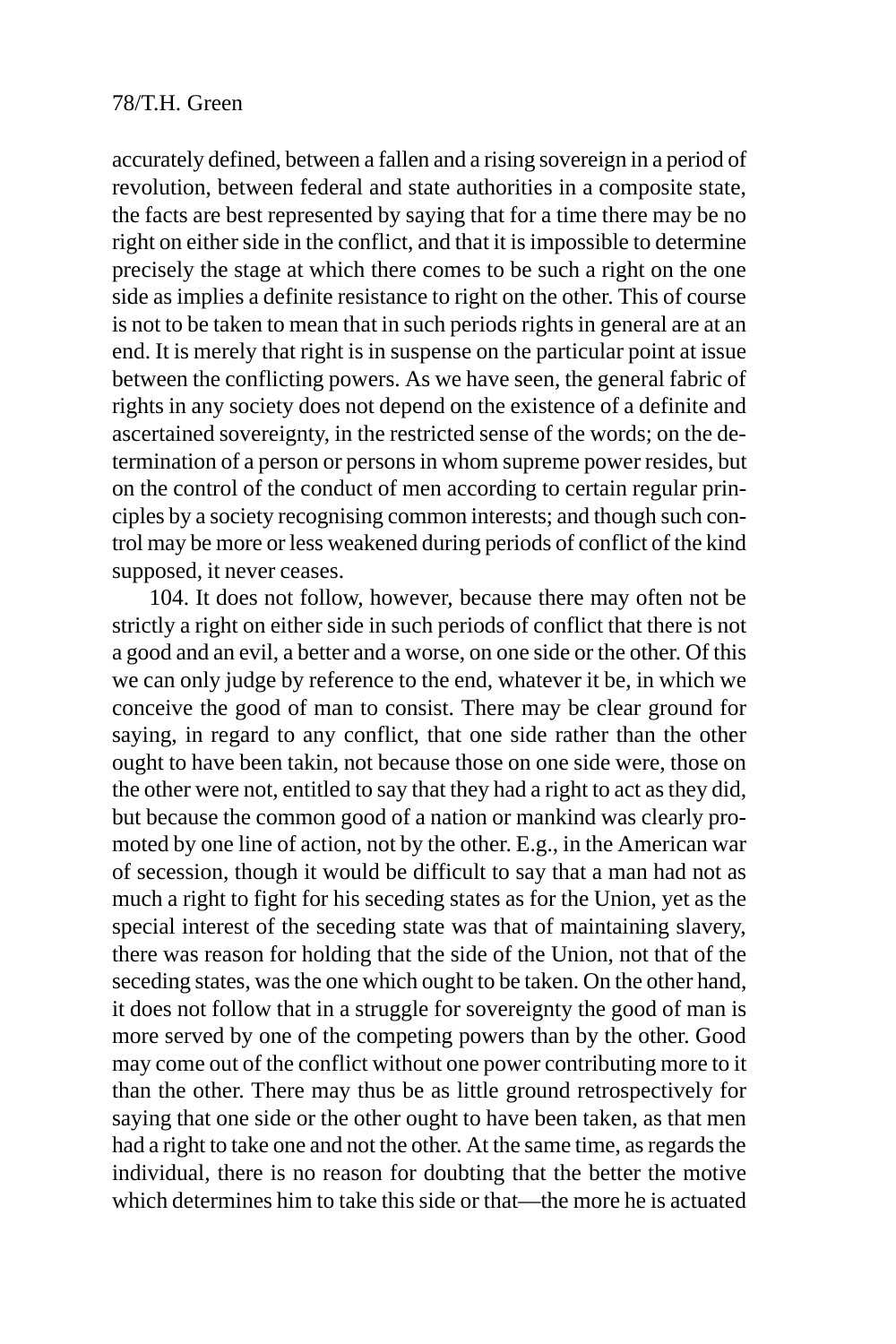accurately defined, between a fallen and a rising sovereign in a period of revolution, between federal and state authorities in a composite state, the facts are best represented by saying that for a time there may be no right on either side in the conflict, and that it is impossible to determine precisely the stage at which there comes to be such a right on the one side as implies a definite resistance to right on the other. This of course is not to be taken to mean that in such periods rights in general are at an end. It is merely that right is in suspense on the particular point at issue between the conflicting powers. As we have seen, the general fabric of rights in any society does not depend on the existence of a definite and ascertained sovereignty, in the restricted sense of the words; on the determination of a person or persons in whom supreme power resides, but on the control of the conduct of men according to certain regular principles by a society recognising common interests; and though such control may be more or less weakened during periods of conflict of the kind supposed, it never ceases.

104. It does not follow, however, because there may often not be strictly a right on either side in such periods of conflict that there is not a good and an evil, a better and a worse, on one side or the other. Of this we can only judge by reference to the end, whatever it be, in which we conceive the good of man to consist. There may be clear ground for saying, in regard to any conflict, that one side rather than the other ought to have been takin, not because those on one side were, those on the other were not, entitled to say that they had a right to act as they did, but because the common good of a nation or mankind was clearly promoted by one line of action, not by the other. E.g., in the American war of secession, though it would be difficult to say that a man had not as much a right to fight for his seceding states as for the Union, yet as the special interest of the seceding state was that of maintaining slavery, there was reason for holding that the side of the Union, not that of the seceding states, was the one which ought to be taken. On the other hand, it does not follow that in a struggle for sovereignty the good of man is more served by one of the competing powers than by the other. Good may come out of the conflict without one power contributing more to it than the other. There may thus be as little ground retrospectively for saying that one side or the other ought to have been taken, as that men had a right to take one and not the other. At the same time, as regards the individual, there is no reason for doubting that the better the motive which determines him to take this side or that—the more he is actuated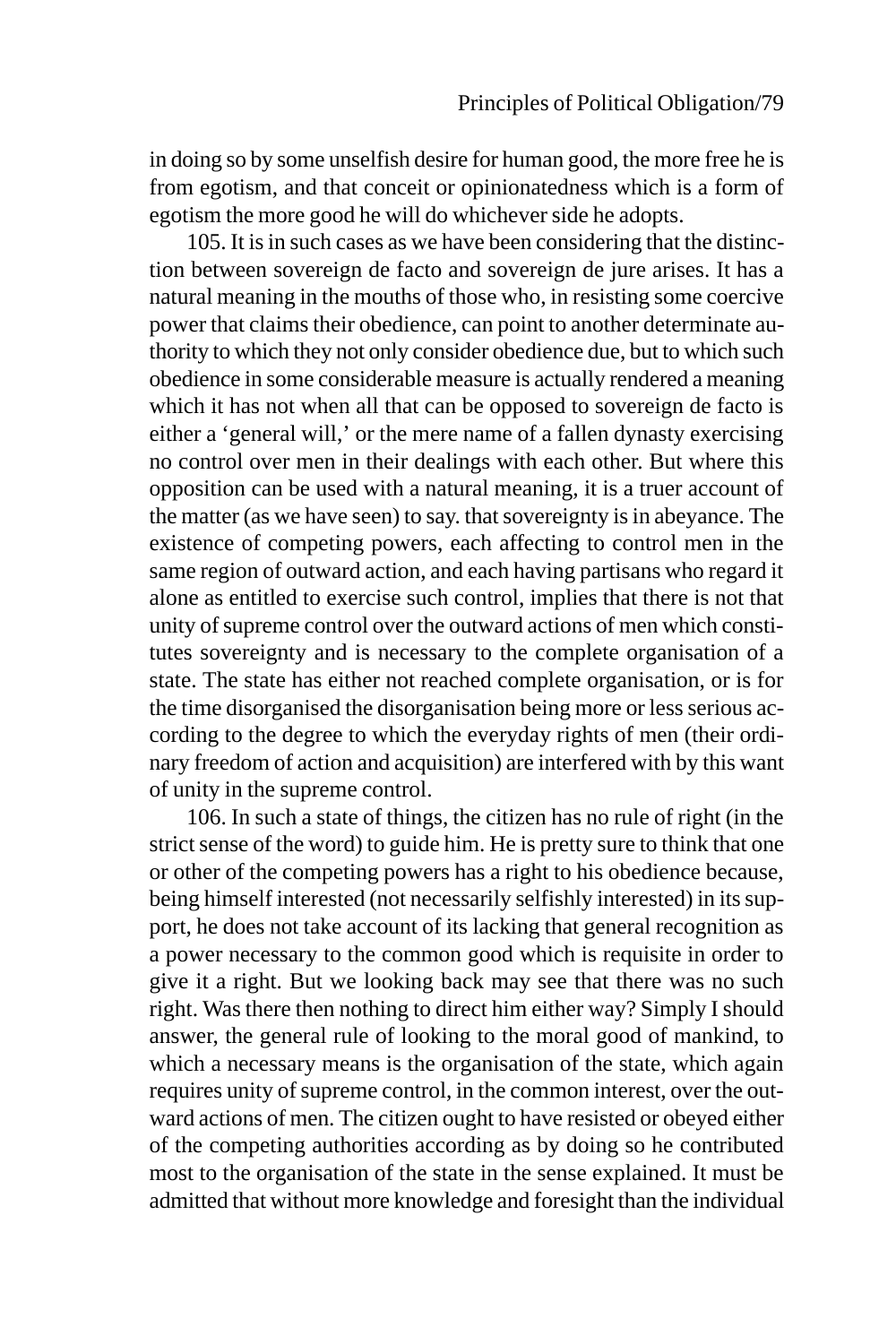in doing so by some unselfish desire for human good, the more free he is from egotism, and that conceit or opinionatedness which is a form of egotism the more good he will do whichever side he adopts.

105. It is in such cases as we have been considering that the distinction between sovereign de facto and sovereign de jure arises. It has a natural meaning in the mouths of those who, in resisting some coercive power that claims their obedience, can point to another determinate authority to which they not only consider obedience due, but to which such obedience in some considerable measure is actually rendered a meaning which it has not when all that can be opposed to sovereign de facto is either a 'general will,' or the mere name of a fallen dynasty exercising no control over men in their dealings with each other. But where this opposition can be used with a natural meaning, it is a truer account of the matter (as we have seen) to say. that sovereignty is in abeyance. The existence of competing powers, each affecting to control men in the same region of outward action, and each having partisans who regard it alone as entitled to exercise such control, implies that there is not that unity of supreme control over the outward actions of men which constitutes sovereignty and is necessary to the complete organisation of a state. The state has either not reached complete organisation, or is for the time disorganised the disorganisation being more or less serious according to the degree to which the everyday rights of men (their ordinary freedom of action and acquisition) are interfered with by this want of unity in the supreme control.

106. In such a state of things, the citizen has no rule of right (in the strict sense of the word) to guide him. He is pretty sure to think that one or other of the competing powers has a right to his obedience because, being himself interested (not necessarily selfishly interested) in its support, he does not take account of its lacking that general recognition as a power necessary to the common good which is requisite in order to give it a right. But we looking back may see that there was no such right. Was there then nothing to direct him either way? Simply I should answer, the general rule of looking to the moral good of mankind, to which a necessary means is the organisation of the state, which again requires unity of supreme control, in the common interest, over the outward actions of men. The citizen ought to have resisted or obeyed either of the competing authorities according as by doing so he contributed most to the organisation of the state in the sense explained. It must be admitted that without more knowledge and foresight than the individual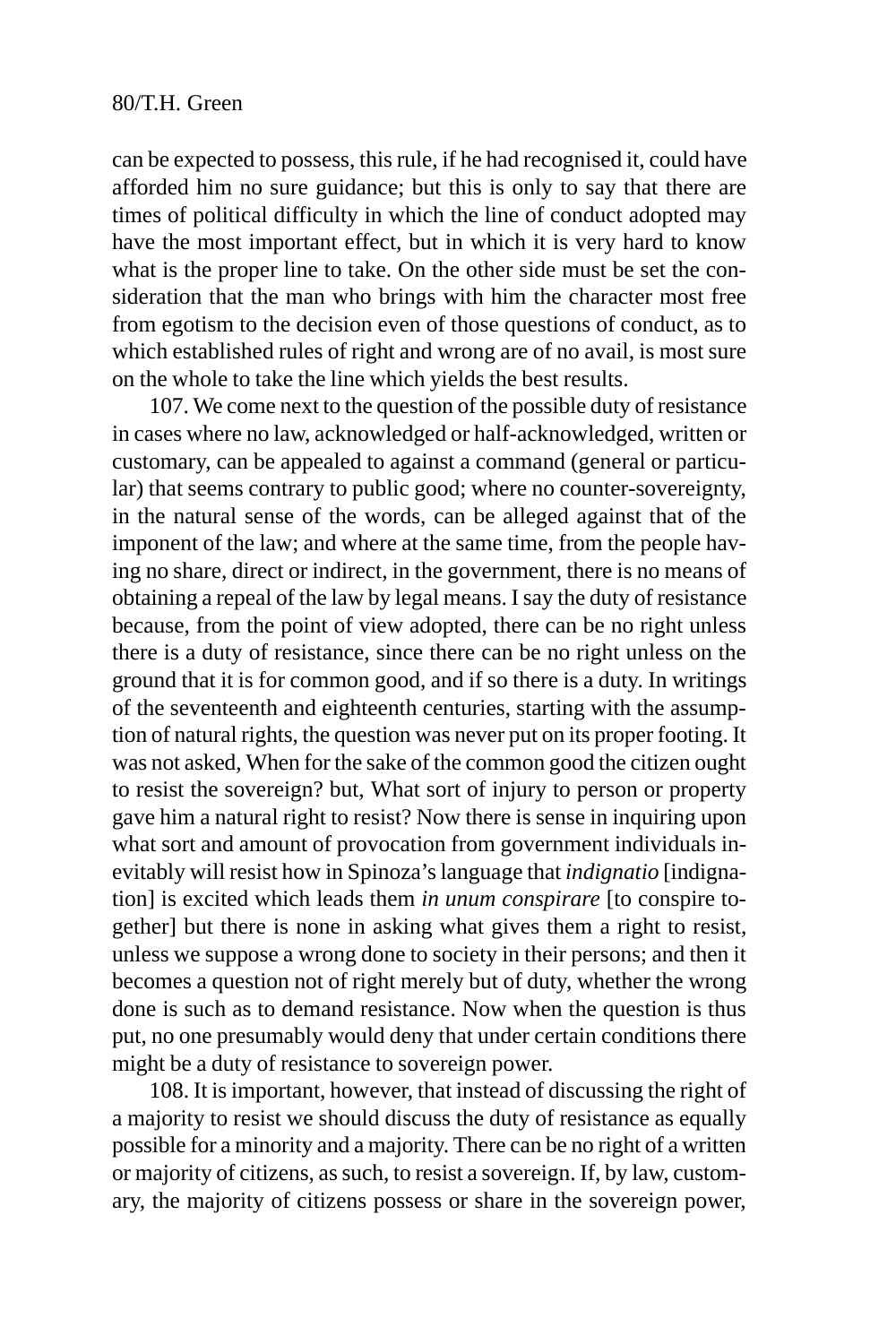can be expected to possess, this rule, if he had recognised it, could have afforded him no sure guidance; but this is only to say that there are times of political difficulty in which the line of conduct adopted may have the most important effect, but in which it is very hard to know what is the proper line to take. On the other side must be set the consideration that the man who brings with him the character most free from egotism to the decision even of those questions of conduct, as to which established rules of right and wrong are of no avail, is most sure on the whole to take the line which yields the best results.

107. We come next to the question of the possible duty of resistance in cases where no law, acknowledged or half-acknowledged, written or customary, can be appealed to against a command (general or particular) that seems contrary to public good; where no counter-sovereignty, in the natural sense of the words, can be alleged against that of the imponent of the law; and where at the same time, from the people having no share, direct or indirect, in the government, there is no means of obtaining a repeal of the law by legal means. I say the duty of resistance because, from the point of view adopted, there can be no right unless there is a duty of resistance, since there can be no right unless on the ground that it is for common good, and if so there is a duty. In writings of the seventeenth and eighteenth centuries, starting with the assumption of natural rights, the question was never put on its proper footing. It was not asked, When for the sake of the common good the citizen ought to resist the sovereign? but, What sort of injury to person or property gave him a natural right to resist? Now there is sense in inquiring upon what sort and amount of provocation from government individuals inevitably will resist how in Spinoza's language that *indignatio* [indignation] is excited which leads them *in unum conspirare* [to conspire together] but there is none in asking what gives them a right to resist, unless we suppose a wrong done to society in their persons; and then it becomes a question not of right merely but of duty, whether the wrong done is such as to demand resistance. Now when the question is thus put, no one presumably would deny that under certain conditions there might be a duty of resistance to sovereign power.

108. It is important, however, that instead of discussing the right of a majority to resist we should discuss the duty of resistance as equally possible for a minority and a majority. There can be no right of a written or majority of citizens, as such, to resist a sovereign. If, by law, customary, the majority of citizens possess or share in the sovereign power,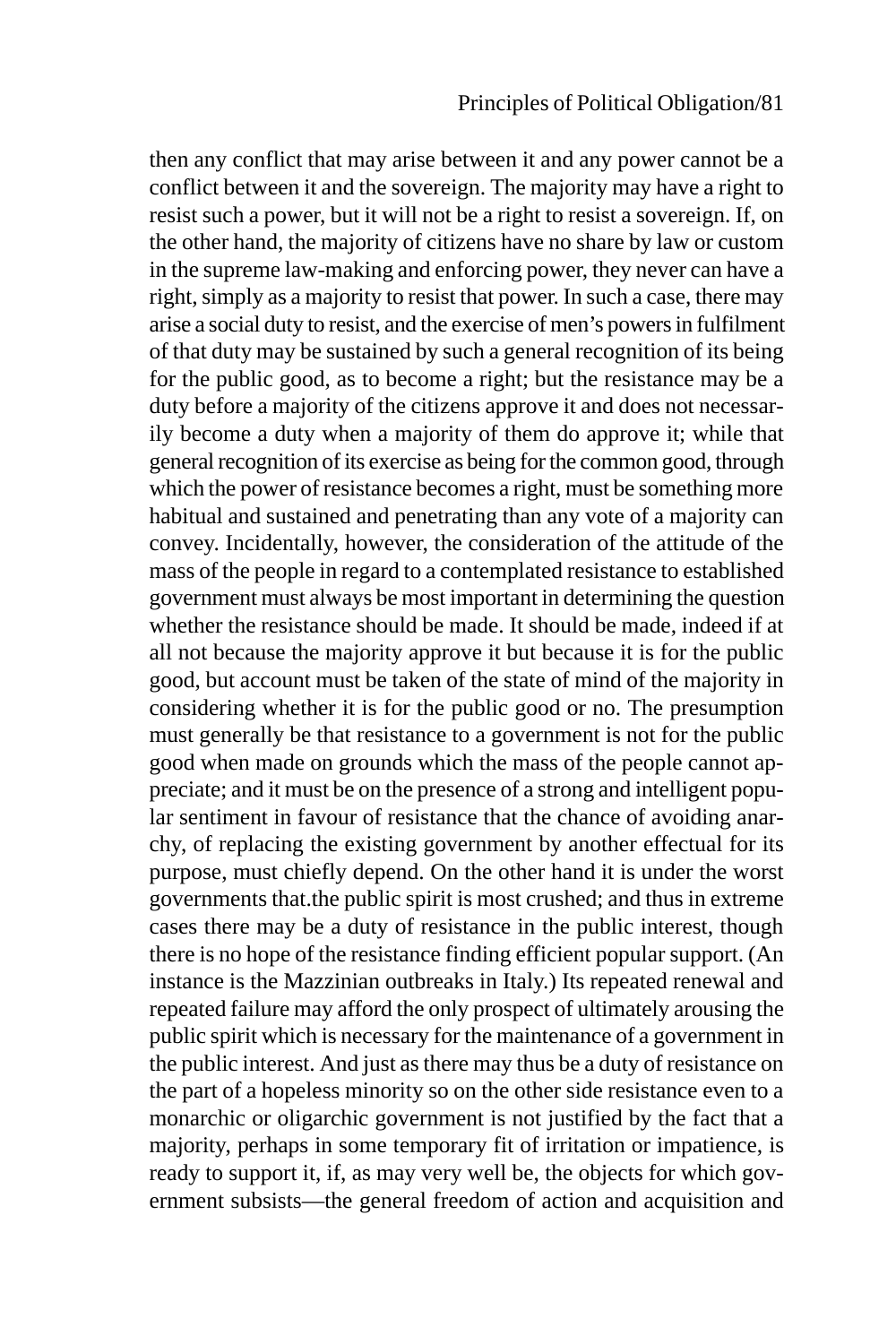then any conflict that may arise between it and any power cannot be a conflict between it and the sovereign. The majority may have a right to resist such a power, but it will not be a right to resist a sovereign. If, on the other hand, the majority of citizens have no share by law or custom in the supreme law-making and enforcing power, they never can have a right, simply as a majority to resist that power. In such a case, there may arise a social duty to resist, and the exercise of men's powers in fulfilment of that duty may be sustained by such a general recognition of its being for the public good, as to become a right; but the resistance may be a duty before a majority of the citizens approve it and does not necessarily become a duty when a majority of them do approve it; while that general recognition of its exercise as being for the common good, through which the power of resistance becomes a right, must be something more habitual and sustained and penetrating than any vote of a majority can convey. Incidentally, however, the consideration of the attitude of the mass of the people in regard to a contemplated resistance to established government must always be most important in determining the question whether the resistance should be made. It should be made, indeed if at all not because the majority approve it but because it is for the public good, but account must be taken of the state of mind of the majority in considering whether it is for the public good or no. The presumption must generally be that resistance to a government is not for the public good when made on grounds which the mass of the people cannot appreciate; and it must be on the presence of a strong and intelligent popular sentiment in favour of resistance that the chance of avoiding anarchy, of replacing the existing government by another effectual for its purpose, must chiefly depend. On the other hand it is under the worst governments that.the public spirit is most crushed; and thus in extreme cases there may be a duty of resistance in the public interest, though there is no hope of the resistance finding efficient popular support. (An instance is the Mazzinian outbreaks in Italy.) Its repeated renewal and repeated failure may afford the only prospect of ultimately arousing the public spirit which is necessary for the maintenance of a government in the public interest. And just as there may thus be a duty of resistance on the part of a hopeless minority so on the other side resistance even to a monarchic or oligarchic government is not justified by the fact that a majority, perhaps in some temporary fit of irritation or impatience, is ready to support it, if, as may very well be, the objects for which government subsists—the general freedom of action and acquisition and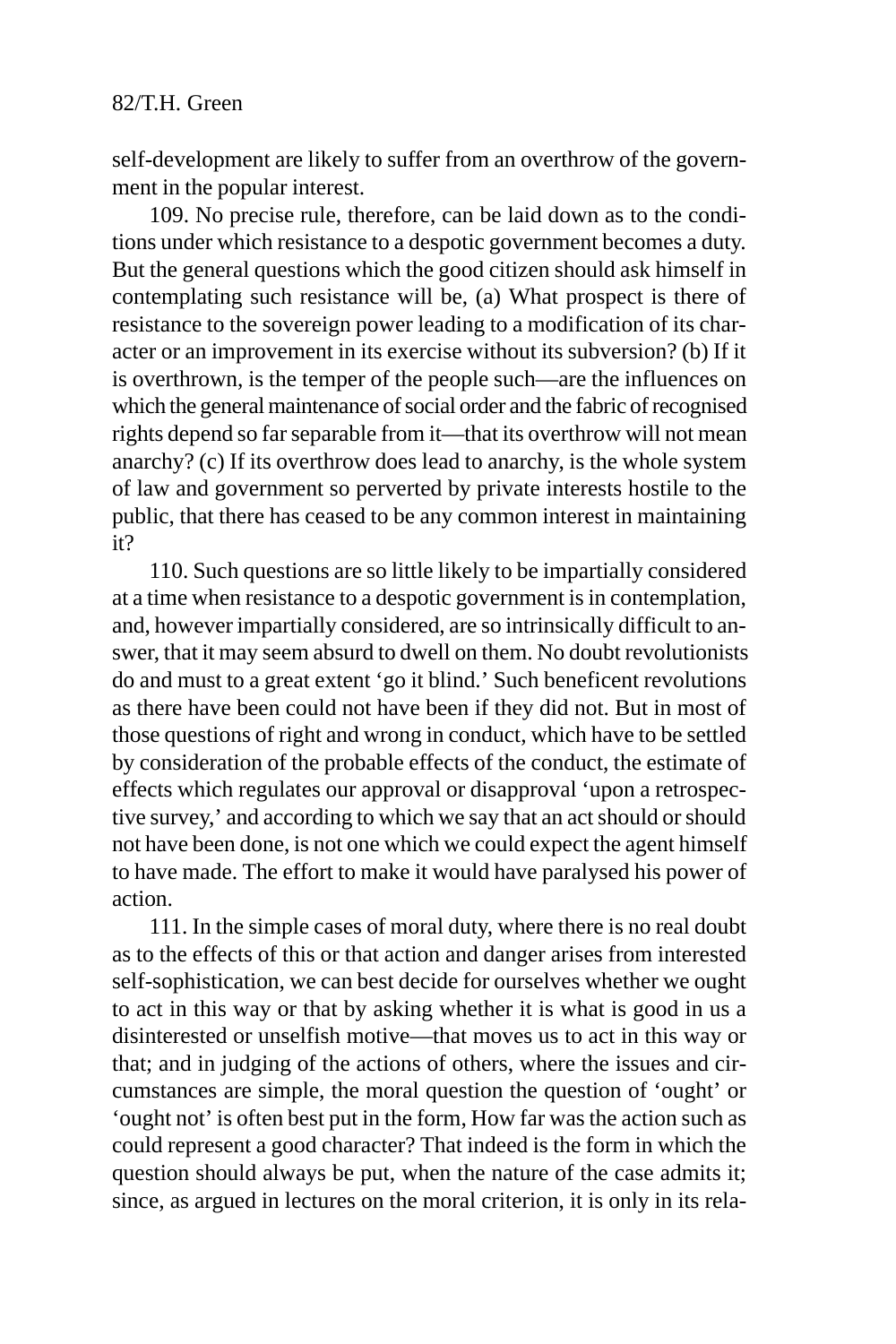self-development are likely to suffer from an overthrow of the government in the popular interest.

109. No precise rule, therefore, can be laid down as to the conditions under which resistance to a despotic government becomes a duty. But the general questions which the good citizen should ask himself in contemplating such resistance will be, (a) What prospect is there of resistance to the sovereign power leading to a modification of its character or an improvement in its exercise without its subversion? (b) If it is overthrown, is the temper of the people such—are the influences on which the general maintenance of social order and the fabric of recognised rights depend so far separable from it—that its overthrow will not mean anarchy? (c) If its overthrow does lead to anarchy, is the whole system of law and government so perverted by private interests hostile to the public, that there has ceased to be any common interest in maintaining it?

110. Such questions are so little likely to be impartially considered at a time when resistance to a despotic government is in contemplation, and, however impartially considered, are so intrinsically difficult to answer, that it may seem absurd to dwell on them. No doubt revolutionists do and must to a great extent 'go it blind.' Such beneficent revolutions as there have been could not have been if they did not. But in most of those questions of right and wrong in conduct, which have to be settled by consideration of the probable effects of the conduct, the estimate of effects which regulates our approval or disapproval 'upon a retrospective survey,' and according to which we say that an act should or should not have been done, is not one which we could expect the agent himself to have made. The effort to make it would have paralysed his power of action.

111. In the simple cases of moral duty, where there is no real doubt as to the effects of this or that action and danger arises from interested self-sophistication, we can best decide for ourselves whether we ought to act in this way or that by asking whether it is what is good in us a disinterested or unselfish motive—that moves us to act in this way or that; and in judging of the actions of others, where the issues and circumstances are simple, the moral question the question of 'ought' or 'ought not' is often best put in the form, How far was the action such as could represent a good character? That indeed is the form in which the question should always be put, when the nature of the case admits it; since, as argued in lectures on the moral criterion, it is only in its rela-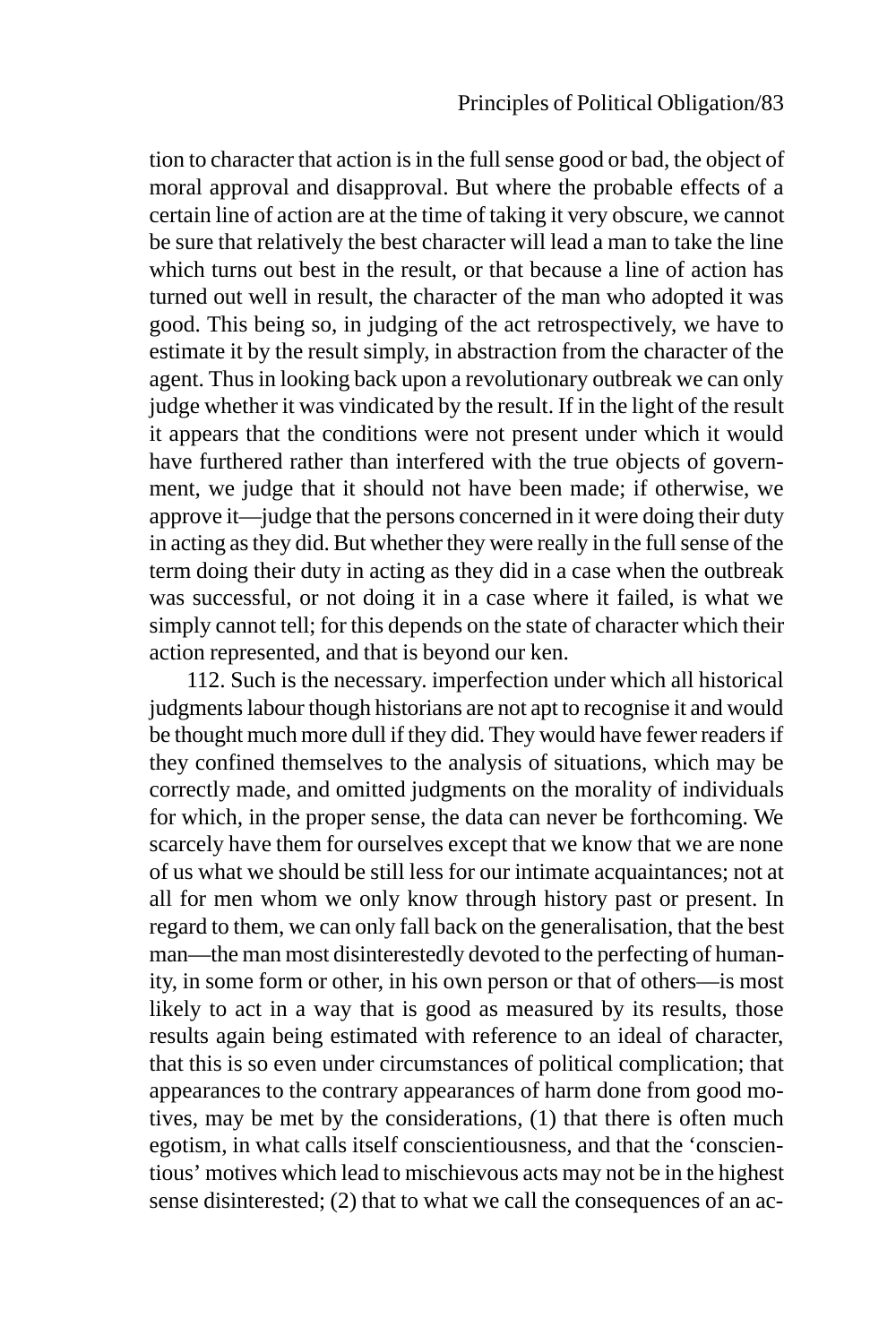tion to character that action is in the full sense good or bad, the object of moral approval and disapproval. But where the probable effects of a certain line of action are at the time of taking it very obscure, we cannot be sure that relatively the best character will lead a man to take the line which turns out best in the result, or that because a line of action has turned out well in result, the character of the man who adopted it was good. This being so, in judging of the act retrospectively, we have to estimate it by the result simply, in abstraction from the character of the agent. Thus in looking back upon a revolutionary outbreak we can only judge whether it was vindicated by the result. If in the light of the result it appears that the conditions were not present under which it would have furthered rather than interfered with the true objects of government, we judge that it should not have been made; if otherwise, we approve it—judge that the persons concerned in it were doing their duty in acting as they did. But whether they were really in the full sense of the term doing their duty in acting as they did in a case when the outbreak was successful, or not doing it in a case where it failed, is what we simply cannot tell; for this depends on the state of character which their action represented, and that is beyond our ken.

112. Such is the necessary. imperfection under which all historical judgments labour though historians are not apt to recognise it and would be thought much more dull if they did. They would have fewer readers if they confined themselves to the analysis of situations, which may be correctly made, and omitted judgments on the morality of individuals for which, in the proper sense, the data can never be forthcoming. We scarcely have them for ourselves except that we know that we are none of us what we should be still less for our intimate acquaintances; not at all for men whom we only know through history past or present. In regard to them, we can only fall back on the generalisation, that the best man—the man most disinterestedly devoted to the perfecting of humanity, in some form or other, in his own person or that of others—is most likely to act in a way that is good as measured by its results, those results again being estimated with reference to an ideal of character, that this is so even under circumstances of political complication; that appearances to the contrary appearances of harm done from good motives, may be met by the considerations, (1) that there is often much egotism, in what calls itself conscientiousness, and that the 'conscientious' motives which lead to mischievous acts may not be in the highest sense disinterested; (2) that to what we call the consequences of an ac-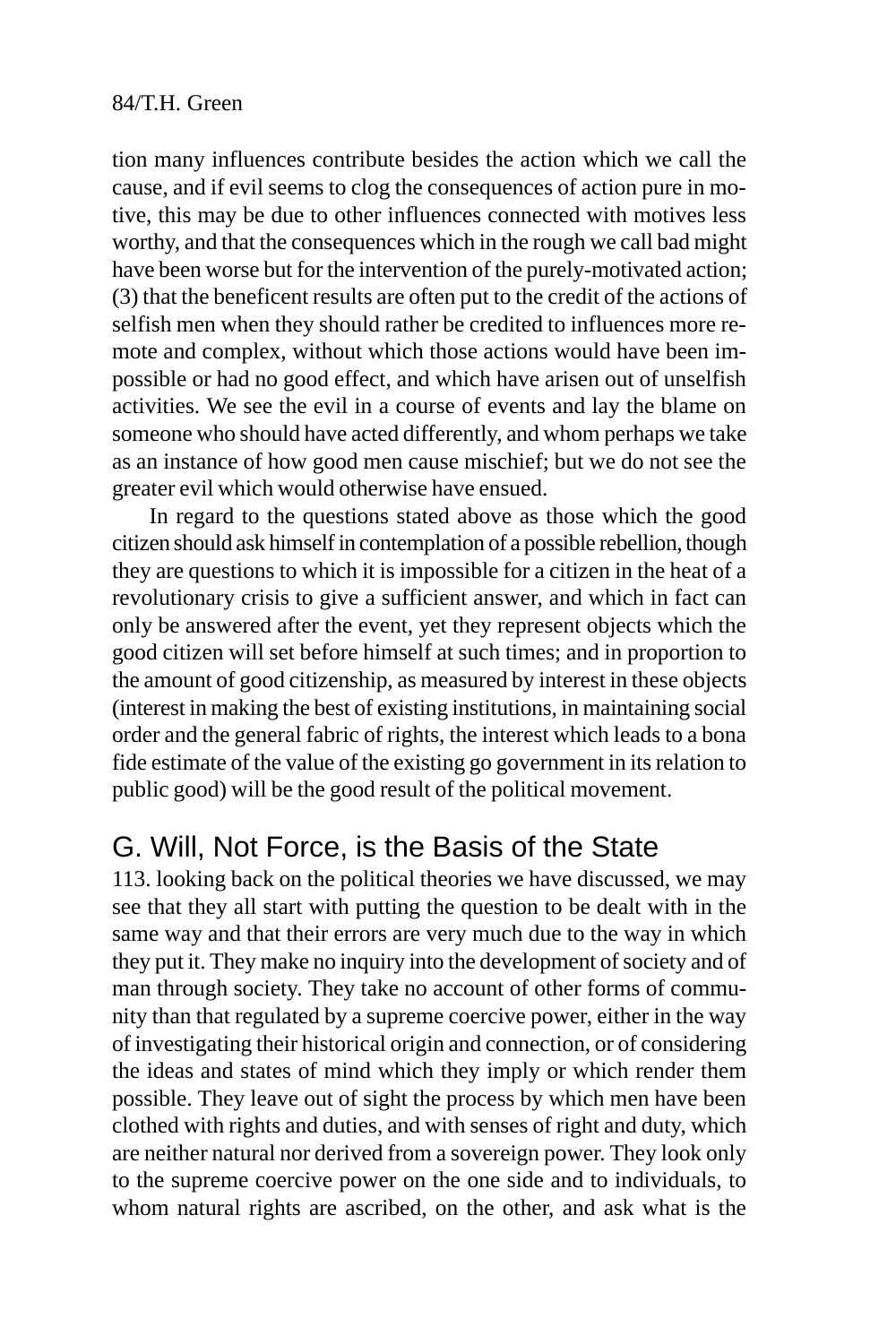tion many influences contribute besides the action which we call the cause, and if evil seems to clog the consequences of action pure in motive, this may be due to other influences connected with motives less worthy, and that the consequences which in the rough we call bad might have been worse but for the intervention of the purely-motivated action; (3) that the beneficent results are often put to the credit of the actions of selfish men when they should rather be credited to influences more remote and complex, without which those actions would have been impossible or had no good effect, and which have arisen out of unselfish activities. We see the evil in a course of events and lay the blame on someone who should have acted differently, and whom perhaps we take as an instance of how good men cause mischief; but we do not see the greater evil which would otherwise have ensued.

In regard to the questions stated above as those which the good citizen should ask himself in contemplation of a possible rebellion, though they are questions to which it is impossible for a citizen in the heat of a revolutionary crisis to give a sufficient answer, and which in fact can only be answered after the event, yet they represent objects which the good citizen will set before himself at such times; and in proportion to the amount of good citizenship, as measured by interest in these objects (interest in making the best of existing institutions, in maintaining social order and the general fabric of rights, the interest which leads to a bona fide estimate of the value of the existing go government in its relation to public good) will be the good result of the political movement.

# G. Will, Not Force, is the Basis of the State

113. looking back on the political theories we have discussed, we may see that they all start with putting the question to be dealt with in the same way and that their errors are very much due to the way in which they put it. They make no inquiry into the development of society and of man through society. They take no account of other forms of community than that regulated by a supreme coercive power, either in the way of investigating their historical origin and connection, or of considering the ideas and states of mind which they imply or which render them possible. They leave out of sight the process by which men have been clothed with rights and duties, and with senses of right and duty, which are neither natural nor derived from a sovereign power. They look only to the supreme coercive power on the one side and to individuals, to whom natural rights are ascribed, on the other, and ask what is the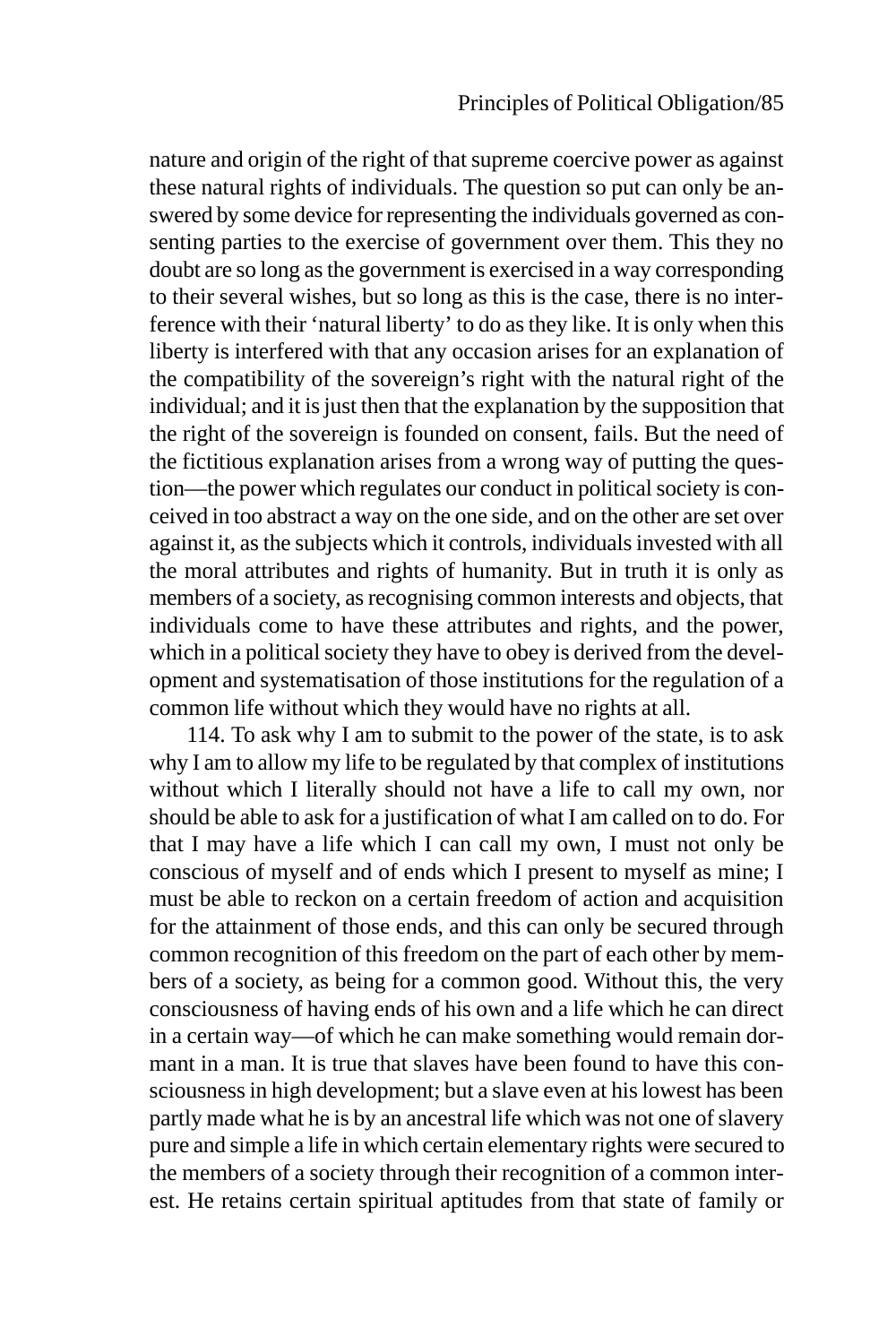nature and origin of the right of that supreme coercive power as against these natural rights of individuals. The question so put can only be answered by some device for representing the individuals governed as consenting parties to the exercise of government over them. This they no doubt are so long as the government is exercised in a way corresponding to their several wishes, but so long as this is the case, there is no interference with their 'natural liberty' to do as they like. It is only when this liberty is interfered with that any occasion arises for an explanation of the compatibility of the sovereign's right with the natural right of the individual; and it is just then that the explanation by the supposition that the right of the sovereign is founded on consent, fails. But the need of the fictitious explanation arises from a wrong way of putting the question—the power which regulates our conduct in political society is conceived in too abstract a way on the one side, and on the other are set over against it, as the subjects which it controls, individuals invested with all the moral attributes and rights of humanity. But in truth it is only as members of a society, as recognising common interests and objects, that individuals come to have these attributes and rights, and the power, which in a political society they have to obey is derived from the development and systematisation of those institutions for the regulation of a common life without which they would have no rights at all.

114. To ask why I am to submit to the power of the state, is to ask why I am to allow my life to be regulated by that complex of institutions without which I literally should not have a life to call my own, nor should be able to ask for a justification of what I am called on to do. For that I may have a life which I can call my own, I must not only be conscious of myself and of ends which I present to myself as mine; I must be able to reckon on a certain freedom of action and acquisition for the attainment of those ends, and this can only be secured through common recognition of this freedom on the part of each other by members of a society, as being for a common good. Without this, the very consciousness of having ends of his own and a life which he can direct in a certain way—of which he can make something would remain dormant in a man. It is true that slaves have been found to have this consciousness in high development; but a slave even at his lowest has been partly made what he is by an ancestral life which was not one of slavery pure and simple a life in which certain elementary rights were secured to the members of a society through their recognition of a common interest. He retains certain spiritual aptitudes from that state of family or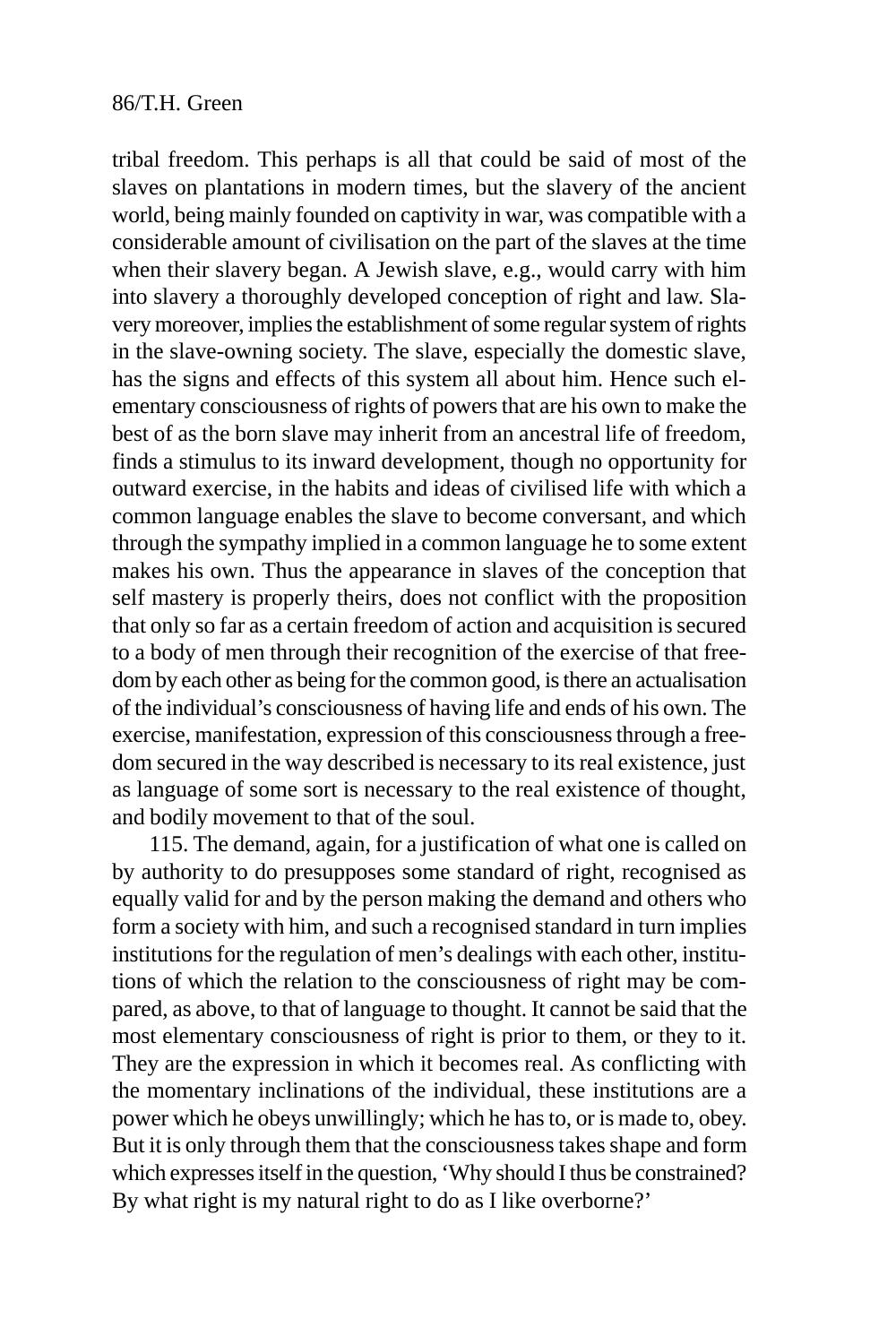tribal freedom. This perhaps is all that could be said of most of the slaves on plantations in modern times, but the slavery of the ancient world, being mainly founded on captivity in war, was compatible with a considerable amount of civilisation on the part of the slaves at the time when their slavery began. A Jewish slave, e.g., would carry with him into slavery a thoroughly developed conception of right and law. Slavery moreover, implies the establishment of some regular system of rights in the slave-owning society. The slave, especially the domestic slave, has the signs and effects of this system all about him. Hence such elementary consciousness of rights of powers that are his own to make the best of as the born slave may inherit from an ancestral life of freedom, finds a stimulus to its inward development, though no opportunity for outward exercise, in the habits and ideas of civilised life with which a common language enables the slave to become conversant, and which through the sympathy implied in a common language he to some extent makes his own. Thus the appearance in slaves of the conception that self mastery is properly theirs, does not conflict with the proposition that only so far as a certain freedom of action and acquisition is secured to a body of men through their recognition of the exercise of that freedom by each other as being for the common good, is there an actualisation of the individual's consciousness of having life and ends of his own. The exercise, manifestation, expression of this consciousness through a freedom secured in the way described is necessary to its real existence, just as language of some sort is necessary to the real existence of thought, and bodily movement to that of the soul.

115. The demand, again, for a justification of what one is called on by authority to do presupposes some standard of right, recognised as equally valid for and by the person making the demand and others who form a society with him, and such a recognised standard in turn implies institutions for the regulation of men's dealings with each other, institutions of which the relation to the consciousness of right may be compared, as above, to that of language to thought. It cannot be said that the most elementary consciousness of right is prior to them, or they to it. They are the expression in which it becomes real. As conflicting with the momentary inclinations of the individual, these institutions are a power which he obeys unwillingly; which he has to, or is made to, obey. But it is only through them that the consciousness takes shape and form which expresses itself in the question, 'Why should I thus be constrained? By what right is my natural right to do as I like overborne?'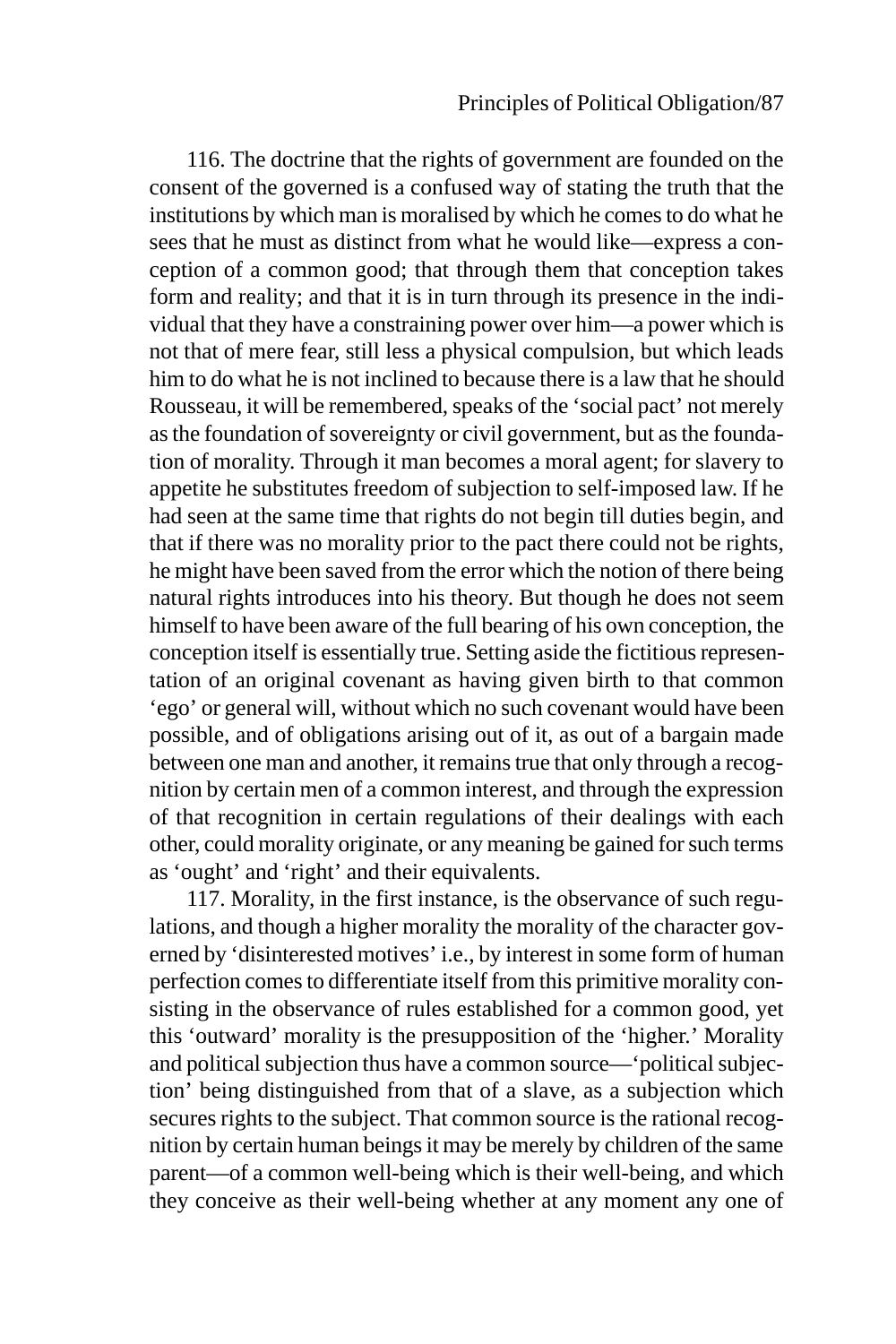116. The doctrine that the rights of government are founded on the consent of the governed is a confused way of stating the truth that the institutions by which man is moralised by which he comes to do what he sees that he must as distinct from what he would like—express a conception of a common good; that through them that conception takes form and reality; and that it is in turn through its presence in the individual that they have a constraining power over him—a power which is not that of mere fear, still less a physical compulsion, but which leads him to do what he is not inclined to because there is a law that he should Rousseau, it will be remembered, speaks of the 'social pact' not merely as the foundation of sovereignty or civil government, but as the foundation of morality. Through it man becomes a moral agent; for slavery to appetite he substitutes freedom of subjection to self-imposed law. If he had seen at the same time that rights do not begin till duties begin, and that if there was no morality prior to the pact there could not be rights, he might have been saved from the error which the notion of there being natural rights introduces into his theory. But though he does not seem himself to have been aware of the full bearing of his own conception, the conception itself is essentially true. Setting aside the fictitious representation of an original covenant as having given birth to that common 'ego' or general will, without which no such covenant would have been possible, and of obligations arising out of it, as out of a bargain made between one man and another, it remains true that only through a recognition by certain men of a common interest, and through the expression of that recognition in certain regulations of their dealings with each other, could morality originate, or any meaning be gained for such terms as 'ought' and 'right' and their equivalents.

117. Morality, in the first instance, is the observance of such regulations, and though a higher morality the morality of the character governed by 'disinterested motives' i.e., by interest in some form of human perfection comes to differentiate itself from this primitive morality consisting in the observance of rules established for a common good, yet this 'outward' morality is the presupposition of the 'higher.' Morality and political subjection thus have a common source—'political subjection' being distinguished from that of a slave, as a subjection which secures rights to the subject. That common source is the rational recognition by certain human beings it may be merely by children of the same parent—of a common well-being which is their well-being, and which they conceive as their well-being whether at any moment any one of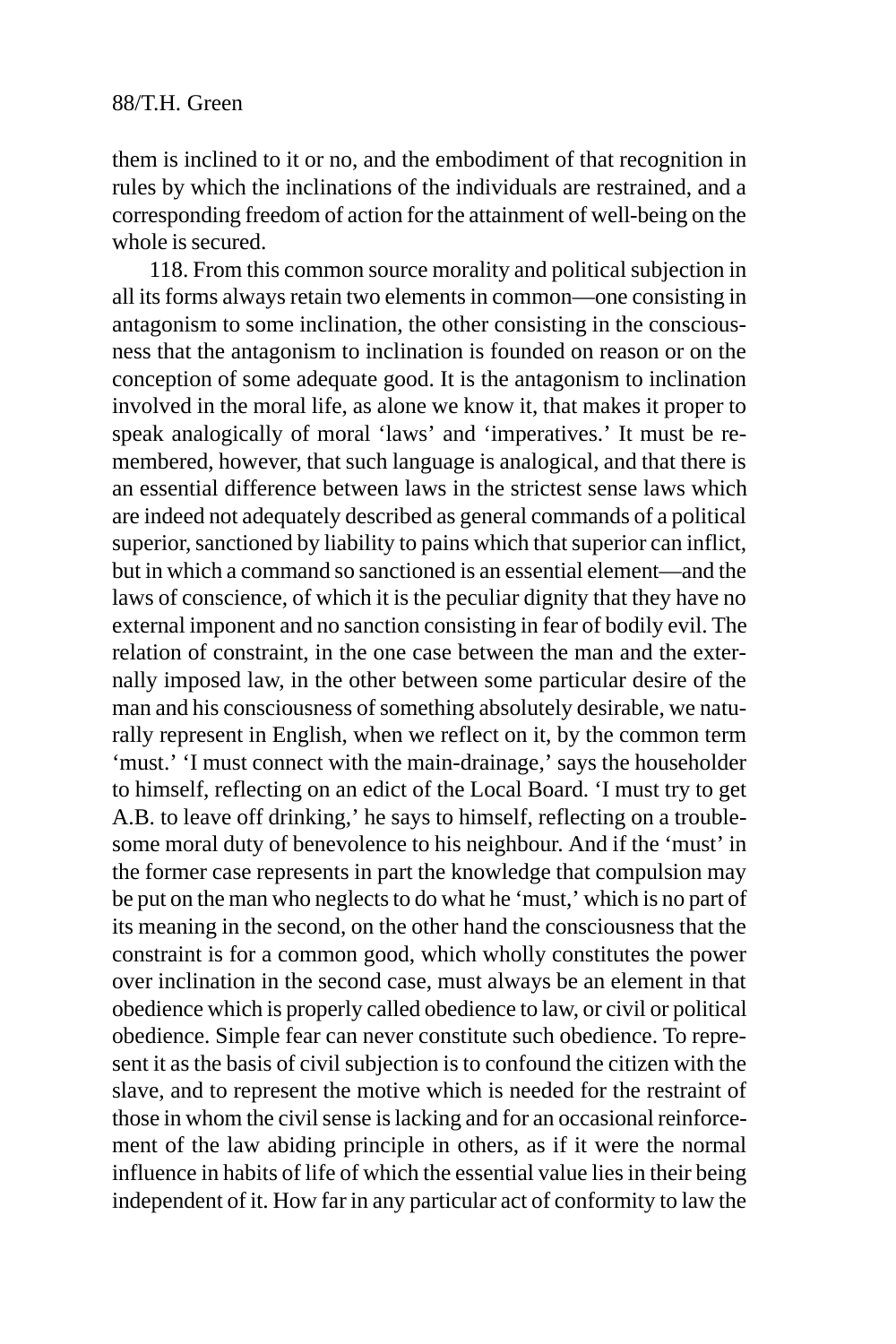them is inclined to it or no, and the embodiment of that recognition in rules by which the inclinations of the individuals are restrained, and a corresponding freedom of action for the attainment of well-being on the whole is secured.

118. From this common source morality and political subjection in all its forms always retain two elements in common—one consisting in antagonism to some inclination, the other consisting in the consciousness that the antagonism to inclination is founded on reason or on the conception of some adequate good. It is the antagonism to inclination involved in the moral life, as alone we know it, that makes it proper to speak analogically of moral 'laws' and 'imperatives.' It must be remembered, however, that such language is analogical, and that there is an essential difference between laws in the strictest sense laws which are indeed not adequately described as general commands of a political superior, sanctioned by liability to pains which that superior can inflict, but in which a command so sanctioned is an essential element—and the laws of conscience, of which it is the peculiar dignity that they have no external imponent and no sanction consisting in fear of bodily evil. The relation of constraint, in the one case between the man and the externally imposed law, in the other between some particular desire of the man and his consciousness of something absolutely desirable, we naturally represent in English, when we reflect on it, by the common term 'must.' 'I must connect with the main-drainage,' says the householder to himself, reflecting on an edict of the Local Board. 'I must try to get A.B. to leave off drinking,' he says to himself, reflecting on a troublesome moral duty of benevolence to his neighbour. And if the 'must' in the former case represents in part the knowledge that compulsion may be put on the man who neglects to do what he 'must,' which is no part of its meaning in the second, on the other hand the consciousness that the constraint is for a common good, which wholly constitutes the power over inclination in the second case, must always be an element in that obedience which is properly called obedience to law, or civil or political obedience. Simple fear can never constitute such obedience. To represent it as the basis of civil subjection is to confound the citizen with the slave, and to represent the motive which is needed for the restraint of those in whom the civil sense is lacking and for an occasional reinforcement of the law abiding principle in others, as if it were the normal influence in habits of life of which the essential value lies in their being independent of it. How far in any particular act of conformity to law the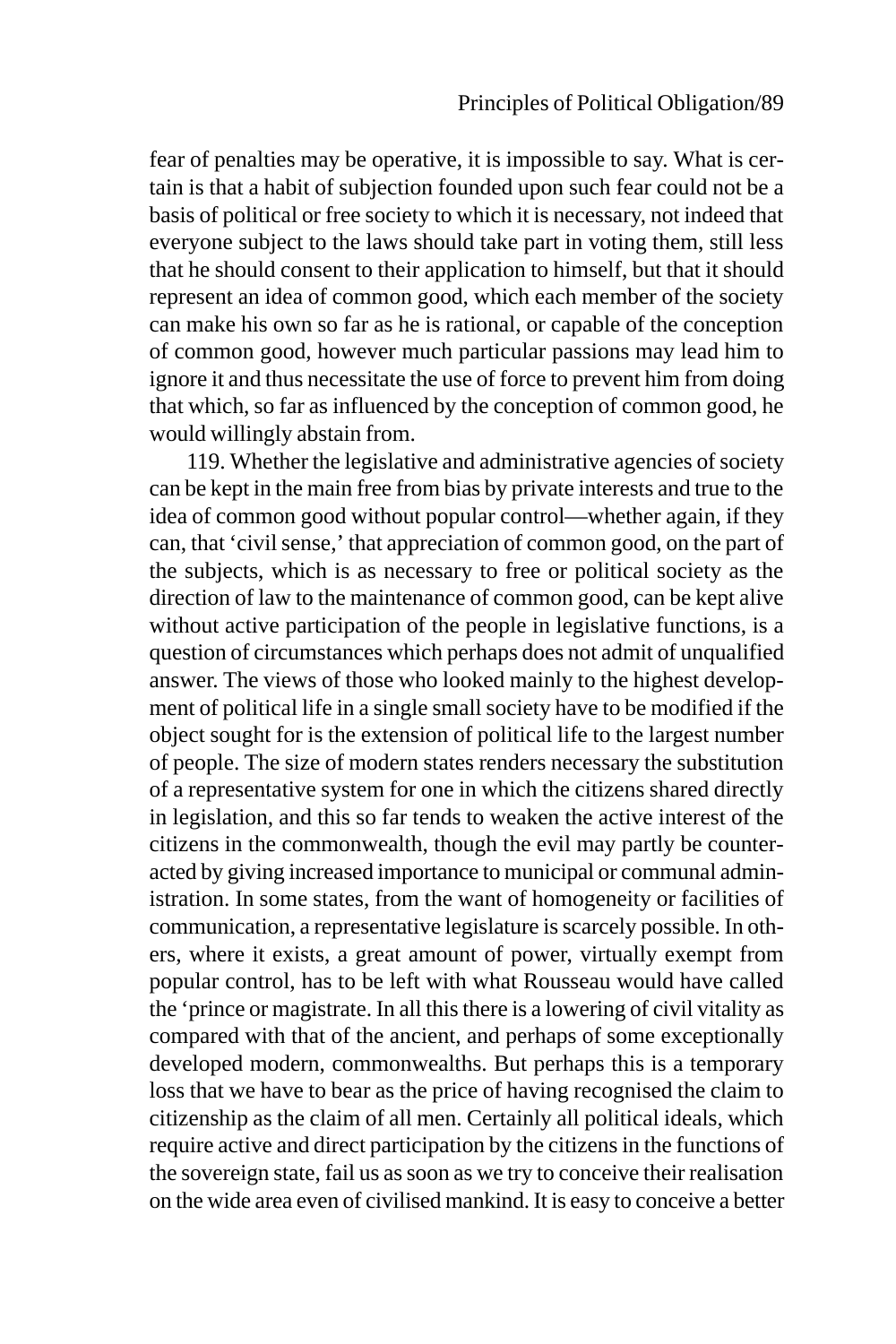fear of penalties may be operative, it is impossible to say. What is certain is that a habit of subjection founded upon such fear could not be a basis of political or free society to which it is necessary, not indeed that everyone subject to the laws should take part in voting them, still less that he should consent to their application to himself, but that it should represent an idea of common good, which each member of the society can make his own so far as he is rational, or capable of the conception of common good, however much particular passions may lead him to ignore it and thus necessitate the use of force to prevent him from doing that which, so far as influenced by the conception of common good, he would willingly abstain from.

119. Whether the legislative and administrative agencies of society can be kept in the main free from bias by private interests and true to the idea of common good without popular control—whether again, if they can, that 'civil sense,' that appreciation of common good, on the part of the subjects, which is as necessary to free or political society as the direction of law to the maintenance of common good, can be kept alive without active participation of the people in legislative functions, is a question of circumstances which perhaps does not admit of unqualified answer. The views of those who looked mainly to the highest development of political life in a single small society have to be modified if the object sought for is the extension of political life to the largest number of people. The size of modern states renders necessary the substitution of a representative system for one in which the citizens shared directly in legislation, and this so far tends to weaken the active interest of the citizens in the commonwealth, though the evil may partly be counteracted by giving increased importance to municipal or communal administration. In some states, from the want of homogeneity or facilities of communication, a representative legislature is scarcely possible. In others, where it exists, a great amount of power, virtually exempt from popular control, has to be left with what Rousseau would have called the 'prince or magistrate. In all this there is a lowering of civil vitality as compared with that of the ancient, and perhaps of some exceptionally developed modern, commonwealths. But perhaps this is a temporary loss that we have to bear as the price of having recognised the claim to citizenship as the claim of all men. Certainly all political ideals, which require active and direct participation by the citizens in the functions of the sovereign state, fail us as soon as we try to conceive their realisation on the wide area even of civilised mankind. It is easy to conceive a better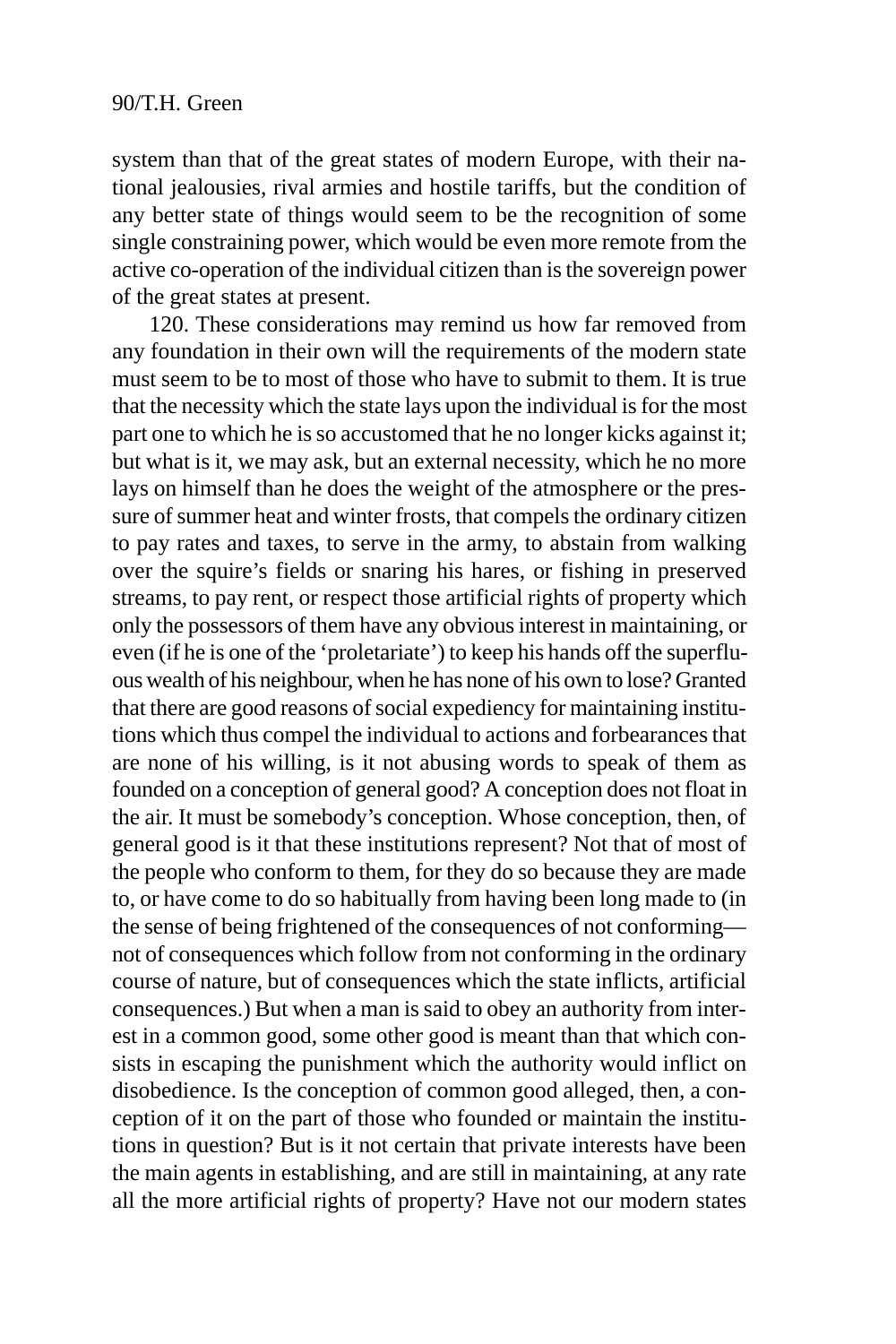system than that of the great states of modern Europe, with their national jealousies, rival armies and hostile tariffs, but the condition of any better state of things would seem to be the recognition of some single constraining power, which would be even more remote from the active co-operation of the individual citizen than is the sovereign power of the great states at present.

120. These considerations may remind us how far removed from any foundation in their own will the requirements of the modern state must seem to be to most of those who have to submit to them. It is true that the necessity which the state lays upon the individual is for the most part one to which he is so accustomed that he no longer kicks against it; but what is it, we may ask, but an external necessity, which he no more lays on himself than he does the weight of the atmosphere or the pressure of summer heat and winter frosts, that compels the ordinary citizen to pay rates and taxes, to serve in the army, to abstain from walking over the squire's fields or snaring his hares, or fishing in preserved streams, to pay rent, or respect those artificial rights of property which only the possessors of them have any obvious interest in maintaining, or even (if he is one of the 'proletariate') to keep his hands off the superfluous wealth of his neighbour, when he has none of his own to lose? Granted that there are good reasons of social expediency for maintaining institutions which thus compel the individual to actions and forbearances that are none of his willing, is it not abusing words to speak of them as founded on a conception of general good? A conception does not float in the air. It must be somebody's conception. Whose conception, then, of general good is it that these institutions represent? Not that of most of the people who conform to them, for they do so because they are made to, or have come to do so habitually from having been long made to (in the sense of being frightened of the consequences of not conforming not of consequences which follow from not conforming in the ordinary course of nature, but of consequences which the state inflicts, artificial consequences.) But when a man is said to obey an authority from interest in a common good, some other good is meant than that which consists in escaping the punishment which the authority would inflict on disobedience. Is the conception of common good alleged, then, a conception of it on the part of those who founded or maintain the institutions in question? But is it not certain that private interests have been the main agents in establishing, and are still in maintaining, at any rate all the more artificial rights of property? Have not our modern states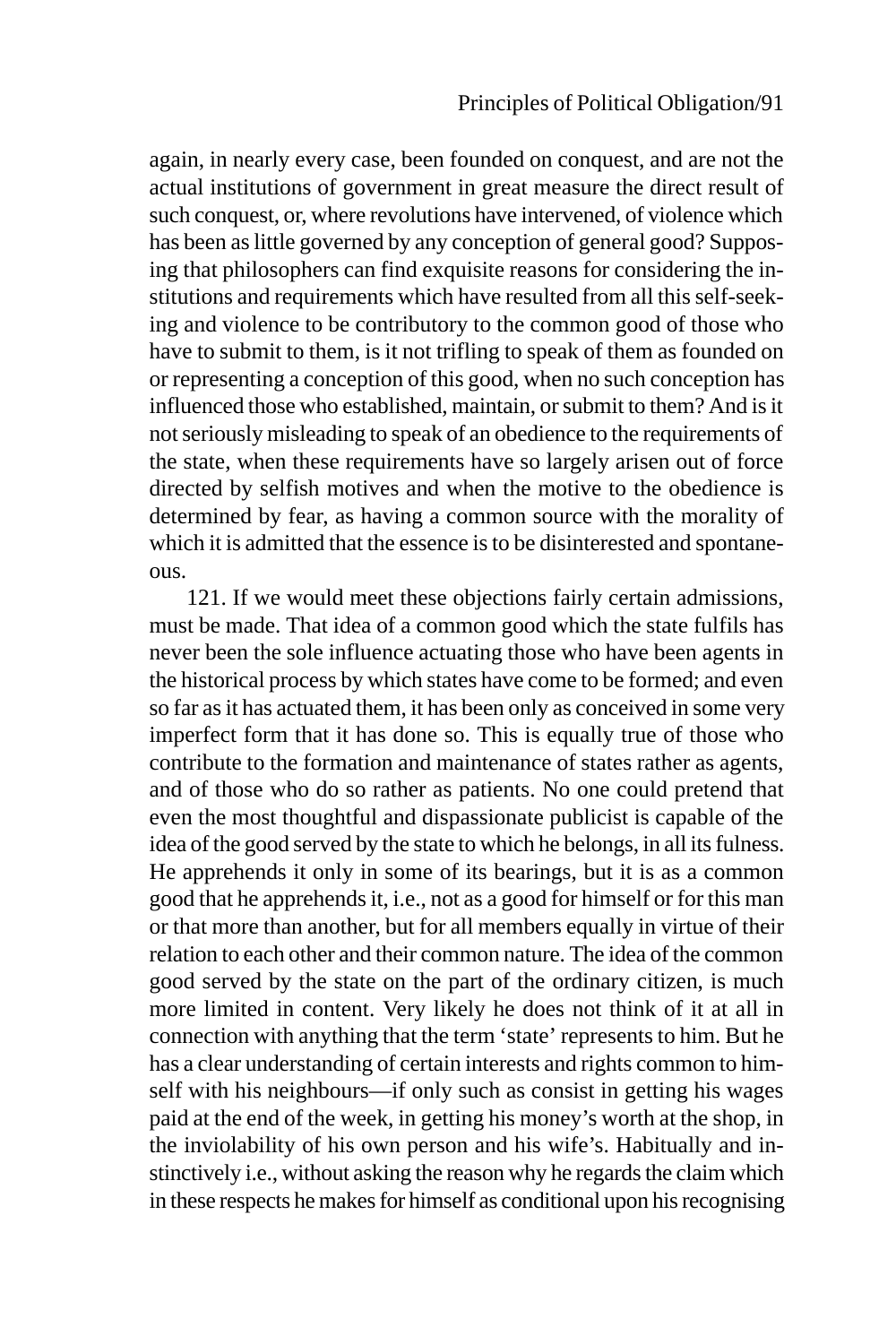again, in nearly every case, been founded on conquest, and are not the actual institutions of government in great measure the direct result of such conquest, or, where revolutions have intervened, of violence which has been as little governed by any conception of general good? Supposing that philosophers can find exquisite reasons for considering the institutions and requirements which have resulted from all this self-seeking and violence to be contributory to the common good of those who have to submit to them, is it not trifling to speak of them as founded on or representing a conception of this good, when no such conception has influenced those who established, maintain, or submit to them? And is it not seriously misleading to speak of an obedience to the requirements of the state, when these requirements have so largely arisen out of force directed by selfish motives and when the motive to the obedience is determined by fear, as having a common source with the morality of which it is admitted that the essence is to be disinterested and spontaneous.

121. If we would meet these objections fairly certain admissions, must be made. That idea of a common good which the state fulfils has never been the sole influence actuating those who have been agents in the historical process by which states have come to be formed; and even so far as it has actuated them, it has been only as conceived in some very imperfect form that it has done so. This is equally true of those who contribute to the formation and maintenance of states rather as agents, and of those who do so rather as patients. No one could pretend that even the most thoughtful and dispassionate publicist is capable of the idea of the good served by the state to which he belongs, in all its fulness. He apprehends it only in some of its bearings, but it is as a common good that he apprehends it, i.e., not as a good for himself or for this man or that more than another, but for all members equally in virtue of their relation to each other and their common nature. The idea of the common good served by the state on the part of the ordinary citizen, is much more limited in content. Very likely he does not think of it at all in connection with anything that the term 'state' represents to him. But he has a clear understanding of certain interests and rights common to himself with his neighbours—if only such as consist in getting his wages paid at the end of the week, in getting his money's worth at the shop, in the inviolability of his own person and his wife's. Habitually and instinctively i.e., without asking the reason why he regards the claim which in these respects he makes for himself as conditional upon his recognising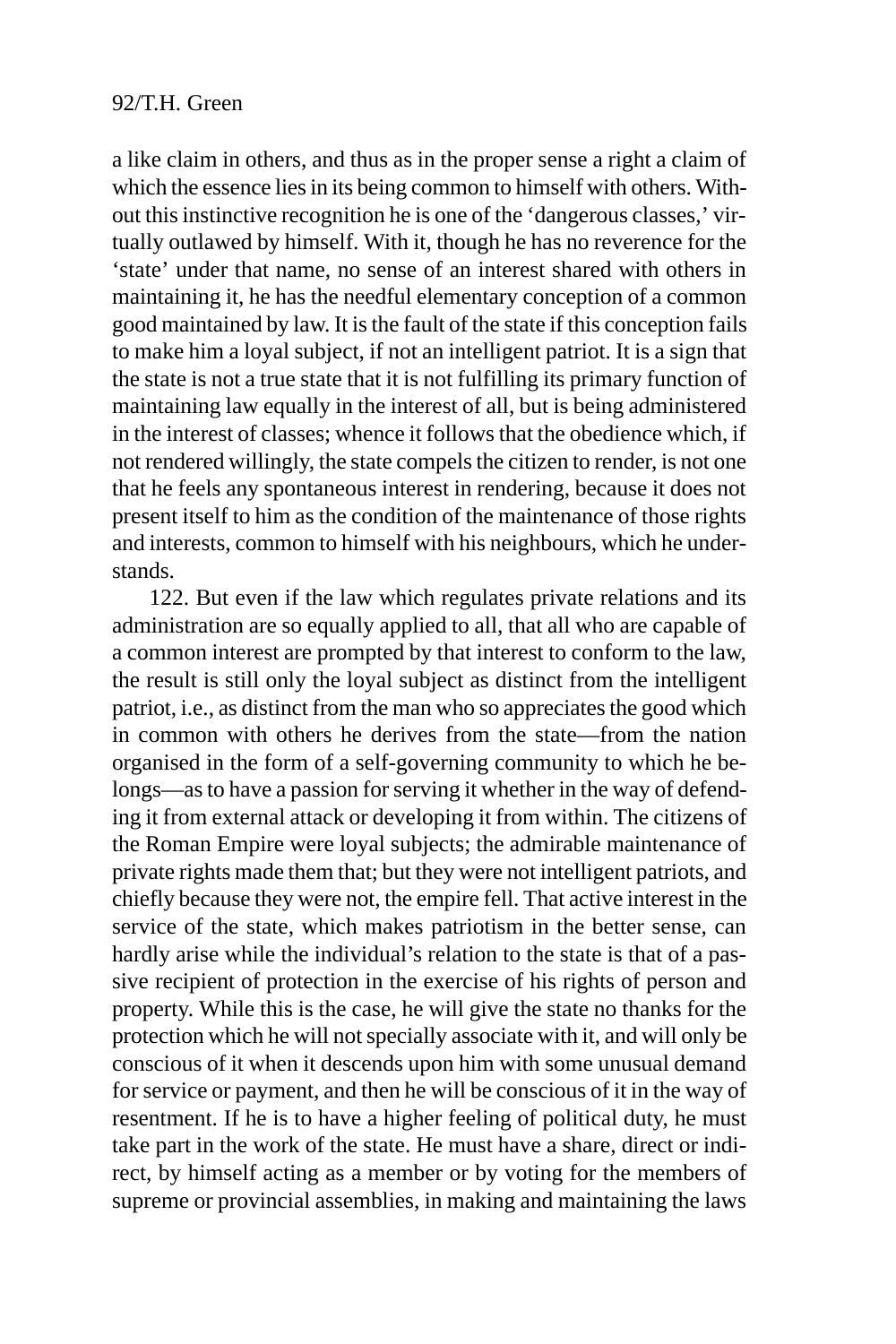a like claim in others, and thus as in the proper sense a right a claim of which the essence lies in its being common to himself with others. Without this instinctive recognition he is one of the 'dangerous classes,' virtually outlawed by himself. With it, though he has no reverence for the 'state' under that name, no sense of an interest shared with others in maintaining it, he has the needful elementary conception of a common good maintained by law. It is the fault of the state if this conception fails to make him a loyal subject, if not an intelligent patriot. It is a sign that the state is not a true state that it is not fulfilling its primary function of maintaining law equally in the interest of all, but is being administered in the interest of classes; whence it follows that the obedience which, if not rendered willingly, the state compels the citizen to render, is not one that he feels any spontaneous interest in rendering, because it does not present itself to him as the condition of the maintenance of those rights and interests, common to himself with his neighbours, which he understands.

122. But even if the law which regulates private relations and its administration are so equally applied to all, that all who are capable of a common interest are prompted by that interest to conform to the law, the result is still only the loyal subject as distinct from the intelligent patriot, i.e., as distinct from the man who so appreciates the good which in common with others he derives from the state—from the nation organised in the form of a self-governing community to which he belongs—as to have a passion for serving it whether in the way of defending it from external attack or developing it from within. The citizens of the Roman Empire were loyal subjects; the admirable maintenance of private rights made them that; but they were not intelligent patriots, and chiefly because they were not, the empire fell. That active interest in the service of the state, which makes patriotism in the better sense, can hardly arise while the individual's relation to the state is that of a passive recipient of protection in the exercise of his rights of person and property. While this is the case, he will give the state no thanks for the protection which he will not specially associate with it, and will only be conscious of it when it descends upon him with some unusual demand for service or payment, and then he will be conscious of it in the way of resentment. If he is to have a higher feeling of political duty, he must take part in the work of the state. He must have a share, direct or indirect, by himself acting as a member or by voting for the members of supreme or provincial assemblies, in making and maintaining the laws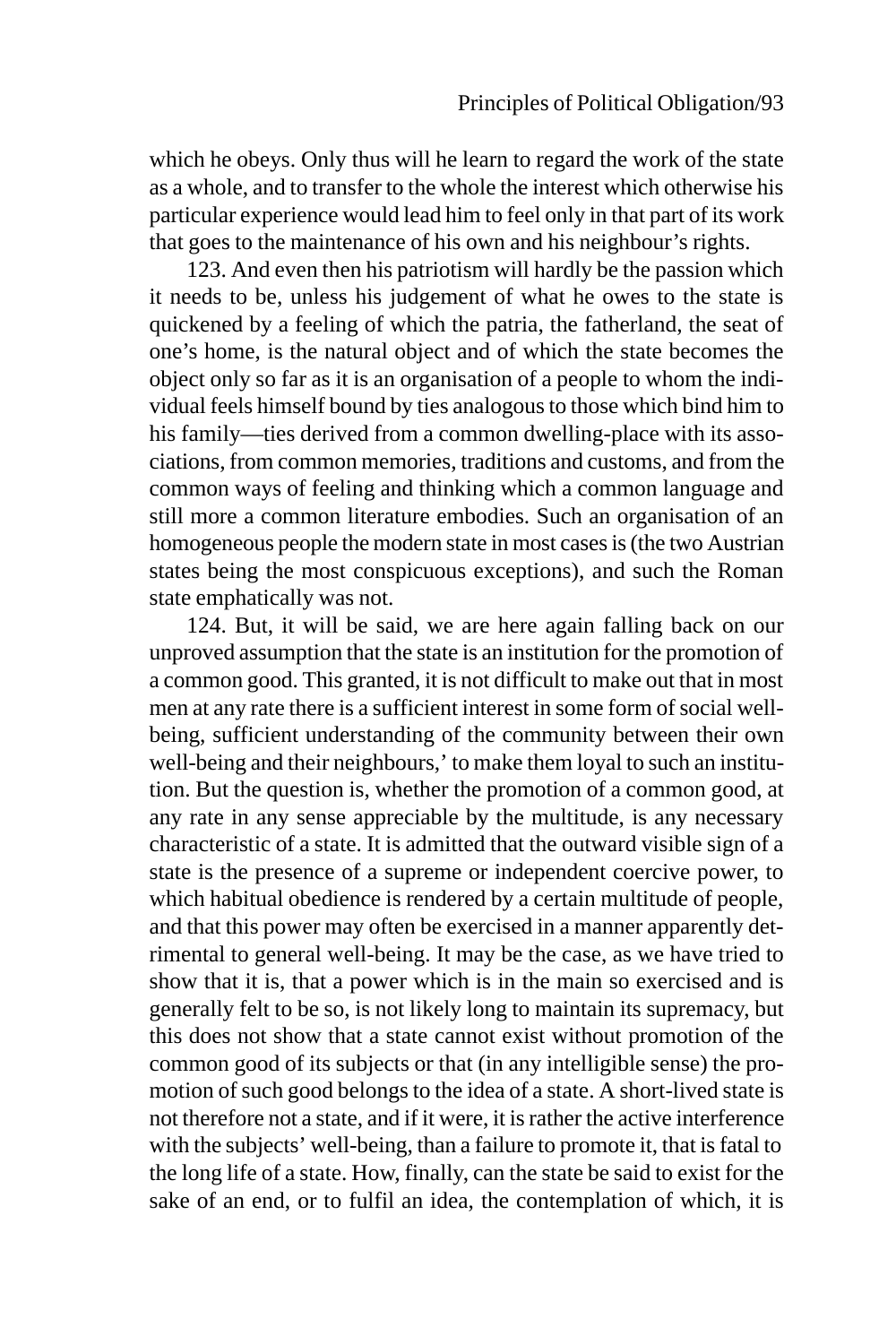which he obeys. Only thus will he learn to regard the work of the state as a whole, and to transfer to the whole the interest which otherwise his particular experience would lead him to feel only in that part of its work that goes to the maintenance of his own and his neighbour's rights.

123. And even then his patriotism will hardly be the passion which it needs to be, unless his judgement of what he owes to the state is quickened by a feeling of which the patria, the fatherland, the seat of one's home, is the natural object and of which the state becomes the object only so far as it is an organisation of a people to whom the individual feels himself bound by ties analogous to those which bind him to his family—ties derived from a common dwelling-place with its associations, from common memories, traditions and customs, and from the common ways of feeling and thinking which a common language and still more a common literature embodies. Such an organisation of an homogeneous people the modern state in most cases is (the two Austrian states being the most conspicuous exceptions), and such the Roman state emphatically was not.

124. But, it will be said, we are here again falling back on our unproved assumption that the state is an institution for the promotion of a common good. This granted, it is not difficult to make out that in most men at any rate there is a sufficient interest in some form of social wellbeing, sufficient understanding of the community between their own well-being and their neighbours,' to make them loyal to such an institution. But the question is, whether the promotion of a common good, at any rate in any sense appreciable by the multitude, is any necessary characteristic of a state. It is admitted that the outward visible sign of a state is the presence of a supreme or independent coercive power, to which habitual obedience is rendered by a certain multitude of people, and that this power may often be exercised in a manner apparently detrimental to general well-being. It may be the case, as we have tried to show that it is, that a power which is in the main so exercised and is generally felt to be so, is not likely long to maintain its supremacy, but this does not show that a state cannot exist without promotion of the common good of its subjects or that (in any intelligible sense) the promotion of such good belongs to the idea of a state. A short-lived state is not therefore not a state, and if it were, it is rather the active interference with the subjects' well-being, than a failure to promote it, that is fatal to the long life of a state. How, finally, can the state be said to exist for the sake of an end, or to fulfil an idea, the contemplation of which, it is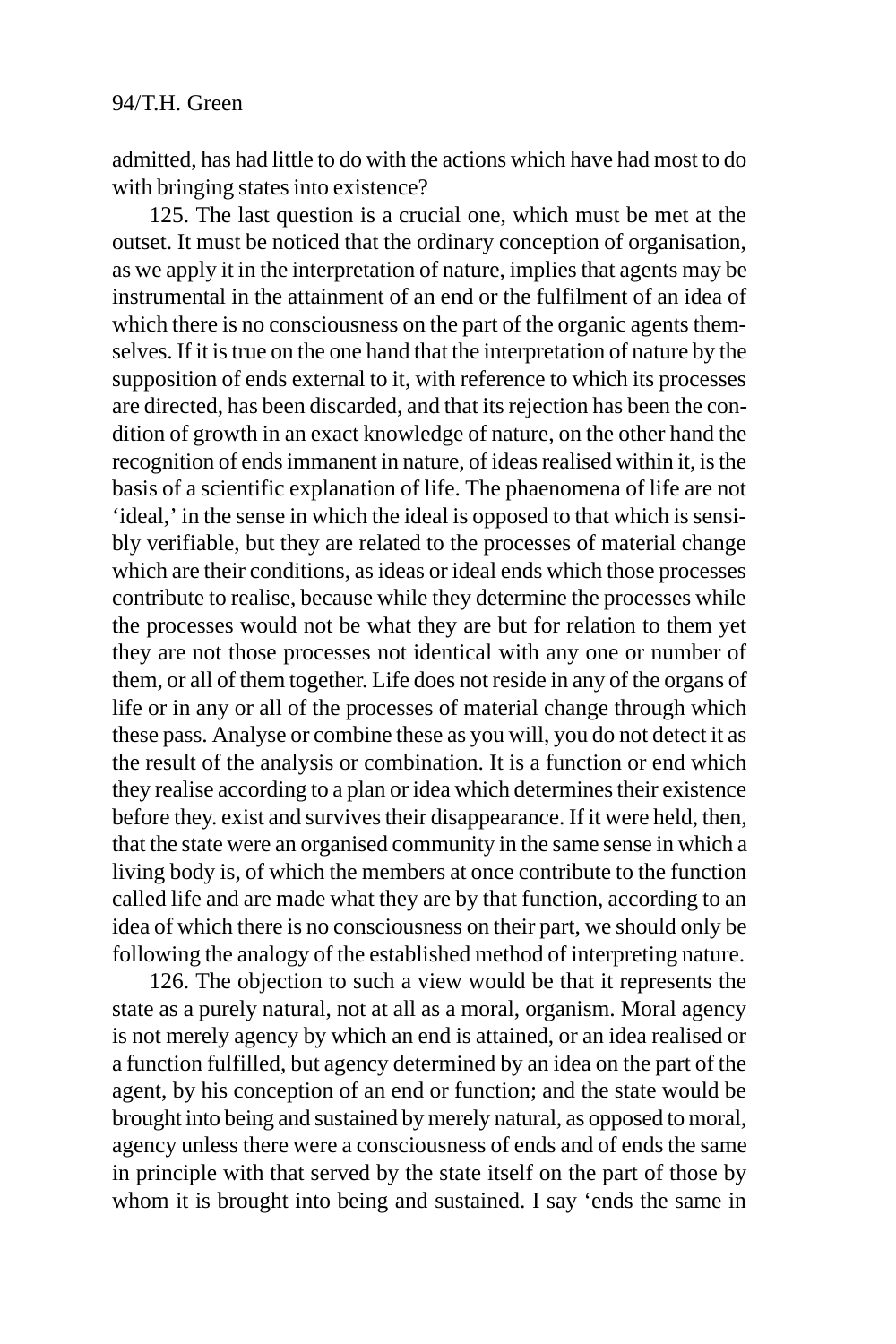admitted, has had little to do with the actions which have had most to do with bringing states into existence?

125. The last question is a crucial one, which must be met at the outset. It must be noticed that the ordinary conception of organisation, as we apply it in the interpretation of nature, implies that agents may be instrumental in the attainment of an end or the fulfilment of an idea of which there is no consciousness on the part of the organic agents themselves. If it is true on the one hand that the interpretation of nature by the supposition of ends external to it, with reference to which its processes are directed, has been discarded, and that its rejection has been the condition of growth in an exact knowledge of nature, on the other hand the recognition of ends immanent in nature, of ideas realised within it, is the basis of a scientific explanation of life. The phaenomena of life are not 'ideal,' in the sense in which the ideal is opposed to that which is sensibly verifiable, but they are related to the processes of material change which are their conditions, as ideas or ideal ends which those processes contribute to realise, because while they determine the processes while the processes would not be what they are but for relation to them yet they are not those processes not identical with any one or number of them, or all of them together. Life does not reside in any of the organs of life or in any or all of the processes of material change through which these pass. Analyse or combine these as you will, you do not detect it as the result of the analysis or combination. It is a function or end which they realise according to a plan or idea which determines their existence before they. exist and survives their disappearance. If it were held, then, that the state were an organised community in the same sense in which a living body is, of which the members at once contribute to the function called life and are made what they are by that function, according to an idea of which there is no consciousness on their part, we should only be following the analogy of the established method of interpreting nature.

126. The objection to such a view would be that it represents the state as a purely natural, not at all as a moral, organism. Moral agency is not merely agency by which an end is attained, or an idea realised or a function fulfilled, but agency determined by an idea on the part of the agent, by his conception of an end or function; and the state would be brought into being and sustained by merely natural, as opposed to moral, agency unless there were a consciousness of ends and of ends the same in principle with that served by the state itself on the part of those by whom it is brought into being and sustained. I say 'ends the same in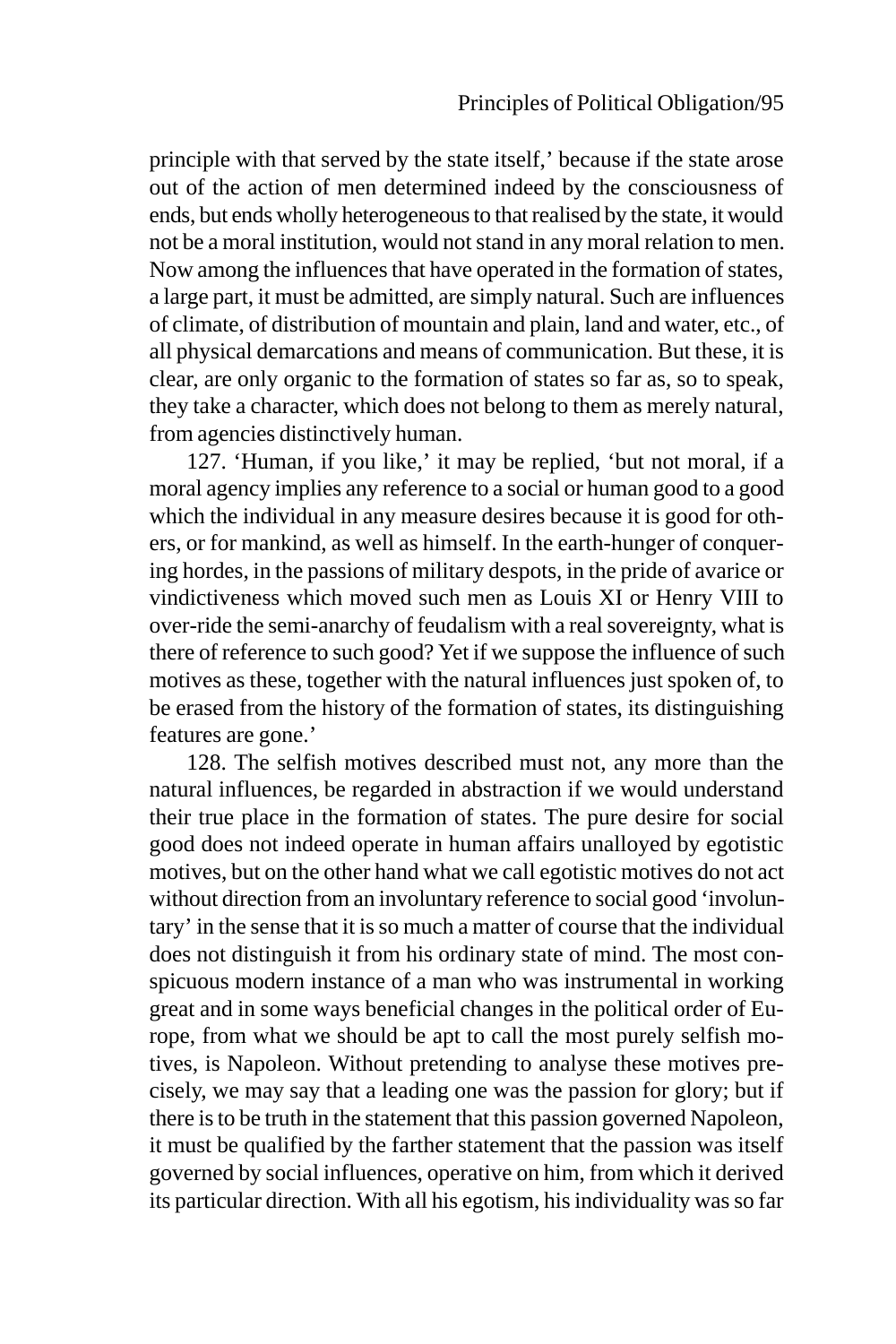principle with that served by the state itself,' because if the state arose out of the action of men determined indeed by the consciousness of ends, but ends wholly heterogeneous to that realised by the state, it would not be a moral institution, would not stand in any moral relation to men. Now among the influences that have operated in the formation of states, a large part, it must be admitted, are simply natural. Such are influences of climate, of distribution of mountain and plain, land and water, etc., of all physical demarcations and means of communication. But these, it is clear, are only organic to the formation of states so far as, so to speak, they take a character, which does not belong to them as merely natural, from agencies distinctively human.

127. 'Human, if you like,' it may be replied, 'but not moral, if a moral agency implies any reference to a social or human good to a good which the individual in any measure desires because it is good for others, or for mankind, as well as himself. In the earth-hunger of conquering hordes, in the passions of military despots, in the pride of avarice or vindictiveness which moved such men as Louis XI or Henry VIII to over-ride the semi-anarchy of feudalism with a real sovereignty, what is there of reference to such good? Yet if we suppose the influence of such motives as these, together with the natural influences just spoken of, to be erased from the history of the formation of states, its distinguishing features are gone.'

128. The selfish motives described must not, any more than the natural influences, be regarded in abstraction if we would understand their true place in the formation of states. The pure desire for social good does not indeed operate in human affairs unalloyed by egotistic motives, but on the other hand what we call egotistic motives do not act without direction from an involuntary reference to social good 'involuntary' in the sense that it is so much a matter of course that the individual does not distinguish it from his ordinary state of mind. The most conspicuous modern instance of a man who was instrumental in working great and in some ways beneficial changes in the political order of Europe, from what we should be apt to call the most purely selfish motives, is Napoleon. Without pretending to analyse these motives precisely, we may say that a leading one was the passion for glory; but if there is to be truth in the statement that this passion governed Napoleon, it must be qualified by the farther statement that the passion was itself governed by social influences, operative on him, from which it derived its particular direction. With all his egotism, his individuality was so far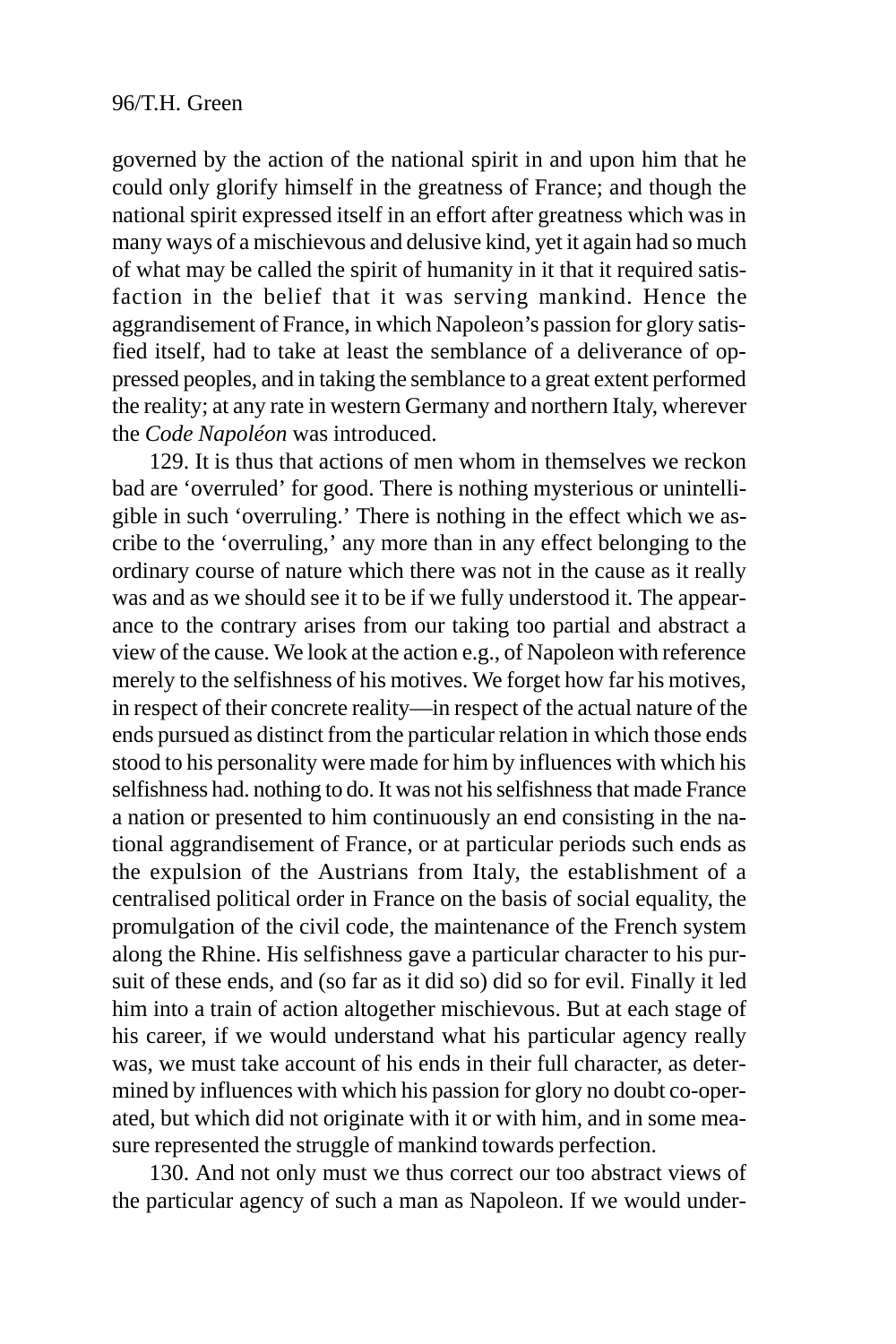governed by the action of the national spirit in and upon him that he could only glorify himself in the greatness of France; and though the national spirit expressed itself in an effort after greatness which was in many ways of a mischievous and delusive kind, yet it again had so much of what may be called the spirit of humanity in it that it required satisfaction in the belief that it was serving mankind. Hence the aggrandisement of France, in which Napoleon's passion for glory satisfied itself, had to take at least the semblance of a deliverance of oppressed peoples, and in taking the semblance to a great extent performed the reality; at any rate in western Germany and northern Italy, wherever the *Code Napoléon* was introduced.

129. It is thus that actions of men whom in themselves we reckon bad are 'overruled' for good. There is nothing mysterious or unintelligible in such 'overruling.' There is nothing in the effect which we ascribe to the 'overruling,' any more than in any effect belonging to the ordinary course of nature which there was not in the cause as it really was and as we should see it to be if we fully understood it. The appearance to the contrary arises from our taking too partial and abstract a view of the cause. We look at the action e.g., of Napoleon with reference merely to the selfishness of his motives. We forget how far his motives, in respect of their concrete reality—in respect of the actual nature of the ends pursued as distinct from the particular relation in which those ends stood to his personality were made for him by influences with which his selfishness had. nothing to do. It was not his selfishness that made France a nation or presented to him continuously an end consisting in the national aggrandisement of France, or at particular periods such ends as the expulsion of the Austrians from Italy, the establishment of a centralised political order in France on the basis of social equality, the promulgation of the civil code, the maintenance of the French system along the Rhine. His selfishness gave a particular character to his pursuit of these ends, and (so far as it did so) did so for evil. Finally it led him into a train of action altogether mischievous. But at each stage of his career, if we would understand what his particular agency really was, we must take account of his ends in their full character, as determined by influences with which his passion for glory no doubt co-operated, but which did not originate with it or with him, and in some measure represented the struggle of mankind towards perfection.

130. And not only must we thus correct our too abstract views of the particular agency of such a man as Napoleon. If we would under-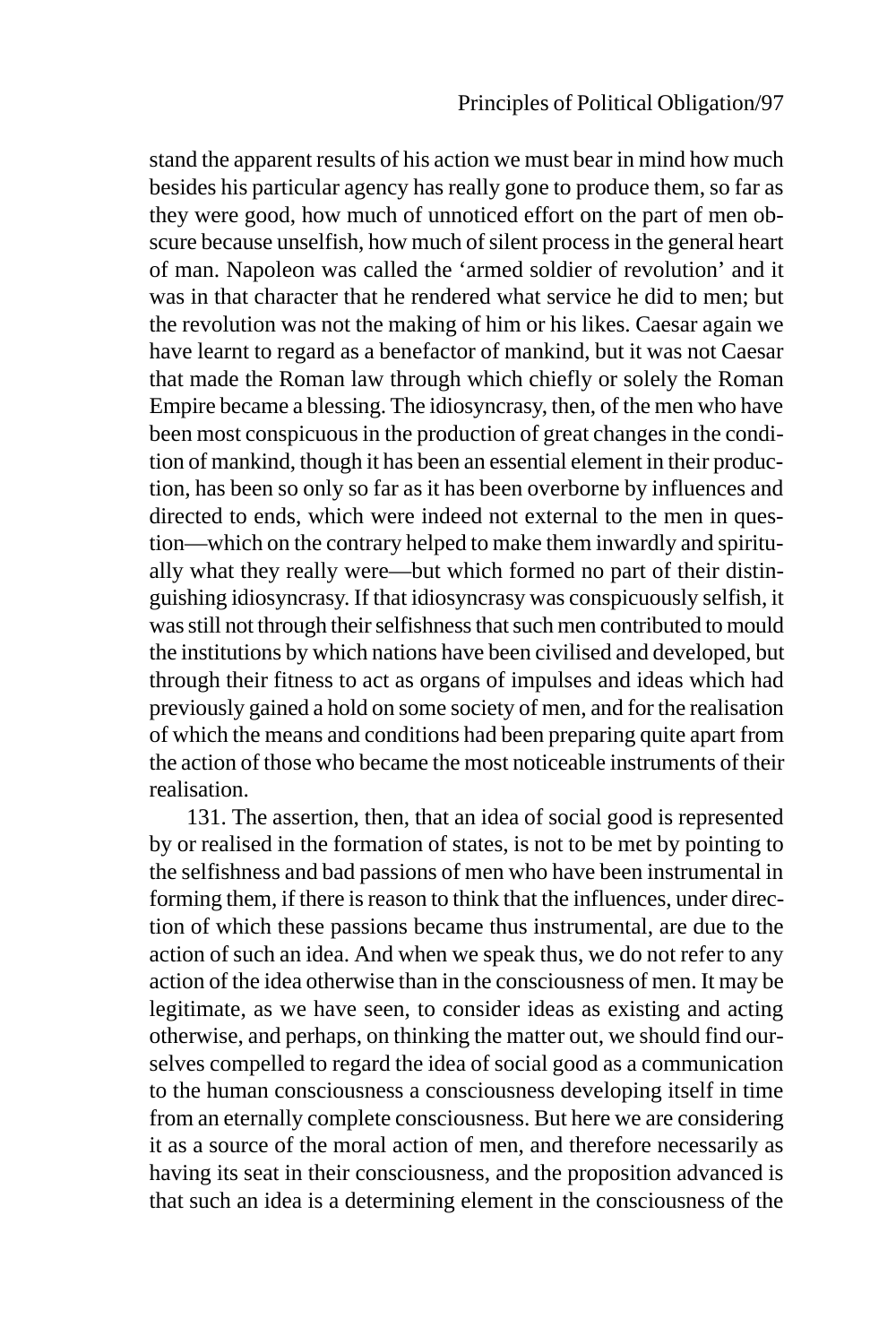stand the apparent results of his action we must bear in mind how much besides his particular agency has really gone to produce them, so far as they were good, how much of unnoticed effort on the part of men obscure because unselfish, how much of silent process in the general heart of man. Napoleon was called the 'armed soldier of revolution' and it was in that character that he rendered what service he did to men; but the revolution was not the making of him or his likes. Caesar again we have learnt to regard as a benefactor of mankind, but it was not Caesar that made the Roman law through which chiefly or solely the Roman Empire became a blessing. The idiosyncrasy, then, of the men who have been most conspicuous in the production of great changes in the condition of mankind, though it has been an essential element in their production, has been so only so far as it has been overborne by influences and directed to ends, which were indeed not external to the men in question—which on the contrary helped to make them inwardly and spiritually what they really were—but which formed no part of their distinguishing idiosyncrasy. If that idiosyncrasy was conspicuously selfish, it was still not through their selfishness that such men contributed to mould the institutions by which nations have been civilised and developed, but through their fitness to act as organs of impulses and ideas which had previously gained a hold on some society of men, and for the realisation of which the means and conditions had been preparing quite apart from the action of those who became the most noticeable instruments of their realisation.

131. The assertion, then, that an idea of social good is represented by or realised in the formation of states, is not to be met by pointing to the selfishness and bad passions of men who have been instrumental in forming them, if there is reason to think that the influences, under direction of which these passions became thus instrumental, are due to the action of such an idea. And when we speak thus, we do not refer to any action of the idea otherwise than in the consciousness of men. It may be legitimate, as we have seen, to consider ideas as existing and acting otherwise, and perhaps, on thinking the matter out, we should find ourselves compelled to regard the idea of social good as a communication to the human consciousness a consciousness developing itself in time from an eternally complete consciousness. But here we are considering it as a source of the moral action of men, and therefore necessarily as having its seat in their consciousness, and the proposition advanced is that such an idea is a determining element in the consciousness of the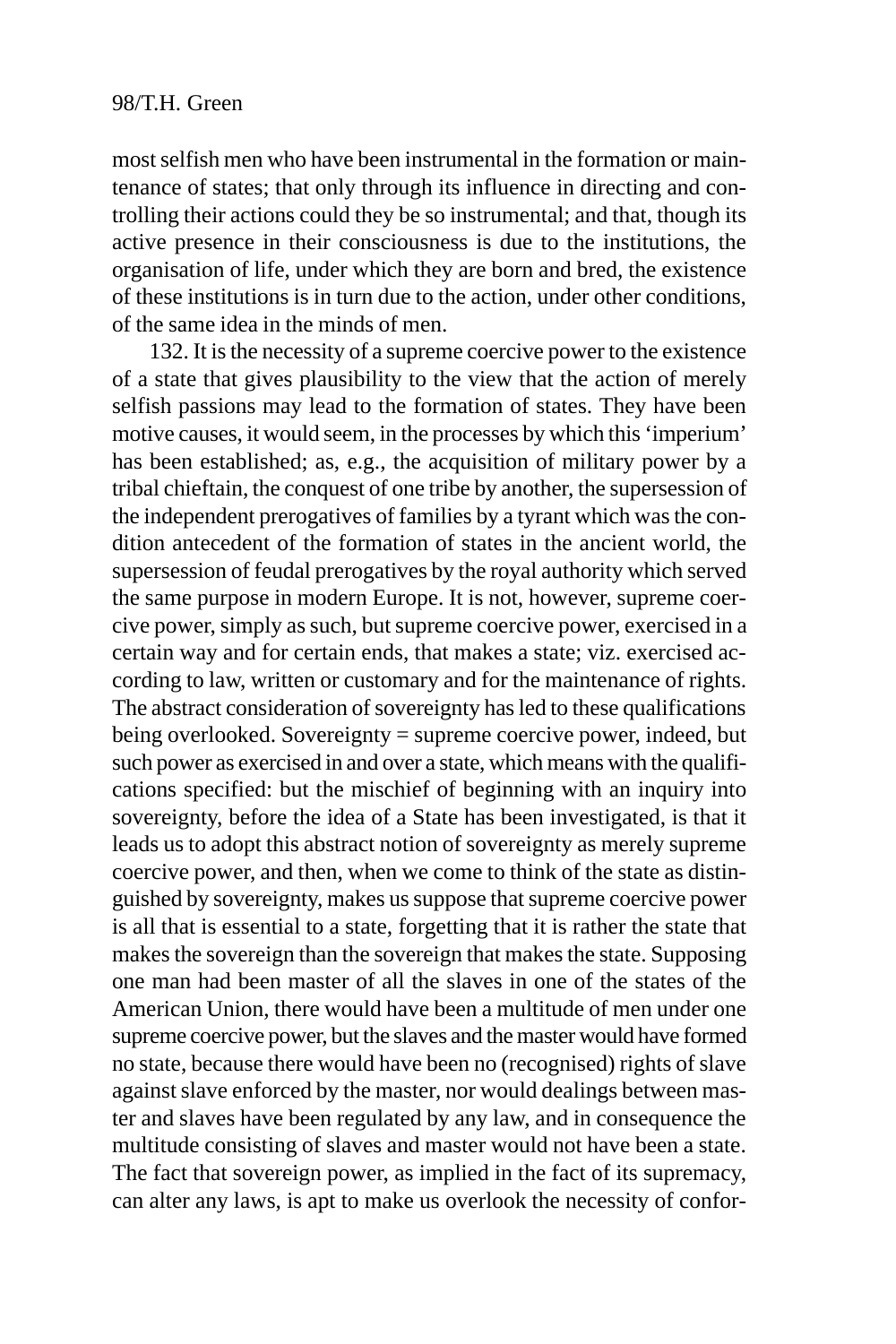most selfish men who have been instrumental in the formation or maintenance of states; that only through its influence in directing and controlling their actions could they be so instrumental; and that, though its active presence in their consciousness is due to the institutions, the organisation of life, under which they are born and bred, the existence of these institutions is in turn due to the action, under other conditions, of the same idea in the minds of men.

132. It is the necessity of a supreme coercive power to the existence of a state that gives plausibility to the view that the action of merely selfish passions may lead to the formation of states. They have been motive causes, it would seem, in the processes by which this 'imperium' has been established; as, e.g., the acquisition of military power by a tribal chieftain, the conquest of one tribe by another, the supersession of the independent prerogatives of families by a tyrant which was the condition antecedent of the formation of states in the ancient world, the supersession of feudal prerogatives by the royal authority which served the same purpose in modern Europe. It is not, however, supreme coercive power, simply as such, but supreme coercive power, exercised in a certain way and for certain ends, that makes a state; viz. exercised according to law, written or customary and for the maintenance of rights. The abstract consideration of sovereignty has led to these qualifications being overlooked. Sovereignty = supreme coercive power, indeed, but such power as exercised in and over a state, which means with the qualifications specified: but the mischief of beginning with an inquiry into sovereignty, before the idea of a State has been investigated, is that it leads us to adopt this abstract notion of sovereignty as merely supreme coercive power, and then, when we come to think of the state as distinguished by sovereignty, makes us suppose that supreme coercive power is all that is essential to a state, forgetting that it is rather the state that makes the sovereign than the sovereign that makes the state. Supposing one man had been master of all the slaves in one of the states of the American Union, there would have been a multitude of men under one supreme coercive power, but the slaves and the master would have formed no state, because there would have been no (recognised) rights of slave against slave enforced by the master, nor would dealings between master and slaves have been regulated by any law, and in consequence the multitude consisting of slaves and master would not have been a state. The fact that sovereign power, as implied in the fact of its supremacy, can alter any laws, is apt to make us overlook the necessity of confor-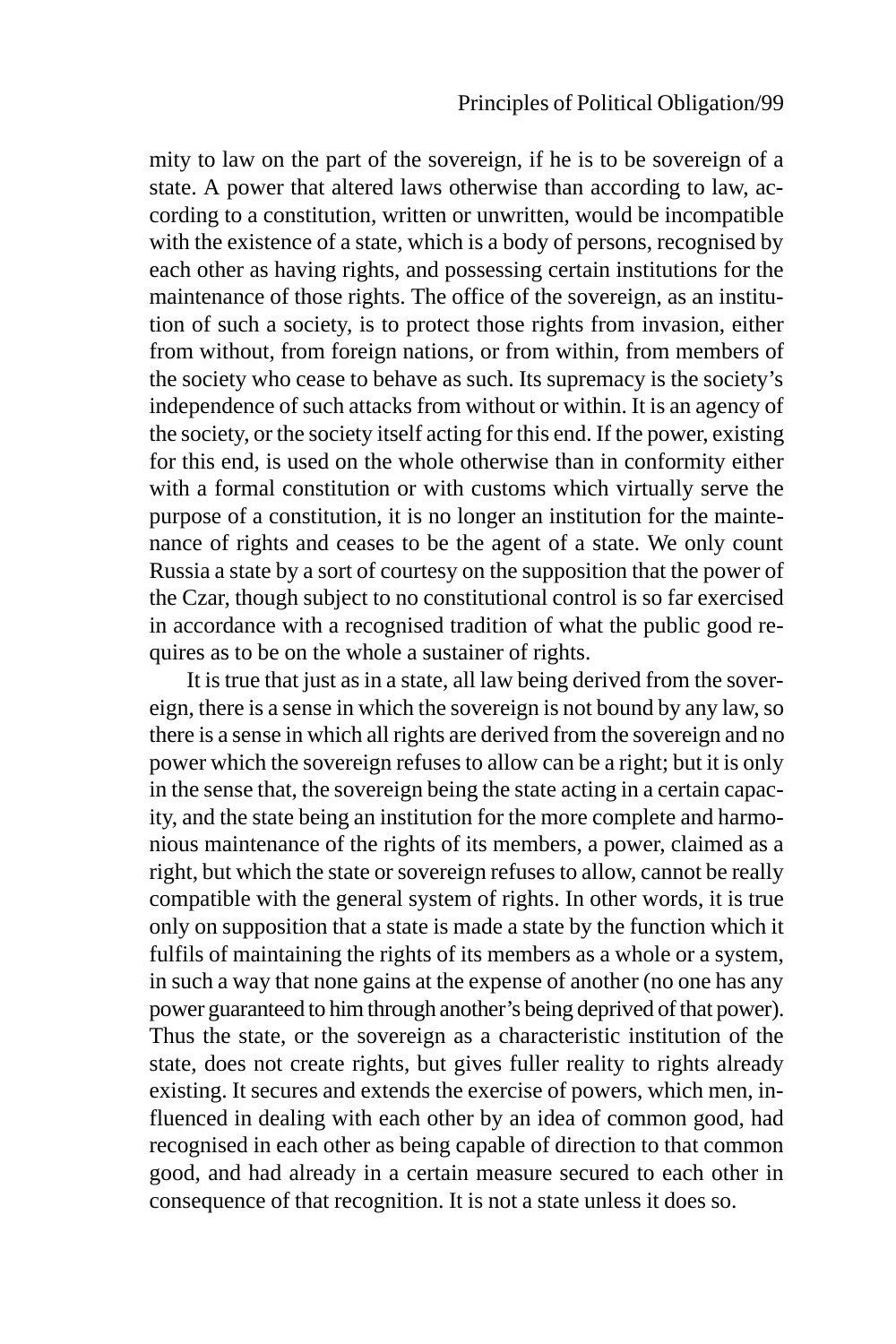mity to law on the part of the sovereign, if he is to be sovereign of a state. A power that altered laws otherwise than according to law, according to a constitution, written or unwritten, would be incompatible with the existence of a state, which is a body of persons, recognised by each other as having rights, and possessing certain institutions for the maintenance of those rights. The office of the sovereign, as an institution of such a society, is to protect those rights from invasion, either from without, from foreign nations, or from within, from members of the society who cease to behave as such. Its supremacy is the society's independence of such attacks from without or within. It is an agency of the society, or the society itself acting for this end. If the power, existing for this end, is used on the whole otherwise than in conformity either with a formal constitution or with customs which virtually serve the purpose of a constitution, it is no longer an institution for the maintenance of rights and ceases to be the agent of a state. We only count Russia a state by a sort of courtesy on the supposition that the power of the Czar, though subject to no constitutional control is so far exercised in accordance with a recognised tradition of what the public good requires as to be on the whole a sustainer of rights.

It is true that just as in a state, all law being derived from the sovereign, there is a sense in which the sovereign is not bound by any law, so there is a sense in which all rights are derived from the sovereign and no power which the sovereign refuses to allow can be a right; but it is only in the sense that, the sovereign being the state acting in a certain capacity, and the state being an institution for the more complete and harmonious maintenance of the rights of its members, a power, claimed as a right, but which the state or sovereign refuses to allow, cannot be really compatible with the general system of rights. In other words, it is true only on supposition that a state is made a state by the function which it fulfils of maintaining the rights of its members as a whole or a system, in such a way that none gains at the expense of another (no one has any power guaranteed to him through another's being deprived of that power). Thus the state, or the sovereign as a characteristic institution of the state, does not create rights, but gives fuller reality to rights already existing. It secures and extends the exercise of powers, which men, influenced in dealing with each other by an idea of common good, had recognised in each other as being capable of direction to that common good, and had already in a certain measure secured to each other in consequence of that recognition. It is not a state unless it does so.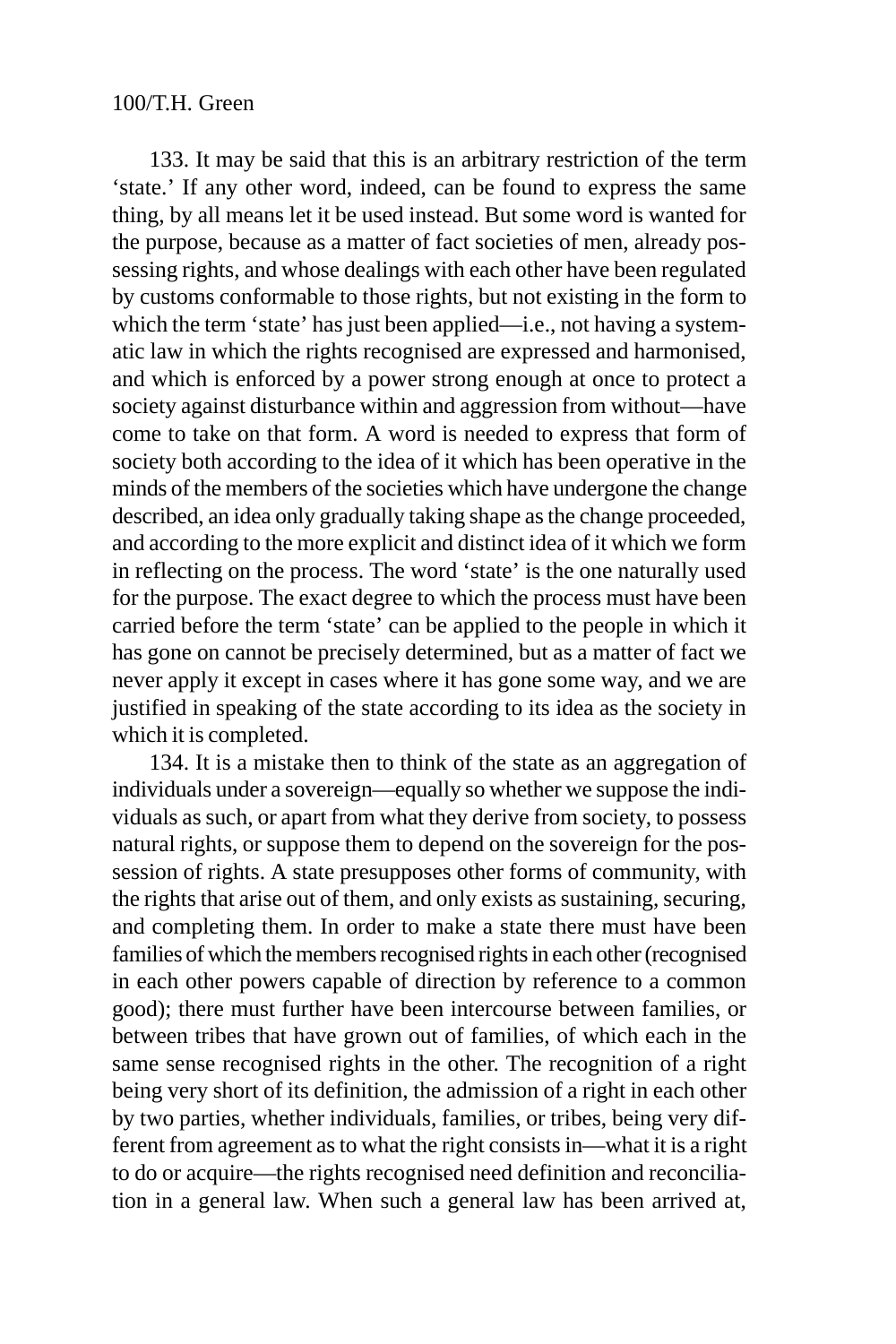133. It may be said that this is an arbitrary restriction of the term 'state.' If any other word, indeed, can be found to express the same thing, by all means let it be used instead. But some word is wanted for the purpose, because as a matter of fact societies of men, already possessing rights, and whose dealings with each other have been regulated by customs conformable to those rights, but not existing in the form to which the term 'state' has just been applied—i.e., not having a systematic law in which the rights recognised are expressed and harmonised, and which is enforced by a power strong enough at once to protect a society against disturbance within and aggression from without—have come to take on that form. A word is needed to express that form of society both according to the idea of it which has been operative in the minds of the members of the societies which have undergone the change described, an idea only gradually taking shape as the change proceeded, and according to the more explicit and distinct idea of it which we form in reflecting on the process. The word 'state' is the one naturally used for the purpose. The exact degree to which the process must have been carried before the term 'state' can be applied to the people in which it has gone on cannot be precisely determined, but as a matter of fact we never apply it except in cases where it has gone some way, and we are justified in speaking of the state according to its idea as the society in which it is completed.

134. It is a mistake then to think of the state as an aggregation of individuals under a sovereign—equally so whether we suppose the individuals as such, or apart from what they derive from society, to possess natural rights, or suppose them to depend on the sovereign for the possession of rights. A state presupposes other forms of community, with the rights that arise out of them, and only exists as sustaining, securing, and completing them. In order to make a state there must have been families of which the members recognised rights in each other (recognised in each other powers capable of direction by reference to a common good); there must further have been intercourse between families, or between tribes that have grown out of families, of which each in the same sense recognised rights in the other. The recognition of a right being very short of its definition, the admission of a right in each other by two parties, whether individuals, families, or tribes, being very different from agreement as to what the right consists in—what it is a right to do or acquire—the rights recognised need definition and reconciliation in a general law. When such a general law has been arrived at,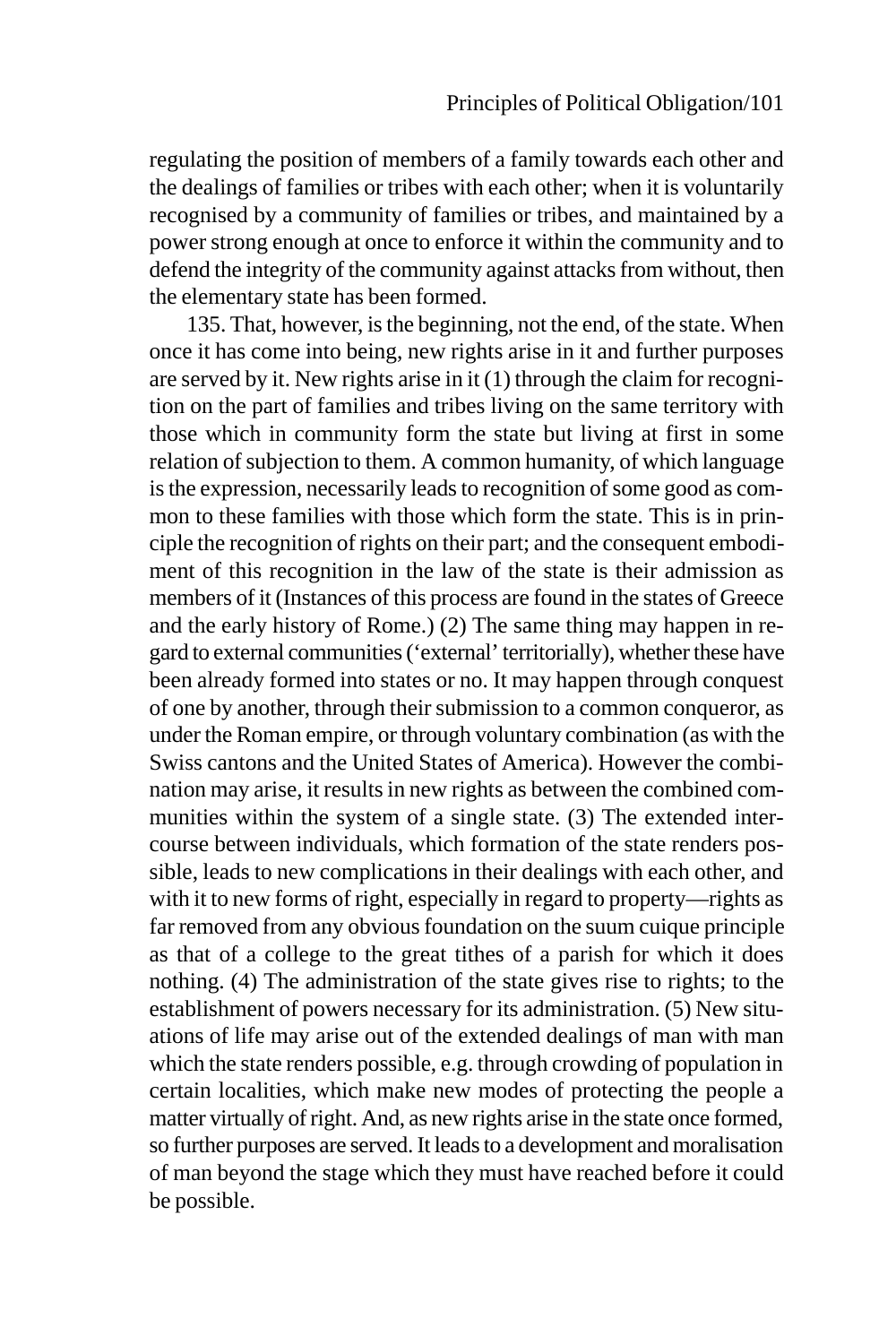regulating the position of members of a family towards each other and the dealings of families or tribes with each other; when it is voluntarily recognised by a community of families or tribes, and maintained by a power strong enough at once to enforce it within the community and to defend the integrity of the community against attacks from without, then the elementary state has been formed.

135. That, however, is the beginning, not the end, of the state. When once it has come into being, new rights arise in it and further purposes are served by it. New rights arise in it (1) through the claim for recognition on the part of families and tribes living on the same territory with those which in community form the state but living at first in some relation of subjection to them. A common humanity, of which language is the expression, necessarily leads to recognition of some good as common to these families with those which form the state. This is in principle the recognition of rights on their part; and the consequent embodiment of this recognition in the law of the state is their admission as members of it (Instances of this process are found in the states of Greece and the early history of Rome.) (2) The same thing may happen in regard to external communities ('external' territorially), whether these have been already formed into states or no. It may happen through conquest of one by another, through their submission to a common conqueror, as under the Roman empire, or through voluntary combination (as with the Swiss cantons and the United States of America). However the combination may arise, it results in new rights as between the combined communities within the system of a single state. (3) The extended intercourse between individuals, which formation of the state renders possible, leads to new complications in their dealings with each other, and with it to new forms of right, especially in regard to property—rights as far removed from any obvious foundation on the suum cuique principle as that of a college to the great tithes of a parish for which it does nothing. (4) The administration of the state gives rise to rights; to the establishment of powers necessary for its administration. (5) New situations of life may arise out of the extended dealings of man with man which the state renders possible, e.g. through crowding of population in certain localities, which make new modes of protecting the people a matter virtually of right. And, as new rights arise in the state once formed, so further purposes are served. It leads to a development and moralisation of man beyond the stage which they must have reached before it could be possible.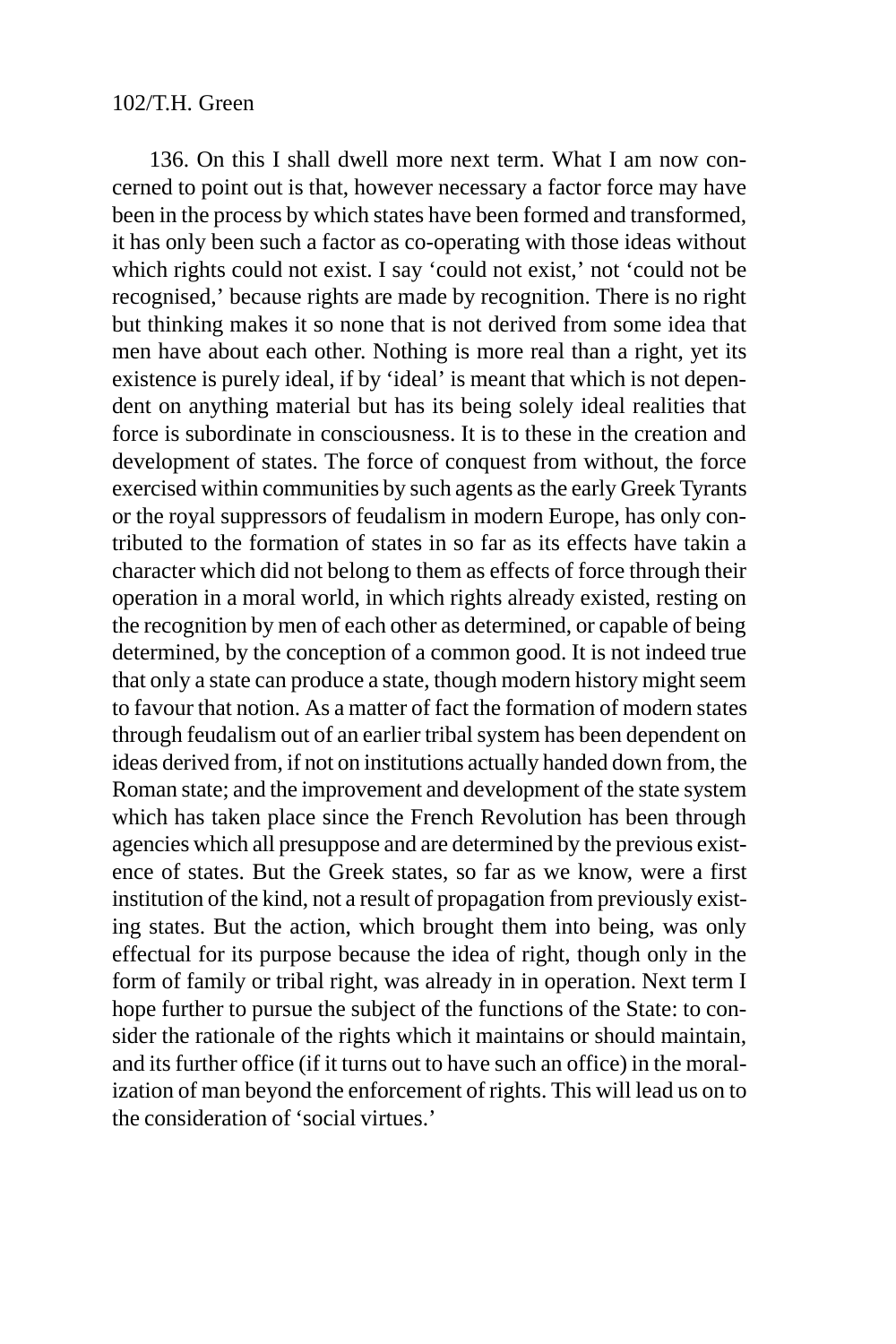136. On this I shall dwell more next term. What I am now concerned to point out is that, however necessary a factor force may have been in the process by which states have been formed and transformed, it has only been such a factor as co-operating with those ideas without which rights could not exist. I say 'could not exist,' not 'could not be recognised,' because rights are made by recognition. There is no right but thinking makes it so none that is not derived from some idea that men have about each other. Nothing is more real than a right, yet its existence is purely ideal, if by 'ideal' is meant that which is not dependent on anything material but has its being solely ideal realities that force is subordinate in consciousness. It is to these in the creation and development of states. The force of conquest from without, the force exercised within communities by such agents as the early Greek Tyrants or the royal suppressors of feudalism in modern Europe, has only contributed to the formation of states in so far as its effects have takin a character which did not belong to them as effects of force through their operation in a moral world, in which rights already existed, resting on the recognition by men of each other as determined, or capable of being determined, by the conception of a common good. It is not indeed true that only a state can produce a state, though modern history might seem to favour that notion. As a matter of fact the formation of modern states through feudalism out of an earlier tribal system has been dependent on ideas derived from, if not on institutions actually handed down from, the Roman state; and the improvement and development of the state system which has taken place since the French Revolution has been through agencies which all presuppose and are determined by the previous existence of states. But the Greek states, so far as we know, were a first institution of the kind, not a result of propagation from previously existing states. But the action, which brought them into being, was only effectual for its purpose because the idea of right, though only in the form of family or tribal right, was already in in operation. Next term I hope further to pursue the subject of the functions of the State: to consider the rationale of the rights which it maintains or should maintain, and its further office (if it turns out to have such an office) in the moralization of man beyond the enforcement of rights. This will lead us on to the consideration of 'social virtues.'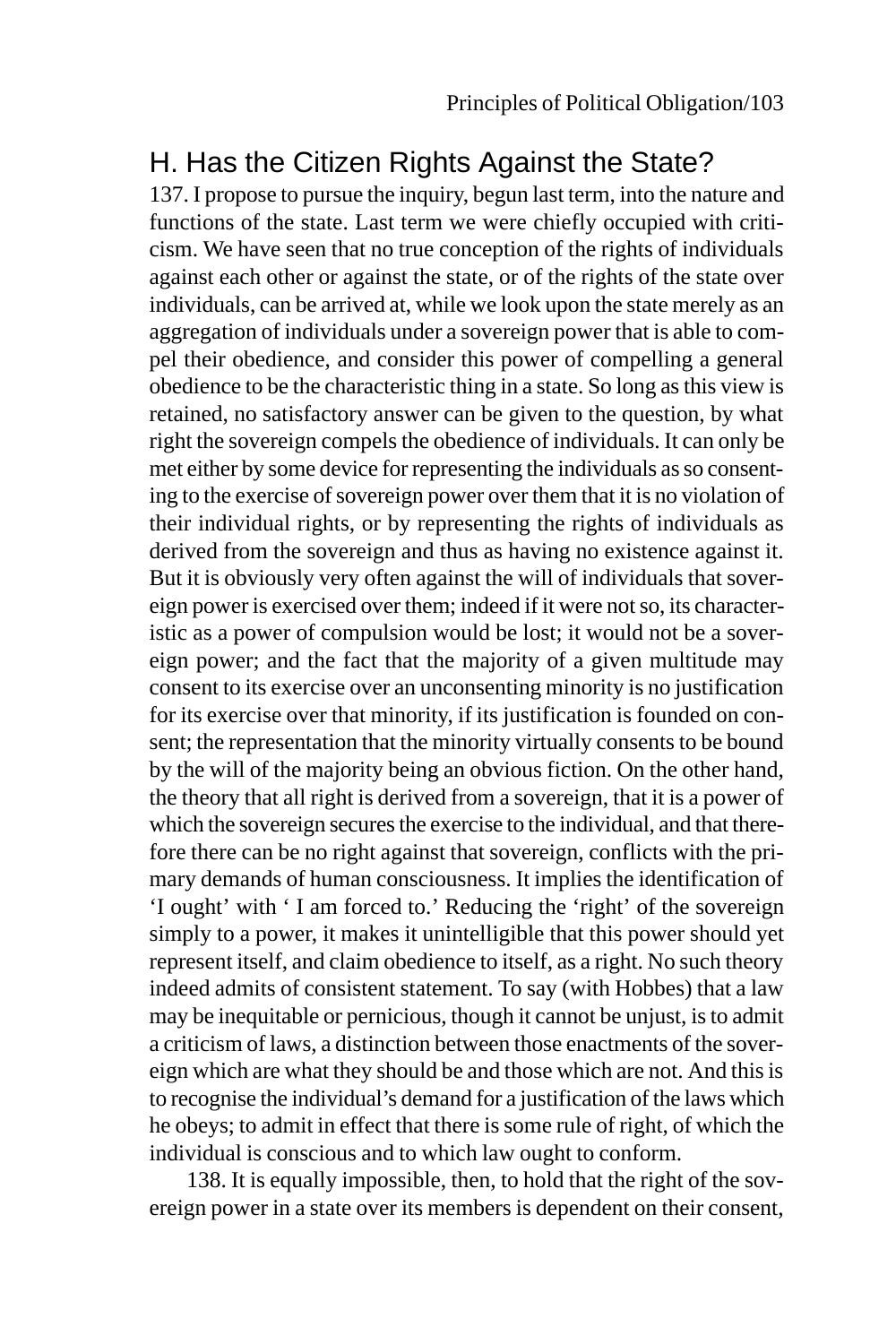## H. Has the Citizen Rights Against the State?

137. I propose to pursue the inquiry, begun last term, into the nature and functions of the state. Last term we were chiefly occupied with criticism. We have seen that no true conception of the rights of individuals against each other or against the state, or of the rights of the state over individuals, can be arrived at, while we look upon the state merely as an aggregation of individuals under a sovereign power that is able to compel their obedience, and consider this power of compelling a general obedience to be the characteristic thing in a state. So long as this view is retained, no satisfactory answer can be given to the question, by what right the sovereign compels the obedience of individuals. It can only be met either by some device for representing the individuals as so consenting to the exercise of sovereign power over them that it is no violation of their individual rights, or by representing the rights of individuals as derived from the sovereign and thus as having no existence against it. But it is obviously very often against the will of individuals that sovereign power is exercised over them; indeed if it were not so, its characteristic as a power of compulsion would be lost; it would not be a sovereign power; and the fact that the majority of a given multitude may consent to its exercise over an unconsenting minority is no justification for its exercise over that minority, if its justification is founded on consent; the representation that the minority virtually consents to be bound by the will of the majority being an obvious fiction. On the other hand, the theory that all right is derived from a sovereign, that it is a power of which the sovereign secures the exercise to the individual, and that therefore there can be no right against that sovereign, conflicts with the primary demands of human consciousness. It implies the identification of 'I ought' with ' I am forced to.' Reducing the 'right' of the sovereign simply to a power, it makes it unintelligible that this power should yet represent itself, and claim obedience to itself, as a right. No such theory indeed admits of consistent statement. To say (with Hobbes) that a law may be inequitable or pernicious, though it cannot be unjust, is to admit a criticism of laws, a distinction between those enactments of the sovereign which are what they should be and those which are not. And this is to recognise the individual's demand for a justification of the laws which he obeys; to admit in effect that there is some rule of right, of which the individual is conscious and to which law ought to conform.

138. It is equally impossible, then, to hold that the right of the sovereign power in a state over its members is dependent on their consent,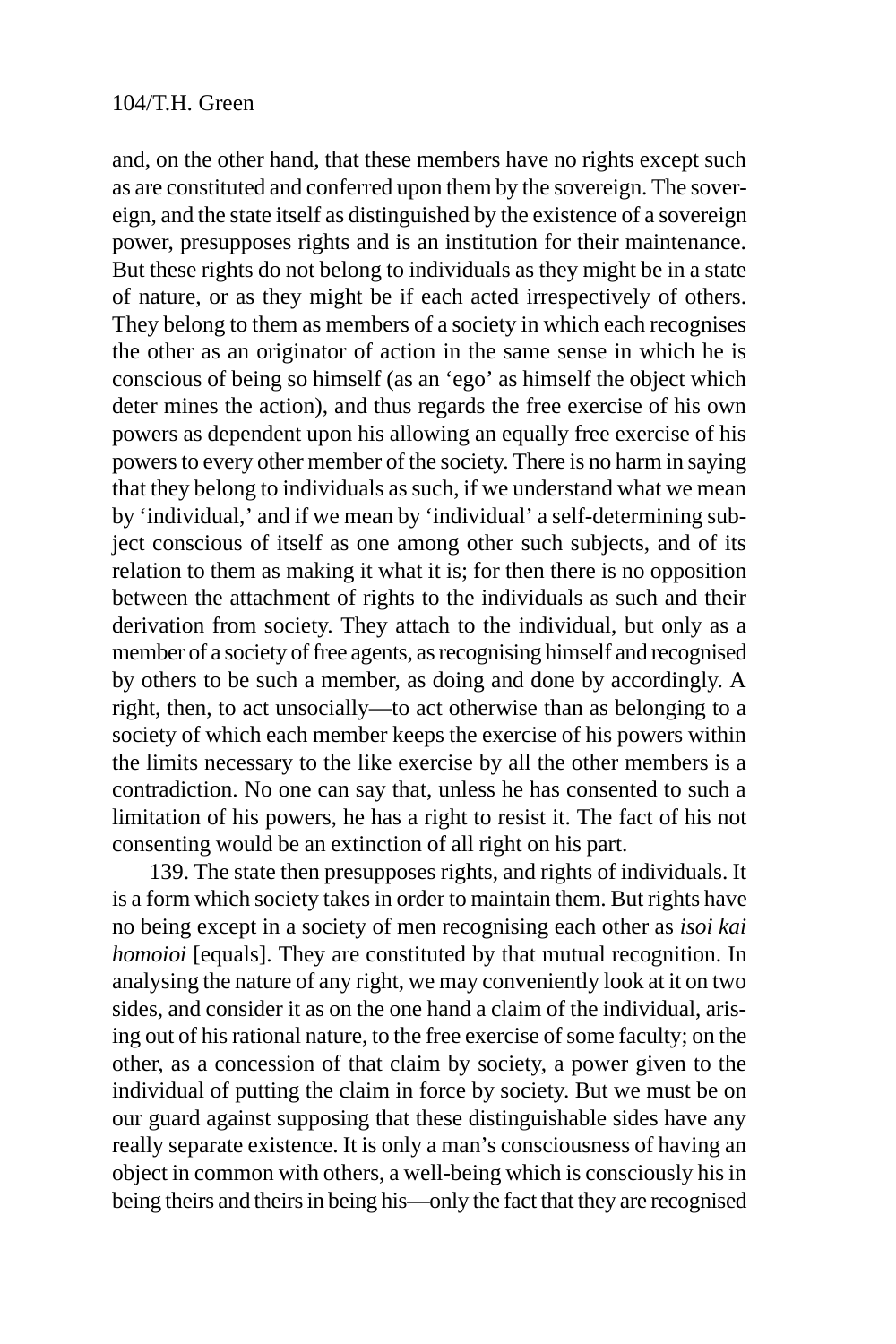and, on the other hand, that these members have no rights except such as are constituted and conferred upon them by the sovereign. The sovereign, and the state itself as distinguished by the existence of a sovereign power, presupposes rights and is an institution for their maintenance. But these rights do not belong to individuals as they might be in a state of nature, or as they might be if each acted irrespectively of others. They belong to them as members of a society in which each recognises the other as an originator of action in the same sense in which he is conscious of being so himself (as an 'ego' as himself the object which deter mines the action), and thus regards the free exercise of his own powers as dependent upon his allowing an equally free exercise of his powers to every other member of the society. There is no harm in saying that they belong to individuals as such, if we understand what we mean by 'individual,' and if we mean by 'individual' a self-determining subject conscious of itself as one among other such subjects, and of its relation to them as making it what it is; for then there is no opposition between the attachment of rights to the individuals as such and their derivation from society. They attach to the individual, but only as a member of a society of free agents, as recognising himself and recognised by others to be such a member, as doing and done by accordingly. A right, then, to act unsocially—to act otherwise than as belonging to a society of which each member keeps the exercise of his powers within the limits necessary to the like exercise by all the other members is a contradiction. No one can say that, unless he has consented to such a limitation of his powers, he has a right to resist it. The fact of his not consenting would be an extinction of all right on his part.

139. The state then presupposes rights, and rights of individuals. It is a form which society takes in order to maintain them. But rights have no being except in a society of men recognising each other as *isoi kai homoioi* [equals]. They are constituted by that mutual recognition. In analysing the nature of any right, we may conveniently look at it on two sides, and consider it as on the one hand a claim of the individual, arising out of his rational nature, to the free exercise of some faculty; on the other, as a concession of that claim by society, a power given to the individual of putting the claim in force by society. But we must be on our guard against supposing that these distinguishable sides have any really separate existence. It is only a man's consciousness of having an object in common with others, a well-being which is consciously his in being theirs and theirs in being his—only the fact that they are recognised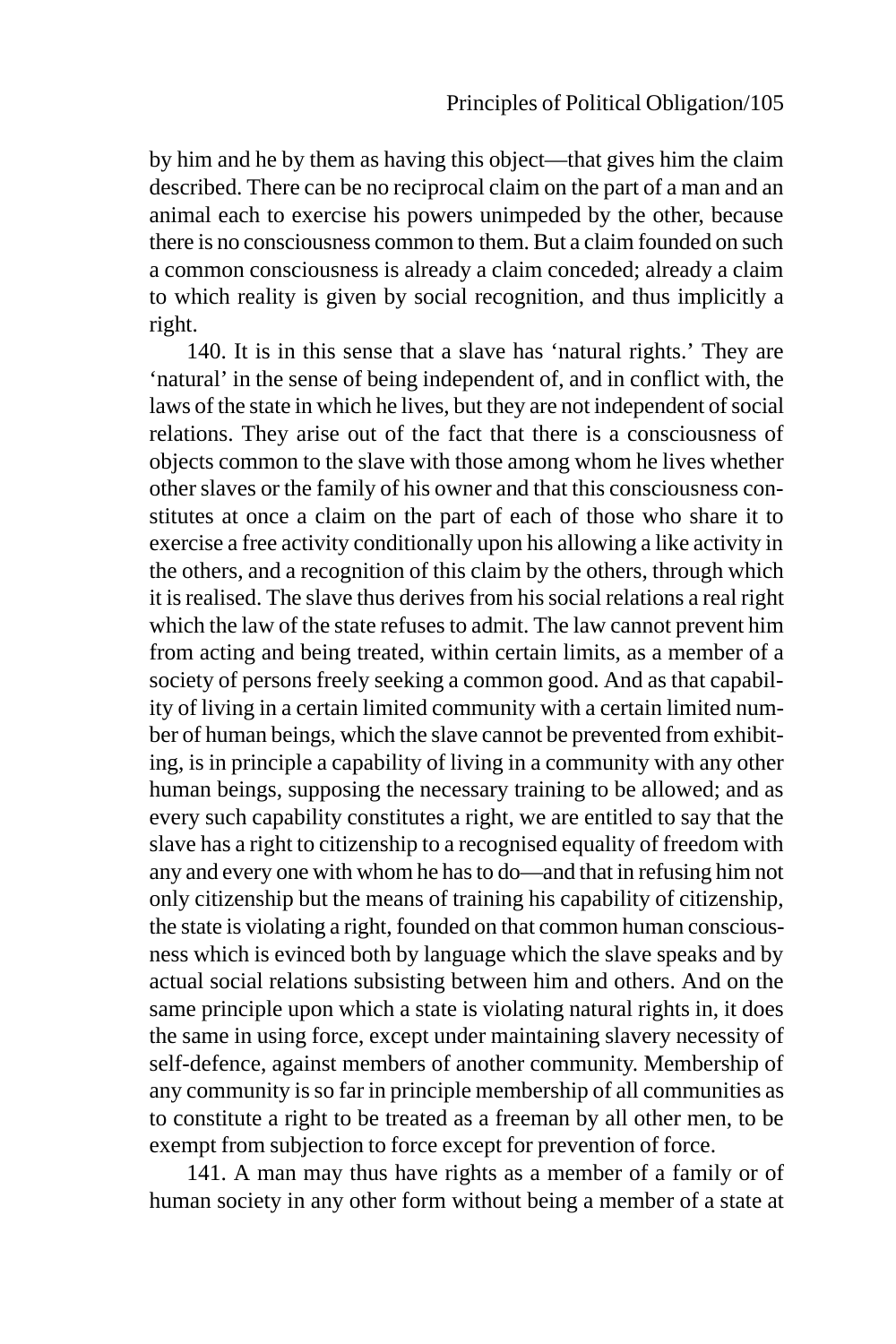by him and he by them as having this object—that gives him the claim described. There can be no reciprocal claim on the part of a man and an animal each to exercise his powers unimpeded by the other, because there is no consciousness common to them. But a claim founded on such a common consciousness is already a claim conceded; already a claim to which reality is given by social recognition, and thus implicitly a right.

140. It is in this sense that a slave has 'natural rights.' They are 'natural' in the sense of being independent of, and in conflict with, the laws of the state in which he lives, but they are not independent of social relations. They arise out of the fact that there is a consciousness of objects common to the slave with those among whom he lives whether other slaves or the family of his owner and that this consciousness constitutes at once a claim on the part of each of those who share it to exercise a free activity conditionally upon his allowing a like activity in the others, and a recognition of this claim by the others, through which it is realised. The slave thus derives from his social relations a real right which the law of the state refuses to admit. The law cannot prevent him from acting and being treated, within certain limits, as a member of a society of persons freely seeking a common good. And as that capability of living in a certain limited community with a certain limited number of human beings, which the slave cannot be prevented from exhibiting, is in principle a capability of living in a community with any other human beings, supposing the necessary training to be allowed; and as every such capability constitutes a right, we are entitled to say that the slave has a right to citizenship to a recognised equality of freedom with any and every one with whom he has to do—and that in refusing him not only citizenship but the means of training his capability of citizenship, the state is violating a right, founded on that common human consciousness which is evinced both by language which the slave speaks and by actual social relations subsisting between him and others. And on the same principle upon which a state is violating natural rights in, it does the same in using force, except under maintaining slavery necessity of self-defence, against members of another community. Membership of any community is so far in principle membership of all communities as to constitute a right to be treated as a freeman by all other men, to be exempt from subjection to force except for prevention of force.

141. A man may thus have rights as a member of a family or of human society in any other form without being a member of a state at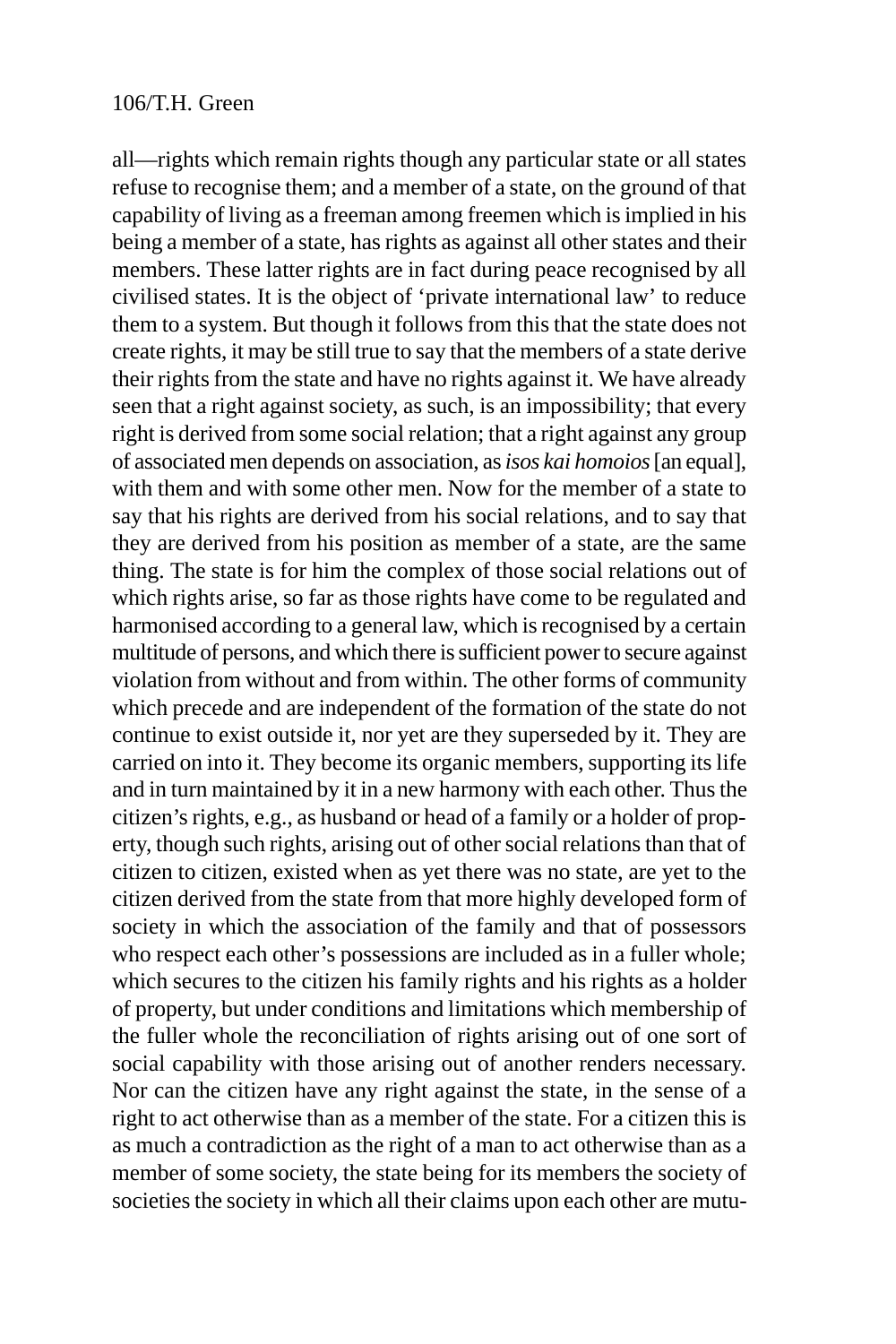all—rights which remain rights though any particular state or all states refuse to recognise them; and a member of a state, on the ground of that capability of living as a freeman among freemen which is implied in his being a member of a state, has rights as against all other states and their members. These latter rights are in fact during peace recognised by all civilised states. It is the object of 'private international law' to reduce them to a system. But though it follows from this that the state does not create rights, it may be still true to say that the members of a state derive their rights from the state and have no rights against it. We have already seen that a right against society, as such, is an impossibility; that every right is derived from some social relation; that a right against any group of associated men depends on association, as *isos kai homoios* [an equal], with them and with some other men. Now for the member of a state to say that his rights are derived from his social relations, and to say that they are derived from his position as member of a state, are the same thing. The state is for him the complex of those social relations out of which rights arise, so far as those rights have come to be regulated and harmonised according to a general law, which is recognised by a certain multitude of persons, and which there is sufficient power to secure against violation from without and from within. The other forms of community which precede and are independent of the formation of the state do not continue to exist outside it, nor yet are they superseded by it. They are carried on into it. They become its organic members, supporting its life and in turn maintained by it in a new harmony with each other. Thus the citizen's rights, e.g., as husband or head of a family or a holder of property, though such rights, arising out of other social relations than that of citizen to citizen, existed when as yet there was no state, are yet to the citizen derived from the state from that more highly developed form of society in which the association of the family and that of possessors who respect each other's possessions are included as in a fuller whole; which secures to the citizen his family rights and his rights as a holder of property, but under conditions and limitations which membership of the fuller whole the reconciliation of rights arising out of one sort of social capability with those arising out of another renders necessary. Nor can the citizen have any right against the state, in the sense of a right to act otherwise than as a member of the state. For a citizen this is as much a contradiction as the right of a man to act otherwise than as a member of some society, the state being for its members the society of societies the society in which all their claims upon each other are mutu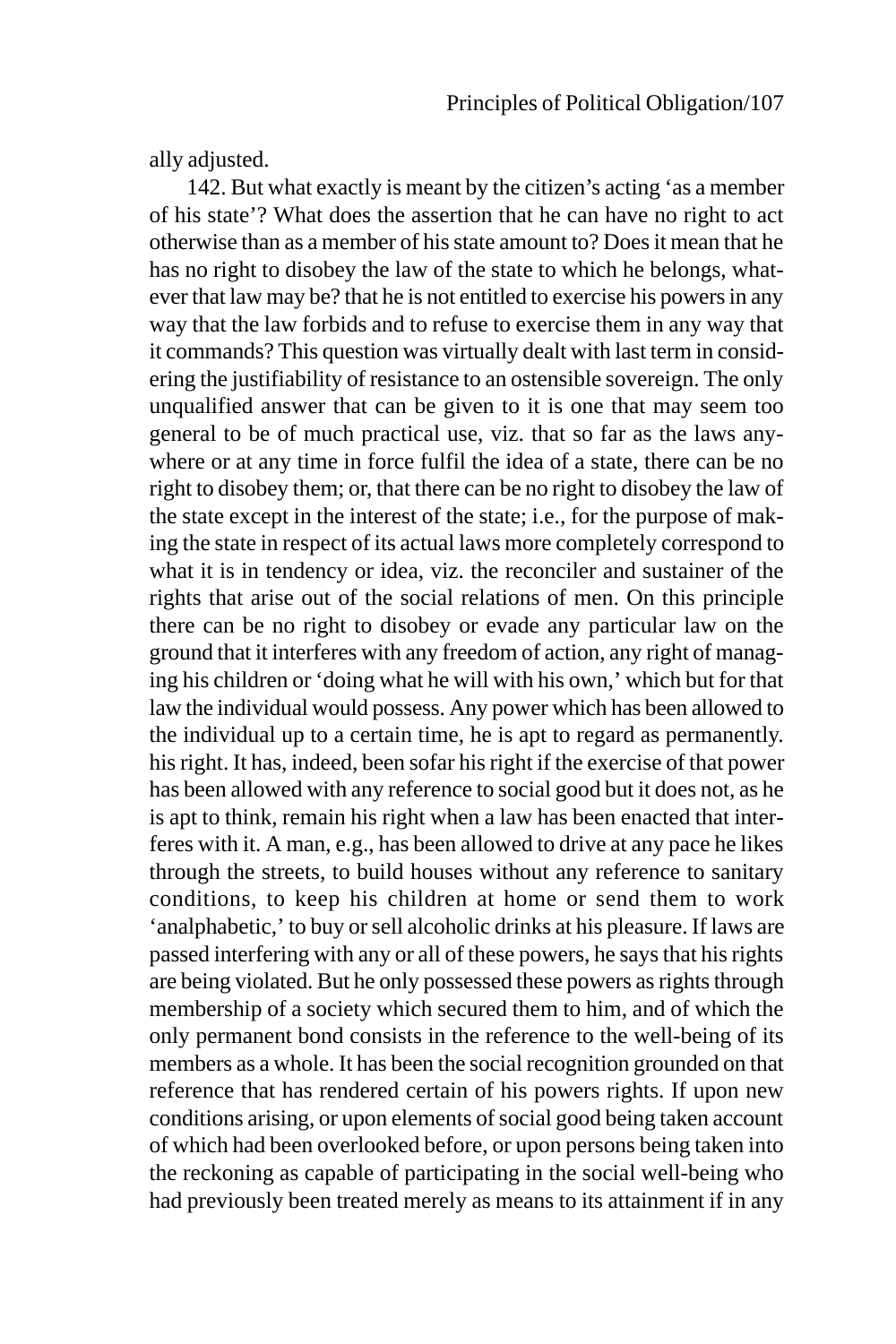ally adjusted.

142. But what exactly is meant by the citizen's acting 'as a member of his state'? What does the assertion that he can have no right to act otherwise than as a member of his state amount to? Does it mean that he has no right to disobey the law of the state to which he belongs, whatever that law may be? that he is not entitled to exercise his powers in any way that the law forbids and to refuse to exercise them in any way that it commands? This question was virtually dealt with last term in considering the justifiability of resistance to an ostensible sovereign. The only unqualified answer that can be given to it is one that may seem too general to be of much practical use, viz. that so far as the laws anywhere or at any time in force fulfil the idea of a state, there can be no right to disobey them; or, that there can be no right to disobey the law of the state except in the interest of the state; i.e., for the purpose of making the state in respect of its actual laws more completely correspond to what it is in tendency or idea, viz. the reconciler and sustainer of the rights that arise out of the social relations of men. On this principle there can be no right to disobey or evade any particular law on the ground that it interferes with any freedom of action, any right of managing his children or 'doing what he will with his own,' which but for that law the individual would possess. Any power which has been allowed to the individual up to a certain time, he is apt to regard as permanently. his right. It has, indeed, been sofar his right if the exercise of that power has been allowed with any reference to social good but it does not, as he is apt to think, remain his right when a law has been enacted that interferes with it. A man, e.g., has been allowed to drive at any pace he likes through the streets, to build houses without any reference to sanitary conditions, to keep his children at home or send them to work 'analphabetic,' to buy or sell alcoholic drinks at his pleasure. If laws are passed interfering with any or all of these powers, he says that his rights are being violated. But he only possessed these powers as rights through membership of a society which secured them to him, and of which the only permanent bond consists in the reference to the well-being of its members as a whole. It has been the social recognition grounded on that reference that has rendered certain of his powers rights. If upon new conditions arising, or upon elements of social good being taken account of which had been overlooked before, or upon persons being taken into the reckoning as capable of participating in the social well-being who had previously been treated merely as means to its attainment if in any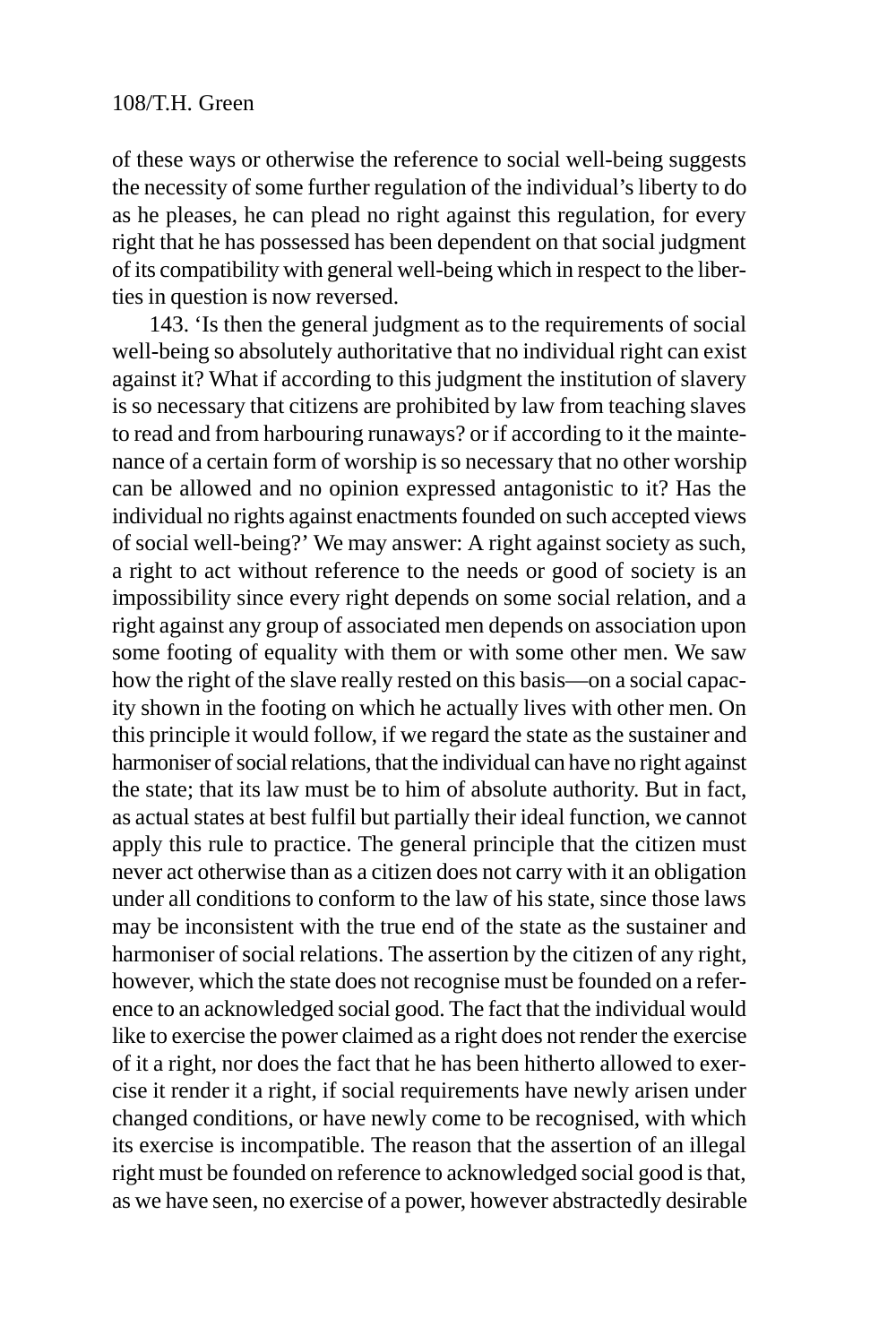of these ways or otherwise the reference to social well-being suggests the necessity of some further regulation of the individual's liberty to do as he pleases, he can plead no right against this regulation, for every right that he has possessed has been dependent on that social judgment of its compatibility with general well-being which in respect to the liberties in question is now reversed.

143. 'Is then the general judgment as to the requirements of social well-being so absolutely authoritative that no individual right can exist against it? What if according to this judgment the institution of slavery is so necessary that citizens are prohibited by law from teaching slaves to read and from harbouring runaways? or if according to it the maintenance of a certain form of worship is so necessary that no other worship can be allowed and no opinion expressed antagonistic to it? Has the individual no rights against enactments founded on such accepted views of social well-being?' We may answer: A right against society as such, a right to act without reference to the needs or good of society is an impossibility since every right depends on some social relation, and a right against any group of associated men depends on association upon some footing of equality with them or with some other men. We saw how the right of the slave really rested on this basis—on a social capacity shown in the footing on which he actually lives with other men. On this principle it would follow, if we regard the state as the sustainer and harmoniser of social relations, that the individual can have no right against the state; that its law must be to him of absolute authority. But in fact, as actual states at best fulfil but partially their ideal function, we cannot apply this rule to practice. The general principle that the citizen must never act otherwise than as a citizen does not carry with it an obligation under all conditions to conform to the law of his state, since those laws may be inconsistent with the true end of the state as the sustainer and harmoniser of social relations. The assertion by the citizen of any right, however, which the state does not recognise must be founded on a reference to an acknowledged social good. The fact that the individual would like to exercise the power claimed as a right does not render the exercise of it a right, nor does the fact that he has been hitherto allowed to exercise it render it a right, if social requirements have newly arisen under changed conditions, or have newly come to be recognised, with which its exercise is incompatible. The reason that the assertion of an illegal right must be founded on reference to acknowledged social good is that, as we have seen, no exercise of a power, however abstractedly desirable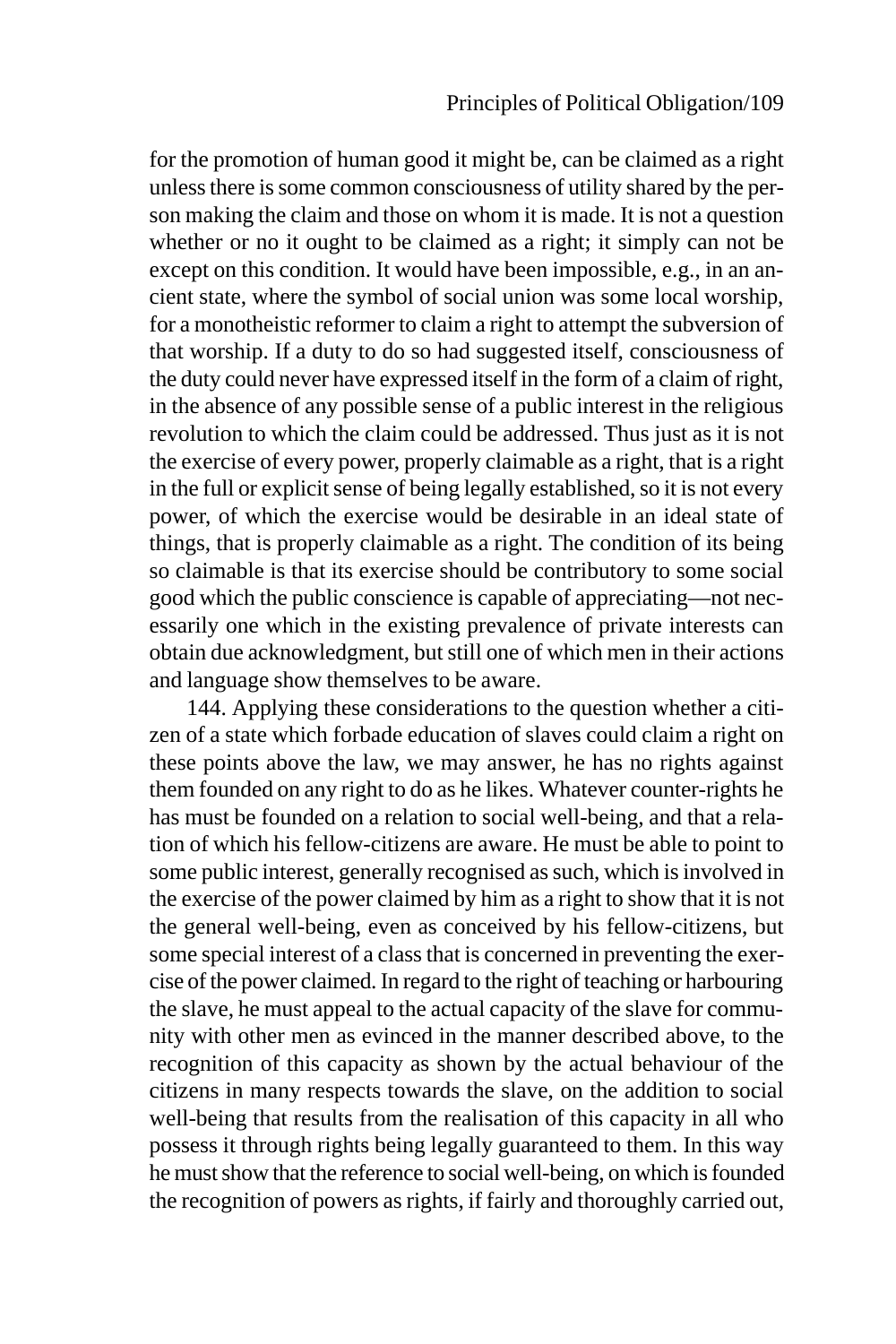for the promotion of human good it might be, can be claimed as a right unless there is some common consciousness of utility shared by the person making the claim and those on whom it is made. It is not a question whether or no it ought to be claimed as a right; it simply can not be except on this condition. It would have been impossible, e.g., in an ancient state, where the symbol of social union was some local worship, for a monotheistic reformer to claim a right to attempt the subversion of that worship. If a duty to do so had suggested itself, consciousness of the duty could never have expressed itself in the form of a claim of right, in the absence of any possible sense of a public interest in the religious revolution to which the claim could be addressed. Thus just as it is not the exercise of every power, properly claimable as a right, that is a right in the full or explicit sense of being legally established, so it is not every power, of which the exercise would be desirable in an ideal state of things, that is properly claimable as a right. The condition of its being so claimable is that its exercise should be contributory to some social good which the public conscience is capable of appreciating—not necessarily one which in the existing prevalence of private interests can obtain due acknowledgment, but still one of which men in their actions and language show themselves to be aware.

144. Applying these considerations to the question whether a citizen of a state which forbade education of slaves could claim a right on these points above the law, we may answer, he has no rights against them founded on any right to do as he likes. Whatever counter-rights he has must be founded on a relation to social well-being, and that a relation of which his fellow-citizens are aware. He must be able to point to some public interest, generally recognised as such, which is involved in the exercise of the power claimed by him as a right to show that it is not the general well-being, even as conceived by his fellow-citizens, but some special interest of a class that is concerned in preventing the exercise of the power claimed. In regard to the right of teaching or harbouring the slave, he must appeal to the actual capacity of the slave for community with other men as evinced in the manner described above, to the recognition of this capacity as shown by the actual behaviour of the citizens in many respects towards the slave, on the addition to social well-being that results from the realisation of this capacity in all who possess it through rights being legally guaranteed to them. In this way he must show that the reference to social well-being, on which is founded the recognition of powers as rights, if fairly and thoroughly carried out,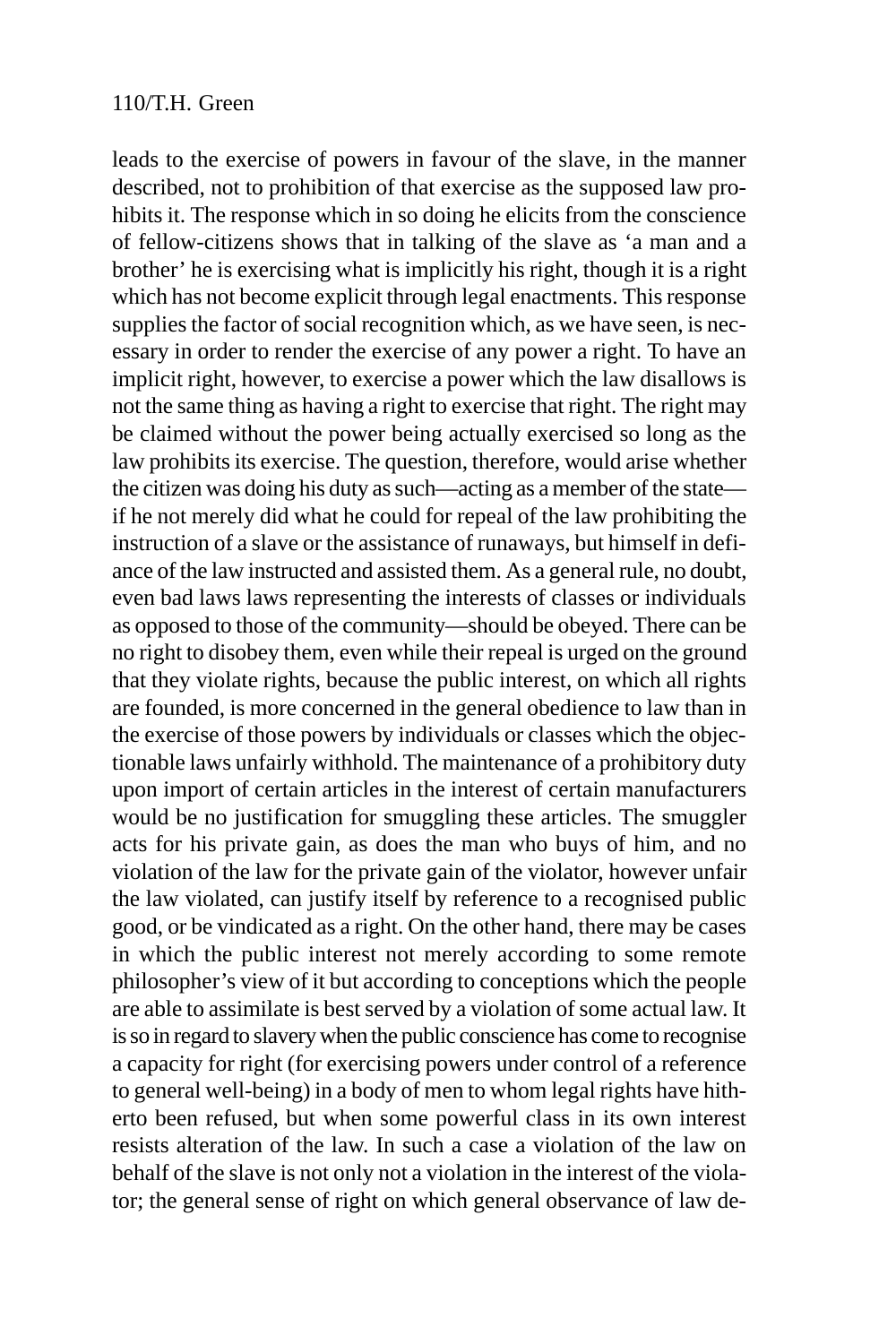leads to the exercise of powers in favour of the slave, in the manner described, not to prohibition of that exercise as the supposed law prohibits it. The response which in so doing he elicits from the conscience of fellow-citizens shows that in talking of the slave as 'a man and a brother' he is exercising what is implicitly his right, though it is a right which has not become explicit through legal enactments. This response supplies the factor of social recognition which, as we have seen, is necessary in order to render the exercise of any power a right. To have an implicit right, however, to exercise a power which the law disallows is not the same thing as having a right to exercise that right. The right may be claimed without the power being actually exercised so long as the law prohibits its exercise. The question, therefore, would arise whether the citizen was doing his duty as such—acting as a member of the state if he not merely did what he could for repeal of the law prohibiting the instruction of a slave or the assistance of runaways, but himself in defiance of the law instructed and assisted them. As a general rule, no doubt, even bad laws laws representing the interests of classes or individuals as opposed to those of the community—should be obeyed. There can be no right to disobey them, even while their repeal is urged on the ground that they violate rights, because the public interest, on which all rights are founded, is more concerned in the general obedience to law than in the exercise of those powers by individuals or classes which the objectionable laws unfairly withhold. The maintenance of a prohibitory duty upon import of certain articles in the interest of certain manufacturers would be no justification for smuggling these articles. The smuggler acts for his private gain, as does the man who buys of him, and no violation of the law for the private gain of the violator, however unfair the law violated, can justify itself by reference to a recognised public good, or be vindicated as a right. On the other hand, there may be cases in which the public interest not merely according to some remote philosopher's view of it but according to conceptions which the people are able to assimilate is best served by a violation of some actual law. It is so in regard to slavery when the public conscience has come to recognise a capacity for right (for exercising powers under control of a reference to general well-being) in a body of men to whom legal rights have hitherto been refused, but when some powerful class in its own interest resists alteration of the law. In such a case a violation of the law on behalf of the slave is not only not a violation in the interest of the violator; the general sense of right on which general observance of law de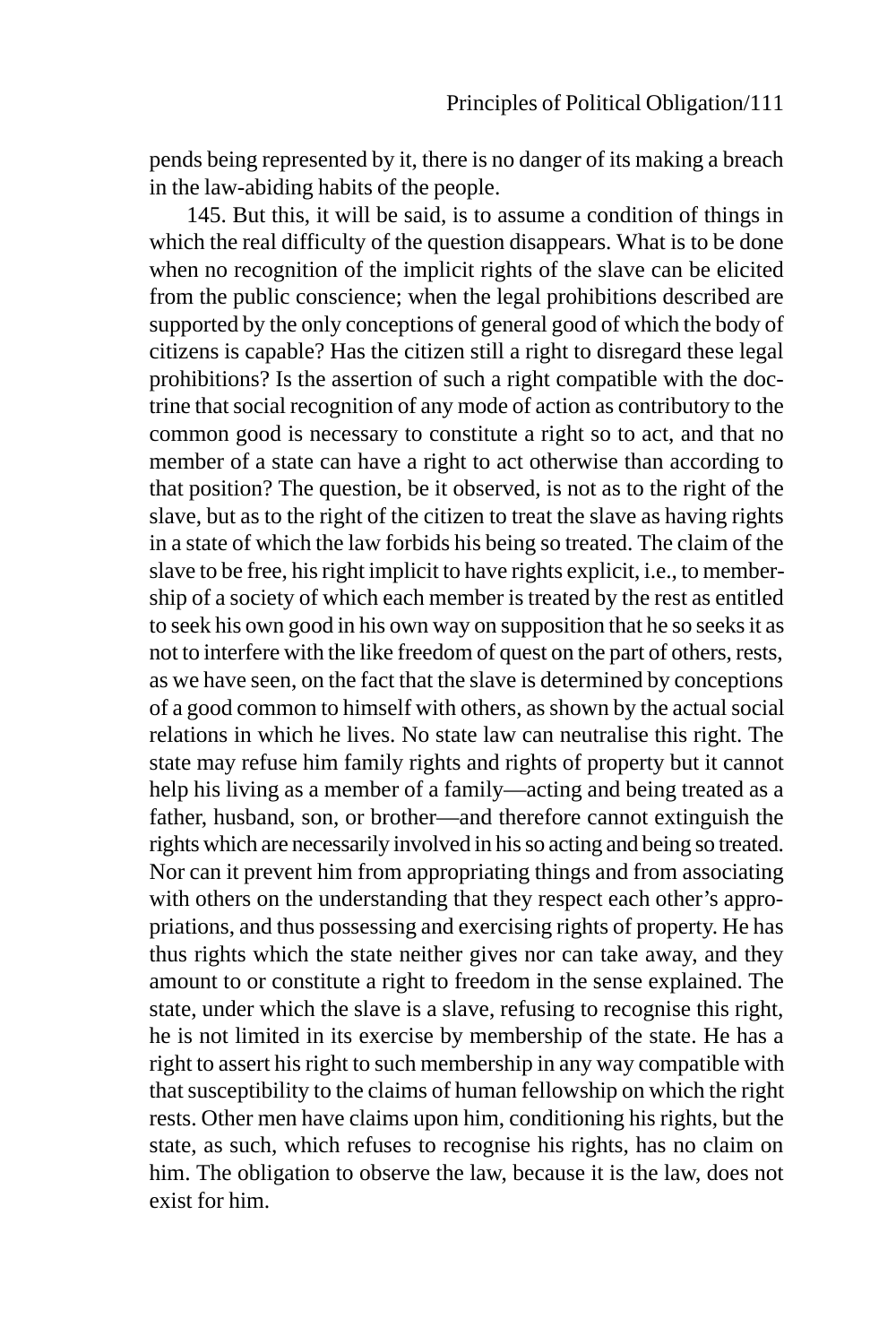pends being represented by it, there is no danger of its making a breach in the law-abiding habits of the people.

145. But this, it will be said, is to assume a condition of things in which the real difficulty of the question disappears. What is to be done when no recognition of the implicit rights of the slave can be elicited from the public conscience; when the legal prohibitions described are supported by the only conceptions of general good of which the body of citizens is capable? Has the citizen still a right to disregard these legal prohibitions? Is the assertion of such a right compatible with the doctrine that social recognition of any mode of action as contributory to the common good is necessary to constitute a right so to act, and that no member of a state can have a right to act otherwise than according to that position? The question, be it observed, is not as to the right of the slave, but as to the right of the citizen to treat the slave as having rights in a state of which the law forbids his being so treated. The claim of the slave to be free, his right implicit to have rights explicit, i.e., to membership of a society of which each member is treated by the rest as entitled to seek his own good in his own way on supposition that he so seeks it as not to interfere with the like freedom of quest on the part of others, rests, as we have seen, on the fact that the slave is determined by conceptions of a good common to himself with others, as shown by the actual social relations in which he lives. No state law can neutralise this right. The state may refuse him family rights and rights of property but it cannot help his living as a member of a family—acting and being treated as a father, husband, son, or brother—and therefore cannot extinguish the rights which are necessarily involved in his so acting and being so treated. Nor can it prevent him from appropriating things and from associating with others on the understanding that they respect each other's appropriations, and thus possessing and exercising rights of property. He has thus rights which the state neither gives nor can take away, and they amount to or constitute a right to freedom in the sense explained. The state, under which the slave is a slave, refusing to recognise this right, he is not limited in its exercise by membership of the state. He has a right to assert his right to such membership in any way compatible with that susceptibility to the claims of human fellowship on which the right rests. Other men have claims upon him, conditioning his rights, but the state, as such, which refuses to recognise his rights, has no claim on him. The obligation to observe the law, because it is the law, does not exist for him.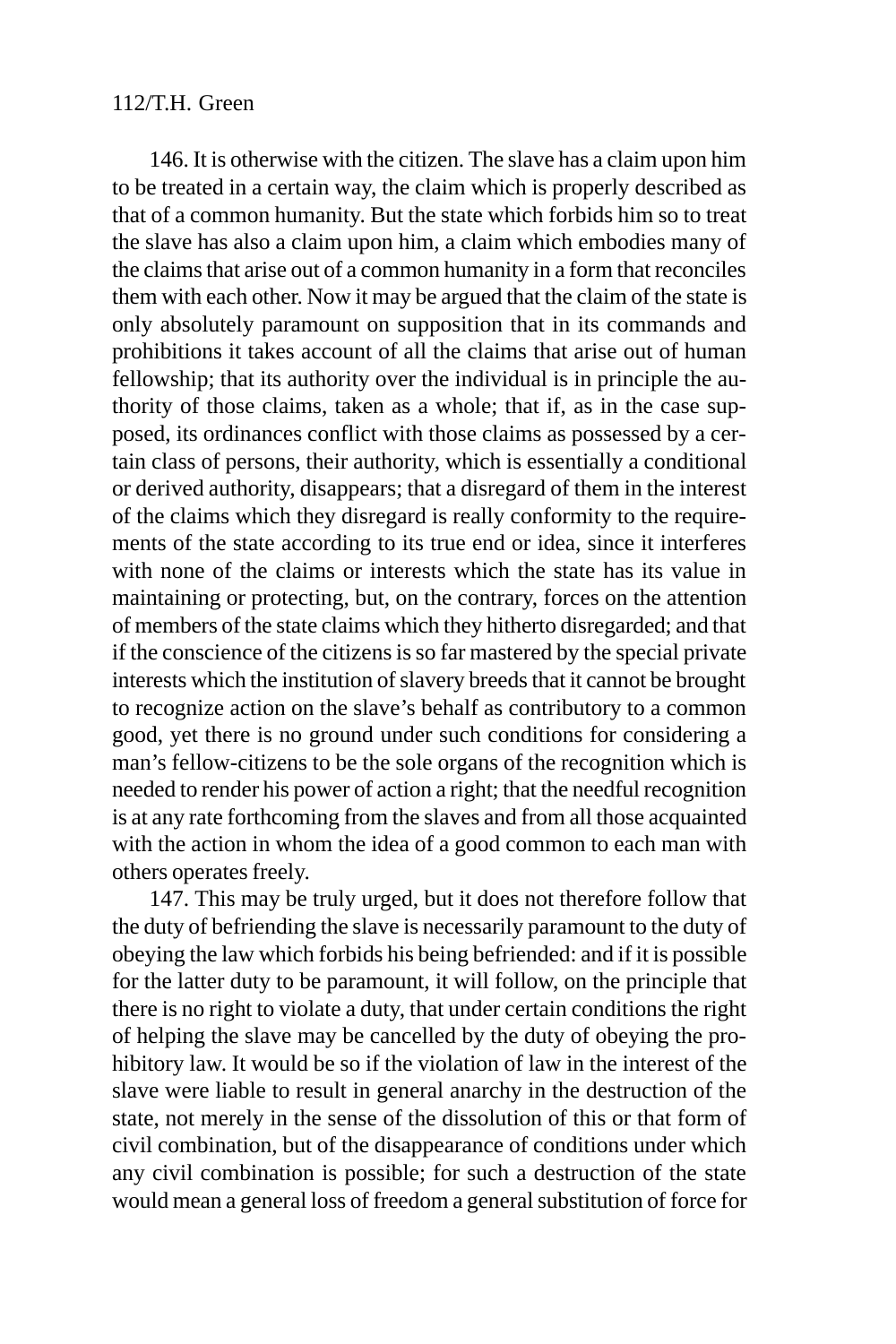146. It is otherwise with the citizen. The slave has a claim upon him to be treated in a certain way, the claim which is properly described as that of a common humanity. But the state which forbids him so to treat the slave has also a claim upon him, a claim which embodies many of the claims that arise out of a common humanity in a form that reconciles them with each other. Now it may be argued that the claim of the state is only absolutely paramount on supposition that in its commands and prohibitions it takes account of all the claims that arise out of human fellowship; that its authority over the individual is in principle the authority of those claims, taken as a whole; that if, as in the case supposed, its ordinances conflict with those claims as possessed by a certain class of persons, their authority, which is essentially a conditional or derived authority, disappears; that a disregard of them in the interest of the claims which they disregard is really conformity to the requirements of the state according to its true end or idea, since it interferes with none of the claims or interests which the state has its value in maintaining or protecting, but, on the contrary, forces on the attention of members of the state claims which they hitherto disregarded; and that if the conscience of the citizens is so far mastered by the special private interests which the institution of slavery breeds that it cannot be brought to recognize action on the slave's behalf as contributory to a common good, yet there is no ground under such conditions for considering a man's fellow-citizens to be the sole organs of the recognition which is needed to render his power of action a right; that the needful recognition is at any rate forthcoming from the slaves and from all those acquainted with the action in whom the idea of a good common to each man with others operates freely.

147. This may be truly urged, but it does not therefore follow that the duty of befriending the slave is necessarily paramount to the duty of obeying the law which forbids his being befriended: and if it is possible for the latter duty to be paramount, it will follow, on the principle that there is no right to violate a duty, that under certain conditions the right of helping the slave may be cancelled by the duty of obeying the prohibitory law. It would be so if the violation of law in the interest of the slave were liable to result in general anarchy in the destruction of the state, not merely in the sense of the dissolution of this or that form of civil combination, but of the disappearance of conditions under which any civil combination is possible; for such a destruction of the state would mean a general loss of freedom a general substitution of force for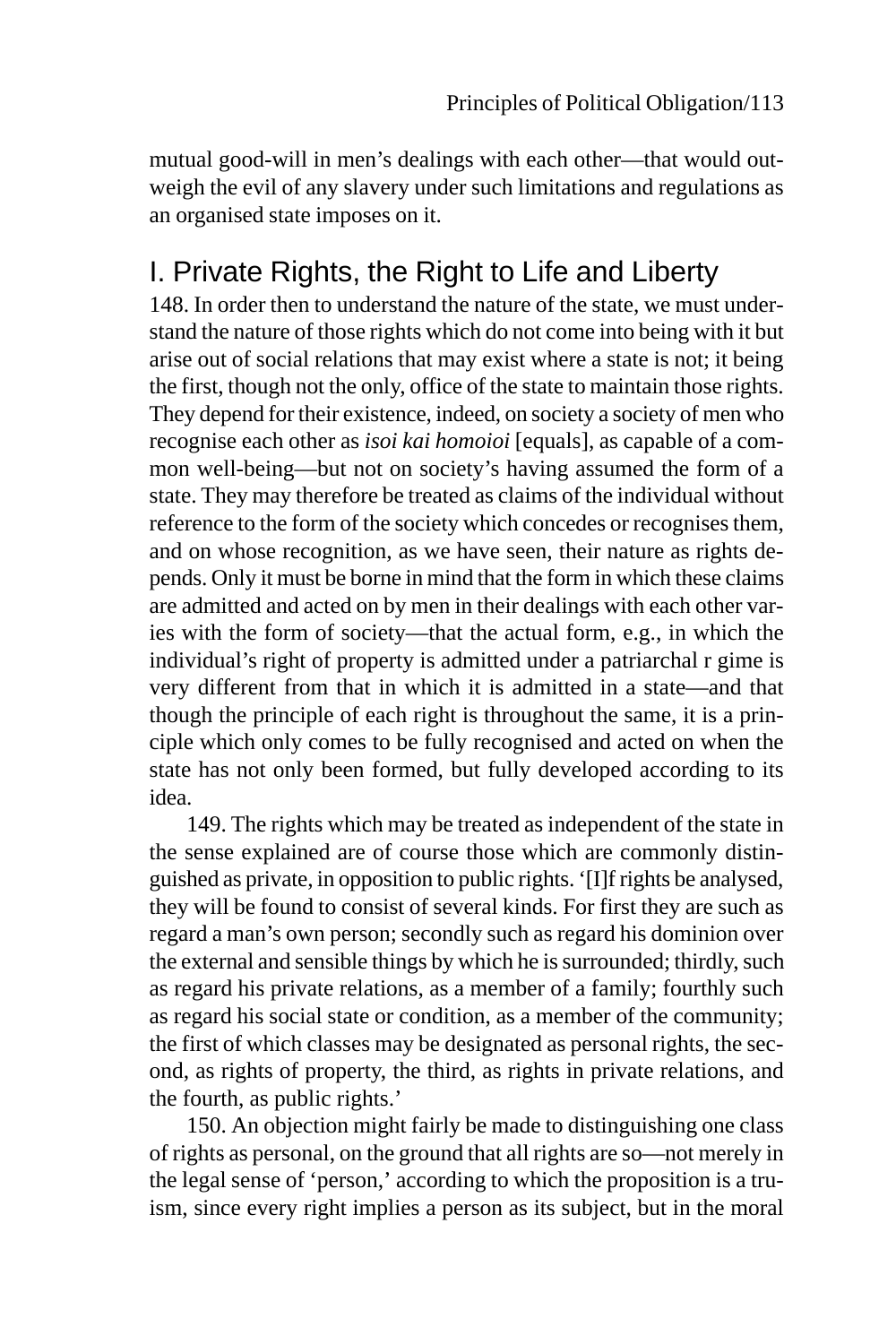mutual good-will in men's dealings with each other—that would outweigh the evil of any slavery under such limitations and regulations as an organised state imposes on it.

# I. Private Rights, the Right to Life and Liberty

148. In order then to understand the nature of the state, we must understand the nature of those rights which do not come into being with it but arise out of social relations that may exist where a state is not; it being the first, though not the only, office of the state to maintain those rights. They depend for their existence, indeed, on society a society of men who recognise each other as *isoi kai homoioi* [equals], as capable of a common well-being—but not on society's having assumed the form of a state. They may therefore be treated as claims of the individual without reference to the form of the society which concedes or recognises them, and on whose recognition, as we have seen, their nature as rights depends. Only it must be borne in mind that the form in which these claims are admitted and acted on by men in their dealings with each other varies with the form of society—that the actual form, e.g., in which the individual's right of property is admitted under a patriarchal r gime is very different from that in which it is admitted in a state—and that though the principle of each right is throughout the same, it is a principle which only comes to be fully recognised and acted on when the state has not only been formed, but fully developed according to its idea.

149. The rights which may be treated as independent of the state in the sense explained are of course those which are commonly distinguished as private, in opposition to public rights. '[I]f rights be analysed, they will be found to consist of several kinds. For first they are such as regard a man's own person; secondly such as regard his dominion over the external and sensible things by which he is surrounded; thirdly, such as regard his private relations, as a member of a family; fourthly such as regard his social state or condition, as a member of the community; the first of which classes may be designated as personal rights, the second, as rights of property, the third, as rights in private relations, and the fourth, as public rights.'

150. An objection might fairly be made to distinguishing one class of rights as personal, on the ground that all rights are so—not merely in the legal sense of 'person,' according to which the proposition is a truism, since every right implies a person as its subject, but in the moral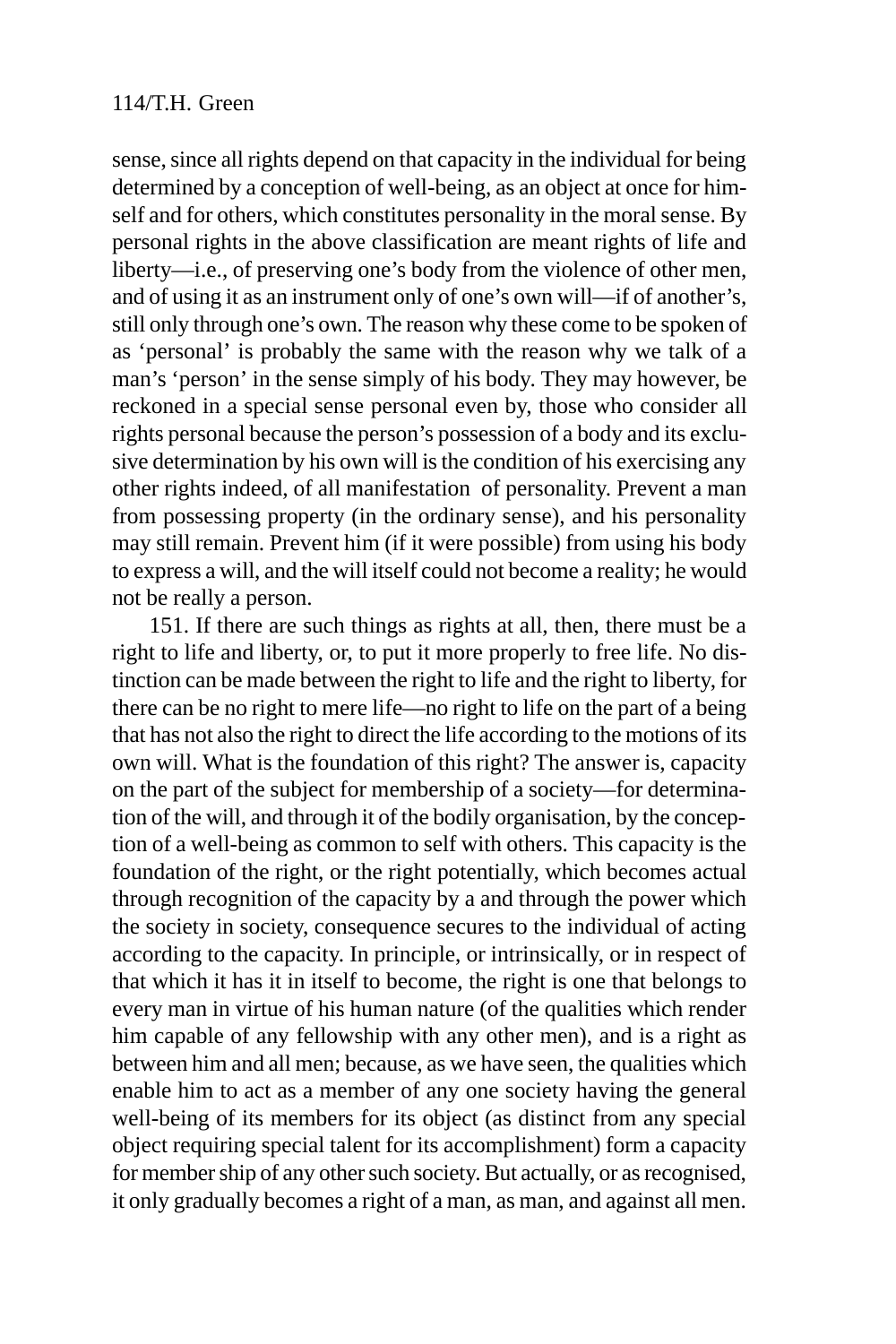sense, since all rights depend on that capacity in the individual for being determined by a conception of well-being, as an object at once for himself and for others, which constitutes personality in the moral sense. By personal rights in the above classification are meant rights of life and liberty—i.e., of preserving one's body from the violence of other men, and of using it as an instrument only of one's own will—if of another's, still only through one's own. The reason why these come to be spoken of as 'personal' is probably the same with the reason why we talk of a man's 'person' in the sense simply of his body. They may however, be reckoned in a special sense personal even by, those who consider all rights personal because the person's possession of a body and its exclusive determination by his own will is the condition of his exercising any other rights indeed, of all manifestation of personality. Prevent a man from possessing property (in the ordinary sense), and his personality may still remain. Prevent him (if it were possible) from using his body to express a will, and the will itself could not become a reality; he would not be really a person.

151. If there are such things as rights at all, then, there must be a right to life and liberty, or, to put it more properly to free life. No distinction can be made between the right to life and the right to liberty, for there can be no right to mere life—no right to life on the part of a being that has not also the right to direct the life according to the motions of its own will. What is the foundation of this right? The answer is, capacity on the part of the subject for membership of a society—for determination of the will, and through it of the bodily organisation, by the conception of a well-being as common to self with others. This capacity is the foundation of the right, or the right potentially, which becomes actual through recognition of the capacity by a and through the power which the society in society, consequence secures to the individual of acting according to the capacity. In principle, or intrinsically, or in respect of that which it has it in itself to become, the right is one that belongs to every man in virtue of his human nature (of the qualities which render him capable of any fellowship with any other men), and is a right as between him and all men; because, as we have seen, the qualities which enable him to act as a member of any one society having the general well-being of its members for its object (as distinct from any special object requiring special talent for its accomplishment) form a capacity for member ship of any other such society. But actually, or as recognised, it only gradually becomes a right of a man, as man, and against all men.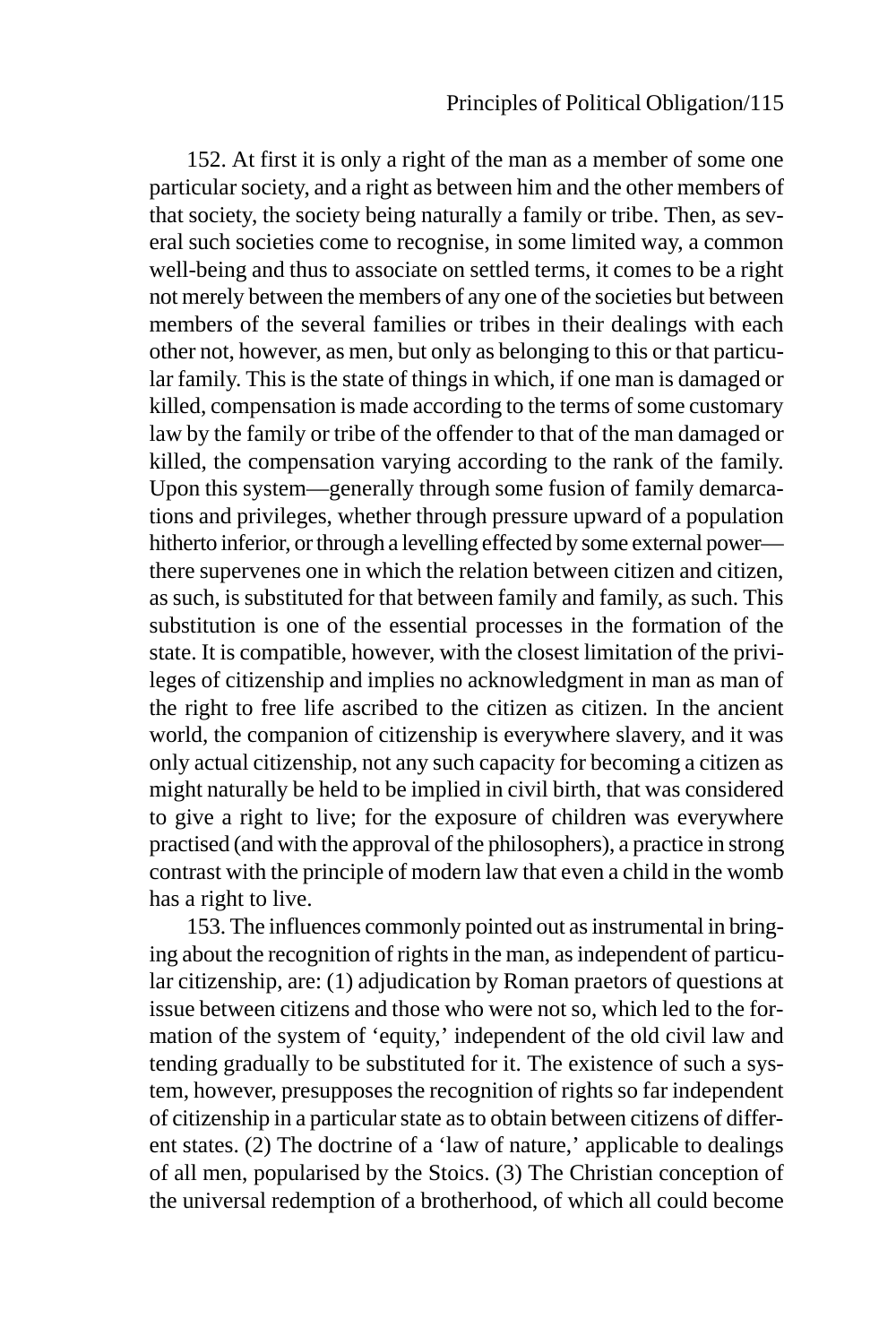152. At first it is only a right of the man as a member of some one particular society, and a right as between him and the other members of that society, the society being naturally a family or tribe. Then, as several such societies come to recognise, in some limited way, a common well-being and thus to associate on settled terms, it comes to be a right not merely between the members of any one of the societies but between members of the several families or tribes in their dealings with each other not, however, as men, but only as belonging to this or that particular family. This is the state of things in which, if one man is damaged or killed, compensation is made according to the terms of some customary law by the family or tribe of the offender to that of the man damaged or killed, the compensation varying according to the rank of the family. Upon this system—generally through some fusion of family demarcations and privileges, whether through pressure upward of a population hitherto inferior, or through a levelling effected by some external power there supervenes one in which the relation between citizen and citizen, as such, is substituted for that between family and family, as such. This substitution is one of the essential processes in the formation of the state. It is compatible, however, with the closest limitation of the privileges of citizenship and implies no acknowledgment in man as man of the right to free life ascribed to the citizen as citizen. In the ancient world, the companion of citizenship is everywhere slavery, and it was only actual citizenship, not any such capacity for becoming a citizen as might naturally be held to be implied in civil birth, that was considered to give a right to live; for the exposure of children was everywhere practised (and with the approval of the philosophers), a practice in strong contrast with the principle of modern law that even a child in the womb has a right to live.

153. The influences commonly pointed out as instrumental in bringing about the recognition of rights in the man, as independent of particular citizenship, are: (1) adjudication by Roman praetors of questions at issue between citizens and those who were not so, which led to the formation of the system of 'equity,' independent of the old civil law and tending gradually to be substituted for it. The existence of such a system, however, presupposes the recognition of rights so far independent of citizenship in a particular state as to obtain between citizens of different states. (2) The doctrine of a 'law of nature,' applicable to dealings of all men, popularised by the Stoics. (3) The Christian conception of the universal redemption of a brotherhood, of which all could become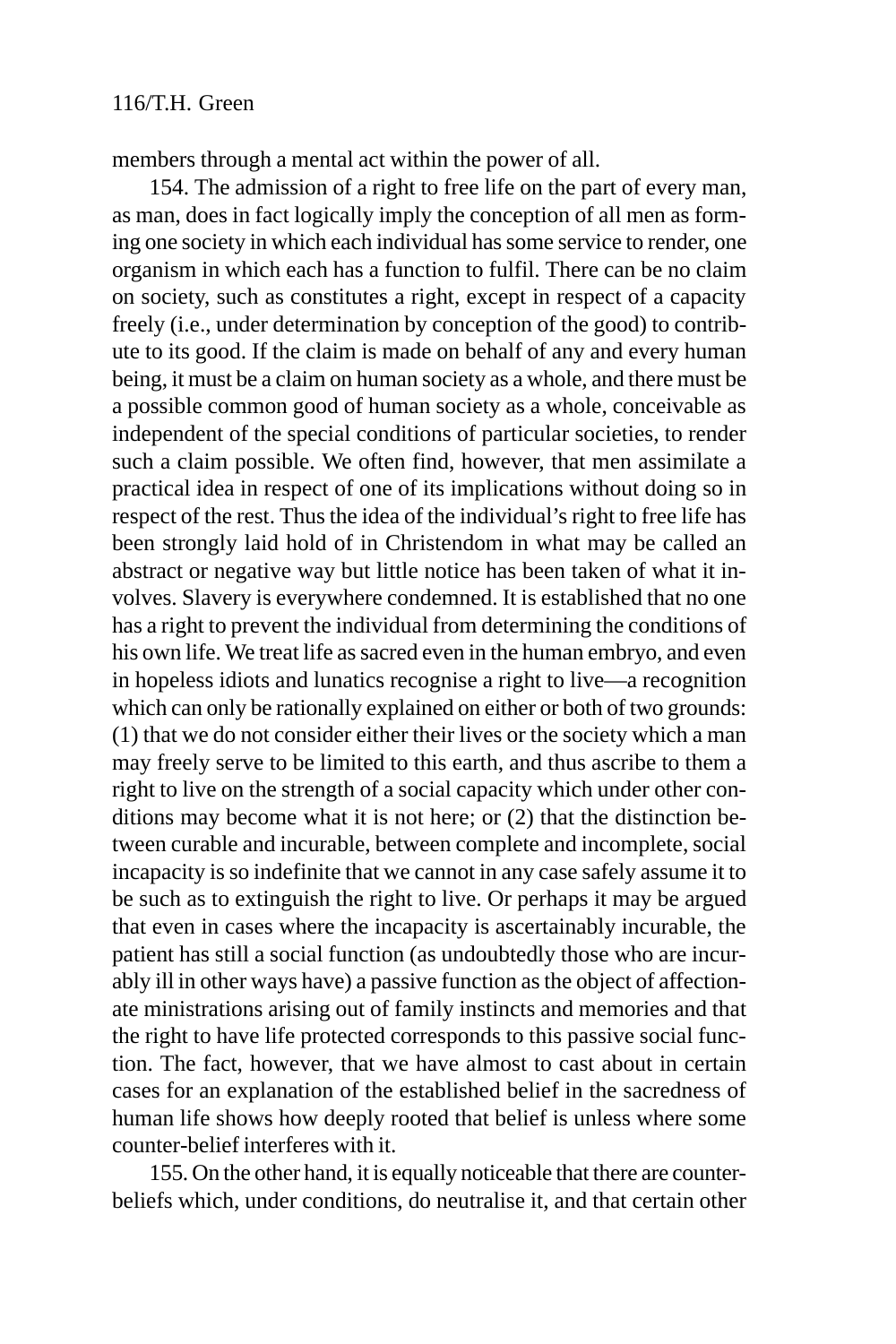members through a mental act within the power of all.

154. The admission of a right to free life on the part of every man, as man, does in fact logically imply the conception of all men as forming one society in which each individual has some service to render, one organism in which each has a function to fulfil. There can be no claim on society, such as constitutes a right, except in respect of a capacity freely (i.e., under determination by conception of the good) to contribute to its good. If the claim is made on behalf of any and every human being, it must be a claim on human society as a whole, and there must be a possible common good of human society as a whole, conceivable as independent of the special conditions of particular societies, to render such a claim possible. We often find, however, that men assimilate a practical idea in respect of one of its implications without doing so in respect of the rest. Thus the idea of the individual's right to free life has been strongly laid hold of in Christendom in what may be called an abstract or negative way but little notice has been taken of what it involves. Slavery is everywhere condemned. It is established that no one has a right to prevent the individual from determining the conditions of his own life. We treat life as sacred even in the human embryo, and even in hopeless idiots and lunatics recognise a right to live—a recognition which can only be rationally explained on either or both of two grounds: (1) that we do not consider either their lives or the society which a man may freely serve to be limited to this earth, and thus ascribe to them a right to live on the strength of a social capacity which under other conditions may become what it is not here; or (2) that the distinction between curable and incurable, between complete and incomplete, social incapacity is so indefinite that we cannot in any case safely assume it to be such as to extinguish the right to live. Or perhaps it may be argued that even in cases where the incapacity is ascertainably incurable, the patient has still a social function (as undoubtedly those who are incurably ill in other ways have) a passive function as the object of affectionate ministrations arising out of family instincts and memories and that the right to have life protected corresponds to this passive social function. The fact, however, that we have almost to cast about in certain cases for an explanation of the established belief in the sacredness of human life shows how deeply rooted that belief is unless where some counter-belief interferes with it.

155. On the other hand, it is equally noticeable that there are counterbeliefs which, under conditions, do neutralise it, and that certain other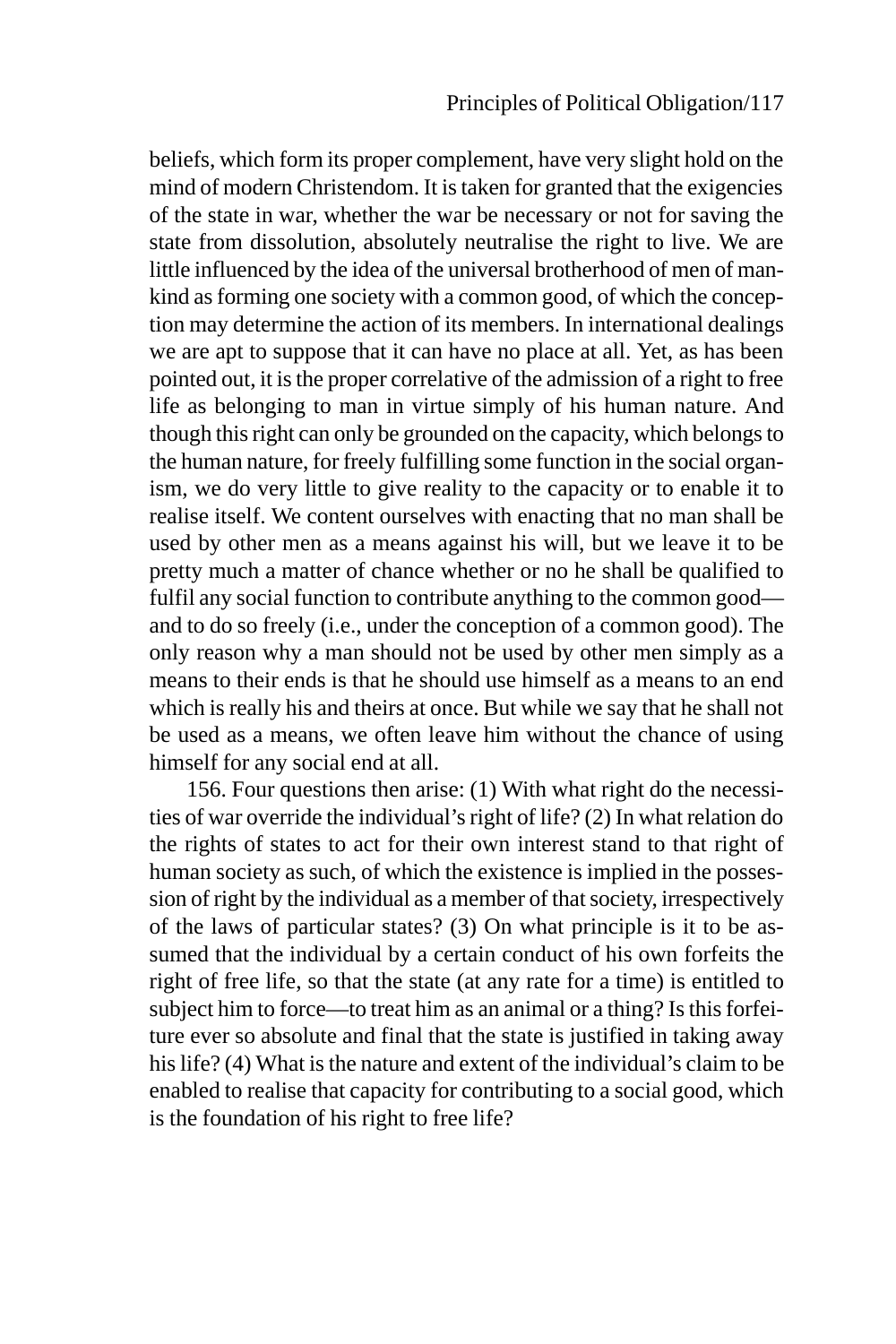beliefs, which form its proper complement, have very slight hold on the mind of modern Christendom. It is taken for granted that the exigencies of the state in war, whether the war be necessary or not for saving the state from dissolution, absolutely neutralise the right to live. We are little influenced by the idea of the universal brotherhood of men of mankind as forming one society with a common good, of which the conception may determine the action of its members. In international dealings we are apt to suppose that it can have no place at all. Yet, as has been pointed out, it is the proper correlative of the admission of a right to free life as belonging to man in virtue simply of his human nature. And though this right can only be grounded on the capacity, which belongs to the human nature, for freely fulfilling some function in the social organism, we do very little to give reality to the capacity or to enable it to realise itself. We content ourselves with enacting that no man shall be used by other men as a means against his will, but we leave it to be pretty much a matter of chance whether or no he shall be qualified to fulfil any social function to contribute anything to the common good and to do so freely (i.e., under the conception of a common good). The only reason why a man should not be used by other men simply as a means to their ends is that he should use himself as a means to an end which is really his and theirs at once. But while we say that he shall not be used as a means, we often leave him without the chance of using himself for any social end at all.

156. Four questions then arise: (1) With what right do the necessities of war override the individual's right of life? (2) In what relation do the rights of states to act for their own interest stand to that right of human society as such, of which the existence is implied in the possession of right by the individual as a member of that society, irrespectively of the laws of particular states? (3) On what principle is it to be assumed that the individual by a certain conduct of his own forfeits the right of free life, so that the state (at any rate for a time) is entitled to subject him to force—to treat him as an animal or a thing? Is this forfeiture ever so absolute and final that the state is justified in taking away his life? (4) What is the nature and extent of the individual's claim to be enabled to realise that capacity for contributing to a social good, which is the foundation of his right to free life?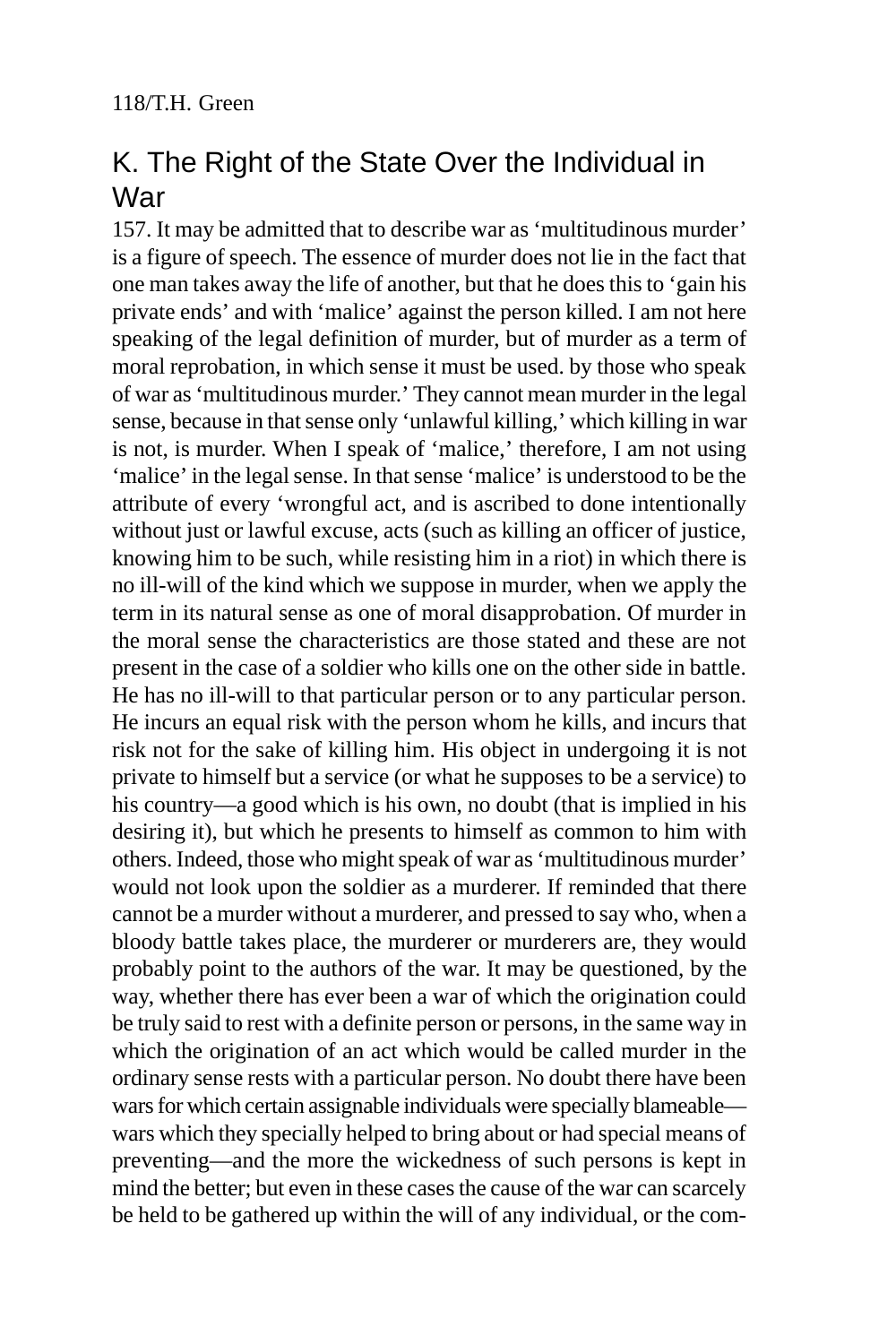# K. The Right of the State Over the Individual in War

157. It may be admitted that to describe war as 'multitudinous murder' is a figure of speech. The essence of murder does not lie in the fact that one man takes away the life of another, but that he does this to 'gain his private ends' and with 'malice' against the person killed. I am not here speaking of the legal definition of murder, but of murder as a term of moral reprobation, in which sense it must be used. by those who speak of war as 'multitudinous murder.' They cannot mean murder in the legal sense, because in that sense only 'unlawful killing,' which killing in war is not, is murder. When I speak of 'malice,' therefore, I am not using 'malice' in the legal sense. In that sense 'malice' is understood to be the attribute of every 'wrongful act, and is ascribed to done intentionally without just or lawful excuse, acts (such as killing an officer of justice, knowing him to be such, while resisting him in a riot) in which there is no ill-will of the kind which we suppose in murder, when we apply the term in its natural sense as one of moral disapprobation. Of murder in the moral sense the characteristics are those stated and these are not present in the case of a soldier who kills one on the other side in battle. He has no ill-will to that particular person or to any particular person. He incurs an equal risk with the person whom he kills, and incurs that risk not for the sake of killing him. His object in undergoing it is not private to himself but a service (or what he supposes to be a service) to his country—a good which is his own, no doubt (that is implied in his desiring it), but which he presents to himself as common to him with others. Indeed, those who might speak of war as 'multitudinous murder' would not look upon the soldier as a murderer. If reminded that there cannot be a murder without a murderer, and pressed to say who, when a bloody battle takes place, the murderer or murderers are, they would probably point to the authors of the war. It may be questioned, by the way, whether there has ever been a war of which the origination could be truly said to rest with a definite person or persons, in the same way in which the origination of an act which would be called murder in the ordinary sense rests with a particular person. No doubt there have been wars for which certain assignable individuals were specially blameable wars which they specially helped to bring about or had special means of preventing—and the more the wickedness of such persons is kept in mind the better; but even in these cases the cause of the war can scarcely be held to be gathered up within the will of any individual, or the com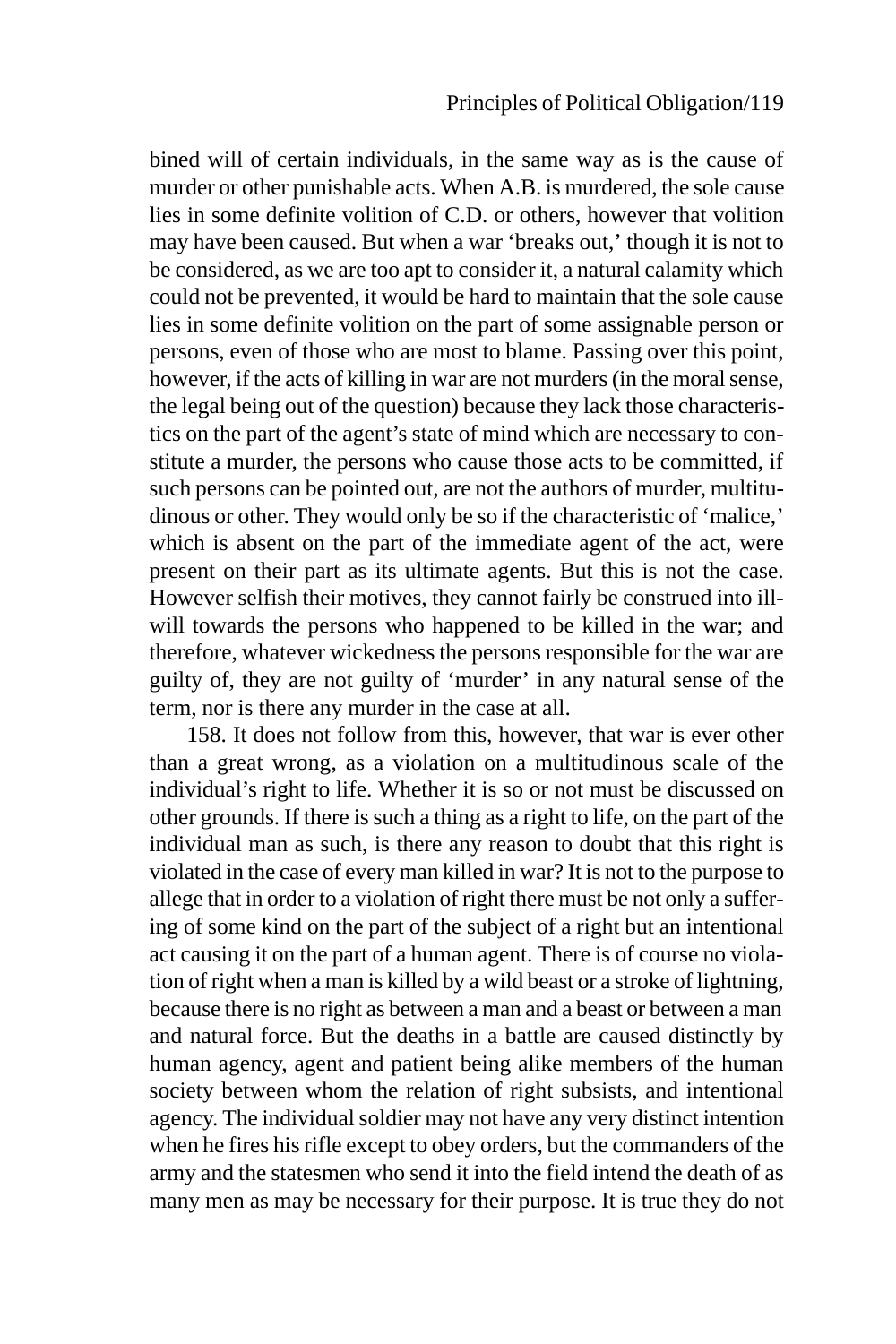bined will of certain individuals, in the same way as is the cause of murder or other punishable acts. When A.B. is murdered, the sole cause lies in some definite volition of C.D. or others, however that volition may have been caused. But when a war 'breaks out,' though it is not to be considered, as we are too apt to consider it, a natural calamity which could not be prevented, it would be hard to maintain that the sole cause lies in some definite volition on the part of some assignable person or persons, even of those who are most to blame. Passing over this point, however, if the acts of killing in war are not murders (in the moral sense, the legal being out of the question) because they lack those characteristics on the part of the agent's state of mind which are necessary to constitute a murder, the persons who cause those acts to be committed, if such persons can be pointed out, are not the authors of murder, multitudinous or other. They would only be so if the characteristic of 'malice,' which is absent on the part of the immediate agent of the act, were present on their part as its ultimate agents. But this is not the case. However selfish their motives, they cannot fairly be construed into illwill towards the persons who happened to be killed in the war; and therefore, whatever wickedness the persons responsible for the war are guilty of, they are not guilty of 'murder' in any natural sense of the term, nor is there any murder in the case at all.

158. It does not follow from this, however, that war is ever other than a great wrong, as a violation on a multitudinous scale of the individual's right to life. Whether it is so or not must be discussed on other grounds. If there is such a thing as a right to life, on the part of the individual man as such, is there any reason to doubt that this right is violated in the case of every man killed in war? It is not to the purpose to allege that in order to a violation of right there must be not only a suffering of some kind on the part of the subject of a right but an intentional act causing it on the part of a human agent. There is of course no violation of right when a man is killed by a wild beast or a stroke of lightning, because there is no right as between a man and a beast or between a man and natural force. But the deaths in a battle are caused distinctly by human agency, agent and patient being alike members of the human society between whom the relation of right subsists, and intentional agency. The individual soldier may not have any very distinct intention when he fires his rifle except to obey orders, but the commanders of the army and the statesmen who send it into the field intend the death of as many men as may be necessary for their purpose. It is true they do not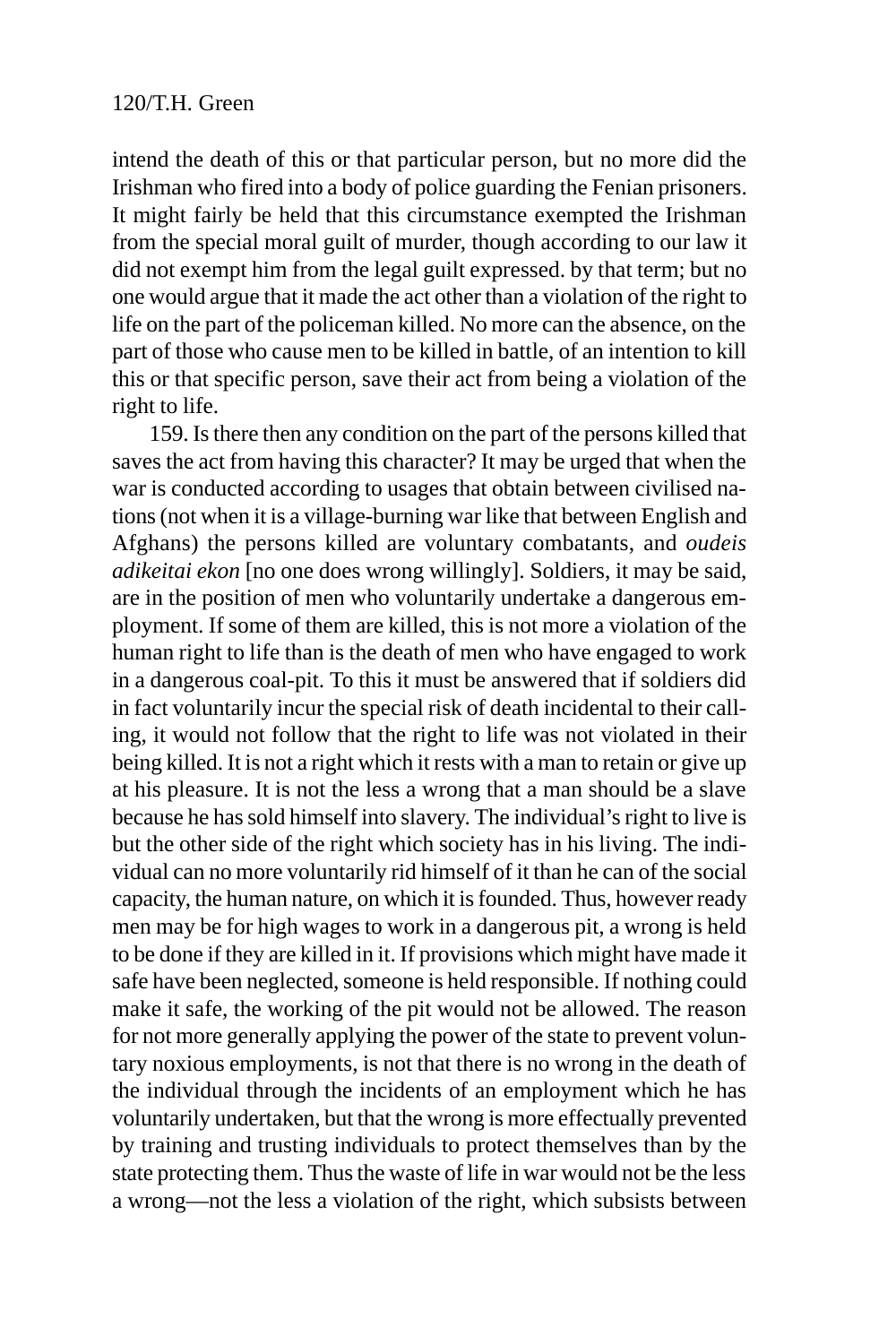intend the death of this or that particular person, but no more did the Irishman who fired into a body of police guarding the Fenian prisoners. It might fairly be held that this circumstance exempted the Irishman from the special moral guilt of murder, though according to our law it did not exempt him from the legal guilt expressed. by that term; but no one would argue that it made the act other than a violation of the right to life on the part of the policeman killed. No more can the absence, on the part of those who cause men to be killed in battle, of an intention to kill this or that specific person, save their act from being a violation of the right to life.

159. Is there then any condition on the part of the persons killed that saves the act from having this character? It may be urged that when the war is conducted according to usages that obtain between civilised nations (not when it is a village-burning war like that between English and Afghans) the persons killed are voluntary combatants, and *oudeis adikeitai ekon* [no one does wrong willingly]. Soldiers, it may be said, are in the position of men who voluntarily undertake a dangerous employment. If some of them are killed, this is not more a violation of the human right to life than is the death of men who have engaged to work in a dangerous coal-pit. To this it must be answered that if soldiers did in fact voluntarily incur the special risk of death incidental to their calling, it would not follow that the right to life was not violated in their being killed. It is not a right which it rests with a man to retain or give up at his pleasure. It is not the less a wrong that a man should be a slave because he has sold himself into slavery. The individual's right to live is but the other side of the right which society has in his living. The individual can no more voluntarily rid himself of it than he can of the social capacity, the human nature, on which it is founded. Thus, however ready men may be for high wages to work in a dangerous pit, a wrong is held to be done if they are killed in it. If provisions which might have made it safe have been neglected, someone is held responsible. If nothing could make it safe, the working of the pit would not be allowed. The reason for not more generally applying the power of the state to prevent voluntary noxious employments, is not that there is no wrong in the death of the individual through the incidents of an employment which he has voluntarily undertaken, but that the wrong is more effectually prevented by training and trusting individuals to protect themselves than by the state protecting them. Thus the waste of life in war would not be the less a wrong—not the less a violation of the right, which subsists between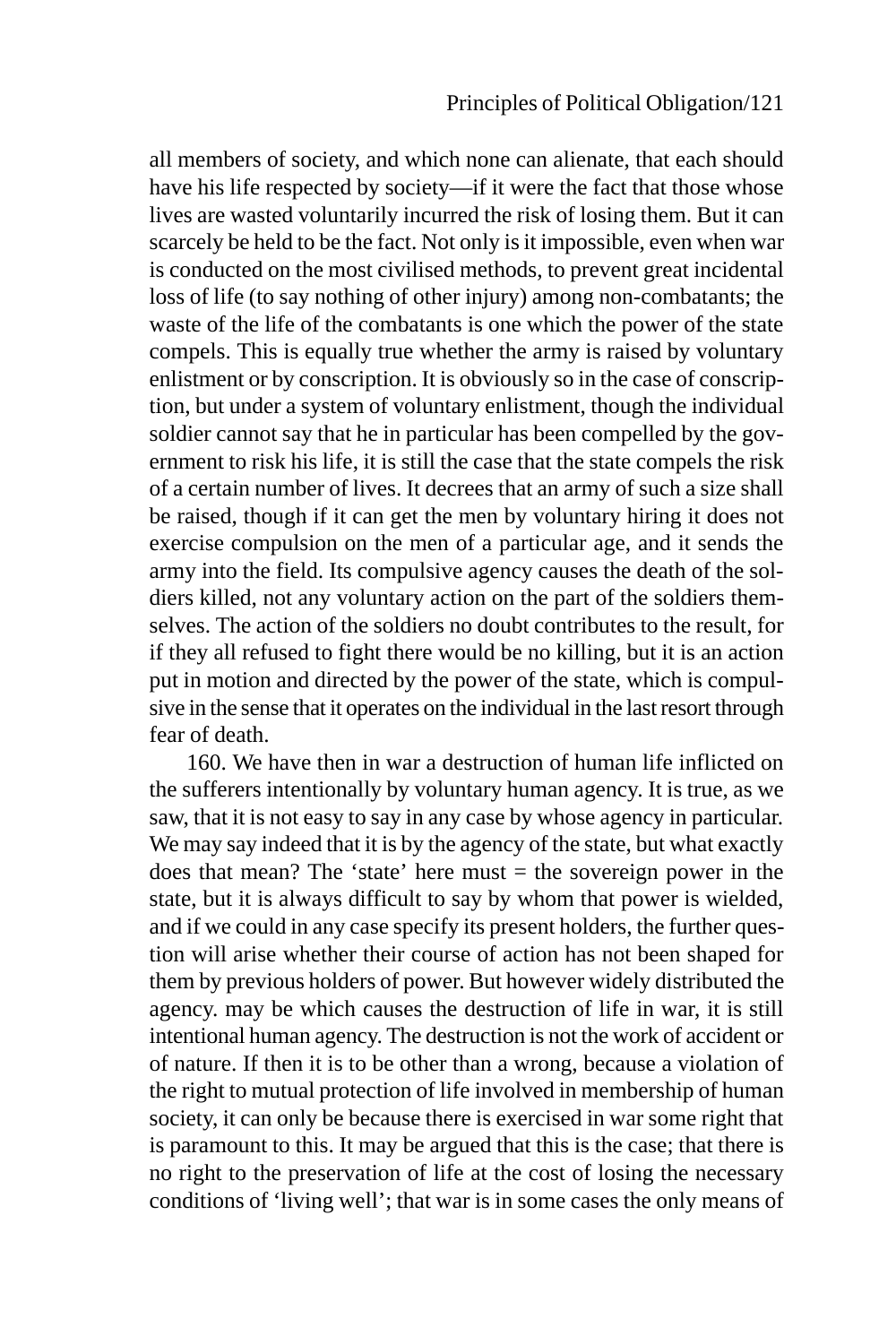all members of society, and which none can alienate, that each should have his life respected by society—if it were the fact that those whose lives are wasted voluntarily incurred the risk of losing them. But it can scarcely be held to be the fact. Not only is it impossible, even when war is conducted on the most civilised methods, to prevent great incidental loss of life (to say nothing of other injury) among non-combatants; the waste of the life of the combatants is one which the power of the state compels. This is equally true whether the army is raised by voluntary enlistment or by conscription. It is obviously so in the case of conscription, but under a system of voluntary enlistment, though the individual soldier cannot say that he in particular has been compelled by the government to risk his life, it is still the case that the state compels the risk of a certain number of lives. It decrees that an army of such a size shall be raised, though if it can get the men by voluntary hiring it does not exercise compulsion on the men of a particular age, and it sends the army into the field. Its compulsive agency causes the death of the soldiers killed, not any voluntary action on the part of the soldiers themselves. The action of the soldiers no doubt contributes to the result, for if they all refused to fight there would be no killing, but it is an action put in motion and directed by the power of the state, which is compulsive in the sense that it operates on the individual in the last resort through fear of death.

160. We have then in war a destruction of human life inflicted on the sufferers intentionally by voluntary human agency. It is true, as we saw, that it is not easy to say in any case by whose agency in particular. We may say indeed that it is by the agency of the state, but what exactly does that mean? The 'state' here must  $=$  the sovereign power in the state, but it is always difficult to say by whom that power is wielded, and if we could in any case specify its present holders, the further question will arise whether their course of action has not been shaped for them by previous holders of power. But however widely distributed the agency. may be which causes the destruction of life in war, it is still intentional human agency. The destruction is not the work of accident or of nature. If then it is to be other than a wrong, because a violation of the right to mutual protection of life involved in membership of human society, it can only be because there is exercised in war some right that is paramount to this. It may be argued that this is the case; that there is no right to the preservation of life at the cost of losing the necessary conditions of 'living well'; that war is in some cases the only means of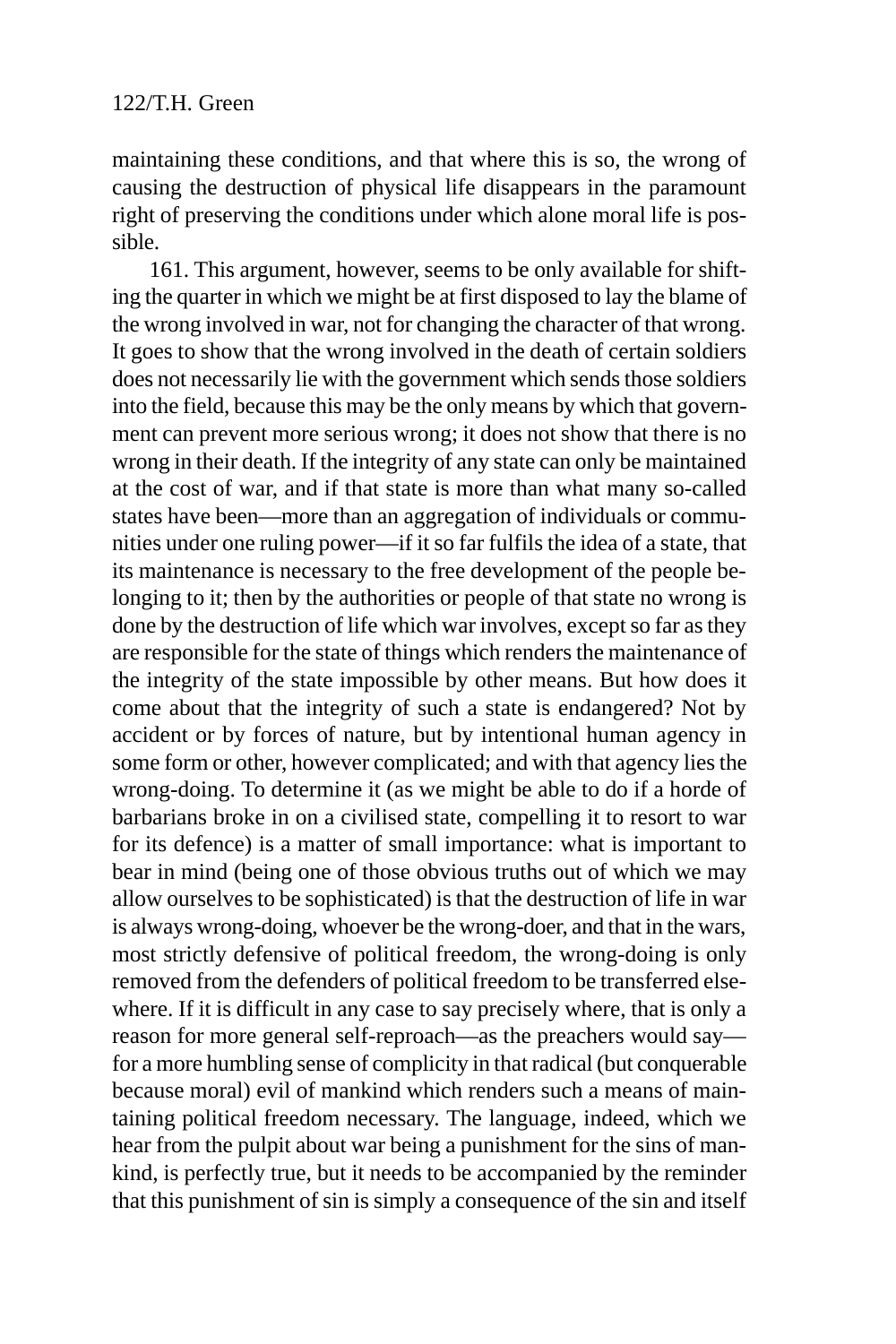maintaining these conditions, and that where this is so, the wrong of causing the destruction of physical life disappears in the paramount right of preserving the conditions under which alone moral life is possible.

161. This argument, however, seems to be only available for shifting the quarter in which we might be at first disposed to lay the blame of the wrong involved in war, not for changing the character of that wrong. It goes to show that the wrong involved in the death of certain soldiers does not necessarily lie with the government which sends those soldiers into the field, because this may be the only means by which that government can prevent more serious wrong; it does not show that there is no wrong in their death. If the integrity of any state can only be maintained at the cost of war, and if that state is more than what many so-called states have been—more than an aggregation of individuals or communities under one ruling power—if it so far fulfils the idea of a state, that its maintenance is necessary to the free development of the people belonging to it; then by the authorities or people of that state no wrong is done by the destruction of life which war involves, except so far as they are responsible for the state of things which renders the maintenance of the integrity of the state impossible by other means. But how does it come about that the integrity of such a state is endangered? Not by accident or by forces of nature, but by intentional human agency in some form or other, however complicated; and with that agency lies the wrong-doing. To determine it (as we might be able to do if a horde of barbarians broke in on a civilised state, compelling it to resort to war for its defence) is a matter of small importance: what is important to bear in mind (being one of those obvious truths out of which we may allow ourselves to be sophisticated) is that the destruction of life in war is always wrong-doing, whoever be the wrong-doer, and that in the wars, most strictly defensive of political freedom, the wrong-doing is only removed from the defenders of political freedom to be transferred elsewhere. If it is difficult in any case to say precisely where, that is only a reason for more general self-reproach—as the preachers would say for a more humbling sense of complicity in that radical (but conquerable because moral) evil of mankind which renders such a means of maintaining political freedom necessary. The language, indeed, which we hear from the pulpit about war being a punishment for the sins of mankind, is perfectly true, but it needs to be accompanied by the reminder that this punishment of sin is simply a consequence of the sin and itself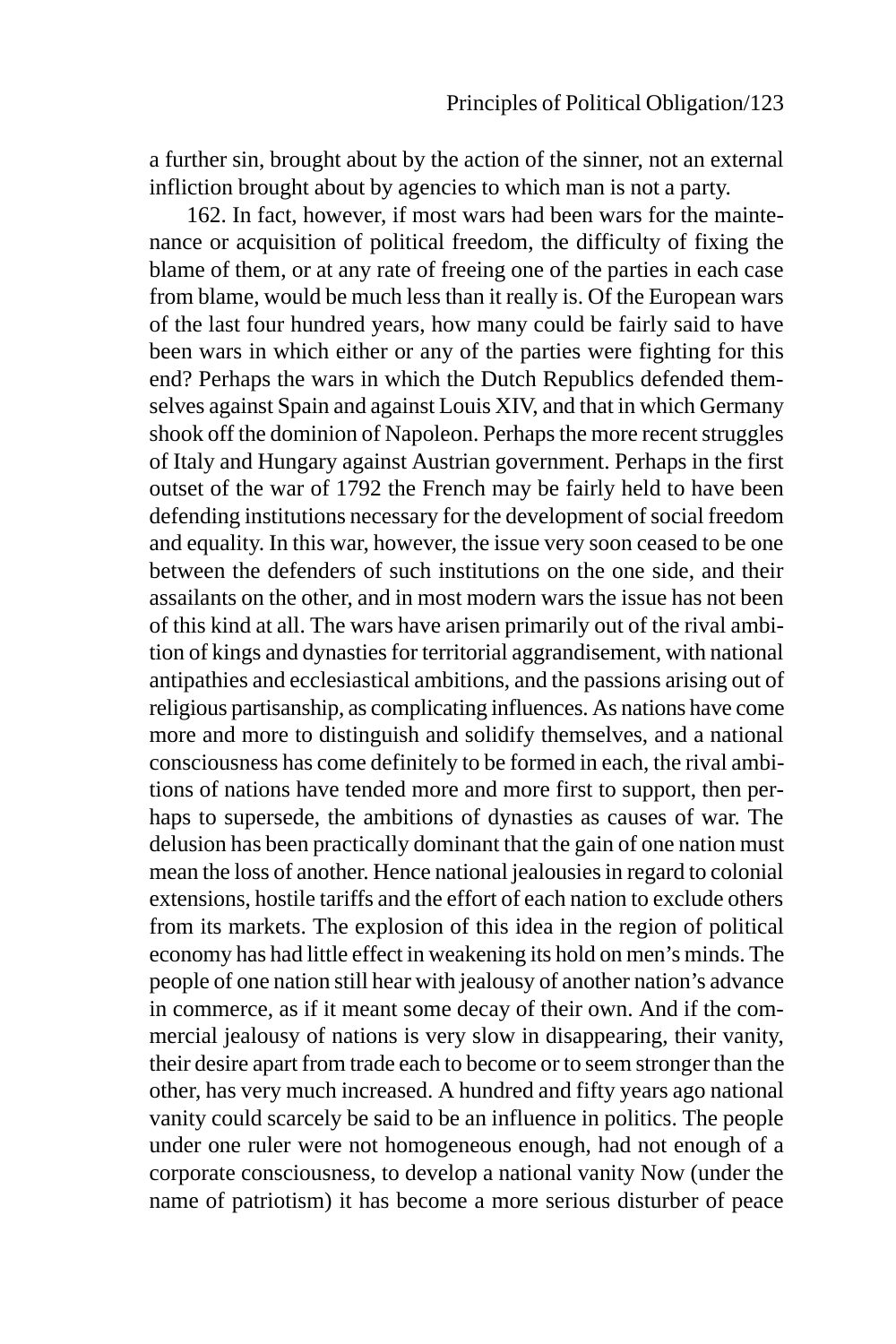a further sin, brought about by the action of the sinner, not an external infliction brought about by agencies to which man is not a party.

162. In fact, however, if most wars had been wars for the maintenance or acquisition of political freedom, the difficulty of fixing the blame of them, or at any rate of freeing one of the parties in each case from blame, would be much less than it really is. Of the European wars of the last four hundred years, how many could be fairly said to have been wars in which either or any of the parties were fighting for this end? Perhaps the wars in which the Dutch Republics defended themselves against Spain and against Louis XIV, and that in which Germany shook off the dominion of Napoleon. Perhaps the more recent struggles of Italy and Hungary against Austrian government. Perhaps in the first outset of the war of 1792 the French may be fairly held to have been defending institutions necessary for the development of social freedom and equality. In this war, however, the issue very soon ceased to be one between the defenders of such institutions on the one side, and their assailants on the other, and in most modern wars the issue has not been of this kind at all. The wars have arisen primarily out of the rival ambition of kings and dynasties for territorial aggrandisement, with national antipathies and ecclesiastical ambitions, and the passions arising out of religious partisanship, as complicating influences. As nations have come more and more to distinguish and solidify themselves, and a national consciousness has come definitely to be formed in each, the rival ambitions of nations have tended more and more first to support, then perhaps to supersede, the ambitions of dynasties as causes of war. The delusion has been practically dominant that the gain of one nation must mean the loss of another. Hence national jealousies in regard to colonial extensions, hostile tariffs and the effort of each nation to exclude others from its markets. The explosion of this idea in the region of political economy has had little effect in weakening its hold on men's minds. The people of one nation still hear with jealousy of another nation's advance in commerce, as if it meant some decay of their own. And if the commercial jealousy of nations is very slow in disappearing, their vanity, their desire apart from trade each to become or to seem stronger than the other, has very much increased. A hundred and fifty years ago national vanity could scarcely be said to be an influence in politics. The people under one ruler were not homogeneous enough, had not enough of a corporate consciousness, to develop a national vanity Now (under the name of patriotism) it has become a more serious disturber of peace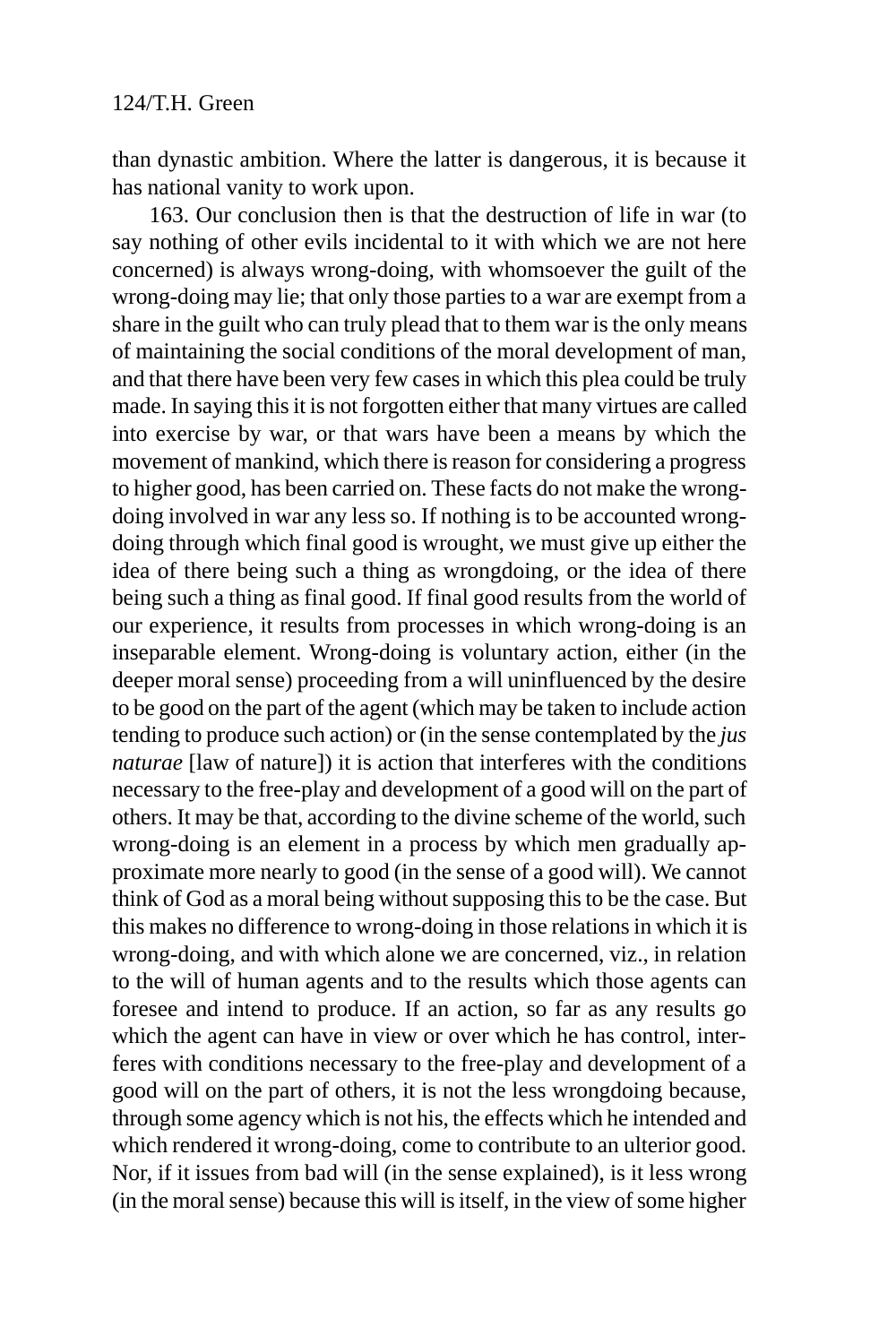than dynastic ambition. Where the latter is dangerous, it is because it has national vanity to work upon.

163. Our conclusion then is that the destruction of life in war (to say nothing of other evils incidental to it with which we are not here concerned) is always wrong-doing, with whomsoever the guilt of the wrong-doing may lie; that only those parties to a war are exempt from a share in the guilt who can truly plead that to them war is the only means of maintaining the social conditions of the moral development of man, and that there have been very few cases in which this plea could be truly made. In saying this it is not forgotten either that many virtues are called into exercise by war, or that wars have been a means by which the movement of mankind, which there is reason for considering a progress to higher good, has been carried on. These facts do not make the wrongdoing involved in war any less so. If nothing is to be accounted wrongdoing through which final good is wrought, we must give up either the idea of there being such a thing as wrongdoing, or the idea of there being such a thing as final good. If final good results from the world of our experience, it results from processes in which wrong-doing is an inseparable element. Wrong-doing is voluntary action, either (in the deeper moral sense) proceeding from a will uninfluenced by the desire to be good on the part of the agent (which may be taken to include action tending to produce such action) or (in the sense contemplated by the *jus naturae* [law of nature]) it is action that interferes with the conditions necessary to the free-play and development of a good will on the part of others. It may be that, according to the divine scheme of the world, such wrong-doing is an element in a process by which men gradually approximate more nearly to good (in the sense of a good will). We cannot think of God as a moral being without supposing this to be the case. But this makes no difference to wrong-doing in those relations in which it is wrong-doing, and with which alone we are concerned, viz., in relation to the will of human agents and to the results which those agents can foresee and intend to produce. If an action, so far as any results go which the agent can have in view or over which he has control, interferes with conditions necessary to the free-play and development of a good will on the part of others, it is not the less wrongdoing because, through some agency which is not his, the effects which he intended and which rendered it wrong-doing, come to contribute to an ulterior good. Nor, if it issues from bad will (in the sense explained), is it less wrong (in the moral sense) because this will is itself, in the view of some higher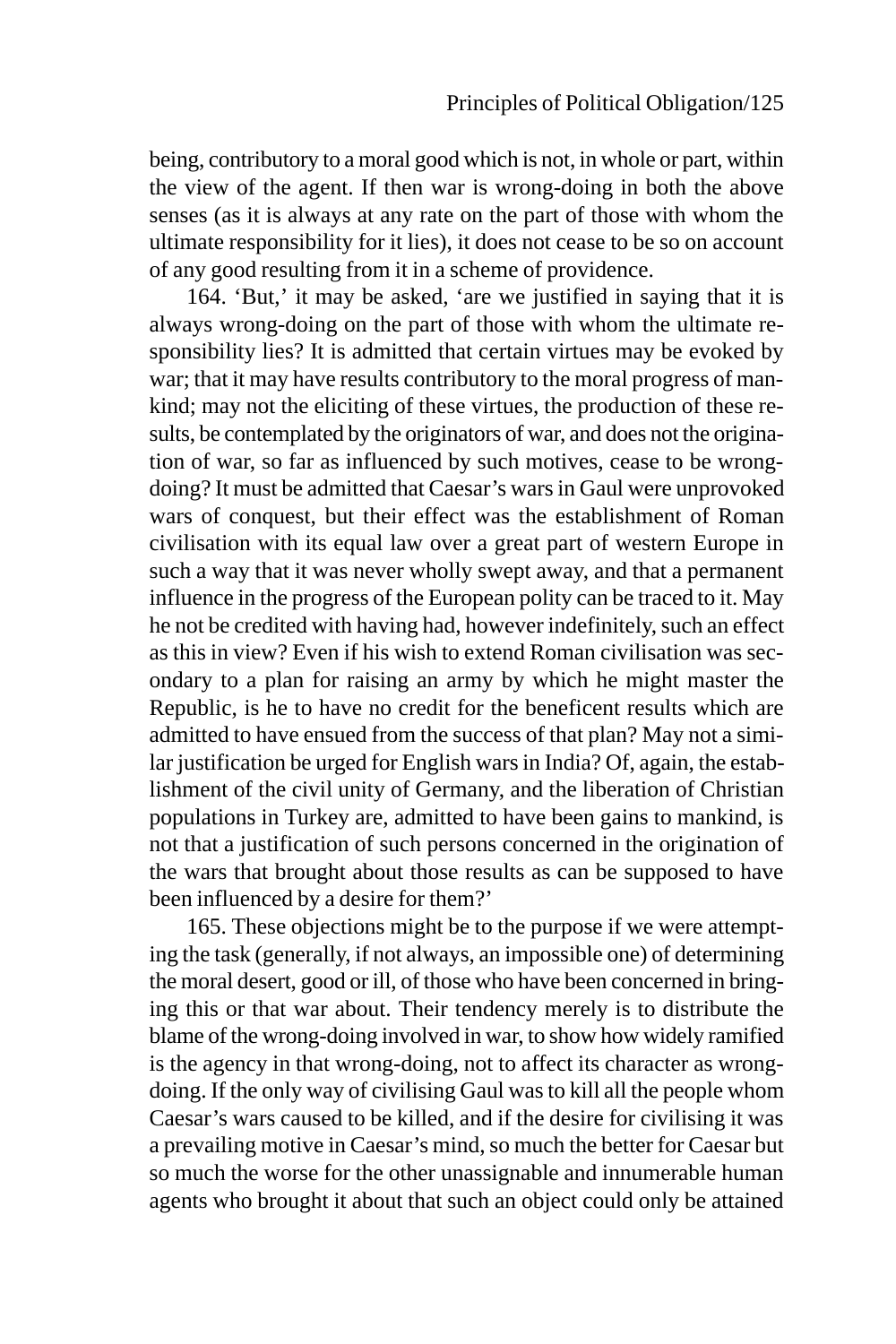being, contributory to a moral good which is not, in whole or part, within the view of the agent. If then war is wrong-doing in both the above senses (as it is always at any rate on the part of those with whom the ultimate responsibility for it lies), it does not cease to be so on account of any good resulting from it in a scheme of providence.

164. 'But,' it may be asked, 'are we justified in saying that it is always wrong-doing on the part of those with whom the ultimate responsibility lies? It is admitted that certain virtues may be evoked by war; that it may have results contributory to the moral progress of mankind; may not the eliciting of these virtues, the production of these results, be contemplated by the originators of war, and does not the origination of war, so far as influenced by such motives, cease to be wrongdoing? It must be admitted that Caesar's wars in Gaul were unprovoked wars of conquest, but their effect was the establishment of Roman civilisation with its equal law over a great part of western Europe in such a way that it was never wholly swept away, and that a permanent influence in the progress of the European polity can be traced to it. May he not be credited with having had, however indefinitely, such an effect as this in view? Even if his wish to extend Roman civilisation was secondary to a plan for raising an army by which he might master the Republic, is he to have no credit for the beneficent results which are admitted to have ensued from the success of that plan? May not a similar justification be urged for English wars in India? Of, again, the establishment of the civil unity of Germany, and the liberation of Christian populations in Turkey are, admitted to have been gains to mankind, is not that a justification of such persons concerned in the origination of the wars that brought about those results as can be supposed to have been influenced by a desire for them?'

165. These objections might be to the purpose if we were attempting the task (generally, if not always, an impossible one) of determining the moral desert, good or ill, of those who have been concerned in bringing this or that war about. Their tendency merely is to distribute the blame of the wrong-doing involved in war, to show how widely ramified is the agency in that wrong-doing, not to affect its character as wrongdoing. If the only way of civilising Gaul was to kill all the people whom Caesar's wars caused to be killed, and if the desire for civilising it was a prevailing motive in Caesar's mind, so much the better for Caesar but so much the worse for the other unassignable and innumerable human agents who brought it about that such an object could only be attained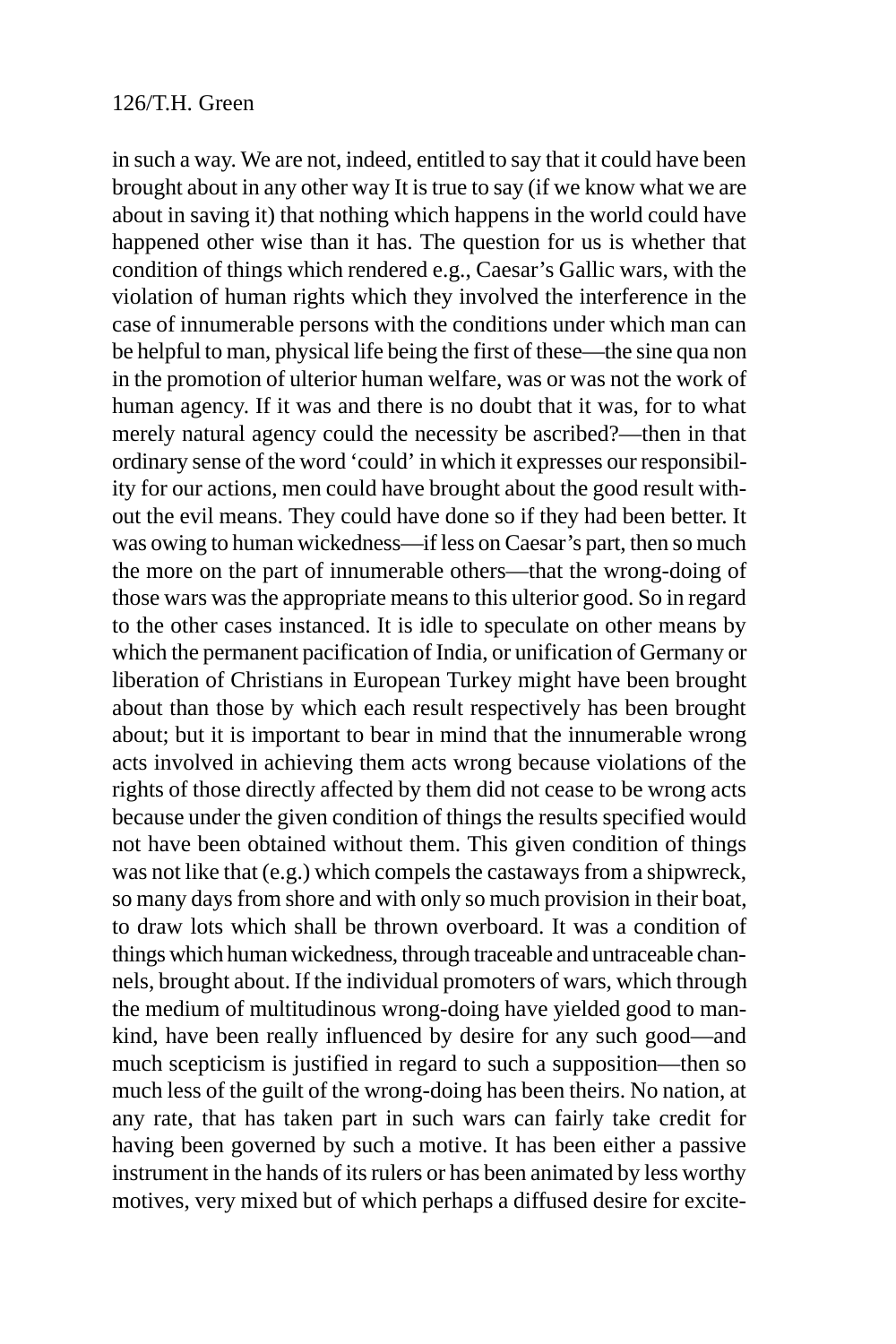in such a way. We are not, indeed, entitled to say that it could have been brought about in any other way It is true to say (if we know what we are about in saving it) that nothing which happens in the world could have happened other wise than it has. The question for us is whether that condition of things which rendered e.g., Caesar's Gallic wars, with the violation of human rights which they involved the interference in the case of innumerable persons with the conditions under which man can be helpful to man, physical life being the first of these—the sine qua non in the promotion of ulterior human welfare, was or was not the work of human agency. If it was and there is no doubt that it was, for to what merely natural agency could the necessity be ascribed?—then in that ordinary sense of the word 'could' in which it expresses our responsibility for our actions, men could have brought about the good result without the evil means. They could have done so if they had been better. It was owing to human wickedness—if less on Caesar's part, then so much the more on the part of innumerable others—that the wrong-doing of those wars was the appropriate means to this ulterior good. So in regard to the other cases instanced. It is idle to speculate on other means by which the permanent pacification of India, or unification of Germany or liberation of Christians in European Turkey might have been brought about than those by which each result respectively has been brought about; but it is important to bear in mind that the innumerable wrong acts involved in achieving them acts wrong because violations of the rights of those directly affected by them did not cease to be wrong acts because under the given condition of things the results specified would not have been obtained without them. This given condition of things was not like that (e.g.) which compels the castaways from a shipwreck, so many days from shore and with only so much provision in their boat, to draw lots which shall be thrown overboard. It was a condition of things which human wickedness, through traceable and untraceable channels, brought about. If the individual promoters of wars, which through the medium of multitudinous wrong-doing have yielded good to mankind, have been really influenced by desire for any such good—and much scepticism is justified in regard to such a supposition—then so much less of the guilt of the wrong-doing has been theirs. No nation, at any rate, that has taken part in such wars can fairly take credit for having been governed by such a motive. It has been either a passive instrument in the hands of its rulers or has been animated by less worthy motives, very mixed but of which perhaps a diffused desire for excite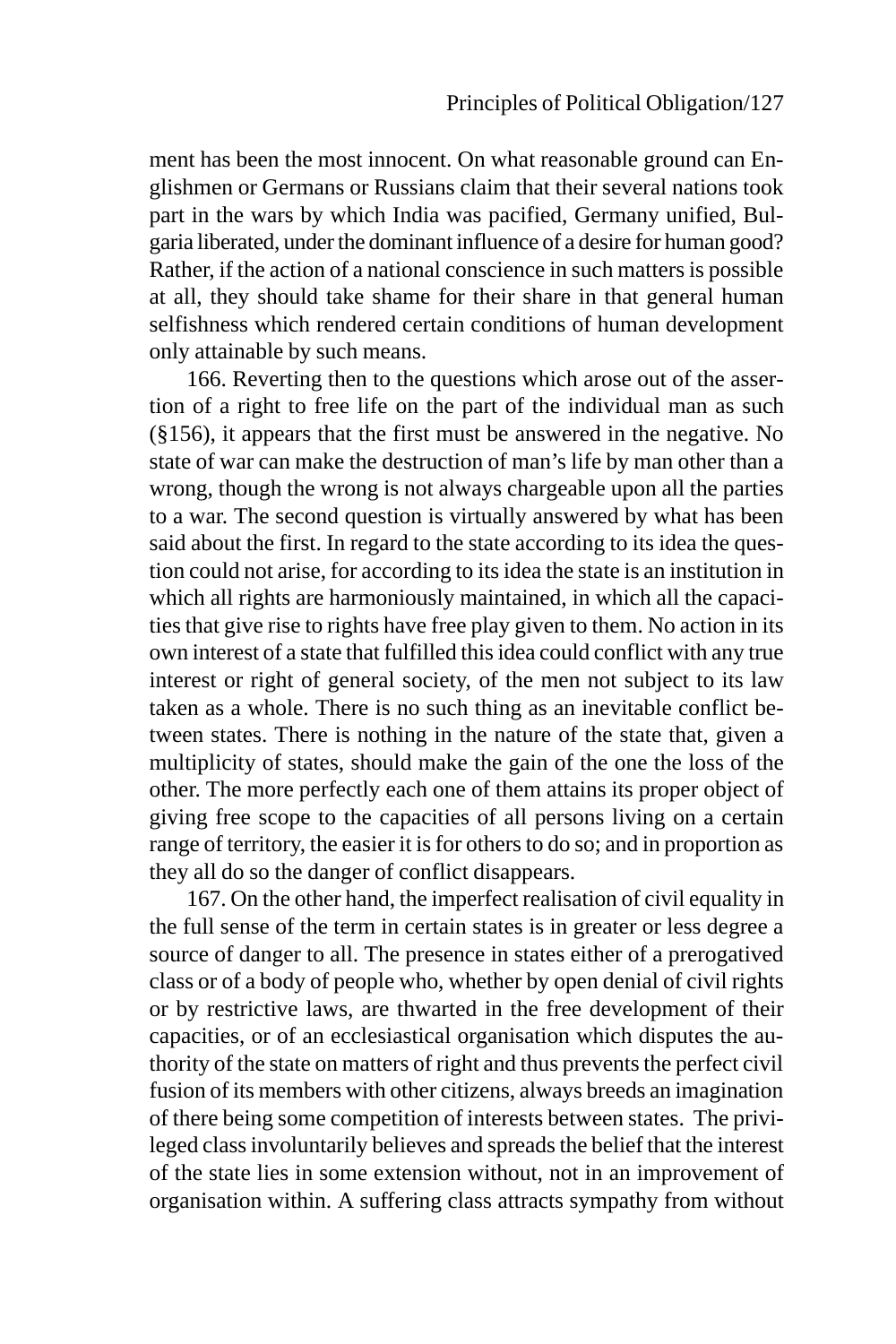ment has been the most innocent. On what reasonable ground can Englishmen or Germans or Russians claim that their several nations took part in the wars by which India was pacified, Germany unified, Bulgaria liberated, under the dominant influence of a desire for human good? Rather, if the action of a national conscience in such matters is possible at all, they should take shame for their share in that general human selfishness which rendered certain conditions of human development only attainable by such means.

166. Reverting then to the questions which arose out of the assertion of a right to free life on the part of the individual man as such (§156), it appears that the first must be answered in the negative. No state of war can make the destruction of man's life by man other than a wrong, though the wrong is not always chargeable upon all the parties to a war. The second question is virtually answered by what has been said about the first. In regard to the state according to its idea the question could not arise, for according to its idea the state is an institution in which all rights are harmoniously maintained, in which all the capacities that give rise to rights have free play given to them. No action in its own interest of a state that fulfilled this idea could conflict with any true interest or right of general society, of the men not subject to its law taken as a whole. There is no such thing as an inevitable conflict between states. There is nothing in the nature of the state that, given a multiplicity of states, should make the gain of the one the loss of the other. The more perfectly each one of them attains its proper object of giving free scope to the capacities of all persons living on a certain range of territory, the easier it is for others to do so; and in proportion as they all do so the danger of conflict disappears.

167. On the other hand, the imperfect realisation of civil equality in the full sense of the term in certain states is in greater or less degree a source of danger to all. The presence in states either of a prerogatived class or of a body of people who, whether by open denial of civil rights or by restrictive laws, are thwarted in the free development of their capacities, or of an ecclesiastical organisation which disputes the authority of the state on matters of right and thus prevents the perfect civil fusion of its members with other citizens, always breeds an imagination of there being some competition of interests between states. The privileged class involuntarily believes and spreads the belief that the interest of the state lies in some extension without, not in an improvement of organisation within. A suffering class attracts sympathy from without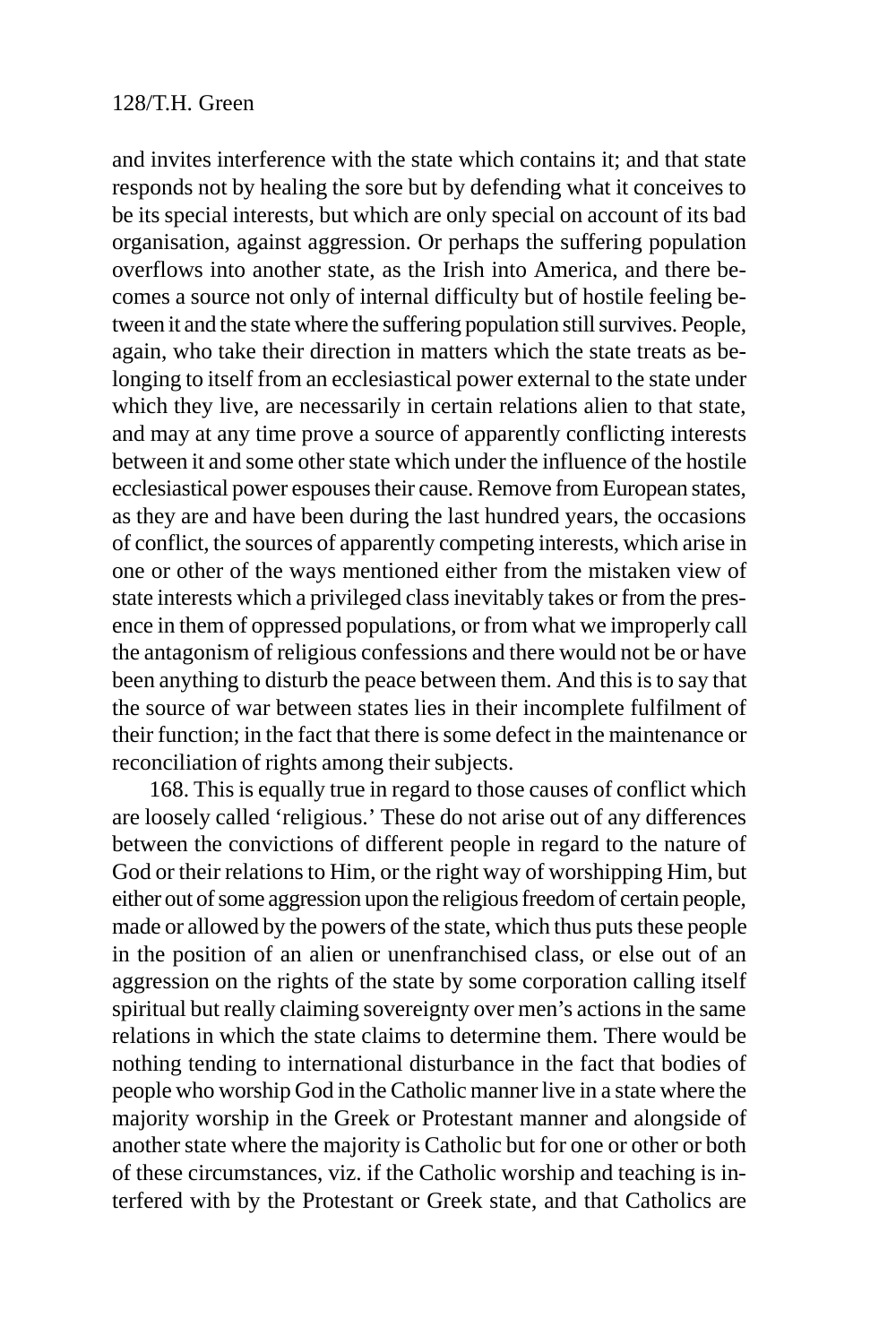and invites interference with the state which contains it; and that state responds not by healing the sore but by defending what it conceives to be its special interests, but which are only special on account of its bad organisation, against aggression. Or perhaps the suffering population overflows into another state, as the Irish into America, and there becomes a source not only of internal difficulty but of hostile feeling between it and the state where the suffering population still survives. People, again, who take their direction in matters which the state treats as belonging to itself from an ecclesiastical power external to the state under which they live, are necessarily in certain relations alien to that state, and may at any time prove a source of apparently conflicting interests between it and some other state which under the influence of the hostile ecclesiastical power espouses their cause. Remove from European states, as they are and have been during the last hundred years, the occasions of conflict, the sources of apparently competing interests, which arise in one or other of the ways mentioned either from the mistaken view of state interests which a privileged class inevitably takes or from the presence in them of oppressed populations, or from what we improperly call the antagonism of religious confessions and there would not be or have been anything to disturb the peace between them. And this is to say that the source of war between states lies in their incomplete fulfilment of their function; in the fact that there is some defect in the maintenance or reconciliation of rights among their subjects.

168. This is equally true in regard to those causes of conflict which are loosely called 'religious.' These do not arise out of any differences between the convictions of different people in regard to the nature of God or their relations to Him, or the right way of worshipping Him, but either out of some aggression upon the religious freedom of certain people, made or allowed by the powers of the state, which thus puts these people in the position of an alien or unenfranchised class, or else out of an aggression on the rights of the state by some corporation calling itself spiritual but really claiming sovereignty over men's actions in the same relations in which the state claims to determine them. There would be nothing tending to international disturbance in the fact that bodies of people who worship God in the Catholic manner live in a state where the majority worship in the Greek or Protestant manner and alongside of another state where the majority is Catholic but for one or other or both of these circumstances, viz. if the Catholic worship and teaching is interfered with by the Protestant or Greek state, and that Catholics are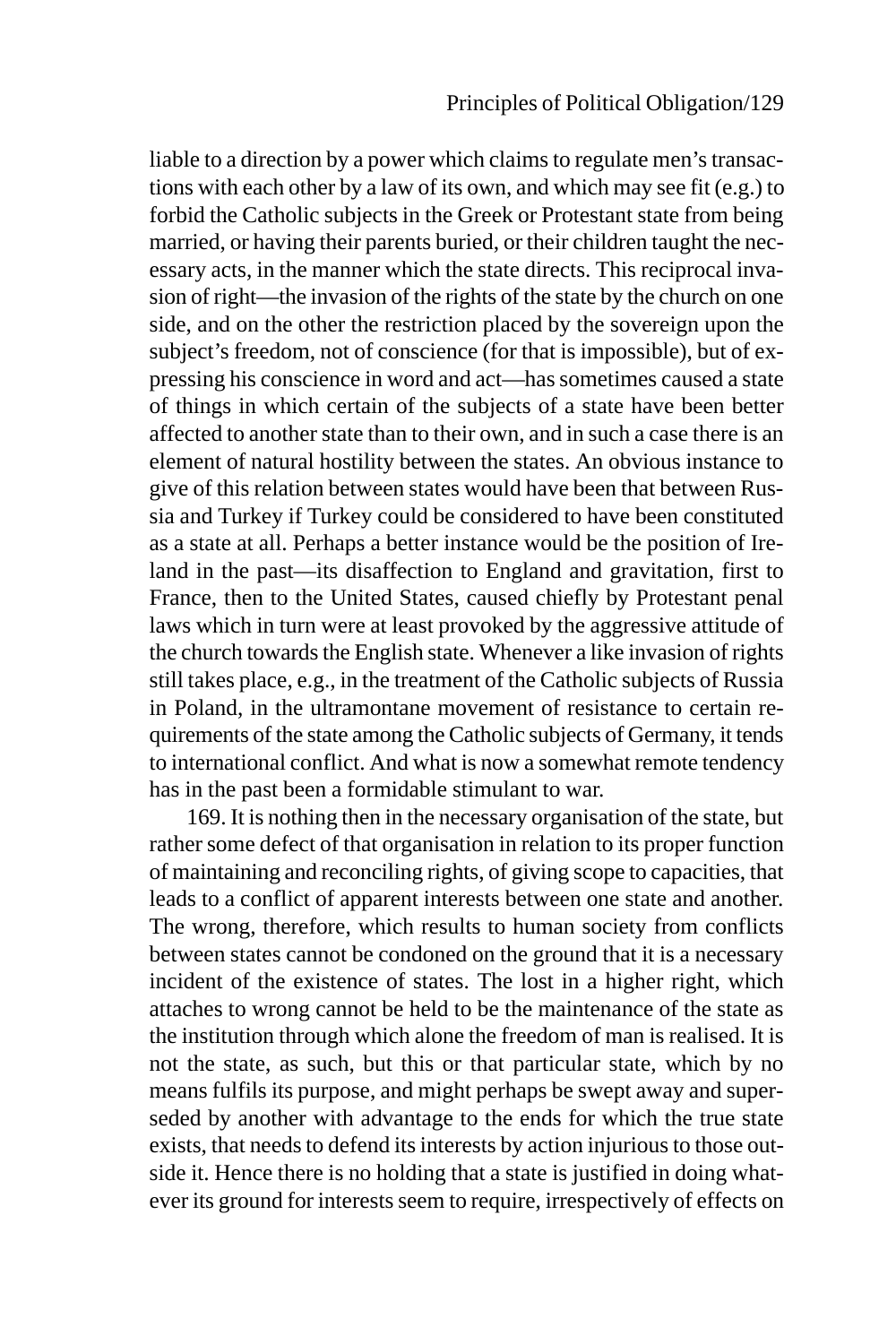liable to a direction by a power which claims to regulate men's transactions with each other by a law of its own, and which may see fit (e.g.) to forbid the Catholic subjects in the Greek or Protestant state from being married, or having their parents buried, or their children taught the necessary acts, in the manner which the state directs. This reciprocal invasion of right—the invasion of the rights of the state by the church on one side, and on the other the restriction placed by the sovereign upon the subject's freedom, not of conscience (for that is impossible), but of expressing his conscience in word and act—has sometimes caused a state of things in which certain of the subjects of a state have been better affected to another state than to their own, and in such a case there is an element of natural hostility between the states. An obvious instance to give of this relation between states would have been that between Russia and Turkey if Turkey could be considered to have been constituted as a state at all. Perhaps a better instance would be the position of Ireland in the past—its disaffection to England and gravitation, first to France, then to the United States, caused chiefly by Protestant penal laws which in turn were at least provoked by the aggressive attitude of the church towards the English state. Whenever a like invasion of rights still takes place, e.g., in the treatment of the Catholic subjects of Russia in Poland, in the ultramontane movement of resistance to certain requirements of the state among the Catholic subjects of Germany, it tends to international conflict. And what is now a somewhat remote tendency has in the past been a formidable stimulant to war.

169. It is nothing then in the necessary organisation of the state, but rather some defect of that organisation in relation to its proper function of maintaining and reconciling rights, of giving scope to capacities, that leads to a conflict of apparent interests between one state and another. The wrong, therefore, which results to human society from conflicts between states cannot be condoned on the ground that it is a necessary incident of the existence of states. The lost in a higher right, which attaches to wrong cannot be held to be the maintenance of the state as the institution through which alone the freedom of man is realised. It is not the state, as such, but this or that particular state, which by no means fulfils its purpose, and might perhaps be swept away and superseded by another with advantage to the ends for which the true state exists, that needs to defend its interests by action injurious to those outside it. Hence there is no holding that a state is justified in doing whatever its ground for interests seem to require, irrespectively of effects on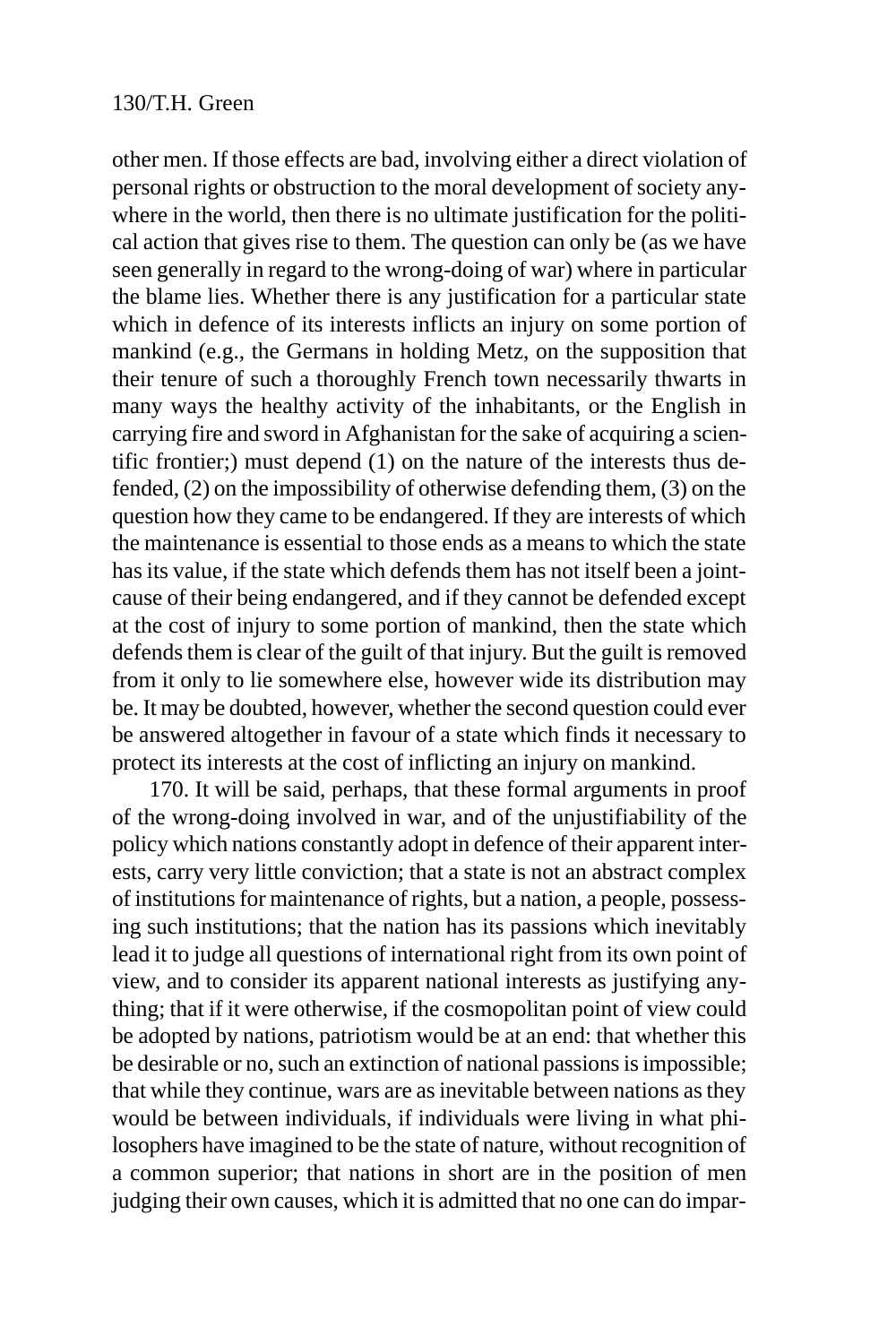other men. If those effects are bad, involving either a direct violation of personal rights or obstruction to the moral development of society anywhere in the world, then there is no ultimate justification for the political action that gives rise to them. The question can only be (as we have seen generally in regard to the wrong-doing of war) where in particular the blame lies. Whether there is any justification for a particular state which in defence of its interests inflicts an injury on some portion of mankind (e.g., the Germans in holding Metz, on the supposition that their tenure of such a thoroughly French town necessarily thwarts in many ways the healthy activity of the inhabitants, or the English in carrying fire and sword in Afghanistan for the sake of acquiring a scientific frontier;) must depend (1) on the nature of the interests thus defended, (2) on the impossibility of otherwise defending them, (3) on the question how they came to be endangered. If they are interests of which the maintenance is essential to those ends as a means to which the state has its value, if the state which defends them has not itself been a jointcause of their being endangered, and if they cannot be defended except at the cost of injury to some portion of mankind, then the state which defends them is clear of the guilt of that injury. But the guilt is removed from it only to lie somewhere else, however wide its distribution may be. It may be doubted, however, whether the second question could ever be answered altogether in favour of a state which finds it necessary to protect its interests at the cost of inflicting an injury on mankind.

170. It will be said, perhaps, that these formal arguments in proof of the wrong-doing involved in war, and of the unjustifiability of the policy which nations constantly adopt in defence of their apparent interests, carry very little conviction; that a state is not an abstract complex of institutions for maintenance of rights, but a nation, a people, possessing such institutions; that the nation has its passions which inevitably lead it to judge all questions of international right from its own point of view, and to consider its apparent national interests as justifying anything; that if it were otherwise, if the cosmopolitan point of view could be adopted by nations, patriotism would be at an end: that whether this be desirable or no, such an extinction of national passions is impossible; that while they continue, wars are as inevitable between nations as they would be between individuals, if individuals were living in what philosophers have imagined to be the state of nature, without recognition of a common superior; that nations in short are in the position of men judging their own causes, which it is admitted that no one can do impar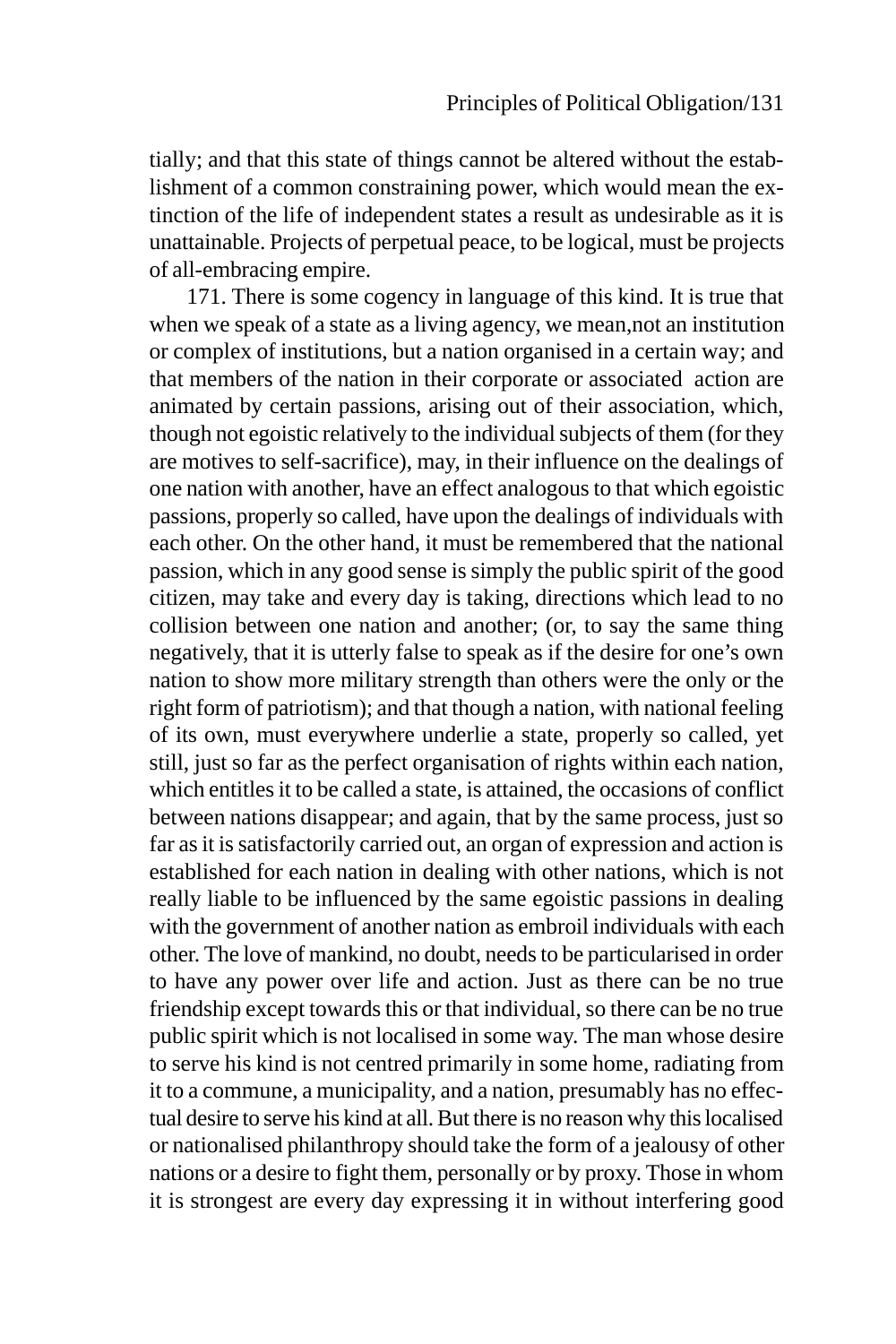tially; and that this state of things cannot be altered without the establishment of a common constraining power, which would mean the extinction of the life of independent states a result as undesirable as it is unattainable. Projects of perpetual peace, to be logical, must be projects of all-embracing empire.

171. There is some cogency in language of this kind. It is true that when we speak of a state as a living agency, we mean,not an institution or complex of institutions, but a nation organised in a certain way; and that members of the nation in their corporate or associated action are animated by certain passions, arising out of their association, which, though not egoistic relatively to the individual subjects of them (for they are motives to self-sacrifice), may, in their influence on the dealings of one nation with another, have an effect analogous to that which egoistic passions, properly so called, have upon the dealings of individuals with each other. On the other hand, it must be remembered that the national passion, which in any good sense is simply the public spirit of the good citizen, may take and every day is taking, directions which lead to no collision between one nation and another; (or, to say the same thing negatively, that it is utterly false to speak as if the desire for one's own nation to show more military strength than others were the only or the right form of patriotism); and that though a nation, with national feeling of its own, must everywhere underlie a state, properly so called, yet still, just so far as the perfect organisation of rights within each nation, which entitles it to be called a state, is attained, the occasions of conflict between nations disappear; and again, that by the same process, just so far as it is satisfactorily carried out, an organ of expression and action is established for each nation in dealing with other nations, which is not really liable to be influenced by the same egoistic passions in dealing with the government of another nation as embroil individuals with each other. The love of mankind, no doubt, needs to be particularised in order to have any power over life and action. Just as there can be no true friendship except towards this or that individual, so there can be no true public spirit which is not localised in some way. The man whose desire to serve his kind is not centred primarily in some home, radiating from it to a commune, a municipality, and a nation, presumably has no effectual desire to serve his kind at all. But there is no reason why this localised or nationalised philanthropy should take the form of a jealousy of other nations or a desire to fight them, personally or by proxy. Those in whom it is strongest are every day expressing it in without interfering good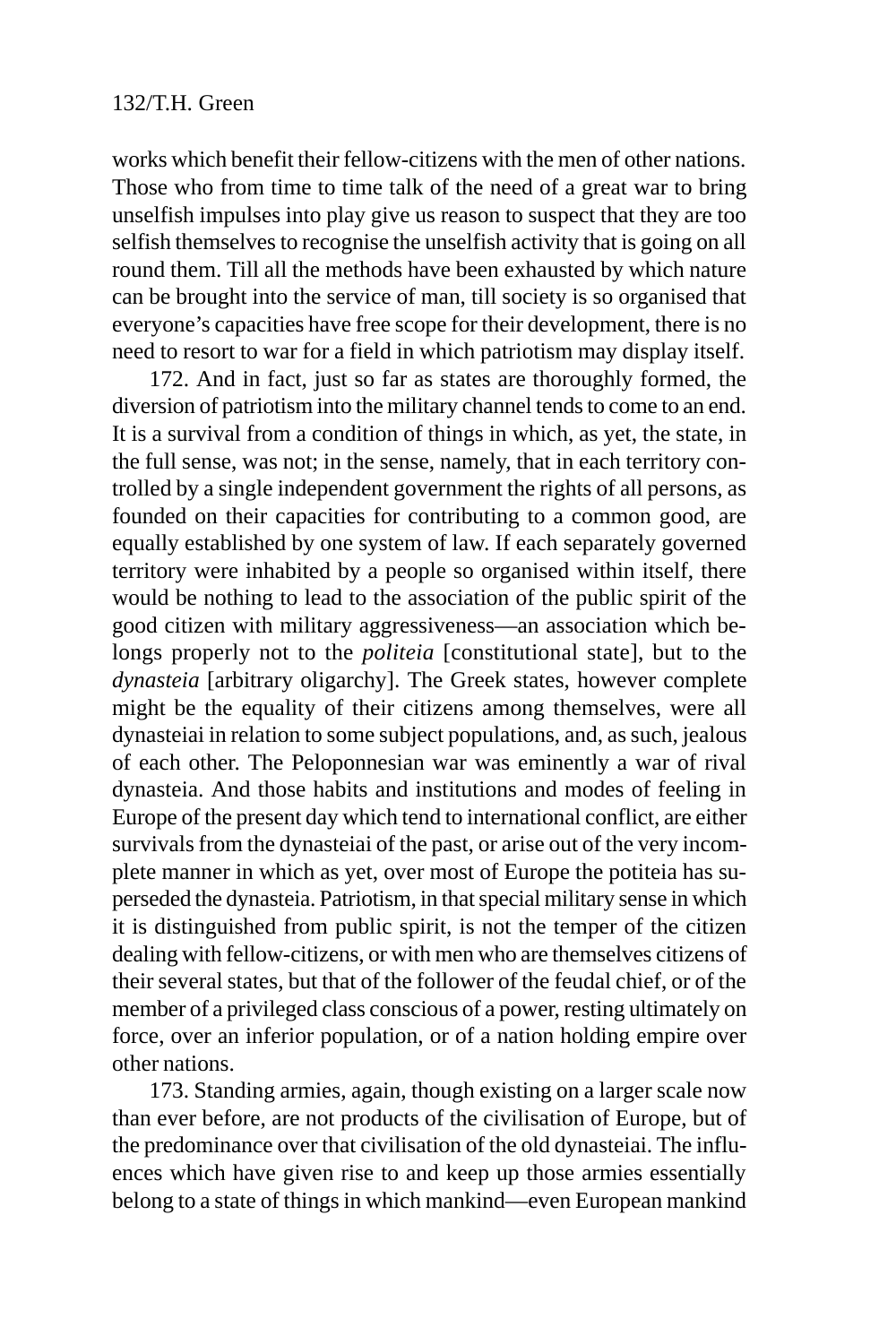works which benefit their fellow-citizens with the men of other nations. Those who from time to time talk of the need of a great war to bring unselfish impulses into play give us reason to suspect that they are too selfish themselves to recognise the unselfish activity that is going on all round them. Till all the methods have been exhausted by which nature can be brought into the service of man, till society is so organised that everyone's capacities have free scope for their development, there is no need to resort to war for a field in which patriotism may display itself.

172. And in fact, just so far as states are thoroughly formed, the diversion of patriotism into the military channel tends to come to an end. It is a survival from a condition of things in which, as yet, the state, in the full sense, was not; in the sense, namely, that in each territory controlled by a single independent government the rights of all persons, as founded on their capacities for contributing to a common good, are equally established by one system of law. If each separately governed territory were inhabited by a people so organised within itself, there would be nothing to lead to the association of the public spirit of the good citizen with military aggressiveness—an association which belongs properly not to the *politeia* [constitutional state], but to the *dynasteia* [arbitrary oligarchy]. The Greek states, however complete might be the equality of their citizens among themselves, were all dynasteiai in relation to some subject populations, and, as such, jealous of each other. The Peloponnesian war was eminently a war of rival dynasteia. And those habits and institutions and modes of feeling in Europe of the present day which tend to international conflict, are either survivals from the dynasteiai of the past, or arise out of the very incomplete manner in which as yet, over most of Europe the potiteia has superseded the dynasteia. Patriotism, in that special military sense in which it is distinguished from public spirit, is not the temper of the citizen dealing with fellow-citizens, or with men who are themselves citizens of their several states, but that of the follower of the feudal chief, or of the member of a privileged class conscious of a power, resting ultimately on force, over an inferior population, or of a nation holding empire over other nations.

173. Standing armies, again, though existing on a larger scale now than ever before, are not products of the civilisation of Europe, but of the predominance over that civilisation of the old dynasteiai. The influences which have given rise to and keep up those armies essentially belong to a state of things in which mankind—even European mankind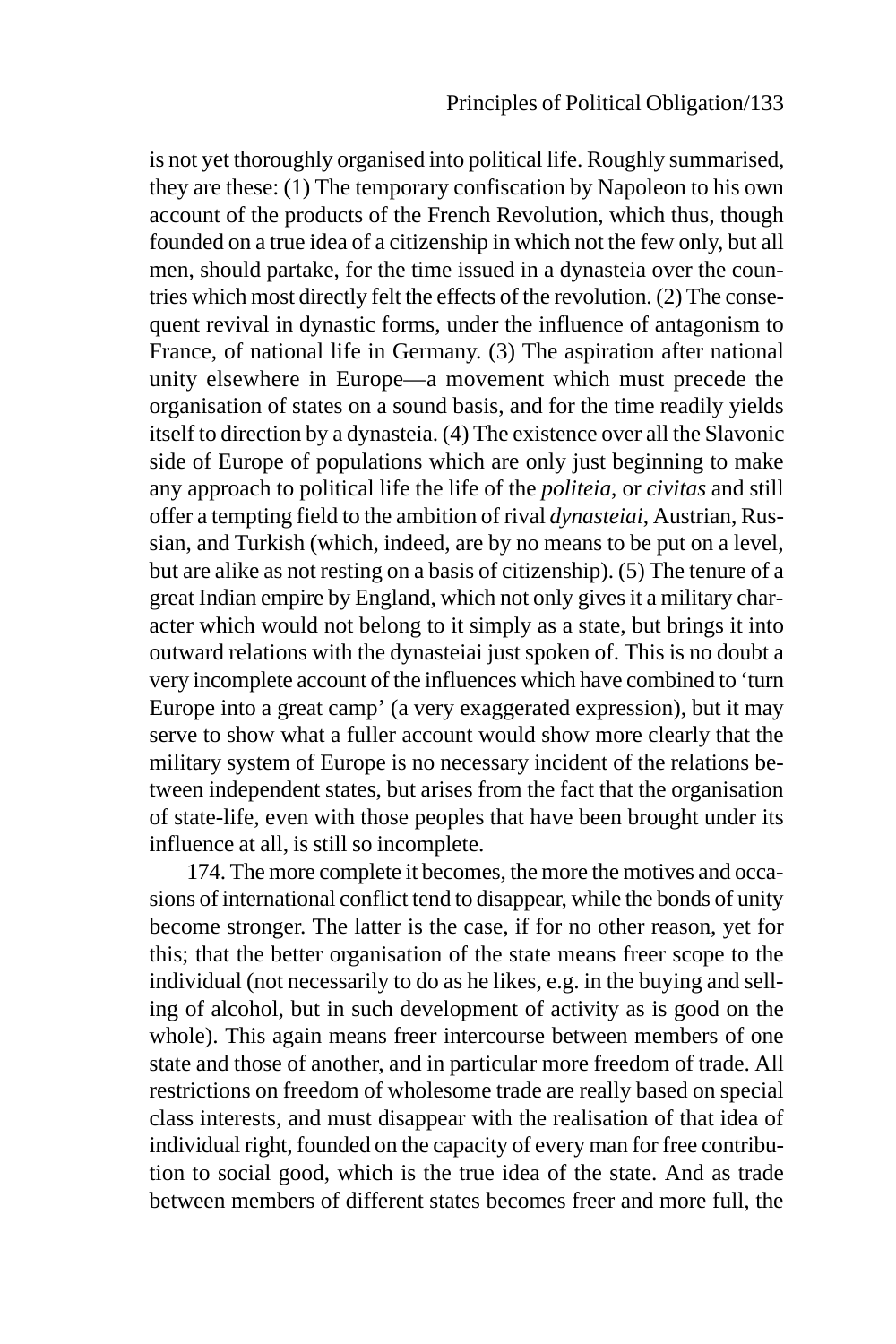is not yet thoroughly organised into political life. Roughly summarised, they are these: (1) The temporary confiscation by Napoleon to his own account of the products of the French Revolution, which thus, though founded on a true idea of a citizenship in which not the few only, but all men, should partake, for the time issued in a dynasteia over the countries which most directly felt the effects of the revolution. (2) The consequent revival in dynastic forms, under the influence of antagonism to France, of national life in Germany. (3) The aspiration after national unity elsewhere in Europe—a movement which must precede the organisation of states on a sound basis, and for the time readily yields itself to direction by a dynasteia. (4) The existence over all the Slavonic side of Europe of populations which are only just beginning to make any approach to political life the life of the *politeia*, or *civitas* and still offer a tempting field to the ambition of rival *dynasteiai*, Austrian, Russian, and Turkish (which, indeed, are by no means to be put on a level, but are alike as not resting on a basis of citizenship). (5) The tenure of a great Indian empire by England, which not only gives it a military character which would not belong to it simply as a state, but brings it into outward relations with the dynasteiai just spoken of. This is no doubt a very incomplete account of the influences which have combined to 'turn Europe into a great camp' (a very exaggerated expression), but it may serve to show what a fuller account would show more clearly that the military system of Europe is no necessary incident of the relations between independent states, but arises from the fact that the organisation of state-life, even with those peoples that have been brought under its influence at all, is still so incomplete.

174. The more complete it becomes, the more the motives and occasions of international conflict tend to disappear, while the bonds of unity become stronger. The latter is the case, if for no other reason, yet for this; that the better organisation of the state means freer scope to the individual (not necessarily to do as he likes, e.g. in the buying and selling of alcohol, but in such development of activity as is good on the whole). This again means freer intercourse between members of one state and those of another, and in particular more freedom of trade. All restrictions on freedom of wholesome trade are really based on special class interests, and must disappear with the realisation of that idea of individual right, founded on the capacity of every man for free contribution to social good, which is the true idea of the state. And as trade between members of different states becomes freer and more full, the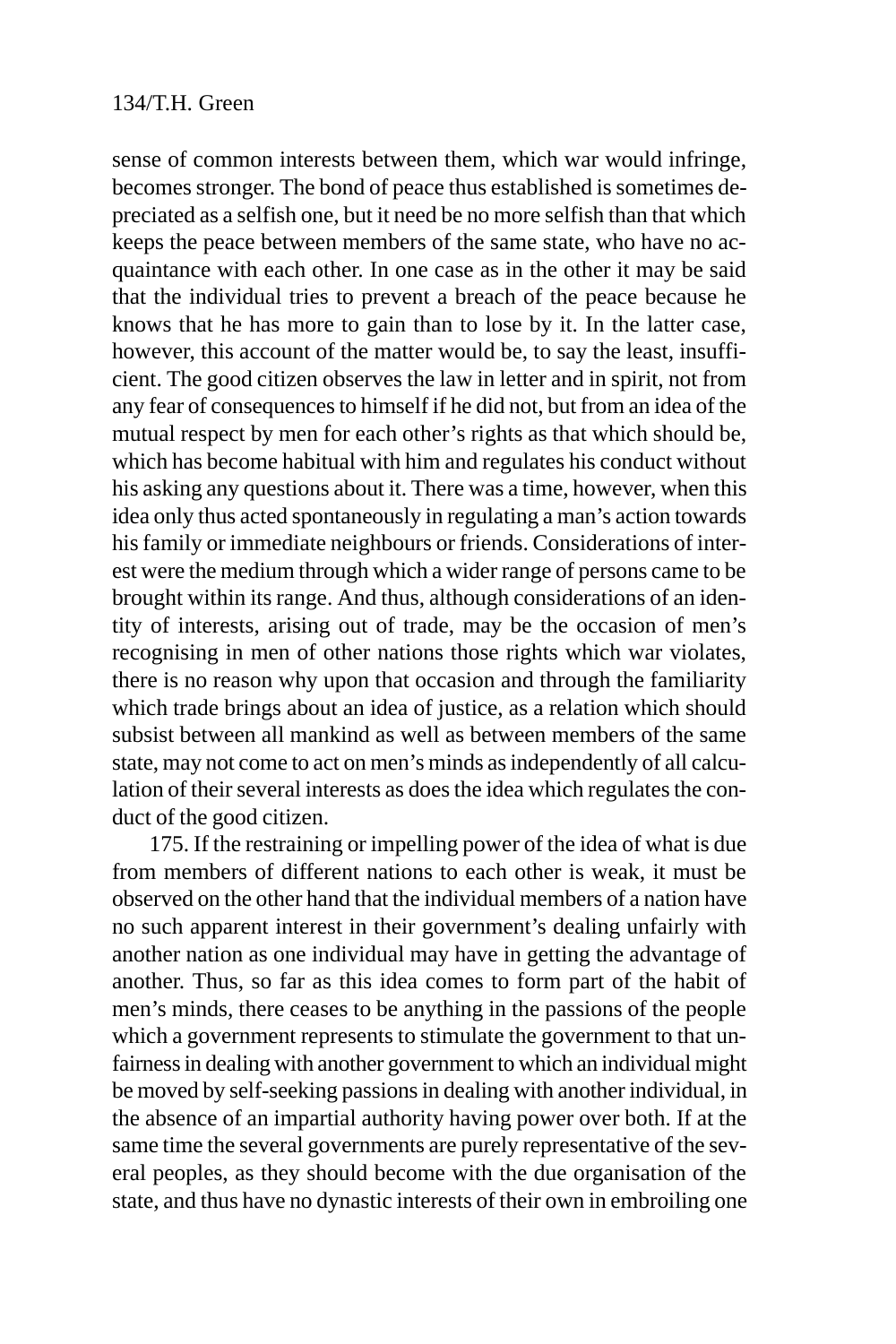sense of common interests between them, which war would infringe, becomes stronger. The bond of peace thus established is sometimes depreciated as a selfish one, but it need be no more selfish than that which keeps the peace between members of the same state, who have no acquaintance with each other. In one case as in the other it may be said that the individual tries to prevent a breach of the peace because he knows that he has more to gain than to lose by it. In the latter case, however, this account of the matter would be, to say the least, insufficient. The good citizen observes the law in letter and in spirit, not from any fear of consequences to himself if he did not, but from an idea of the mutual respect by men for each other's rights as that which should be, which has become habitual with him and regulates his conduct without his asking any questions about it. There was a time, however, when this idea only thus acted spontaneously in regulating a man's action towards his family or immediate neighbours or friends. Considerations of interest were the medium through which a wider range of persons came to be brought within its range. And thus, although considerations of an identity of interests, arising out of trade, may be the occasion of men's recognising in men of other nations those rights which war violates, there is no reason why upon that occasion and through the familiarity which trade brings about an idea of justice, as a relation which should subsist between all mankind as well as between members of the same state, may not come to act on men's minds as independently of all calculation of their several interests as does the idea which regulates the conduct of the good citizen.

175. If the restraining or impelling power of the idea of what is due from members of different nations to each other is weak, it must be observed on the other hand that the individual members of a nation have no such apparent interest in their government's dealing unfairly with another nation as one individual may have in getting the advantage of another. Thus, so far as this idea comes to form part of the habit of men's minds, there ceases to be anything in the passions of the people which a government represents to stimulate the government to that unfairness in dealing with another government to which an individual might be moved by self-seeking passions in dealing with another individual, in the absence of an impartial authority having power over both. If at the same time the several governments are purely representative of the several peoples, as they should become with the due organisation of the state, and thus have no dynastic interests of their own in embroiling one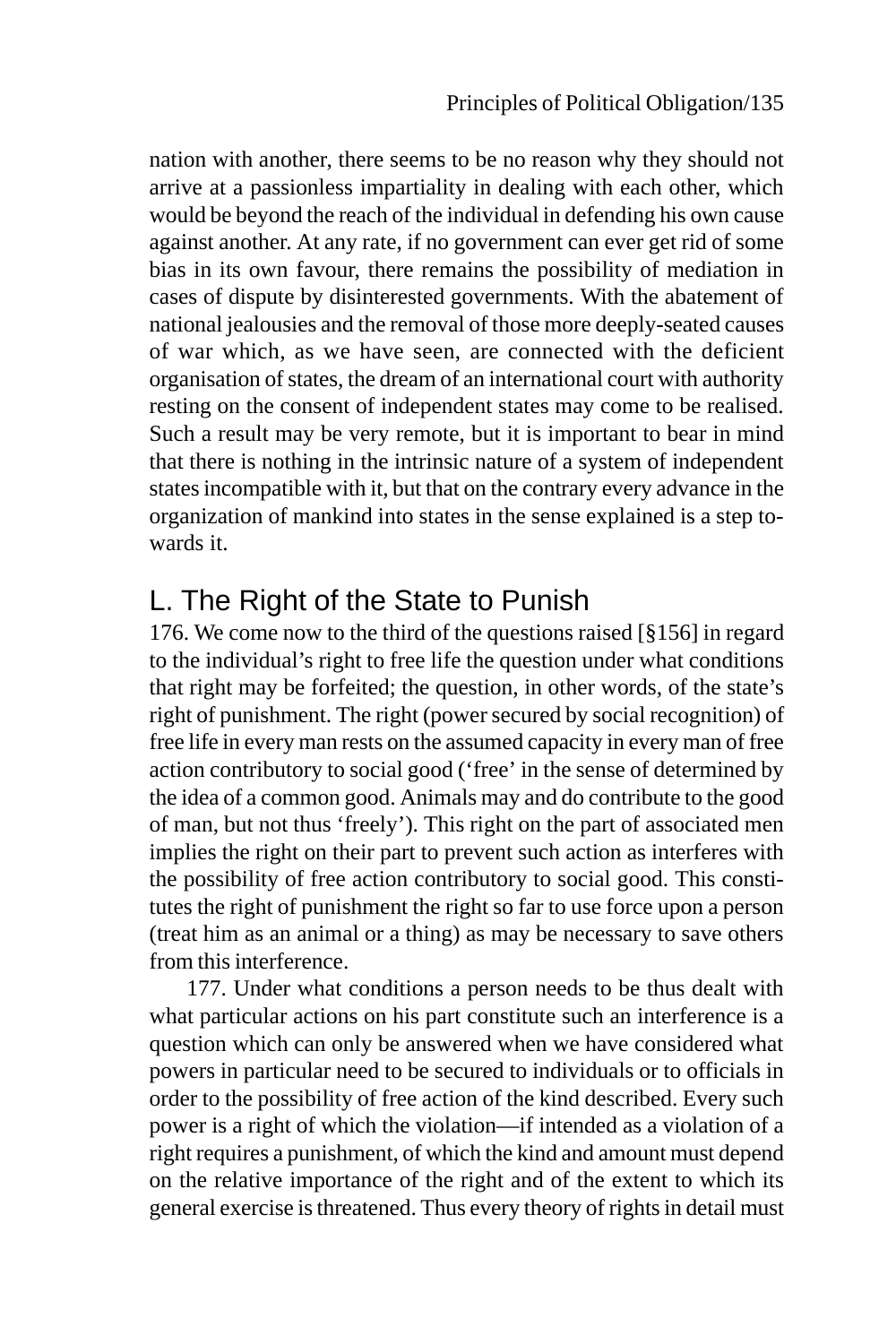nation with another, there seems to be no reason why they should not arrive at a passionless impartiality in dealing with each other, which would be beyond the reach of the individual in defending his own cause against another. At any rate, if no government can ever get rid of some bias in its own favour, there remains the possibility of mediation in cases of dispute by disinterested governments. With the abatement of national jealousies and the removal of those more deeply-seated causes of war which, as we have seen, are connected with the deficient organisation of states, the dream of an international court with authority resting on the consent of independent states may come to be realised. Such a result may be very remote, but it is important to bear in mind that there is nothing in the intrinsic nature of a system of independent states incompatible with it, but that on the contrary every advance in the organization of mankind into states in the sense explained is a step towards it.

# L. The Right of the State to Punish

176. We come now to the third of the questions raised [§156] in regard to the individual's right to free life the question under what conditions that right may be forfeited; the question, in other words, of the state's right of punishment. The right (power secured by social recognition) of free life in every man rests on the assumed capacity in every man of free action contributory to social good ('free' in the sense of determined by the idea of a common good. Animals may and do contribute to the good of man, but not thus 'freely'). This right on the part of associated men implies the right on their part to prevent such action as interferes with the possibility of free action contributory to social good. This constitutes the right of punishment the right so far to use force upon a person (treat him as an animal or a thing) as may be necessary to save others from this interference.

177. Under what conditions a person needs to be thus dealt with what particular actions on his part constitute such an interference is a question which can only be answered when we have considered what powers in particular need to be secured to individuals or to officials in order to the possibility of free action of the kind described. Every such power is a right of which the violation—if intended as a violation of a right requires a punishment, of which the kind and amount must depend on the relative importance of the right and of the extent to which its general exercise is threatened. Thus every theory of rights in detail must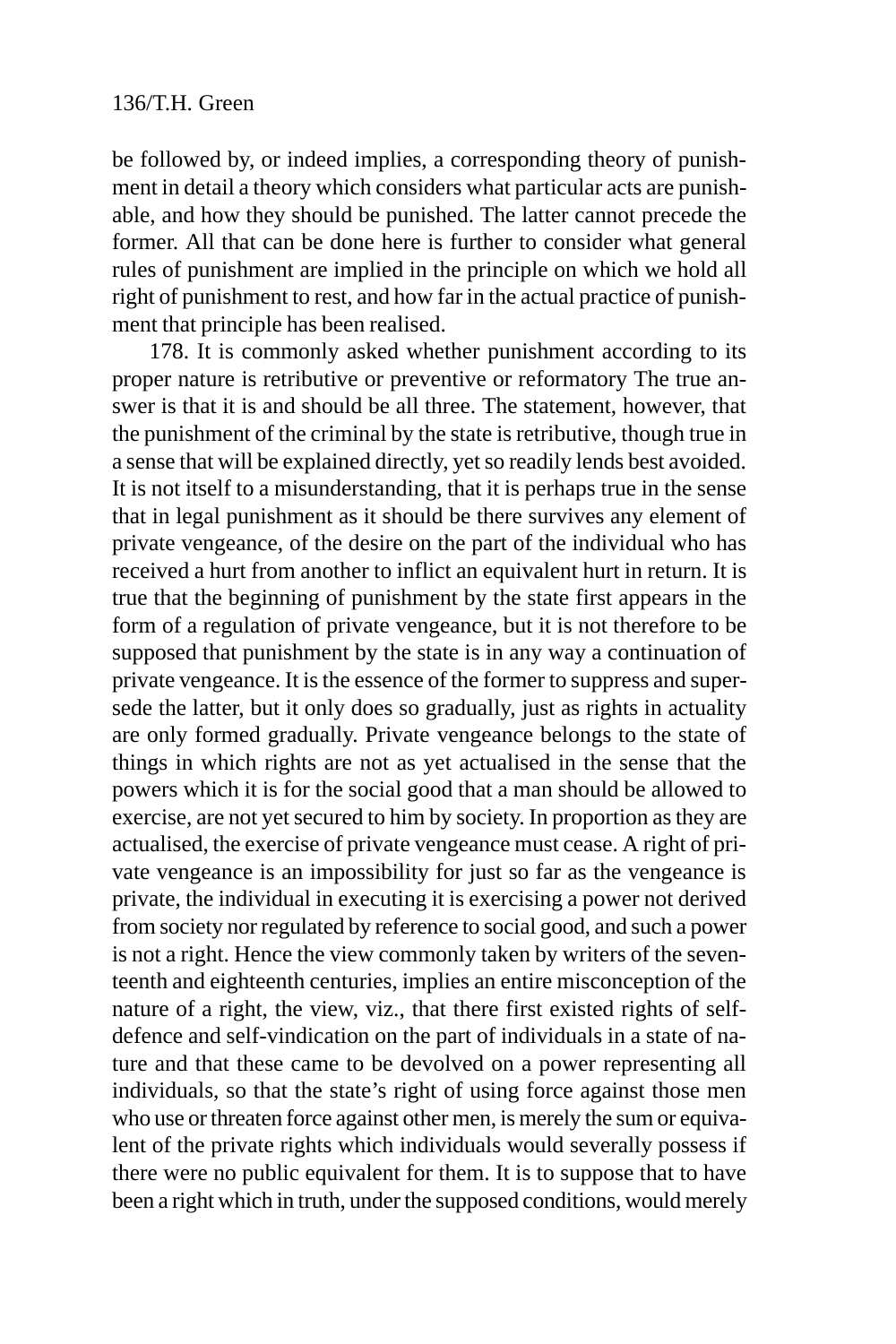be followed by, or indeed implies, a corresponding theory of punishment in detail a theory which considers what particular acts are punishable, and how they should be punished. The latter cannot precede the former. All that can be done here is further to consider what general rules of punishment are implied in the principle on which we hold all right of punishment to rest, and how far in the actual practice of punishment that principle has been realised.

178. It is commonly asked whether punishment according to its proper nature is retributive or preventive or reformatory The true answer is that it is and should be all three. The statement, however, that the punishment of the criminal by the state is retributive, though true in a sense that will be explained directly, yet so readily lends best avoided. It is not itself to a misunderstanding, that it is perhaps true in the sense that in legal punishment as it should be there survives any element of private vengeance, of the desire on the part of the individual who has received a hurt from another to inflict an equivalent hurt in return. It is true that the beginning of punishment by the state first appears in the form of a regulation of private vengeance, but it is not therefore to be supposed that punishment by the state is in any way a continuation of private vengeance. It is the essence of the former to suppress and supersede the latter, but it only does so gradually, just as rights in actuality are only formed gradually. Private vengeance belongs to the state of things in which rights are not as yet actualised in the sense that the powers which it is for the social good that a man should be allowed to exercise, are not yet secured to him by society. In proportion as they are actualised, the exercise of private vengeance must cease. A right of private vengeance is an impossibility for just so far as the vengeance is private, the individual in executing it is exercising a power not derived from society nor regulated by reference to social good, and such a power is not a right. Hence the view commonly taken by writers of the seventeenth and eighteenth centuries, implies an entire misconception of the nature of a right, the view, viz., that there first existed rights of selfdefence and self-vindication on the part of individuals in a state of nature and that these came to be devolved on a power representing all individuals, so that the state's right of using force against those men who use or threaten force against other men, is merely the sum or equivalent of the private rights which individuals would severally possess if there were no public equivalent for them. It is to suppose that to have been a right which in truth, under the supposed conditions, would merely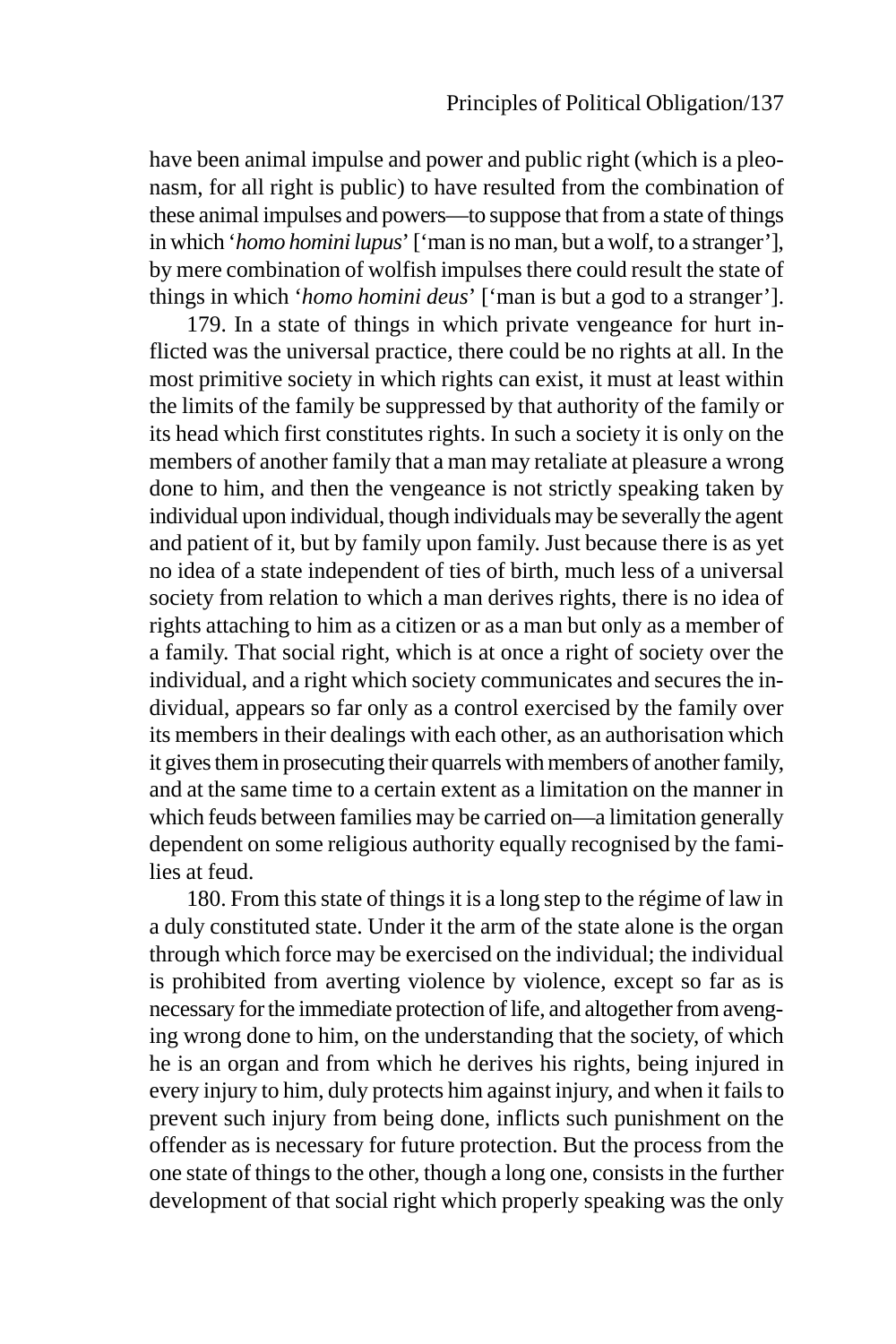have been animal impulse and power and public right (which is a pleonasm, for all right is public) to have resulted from the combination of these animal impulses and powers—to suppose that from a state of things in which '*homo homini lupus*' ['man is no man, but a wolf, to a stranger'], by mere combination of wolfish impulses there could result the state of things in which '*homo homini deus*' ['man is but a god to a stranger'].

179. In a state of things in which private vengeance for hurt inflicted was the universal practice, there could be no rights at all. In the most primitive society in which rights can exist, it must at least within the limits of the family be suppressed by that authority of the family or its head which first constitutes rights. In such a society it is only on the members of another family that a man may retaliate at pleasure a wrong done to him, and then the vengeance is not strictly speaking taken by individual upon individual, though individuals may be severally the agent and patient of it, but by family upon family. Just because there is as yet no idea of a state independent of ties of birth, much less of a universal society from relation to which a man derives rights, there is no idea of rights attaching to him as a citizen or as a man but only as a member of a family. That social right, which is at once a right of society over the individual, and a right which society communicates and secures the individual, appears so far only as a control exercised by the family over its members in their dealings with each other, as an authorisation which it gives them in prosecuting their quarrels with members of another family, and at the same time to a certain extent as a limitation on the manner in which feuds between families may be carried on—a limitation generally dependent on some religious authority equally recognised by the families at feud.

180. From this state of things it is a long step to the régime of law in a duly constituted state. Under it the arm of the state alone is the organ through which force may be exercised on the individual; the individual is prohibited from averting violence by violence, except so far as is necessary for the immediate protection of life, and altogether from avenging wrong done to him, on the understanding that the society, of which he is an organ and from which he derives his rights, being injured in every injury to him, duly protects him against injury, and when it fails to prevent such injury from being done, inflicts such punishment on the offender as is necessary for future protection. But the process from the one state of things to the other, though a long one, consists in the further development of that social right which properly speaking was the only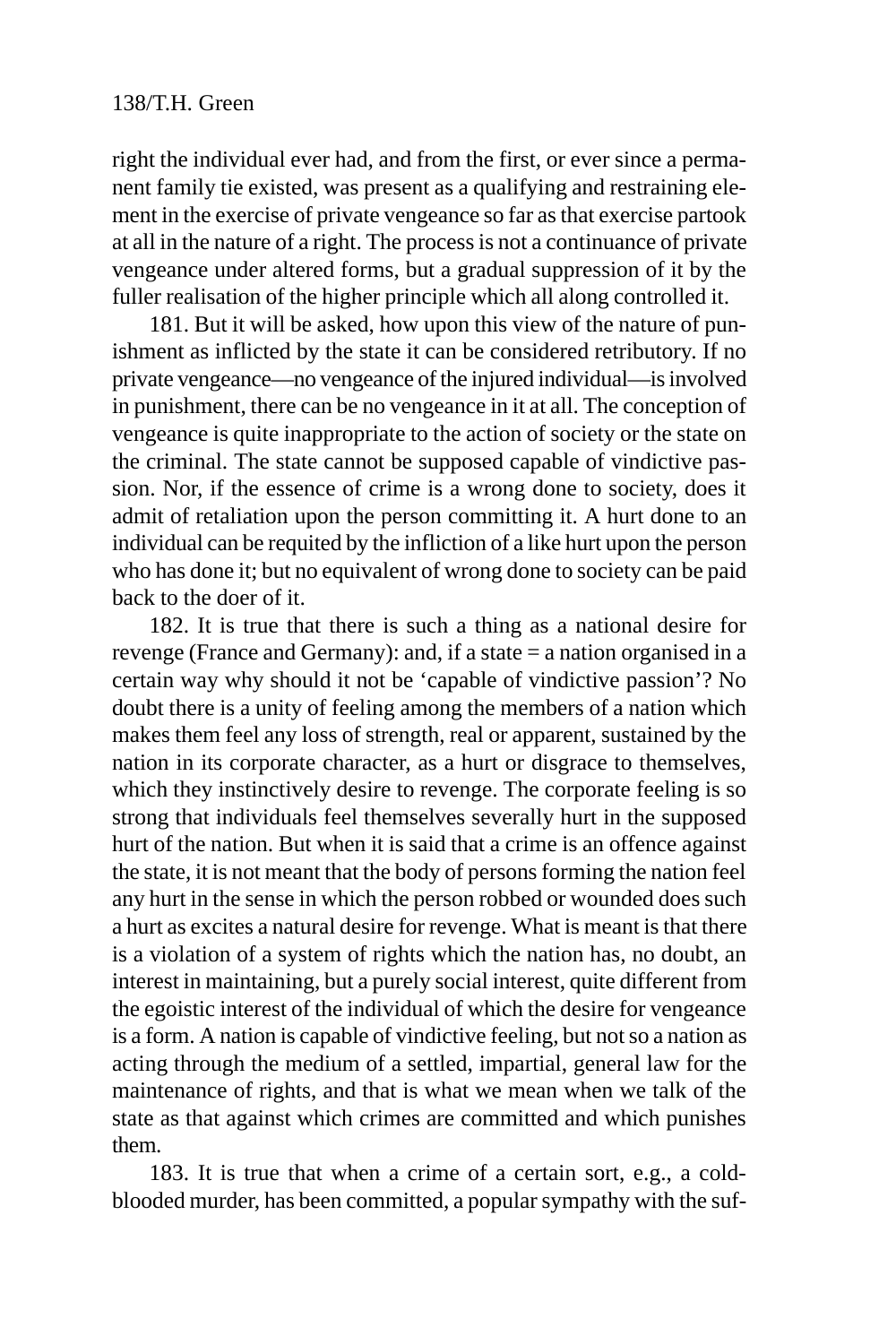right the individual ever had, and from the first, or ever since a permanent family tie existed, was present as a qualifying and restraining element in the exercise of private vengeance so far as that exercise partook at all in the nature of a right. The process is not a continuance of private vengeance under altered forms, but a gradual suppression of it by the fuller realisation of the higher principle which all along controlled it.

181. But it will be asked, how upon this view of the nature of punishment as inflicted by the state it can be considered retributory. If no private vengeance—no vengeance of the injured individual—is involved in punishment, there can be no vengeance in it at all. The conception of vengeance is quite inappropriate to the action of society or the state on the criminal. The state cannot be supposed capable of vindictive passion. Nor, if the essence of crime is a wrong done to society, does it admit of retaliation upon the person committing it. A hurt done to an individual can be requited by the infliction of a like hurt upon the person who has done it; but no equivalent of wrong done to society can be paid back to the doer of it.

182. It is true that there is such a thing as a national desire for revenge (France and Germany): and, if a state = a nation organised in a certain way why should it not be 'capable of vindictive passion'? No doubt there is a unity of feeling among the members of a nation which makes them feel any loss of strength, real or apparent, sustained by the nation in its corporate character, as a hurt or disgrace to themselves, which they instinctively desire to revenge. The corporate feeling is so strong that individuals feel themselves severally hurt in the supposed hurt of the nation. But when it is said that a crime is an offence against the state, it is not meant that the body of persons forming the nation feel any hurt in the sense in which the person robbed or wounded does such a hurt as excites a natural desire for revenge. What is meant is that there is a violation of a system of rights which the nation has, no doubt, an interest in maintaining, but a purely social interest, quite different from the egoistic interest of the individual of which the desire for vengeance is a form. A nation is capable of vindictive feeling, but not so a nation as acting through the medium of a settled, impartial, general law for the maintenance of rights, and that is what we mean when we talk of the state as that against which crimes are committed and which punishes them.

183. It is true that when a crime of a certain sort, e.g., a coldblooded murder, has been committed, a popular sympathy with the suf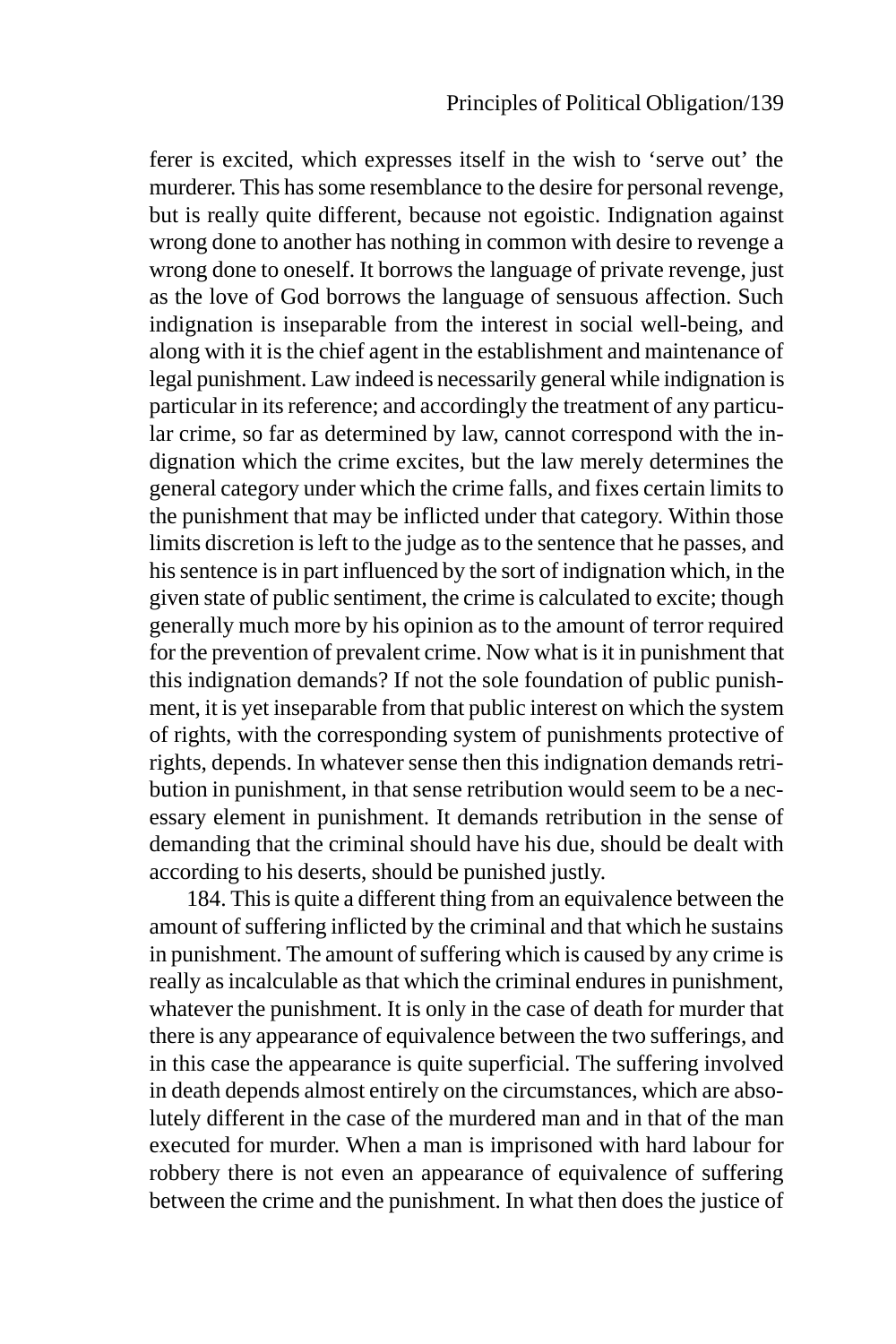ferer is excited, which expresses itself in the wish to 'serve out' the murderer. This has some resemblance to the desire for personal revenge, but is really quite different, because not egoistic. Indignation against wrong done to another has nothing in common with desire to revenge a wrong done to oneself. It borrows the language of private revenge, just as the love of God borrows the language of sensuous affection. Such indignation is inseparable from the interest in social well-being, and along with it is the chief agent in the establishment and maintenance of legal punishment. Law indeed is necessarily general while indignation is particular in its reference; and accordingly the treatment of any particular crime, so far as determined by law, cannot correspond with the indignation which the crime excites, but the law merely determines the general category under which the crime falls, and fixes certain limits to the punishment that may be inflicted under that category. Within those limits discretion is left to the judge as to the sentence that he passes, and his sentence is in part influenced by the sort of indignation which, in the given state of public sentiment, the crime is calculated to excite; though generally much more by his opinion as to the amount of terror required for the prevention of prevalent crime. Now what is it in punishment that this indignation demands? If not the sole foundation of public punishment, it is yet inseparable from that public interest on which the system of rights, with the corresponding system of punishments protective of rights, depends. In whatever sense then this indignation demands retribution in punishment, in that sense retribution would seem to be a necessary element in punishment. It demands retribution in the sense of demanding that the criminal should have his due, should be dealt with according to his deserts, should be punished justly.

184. This is quite a different thing from an equivalence between the amount of suffering inflicted by the criminal and that which he sustains in punishment. The amount of suffering which is caused by any crime is really as incalculable as that which the criminal endures in punishment, whatever the punishment. It is only in the case of death for murder that there is any appearance of equivalence between the two sufferings, and in this case the appearance is quite superficial. The suffering involved in death depends almost entirely on the circumstances, which are absolutely different in the case of the murdered man and in that of the man executed for murder. When a man is imprisoned with hard labour for robbery there is not even an appearance of equivalence of suffering between the crime and the punishment. In what then does the justice of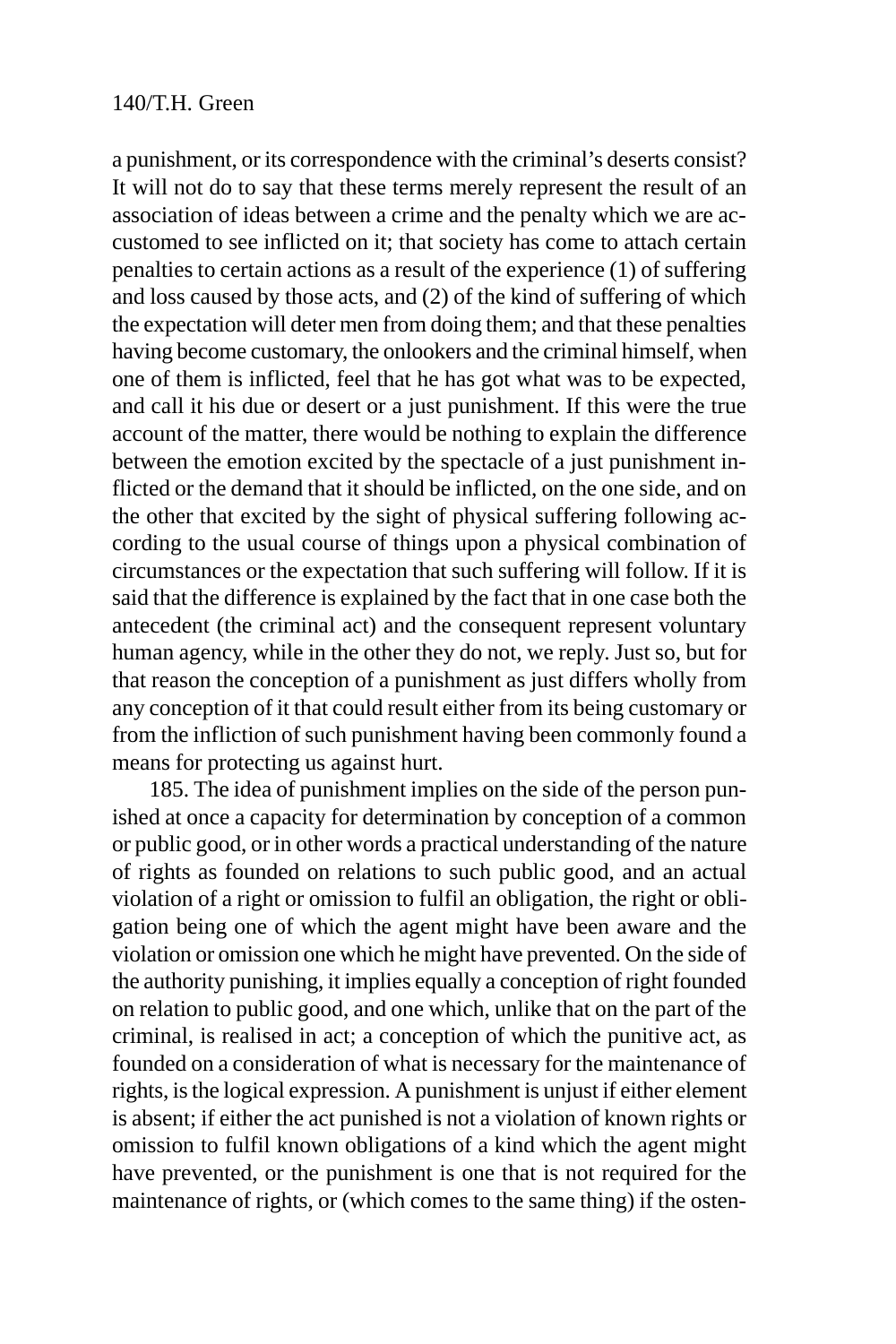a punishment, or its correspondence with the criminal's deserts consist? It will not do to say that these terms merely represent the result of an association of ideas between a crime and the penalty which we are accustomed to see inflicted on it; that society has come to attach certain penalties to certain actions as a result of the experience (1) of suffering and loss caused by those acts, and (2) of the kind of suffering of which the expectation will deter men from doing them; and that these penalties having become customary, the onlookers and the criminal himself, when one of them is inflicted, feel that he has got what was to be expected, and call it his due or desert or a just punishment. If this were the true account of the matter, there would be nothing to explain the difference between the emotion excited by the spectacle of a just punishment inflicted or the demand that it should be inflicted, on the one side, and on the other that excited by the sight of physical suffering following according to the usual course of things upon a physical combination of circumstances or the expectation that such suffering will follow. If it is said that the difference is explained by the fact that in one case both the antecedent (the criminal act) and the consequent represent voluntary human agency, while in the other they do not, we reply. Just so, but for that reason the conception of a punishment as just differs wholly from any conception of it that could result either from its being customary or from the infliction of such punishment having been commonly found a means for protecting us against hurt.

185. The idea of punishment implies on the side of the person punished at once a capacity for determination by conception of a common or public good, or in other words a practical understanding of the nature of rights as founded on relations to such public good, and an actual violation of a right or omission to fulfil an obligation, the right or obligation being one of which the agent might have been aware and the violation or omission one which he might have prevented. On the side of the authority punishing, it implies equally a conception of right founded on relation to public good, and one which, unlike that on the part of the criminal, is realised in act; a conception of which the punitive act, as founded on a consideration of what is necessary for the maintenance of rights, is the logical expression. A punishment is unjust if either element is absent; if either the act punished is not a violation of known rights or omission to fulfil known obligations of a kind which the agent might have prevented, or the punishment is one that is not required for the maintenance of rights, or (which comes to the same thing) if the osten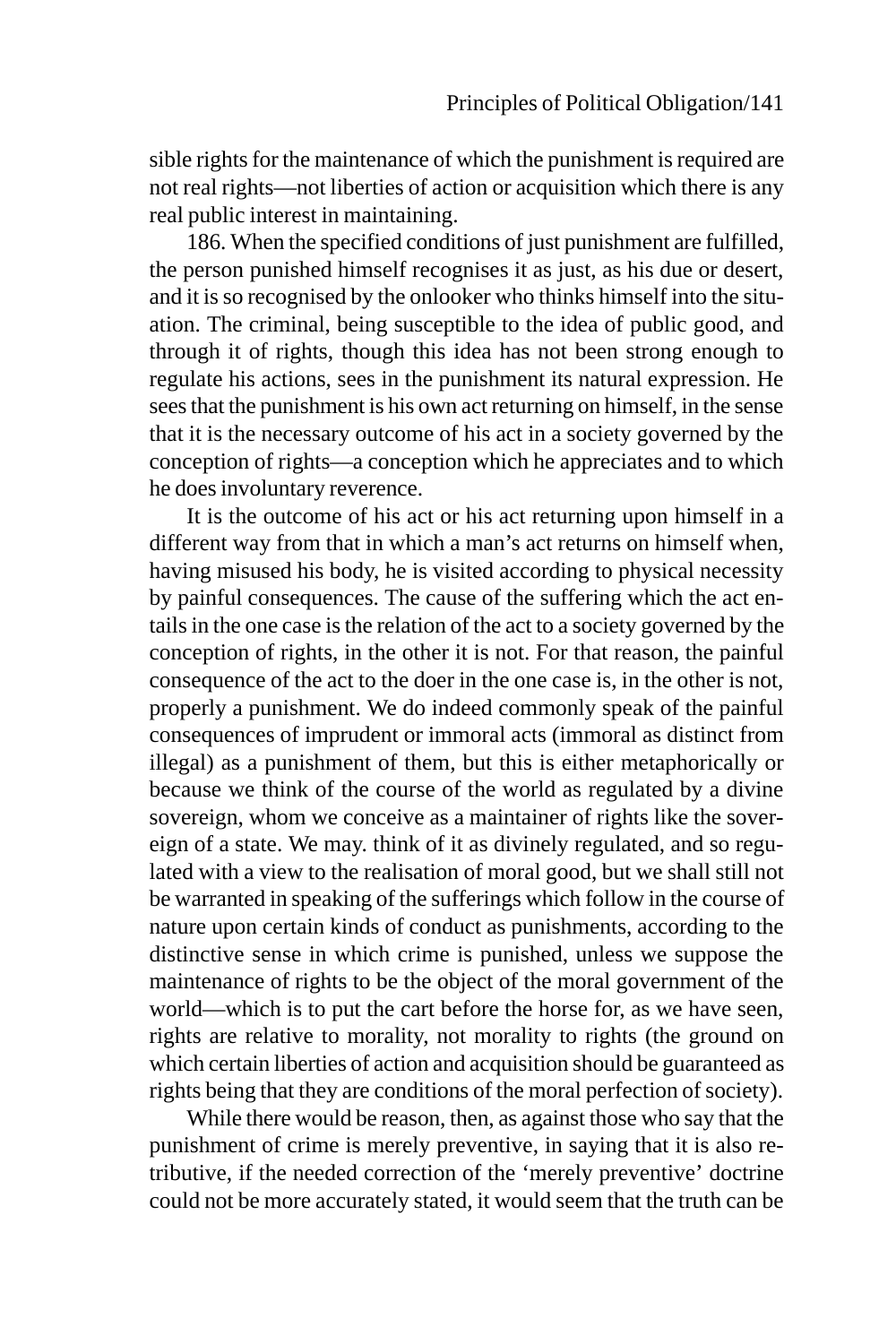sible rights for the maintenance of which the punishment is required are not real rights—not liberties of action or acquisition which there is any real public interest in maintaining.

186. When the specified conditions of just punishment are fulfilled, the person punished himself recognises it as just, as his due or desert, and it is so recognised by the onlooker who thinks himself into the situation. The criminal, being susceptible to the idea of public good, and through it of rights, though this idea has not been strong enough to regulate his actions, sees in the punishment its natural expression. He sees that the punishment is his own act returning on himself, in the sense that it is the necessary outcome of his act in a society governed by the conception of rights—a conception which he appreciates and to which he does involuntary reverence.

It is the outcome of his act or his act returning upon himself in a different way from that in which a man's act returns on himself when, having misused his body, he is visited according to physical necessity by painful consequences. The cause of the suffering which the act entails in the one case is the relation of the act to a society governed by the conception of rights, in the other it is not. For that reason, the painful consequence of the act to the doer in the one case is, in the other is not, properly a punishment. We do indeed commonly speak of the painful consequences of imprudent or immoral acts (immoral as distinct from illegal) as a punishment of them, but this is either metaphorically or because we think of the course of the world as regulated by a divine sovereign, whom we conceive as a maintainer of rights like the sovereign of a state. We may. think of it as divinely regulated, and so regulated with a view to the realisation of moral good, but we shall still not be warranted in speaking of the sufferings which follow in the course of nature upon certain kinds of conduct as punishments, according to the distinctive sense in which crime is punished, unless we suppose the maintenance of rights to be the object of the moral government of the world—which is to put the cart before the horse for, as we have seen, rights are relative to morality, not morality to rights (the ground on which certain liberties of action and acquisition should be guaranteed as rights being that they are conditions of the moral perfection of society).

While there would be reason, then, as against those who say that the punishment of crime is merely preventive, in saying that it is also retributive, if the needed correction of the 'merely preventive' doctrine could not be more accurately stated, it would seem that the truth can be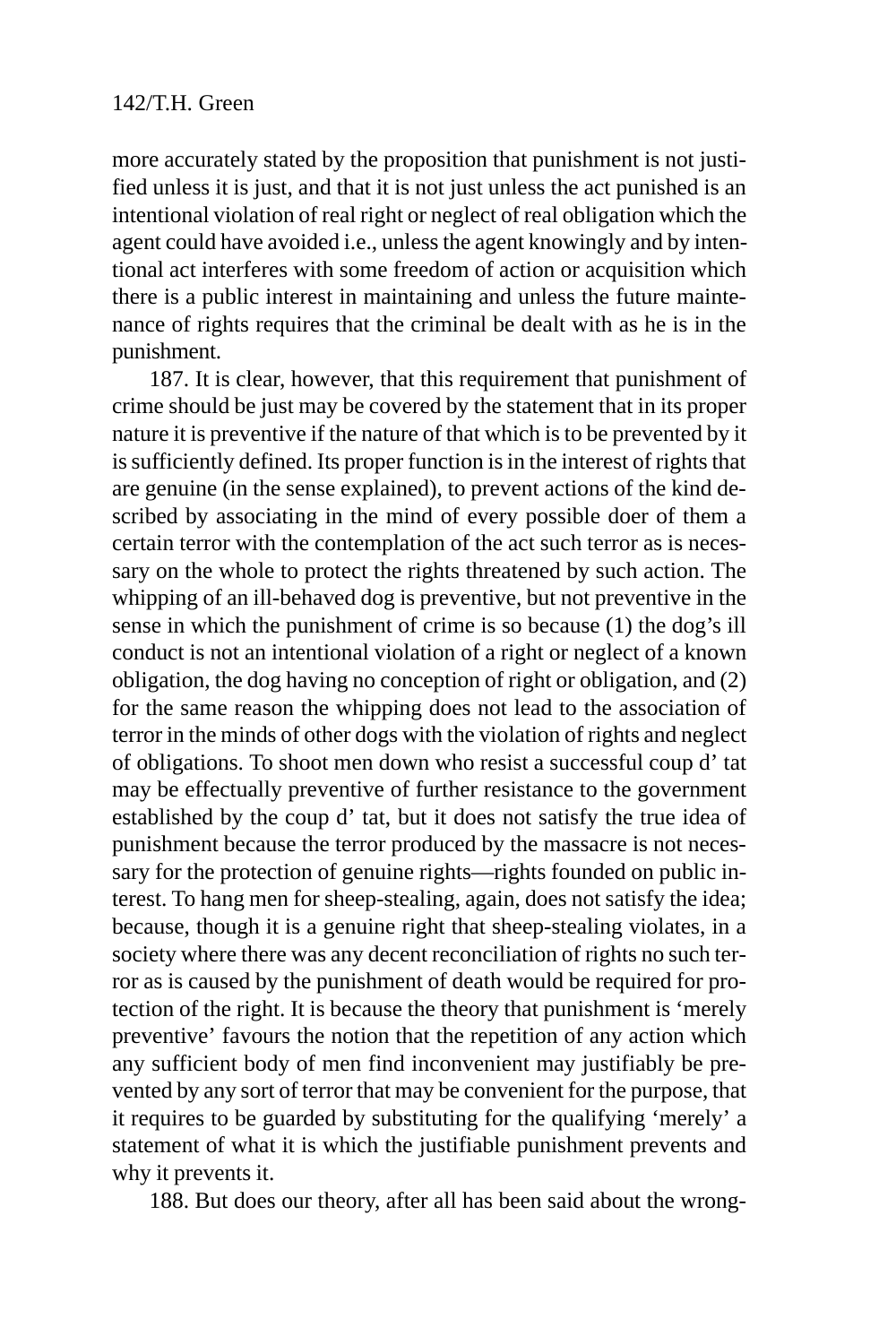more accurately stated by the proposition that punishment is not justified unless it is just, and that it is not just unless the act punished is an intentional violation of real right or neglect of real obligation which the agent could have avoided i.e., unless the agent knowingly and by intentional act interferes with some freedom of action or acquisition which there is a public interest in maintaining and unless the future maintenance of rights requires that the criminal be dealt with as he is in the punishment.

187. It is clear, however, that this requirement that punishment of crime should be just may be covered by the statement that in its proper nature it is preventive if the nature of that which is to be prevented by it is sufficiently defined. Its proper function is in the interest of rights that are genuine (in the sense explained), to prevent actions of the kind described by associating in the mind of every possible doer of them a certain terror with the contemplation of the act such terror as is necessary on the whole to protect the rights threatened by such action. The whipping of an ill-behaved dog is preventive, but not preventive in the sense in which the punishment of crime is so because (1) the dog's ill conduct is not an intentional violation of a right or neglect of a known obligation, the dog having no conception of right or obligation, and (2) for the same reason the whipping does not lead to the association of terror in the minds of other dogs with the violation of rights and neglect of obligations. To shoot men down who resist a successful coup d' tat may be effectually preventive of further resistance to the government established by the coup d' tat, but it does not satisfy the true idea of punishment because the terror produced by the massacre is not necessary for the protection of genuine rights—rights founded on public interest. To hang men for sheep-stealing, again, does not satisfy the idea; because, though it is a genuine right that sheep-stealing violates, in a society where there was any decent reconciliation of rights no such terror as is caused by the punishment of death would be required for protection of the right. It is because the theory that punishment is 'merely preventive' favours the notion that the repetition of any action which any sufficient body of men find inconvenient may justifiably be prevented by any sort of terror that may be convenient for the purpose, that it requires to be guarded by substituting for the qualifying 'merely' a statement of what it is which the justifiable punishment prevents and why it prevents it.

188. But does our theory, after all has been said about the wrong-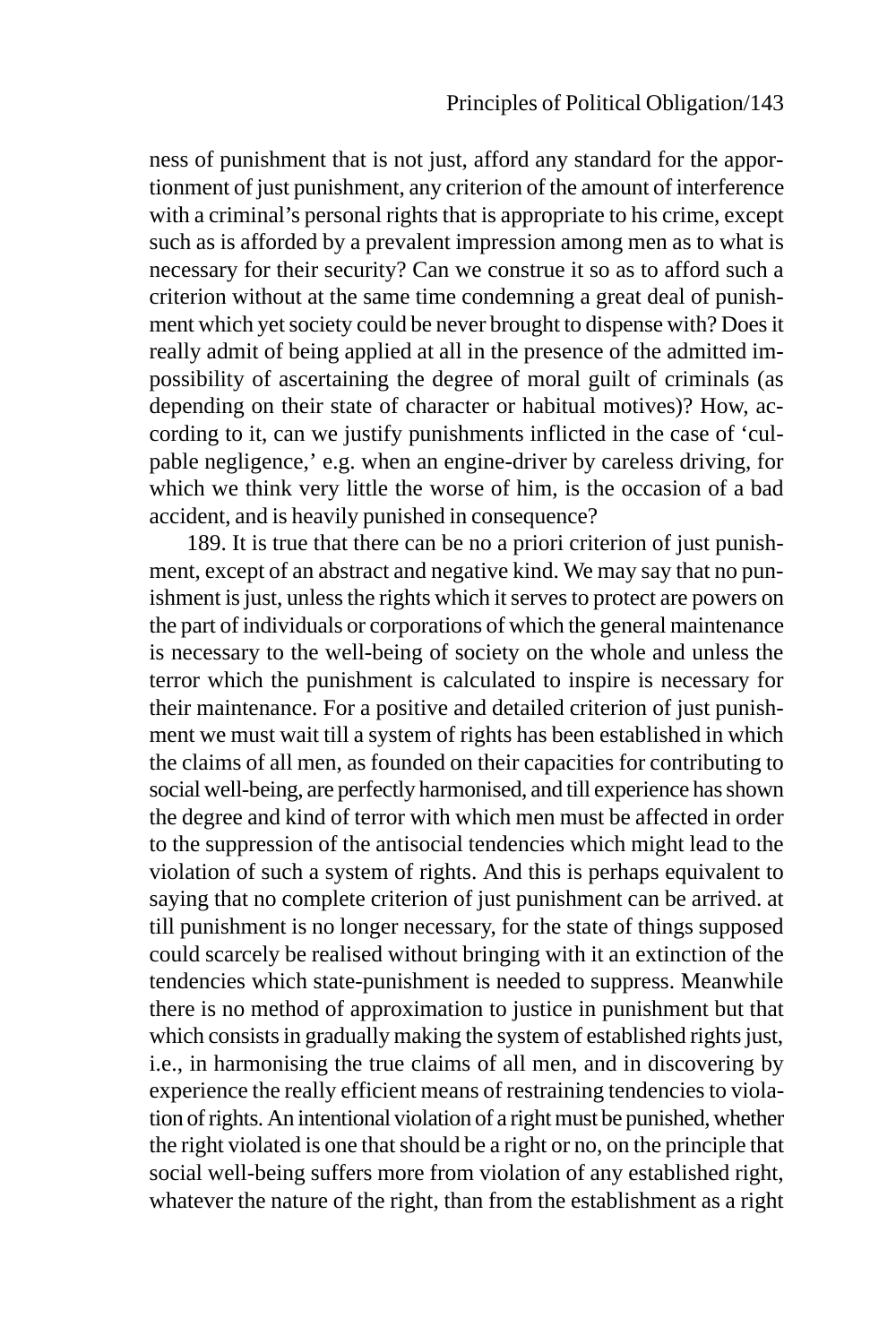ness of punishment that is not just, afford any standard for the apportionment of just punishment, any criterion of the amount of interference with a criminal's personal rights that is appropriate to his crime, except such as is afforded by a prevalent impression among men as to what is necessary for their security? Can we construe it so as to afford such a criterion without at the same time condemning a great deal of punishment which yet society could be never brought to dispense with? Does it really admit of being applied at all in the presence of the admitted impossibility of ascertaining the degree of moral guilt of criminals (as depending on their state of character or habitual motives)? How, according to it, can we justify punishments inflicted in the case of 'culpable negligence,' e.g. when an engine-driver by careless driving, for which we think very little the worse of him, is the occasion of a bad accident, and is heavily punished in consequence?

189. It is true that there can be no a priori criterion of just punishment, except of an abstract and negative kind. We may say that no punishment is just, unless the rights which it serves to protect are powers on the part of individuals or corporations of which the general maintenance is necessary to the well-being of society on the whole and unless the terror which the punishment is calculated to inspire is necessary for their maintenance. For a positive and detailed criterion of just punishment we must wait till a system of rights has been established in which the claims of all men, as founded on their capacities for contributing to social well-being, are perfectly harmonised, and till experience has shown the degree and kind of terror with which men must be affected in order to the suppression of the antisocial tendencies which might lead to the violation of such a system of rights. And this is perhaps equivalent to saying that no complete criterion of just punishment can be arrived. at till punishment is no longer necessary, for the state of things supposed could scarcely be realised without bringing with it an extinction of the tendencies which state-punishment is needed to suppress. Meanwhile there is no method of approximation to justice in punishment but that which consists in gradually making the system of established rights just, i.e., in harmonising the true claims of all men, and in discovering by experience the really efficient means of restraining tendencies to violation of rights. An intentional violation of a right must be punished, whether the right violated is one that should be a right or no, on the principle that social well-being suffers more from violation of any established right, whatever the nature of the right, than from the establishment as a right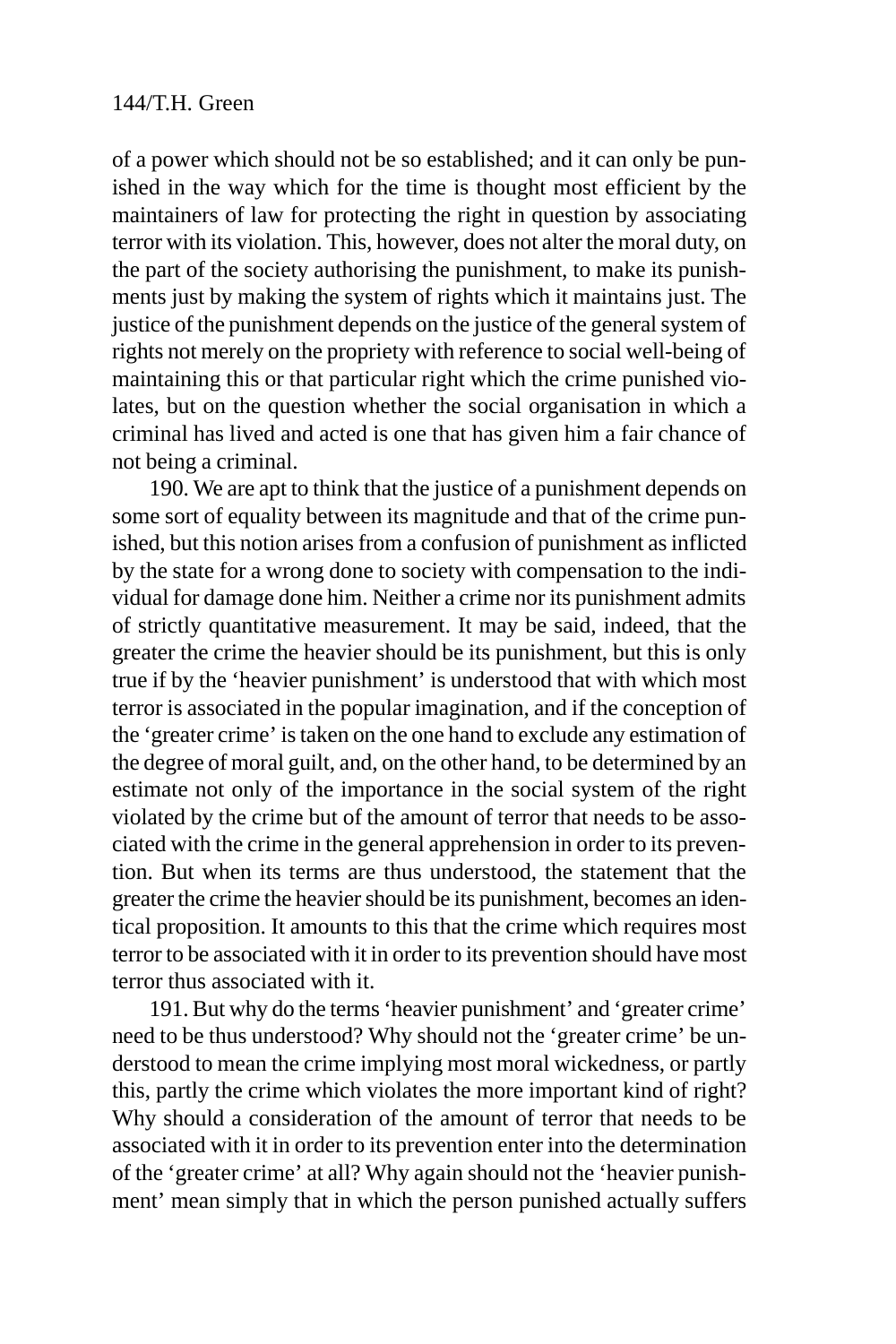of a power which should not be so established; and it can only be punished in the way which for the time is thought most efficient by the maintainers of law for protecting the right in question by associating terror with its violation. This, however, does not alter the moral duty, on the part of the society authorising the punishment, to make its punishments just by making the system of rights which it maintains just. The justice of the punishment depends on the justice of the general system of rights not merely on the propriety with reference to social well-being of maintaining this or that particular right which the crime punished violates, but on the question whether the social organisation in which a criminal has lived and acted is one that has given him a fair chance of not being a criminal.

190. We are apt to think that the justice of a punishment depends on some sort of equality between its magnitude and that of the crime punished, but this notion arises from a confusion of punishment as inflicted by the state for a wrong done to society with compensation to the individual for damage done him. Neither a crime nor its punishment admits of strictly quantitative measurement. It may be said, indeed, that the greater the crime the heavier should be its punishment, but this is only true if by the 'heavier punishment' is understood that with which most terror is associated in the popular imagination, and if the conception of the 'greater crime' is taken on the one hand to exclude any estimation of the degree of moral guilt, and, on the other hand, to be determined by an estimate not only of the importance in the social system of the right violated by the crime but of the amount of terror that needs to be associated with the crime in the general apprehension in order to its prevention. But when its terms are thus understood, the statement that the greater the crime the heavier should be its punishment, becomes an identical proposition. It amounts to this that the crime which requires most terror to be associated with it in order to its prevention should have most terror thus associated with it.

191. But why do the terms 'heavier punishment' and 'greater crime' need to be thus understood? Why should not the 'greater crime' be understood to mean the crime implying most moral wickedness, or partly this, partly the crime which violates the more important kind of right? Why should a consideration of the amount of terror that needs to be associated with it in order to its prevention enter into the determination of the 'greater crime' at all? Why again should not the 'heavier punishment' mean simply that in which the person punished actually suffers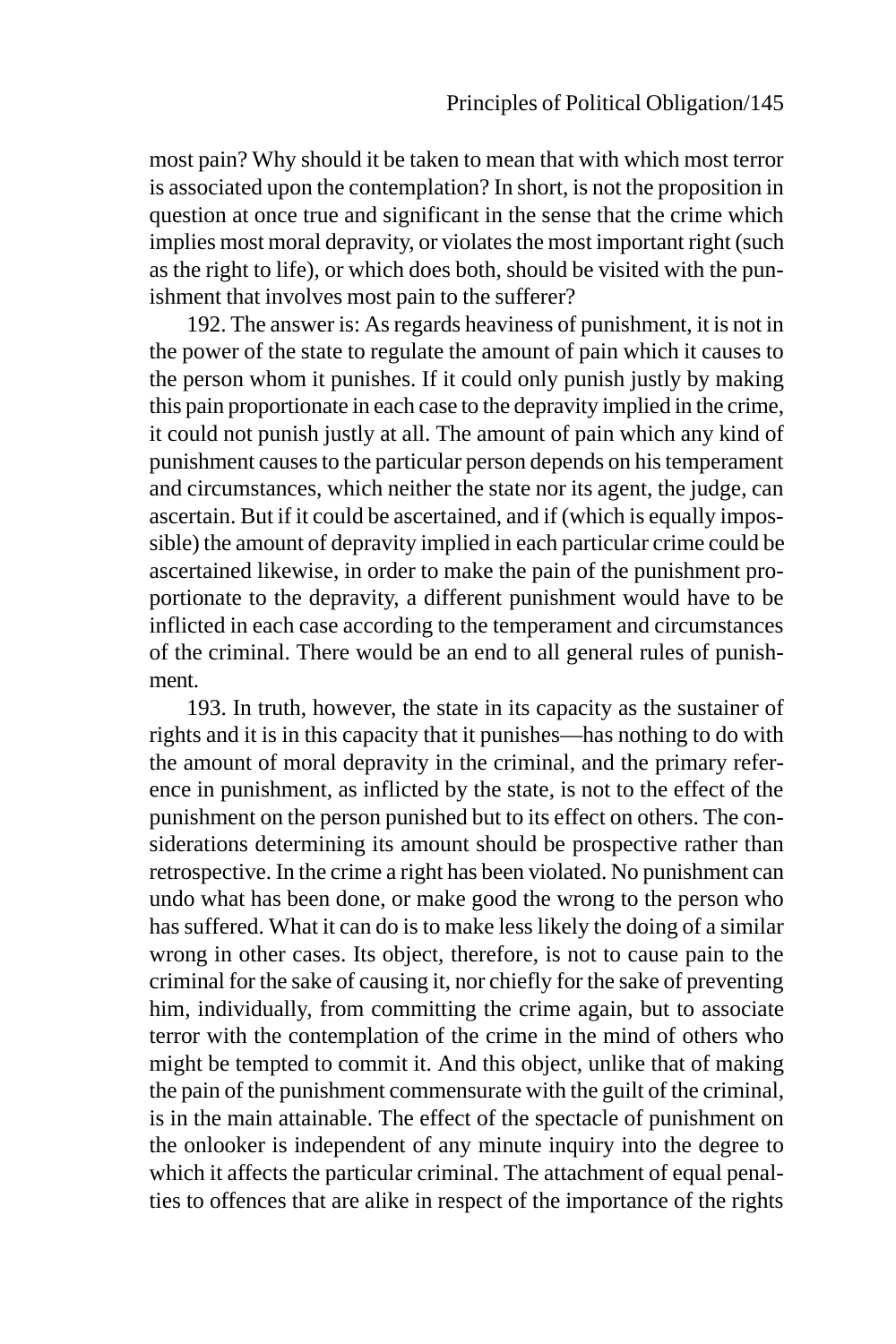most pain? Why should it be taken to mean that with which most terror is associated upon the contemplation? In short, is not the proposition in question at once true and significant in the sense that the crime which implies most moral depravity, or violates the most important right (such as the right to life), or which does both, should be visited with the punishment that involves most pain to the sufferer?

192. The answer is: As regards heaviness of punishment, it is not in the power of the state to regulate the amount of pain which it causes to the person whom it punishes. If it could only punish justly by making this pain proportionate in each case to the depravity implied in the crime, it could not punish justly at all. The amount of pain which any kind of punishment causes to the particular person depends on his temperament and circumstances, which neither the state nor its agent, the judge, can ascertain. But if it could be ascertained, and if (which is equally impossible) the amount of depravity implied in each particular crime could be ascertained likewise, in order to make the pain of the punishment proportionate to the depravity, a different punishment would have to be inflicted in each case according to the temperament and circumstances of the criminal. There would be an end to all general rules of punishment.

193. In truth, however, the state in its capacity as the sustainer of rights and it is in this capacity that it punishes—has nothing to do with the amount of moral depravity in the criminal, and the primary reference in punishment, as inflicted by the state, is not to the effect of the punishment on the person punished but to its effect on others. The considerations determining its amount should be prospective rather than retrospective. In the crime a right has been violated. No punishment can undo what has been done, or make good the wrong to the person who has suffered. What it can do is to make less likely the doing of a similar wrong in other cases. Its object, therefore, is not to cause pain to the criminal for the sake of causing it, nor chiefly for the sake of preventing him, individually, from committing the crime again, but to associate terror with the contemplation of the crime in the mind of others who might be tempted to commit it. And this object, unlike that of making the pain of the punishment commensurate with the guilt of the criminal, is in the main attainable. The effect of the spectacle of punishment on the onlooker is independent of any minute inquiry into the degree to which it affects the particular criminal. The attachment of equal penalties to offences that are alike in respect of the importance of the rights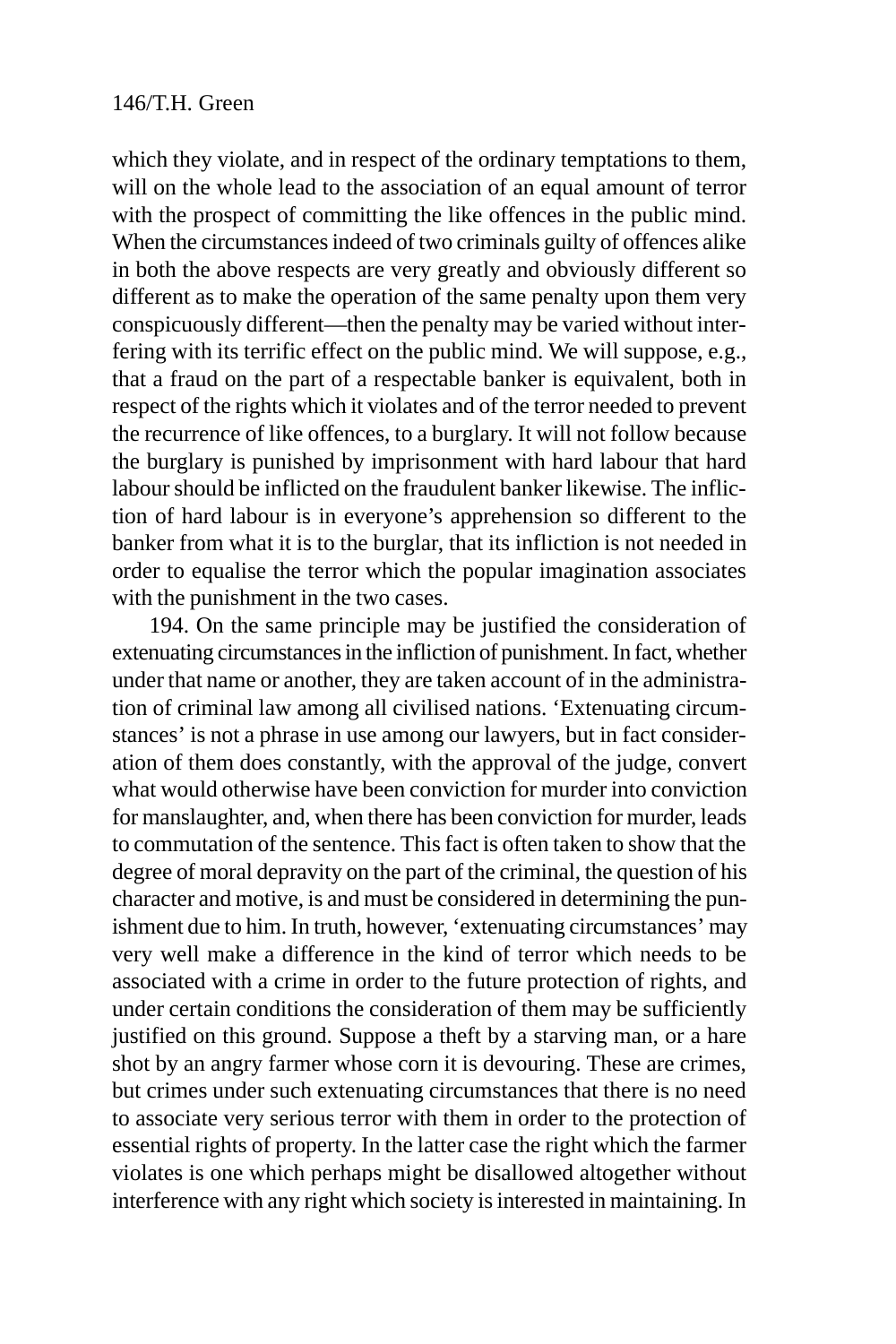which they violate, and in respect of the ordinary temptations to them, will on the whole lead to the association of an equal amount of terror with the prospect of committing the like offences in the public mind. When the circumstances indeed of two criminals guilty of offences alike in both the above respects are very greatly and obviously different so different as to make the operation of the same penalty upon them very conspicuously different—then the penalty may be varied without interfering with its terrific effect on the public mind. We will suppose, e.g., that a fraud on the part of a respectable banker is equivalent, both in respect of the rights which it violates and of the terror needed to prevent the recurrence of like offences, to a burglary. It will not follow because the burglary is punished by imprisonment with hard labour that hard labour should be inflicted on the fraudulent banker likewise. The infliction of hard labour is in everyone's apprehension so different to the banker from what it is to the burglar, that its infliction is not needed in order to equalise the terror which the popular imagination associates with the punishment in the two cases.

194. On the same principle may be justified the consideration of extenuating circumstances in the infliction of punishment. In fact, whether under that name or another, they are taken account of in the administration of criminal law among all civilised nations. 'Extenuating circumstances' is not a phrase in use among our lawyers, but in fact consideration of them does constantly, with the approval of the judge, convert what would otherwise have been conviction for murder into conviction for manslaughter, and, when there has been conviction for murder, leads to commutation of the sentence. This fact is often taken to show that the degree of moral depravity on the part of the criminal, the question of his character and motive, is and must be considered in determining the punishment due to him. In truth, however, 'extenuating circumstances' may very well make a difference in the kind of terror which needs to be associated with a crime in order to the future protection of rights, and under certain conditions the consideration of them may be sufficiently justified on this ground. Suppose a theft by a starving man, or a hare shot by an angry farmer whose corn it is devouring. These are crimes, but crimes under such extenuating circumstances that there is no need to associate very serious terror with them in order to the protection of essential rights of property. In the latter case the right which the farmer violates is one which perhaps might be disallowed altogether without interference with any right which society is interested in maintaining. In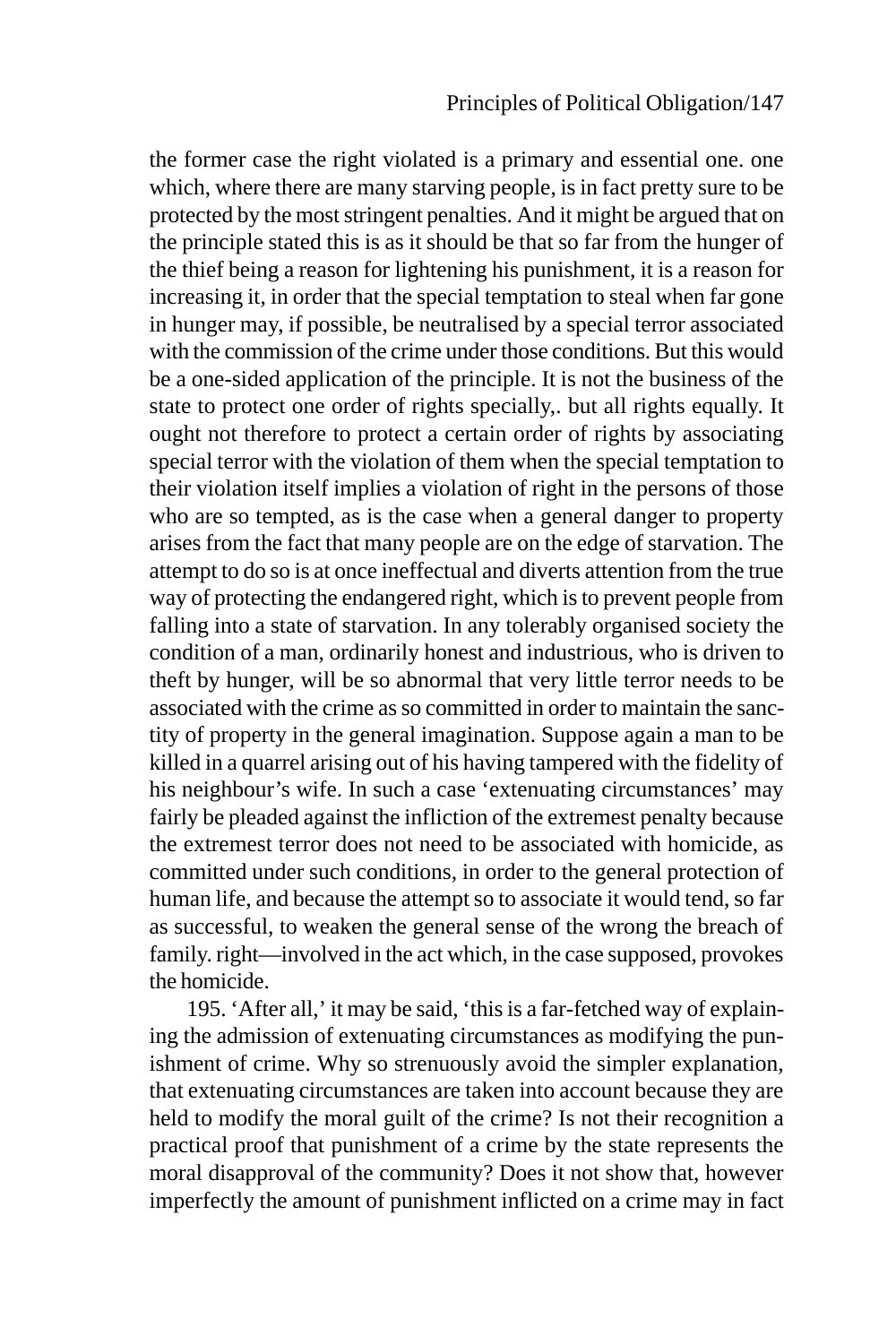the former case the right violated is a primary and essential one. one which, where there are many starving people, is in fact pretty sure to be protected by the most stringent penalties. And it might be argued that on the principle stated this is as it should be that so far from the hunger of the thief being a reason for lightening his punishment, it is a reason for increasing it, in order that the special temptation to steal when far gone in hunger may, if possible, be neutralised by a special terror associated with the commission of the crime under those conditions. But this would be a one-sided application of the principle. It is not the business of the state to protect one order of rights specially,. but all rights equally. It ought not therefore to protect a certain order of rights by associating special terror with the violation of them when the special temptation to their violation itself implies a violation of right in the persons of those who are so tempted, as is the case when a general danger to property arises from the fact that many people are on the edge of starvation. The attempt to do so is at once ineffectual and diverts attention from the true way of protecting the endangered right, which is to prevent people from falling into a state of starvation. In any tolerably organised society the condition of a man, ordinarily honest and industrious, who is driven to theft by hunger, will be so abnormal that very little terror needs to be associated with the crime as so committed in order to maintain the sanctity of property in the general imagination. Suppose again a man to be killed in a quarrel arising out of his having tampered with the fidelity of his neighbour's wife. In such a case 'extenuating circumstances' may fairly be pleaded against the infliction of the extremest penalty because the extremest terror does not need to be associated with homicide, as committed under such conditions, in order to the general protection of human life, and because the attempt so to associate it would tend, so far as successful, to weaken the general sense of the wrong the breach of family. right—involved in the act which, in the case supposed, provokes the homicide.

195. 'After all,' it may be said, 'this is a far-fetched way of explaining the admission of extenuating circumstances as modifying the punishment of crime. Why so strenuously avoid the simpler explanation, that extenuating circumstances are taken into account because they are held to modify the moral guilt of the crime? Is not their recognition a practical proof that punishment of a crime by the state represents the moral disapproval of the community? Does it not show that, however imperfectly the amount of punishment inflicted on a crime may in fact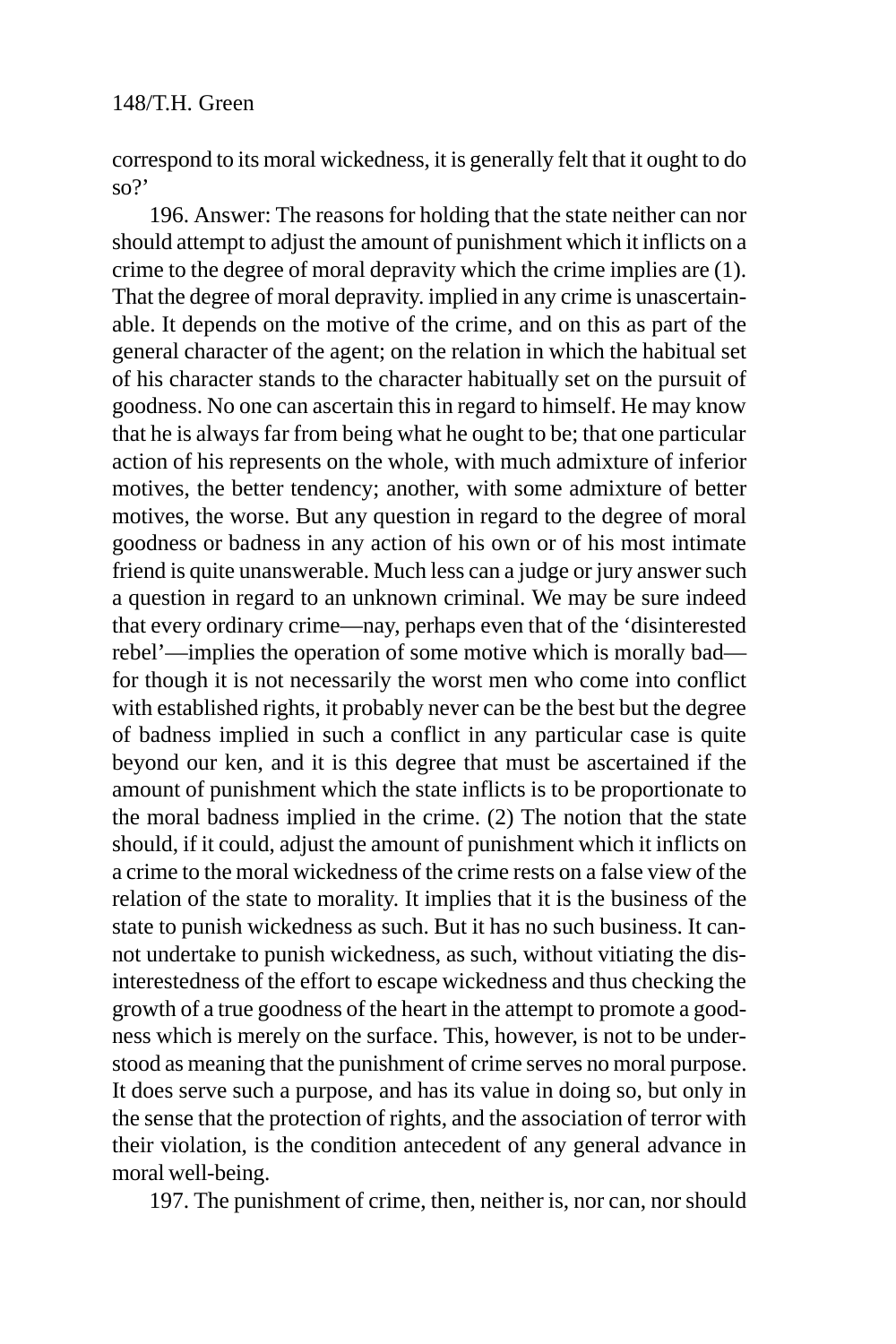correspond to its moral wickedness, it is generally felt that it ought to do so?'

196. Answer: The reasons for holding that the state neither can nor should attempt to adjust the amount of punishment which it inflicts on a crime to the degree of moral depravity which the crime implies are (1). That the degree of moral depravity. implied in any crime is unascertainable. It depends on the motive of the crime, and on this as part of the general character of the agent; on the relation in which the habitual set of his character stands to the character habitually set on the pursuit of goodness. No one can ascertain this in regard to himself. He may know that he is always far from being what he ought to be; that one particular action of his represents on the whole, with much admixture of inferior motives, the better tendency; another, with some admixture of better motives, the worse. But any question in regard to the degree of moral goodness or badness in any action of his own or of his most intimate friend is quite unanswerable. Much less can a judge or jury answer such a question in regard to an unknown criminal. We may be sure indeed that every ordinary crime—nay, perhaps even that of the 'disinterested rebel'—implies the operation of some motive which is morally bad for though it is not necessarily the worst men who come into conflict with established rights, it probably never can be the best but the degree of badness implied in such a conflict in any particular case is quite beyond our ken, and it is this degree that must be ascertained if the amount of punishment which the state inflicts is to be proportionate to the moral badness implied in the crime. (2) The notion that the state should, if it could, adjust the amount of punishment which it inflicts on a crime to the moral wickedness of the crime rests on a false view of the relation of the state to morality. It implies that it is the business of the state to punish wickedness as such. But it has no such business. It cannot undertake to punish wickedness, as such, without vitiating the disinterestedness of the effort to escape wickedness and thus checking the growth of a true goodness of the heart in the attempt to promote a goodness which is merely on the surface. This, however, is not to be understood as meaning that the punishment of crime serves no moral purpose. It does serve such a purpose, and has its value in doing so, but only in the sense that the protection of rights, and the association of terror with their violation, is the condition antecedent of any general advance in moral well-being.

197. The punishment of crime, then, neither is, nor can, nor should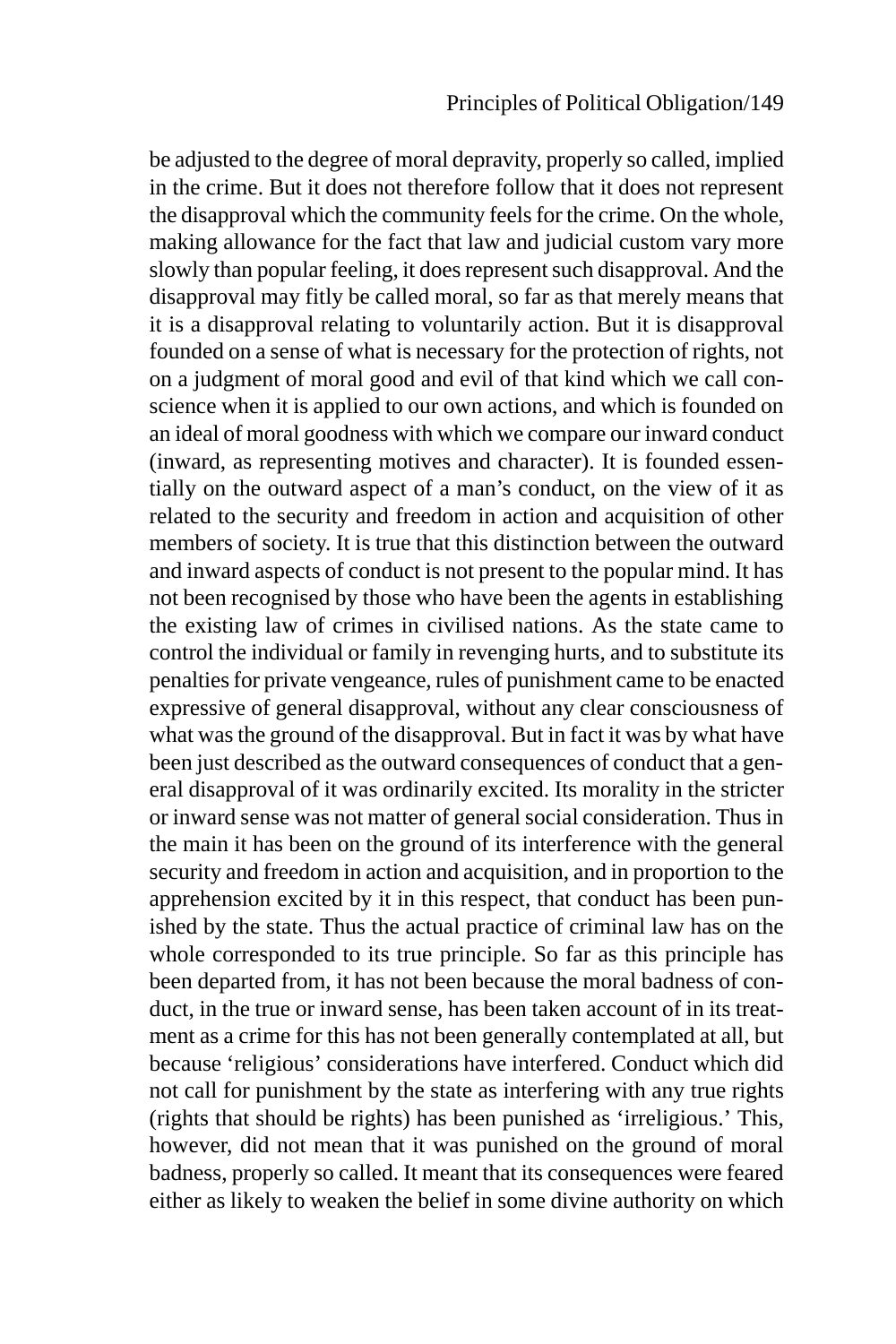be adjusted to the degree of moral depravity, properly so called, implied in the crime. But it does not therefore follow that it does not represent the disapproval which the community feels for the crime. On the whole, making allowance for the fact that law and judicial custom vary more slowly than popular feeling, it does represent such disapproval. And the disapproval may fitly be called moral, so far as that merely means that it is a disapproval relating to voluntarily action. But it is disapproval founded on a sense of what is necessary for the protection of rights, not on a judgment of moral good and evil of that kind which we call conscience when it is applied to our own actions, and which is founded on an ideal of moral goodness with which we compare our inward conduct (inward, as representing motives and character). It is founded essentially on the outward aspect of a man's conduct, on the view of it as related to the security and freedom in action and acquisition of other members of society. It is true that this distinction between the outward and inward aspects of conduct is not present to the popular mind. It has not been recognised by those who have been the agents in establishing the existing law of crimes in civilised nations. As the state came to control the individual or family in revenging hurts, and to substitute its penalties for private vengeance, rules of punishment came to be enacted expressive of general disapproval, without any clear consciousness of what was the ground of the disapproval. But in fact it was by what have been just described as the outward consequences of conduct that a general disapproval of it was ordinarily excited. Its morality in the stricter or inward sense was not matter of general social consideration. Thus in the main it has been on the ground of its interference with the general security and freedom in action and acquisition, and in proportion to the apprehension excited by it in this respect, that conduct has been punished by the state. Thus the actual practice of criminal law has on the whole corresponded to its true principle. So far as this principle has been departed from, it has not been because the moral badness of conduct, in the true or inward sense, has been taken account of in its treatment as a crime for this has not been generally contemplated at all, but because 'religious' considerations have interfered. Conduct which did not call for punishment by the state as interfering with any true rights (rights that should be rights) has been punished as 'irreligious.' This, however, did not mean that it was punished on the ground of moral badness, properly so called. It meant that its consequences were feared either as likely to weaken the belief in some divine authority on which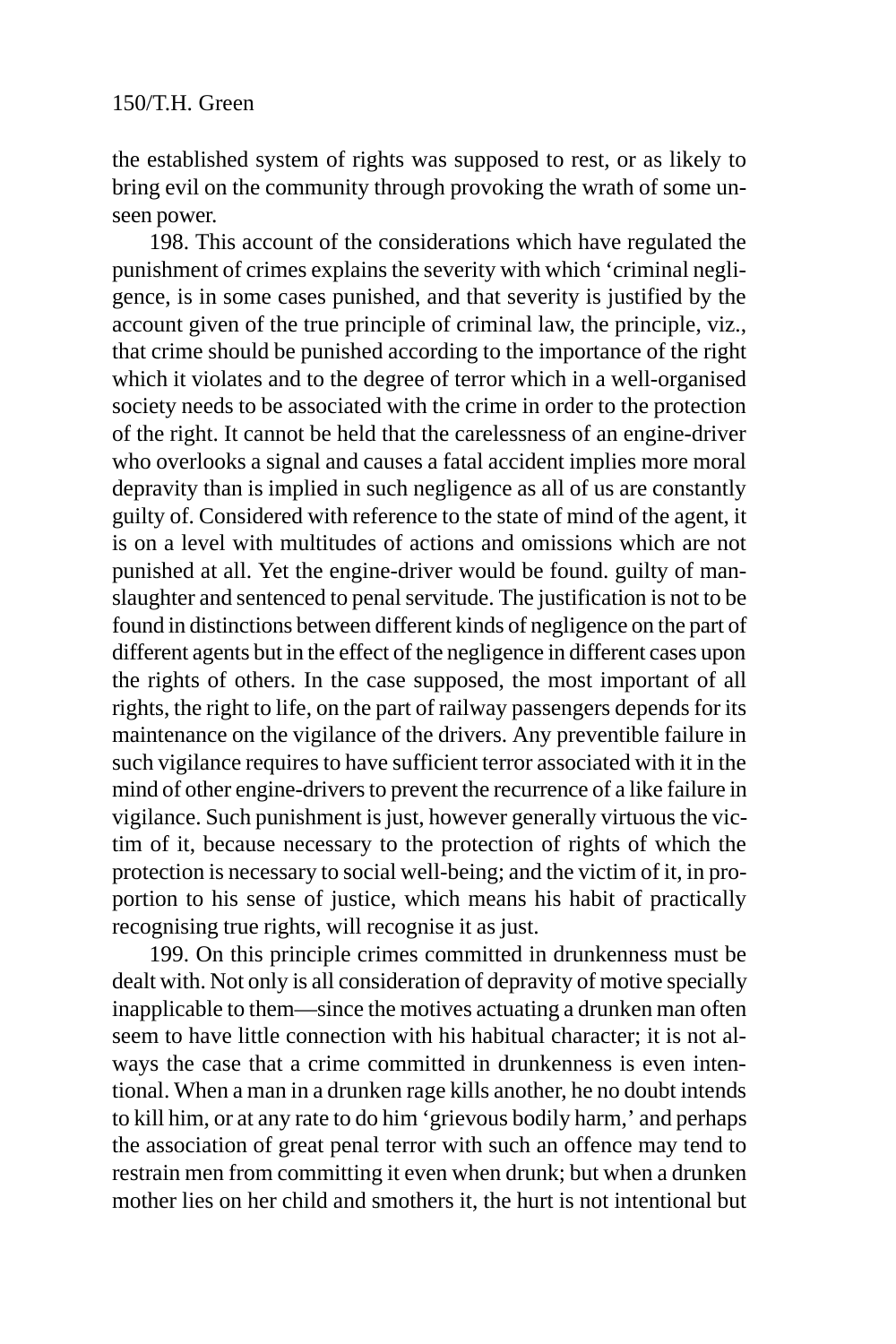the established system of rights was supposed to rest, or as likely to bring evil on the community through provoking the wrath of some unseen power.

198. This account of the considerations which have regulated the punishment of crimes explains the severity with which 'criminal negligence, is in some cases punished, and that severity is justified by the account given of the true principle of criminal law, the principle, viz., that crime should be punished according to the importance of the right which it violates and to the degree of terror which in a well-organised society needs to be associated with the crime in order to the protection of the right. It cannot be held that the carelessness of an engine-driver who overlooks a signal and causes a fatal accident implies more moral depravity than is implied in such negligence as all of us are constantly guilty of. Considered with reference to the state of mind of the agent, it is on a level with multitudes of actions and omissions which are not punished at all. Yet the engine-driver would be found. guilty of manslaughter and sentenced to penal servitude. The justification is not to be found in distinctions between different kinds of negligence on the part of different agents but in the effect of the negligence in different cases upon the rights of others. In the case supposed, the most important of all rights, the right to life, on the part of railway passengers depends for its maintenance on the vigilance of the drivers. Any preventible failure in such vigilance requires to have sufficient terror associated with it in the mind of other engine-drivers to prevent the recurrence of a like failure in vigilance. Such punishment is just, however generally virtuous the victim of it, because necessary to the protection of rights of which the protection is necessary to social well-being; and the victim of it, in proportion to his sense of justice, which means his habit of practically recognising true rights, will recognise it as just.

199. On this principle crimes committed in drunkenness must be dealt with. Not only is all consideration of depravity of motive specially inapplicable to them—since the motives actuating a drunken man often seem to have little connection with his habitual character; it is not always the case that a crime committed in drunkenness is even intentional. When a man in a drunken rage kills another, he no doubt intends to kill him, or at any rate to do him 'grievous bodily harm,' and perhaps the association of great penal terror with such an offence may tend to restrain men from committing it even when drunk; but when a drunken mother lies on her child and smothers it, the hurt is not intentional but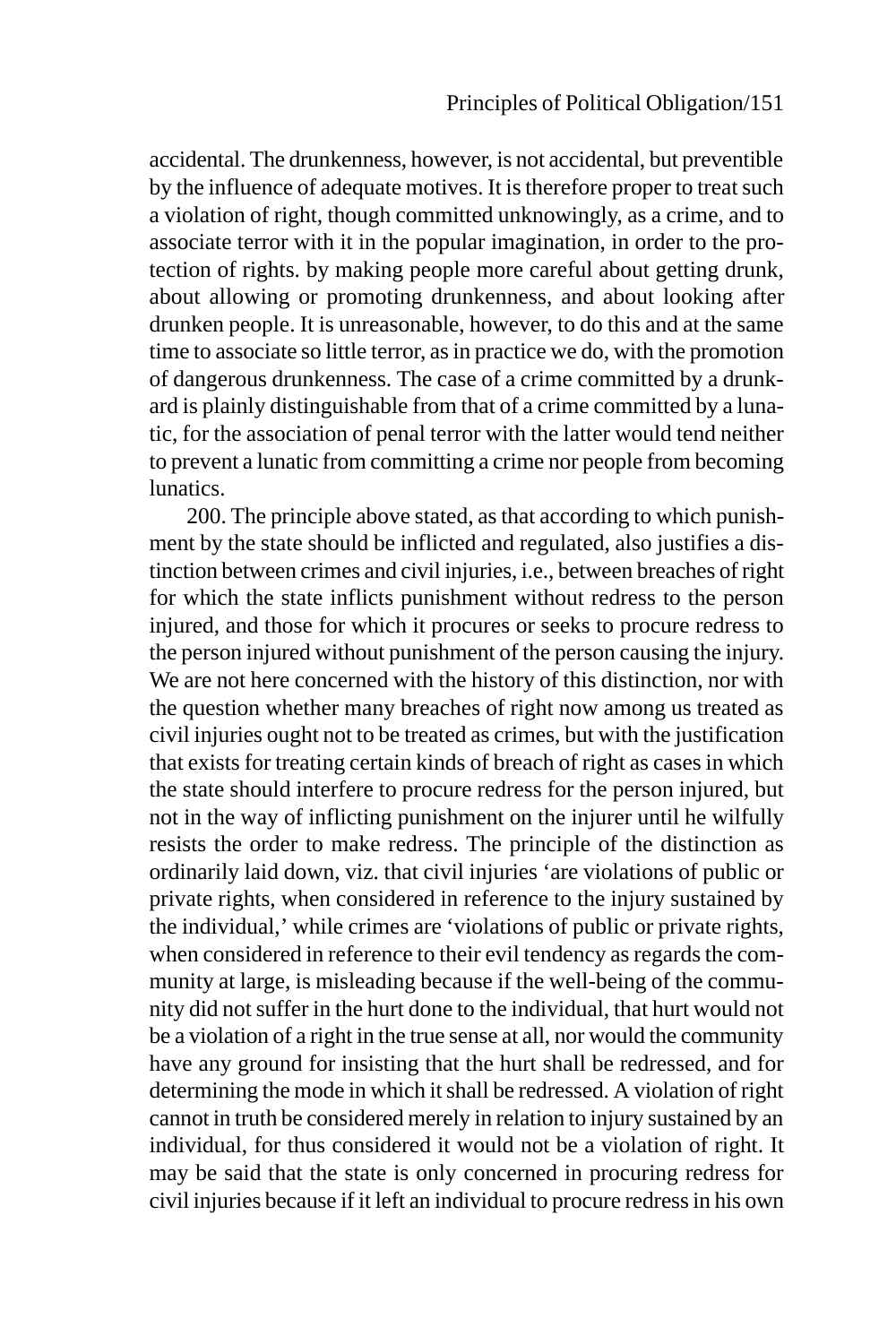accidental. The drunkenness, however, is not accidental, but preventible by the influence of adequate motives. It is therefore proper to treat such a violation of right, though committed unknowingly, as a crime, and to associate terror with it in the popular imagination, in order to the protection of rights. by making people more careful about getting drunk, about allowing or promoting drunkenness, and about looking after drunken people. It is unreasonable, however, to do this and at the same time to associate so little terror, as in practice we do, with the promotion of dangerous drunkenness. The case of a crime committed by a drunkard is plainly distinguishable from that of a crime committed by a lunatic, for the association of penal terror with the latter would tend neither to prevent a lunatic from committing a crime nor people from becoming lunatics.

200. The principle above stated, as that according to which punishment by the state should be inflicted and regulated, also justifies a distinction between crimes and civil injuries, i.e., between breaches of right for which the state inflicts punishment without redress to the person injured, and those for which it procures or seeks to procure redress to the person injured without punishment of the person causing the injury. We are not here concerned with the history of this distinction, nor with the question whether many breaches of right now among us treated as civil injuries ought not to be treated as crimes, but with the justification that exists for treating certain kinds of breach of right as cases in which the state should interfere to procure redress for the person injured, but not in the way of inflicting punishment on the injurer until he wilfully resists the order to make redress. The principle of the distinction as ordinarily laid down, viz. that civil injuries 'are violations of public or private rights, when considered in reference to the injury sustained by the individual,' while crimes are 'violations of public or private rights, when considered in reference to their evil tendency as regards the community at large, is misleading because if the well-being of the community did not suffer in the hurt done to the individual, that hurt would not be a violation of a right in the true sense at all, nor would the community have any ground for insisting that the hurt shall be redressed, and for determining the mode in which it shall be redressed. A violation of right cannot in truth be considered merely in relation to injury sustained by an individual, for thus considered it would not be a violation of right. It may be said that the state is only concerned in procuring redress for civil injuries because if it left an individual to procure redress in his own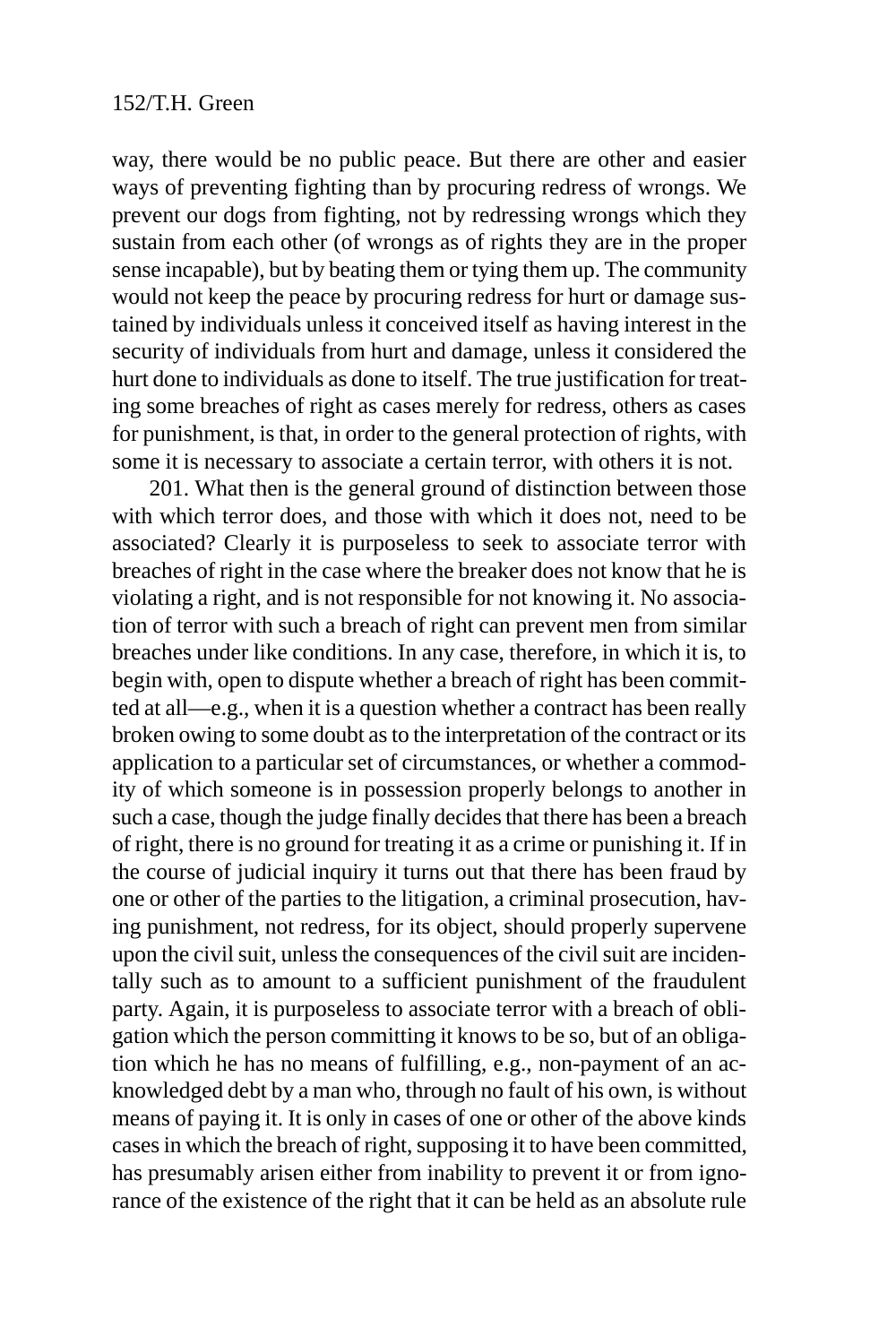way, there would be no public peace. But there are other and easier ways of preventing fighting than by procuring redress of wrongs. We prevent our dogs from fighting, not by redressing wrongs which they sustain from each other (of wrongs as of rights they are in the proper sense incapable), but by beating them or tying them up. The community would not keep the peace by procuring redress for hurt or damage sustained by individuals unless it conceived itself as having interest in the security of individuals from hurt and damage, unless it considered the hurt done to individuals as done to itself. The true justification for treating some breaches of right as cases merely for redress, others as cases for punishment, is that, in order to the general protection of rights, with some it is necessary to associate a certain terror, with others it is not.

201. What then is the general ground of distinction between those with which terror does, and those with which it does not, need to be associated? Clearly it is purposeless to seek to associate terror with breaches of right in the case where the breaker does not know that he is violating a right, and is not responsible for not knowing it. No association of terror with such a breach of right can prevent men from similar breaches under like conditions. In any case, therefore, in which it is, to begin with, open to dispute whether a breach of right has been committed at all—e.g., when it is a question whether a contract has been really broken owing to some doubt as to the interpretation of the contract or its application to a particular set of circumstances, or whether a commodity of which someone is in possession properly belongs to another in such a case, though the judge finally decides that there has been a breach of right, there is no ground for treating it as a crime or punishing it. If in the course of judicial inquiry it turns out that there has been fraud by one or other of the parties to the litigation, a criminal prosecution, having punishment, not redress, for its object, should properly supervene upon the civil suit, unless the consequences of the civil suit are incidentally such as to amount to a sufficient punishment of the fraudulent party. Again, it is purposeless to associate terror with a breach of obligation which the person committing it knows to be so, but of an obligation which he has no means of fulfilling, e.g., non-payment of an acknowledged debt by a man who, through no fault of his own, is without means of paying it. It is only in cases of one or other of the above kinds cases in which the breach of right, supposing it to have been committed, has presumably arisen either from inability to prevent it or from ignorance of the existence of the right that it can be held as an absolute rule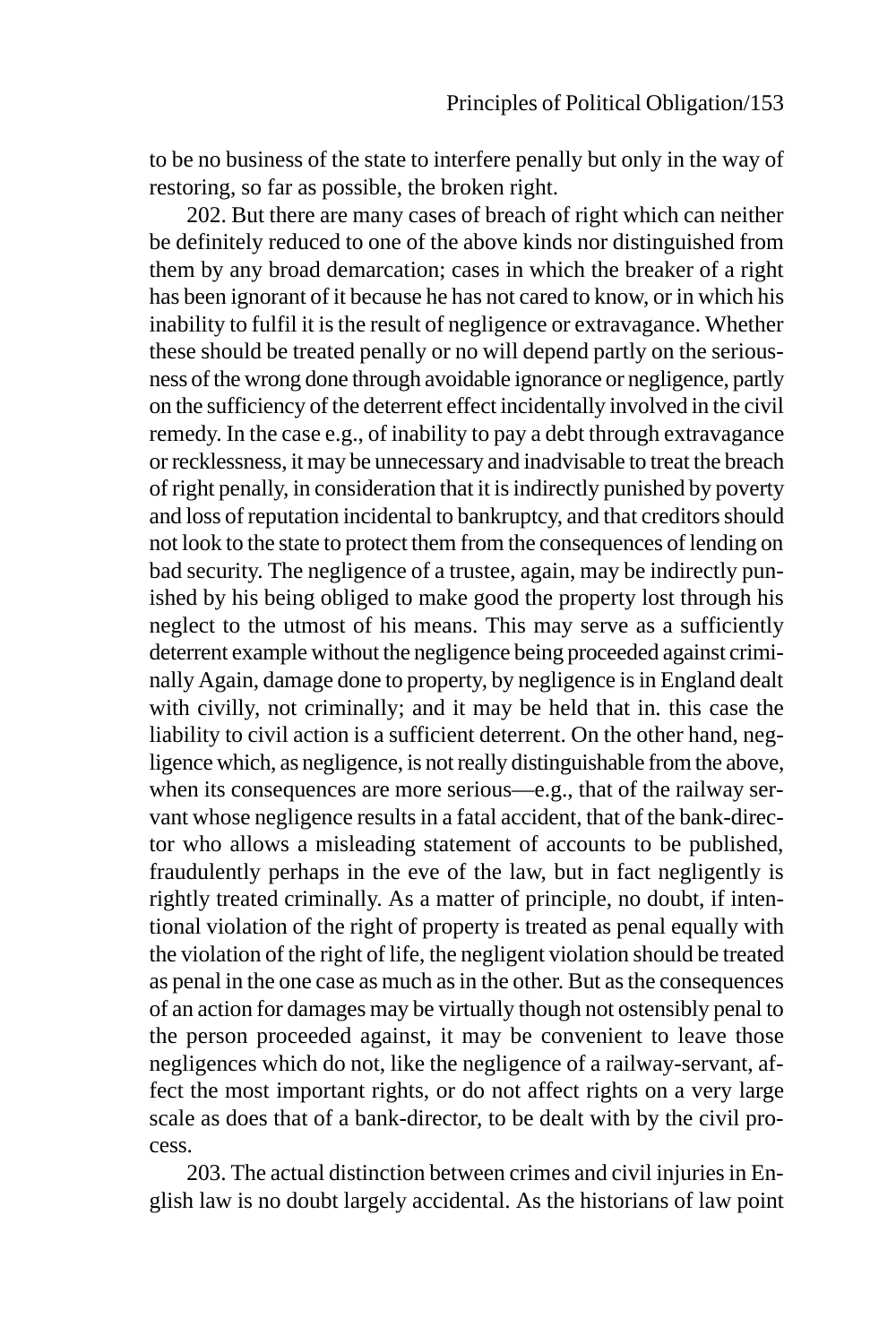to be no business of the state to interfere penally but only in the way of restoring, so far as possible, the broken right.

202. But there are many cases of breach of right which can neither be definitely reduced to one of the above kinds nor distinguished from them by any broad demarcation; cases in which the breaker of a right has been ignorant of it because he has not cared to know, or in which his inability to fulfil it is the result of negligence or extravagance. Whether these should be treated penally or no will depend partly on the seriousness of the wrong done through avoidable ignorance or negligence, partly on the sufficiency of the deterrent effect incidentally involved in the civil remedy. In the case e.g., of inability to pay a debt through extravagance or recklessness, it may be unnecessary and inadvisable to treat the breach of right penally, in consideration that it is indirectly punished by poverty and loss of reputation incidental to bankruptcy, and that creditors should not look to the state to protect them from the consequences of lending on bad security. The negligence of a trustee, again, may be indirectly punished by his being obliged to make good the property lost through his neglect to the utmost of his means. This may serve as a sufficiently deterrent example without the negligence being proceeded against criminally Again, damage done to property, by negligence is in England dealt with civilly, not criminally; and it may be held that in. this case the liability to civil action is a sufficient deterrent. On the other hand, negligence which, as negligence, is not really distinguishable from the above, when its consequences are more serious—e.g., that of the railway servant whose negligence results in a fatal accident, that of the bank-director who allows a misleading statement of accounts to be published, fraudulently perhaps in the eve of the law, but in fact negligently is rightly treated criminally. As a matter of principle, no doubt, if intentional violation of the right of property is treated as penal equally with the violation of the right of life, the negligent violation should be treated as penal in the one case as much as in the other. But as the consequences of an action for damages may be virtually though not ostensibly penal to the person proceeded against, it may be convenient to leave those negligences which do not, like the negligence of a railway-servant, affect the most important rights, or do not affect rights on a very large scale as does that of a bank-director, to be dealt with by the civil process.

203. The actual distinction between crimes and civil injuries in English law is no doubt largely accidental. As the historians of law point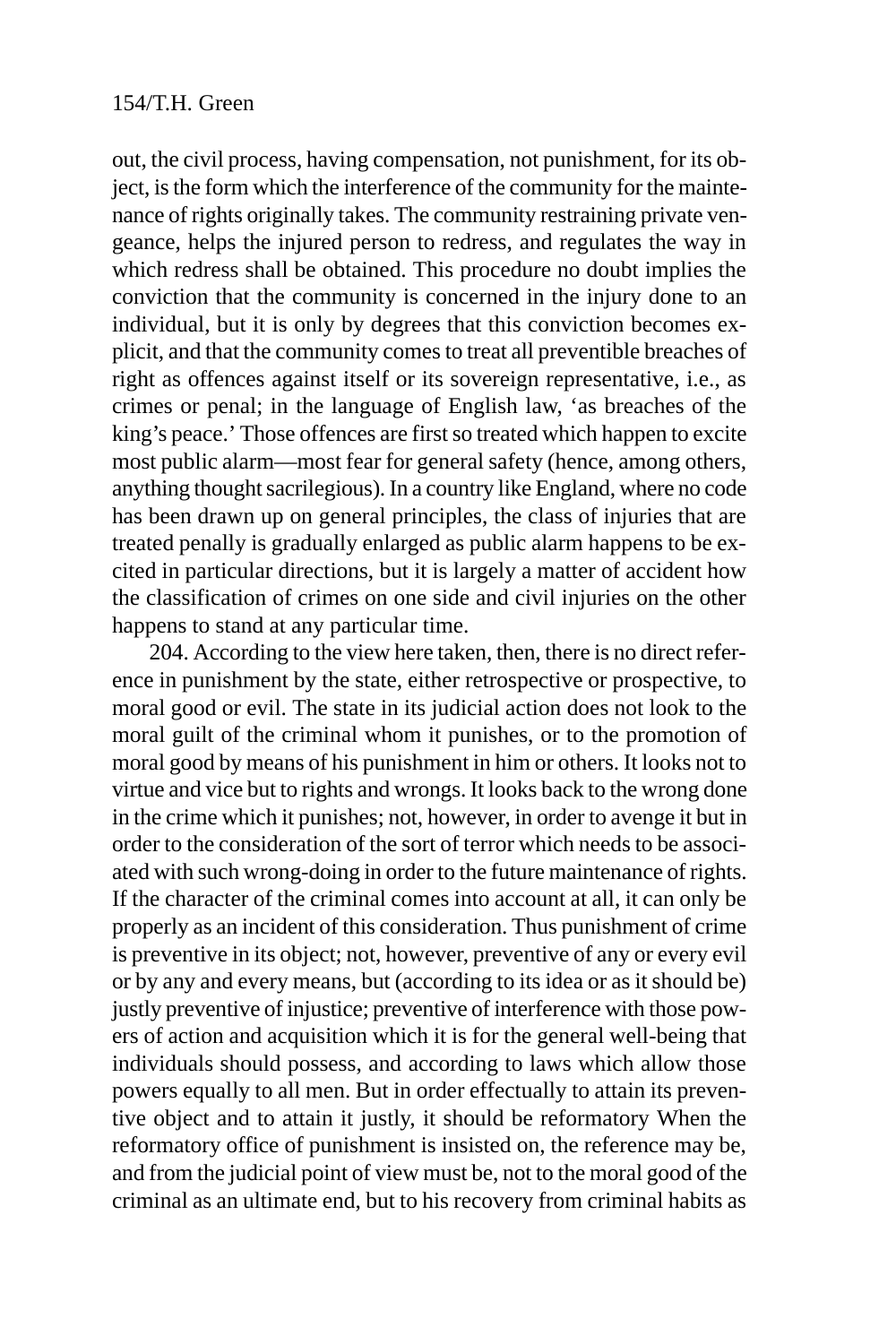out, the civil process, having compensation, not punishment, for its object, is the form which the interference of the community for the maintenance of rights originally takes. The community restraining private vengeance, helps the injured person to redress, and regulates the way in which redress shall be obtained. This procedure no doubt implies the conviction that the community is concerned in the injury done to an individual, but it is only by degrees that this conviction becomes explicit, and that the community comes to treat all preventible breaches of right as offences against itself or its sovereign representative, i.e., as crimes or penal; in the language of English law, 'as breaches of the king's peace.' Those offences are first so treated which happen to excite most public alarm—most fear for general safety (hence, among others, anything thought sacrilegious). In a country like England, where no code has been drawn up on general principles, the class of injuries that are treated penally is gradually enlarged as public alarm happens to be excited in particular directions, but it is largely a matter of accident how the classification of crimes on one side and civil injuries on the other happens to stand at any particular time.

204. According to the view here taken, then, there is no direct reference in punishment by the state, either retrospective or prospective, to moral good or evil. The state in its judicial action does not look to the moral guilt of the criminal whom it punishes, or to the promotion of moral good by means of his punishment in him or others. It looks not to virtue and vice but to rights and wrongs. It looks back to the wrong done in the crime which it punishes; not, however, in order to avenge it but in order to the consideration of the sort of terror which needs to be associated with such wrong-doing in order to the future maintenance of rights. If the character of the criminal comes into account at all, it can only be properly as an incident of this consideration. Thus punishment of crime is preventive in its object; not, however, preventive of any or every evil or by any and every means, but (according to its idea or as it should be) justly preventive of injustice; preventive of interference with those powers of action and acquisition which it is for the general well-being that individuals should possess, and according to laws which allow those powers equally to all men. But in order effectually to attain its preventive object and to attain it justly, it should be reformatory When the reformatory office of punishment is insisted on, the reference may be, and from the judicial point of view must be, not to the moral good of the criminal as an ultimate end, but to his recovery from criminal habits as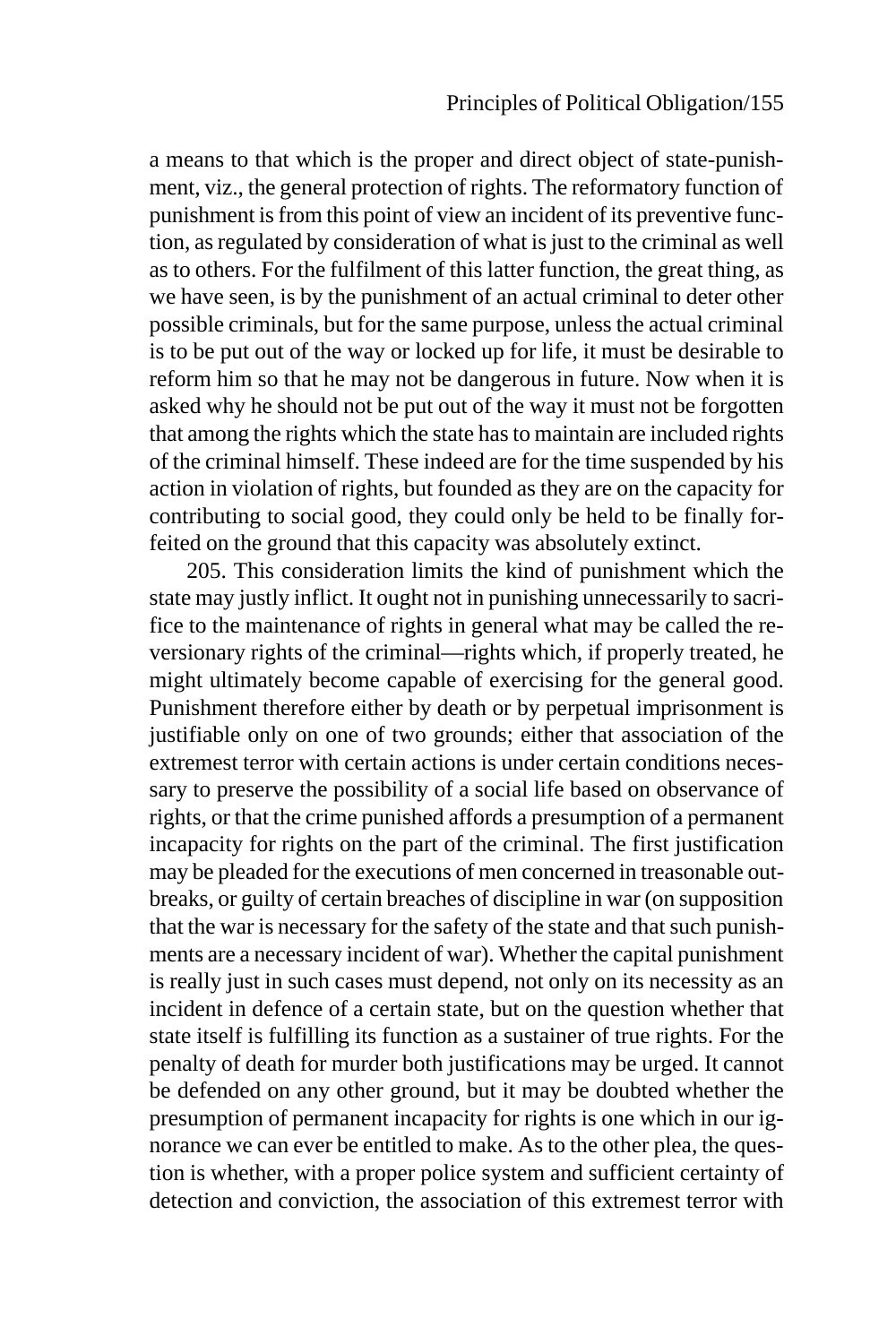a means to that which is the proper and direct object of state-punishment, viz., the general protection of rights. The reformatory function of punishment is from this point of view an incident of its preventive function, as regulated by consideration of what is just to the criminal as well as to others. For the fulfilment of this latter function, the great thing, as we have seen, is by the punishment of an actual criminal to deter other possible criminals, but for the same purpose, unless the actual criminal is to be put out of the way or locked up for life, it must be desirable to reform him so that he may not be dangerous in future. Now when it is asked why he should not be put out of the way it must not be forgotten that among the rights which the state has to maintain are included rights of the criminal himself. These indeed are for the time suspended by his action in violation of rights, but founded as they are on the capacity for contributing to social good, they could only be held to be finally forfeited on the ground that this capacity was absolutely extinct.

205. This consideration limits the kind of punishment which the state may justly inflict. It ought not in punishing unnecessarily to sacrifice to the maintenance of rights in general what may be called the reversionary rights of the criminal—rights which, if properly treated, he might ultimately become capable of exercising for the general good. Punishment therefore either by death or by perpetual imprisonment is justifiable only on one of two grounds; either that association of the extremest terror with certain actions is under certain conditions necessary to preserve the possibility of a social life based on observance of rights, or that the crime punished affords a presumption of a permanent incapacity for rights on the part of the criminal. The first justification may be pleaded for the executions of men concerned in treasonable outbreaks, or guilty of certain breaches of discipline in war (on supposition that the war is necessary for the safety of the state and that such punishments are a necessary incident of war). Whether the capital punishment is really just in such cases must depend, not only on its necessity as an incident in defence of a certain state, but on the question whether that state itself is fulfilling its function as a sustainer of true rights. For the penalty of death for murder both justifications may be urged. It cannot be defended on any other ground, but it may be doubted whether the presumption of permanent incapacity for rights is one which in our ignorance we can ever be entitled to make. As to the other plea, the question is whether, with a proper police system and sufficient certainty of detection and conviction, the association of this extremest terror with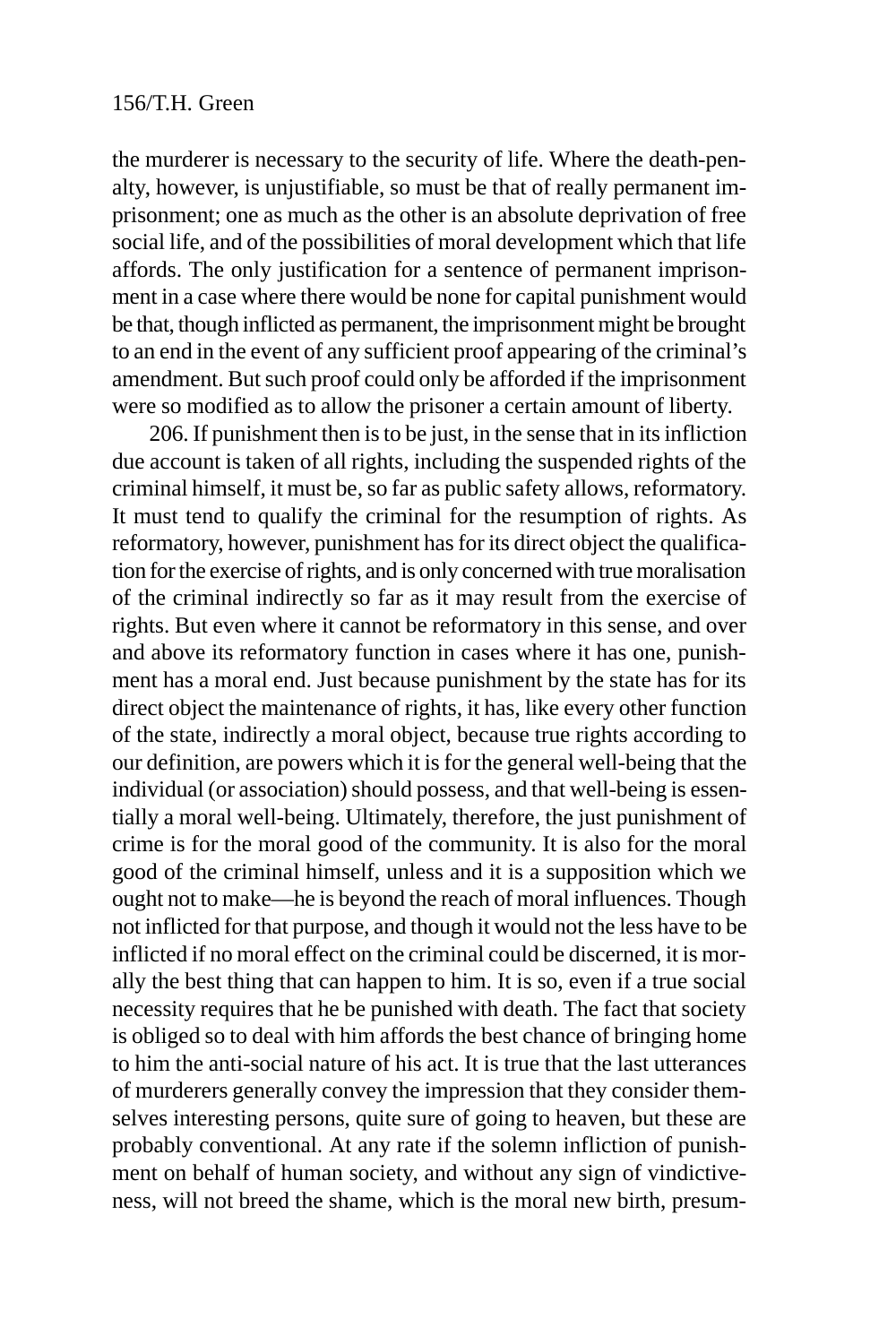the murderer is necessary to the security of life. Where the death-penalty, however, is unjustifiable, so must be that of really permanent imprisonment; one as much as the other is an absolute deprivation of free social life, and of the possibilities of moral development which that life affords. The only justification for a sentence of permanent imprisonment in a case where there would be none for capital punishment would be that, though inflicted as permanent, the imprisonment might be brought to an end in the event of any sufficient proof appearing of the criminal's amendment. But such proof could only be afforded if the imprisonment were so modified as to allow the prisoner a certain amount of liberty.

206. If punishment then is to be just, in the sense that in its infliction due account is taken of all rights, including the suspended rights of the criminal himself, it must be, so far as public safety allows, reformatory. It must tend to qualify the criminal for the resumption of rights. As reformatory, however, punishment has for its direct object the qualification for the exercise of rights, and is only concerned with true moralisation of the criminal indirectly so far as it may result from the exercise of rights. But even where it cannot be reformatory in this sense, and over and above its reformatory function in cases where it has one, punishment has a moral end. Just because punishment by the state has for its direct object the maintenance of rights, it has, like every other function of the state, indirectly a moral object, because true rights according to our definition, are powers which it is for the general well-being that the individual (or association) should possess, and that well-being is essentially a moral well-being. Ultimately, therefore, the just punishment of crime is for the moral good of the community. It is also for the moral good of the criminal himself, unless and it is a supposition which we ought not to make—he is beyond the reach of moral influences. Though not inflicted for that purpose, and though it would not the less have to be inflicted if no moral effect on the criminal could be discerned, it is morally the best thing that can happen to him. It is so, even if a true social necessity requires that he be punished with death. The fact that society is obliged so to deal with him affords the best chance of bringing home to him the anti-social nature of his act. It is true that the last utterances of murderers generally convey the impression that they consider themselves interesting persons, quite sure of going to heaven, but these are probably conventional. At any rate if the solemn infliction of punishment on behalf of human society, and without any sign of vindictiveness, will not breed the shame, which is the moral new birth, presum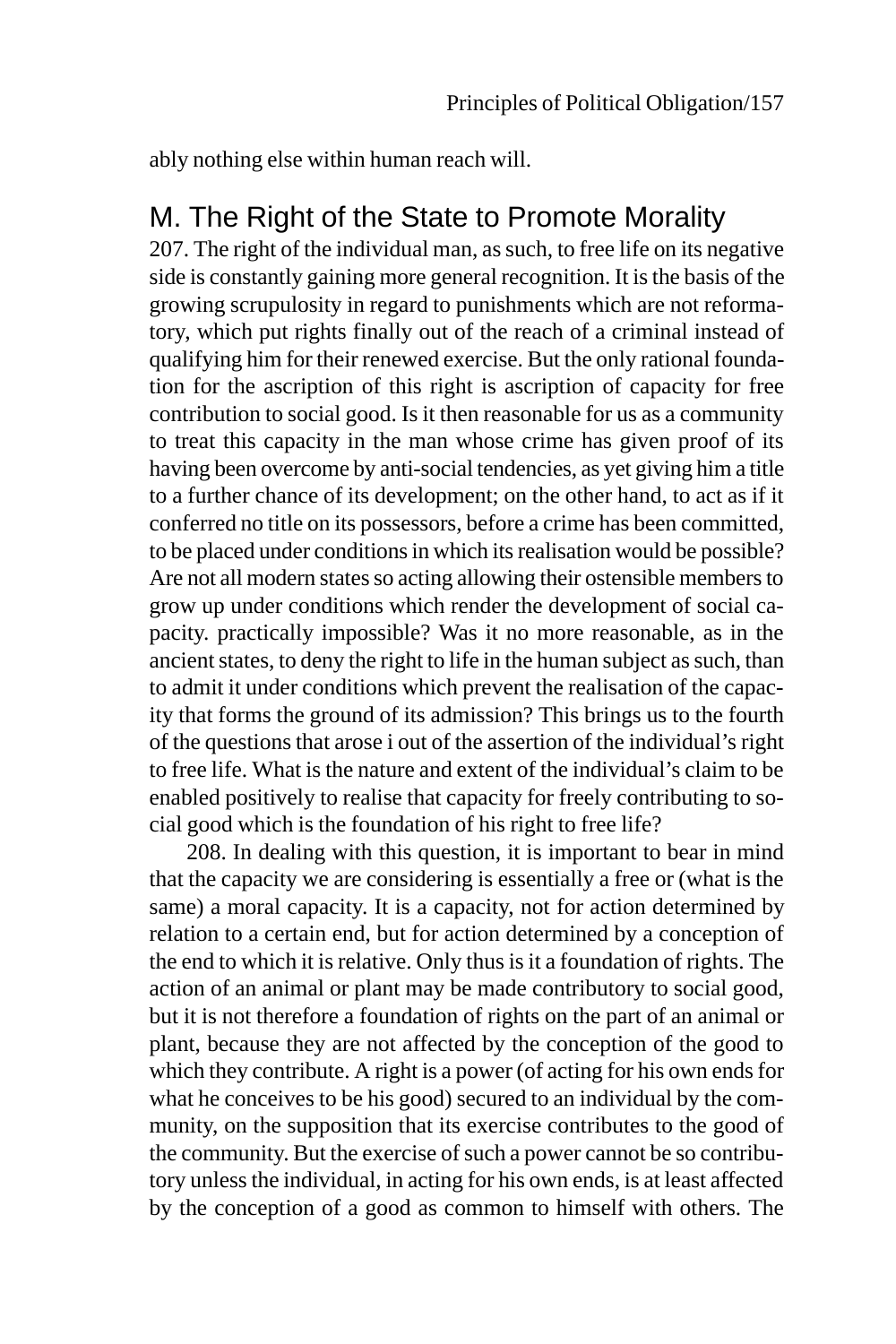ably nothing else within human reach will.

# M. The Right of the State to Promote Morality

207. The right of the individual man, as such, to free life on its negative side is constantly gaining more general recognition. It is the basis of the growing scrupulosity in regard to punishments which are not reformatory, which put rights finally out of the reach of a criminal instead of qualifying him for their renewed exercise. But the only rational foundation for the ascription of this right is ascription of capacity for free contribution to social good. Is it then reasonable for us as a community to treat this capacity in the man whose crime has given proof of its having been overcome by anti-social tendencies, as yet giving him a title to a further chance of its development; on the other hand, to act as if it conferred no title on its possessors, before a crime has been committed, to be placed under conditions in which its realisation would be possible? Are not all modern states so acting allowing their ostensible members to grow up under conditions which render the development of social capacity. practically impossible? Was it no more reasonable, as in the ancient states, to deny the right to life in the human subject as such, than to admit it under conditions which prevent the realisation of the capacity that forms the ground of its admission? This brings us to the fourth of the questions that arose i out of the assertion of the individual's right to free life. What is the nature and extent of the individual's claim to be enabled positively to realise that capacity for freely contributing to social good which is the foundation of his right to free life?

208. In dealing with this question, it is important to bear in mind that the capacity we are considering is essentially a free or (what is the same) a moral capacity. It is a capacity, not for action determined by relation to a certain end, but for action determined by a conception of the end to which it is relative. Only thus is it a foundation of rights. The action of an animal or plant may be made contributory to social good, but it is not therefore a foundation of rights on the part of an animal or plant, because they are not affected by the conception of the good to which they contribute. A right is a power (of acting for his own ends for what he conceives to be his good) secured to an individual by the community, on the supposition that its exercise contributes to the good of the community. But the exercise of such a power cannot be so contributory unless the individual, in acting for his own ends, is at least affected by the conception of a good as common to himself with others. The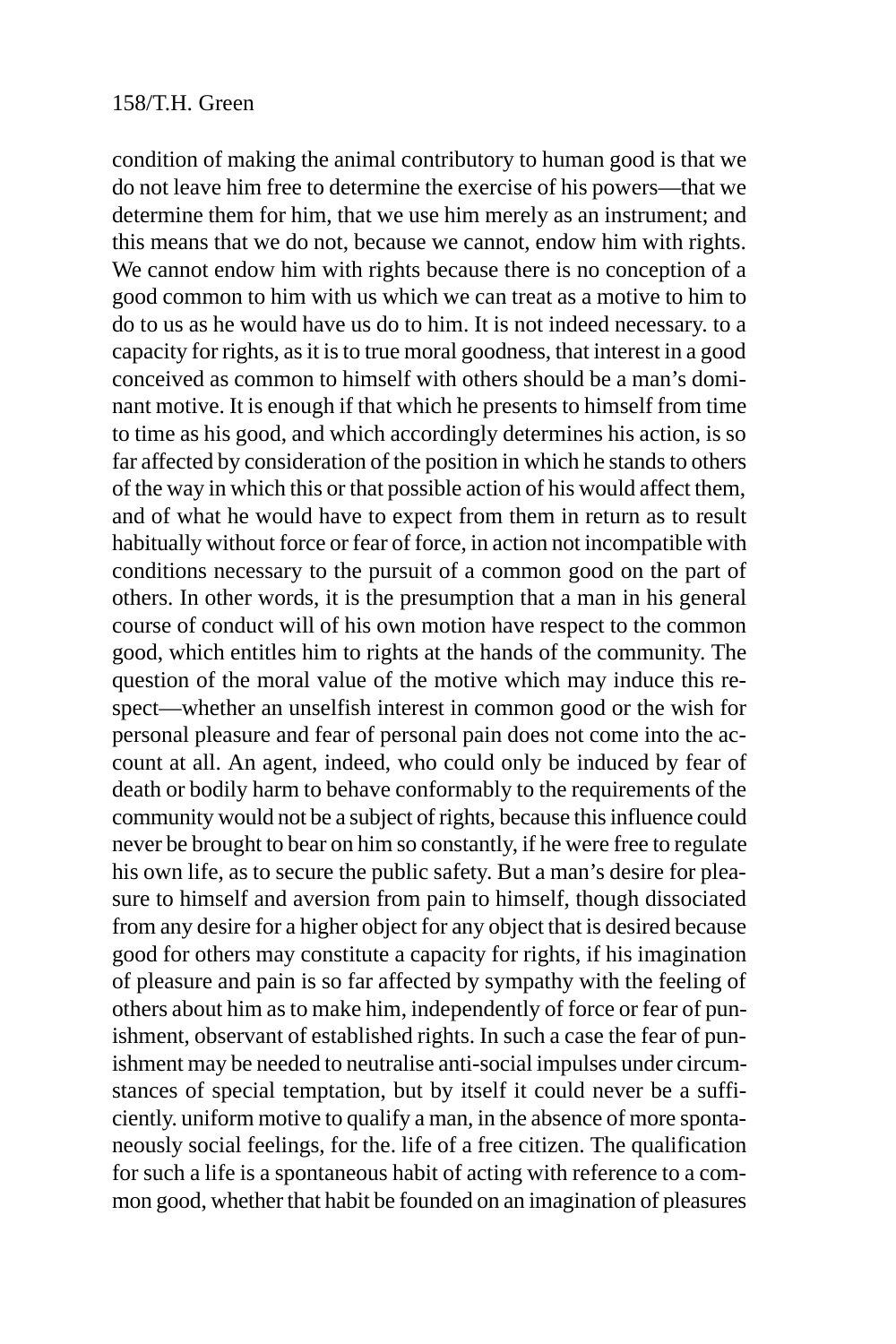condition of making the animal contributory to human good is that we do not leave him free to determine the exercise of his powers—that we determine them for him, that we use him merely as an instrument; and this means that we do not, because we cannot, endow him with rights. We cannot endow him with rights because there is no conception of a good common to him with us which we can treat as a motive to him to do to us as he would have us do to him. It is not indeed necessary. to a capacity for rights, as it is to true moral goodness, that interest in a good conceived as common to himself with others should be a man's dominant motive. It is enough if that which he presents to himself from time to time as his good, and which accordingly determines his action, is so far affected by consideration of the position in which he stands to others of the way in which this or that possible action of his would affect them, and of what he would have to expect from them in return as to result habitually without force or fear of force, in action not incompatible with conditions necessary to the pursuit of a common good on the part of others. In other words, it is the presumption that a man in his general course of conduct will of his own motion have respect to the common good, which entitles him to rights at the hands of the community. The question of the moral value of the motive which may induce this respect—whether an unselfish interest in common good or the wish for personal pleasure and fear of personal pain does not come into the account at all. An agent, indeed, who could only be induced by fear of death or bodily harm to behave conformably to the requirements of the community would not be a subject of rights, because this influence could never be brought to bear on him so constantly, if he were free to regulate his own life, as to secure the public safety. But a man's desire for pleasure to himself and aversion from pain to himself, though dissociated from any desire for a higher object for any object that is desired because good for others may constitute a capacity for rights, if his imagination of pleasure and pain is so far affected by sympathy with the feeling of others about him as to make him, independently of force or fear of punishment, observant of established rights. In such a case the fear of punishment may be needed to neutralise anti-social impulses under circumstances of special temptation, but by itself it could never be a sufficiently. uniform motive to qualify a man, in the absence of more spontaneously social feelings, for the. life of a free citizen. The qualification for such a life is a spontaneous habit of acting with reference to a common good, whether that habit be founded on an imagination of pleasures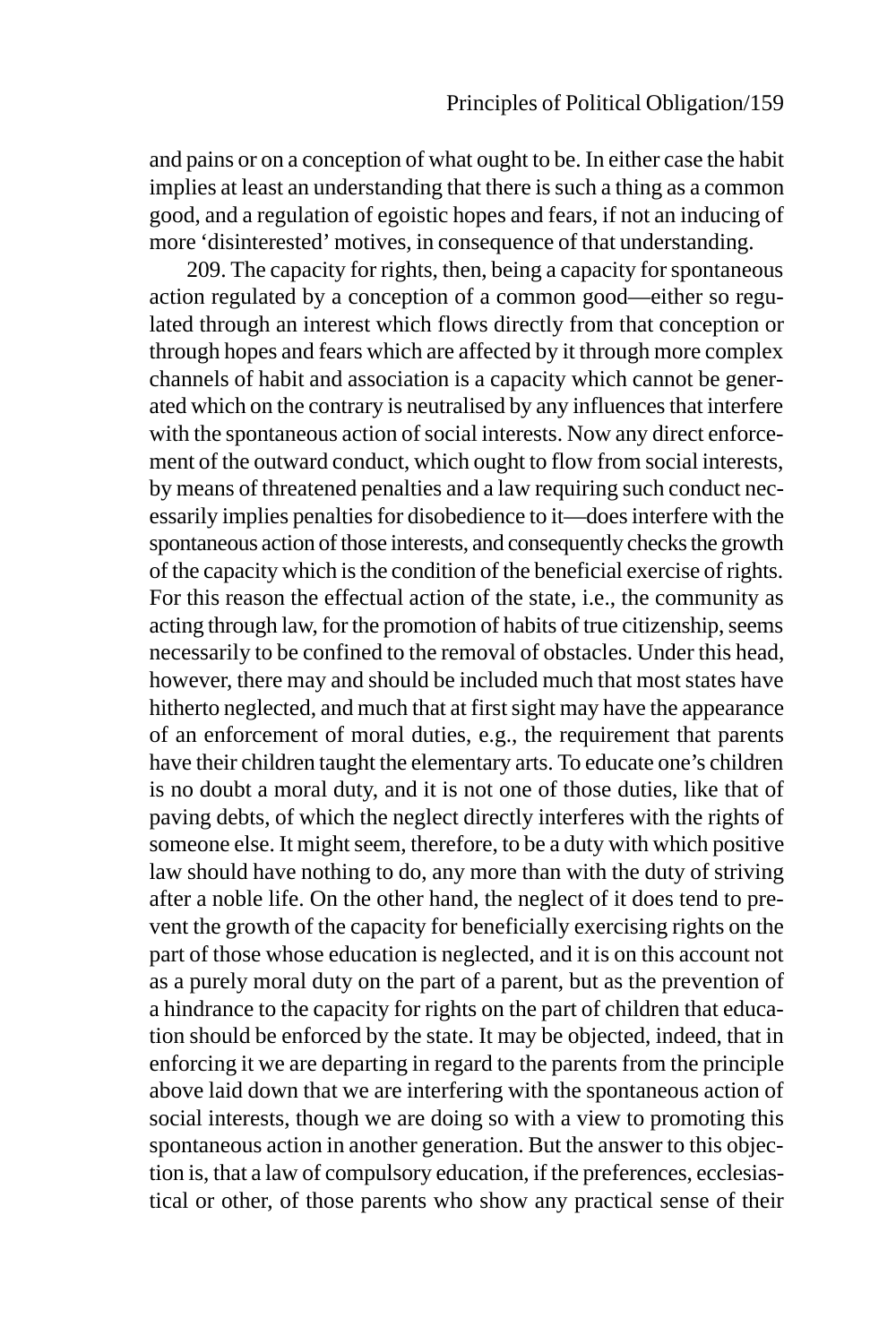and pains or on a conception of what ought to be. In either case the habit implies at least an understanding that there is such a thing as a common good, and a regulation of egoistic hopes and fears, if not an inducing of more 'disinterested' motives, in consequence of that understanding.

209. The capacity for rights, then, being a capacity for spontaneous action regulated by a conception of a common good—either so regulated through an interest which flows directly from that conception or through hopes and fears which are affected by it through more complex channels of habit and association is a capacity which cannot be generated which on the contrary is neutralised by any influences that interfere with the spontaneous action of social interests. Now any direct enforcement of the outward conduct, which ought to flow from social interests, by means of threatened penalties and a law requiring such conduct necessarily implies penalties for disobedience to it—does interfere with the spontaneous action of those interests, and consequently checks the growth of the capacity which is the condition of the beneficial exercise of rights. For this reason the effectual action of the state, i.e., the community as acting through law, for the promotion of habits of true citizenship, seems necessarily to be confined to the removal of obstacles. Under this head, however, there may and should be included much that most states have hitherto neglected, and much that at first sight may have the appearance of an enforcement of moral duties, e.g., the requirement that parents have their children taught the elementary arts. To educate one's children is no doubt a moral duty, and it is not one of those duties, like that of paving debts, of which the neglect directly interferes with the rights of someone else. It might seem, therefore, to be a duty with which positive law should have nothing to do, any more than with the duty of striving after a noble life. On the other hand, the neglect of it does tend to prevent the growth of the capacity for beneficially exercising rights on the part of those whose education is neglected, and it is on this account not as a purely moral duty on the part of a parent, but as the prevention of a hindrance to the capacity for rights on the part of children that education should be enforced by the state. It may be objected, indeed, that in enforcing it we are departing in regard to the parents from the principle above laid down that we are interfering with the spontaneous action of social interests, though we are doing so with a view to promoting this spontaneous action in another generation. But the answer to this objection is, that a law of compulsory education, if the preferences, ecclesiastical or other, of those parents who show any practical sense of their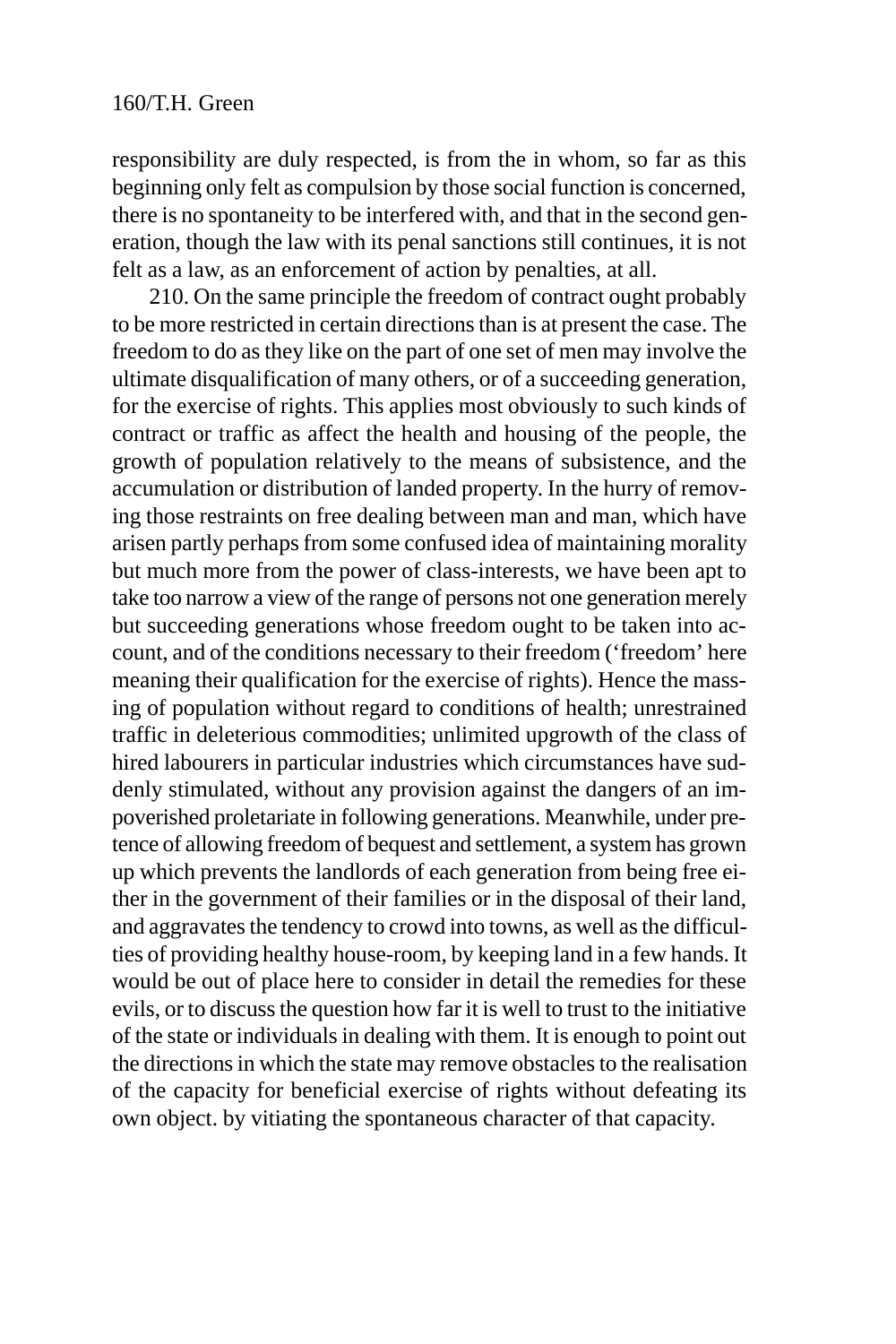responsibility are duly respected, is from the in whom, so far as this beginning only felt as compulsion by those social function is concerned, there is no spontaneity to be interfered with, and that in the second generation, though the law with its penal sanctions still continues, it is not felt as a law, as an enforcement of action by penalties, at all.

210. On the same principle the freedom of contract ought probably to be more restricted in certain directions than is at present the case. The freedom to do as they like on the part of one set of men may involve the ultimate disqualification of many others, or of a succeeding generation, for the exercise of rights. This applies most obviously to such kinds of contract or traffic as affect the health and housing of the people, the growth of population relatively to the means of subsistence, and the accumulation or distribution of landed property. In the hurry of removing those restraints on free dealing between man and man, which have arisen partly perhaps from some confused idea of maintaining morality but much more from the power of class-interests, we have been apt to take too narrow a view of the range of persons not one generation merely but succeeding generations whose freedom ought to be taken into account, and of the conditions necessary to their freedom ('freedom' here meaning their qualification for the exercise of rights). Hence the massing of population without regard to conditions of health; unrestrained traffic in deleterious commodities; unlimited upgrowth of the class of hired labourers in particular industries which circumstances have suddenly stimulated, without any provision against the dangers of an impoverished proletariate in following generations. Meanwhile, under pretence of allowing freedom of bequest and settlement, a system has grown up which prevents the landlords of each generation from being free either in the government of their families or in the disposal of their land, and aggravates the tendency to crowd into towns, as well as the difficulties of providing healthy house-room, by keeping land in a few hands. It would be out of place here to consider in detail the remedies for these evils, or to discuss the question how far it is well to trust to the initiative of the state or individuals in dealing with them. It is enough to point out the directions in which the state may remove obstacles to the realisation of the capacity for beneficial exercise of rights without defeating its own object. by vitiating the spontaneous character of that capacity.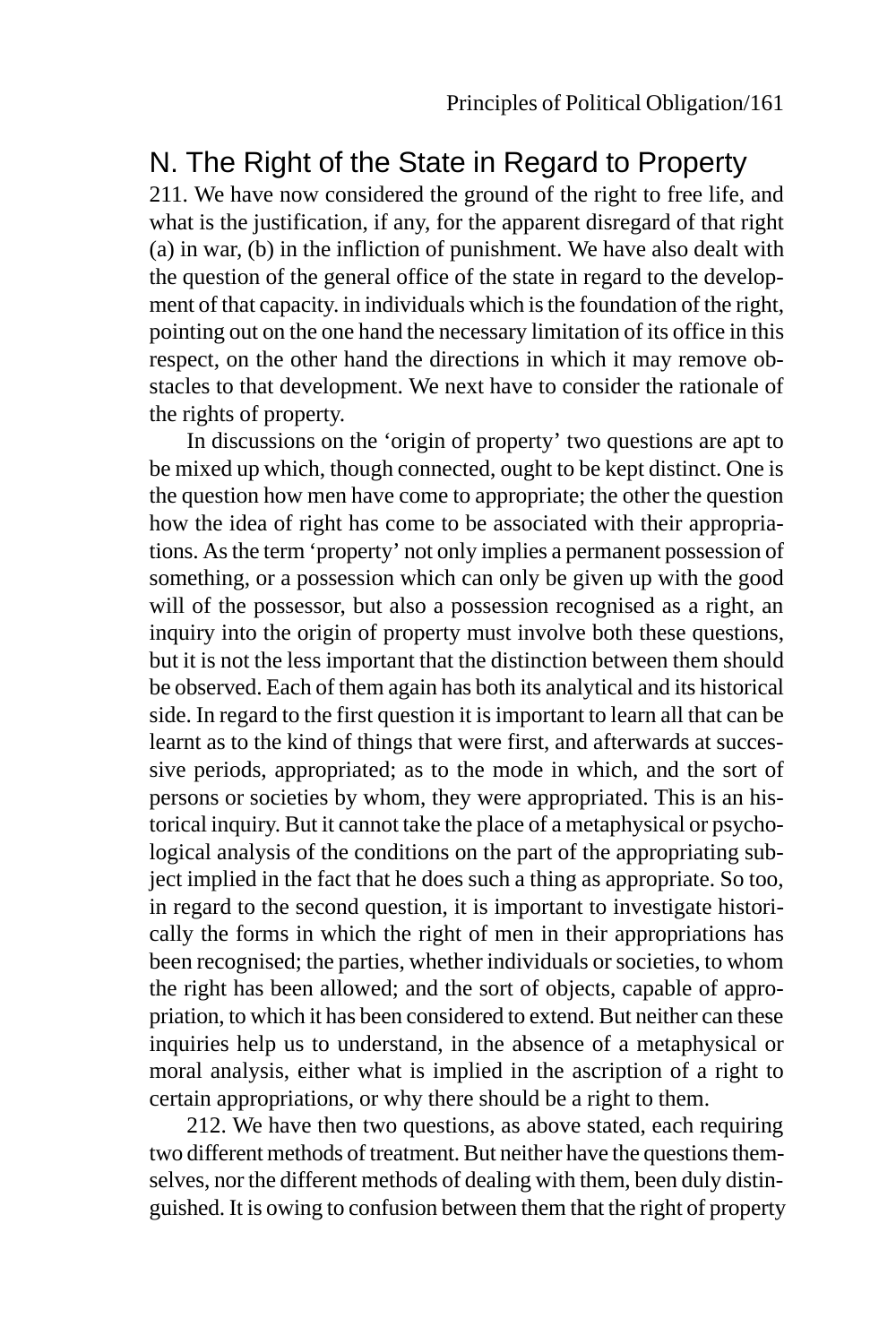### N. The Right of the State in Regard to Property

211. We have now considered the ground of the right to free life, and what is the justification, if any, for the apparent disregard of that right (a) in war, (b) in the infliction of punishment. We have also dealt with the question of the general office of the state in regard to the development of that capacity. in individuals which is the foundation of the right, pointing out on the one hand the necessary limitation of its office in this respect, on the other hand the directions in which it may remove obstacles to that development. We next have to consider the rationale of the rights of property.

In discussions on the 'origin of property' two questions are apt to be mixed up which, though connected, ought to be kept distinct. One is the question how men have come to appropriate; the other the question how the idea of right has come to be associated with their appropriations. As the term 'property' not only implies a permanent possession of something, or a possession which can only be given up with the good will of the possessor, but also a possession recognised as a right, an inquiry into the origin of property must involve both these questions, but it is not the less important that the distinction between them should be observed. Each of them again has both its analytical and its historical side. In regard to the first question it is important to learn all that can be learnt as to the kind of things that were first, and afterwards at successive periods, appropriated; as to the mode in which, and the sort of persons or societies by whom, they were appropriated. This is an historical inquiry. But it cannot take the place of a metaphysical or psychological analysis of the conditions on the part of the appropriating subject implied in the fact that he does such a thing as appropriate. So too, in regard to the second question, it is important to investigate historically the forms in which the right of men in their appropriations has been recognised; the parties, whether individuals or societies, to whom the right has been allowed; and the sort of objects, capable of appropriation, to which it has been considered to extend. But neither can these inquiries help us to understand, in the absence of a metaphysical or moral analysis, either what is implied in the ascription of a right to certain appropriations, or why there should be a right to them.

212. We have then two questions, as above stated, each requiring two different methods of treatment. But neither have the questions themselves, nor the different methods of dealing with them, been duly distinguished. It is owing to confusion between them that the right of property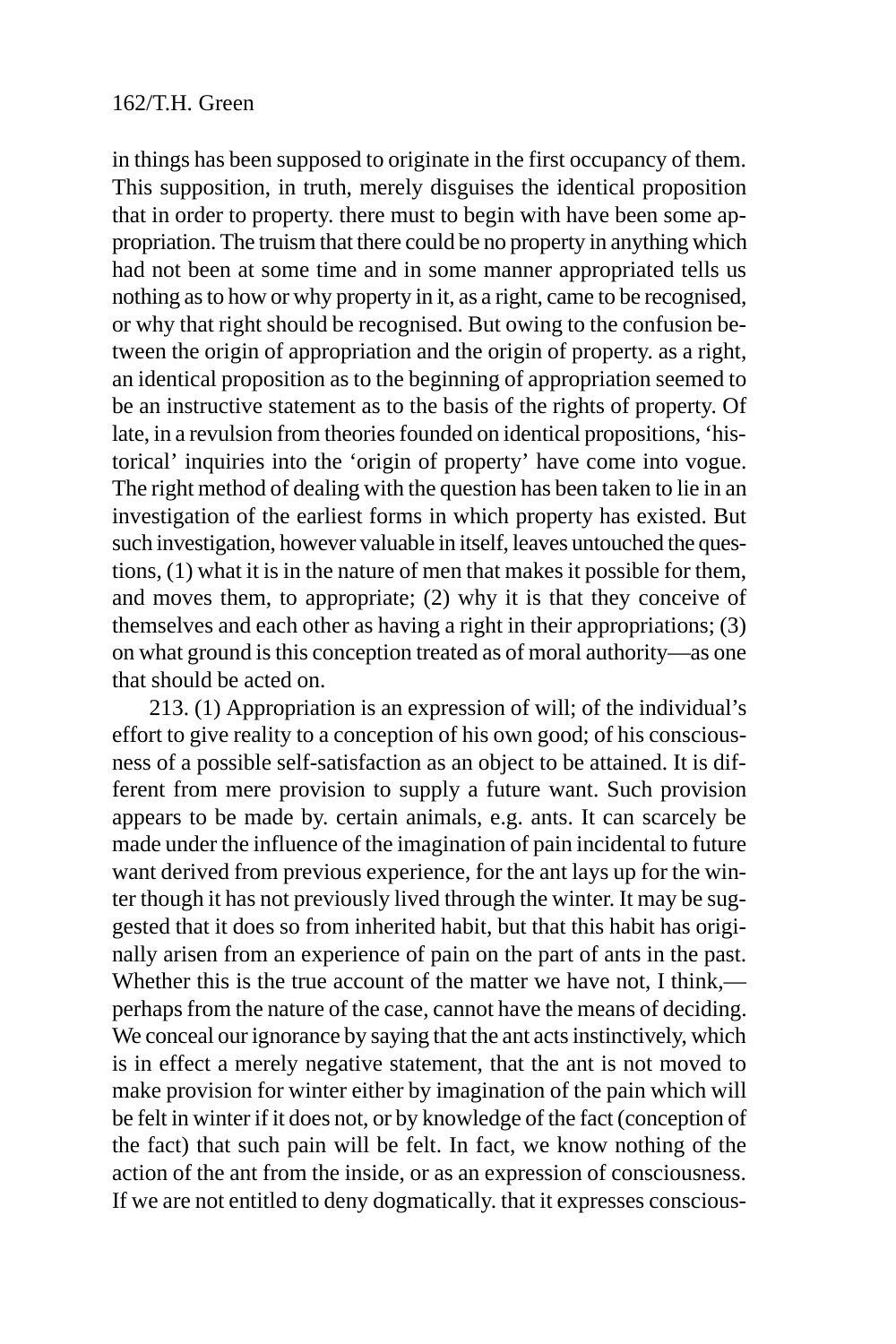in things has been supposed to originate in the first occupancy of them. This supposition, in truth, merely disguises the identical proposition that in order to property. there must to begin with have been some appropriation. The truism that there could be no property in anything which had not been at some time and in some manner appropriated tells us nothing as to how or why property in it, as a right, came to be recognised, or why that right should be recognised. But owing to the confusion between the origin of appropriation and the origin of property. as a right, an identical proposition as to the beginning of appropriation seemed to be an instructive statement as to the basis of the rights of property. Of late, in a revulsion from theories founded on identical propositions, 'historical' inquiries into the 'origin of property' have come into vogue. The right method of dealing with the question has been taken to lie in an investigation of the earliest forms in which property has existed. But such investigation, however valuable in itself, leaves untouched the questions, (1) what it is in the nature of men that makes it possible for them, and moves them, to appropriate; (2) why it is that they conceive of themselves and each other as having a right in their appropriations; (3) on what ground is this conception treated as of moral authority—as one that should be acted on.

213. (1) Appropriation is an expression of will; of the individual's effort to give reality to a conception of his own good; of his consciousness of a possible self-satisfaction as an object to be attained. It is different from mere provision to supply a future want. Such provision appears to be made by. certain animals, e.g. ants. It can scarcely be made under the influence of the imagination of pain incidental to future want derived from previous experience, for the ant lays up for the winter though it has not previously lived through the winter. It may be suggested that it does so from inherited habit, but that this habit has originally arisen from an experience of pain on the part of ants in the past. Whether this is the true account of the matter we have not, I think, perhaps from the nature of the case, cannot have the means of deciding. We conceal our ignorance by saying that the ant acts instinctively, which is in effect a merely negative statement, that the ant is not moved to make provision for winter either by imagination of the pain which will be felt in winter if it does not, or by knowledge of the fact (conception of the fact) that such pain will be felt. In fact, we know nothing of the action of the ant from the inside, or as an expression of consciousness. If we are not entitled to deny dogmatically. that it expresses conscious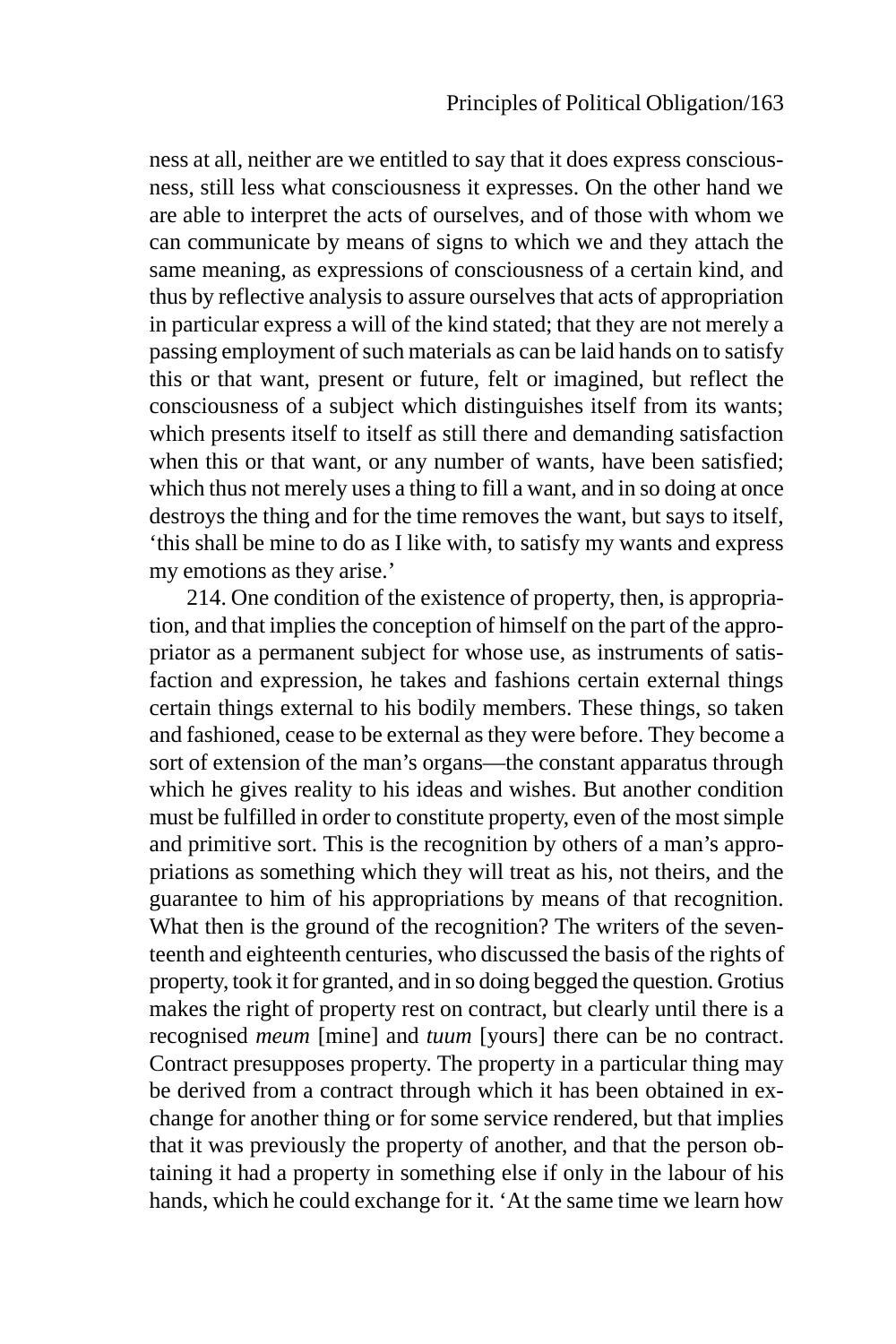ness at all, neither are we entitled to say that it does express consciousness, still less what consciousness it expresses. On the other hand we are able to interpret the acts of ourselves, and of those with whom we can communicate by means of signs to which we and they attach the same meaning, as expressions of consciousness of a certain kind, and thus by reflective analysis to assure ourselves that acts of appropriation in particular express a will of the kind stated; that they are not merely a passing employment of such materials as can be laid hands on to satisfy this or that want, present or future, felt or imagined, but reflect the consciousness of a subject which distinguishes itself from its wants; which presents itself to itself as still there and demanding satisfaction when this or that want, or any number of wants, have been satisfied; which thus not merely uses a thing to fill a want, and in so doing at once destroys the thing and for the time removes the want, but says to itself, 'this shall be mine to do as I like with, to satisfy my wants and express my emotions as they arise.'

214. One condition of the existence of property, then, is appropriation, and that implies the conception of himself on the part of the appropriator as a permanent subject for whose use, as instruments of satisfaction and expression, he takes and fashions certain external things certain things external to his bodily members. These things, so taken and fashioned, cease to be external as they were before. They become a sort of extension of the man's organs—the constant apparatus through which he gives reality to his ideas and wishes. But another condition must be fulfilled in order to constitute property, even of the most simple and primitive sort. This is the recognition by others of a man's appropriations as something which they will treat as his, not theirs, and the guarantee to him of his appropriations by means of that recognition. What then is the ground of the recognition? The writers of the seventeenth and eighteenth centuries, who discussed the basis of the rights of property, took it for granted, and in so doing begged the question. Grotius makes the right of property rest on contract, but clearly until there is a recognised *meum* [mine] and *tuum* [yours] there can be no contract. Contract presupposes property. The property in a particular thing may be derived from a contract through which it has been obtained in exchange for another thing or for some service rendered, but that implies that it was previously the property of another, and that the person obtaining it had a property in something else if only in the labour of his hands, which he could exchange for it. 'At the same time we learn how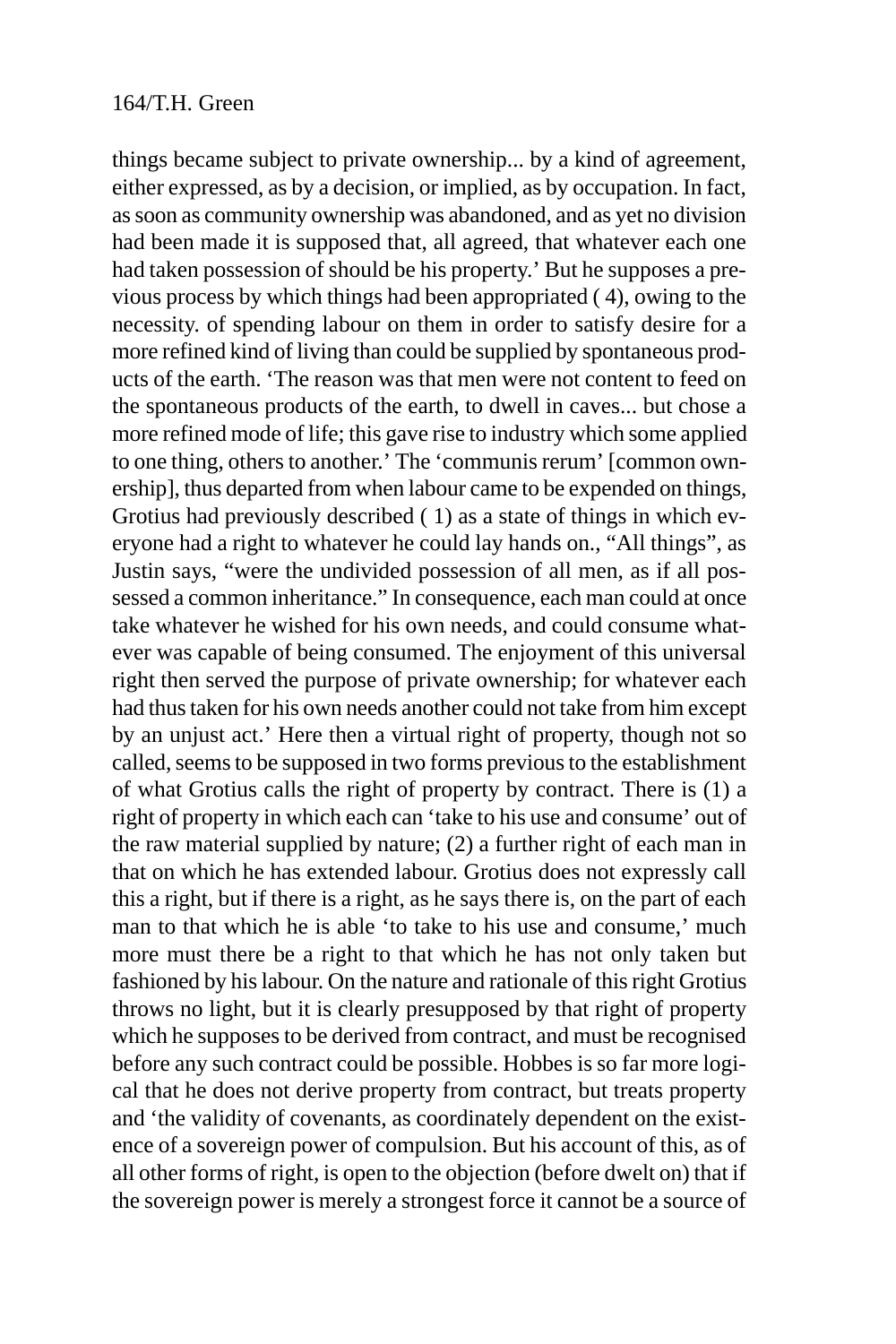things became subject to private ownership... by a kind of agreement, either expressed, as by a decision, or implied, as by occupation. In fact, as soon as community ownership was abandoned, and as yet no division had been made it is supposed that, all agreed, that whatever each one had taken possession of should be his property.' But he supposes a previous process by which things had been appropriated ( 4), owing to the necessity. of spending labour on them in order to satisfy desire for a more refined kind of living than could be supplied by spontaneous products of the earth. 'The reason was that men were not content to feed on the spontaneous products of the earth, to dwell in caves... but chose a more refined mode of life; this gave rise to industry which some applied to one thing, others to another.' The 'communis rerum' [common ownership], thus departed from when labour came to be expended on things, Grotius had previously described ( 1) as a state of things in which everyone had a right to whatever he could lay hands on., "All things", as Justin says, "were the undivided possession of all men, as if all possessed a common inheritance." In consequence, each man could at once take whatever he wished for his own needs, and could consume whatever was capable of being consumed. The enjoyment of this universal right then served the purpose of private ownership; for whatever each had thus taken for his own needs another could not take from him except by an unjust act.' Here then a virtual right of property, though not so called, seems to be supposed in two forms previous to the establishment of what Grotius calls the right of property by contract. There is (1) a right of property in which each can 'take to his use and consume' out of the raw material supplied by nature; (2) a further right of each man in that on which he has extended labour. Grotius does not expressly call this a right, but if there is a right, as he says there is, on the part of each man to that which he is able 'to take to his use and consume,' much more must there be a right to that which he has not only taken but fashioned by his labour. On the nature and rationale of this right Grotius throws no light, but it is clearly presupposed by that right of property which he supposes to be derived from contract, and must be recognised before any such contract could be possible. Hobbes is so far more logical that he does not derive property from contract, but treats property and 'the validity of covenants, as coordinately dependent on the existence of a sovereign power of compulsion. But his account of this, as of all other forms of right, is open to the objection (before dwelt on) that if the sovereign power is merely a strongest force it cannot be a source of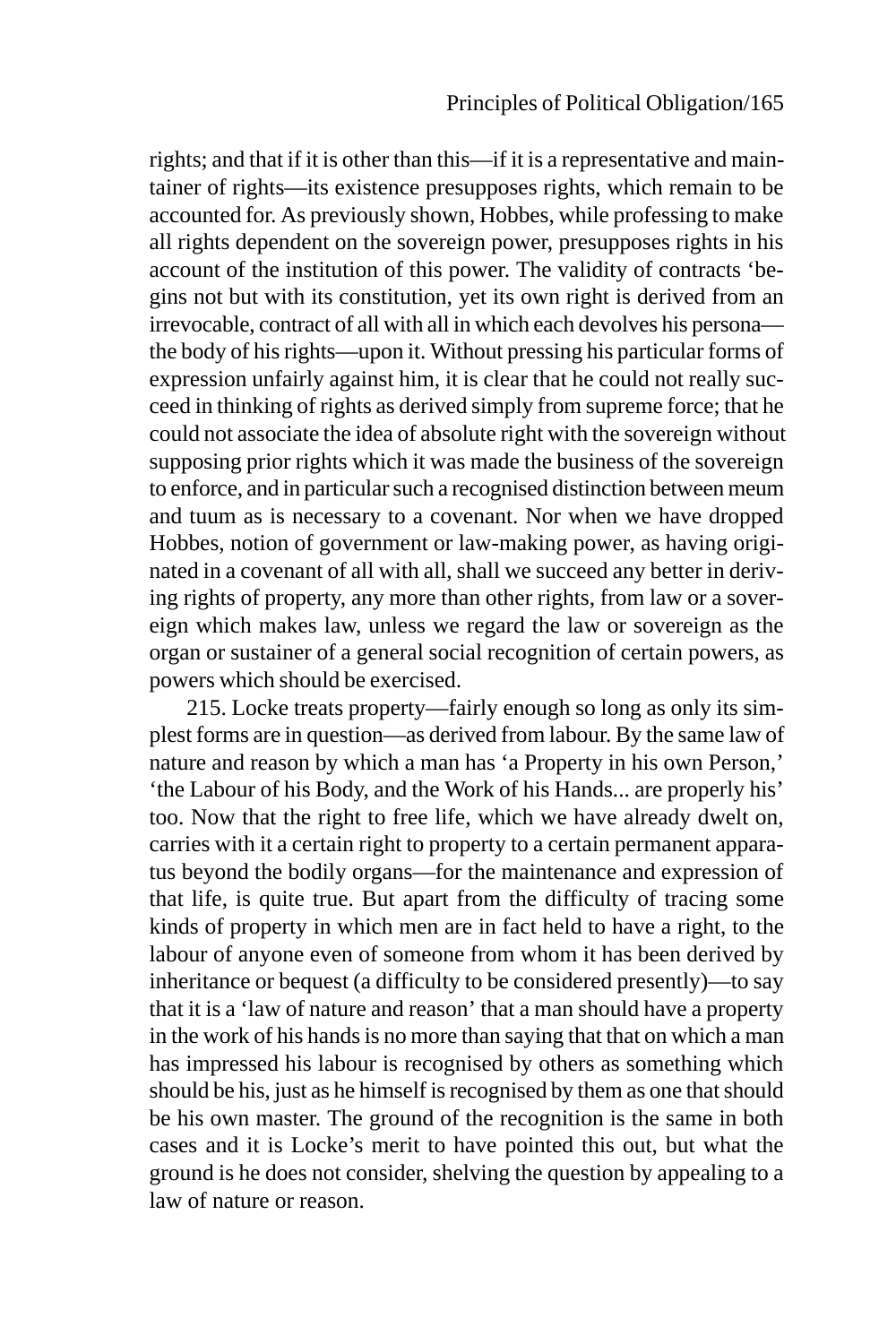rights; and that if it is other than this—if it is a representative and maintainer of rights—its existence presupposes rights, which remain to be accounted for. As previously shown, Hobbes, while professing to make all rights dependent on the sovereign power, presupposes rights in his account of the institution of this power. The validity of contracts 'begins not but with its constitution, yet its own right is derived from an irrevocable, contract of all with all in which each devolves his persona the body of his rights—upon it. Without pressing his particular forms of expression unfairly against him, it is clear that he could not really succeed in thinking of rights as derived simply from supreme force; that he could not associate the idea of absolute right with the sovereign without supposing prior rights which it was made the business of the sovereign to enforce, and in particular such a recognised distinction between meum and tuum as is necessary to a covenant. Nor when we have dropped Hobbes, notion of government or law-making power, as having originated in a covenant of all with all, shall we succeed any better in deriving rights of property, any more than other rights, from law or a sovereign which makes law, unless we regard the law or sovereign as the organ or sustainer of a general social recognition of certain powers, as powers which should be exercised.

215. Locke treats property—fairly enough so long as only its simplest forms are in question—as derived from labour. By the same law of nature and reason by which a man has 'a Property in his own Person,' 'the Labour of his Body, and the Work of his Hands... are properly his' too. Now that the right to free life, which we have already dwelt on, carries with it a certain right to property to a certain permanent apparatus beyond the bodily organs—for the maintenance and expression of that life, is quite true. But apart from the difficulty of tracing some kinds of property in which men are in fact held to have a right, to the labour of anyone even of someone from whom it has been derived by inheritance or bequest (a difficulty to be considered presently)—to say that it is a 'law of nature and reason' that a man should have a property in the work of his hands is no more than saying that that on which a man has impressed his labour is recognised by others as something which should be his, just as he himself is recognised by them as one that should be his own master. The ground of the recognition is the same in both cases and it is Locke's merit to have pointed this out, but what the ground is he does not consider, shelving the question by appealing to a law of nature or reason.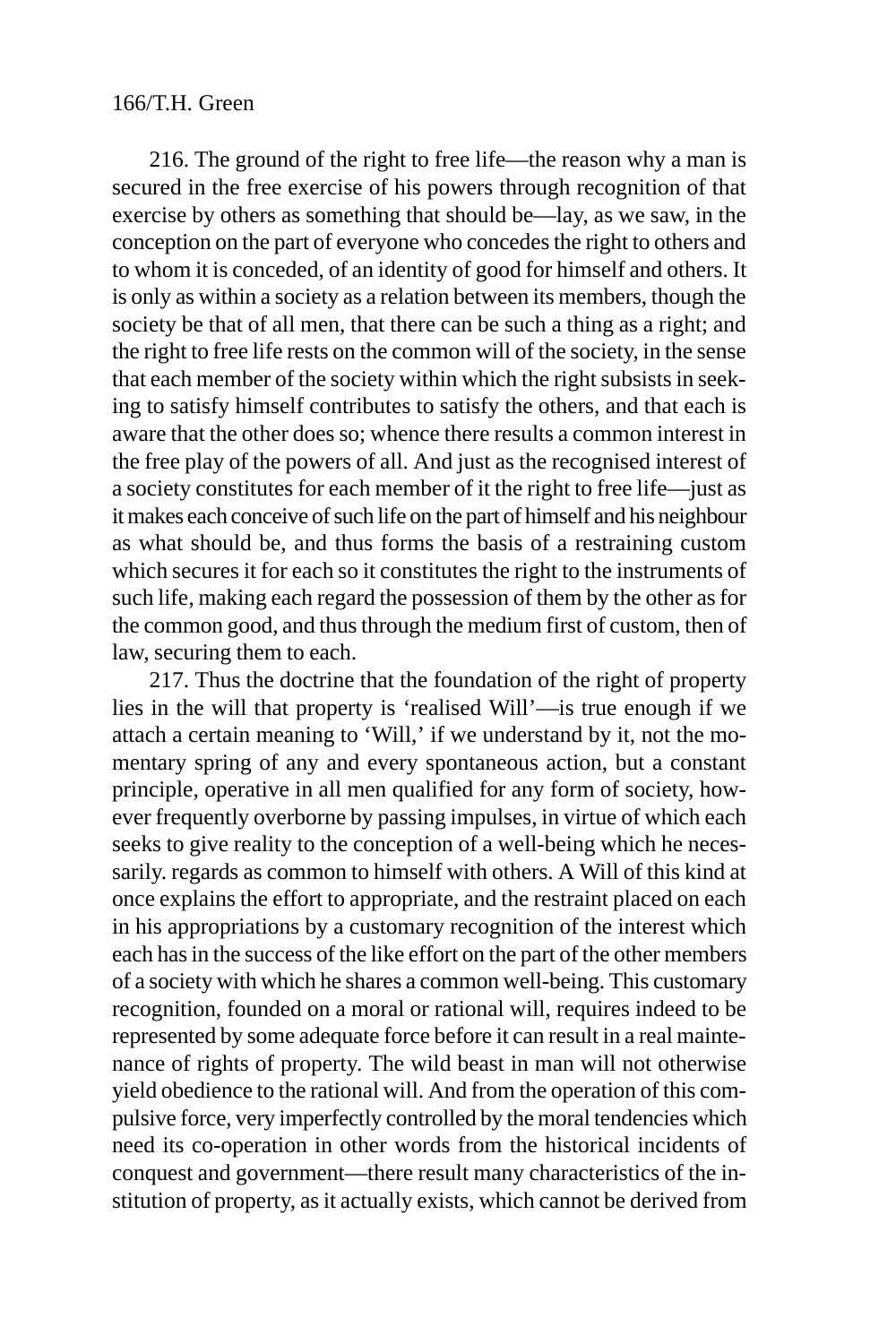216. The ground of the right to free life—the reason why a man is secured in the free exercise of his powers through recognition of that exercise by others as something that should be—lay, as we saw, in the conception on the part of everyone who concedes the right to others and to whom it is conceded, of an identity of good for himself and others. It is only as within a society as a relation between its members, though the society be that of all men, that there can be such a thing as a right; and the right to free life rests on the common will of the society, in the sense that each member of the society within which the right subsists in seeking to satisfy himself contributes to satisfy the others, and that each is aware that the other does so; whence there results a common interest in the free play of the powers of all. And just as the recognised interest of a society constitutes for each member of it the right to free life—just as it makes each conceive of such life on the part of himself and his neighbour as what should be, and thus forms the basis of a restraining custom which secures it for each so it constitutes the right to the instruments of such life, making each regard the possession of them by the other as for the common good, and thus through the medium first of custom, then of law, securing them to each.

217. Thus the doctrine that the foundation of the right of property lies in the will that property is 'realised Will'—is true enough if we attach a certain meaning to 'Will,' if we understand by it, not the momentary spring of any and every spontaneous action, but a constant principle, operative in all men qualified for any form of society, however frequently overborne by passing impulses, in virtue of which each seeks to give reality to the conception of a well-being which he necessarily. regards as common to himself with others. A Will of this kind at once explains the effort to appropriate, and the restraint placed on each in his appropriations by a customary recognition of the interest which each has in the success of the like effort on the part of the other members of a society with which he shares a common well-being. This customary recognition, founded on a moral or rational will, requires indeed to be represented by some adequate force before it can result in a real maintenance of rights of property. The wild beast in man will not otherwise yield obedience to the rational will. And from the operation of this compulsive force, very imperfectly controlled by the moral tendencies which need its co-operation in other words from the historical incidents of conquest and government—there result many characteristics of the institution of property, as it actually exists, which cannot be derived from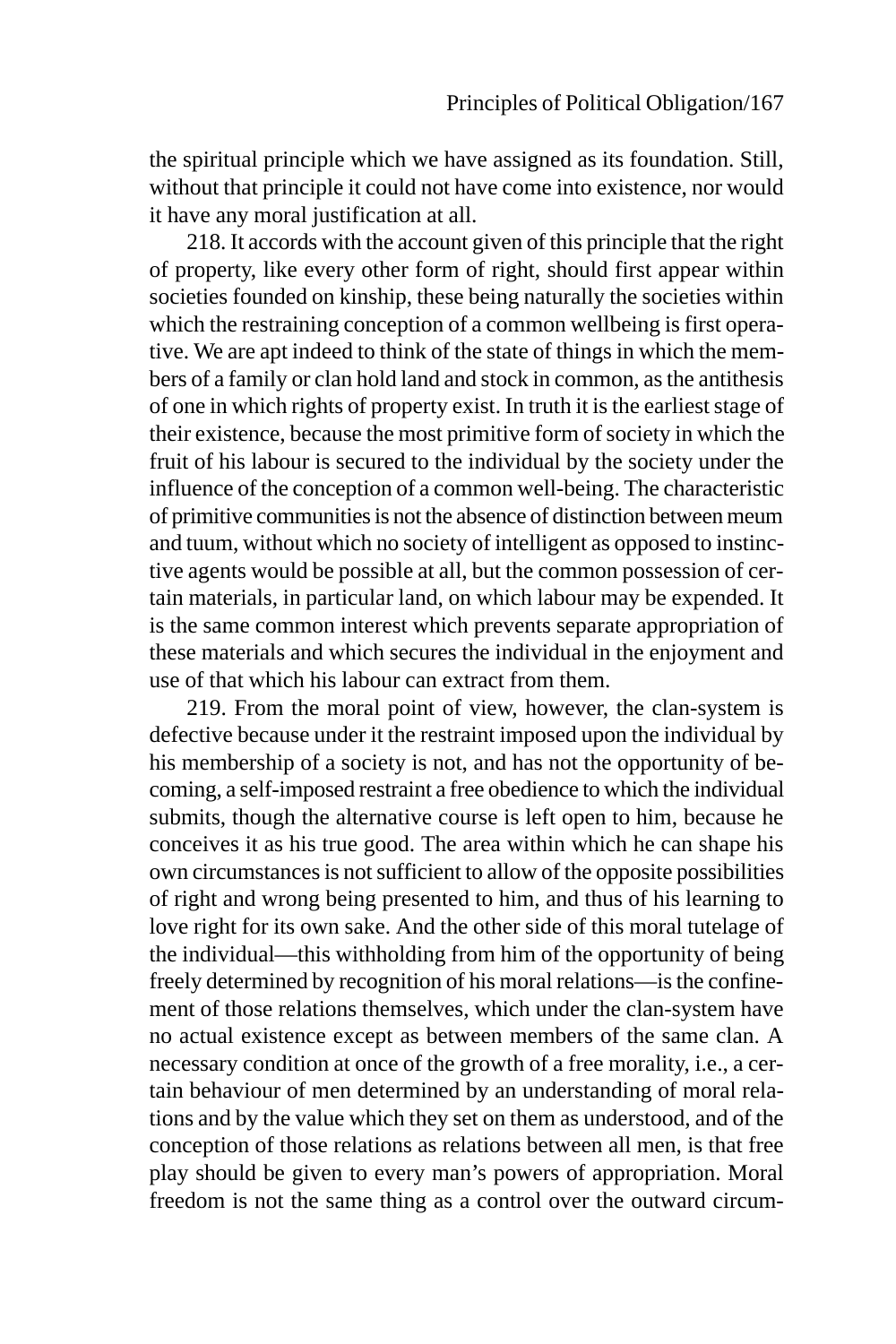the spiritual principle which we have assigned as its foundation. Still, without that principle it could not have come into existence, nor would it have any moral justification at all.

218. It accords with the account given of this principle that the right of property, like every other form of right, should first appear within societies founded on kinship, these being naturally the societies within which the restraining conception of a common wellbeing is first operative. We are apt indeed to think of the state of things in which the members of a family or clan hold land and stock in common, as the antithesis of one in which rights of property exist. In truth it is the earliest stage of their existence, because the most primitive form of society in which the fruit of his labour is secured to the individual by the society under the influence of the conception of a common well-being. The characteristic of primitive communities is not the absence of distinction between meum and tuum, without which no society of intelligent as opposed to instinctive agents would be possible at all, but the common possession of certain materials, in particular land, on which labour may be expended. It is the same common interest which prevents separate appropriation of these materials and which secures the individual in the enjoyment and use of that which his labour can extract from them.

219. From the moral point of view, however, the clan-system is defective because under it the restraint imposed upon the individual by his membership of a society is not, and has not the opportunity of becoming, a self-imposed restraint a free obedience to which the individual submits, though the alternative course is left open to him, because he conceives it as his true good. The area within which he can shape his own circumstances is not sufficient to allow of the opposite possibilities of right and wrong being presented to him, and thus of his learning to love right for its own sake. And the other side of this moral tutelage of the individual—this withholding from him of the opportunity of being freely determined by recognition of his moral relations—is the confinement of those relations themselves, which under the clan-system have no actual existence except as between members of the same clan. A necessary condition at once of the growth of a free morality, i.e., a certain behaviour of men determined by an understanding of moral relations and by the value which they set on them as understood, and of the conception of those relations as relations between all men, is that free play should be given to every man's powers of appropriation. Moral freedom is not the same thing as a control over the outward circum-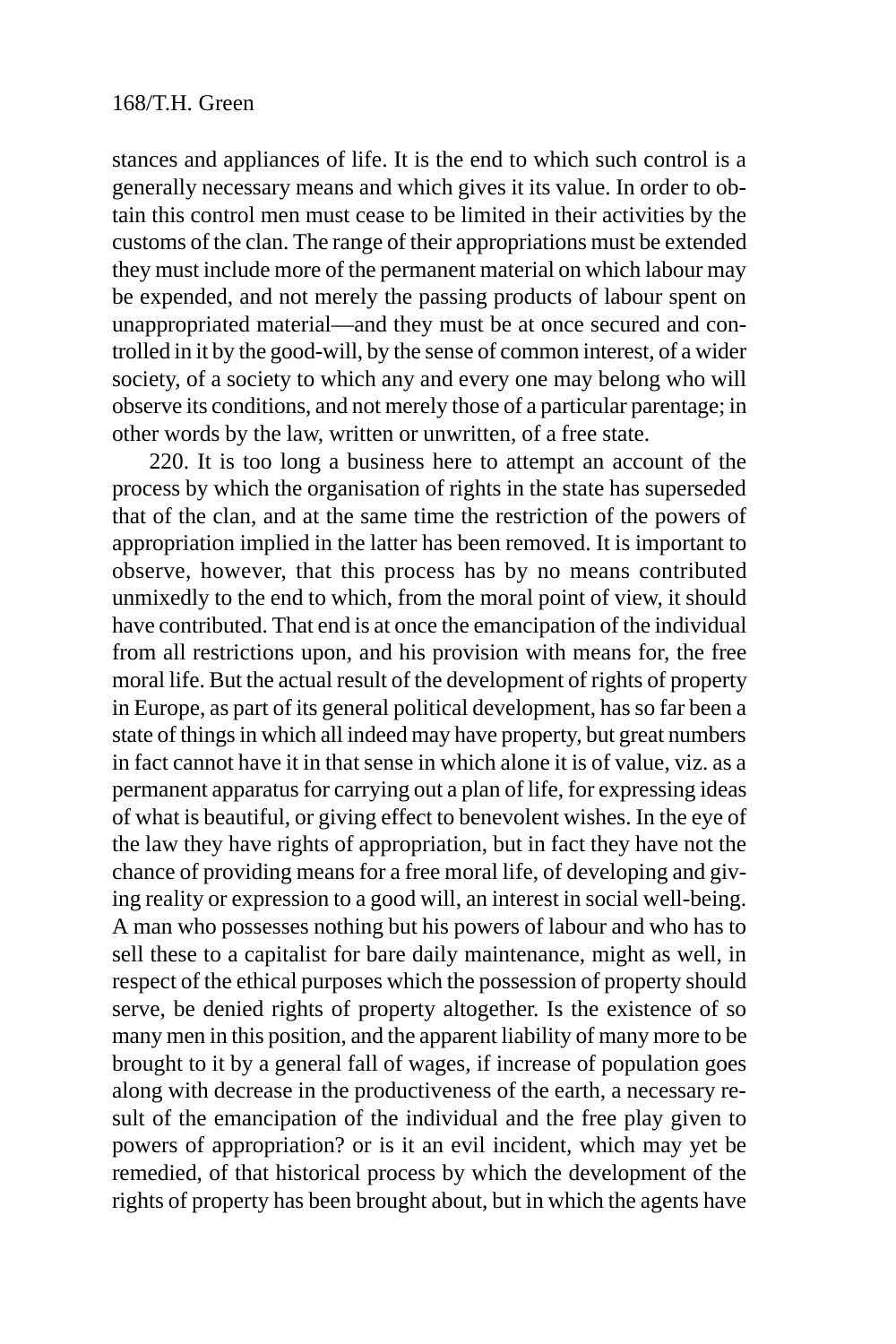stances and appliances of life. It is the end to which such control is a generally necessary means and which gives it its value. In order to obtain this control men must cease to be limited in their activities by the customs of the clan. The range of their appropriations must be extended they must include more of the permanent material on which labour may be expended, and not merely the passing products of labour spent on unappropriated material—and they must be at once secured and controlled in it by the good-will, by the sense of common interest, of a wider society, of a society to which any and every one may belong who will observe its conditions, and not merely those of a particular parentage; in other words by the law, written or unwritten, of a free state.

220. It is too long a business here to attempt an account of the process by which the organisation of rights in the state has superseded that of the clan, and at the same time the restriction of the powers of appropriation implied in the latter has been removed. It is important to observe, however, that this process has by no means contributed unmixedly to the end to which, from the moral point of view, it should have contributed. That end is at once the emancipation of the individual from all restrictions upon, and his provision with means for, the free moral life. But the actual result of the development of rights of property in Europe, as part of its general political development, has so far been a state of things in which all indeed may have property, but great numbers in fact cannot have it in that sense in which alone it is of value, viz. as a permanent apparatus for carrying out a plan of life, for expressing ideas of what is beautiful, or giving effect to benevolent wishes. In the eye of the law they have rights of appropriation, but in fact they have not the chance of providing means for a free moral life, of developing and giving reality or expression to a good will, an interest in social well-being. A man who possesses nothing but his powers of labour and who has to sell these to a capitalist for bare daily maintenance, might as well, in respect of the ethical purposes which the possession of property should serve, be denied rights of property altogether. Is the existence of so many men in this position, and the apparent liability of many more to be brought to it by a general fall of wages, if increase of population goes along with decrease in the productiveness of the earth, a necessary result of the emancipation of the individual and the free play given to powers of appropriation? or is it an evil incident, which may yet be remedied, of that historical process by which the development of the rights of property has been brought about, but in which the agents have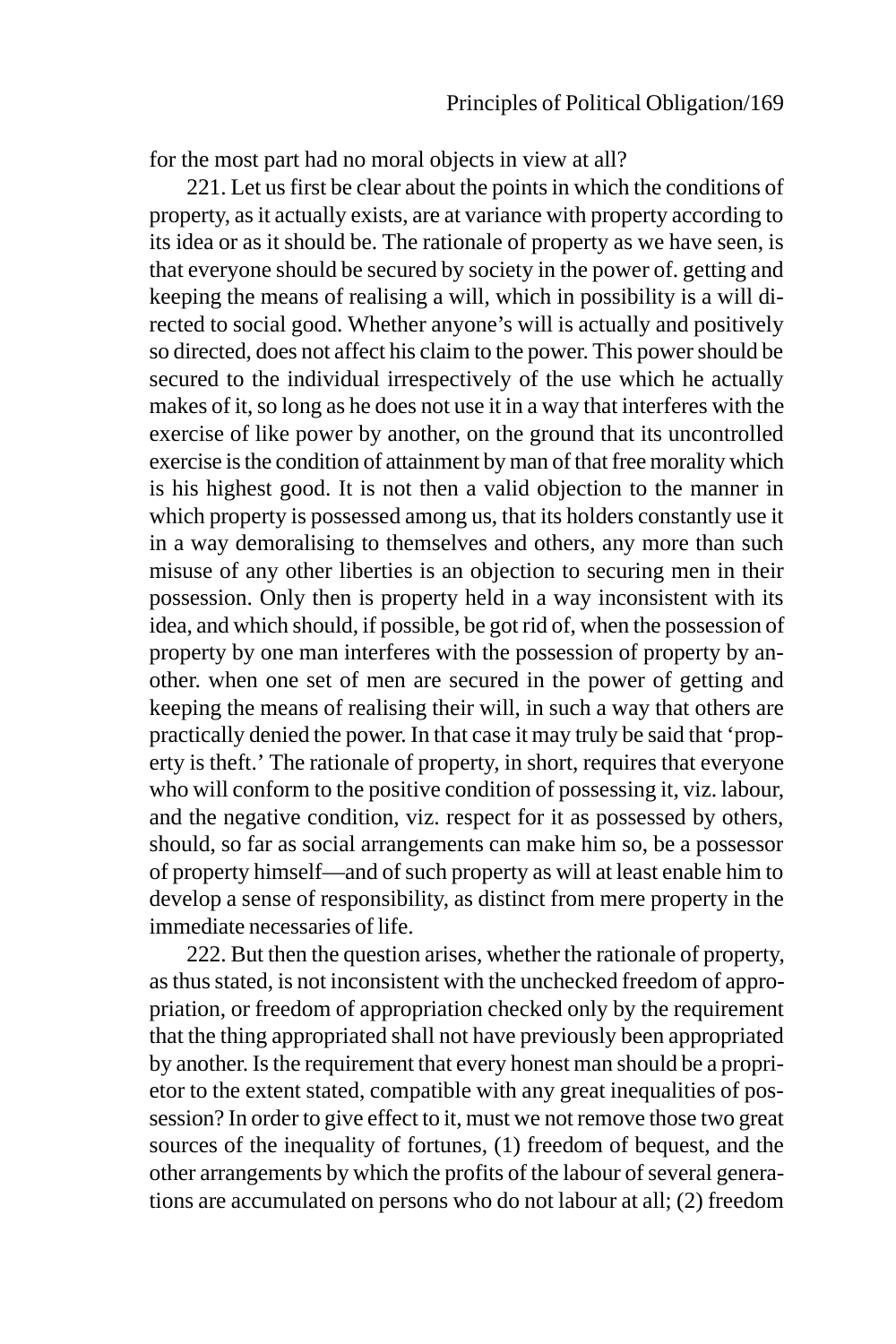for the most part had no moral objects in view at all?

221. Let us first be clear about the points in which the conditions of property, as it actually exists, are at variance with property according to its idea or as it should be. The rationale of property as we have seen, is that everyone should be secured by society in the power of. getting and keeping the means of realising a will, which in possibility is a will directed to social good. Whether anyone's will is actually and positively so directed, does not affect his claim to the power. This power should be secured to the individual irrespectively of the use which he actually makes of it, so long as he does not use it in a way that interferes with the exercise of like power by another, on the ground that its uncontrolled exercise is the condition of attainment by man of that free morality which is his highest good. It is not then a valid objection to the manner in which property is possessed among us, that its holders constantly use it in a way demoralising to themselves and others, any more than such misuse of any other liberties is an objection to securing men in their possession. Only then is property held in a way inconsistent with its idea, and which should, if possible, be got rid of, when the possession of property by one man interferes with the possession of property by another. when one set of men are secured in the power of getting and keeping the means of realising their will, in such a way that others are practically denied the power. In that case it may truly be said that 'property is theft.' The rationale of property, in short, requires that everyone who will conform to the positive condition of possessing it, viz. labour, and the negative condition, viz. respect for it as possessed by others, should, so far as social arrangements can make him so, be a possessor of property himself—and of such property as will at least enable him to develop a sense of responsibility, as distinct from mere property in the immediate necessaries of life.

222. But then the question arises, whether the rationale of property, as thus stated, is not inconsistent with the unchecked freedom of appropriation, or freedom of appropriation checked only by the requirement that the thing appropriated shall not have previously been appropriated by another. Is the requirement that every honest man should be a proprietor to the extent stated, compatible with any great inequalities of possession? In order to give effect to it, must we not remove those two great sources of the inequality of fortunes, (1) freedom of bequest, and the other arrangements by which the profits of the labour of several generations are accumulated on persons who do not labour at all; (2) freedom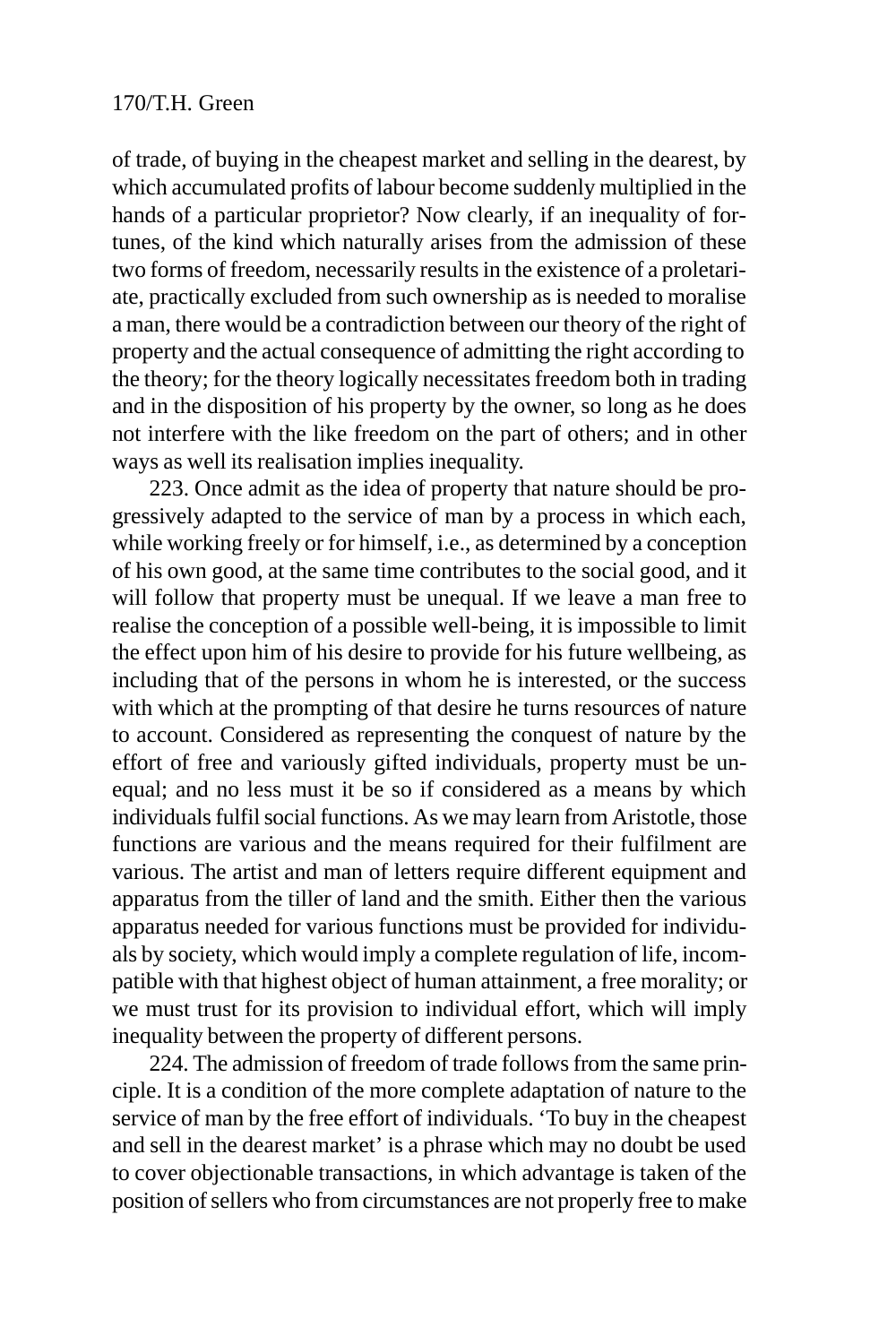of trade, of buying in the cheapest market and selling in the dearest, by which accumulated profits of labour become suddenly multiplied in the hands of a particular proprietor? Now clearly, if an inequality of fortunes, of the kind which naturally arises from the admission of these two forms of freedom, necessarily results in the existence of a proletariate, practically excluded from such ownership as is needed to moralise a man, there would be a contradiction between our theory of the right of property and the actual consequence of admitting the right according to the theory; for the theory logically necessitates freedom both in trading and in the disposition of his property by the owner, so long as he does not interfere with the like freedom on the part of others; and in other ways as well its realisation implies inequality.

223. Once admit as the idea of property that nature should be progressively adapted to the service of man by a process in which each, while working freely or for himself, i.e., as determined by a conception of his own good, at the same time contributes to the social good, and it will follow that property must be unequal. If we leave a man free to realise the conception of a possible well-being, it is impossible to limit the effect upon him of his desire to provide for his future wellbeing, as including that of the persons in whom he is interested, or the success with which at the prompting of that desire he turns resources of nature to account. Considered as representing the conquest of nature by the effort of free and variously gifted individuals, property must be unequal; and no less must it be so if considered as a means by which individuals fulfil social functions. As we may learn from Aristotle, those functions are various and the means required for their fulfilment are various. The artist and man of letters require different equipment and apparatus from the tiller of land and the smith. Either then the various apparatus needed for various functions must be provided for individuals by society, which would imply a complete regulation of life, incompatible with that highest object of human attainment, a free morality; or we must trust for its provision to individual effort, which will imply inequality between the property of different persons.

224. The admission of freedom of trade follows from the same principle. It is a condition of the more complete adaptation of nature to the service of man by the free effort of individuals. 'To buy in the cheapest and sell in the dearest market' is a phrase which may no doubt be used to cover objectionable transactions, in which advantage is taken of the position of sellers who from circumstances are not properly free to make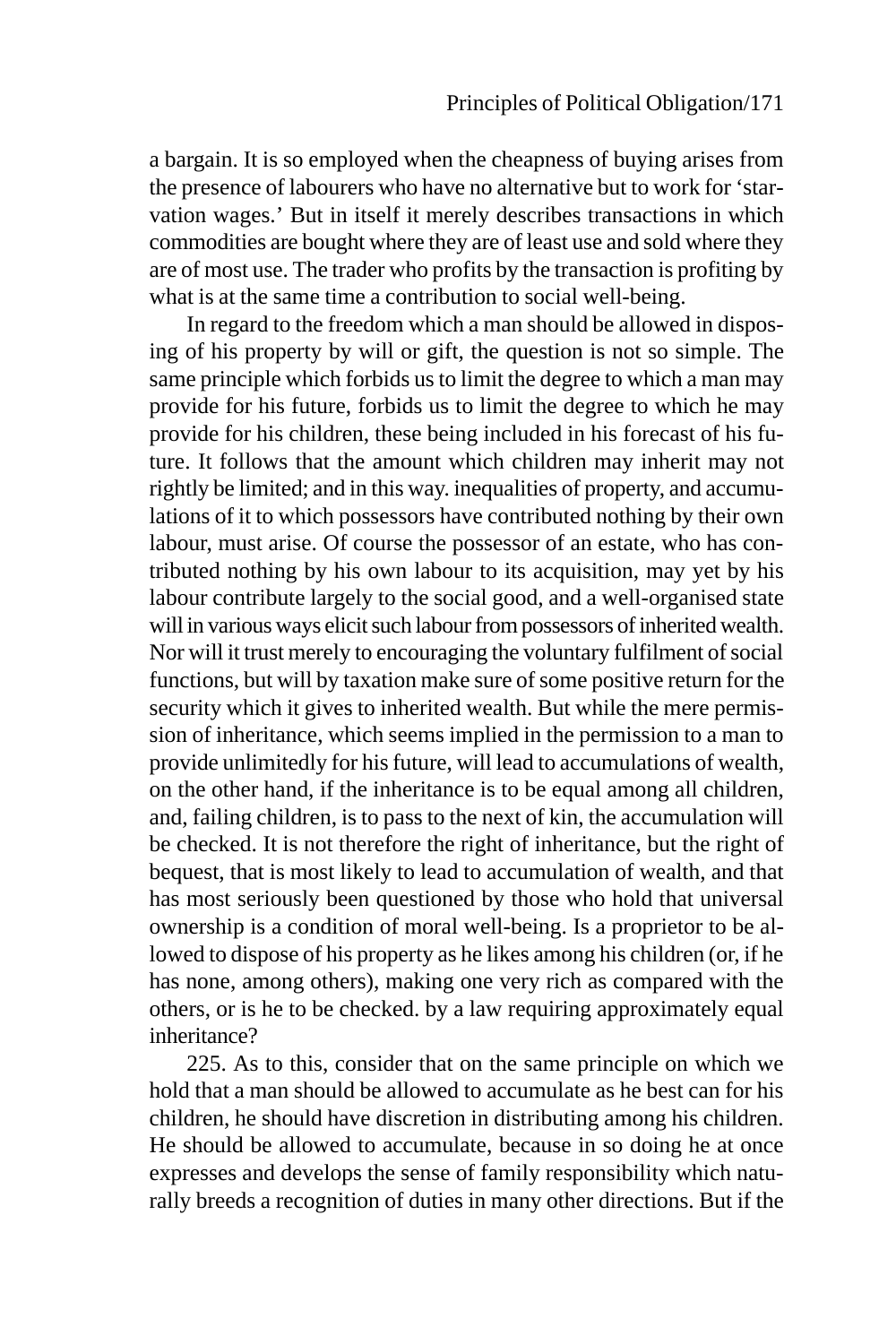a bargain. It is so employed when the cheapness of buying arises from the presence of labourers who have no alternative but to work for 'starvation wages.' But in itself it merely describes transactions in which commodities are bought where they are of least use and sold where they are of most use. The trader who profits by the transaction is profiting by what is at the same time a contribution to social well-being.

In regard to the freedom which a man should be allowed in disposing of his property by will or gift, the question is not so simple. The same principle which forbids us to limit the degree to which a man may provide for his future, forbids us to limit the degree to which he may provide for his children, these being included in his forecast of his future. It follows that the amount which children may inherit may not rightly be limited; and in this way. inequalities of property, and accumulations of it to which possessors have contributed nothing by their own labour, must arise. Of course the possessor of an estate, who has contributed nothing by his own labour to its acquisition, may yet by his labour contribute largely to the social good, and a well-organised state will in various ways elicit such labour from possessors of inherited wealth. Nor will it trust merely to encouraging the voluntary fulfilment of social functions, but will by taxation make sure of some positive return for the security which it gives to inherited wealth. But while the mere permission of inheritance, which seems implied in the permission to a man to provide unlimitedly for his future, will lead to accumulations of wealth, on the other hand, if the inheritance is to be equal among all children, and, failing children, is to pass to the next of kin, the accumulation will be checked. It is not therefore the right of inheritance, but the right of bequest, that is most likely to lead to accumulation of wealth, and that has most seriously been questioned by those who hold that universal ownership is a condition of moral well-being. Is a proprietor to be allowed to dispose of his property as he likes among his children (or, if he has none, among others), making one very rich as compared with the others, or is he to be checked. by a law requiring approximately equal inheritance?

225. As to this, consider that on the same principle on which we hold that a man should be allowed to accumulate as he best can for his children, he should have discretion in distributing among his children. He should be allowed to accumulate, because in so doing he at once expresses and develops the sense of family responsibility which naturally breeds a recognition of duties in many other directions. But if the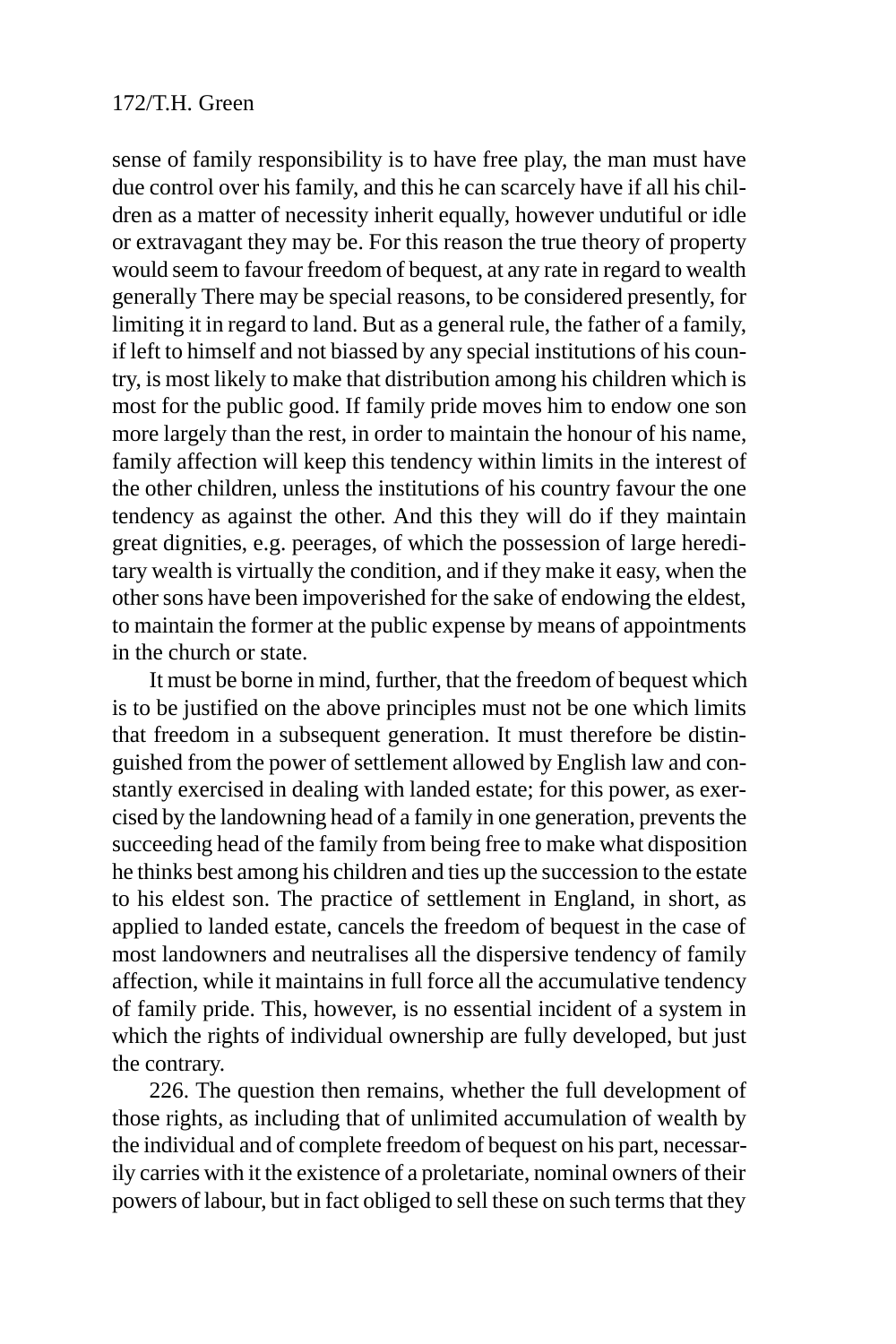sense of family responsibility is to have free play, the man must have due control over his family, and this he can scarcely have if all his children as a matter of necessity inherit equally, however undutiful or idle or extravagant they may be. For this reason the true theory of property would seem to favour freedom of bequest, at any rate in regard to wealth generally There may be special reasons, to be considered presently, for limiting it in regard to land. But as a general rule, the father of a family, if left to himself and not biassed by any special institutions of his country, is most likely to make that distribution among his children which is most for the public good. If family pride moves him to endow one son more largely than the rest, in order to maintain the honour of his name, family affection will keep this tendency within limits in the interest of the other children, unless the institutions of his country favour the one tendency as against the other. And this they will do if they maintain great dignities, e.g. peerages, of which the possession of large hereditary wealth is virtually the condition, and if they make it easy, when the other sons have been impoverished for the sake of endowing the eldest, to maintain the former at the public expense by means of appointments in the church or state.

It must be borne in mind, further, that the freedom of bequest which is to be justified on the above principles must not be one which limits that freedom in a subsequent generation. It must therefore be distinguished from the power of settlement allowed by English law and constantly exercised in dealing with landed estate; for this power, as exercised by the landowning head of a family in one generation, prevents the succeeding head of the family from being free to make what disposition he thinks best among his children and ties up the succession to the estate to his eldest son. The practice of settlement in England, in short, as applied to landed estate, cancels the freedom of bequest in the case of most landowners and neutralises all the dispersive tendency of family affection, while it maintains in full force all the accumulative tendency of family pride. This, however, is no essential incident of a system in which the rights of individual ownership are fully developed, but just the contrary.

226. The question then remains, whether the full development of those rights, as including that of unlimited accumulation of wealth by the individual and of complete freedom of bequest on his part, necessarily carries with it the existence of a proletariate, nominal owners of their powers of labour, but in fact obliged to sell these on such terms that they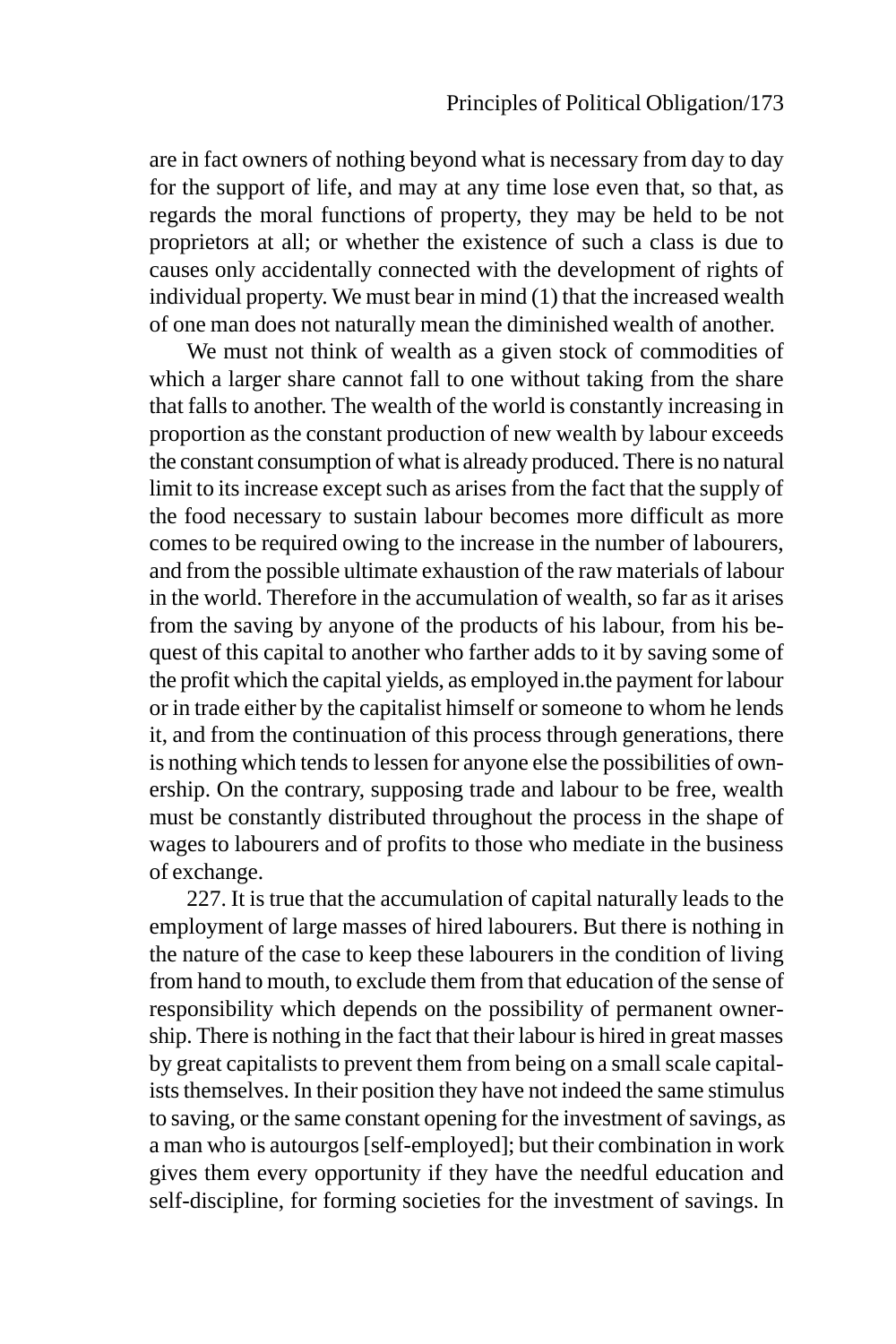are in fact owners of nothing beyond what is necessary from day to day for the support of life, and may at any time lose even that, so that, as regards the moral functions of property, they may be held to be not proprietors at all; or whether the existence of such a class is due to causes only accidentally connected with the development of rights of individual property. We must bear in mind (1) that the increased wealth of one man does not naturally mean the diminished wealth of another.

We must not think of wealth as a given stock of commodities of which a larger share cannot fall to one without taking from the share that falls to another. The wealth of the world is constantly increasing in proportion as the constant production of new wealth by labour exceeds the constant consumption of what is already produced. There is no natural limit to its increase except such as arises from the fact that the supply of the food necessary to sustain labour becomes more difficult as more comes to be required owing to the increase in the number of labourers, and from the possible ultimate exhaustion of the raw materials of labour in the world. Therefore in the accumulation of wealth, so far as it arises from the saving by anyone of the products of his labour, from his bequest of this capital to another who farther adds to it by saving some of the profit which the capital yields, as employed in.the payment for labour or in trade either by the capitalist himself or someone to whom he lends it, and from the continuation of this process through generations, there is nothing which tends to lessen for anyone else the possibilities of ownership. On the contrary, supposing trade and labour to be free, wealth must be constantly distributed throughout the process in the shape of wages to labourers and of profits to those who mediate in the business of exchange.

227. It is true that the accumulation of capital naturally leads to the employment of large masses of hired labourers. But there is nothing in the nature of the case to keep these labourers in the condition of living from hand to mouth, to exclude them from that education of the sense of responsibility which depends on the possibility of permanent ownership. There is nothing in the fact that their labour is hired in great masses by great capitalists to prevent them from being on a small scale capitalists themselves. In their position they have not indeed the same stimulus to saving, or the same constant opening for the investment of savings, as a man who is autourgos [self-employed]; but their combination in work gives them every opportunity if they have the needful education and self-discipline, for forming societies for the investment of savings. In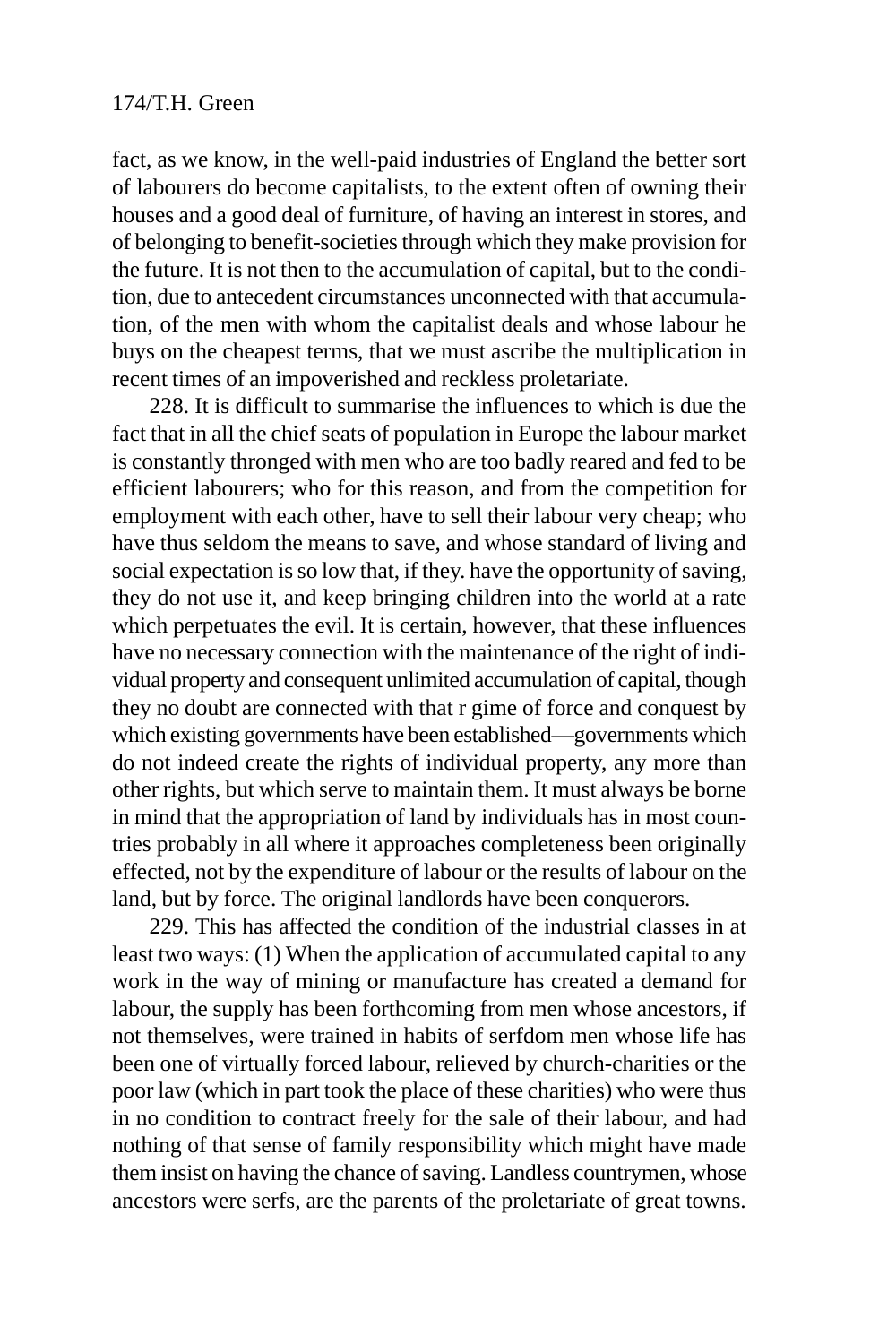fact, as we know, in the well-paid industries of England the better sort of labourers do become capitalists, to the extent often of owning their houses and a good deal of furniture, of having an interest in stores, and of belonging to benefit-societies through which they make provision for the future. It is not then to the accumulation of capital, but to the condition, due to antecedent circumstances unconnected with that accumulation, of the men with whom the capitalist deals and whose labour he buys on the cheapest terms, that we must ascribe the multiplication in recent times of an impoverished and reckless proletariate.

228. It is difficult to summarise the influences to which is due the fact that in all the chief seats of population in Europe the labour market is constantly thronged with men who are too badly reared and fed to be efficient labourers; who for this reason, and from the competition for employment with each other, have to sell their labour very cheap; who have thus seldom the means to save, and whose standard of living and social expectation is so low that, if they. have the opportunity of saving, they do not use it, and keep bringing children into the world at a rate which perpetuates the evil. It is certain, however, that these influences have no necessary connection with the maintenance of the right of individual property and consequent unlimited accumulation of capital, though they no doubt are connected with that r gime of force and conquest by which existing governments have been established—governments which do not indeed create the rights of individual property, any more than other rights, but which serve to maintain them. It must always be borne in mind that the appropriation of land by individuals has in most countries probably in all where it approaches completeness been originally effected, not by the expenditure of labour or the results of labour on the land, but by force. The original landlords have been conquerors.

229. This has affected the condition of the industrial classes in at least two ways: (1) When the application of accumulated capital to any work in the way of mining or manufacture has created a demand for labour, the supply has been forthcoming from men whose ancestors, if not themselves, were trained in habits of serfdom men whose life has been one of virtually forced labour, relieved by church-charities or the poor law (which in part took the place of these charities) who were thus in no condition to contract freely for the sale of their labour, and had nothing of that sense of family responsibility which might have made them insist on having the chance of saving. Landless countrymen, whose ancestors were serfs, are the parents of the proletariate of great towns.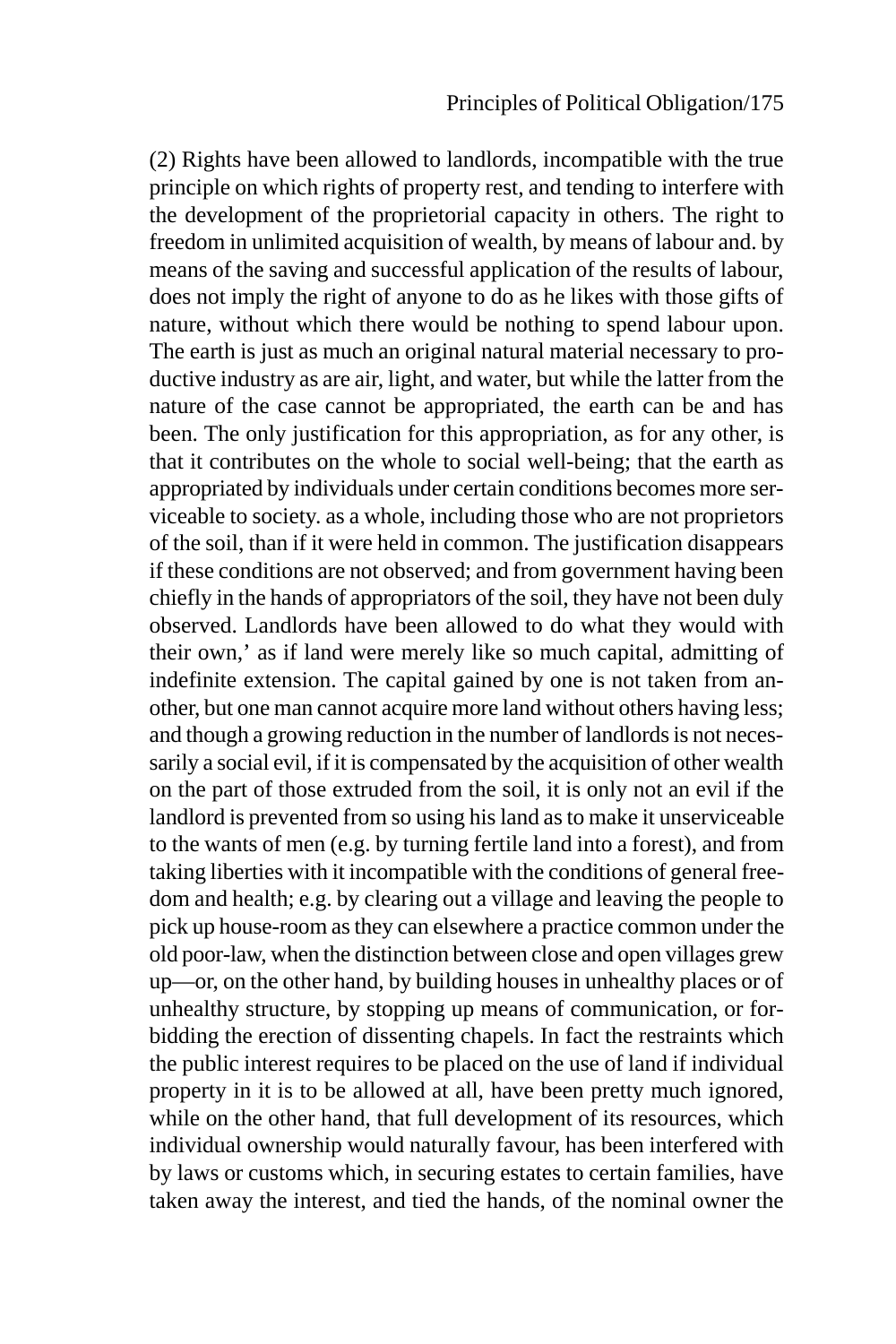(2) Rights have been allowed to landlords, incompatible with the true principle on which rights of property rest, and tending to interfere with the development of the proprietorial capacity in others. The right to freedom in unlimited acquisition of wealth, by means of labour and. by means of the saving and successful application of the results of labour, does not imply the right of anyone to do as he likes with those gifts of nature, without which there would be nothing to spend labour upon. The earth is just as much an original natural material necessary to productive industry as are air, light, and water, but while the latter from the nature of the case cannot be appropriated, the earth can be and has been. The only justification for this appropriation, as for any other, is that it contributes on the whole to social well-being; that the earth as appropriated by individuals under certain conditions becomes more serviceable to society. as a whole, including those who are not proprietors of the soil, than if it were held in common. The justification disappears if these conditions are not observed; and from government having been chiefly in the hands of appropriators of the soil, they have not been duly observed. Landlords have been allowed to do what they would with their own,' as if land were merely like so much capital, admitting of indefinite extension. The capital gained by one is not taken from another, but one man cannot acquire more land without others having less; and though a growing reduction in the number of landlords is not necessarily a social evil, if it is compensated by the acquisition of other wealth on the part of those extruded from the soil, it is only not an evil if the landlord is prevented from so using his land as to make it unserviceable to the wants of men (e.g. by turning fertile land into a forest), and from taking liberties with it incompatible with the conditions of general freedom and health; e.g. by clearing out a village and leaving the people to pick up house-room as they can elsewhere a practice common under the old poor-law, when the distinction between close and open villages grew up—or, on the other hand, by building houses in unhealthy places or of unhealthy structure, by stopping up means of communication, or forbidding the erection of dissenting chapels. In fact the restraints which the public interest requires to be placed on the use of land if individual property in it is to be allowed at all, have been pretty much ignored, while on the other hand, that full development of its resources, which individual ownership would naturally favour, has been interfered with by laws or customs which, in securing estates to certain families, have taken away the interest, and tied the hands, of the nominal owner the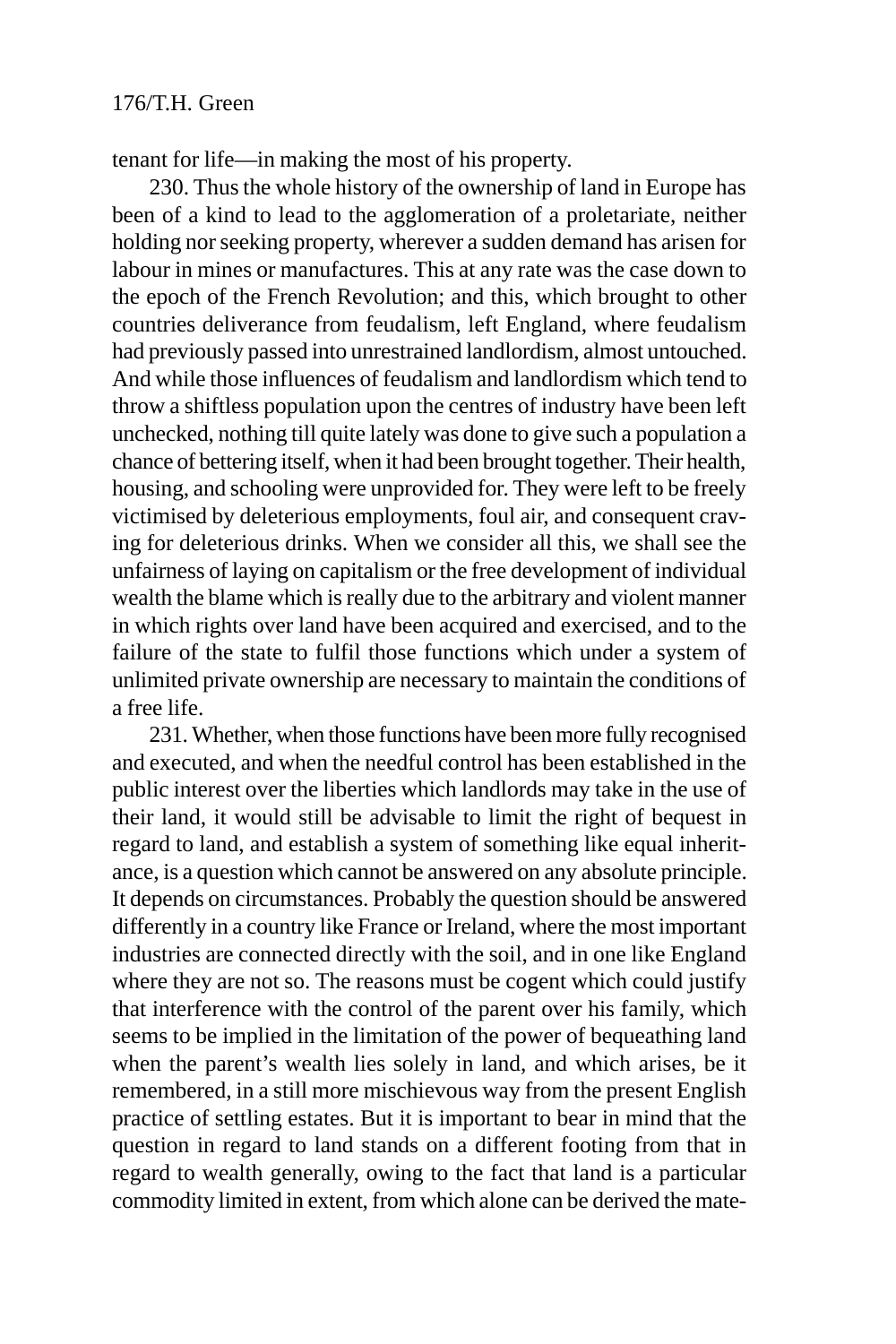tenant for life—in making the most of his property.

230. Thus the whole history of the ownership of land in Europe has been of a kind to lead to the agglomeration of a proletariate, neither holding nor seeking property, wherever a sudden demand has arisen for labour in mines or manufactures. This at any rate was the case down to the epoch of the French Revolution; and this, which brought to other countries deliverance from feudalism, left England, where feudalism had previously passed into unrestrained landlordism, almost untouched. And while those influences of feudalism and landlordism which tend to throw a shiftless population upon the centres of industry have been left unchecked, nothing till quite lately was done to give such a population a chance of bettering itself, when it had been brought together. Their health, housing, and schooling were unprovided for. They were left to be freely victimised by deleterious employments, foul air, and consequent craving for deleterious drinks. When we consider all this, we shall see the unfairness of laying on capitalism or the free development of individual wealth the blame which is really due to the arbitrary and violent manner in which rights over land have been acquired and exercised, and to the failure of the state to fulfil those functions which under a system of unlimited private ownership are necessary to maintain the conditions of a free life.

231. Whether, when those functions have been more fully recognised and executed, and when the needful control has been established in the public interest over the liberties which landlords may take in the use of their land, it would still be advisable to limit the right of bequest in regard to land, and establish a system of something like equal inheritance, is a question which cannot be answered on any absolute principle. It depends on circumstances. Probably the question should be answered differently in a country like France or Ireland, where the most important industries are connected directly with the soil, and in one like England where they are not so. The reasons must be cogent which could justify that interference with the control of the parent over his family, which seems to be implied in the limitation of the power of bequeathing land when the parent's wealth lies solely in land, and which arises, be it remembered, in a still more mischievous way from the present English practice of settling estates. But it is important to bear in mind that the question in regard to land stands on a different footing from that in regard to wealth generally, owing to the fact that land is a particular commodity limited in extent, from which alone can be derived the mate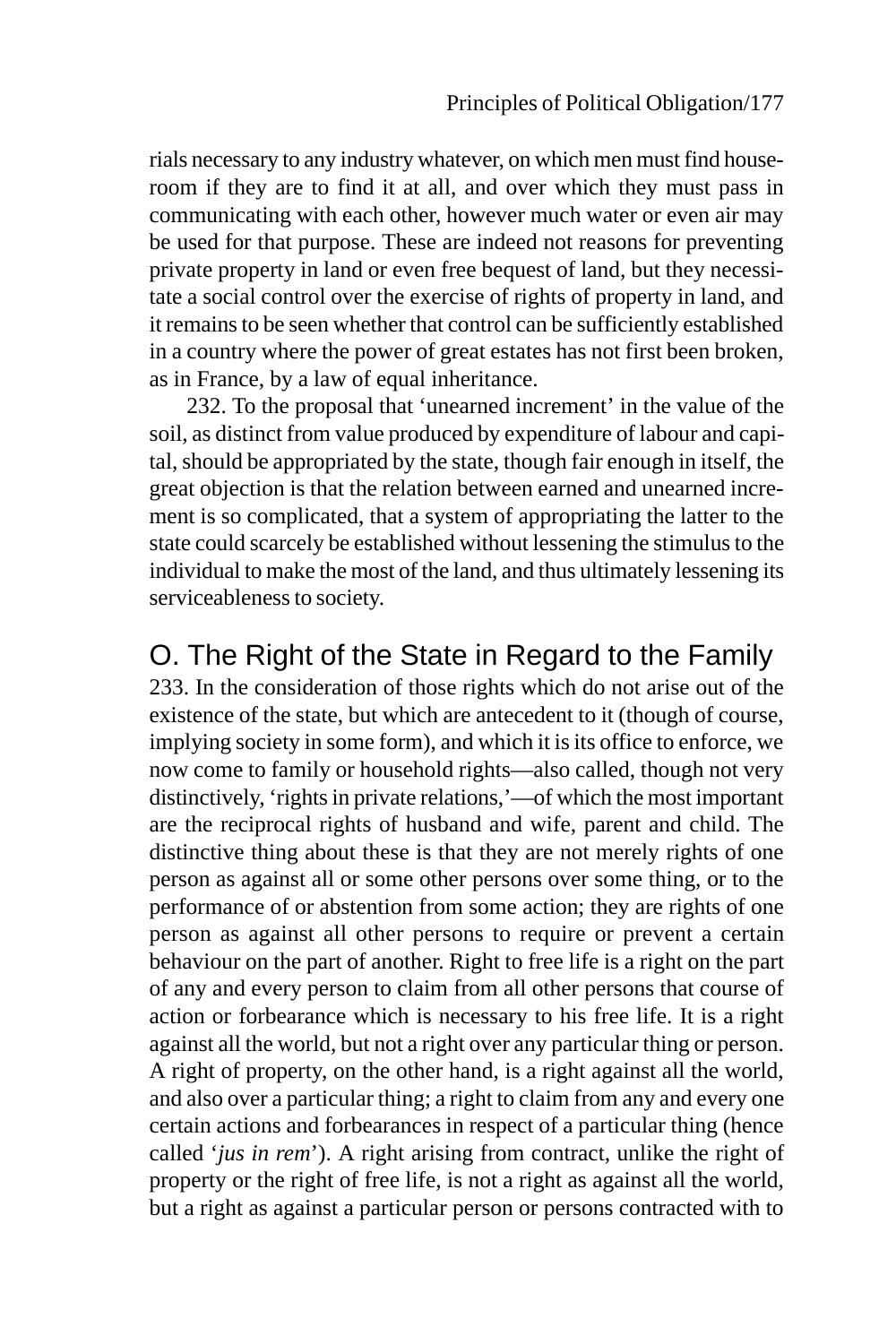rials necessary to any industry whatever, on which men must find houseroom if they are to find it at all, and over which they must pass in communicating with each other, however much water or even air may be used for that purpose. These are indeed not reasons for preventing private property in land or even free bequest of land, but they necessitate a social control over the exercise of rights of property in land, and it remains to be seen whether that control can be sufficiently established in a country where the power of great estates has not first been broken, as in France, by a law of equal inheritance.

232. To the proposal that 'unearned increment' in the value of the soil, as distinct from value produced by expenditure of labour and capital, should be appropriated by the state, though fair enough in itself, the great objection is that the relation between earned and unearned increment is so complicated, that a system of appropriating the latter to the state could scarcely be established without lessening the stimulus to the individual to make the most of the land, and thus ultimately lessening its serviceableness to society.

# O. The Right of the State in Regard to the Family

233. In the consideration of those rights which do not arise out of the existence of the state, but which are antecedent to it (though of course, implying society in some form), and which it is its office to enforce, we now come to family or household rights—also called, though not very distinctively, 'rights in private relations,'—of which the most important are the reciprocal rights of husband and wife, parent and child. The distinctive thing about these is that they are not merely rights of one person as against all or some other persons over some thing, or to the performance of or abstention from some action; they are rights of one person as against all other persons to require or prevent a certain behaviour on the part of another. Right to free life is a right on the part of any and every person to claim from all other persons that course of action or forbearance which is necessary to his free life. It is a right against all the world, but not a right over any particular thing or person. A right of property, on the other hand, is a right against all the world, and also over a particular thing; a right to claim from any and every one certain actions and forbearances in respect of a particular thing (hence called '*jus in rem*'). A right arising from contract, unlike the right of property or the right of free life, is not a right as against all the world, but a right as against a particular person or persons contracted with to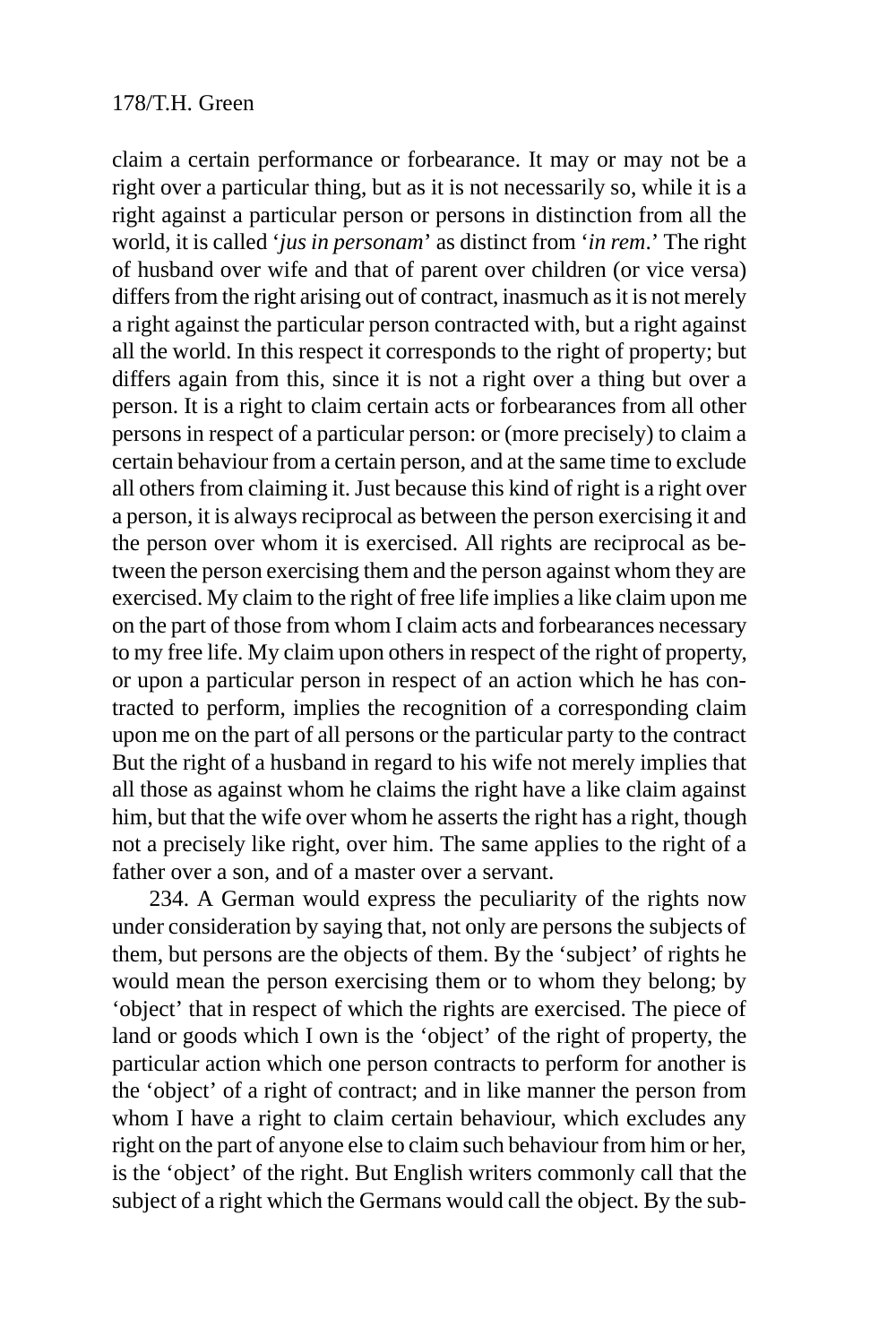claim a certain performance or forbearance. It may or may not be a right over a particular thing, but as it is not necessarily so, while it is a right against a particular person or persons in distinction from all the world, it is called '*jus in personam*' as distinct from '*in rem*.' The right of husband over wife and that of parent over children (or vice versa) differs from the right arising out of contract, inasmuch as it is not merely a right against the particular person contracted with, but a right against all the world. In this respect it corresponds to the right of property; but differs again from this, since it is not a right over a thing but over a person. It is a right to claim certain acts or forbearances from all other persons in respect of a particular person: or (more precisely) to claim a certain behaviour from a certain person, and at the same time to exclude all others from claiming it. Just because this kind of right is a right over a person, it is always reciprocal as between the person exercising it and the person over whom it is exercised. All rights are reciprocal as between the person exercising them and the person against whom they are exercised. My claim to the right of free life implies a like claim upon me on the part of those from whom I claim acts and forbearances necessary to my free life. My claim upon others in respect of the right of property, or upon a particular person in respect of an action which he has contracted to perform, implies the recognition of a corresponding claim upon me on the part of all persons or the particular party to the contract But the right of a husband in regard to his wife not merely implies that all those as against whom he claims the right have a like claim against him, but that the wife over whom he asserts the right has a right, though not a precisely like right, over him. The same applies to the right of a father over a son, and of a master over a servant.

234. A German would express the peculiarity of the rights now under consideration by saying that, not only are persons the subjects of them, but persons are the objects of them. By the 'subject' of rights he would mean the person exercising them or to whom they belong; by 'object' that in respect of which the rights are exercised. The piece of land or goods which I own is the 'object' of the right of property, the particular action which one person contracts to perform for another is the 'object' of a right of contract; and in like manner the person from whom I have a right to claim certain behaviour, which excludes any right on the part of anyone else to claim such behaviour from him or her, is the 'object' of the right. But English writers commonly call that the subject of a right which the Germans would call the object. By the sub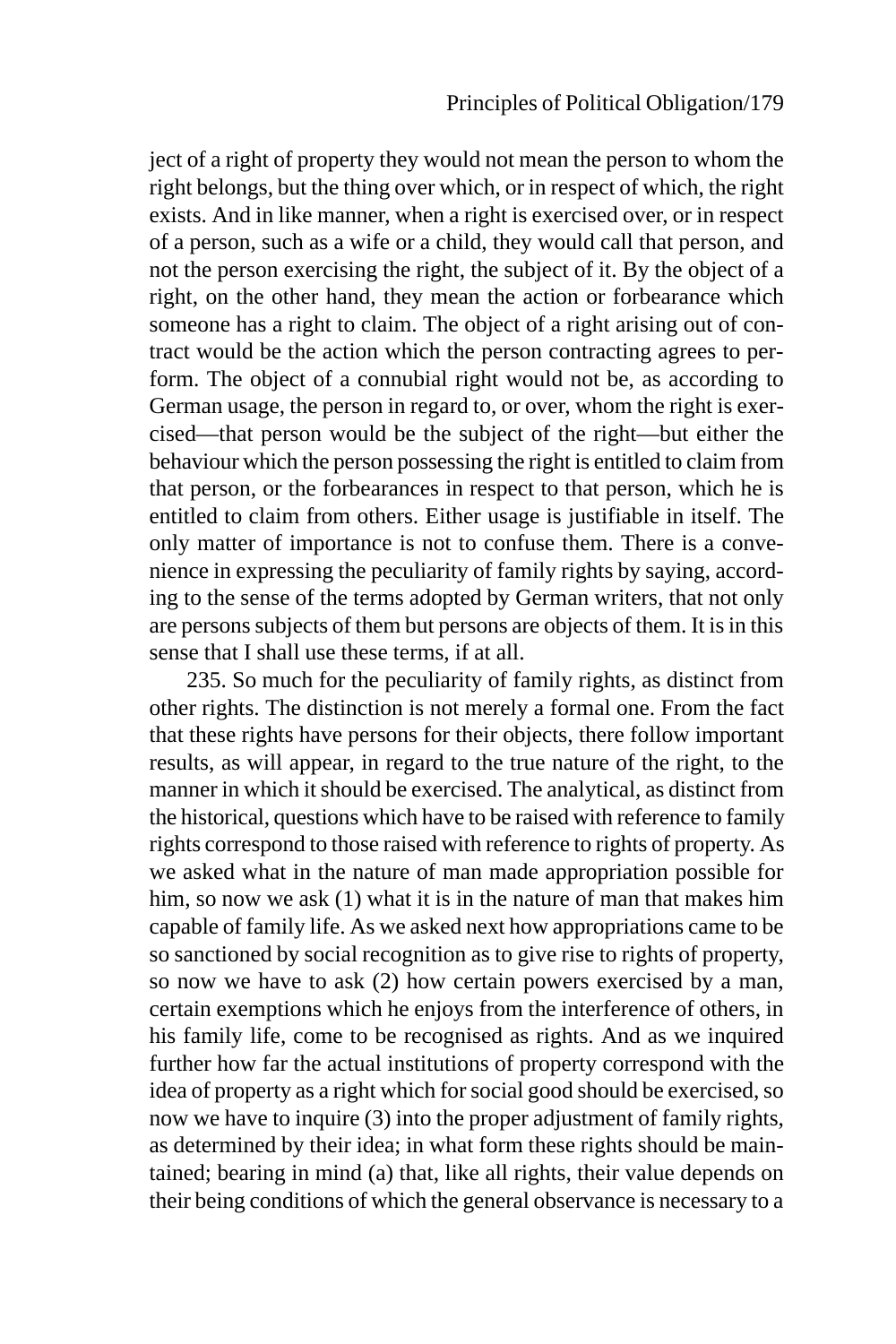ject of a right of property they would not mean the person to whom the right belongs, but the thing over which, or in respect of which, the right exists. And in like manner, when a right is exercised over, or in respect of a person, such as a wife or a child, they would call that person, and not the person exercising the right, the subject of it. By the object of a right, on the other hand, they mean the action or forbearance which someone has a right to claim. The object of a right arising out of contract would be the action which the person contracting agrees to perform. The object of a connubial right would not be, as according to German usage, the person in regard to, or over, whom the right is exercised—that person would be the subject of the right—but either the behaviour which the person possessing the right is entitled to claim from that person, or the forbearances in respect to that person, which he is entitled to claim from others. Either usage is justifiable in itself. The only matter of importance is not to confuse them. There is a convenience in expressing the peculiarity of family rights by saying, according to the sense of the terms adopted by German writers, that not only are persons subjects of them but persons are objects of them. It is in this sense that I shall use these terms, if at all.

235. So much for the peculiarity of family rights, as distinct from other rights. The distinction is not merely a formal one. From the fact that these rights have persons for their objects, there follow important results, as will appear, in regard to the true nature of the right, to the manner in which it should be exercised. The analytical, as distinct from the historical, questions which have to be raised with reference to family rights correspond to those raised with reference to rights of property. As we asked what in the nature of man made appropriation possible for him, so now we ask (1) what it is in the nature of man that makes him capable of family life. As we asked next how appropriations came to be so sanctioned by social recognition as to give rise to rights of property, so now we have to ask (2) how certain powers exercised by a man, certain exemptions which he enjoys from the interference of others, in his family life, come to be recognised as rights. And as we inquired further how far the actual institutions of property correspond with the idea of property as a right which for social good should be exercised, so now we have to inquire (3) into the proper adjustment of family rights, as determined by their idea; in what form these rights should be maintained; bearing in mind (a) that, like all rights, their value depends on their being conditions of which the general observance is necessary to a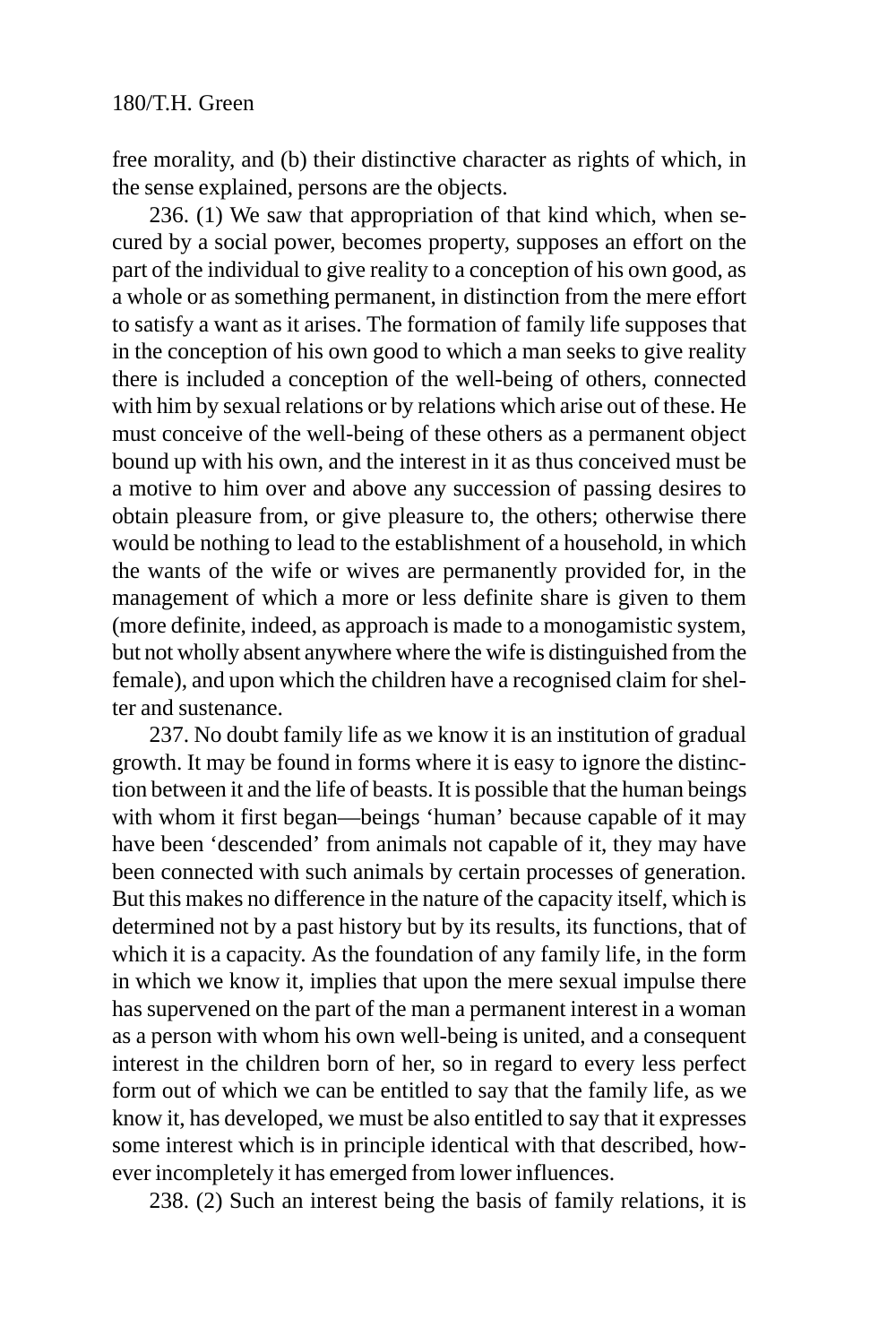free morality, and (b) their distinctive character as rights of which, in the sense explained, persons are the objects.

236. (1) We saw that appropriation of that kind which, when secured by a social power, becomes property, supposes an effort on the part of the individual to give reality to a conception of his own good, as a whole or as something permanent, in distinction from the mere effort to satisfy a want as it arises. The formation of family life supposes that in the conception of his own good to which a man seeks to give reality there is included a conception of the well-being of others, connected with him by sexual relations or by relations which arise out of these. He must conceive of the well-being of these others as a permanent object bound up with his own, and the interest in it as thus conceived must be a motive to him over and above any succession of passing desires to obtain pleasure from, or give pleasure to, the others; otherwise there would be nothing to lead to the establishment of a household, in which the wants of the wife or wives are permanently provided for, in the management of which a more or less definite share is given to them (more definite, indeed, as approach is made to a monogamistic system, but not wholly absent anywhere where the wife is distinguished from the female), and upon which the children have a recognised claim for shelter and sustenance.

237. No doubt family life as we know it is an institution of gradual growth. It may be found in forms where it is easy to ignore the distinction between it and the life of beasts. It is possible that the human beings with whom it first began—beings 'human' because capable of it may have been 'descended' from animals not capable of it, they may have been connected with such animals by certain processes of generation. But this makes no difference in the nature of the capacity itself, which is determined not by a past history but by its results, its functions, that of which it is a capacity. As the foundation of any family life, in the form in which we know it, implies that upon the mere sexual impulse there has supervened on the part of the man a permanent interest in a woman as a person with whom his own well-being is united, and a consequent interest in the children born of her, so in regard to every less perfect form out of which we can be entitled to say that the family life, as we know it, has developed, we must be also entitled to say that it expresses some interest which is in principle identical with that described, however incompletely it has emerged from lower influences.

238. (2) Such an interest being the basis of family relations, it is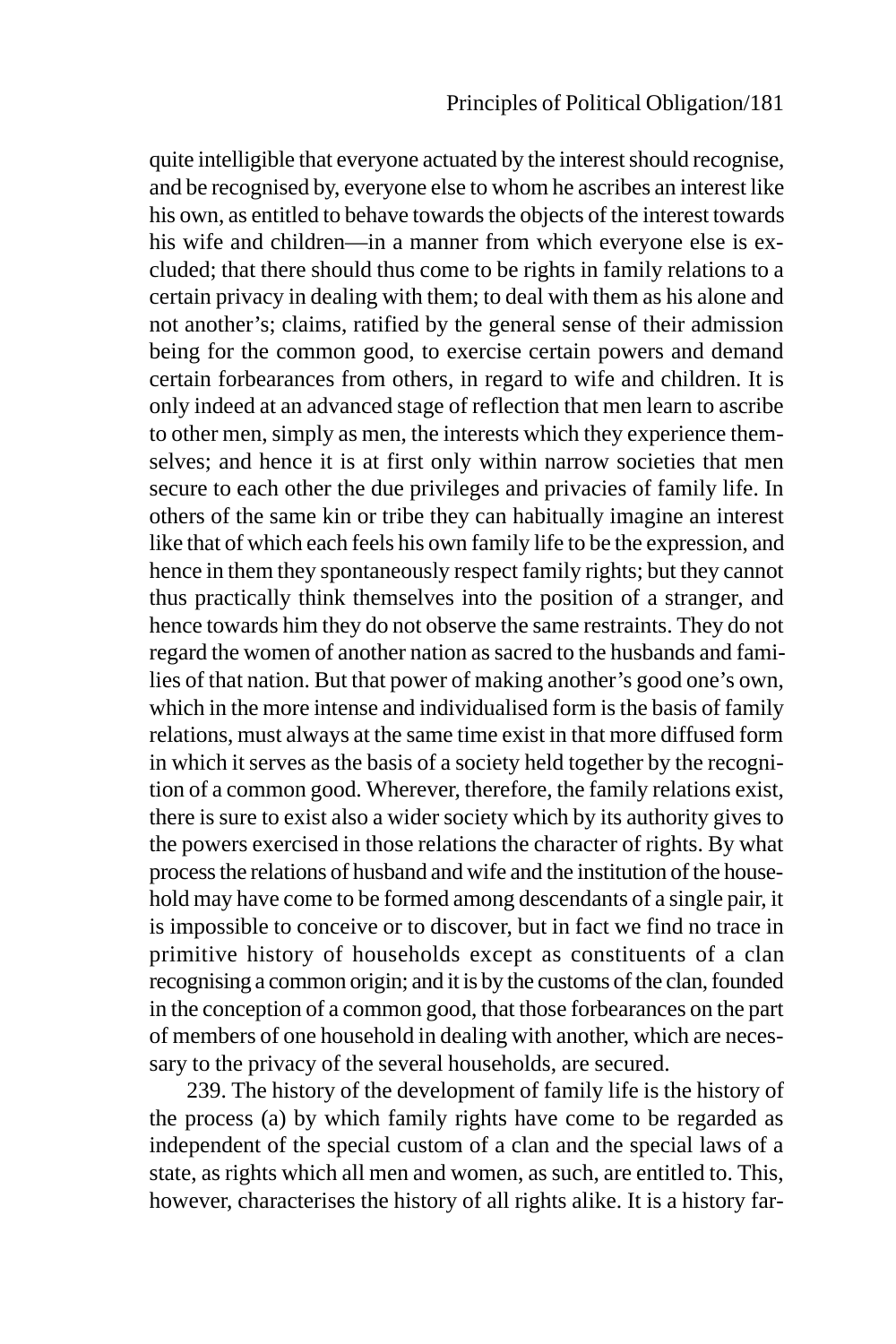quite intelligible that everyone actuated by the interest should recognise, and be recognised by, everyone else to whom he ascribes an interest like his own, as entitled to behave towards the objects of the interest towards his wife and children—in a manner from which everyone else is excluded; that there should thus come to be rights in family relations to a certain privacy in dealing with them; to deal with them as his alone and not another's; claims, ratified by the general sense of their admission being for the common good, to exercise certain powers and demand certain forbearances from others, in regard to wife and children. It is only indeed at an advanced stage of reflection that men learn to ascribe to other men, simply as men, the interests which they experience themselves; and hence it is at first only within narrow societies that men secure to each other the due privileges and privacies of family life. In others of the same kin or tribe they can habitually imagine an interest like that of which each feels his own family life to be the expression, and hence in them they spontaneously respect family rights; but they cannot thus practically think themselves into the position of a stranger, and hence towards him they do not observe the same restraints. They do not regard the women of another nation as sacred to the husbands and families of that nation. But that power of making another's good one's own, which in the more intense and individualised form is the basis of family relations, must always at the same time exist in that more diffused form in which it serves as the basis of a society held together by the recognition of a common good. Wherever, therefore, the family relations exist, there is sure to exist also a wider society which by its authority gives to the powers exercised in those relations the character of rights. By what process the relations of husband and wife and the institution of the household may have come to be formed among descendants of a single pair, it is impossible to conceive or to discover, but in fact we find no trace in primitive history of households except as constituents of a clan recognising a common origin; and it is by the customs of the clan, founded in the conception of a common good, that those forbearances on the part of members of one household in dealing with another, which are necessary to the privacy of the several households, are secured.

239. The history of the development of family life is the history of the process (a) by which family rights have come to be regarded as independent of the special custom of a clan and the special laws of a state, as rights which all men and women, as such, are entitled to. This, however, characterises the history of all rights alike. It is a history far-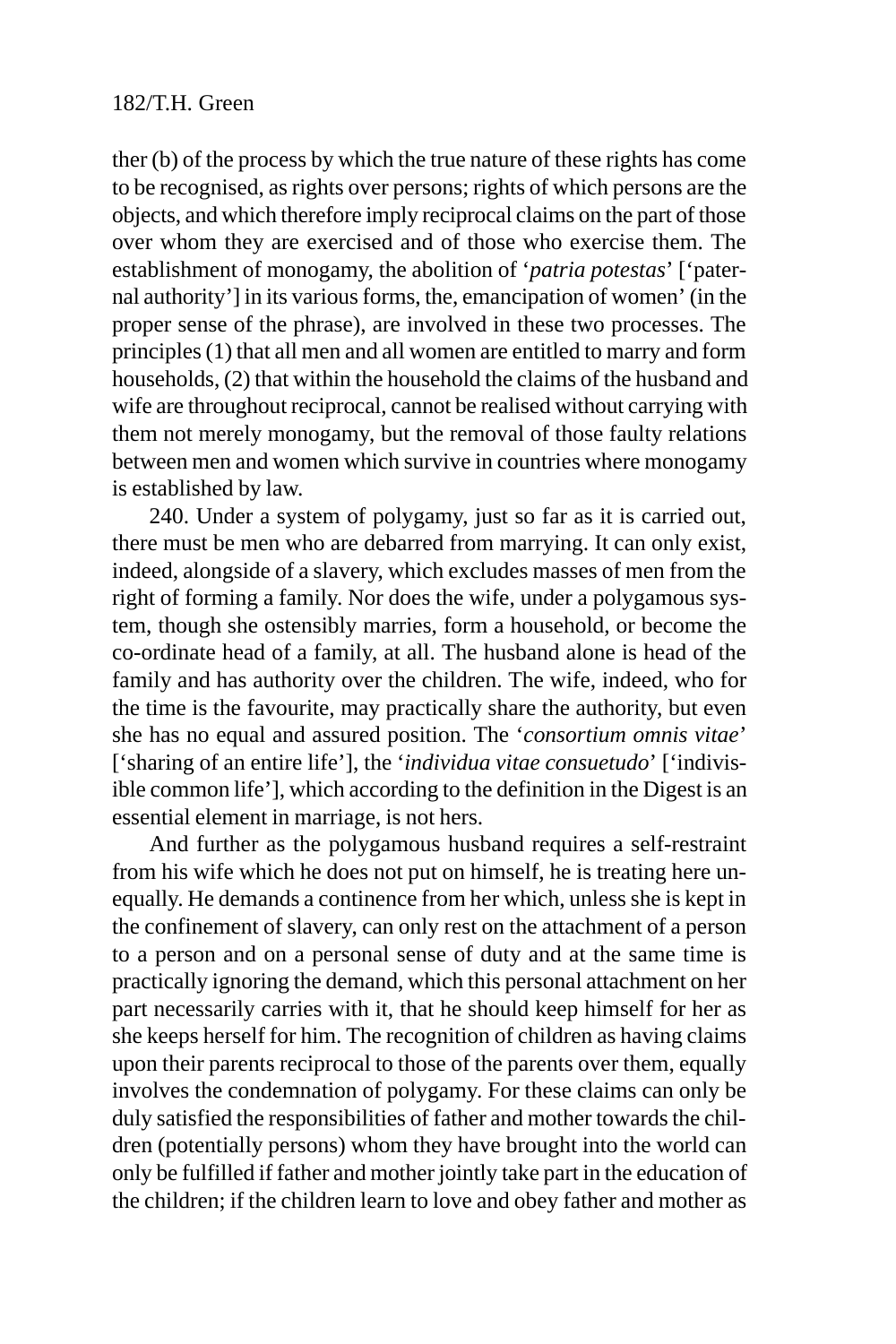ther (b) of the process by which the true nature of these rights has come to be recognised, as rights over persons; rights of which persons are the objects, and which therefore imply reciprocal claims on the part of those over whom they are exercised and of those who exercise them. The establishment of monogamy, the abolition of '*patria potestas*' ['paternal authority'] in its various forms, the, emancipation of women' (in the proper sense of the phrase), are involved in these two processes. The principles (1) that all men and all women are entitled to marry and form households, (2) that within the household the claims of the husband and wife are throughout reciprocal, cannot be realised without carrying with them not merely monogamy, but the removal of those faulty relations between men and women which survive in countries where monogamy is established by law.

240. Under a system of polygamy, just so far as it is carried out, there must be men who are debarred from marrying. It can only exist, indeed, alongside of a slavery, which excludes masses of men from the right of forming a family. Nor does the wife, under a polygamous system, though she ostensibly marries, form a household, or become the co-ordinate head of a family, at all. The husband alone is head of the family and has authority over the children. The wife, indeed, who for the time is the favourite, may practically share the authority, but even she has no equal and assured position. The '*consortium omnis vitae*' ['sharing of an entire life'], the '*individua vitae consuetudo*' ['indivisible common life'], which according to the definition in the Digest is an essential element in marriage, is not hers.

And further as the polygamous husband requires a self-restraint from his wife which he does not put on himself, he is treating here unequally. He demands a continence from her which, unless she is kept in the confinement of slavery, can only rest on the attachment of a person to a person and on a personal sense of duty and at the same time is practically ignoring the demand, which this personal attachment on her part necessarily carries with it, that he should keep himself for her as she keeps herself for him. The recognition of children as having claims upon their parents reciprocal to those of the parents over them, equally involves the condemnation of polygamy. For these claims can only be duly satisfied the responsibilities of father and mother towards the children (potentially persons) whom they have brought into the world can only be fulfilled if father and mother jointly take part in the education of the children; if the children learn to love and obey father and mother as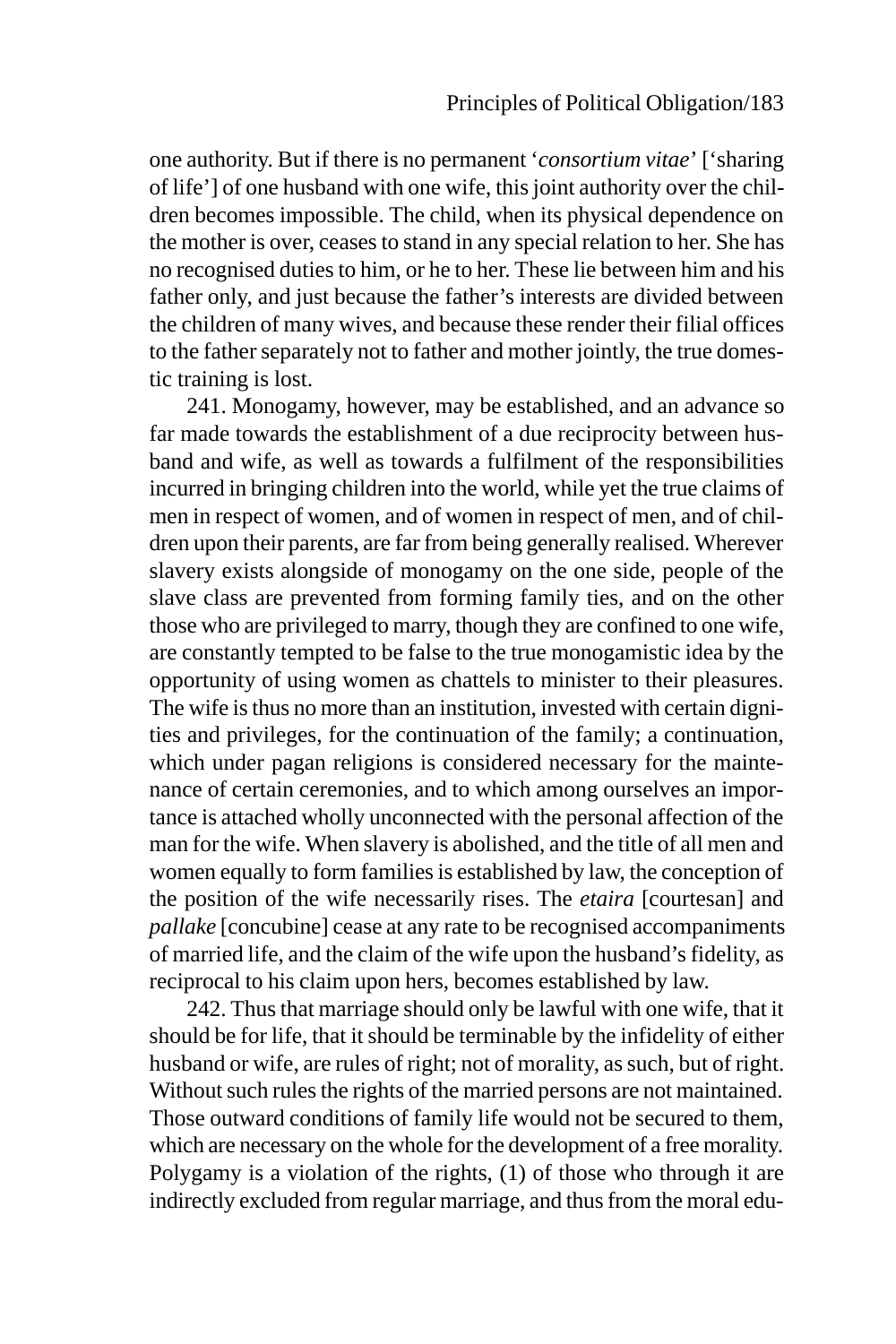one authority. But if there is no permanent '*consortium vitae*' ['sharing of life'] of one husband with one wife, this joint authority over the children becomes impossible. The child, when its physical dependence on the mother is over, ceases to stand in any special relation to her. She has no recognised duties to him, or he to her. These lie between him and his father only, and just because the father's interests are divided between the children of many wives, and because these render their filial offices to the father separately not to father and mother jointly, the true domestic training is lost.

241. Monogamy, however, may be established, and an advance so far made towards the establishment of a due reciprocity between husband and wife, as well as towards a fulfilment of the responsibilities incurred in bringing children into the world, while yet the true claims of men in respect of women, and of women in respect of men, and of children upon their parents, are far from being generally realised. Wherever slavery exists alongside of monogamy on the one side, people of the slave class are prevented from forming family ties, and on the other those who are privileged to marry, though they are confined to one wife, are constantly tempted to be false to the true monogamistic idea by the opportunity of using women as chattels to minister to their pleasures. The wife is thus no more than an institution, invested with certain dignities and privileges, for the continuation of the family; a continuation, which under pagan religions is considered necessary for the maintenance of certain ceremonies, and to which among ourselves an importance is attached wholly unconnected with the personal affection of the man for the wife. When slavery is abolished, and the title of all men and women equally to form families is established by law, the conception of the position of the wife necessarily rises. The *etaira* [courtesan] and *pallake* [concubine] cease at any rate to be recognised accompaniments of married life, and the claim of the wife upon the husband's fidelity, as reciprocal to his claim upon hers, becomes established by law.

242. Thus that marriage should only be lawful with one wife, that it should be for life, that it should be terminable by the infidelity of either husband or wife, are rules of right; not of morality, as such, but of right. Without such rules the rights of the married persons are not maintained. Those outward conditions of family life would not be secured to them, which are necessary on the whole for the development of a free morality. Polygamy is a violation of the rights, (1) of those who through it are indirectly excluded from regular marriage, and thus from the moral edu-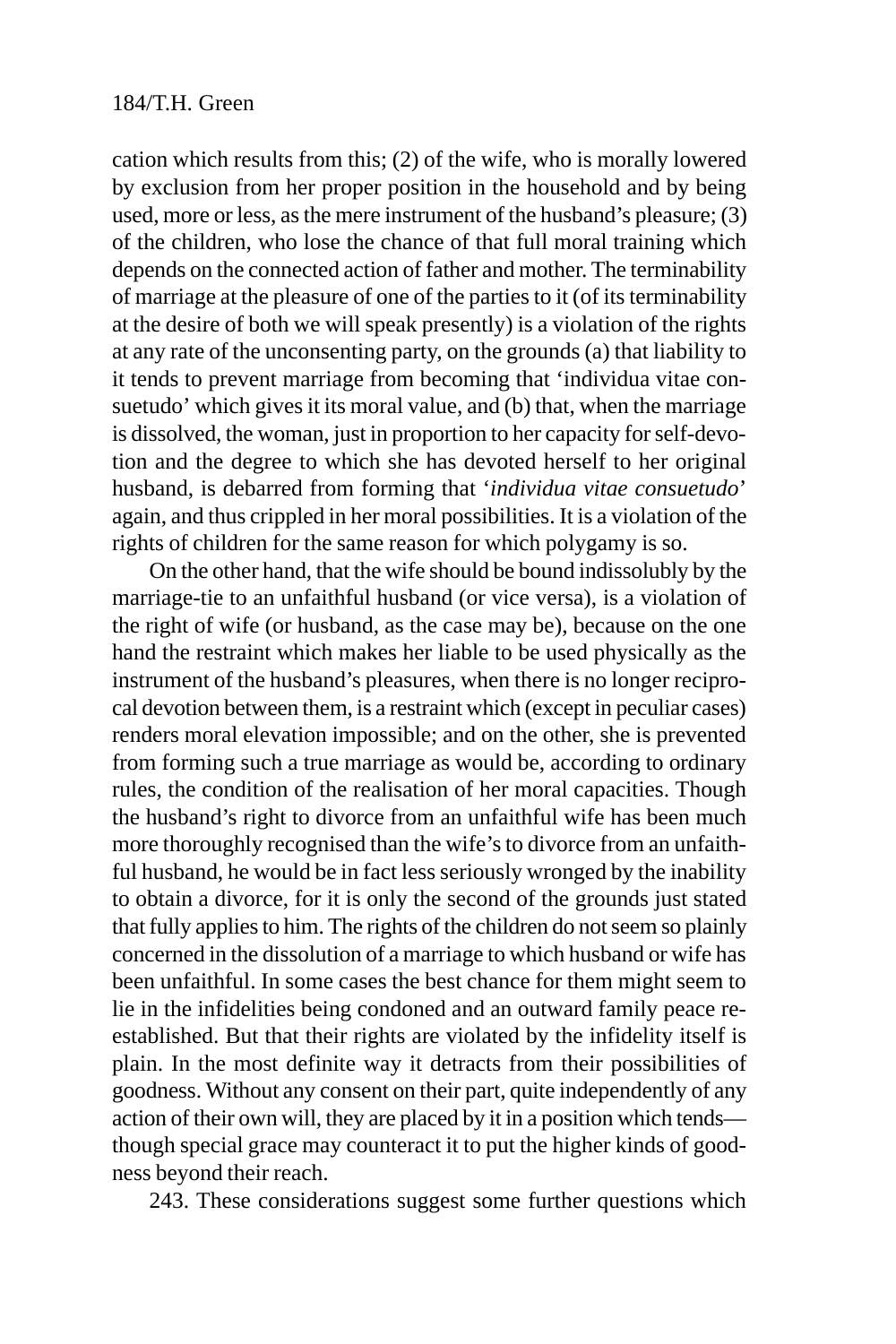cation which results from this; (2) of the wife, who is morally lowered by exclusion from her proper position in the household and by being used, more or less, as the mere instrument of the husband's pleasure; (3) of the children, who lose the chance of that full moral training which depends on the connected action of father and mother. The terminability of marriage at the pleasure of one of the parties to it (of its terminability at the desire of both we will speak presently) is a violation of the rights at any rate of the unconsenting party, on the grounds (a) that liability to it tends to prevent marriage from becoming that 'individua vitae consuetudo' which gives it its moral value, and (b) that, when the marriage is dissolved, the woman, just in proportion to her capacity for self-devotion and the degree to which she has devoted herself to her original husband, is debarred from forming that '*individua vitae consuetudo*' again, and thus crippled in her moral possibilities. It is a violation of the rights of children for the same reason for which polygamy is so.

On the other hand, that the wife should be bound indissolubly by the marriage-tie to an unfaithful husband (or vice versa), is a violation of the right of wife (or husband, as the case may be), because on the one hand the restraint which makes her liable to be used physically as the instrument of the husband's pleasures, when there is no longer reciprocal devotion between them, is a restraint which (except in peculiar cases) renders moral elevation impossible; and on the other, she is prevented from forming such a true marriage as would be, according to ordinary rules, the condition of the realisation of her moral capacities. Though the husband's right to divorce from an unfaithful wife has been much more thoroughly recognised than the wife's to divorce from an unfaithful husband, he would be in fact less seriously wronged by the inability to obtain a divorce, for it is only the second of the grounds just stated that fully applies to him. The rights of the children do not seem so plainly concerned in the dissolution of a marriage to which husband or wife has been unfaithful. In some cases the best chance for them might seem to lie in the infidelities being condoned and an outward family peace reestablished. But that their rights are violated by the infidelity itself is plain. In the most definite way it detracts from their possibilities of goodness. Without any consent on their part, quite independently of any action of their own will, they are placed by it in a position which tends though special grace may counteract it to put the higher kinds of goodness beyond their reach.

243. These considerations suggest some further questions which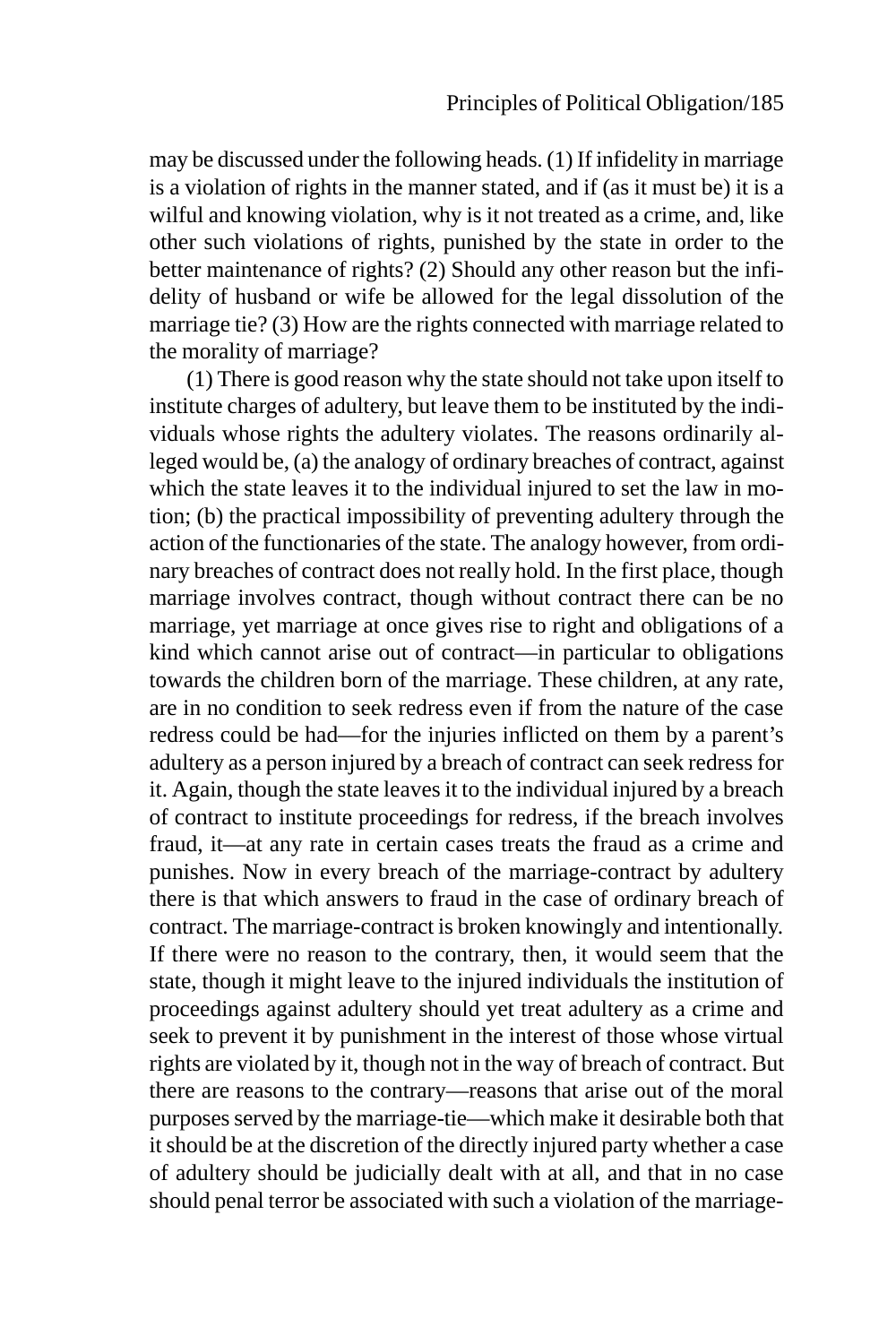may be discussed under the following heads. (1) If infidelity in marriage is a violation of rights in the manner stated, and if (as it must be) it is a wilful and knowing violation, why is it not treated as a crime, and, like other such violations of rights, punished by the state in order to the better maintenance of rights? (2) Should any other reason but the infidelity of husband or wife be allowed for the legal dissolution of the marriage tie? (3) How are the rights connected with marriage related to the morality of marriage?

(1) There is good reason why the state should not take upon itself to institute charges of adultery, but leave them to be instituted by the individuals whose rights the adultery violates. The reasons ordinarily alleged would be, (a) the analogy of ordinary breaches of contract, against which the state leaves it to the individual injured to set the law in motion; (b) the practical impossibility of preventing adultery through the action of the functionaries of the state. The analogy however, from ordinary breaches of contract does not really hold. In the first place, though marriage involves contract, though without contract there can be no marriage, yet marriage at once gives rise to right and obligations of a kind which cannot arise out of contract—in particular to obligations towards the children born of the marriage. These children, at any rate, are in no condition to seek redress even if from the nature of the case redress could be had—for the injuries inflicted on them by a parent's adultery as a person injured by a breach of contract can seek redress for it. Again, though the state leaves it to the individual injured by a breach of contract to institute proceedings for redress, if the breach involves fraud, it—at any rate in certain cases treats the fraud as a crime and punishes. Now in every breach of the marriage-contract by adultery there is that which answers to fraud in the case of ordinary breach of contract. The marriage-contract is broken knowingly and intentionally. If there were no reason to the contrary, then, it would seem that the state, though it might leave to the injured individuals the institution of proceedings against adultery should yet treat adultery as a crime and seek to prevent it by punishment in the interest of those whose virtual rights are violated by it, though not in the way of breach of contract. But there are reasons to the contrary—reasons that arise out of the moral purposes served by the marriage-tie—which make it desirable both that it should be at the discretion of the directly injured party whether a case of adultery should be judicially dealt with at all, and that in no case should penal terror be associated with such a violation of the marriage-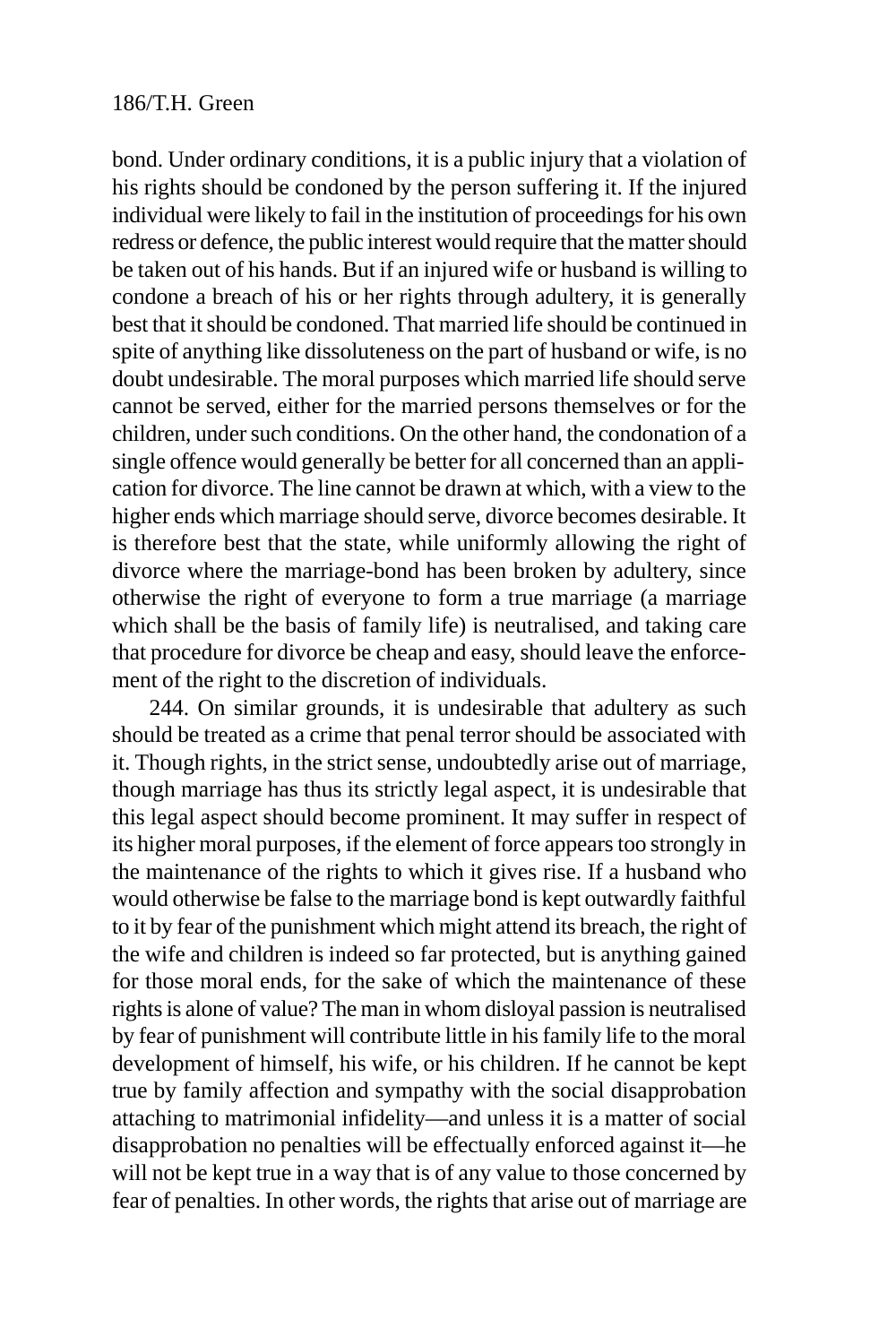bond. Under ordinary conditions, it is a public injury that a violation of his rights should be condoned by the person suffering it. If the injured individual were likely to fail in the institution of proceedings for his own redress or defence, the public interest would require that the matter should be taken out of his hands. But if an injured wife or husband is willing to condone a breach of his or her rights through adultery, it is generally best that it should be condoned. That married life should be continued in spite of anything like dissoluteness on the part of husband or wife, is no doubt undesirable. The moral purposes which married life should serve cannot be served, either for the married persons themselves or for the children, under such conditions. On the other hand, the condonation of a single offence would generally be better for all concerned than an application for divorce. The line cannot be drawn at which, with a view to the higher ends which marriage should serve, divorce becomes desirable. It is therefore best that the state, while uniformly allowing the right of divorce where the marriage-bond has been broken by adultery, since otherwise the right of everyone to form a true marriage (a marriage which shall be the basis of family life) is neutralised, and taking care that procedure for divorce be cheap and easy, should leave the enforcement of the right to the discretion of individuals.

244. On similar grounds, it is undesirable that adultery as such should be treated as a crime that penal terror should be associated with it. Though rights, in the strict sense, undoubtedly arise out of marriage, though marriage has thus its strictly legal aspect, it is undesirable that this legal aspect should become prominent. It may suffer in respect of its higher moral purposes, if the element of force appears too strongly in the maintenance of the rights to which it gives rise. If a husband who would otherwise be false to the marriage bond is kept outwardly faithful to it by fear of the punishment which might attend its breach, the right of the wife and children is indeed so far protected, but is anything gained for those moral ends, for the sake of which the maintenance of these rights is alone of value? The man in whom disloyal passion is neutralised by fear of punishment will contribute little in his family life to the moral development of himself, his wife, or his children. If he cannot be kept true by family affection and sympathy with the social disapprobation attaching to matrimonial infidelity—and unless it is a matter of social disapprobation no penalties will be effectually enforced against it—he will not be kept true in a way that is of any value to those concerned by fear of penalties. In other words, the rights that arise out of marriage are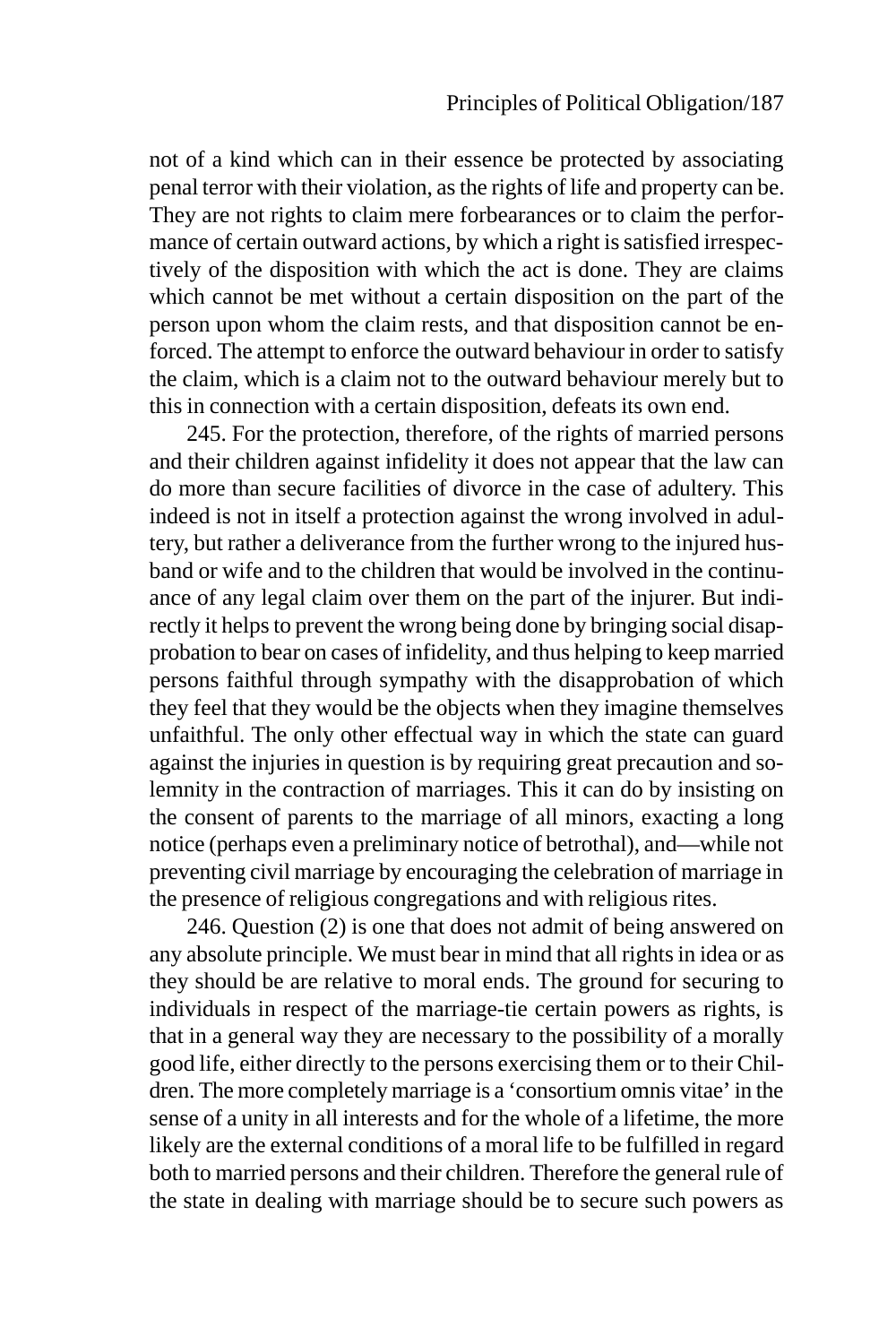not of a kind which can in their essence be protected by associating penal terror with their violation, as the rights of life and property can be. They are not rights to claim mere forbearances or to claim the performance of certain outward actions, by which a right is satisfied irrespectively of the disposition with which the act is done. They are claims which cannot be met without a certain disposition on the part of the person upon whom the claim rests, and that disposition cannot be enforced. The attempt to enforce the outward behaviour in order to satisfy the claim, which is a claim not to the outward behaviour merely but to this in connection with a certain disposition, defeats its own end.

245. For the protection, therefore, of the rights of married persons and their children against infidelity it does not appear that the law can do more than secure facilities of divorce in the case of adultery. This indeed is not in itself a protection against the wrong involved in adultery, but rather a deliverance from the further wrong to the injured husband or wife and to the children that would be involved in the continuance of any legal claim over them on the part of the injurer. But indirectly it helps to prevent the wrong being done by bringing social disapprobation to bear on cases of infidelity, and thus helping to keep married persons faithful through sympathy with the disapprobation of which they feel that they would be the objects when they imagine themselves unfaithful. The only other effectual way in which the state can guard against the injuries in question is by requiring great precaution and solemnity in the contraction of marriages. This it can do by insisting on the consent of parents to the marriage of all minors, exacting a long notice (perhaps even a preliminary notice of betrothal), and—while not preventing civil marriage by encouraging the celebration of marriage in the presence of religious congregations and with religious rites.

246. Question (2) is one that does not admit of being answered on any absolute principle. We must bear in mind that all rights in idea or as they should be are relative to moral ends. The ground for securing to individuals in respect of the marriage-tie certain powers as rights, is that in a general way they are necessary to the possibility of a morally good life, either directly to the persons exercising them or to their Children. The more completely marriage is a 'consortium omnis vitae' in the sense of a unity in all interests and for the whole of a lifetime, the more likely are the external conditions of a moral life to be fulfilled in regard both to married persons and their children. Therefore the general rule of the state in dealing with marriage should be to secure such powers as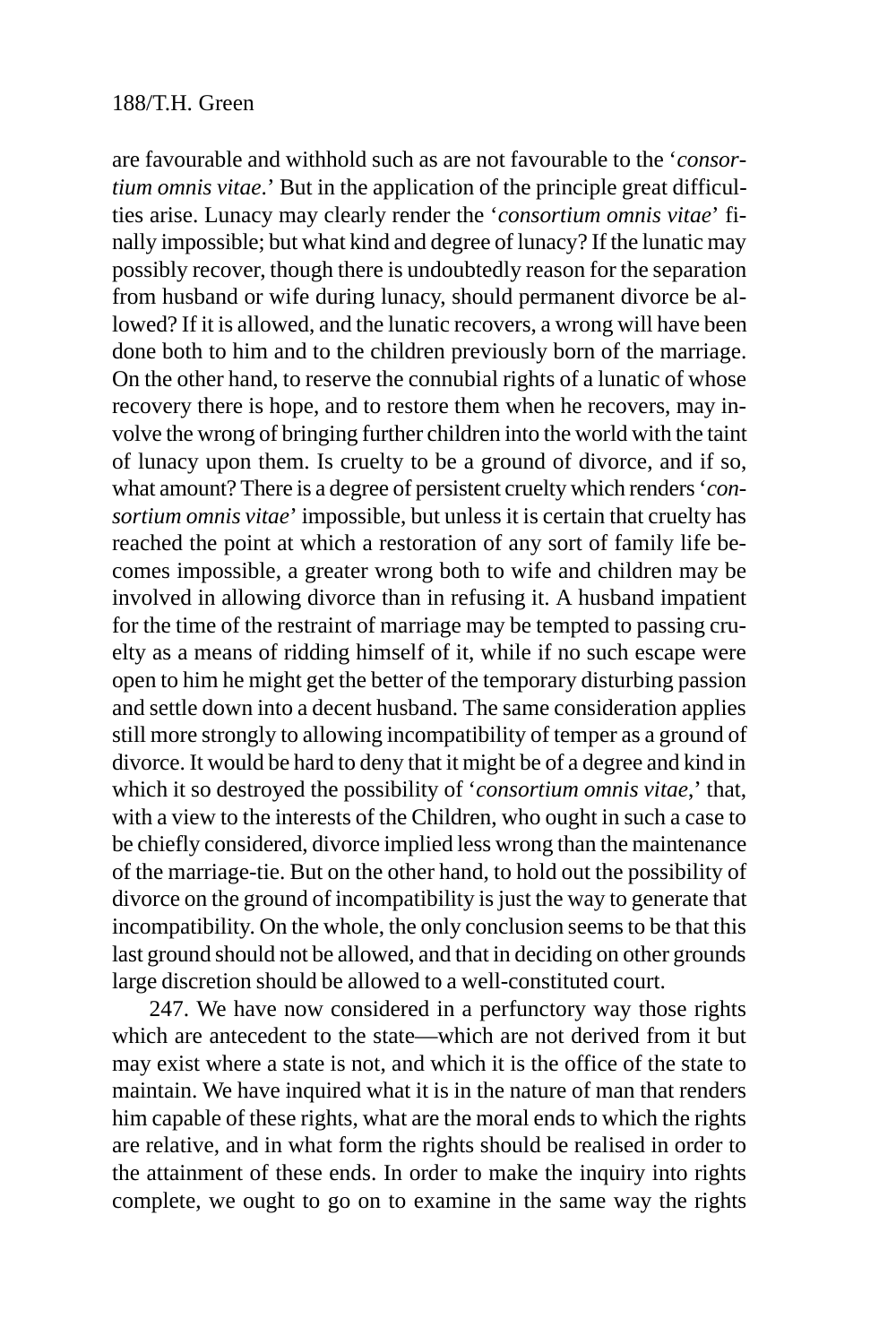are favourable and withhold such as are not favourable to the '*consortium omnis vitae*.' But in the application of the principle great difficulties arise. Lunacy may clearly render the '*consortium omnis vitae*' finally impossible; but what kind and degree of lunacy? If the lunatic may possibly recover, though there is undoubtedly reason for the separation from husband or wife during lunacy, should permanent divorce be allowed? If it is allowed, and the lunatic recovers, a wrong will have been done both to him and to the children previously born of the marriage. On the other hand, to reserve the connubial rights of a lunatic of whose recovery there is hope, and to restore them when he recovers, may involve the wrong of bringing further children into the world with the taint of lunacy upon them. Is cruelty to be a ground of divorce, and if so, what amount? There is a degree of persistent cruelty which renders '*consortium omnis vitae*' impossible, but unless it is certain that cruelty has reached the point at which a restoration of any sort of family life becomes impossible, a greater wrong both to wife and children may be involved in allowing divorce than in refusing it. A husband impatient for the time of the restraint of marriage may be tempted to passing cruelty as a means of ridding himself of it, while if no such escape were open to him he might get the better of the temporary disturbing passion and settle down into a decent husband. The same consideration applies still more strongly to allowing incompatibility of temper as a ground of divorce. It would be hard to deny that it might be of a degree and kind in which it so destroyed the possibility of '*consortium omnis vitae*,' that, with a view to the interests of the Children, who ought in such a case to be chiefly considered, divorce implied less wrong than the maintenance of the marriage-tie. But on the other hand, to hold out the possibility of divorce on the ground of incompatibility is just the way to generate that incompatibility. On the whole, the only conclusion seems to be that this last ground should not be allowed, and that in deciding on other grounds large discretion should be allowed to a well-constituted court.

247. We have now considered in a perfunctory way those rights which are antecedent to the state—which are not derived from it but may exist where a state is not, and which it is the office of the state to maintain. We have inquired what it is in the nature of man that renders him capable of these rights, what are the moral ends to which the rights are relative, and in what form the rights should be realised in order to the attainment of these ends. In order to make the inquiry into rights complete, we ought to go on to examine in the same way the rights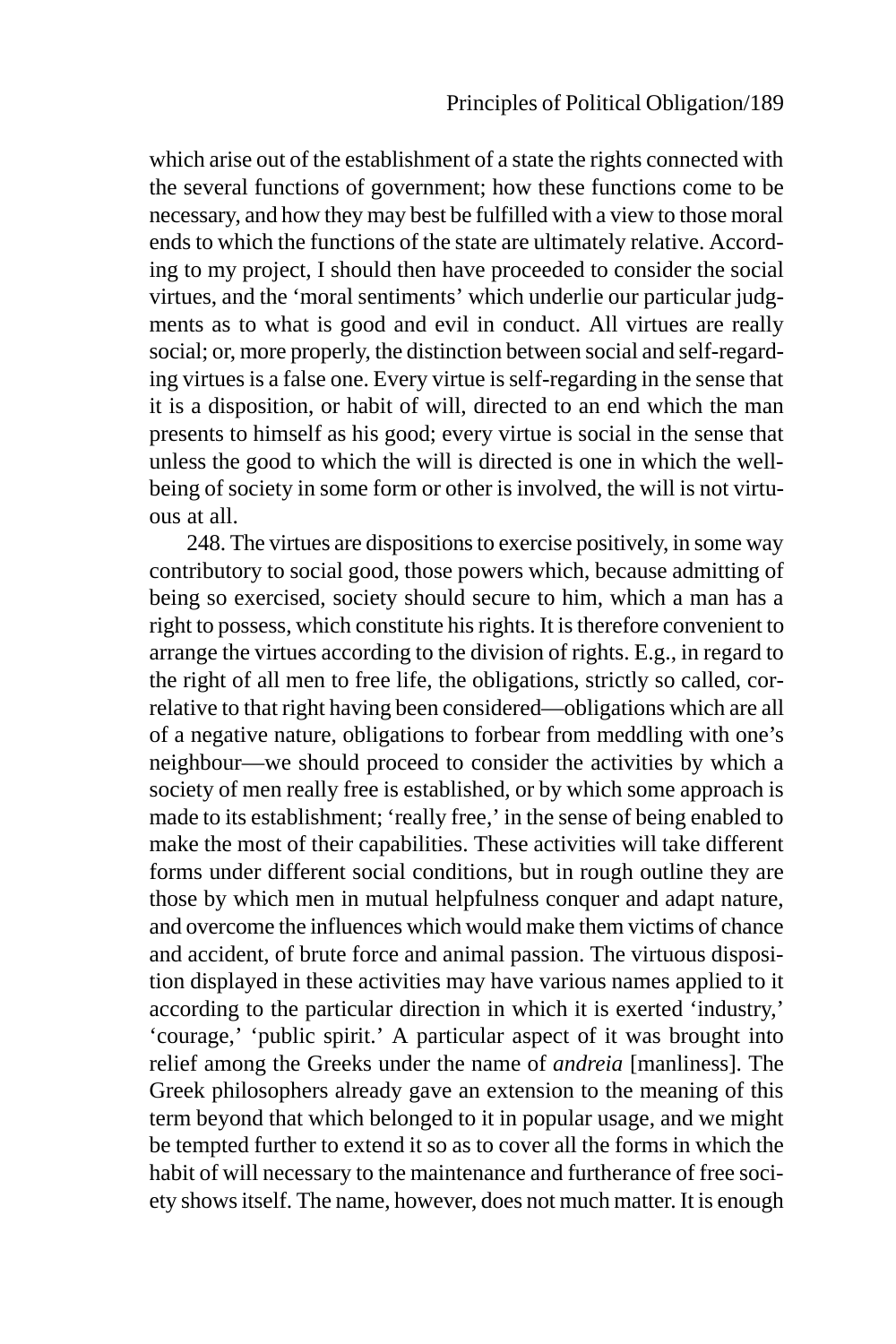which arise out of the establishment of a state the rights connected with the several functions of government; how these functions come to be necessary, and how they may best be fulfilled with a view to those moral ends to which the functions of the state are ultimately relative. According to my project, I should then have proceeded to consider the social virtues, and the 'moral sentiments' which underlie our particular judgments as to what is good and evil in conduct. All virtues are really social; or, more properly, the distinction between social and self-regarding virtues is a false one. Every virtue is self-regarding in the sense that it is a disposition, or habit of will, directed to an end which the man presents to himself as his good; every virtue is social in the sense that unless the good to which the will is directed is one in which the wellbeing of society in some form or other is involved, the will is not virtuous at all.

248. The virtues are dispositions to exercise positively, in some way contributory to social good, those powers which, because admitting of being so exercised, society should secure to him, which a man has a right to possess, which constitute his rights. It is therefore convenient to arrange the virtues according to the division of rights. E.g., in regard to the right of all men to free life, the obligations, strictly so called, correlative to that right having been considered—obligations which are all of a negative nature, obligations to forbear from meddling with one's neighbour—we should proceed to consider the activities by which a society of men really free is established, or by which some approach is made to its establishment; 'really free,' in the sense of being enabled to make the most of their capabilities. These activities will take different forms under different social conditions, but in rough outline they are those by which men in mutual helpfulness conquer and adapt nature, and overcome the influences which would make them victims of chance and accident, of brute force and animal passion. The virtuous disposition displayed in these activities may have various names applied to it according to the particular direction in which it is exerted 'industry,' 'courage,' 'public spirit.' A particular aspect of it was brought into relief among the Greeks under the name of *andreia* [manliness]. The Greek philosophers already gave an extension to the meaning of this term beyond that which belonged to it in popular usage, and we might be tempted further to extend it so as to cover all the forms in which the habit of will necessary to the maintenance and furtherance of free society shows itself. The name, however, does not much matter. It is enough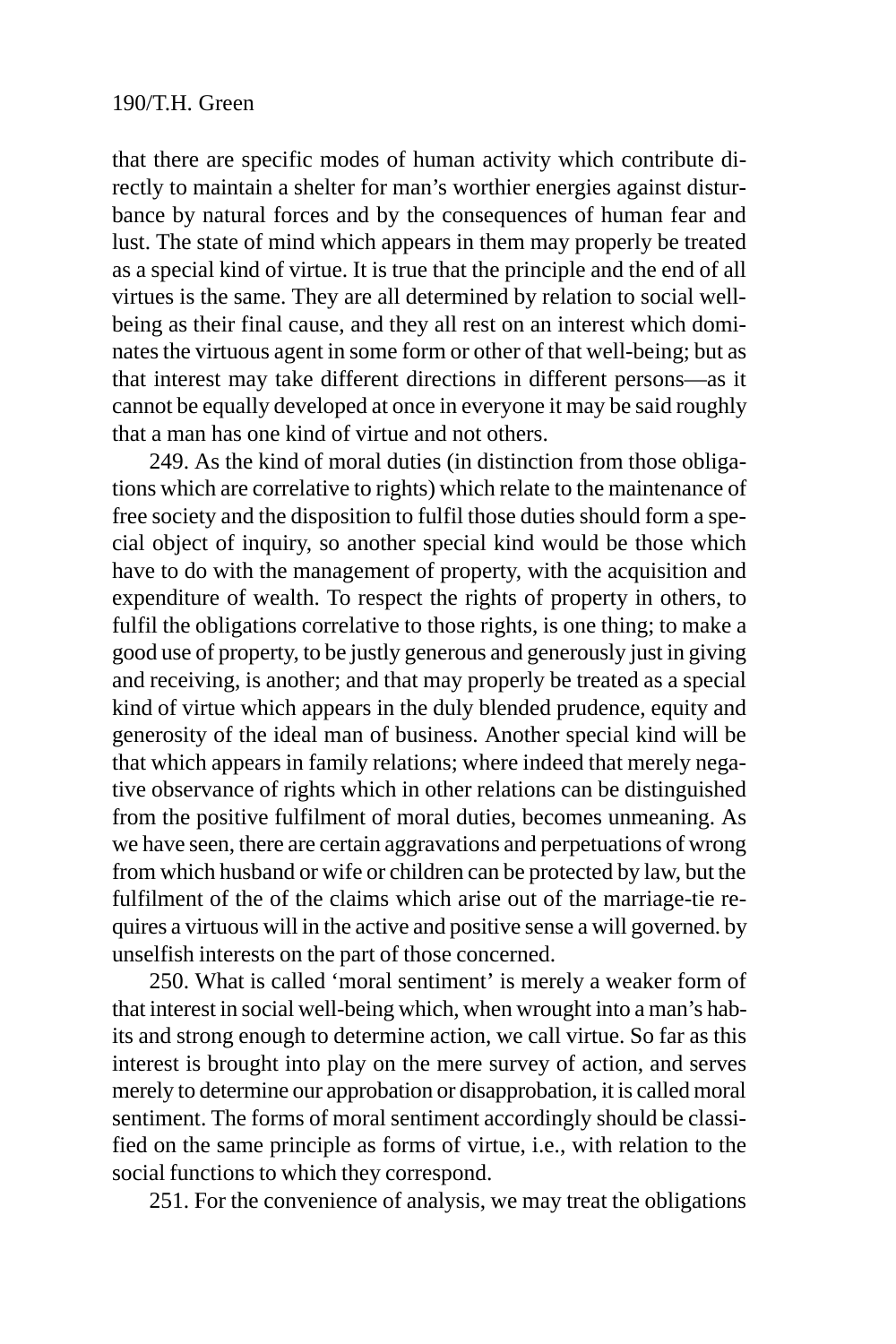that there are specific modes of human activity which contribute directly to maintain a shelter for man's worthier energies against disturbance by natural forces and by the consequences of human fear and lust. The state of mind which appears in them may properly be treated as a special kind of virtue. It is true that the principle and the end of all virtues is the same. They are all determined by relation to social wellbeing as their final cause, and they all rest on an interest which dominates the virtuous agent in some form or other of that well-being; but as that interest may take different directions in different persons—as it cannot be equally developed at once in everyone it may be said roughly that a man has one kind of virtue and not others.

249. As the kind of moral duties (in distinction from those obligations which are correlative to rights) which relate to the maintenance of free society and the disposition to fulfil those duties should form a special object of inquiry, so another special kind would be those which have to do with the management of property, with the acquisition and expenditure of wealth. To respect the rights of property in others, to fulfil the obligations correlative to those rights, is one thing; to make a good use of property, to be justly generous and generously just in giving and receiving, is another; and that may properly be treated as a special kind of virtue which appears in the duly blended prudence, equity and generosity of the ideal man of business. Another special kind will be that which appears in family relations; where indeed that merely negative observance of rights which in other relations can be distinguished from the positive fulfilment of moral duties, becomes unmeaning. As we have seen, there are certain aggravations and perpetuations of wrong from which husband or wife or children can be protected by law, but the fulfilment of the of the claims which arise out of the marriage-tie requires a virtuous will in the active and positive sense a will governed. by unselfish interests on the part of those concerned.

250. What is called 'moral sentiment' is merely a weaker form of that interest in social well-being which, when wrought into a man's habits and strong enough to determine action, we call virtue. So far as this interest is brought into play on the mere survey of action, and serves merely to determine our approbation or disapprobation, it is called moral sentiment. The forms of moral sentiment accordingly should be classified on the same principle as forms of virtue, i.e., with relation to the social functions to which they correspond.

251. For the convenience of analysis, we may treat the obligations